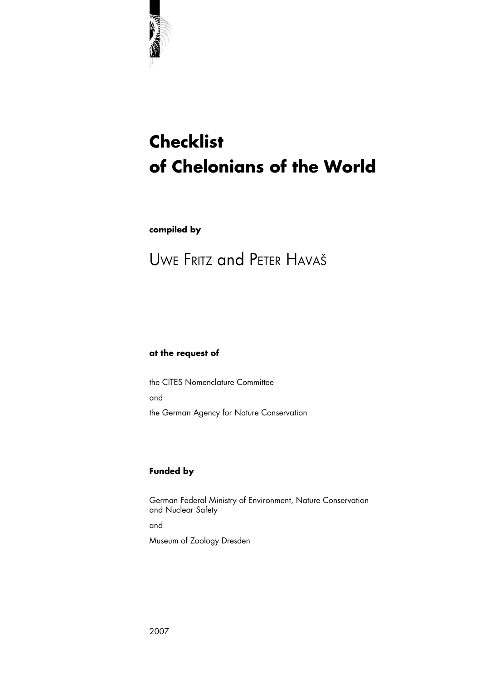

# **Checklist of Chelonians of the World**

**compiled by**

# UWE FRITZ and PETER HAVAŠ

### **at the request of**

the CITES Nomenclature Committee and the German Agency for Nature Conservation

## **Funded by**

German Federal Ministry of Environment, Nature Conservation and Nuclear Safety and Museum of Zoology Dresden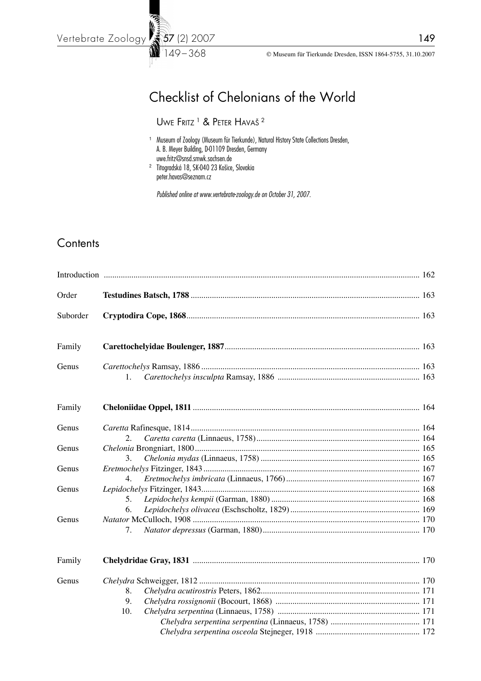149 – 368

# Checklist of Chelonians of the World

UWE FRITZ<sup>1</sup> & PETER HAVAŠ<sup>2</sup>

- <sup>1</sup> Museum of Zoology (Museum für Tierkunde), Natural History State Collections Dresden, A. B. Meyer Building, D-01109 Dresden, Germany uwe.fritz@snsd.smwk.sachsen.de
- <sup>2</sup> Titogradská 18, SK-040 23 Košice, Slovakia peter.havas@seznam.cz

 *Published online at www.vertebrate-zoology.de on October 31, 2007.*

# **Contents**

| Order    |     |  |
|----------|-----|--|
| Suborder |     |  |
| Family   |     |  |
| Genus    |     |  |
|          | 1.  |  |
| Family   |     |  |
| Genus    |     |  |
|          | 2.  |  |
| Genus    |     |  |
|          | 3.  |  |
| Genus    | 4.  |  |
| Genus    |     |  |
|          | 5.  |  |
|          | 6.  |  |
| Genus    |     |  |
|          | 7.  |  |
| Family   |     |  |
| Genus    |     |  |
|          | 8.  |  |
|          | 9.  |  |
|          | 10. |  |
|          |     |  |
|          |     |  |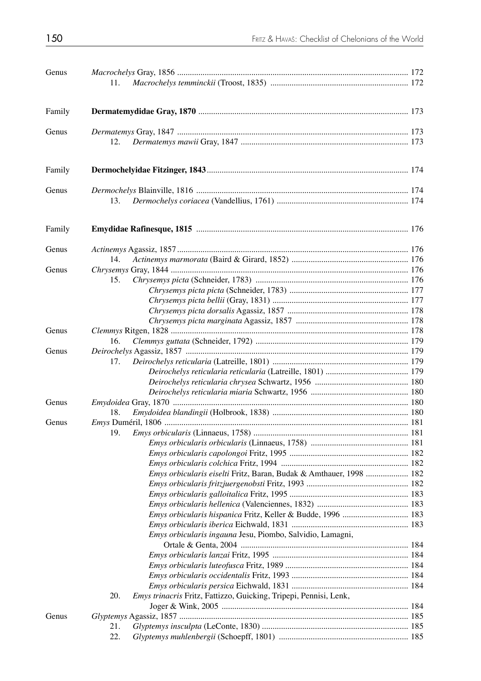| Genus  |                                                                          |  |
|--------|--------------------------------------------------------------------------|--|
|        | 11.                                                                      |  |
| Family |                                                                          |  |
| Genus  |                                                                          |  |
|        | 12.                                                                      |  |
| Family |                                                                          |  |
| Genus  |                                                                          |  |
|        | 13.                                                                      |  |
| Family |                                                                          |  |
| Genus  |                                                                          |  |
|        | 14.                                                                      |  |
| Genus  |                                                                          |  |
|        | 15.                                                                      |  |
|        |                                                                          |  |
|        |                                                                          |  |
|        |                                                                          |  |
|        |                                                                          |  |
| Genus  |                                                                          |  |
|        | 16.                                                                      |  |
| Genus  | 17.                                                                      |  |
|        |                                                                          |  |
|        |                                                                          |  |
|        |                                                                          |  |
| Genus  |                                                                          |  |
|        | 18.                                                                      |  |
| Genus  |                                                                          |  |
|        | 19.                                                                      |  |
|        |                                                                          |  |
|        |                                                                          |  |
|        |                                                                          |  |
|        | Emys orbicularis eiselti Fritz, Baran, Budak & Amthauer, 1998  182       |  |
|        |                                                                          |  |
|        |                                                                          |  |
|        |                                                                          |  |
|        | Emys orbicularis hispanica Fritz, Keller & Budde, 1996  183              |  |
|        |                                                                          |  |
|        | Emys orbicularis ingauna Jesu, Piombo, Salvidio, Lamagni,                |  |
|        |                                                                          |  |
|        |                                                                          |  |
|        |                                                                          |  |
|        |                                                                          |  |
|        | Emys trinacris Fritz, Fattizzo, Guicking, Tripepi, Pennisi, Lenk,<br>20. |  |
|        |                                                                          |  |
| Genus  |                                                                          |  |
|        | 21.                                                                      |  |
|        | 22.                                                                      |  |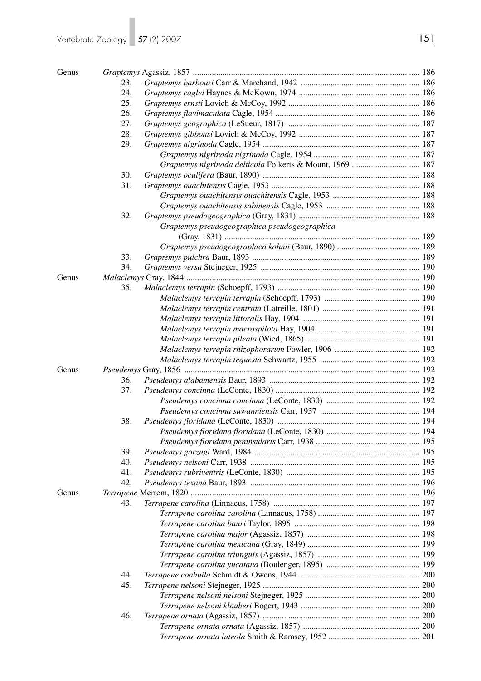| Genus |     |                                                           |  |
|-------|-----|-----------------------------------------------------------|--|
|       | 23. |                                                           |  |
|       | 24. |                                                           |  |
|       | 25. |                                                           |  |
|       | 26. |                                                           |  |
|       | 27. |                                                           |  |
|       | 28. |                                                           |  |
|       | 29. |                                                           |  |
|       |     |                                                           |  |
|       |     | Graptemys nigrinoda delticola Folkerts & Mount, 1969  187 |  |
|       | 30. |                                                           |  |
|       | 31. |                                                           |  |
|       |     |                                                           |  |
|       |     |                                                           |  |
|       | 32. |                                                           |  |
|       |     | Graptemys pseudogeographica pseudogeographica             |  |
|       |     |                                                           |  |
|       | 33. |                                                           |  |
|       | 34. |                                                           |  |
| Genus |     |                                                           |  |
|       | 35. |                                                           |  |
|       |     |                                                           |  |
|       |     |                                                           |  |
|       |     |                                                           |  |
|       |     |                                                           |  |
|       |     |                                                           |  |
|       |     |                                                           |  |
|       |     |                                                           |  |
| Genus |     |                                                           |  |
|       | 36. |                                                           |  |
|       | 37. |                                                           |  |
|       |     |                                                           |  |
|       |     |                                                           |  |
|       | 38. |                                                           |  |
|       |     |                                                           |  |
|       |     |                                                           |  |
|       | 39. |                                                           |  |
|       | 40. |                                                           |  |
|       | 41. |                                                           |  |
|       | 42. |                                                           |  |
| Genus |     |                                                           |  |
|       | 43. |                                                           |  |
|       |     |                                                           |  |
|       |     |                                                           |  |
|       |     |                                                           |  |
|       |     |                                                           |  |
|       |     |                                                           |  |
|       |     |                                                           |  |
|       | 44. |                                                           |  |
|       |     |                                                           |  |
|       | 45. |                                                           |  |
|       |     |                                                           |  |
|       |     |                                                           |  |
|       | 46. |                                                           |  |
|       |     |                                                           |  |
|       |     |                                                           |  |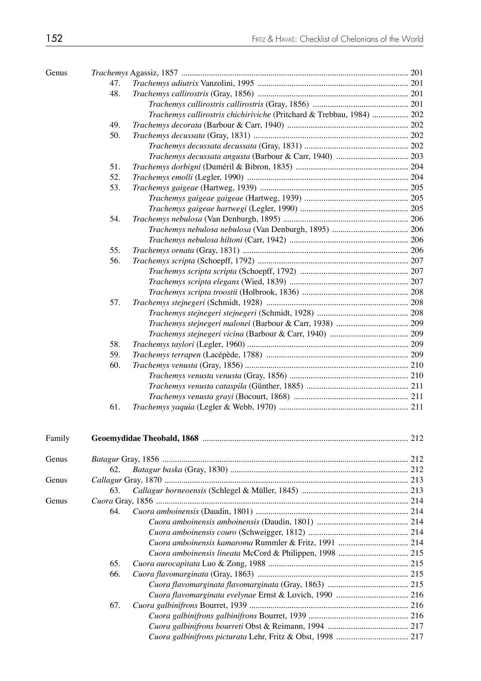| Genus  |     |                                                                       |  |
|--------|-----|-----------------------------------------------------------------------|--|
|        | 47. |                                                                       |  |
|        | 48. |                                                                       |  |
|        |     |                                                                       |  |
|        |     | Trachemys callirostris chichiriviche (Pritchard & Trebbau, 1984)  202 |  |
|        | 49. |                                                                       |  |
|        | 50. |                                                                       |  |
|        |     |                                                                       |  |
|        |     |                                                                       |  |
|        | 51. |                                                                       |  |
|        | 52. |                                                                       |  |
|        | 53. |                                                                       |  |
|        |     |                                                                       |  |
|        |     |                                                                       |  |
|        | 54. |                                                                       |  |
|        |     |                                                                       |  |
|        |     |                                                                       |  |
|        | 55. |                                                                       |  |
|        | 56. |                                                                       |  |
|        |     |                                                                       |  |
|        |     |                                                                       |  |
|        |     |                                                                       |  |
|        | 57. |                                                                       |  |
|        |     |                                                                       |  |
|        |     | Trachemys stejnegeri malonei (Barbour & Carr, 1938)  209              |  |
|        |     |                                                                       |  |
|        | 58. |                                                                       |  |
|        | 59. |                                                                       |  |
|        | 60. |                                                                       |  |
|        |     |                                                                       |  |
|        |     |                                                                       |  |
|        |     |                                                                       |  |
|        | 61. |                                                                       |  |
| Family |     |                                                                       |  |
| Genus  |     |                                                                       |  |
|        | 62. |                                                                       |  |
| Genus  |     |                                                                       |  |
|        | 63. |                                                                       |  |
| Genus  |     |                                                                       |  |
|        | 64. |                                                                       |  |
|        |     |                                                                       |  |
|        |     |                                                                       |  |
|        |     |                                                                       |  |
|        |     |                                                                       |  |
|        | 65. |                                                                       |  |
|        | 66. |                                                                       |  |
|        |     |                                                                       |  |
|        |     |                                                                       |  |
|        | 67. |                                                                       |  |
|        |     |                                                                       |  |
|        |     |                                                                       |  |
|        |     |                                                                       |  |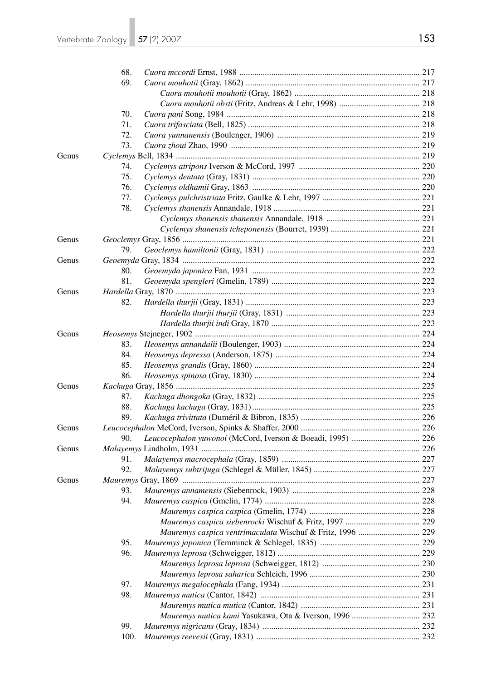|       | 68.  |                                                            |  |
|-------|------|------------------------------------------------------------|--|
|       | 69.  |                                                            |  |
|       |      |                                                            |  |
|       |      |                                                            |  |
|       | 70.  |                                                            |  |
|       | 71.  |                                                            |  |
|       | 72.  |                                                            |  |
|       | 73.  |                                                            |  |
| Genus |      |                                                            |  |
|       | 74.  |                                                            |  |
|       | 75.  |                                                            |  |
|       | 76.  |                                                            |  |
|       | 77.  |                                                            |  |
|       | 78.  |                                                            |  |
|       |      |                                                            |  |
|       |      |                                                            |  |
| Genus |      |                                                            |  |
|       | 79.  |                                                            |  |
| Genus |      |                                                            |  |
|       | 80.  |                                                            |  |
|       | 81.  |                                                            |  |
| Genus |      |                                                            |  |
|       | 82.  |                                                            |  |
|       |      |                                                            |  |
|       |      |                                                            |  |
| Genus |      |                                                            |  |
|       | 83.  |                                                            |  |
|       | 84.  |                                                            |  |
|       | 85.  |                                                            |  |
|       | 86.  |                                                            |  |
| Genus |      |                                                            |  |
|       | 87.  |                                                            |  |
|       | 88.  |                                                            |  |
|       | 89.  |                                                            |  |
| Genus |      |                                                            |  |
|       | 90.  |                                                            |  |
| Genus |      |                                                            |  |
|       | 91.  |                                                            |  |
|       | 92.  |                                                            |  |
| Genus |      |                                                            |  |
|       | 93.  |                                                            |  |
|       | 94.  |                                                            |  |
|       |      |                                                            |  |
|       |      |                                                            |  |
|       |      | Mauremys caspica ventrimaculata Wischuf & Fritz, 1996  229 |  |
|       |      |                                                            |  |
|       | 95.  |                                                            |  |
|       | 96.  |                                                            |  |
|       |      |                                                            |  |
|       |      |                                                            |  |
|       | 97.  |                                                            |  |
|       | 98.  |                                                            |  |
|       |      |                                                            |  |
|       |      |                                                            |  |
|       | 99.  |                                                            |  |
|       | 100. |                                                            |  |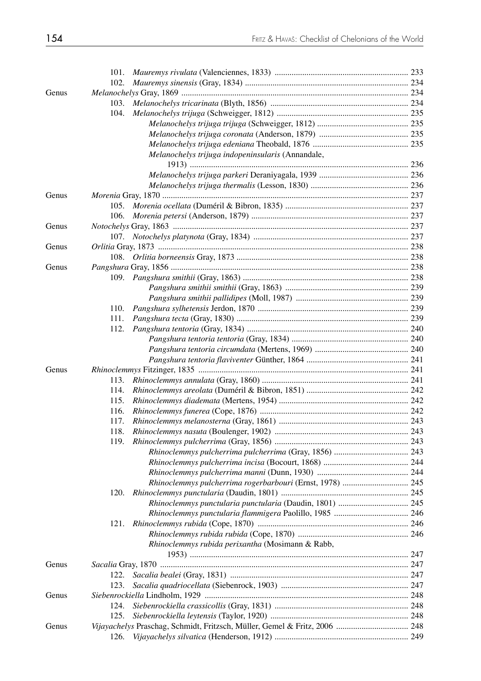|       | 102.                                                      |  |
|-------|-----------------------------------------------------------|--|
| Genus |                                                           |  |
|       | 103.                                                      |  |
|       | 104.                                                      |  |
|       |                                                           |  |
|       |                                                           |  |
|       |                                                           |  |
|       | Melanochelys trijuga indopeninsularis (Annandale,         |  |
|       |                                                           |  |
|       |                                                           |  |
| Genus |                                                           |  |
|       | 105.                                                      |  |
|       | 106.                                                      |  |
| Genus |                                                           |  |
|       |                                                           |  |
| Genus |                                                           |  |
|       |                                                           |  |
| Genus |                                                           |  |
|       |                                                           |  |
|       |                                                           |  |
|       |                                                           |  |
|       | 110.                                                      |  |
|       | 111.                                                      |  |
|       | 112.                                                      |  |
|       |                                                           |  |
|       |                                                           |  |
|       |                                                           |  |
| Genus |                                                           |  |
|       | 113.                                                      |  |
|       | 114.                                                      |  |
|       | 115.                                                      |  |
|       | 116.                                                      |  |
|       | 117.                                                      |  |
|       | 118.                                                      |  |
|       | 119.                                                      |  |
|       |                                                           |  |
|       |                                                           |  |
|       |                                                           |  |
|       | Rhinoclemmys pulcherrima rogerbarbouri (Ernst, 1978)  245 |  |
|       | 120.                                                      |  |
|       | Rhinoclemmys punctularia punctularia (Daudin, 1801)  245  |  |
|       |                                                           |  |
|       | 121.                                                      |  |
|       |                                                           |  |
|       | Rhinoclemmys rubida perixantha (Mosimann & Rabb,          |  |
|       |                                                           |  |
| Genus |                                                           |  |
|       | 122.                                                      |  |
|       | 123.                                                      |  |
| Genus |                                                           |  |
|       | 124.                                                      |  |
|       | 125.                                                      |  |
| Genus |                                                           |  |
|       | 126.                                                      |  |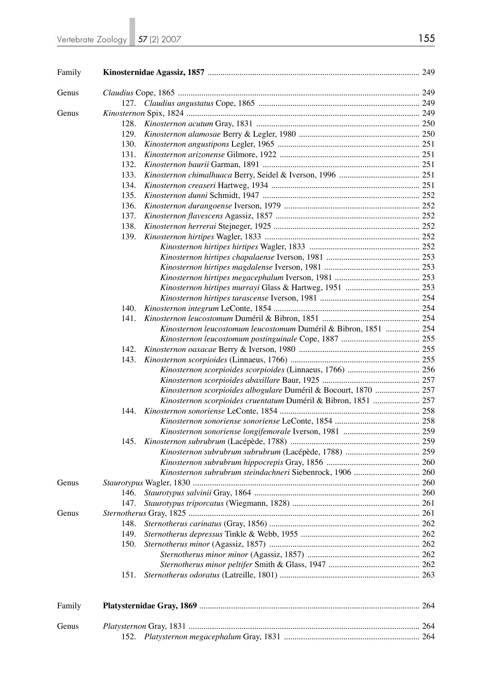| Family |      |                                                                 |  |
|--------|------|-----------------------------------------------------------------|--|
| Genus  |      |                                                                 |  |
|        |      |                                                                 |  |
| Genus  |      |                                                                 |  |
|        | 128. |                                                                 |  |
|        | 129. |                                                                 |  |
|        | 130. |                                                                 |  |
|        | 131. |                                                                 |  |
|        | 132. |                                                                 |  |
|        | 133. |                                                                 |  |
|        | 134. |                                                                 |  |
|        | 135. |                                                                 |  |
|        | 136. |                                                                 |  |
|        | 137. |                                                                 |  |
|        | 138. |                                                                 |  |
|        | 139. |                                                                 |  |
|        |      |                                                                 |  |
|        |      |                                                                 |  |
|        |      |                                                                 |  |
|        |      |                                                                 |  |
|        |      |                                                                 |  |
|        |      |                                                                 |  |
|        | 140. |                                                                 |  |
|        | 141. |                                                                 |  |
|        |      | Kinosternon leucostomum leucostomum Duméril & Bibron, 1851  254 |  |
|        |      |                                                                 |  |
|        | 142. |                                                                 |  |
|        | 143. |                                                                 |  |
|        |      |                                                                 |  |
|        |      |                                                                 |  |
|        |      | Kinosternon scorpioides albogulare Duméril & Bocourt, 1870  257 |  |
|        |      | Kinosternon scorpioides cruentatum Duméril & Bibron, 1851  257  |  |
|        | 144. |                                                                 |  |
|        |      |                                                                 |  |
|        |      |                                                                 |  |
|        | 145. |                                                                 |  |
|        |      |                                                                 |  |
|        |      |                                                                 |  |
|        |      | Kinosternon subrubrum steindachneri Siebenrock, 1906  260       |  |
| Genus  |      |                                                                 |  |
|        | 146. |                                                                 |  |
|        | 147. |                                                                 |  |
| Genus  |      |                                                                 |  |
|        | 148. |                                                                 |  |
|        | 149. |                                                                 |  |
|        | 150. |                                                                 |  |
|        |      |                                                                 |  |
|        |      |                                                                 |  |
|        | 151. |                                                                 |  |
| Family |      |                                                                 |  |
| Genus  |      |                                                                 |  |
|        |      |                                                                 |  |
|        |      |                                                                 |  |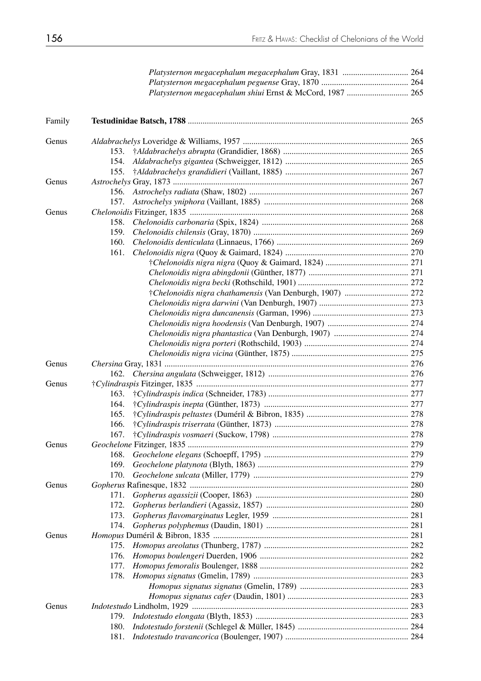|        | Platysternon megacephalum shiui Ernst & McCord, 1987  265 |  |
|--------|-----------------------------------------------------------|--|
| Family |                                                           |  |
| Genus  |                                                           |  |
|        |                                                           |  |
|        | 154.                                                      |  |
|        | 155.                                                      |  |
| Genus  |                                                           |  |
|        |                                                           |  |
|        | 157.                                                      |  |
| Genus  |                                                           |  |
|        | 158.                                                      |  |
|        | 159.                                                      |  |
|        | 160.                                                      |  |
|        | 161.                                                      |  |
|        |                                                           |  |
|        |                                                           |  |
|        |                                                           |  |
|        |                                                           |  |
|        |                                                           |  |
|        |                                                           |  |
|        |                                                           |  |
|        |                                                           |  |
|        |                                                           |  |
|        |                                                           |  |
| Genus  |                                                           |  |
|        | 162.                                                      |  |
| Genus  |                                                           |  |
|        | 163.                                                      |  |
|        | 164.                                                      |  |
|        | 165.                                                      |  |
|        | 166.                                                      |  |
|        |                                                           |  |
| Genus  |                                                           |  |
|        | 168.                                                      |  |
|        | 169.                                                      |  |
|        | 170.                                                      |  |
| Genus  |                                                           |  |
|        | 171.                                                      |  |
|        | 172.                                                      |  |
|        | 173.                                                      |  |
|        | 174.                                                      |  |
| Genus  |                                                           |  |
|        | 175.                                                      |  |
|        | 176.                                                      |  |
|        | 177.                                                      |  |
|        | 178.                                                      |  |
|        |                                                           |  |
|        |                                                           |  |
| Genus  |                                                           |  |
|        | 179.                                                      |  |
|        | 180.                                                      |  |
|        | 181.                                                      |  |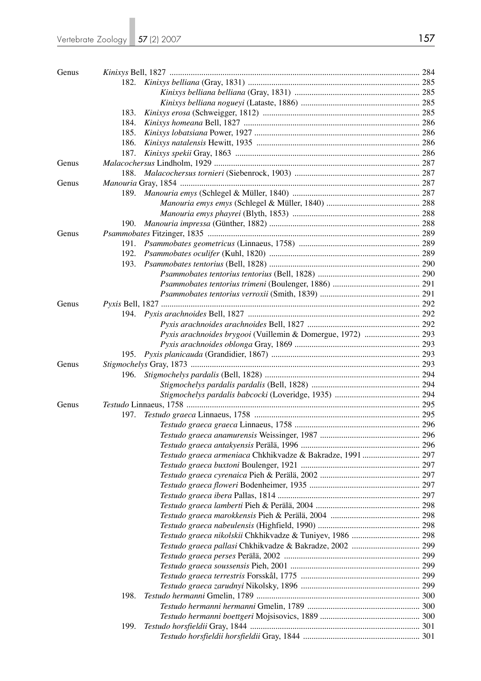| 183.<br>184.<br>185.<br>186.<br>187.                        |  |
|-------------------------------------------------------------|--|
|                                                             |  |
|                                                             |  |
|                                                             |  |
|                                                             |  |
|                                                             |  |
|                                                             |  |
|                                                             |  |
|                                                             |  |
| Genus                                                       |  |
| 188.                                                        |  |
| Genus                                                       |  |
|                                                             |  |
|                                                             |  |
|                                                             |  |
|                                                             |  |
| Genus                                                       |  |
| 191.                                                        |  |
| 192.                                                        |  |
| 193.                                                        |  |
|                                                             |  |
|                                                             |  |
|                                                             |  |
| Genus                                                       |  |
|                                                             |  |
|                                                             |  |
|                                                             |  |
| Pyxis arachnoides brygooi (Vuillemin & Domergue, 1972)  293 |  |
|                                                             |  |
|                                                             |  |
| Genus                                                       |  |
| 196.                                                        |  |
|                                                             |  |
|                                                             |  |
| Genus                                                       |  |
| 197.                                                        |  |
|                                                             |  |
|                                                             |  |
|                                                             |  |
| Testudo graeca armeniaca Chkhikvadze & Bakradze, 1991 297   |  |
|                                                             |  |
|                                                             |  |
|                                                             |  |
|                                                             |  |
|                                                             |  |
|                                                             |  |
|                                                             |  |
| Testudo graeca nikolskii Chkhikvadze & Tuniyev, 1986  298   |  |
|                                                             |  |
|                                                             |  |
|                                                             |  |
|                                                             |  |
|                                                             |  |
| 198.                                                        |  |
|                                                             |  |
|                                                             |  |
| 199.                                                        |  |
|                                                             |  |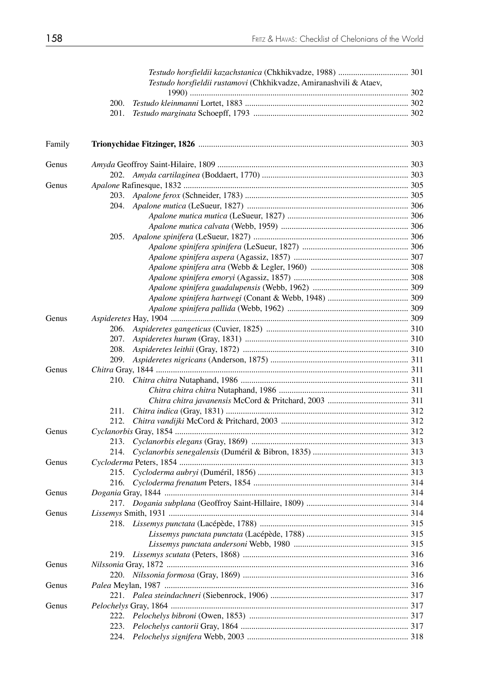|        | Testudo horsfieldii rustamovi (Chkhikvadze, Amiranashvili & Ataev, |  |
|--------|--------------------------------------------------------------------|--|
|        | 200.                                                               |  |
|        | 201.                                                               |  |
|        |                                                                    |  |
| Family |                                                                    |  |
| Genus  |                                                                    |  |
|        | 202.                                                               |  |
| Genus  |                                                                    |  |
|        |                                                                    |  |
|        |                                                                    |  |
|        |                                                                    |  |
|        |                                                                    |  |
|        |                                                                    |  |
|        |                                                                    |  |
|        |                                                                    |  |
|        |                                                                    |  |
|        |                                                                    |  |
|        |                                                                    |  |
|        |                                                                    |  |
|        |                                                                    |  |
| Genus  |                                                                    |  |
|        | 206.                                                               |  |
|        | 207.                                                               |  |
|        | 208.                                                               |  |
|        |                                                                    |  |
| Genus  |                                                                    |  |
|        |                                                                    |  |
|        |                                                                    |  |
|        |                                                                    |  |
|        | 211.                                                               |  |
|        | 212.                                                               |  |
| Genus  |                                                                    |  |
|        |                                                                    |  |
|        | 214.                                                               |  |
| Genus  |                                                                    |  |
|        | 215.                                                               |  |
|        | 216.                                                               |  |
| Genus  |                                                                    |  |
|        |                                                                    |  |
| Genus  |                                                                    |  |
|        |                                                                    |  |
|        |                                                                    |  |
|        |                                                                    |  |
|        |                                                                    |  |
| Genus  |                                                                    |  |
|        | 220.                                                               |  |
| Genus  |                                                                    |  |
|        |                                                                    |  |
| Genus  |                                                                    |  |
|        | 222.                                                               |  |
|        | 223.                                                               |  |
|        | 224.                                                               |  |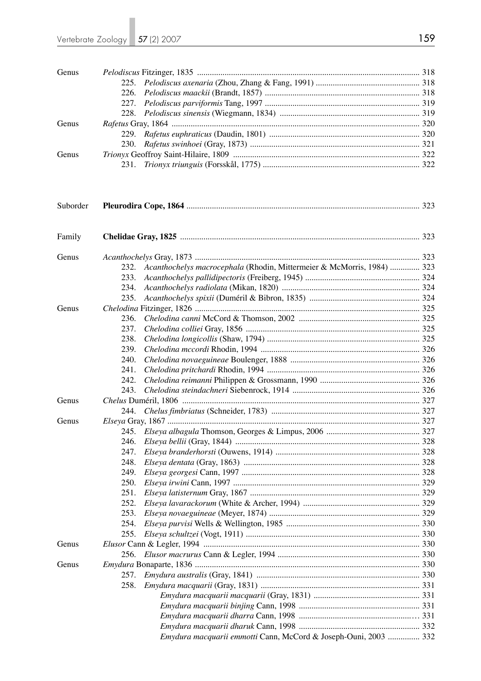| Genus    |                                                                                |  |
|----------|--------------------------------------------------------------------------------|--|
|          | 225.                                                                           |  |
|          | 226.                                                                           |  |
|          | 227.                                                                           |  |
|          | 228.                                                                           |  |
| Genus    |                                                                                |  |
|          | 229.                                                                           |  |
|          | 230.                                                                           |  |
| Genus    |                                                                                |  |
|          | 231.                                                                           |  |
| Suborder |                                                                                |  |
| Family   |                                                                                |  |
|          |                                                                                |  |
| Genus    |                                                                                |  |
|          | Acanthochelys macrocephala (Rhodin, Mittermeier & McMorris, 1984)  323<br>232. |  |
|          | 233.                                                                           |  |
|          | 234.                                                                           |  |
|          | 235.                                                                           |  |
| Genus    |                                                                                |  |
|          | 236.                                                                           |  |
|          | 237.                                                                           |  |
|          | 238.                                                                           |  |
|          | 239.                                                                           |  |
|          | 240.                                                                           |  |
|          | 241.                                                                           |  |
|          | 242.                                                                           |  |
|          | 243.                                                                           |  |
| Genus    |                                                                                |  |
|          | 244.                                                                           |  |
| Genus    |                                                                                |  |
|          |                                                                                |  |
|          | 246.                                                                           |  |
|          | 247.                                                                           |  |
|          | 248.                                                                           |  |
|          | 249.                                                                           |  |
|          | 250.                                                                           |  |
|          | 251.                                                                           |  |
|          | 252.                                                                           |  |
|          | 253.                                                                           |  |
|          | 254.                                                                           |  |
|          | 255.                                                                           |  |
| Genus    |                                                                                |  |
|          | 256.                                                                           |  |
| Genus    |                                                                                |  |
|          | 257.                                                                           |  |
|          | 258.                                                                           |  |
|          |                                                                                |  |
|          |                                                                                |  |
|          |                                                                                |  |
|          | Emydura macquarii emmotti Cann, McCord & Joseph-Ouni, 2003  332                |  |
|          |                                                                                |  |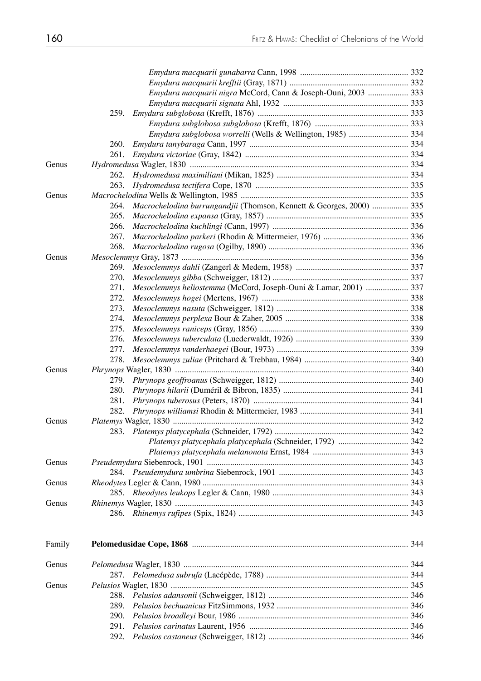|        | Emydura macquarii nigra McCord, Cann & Joseph-Ouni, 2003  333                |  |
|--------|------------------------------------------------------------------------------|--|
|        |                                                                              |  |
|        | 259.                                                                         |  |
|        |                                                                              |  |
|        | Emydura subglobosa worrelli (Wells & Wellington, 1985)  334                  |  |
|        | 260.                                                                         |  |
|        | 261.                                                                         |  |
| Genus  |                                                                              |  |
|        | 262.                                                                         |  |
|        | 263.                                                                         |  |
| Genus  |                                                                              |  |
|        | Macrochelodina burrungandjii (Thomson, Kennett & Georges, 2000)  335<br>264. |  |
|        | 265.                                                                         |  |
|        | 266.                                                                         |  |
|        | 267.                                                                         |  |
|        | 268.                                                                         |  |
| Genus  |                                                                              |  |
|        | 269.                                                                         |  |
|        | 270.                                                                         |  |
|        | Mesoclemmys heliostemma (McCord, Joseph-Ouni & Lamar, 2001)  337<br>271.     |  |
|        | 272.                                                                         |  |
|        | 273.                                                                         |  |
|        | 274.                                                                         |  |
|        | 275.                                                                         |  |
|        | 276.                                                                         |  |
|        | 277.                                                                         |  |
|        | 278.                                                                         |  |
| Genus  |                                                                              |  |
|        | 279.                                                                         |  |
|        | 280.                                                                         |  |
|        | 281.                                                                         |  |
|        | 282.                                                                         |  |
| Genus  |                                                                              |  |
|        |                                                                              |  |
|        |                                                                              |  |
|        |                                                                              |  |
| Genus  |                                                                              |  |
|        |                                                                              |  |
| Genus  |                                                                              |  |
|        |                                                                              |  |
| Genus  |                                                                              |  |
|        |                                                                              |  |
| Family |                                                                              |  |
| Genus  |                                                                              |  |
|        |                                                                              |  |
| Genus  |                                                                              |  |
|        | 288.                                                                         |  |
|        | 289.                                                                         |  |
|        | 290.                                                                         |  |
|        | 291.                                                                         |  |
|        | 292.                                                                         |  |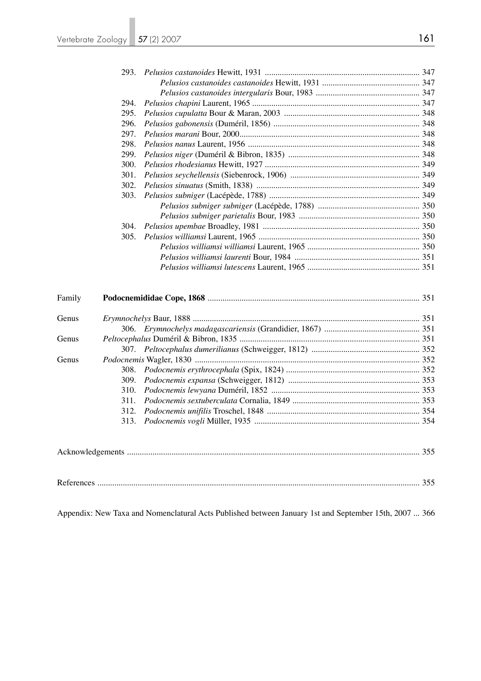|        | 294. |  |  |
|--------|------|--|--|
|        | 295. |  |  |
|        | 296. |  |  |
|        | 297. |  |  |
|        | 298. |  |  |
|        | 299. |  |  |
|        | 300. |  |  |
|        | 301. |  |  |
|        | 302. |  |  |
|        | 303. |  |  |
|        |      |  |  |
|        |      |  |  |
|        | 304. |  |  |
|        | 305. |  |  |
|        |      |  |  |
|        |      |  |  |
|        |      |  |  |
| Family |      |  |  |
|        |      |  |  |
| Genus  |      |  |  |
|        |      |  |  |
| Genus  |      |  |  |
|        |      |  |  |
| Genus  |      |  |  |
|        | 308. |  |  |
|        | 309. |  |  |
|        | 310. |  |  |
|        | 311. |  |  |
|        | 312. |  |  |
|        | 313. |  |  |
|        |      |  |  |
|        |      |  |  |
|        |      |  |  |

Appendix: New Taxa and Nomenclatural Acts Published between January 1st and September 15th, 2007 ... 366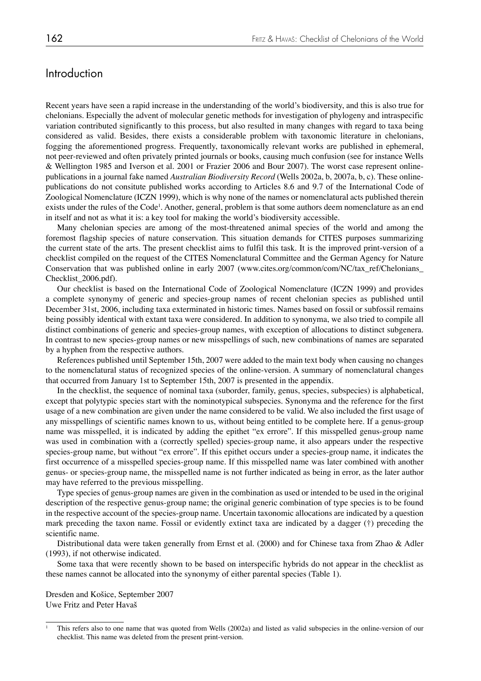# **Introduction**

Recent years have seen a rapid increase in the understanding of the world's biodiversity, and this is also true for chelonians. Especially the advent of molecular genetic methods for investigation of phylogeny and intraspecific variation contributed significantly to this process, but also resulted in many changes with regard to taxa being considered as valid. Besides, there exists a considerable problem with taxonomic literature in chelonians, fogging the aforementioned progress. Frequently, taxonomically relevant works are published in ephemeral, not peer-reviewed and often privately printed journals or books, causing much confusion (see for instance Wells & Wellington 1985 and Iverson et al. 2001 or Frazier 2006 and Bour 2007). The worst case represent onlinepublications in a journal fake named *Australian Biodiversity Record* (Wells 2002a, b, 2007a, b, c). These onlinepublications do not consitute published works according to Articles 8.6 and 9.7 of the International Code of Zoological Nomenclature (ICZN 1999), which is why none of the names or nomenclatural acts published therein exists under the rules of the Code<sup>1</sup>. Another, general, problem is that some authors deem nomenclature as an end in itself and not as what it is: a key tool for making the world's biodiversity accessible.

Many chelonian species are among of the most-threatened animal species of the world and among the foremost flagship species of nature conservation. This situation demands for CITES purposes summarizing the current state of the arts. The present checklist aims to fulfil this task. It is the improved print-version of a checklist compiled on the request of the CITES Nomenclatural Committee and the German Agency for Nature Conservation that was published online in early 2007 (www.cites.org/common/com/NC/tax\_ref/Chelonians\_ Checklist\_2006.pdf).

Our checklist is based on the International Code of Zoological Nomenclature (ICZN 1999) and provides a complete synonymy of generic and species-group names of recent chelonian species as published until December 31st, 2006, including taxa exterminated in historic times. Names based on fossil or subfossil remains being possibly identical with extant taxa were considered. In addition to synonyma, we also tried to compile all distinct combinations of generic and species-group names, with exception of allocations to distinct subgenera. In contrast to new species-group names or new misspellings of such, new combinations of names are separated by a hyphen from the respective authors.

References published until September 15th, 2007 were added to the main text body when causing no changes to the nomenclatural status of recognized species of the online-version. A summary of nomenclatural changes that occurred from January 1st to September 15th, 2007 is presented in the appendix.

In the checklist, the sequence of nominal taxa (suborder, family, genus, species, subspecies) is alphabetical, except that polytypic species start with the nominotypical subspecies. Synonyma and the reference for the first usage of a new combination are given under the name considered to be valid. We also included the first usage of any misspellings of scientific names known to us, without being entitled to be complete here. If a genus-group name was misspelled, it is indicated by adding the epithet "ex errore". If this misspelled genus-group name was used in combination with a (correctly spelled) species-group name, it also appears under the respective species-group name, but without "ex errore". If this epithet occurs under a species-group name, it indicates the first occurrence of a misspelled species-group name. If this misspelled name was later combined with another genus- or species-group name, the misspelled name is not further indicated as being in error, as the later author may have referred to the previous misspelling.

Type species of genus-group names are given in the combination as used or intended to be used in the original description of the respective genus-group name; the original generic combination of type species is to be found in the respective account of the species-group name. Uncertain taxonomic allocations are indicated by a question mark preceding the taxon name. Fossil or evidently extinct taxa are indicated by a dagger (†) preceding the scientific name.

Distributional data were taken generally from Ernst et al. (2000) and for Chinese taxa from Zhao & Adler (1993), if not otherwise indicated.

Some taxa that were recently shown to be based on interspecific hybrids do not appear in the checklist as these names cannot be allocated into the synonymy of either parental species (Table 1).

Dresden and Košice, September 2007 Uwe Fritz and Peter Havaš

<sup>1</sup> This refers also to one name that was quoted from Wells (2002a) and listed as valid subspecies in the online-version of our checklist. This name was deleted from the present print-version.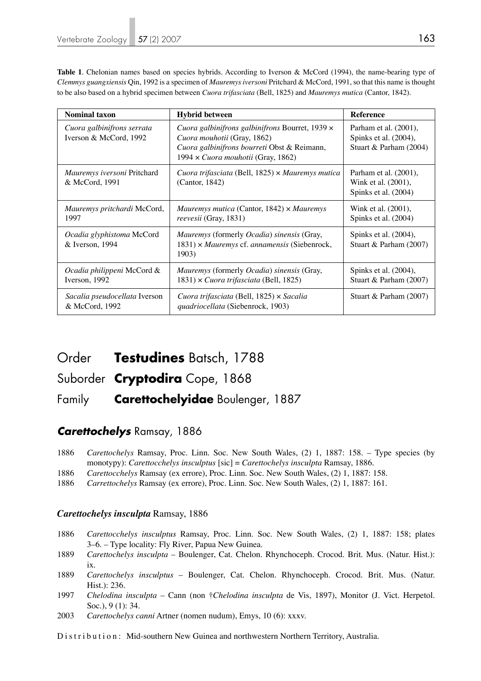Table 1. Chelonian names based on species hybrids. According to Iverson & McCord (1994), the name-bearing type of *Clemmys guangxiensis* Qin, 1992 is a specimen of *Mauremys iversoni* Pritchard & McCord, 1991, so that this name is thought to be also based on a hybrid specimen between *Cuora trifasciata* (Bell, 1825) and *Mauremys mutica* (Cantor, 1842).

| <b>Nominal taxon</b>                                 | <b>Hybrid between</b>                                                                                                                                               | <b>Reference</b>                                                         |
|------------------------------------------------------|---------------------------------------------------------------------------------------------------------------------------------------------------------------------|--------------------------------------------------------------------------|
| Cuora galbinifrons serrata<br>Iverson & McCord, 1992 | Cuora galbinifrons galbinifrons Bourret, 1939 x<br>Cuora mouhotii (Gray, 1862)<br>Cuora galbinifrons bourreti Obst & Reimann,<br>1994 x Cuora mouhotii (Gray, 1862) | Parham et al. (2001),<br>Spinks et al. (2004),<br>Stuart & Parham (2004) |
| Mauremys iversoni Pritchard<br>& McCord, 1991        | Cuora trifasciata (Bell, 1825) $\times$ Mauremys mutica<br>(Cantor, 1842)                                                                                           | Parham et al. (2001),<br>Wink et al. (2001),<br>Spinks et al. (2004)     |
| Mauremys pritchardi McCord,<br>1997                  | Mauremys mutica (Cantor, 1842) $\times$ Mauremys<br>reevesii (Gray, 1831)                                                                                           | Wink et al. (2001),<br>Spinks et al. (2004)                              |
| Ocadia glyphistoma McCord<br>& Iverson, 1994         | Mauremys (formerly Ocadia) sinensis (Gray,<br>1831) × Mauremys cf. annamensis (Siebenrock,<br>1903)                                                                 | Spinks et al. (2004),<br>Stuart & Parham (2007)                          |
| Ocadia philippeni McCord &<br>Iverson, 1992          | <i>Mauremys</i> (formerly <i>Ocadia</i> ) <i>sinensis</i> (Gray,<br>1831) $\times$ Cuora trifasciata (Bell, 1825)                                                   | Spinks et al. (2004),<br>Stuart & Parham (2007)                          |
| Sacalia pseudocellata Iverson<br>& McCord, 1992      | Cuora trifasciata (Bell, 1825) × Sacalia<br>quadriocellata (Siebenrock, 1903)                                                                                       | Stuart & Parham (2007)                                                   |

# Order **Testudines** Batsch, 1788

# Suborder **Cryptodira** Cope, 1868

# Family **Carettochelyidae** Boulenger, 1887

# *Carettochelys* Ramsay, 1886

- 1886 *Carettochelys* Ramsay, Proc. Linn. Soc. New South Wales, (2) 1, 1887: 158. Type species (by monotypy): *Carettocchelys insculptus* [sic] = *Carettochelys insculpta* Ramsay, 1886.
- 1886 *Carettocchelys* Ramsay (ex errore), Proc. Linn. Soc. New South Wales, (2) 1, 1887: 158.
- 1886 *Carrettochelys* Ramsay (ex errore), Proc. Linn. Soc. New South Wales, (2) 1, 1887: 161.

### *Carettochelys insculpta* Ramsay, 1886

- 1886 *Carettocchelys insculptus* Ramsay, Proc. Linn. Soc. New South Wales, (2) 1, 1887: 158; plates 3–6. – Type locality: Fly River, Papua New Guinea.
- 1889 *Carettochelys insculpta*  Boulenger, Cat. Chelon. Rhynchoceph. Crocod. Brit. Mus. (Natur. Hist.): ix.
- 1889 *Carettochelys insculptus*  Boulenger, Cat. Chelon. Rhynchoceph. Crocod. Brit. Mus. (Natur. Hist.): 236.
- 1997 *Chelodina insculpta* Cann (non †*Chelodina insculpta* de Vis, 1897), Monitor (J. Vict. Herpetol. Soc.), 9 (1): 34.
- 2003 *Carettochelys canni* Artner (nomen nudum), Emys, 10 (6): xxxv.
- Distribution: Mid-southern New Guinea and northwestern Northern Territory, Australia.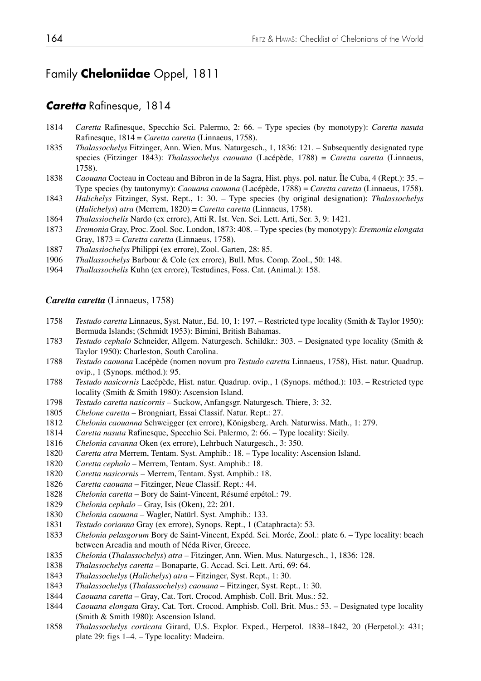# Family **Cheloniidae** Oppel, 1811

### *Caretta* Rafinesque, 1814

- *Caretta* Rafinesque, Specchio Sci. Palermo, 2: 66. Type species (by monotypy): *Caretta nasuta*  Rafinesque, 1814 = *Caretta caretta* (Linnaeus, 1758).
- *Thalassochelys* Fitzinger, Ann. Wien. Mus. Naturgesch., 1, 1836: 121. Subsequently designated type species (Fitzinger 1843): *Thalassochelys caouana* (Lacépède, 1788) = *Caretta caretta* (Linnaeus, 1758).
- *Caouana* Cocteau in Cocteau and Bibron in de la Sagra, Hist. phys. pol. natur. Île Cuba, 4 (Rept.): 35. Type species (by tautonymy): *Caouana caouana* (Lacépède, 1788) = *Caretta caretta* (Linnaeus, 1758).
- *Halichelys* Fitzinger, Syst. Rept., 1: 30. Type species (by original designation): *Thalassochelys*  (*Halichelys*) *atra* (Merrem, 1820) = *Caretta caretta* (Linnaeus, 1758).
- *Thalassiochelis* Nardo (ex errore), Atti R. Ist. Ven. Sci. Lett. Arti, Ser. 3, 9: 1421.
- *Eremonia* Gray, Proc. Zool. Soc. London, 1873: 408. Type species (by monotypy): *Eremonia elongata*  Gray, 1873 = *Caretta caretta* (Linnaeus, 1758).
- *Thalassiochelys* Philippi (ex errore), Zool. Garten, 28: 85.
- *Thallassochelys* Barbour & Cole (ex errore), Bull. Mus. Comp. Zool., 50: 148.
- *Thallassochelis* Kuhn (ex errore), Testudines, Foss. Cat. (Animal.): 158.

#### *Caretta caretta* (Linnaeus, 1758)

- *Testudo caretta* Linnaeus, Syst. Natur., Ed. 10, 1: 197. Restricted type locality (Smith & Taylor 1950): Bermuda Islands; (Schmidt 1953): Bimini, British Bahamas.<br>1783 Testudo cenhalo Schneider, Allgem, Naturgesch, Schildkr.:
- *Testudo cephalo* Schneider, Allgem. Naturgesch. Schildkr.: 303. Designated type locality (Smith & Taylor 1950): Charleston, South Carolina.
- *Testudo caouana* Lacépède (nomen novum pro *Testudo caretta* Linnaeus, 1758), Hist. natur. Quadrup. ovip., 1 (Synops. méthod.): 95.
- *Testudo nasicornis* Lacépède, Hist. natur. Quadrup. ovip., 1 (Synops. méthod.): 103. Restricted type locality (Smith & Smith 1980): Ascension Island.
- *Testudo caretta nasicornis* Suckow, Anfangsgr. Naturgesch. Thiere, 3: 32.
- *Chelone caretta* Brongniart, Essai Classif. Natur. Rept.: 27.
- *Chelonia caouanna* Schweigger (ex errore), Königsberg. Arch. Naturwiss. Math., 1: 279.
- *Caretta nasuta* Rafinesque, Specchio Sci. Palermo, 2: 66. Type locality: Sicily.
- *Chelonia cavanna* Oken (ex errore), Lehrbuch Naturgesch., 3: 350.
- *Caretta atra* Merrem, Tentam. Syst. Amphib.: 18. Type locality: Ascension Island.
- *Caretta cephalo* Merrem, Tentam. Syst. Amphib.: 18.
- *Caretta nasicornis* Merrem, Tentam. Syst. Amphib.: 18.
- *Caretta caouana*  Fitzinger, Neue Classif. Rept.: 44.
- *Chelonia caretta* Bory de Saint-Vincent, Résumé erpétol.: 79.
- *Chelonia cephalo* Gray, Isis (Oken), 22: 201.
- *Chelonia caouana* Wagler, Natürl. Syst. Amphib.: 133.
- *Testudo corianna* Gray (ex errore), Synops. Rept., 1 (Cataphracta): 53.
- *Chelonia pelasgorum* Bory de Saint-Vincent, Expéd. Sci. Morée, Zool.: plate 6. Type locality: beach between Arcadia and mouth of Néda River, Greece.<br>1835 Chelonia (Thalassochelys) atra – Fitzinger, Ann. W
- *Chelonia* (*Thalassochelys*) *atra* Fitzinger, Ann. Wien. Mus. Naturgesch., 1, 1836: 128.
- *Thalassochelys caretta* Bonaparte, G. Accad. Sci. Lett. Arti, 69: 64.
- *Thalassochelys* (*Halichelys*) *atra* Fitzinger, Syst. Rept., 1: 30.
- *Thalassochelys* (*Thalassochelys*) *caouana* Fitzinger, Syst. Rept., 1: 30.
- *Caouana caretta* Gray, Cat. Tort. Crocod. Amphisb. Coll. Brit. Mus.: 52.
- *Caouana elongata* Gray, Cat. Tort. Crocod. Amphisb. Coll. Brit. Mus.: 53. Designated type locality (Smith & Smith 1980): Ascension Island.
- *Thalassochelys corticata* Girard, U.S. Explor. Exped., Herpetol. 1838*–*1842, 20 (Herpetol.): 431; plate 29: figs 1–4. – Type locality: Madeira.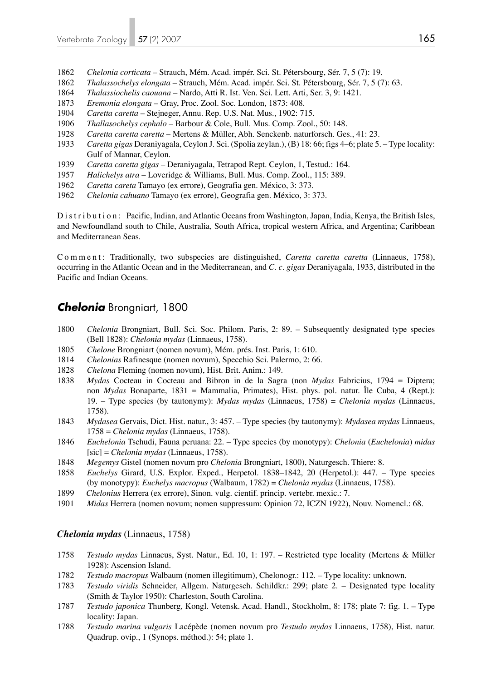- 1862 *Chelonia corticata* Strauch, Mém. Acad. impér. Sci. St. Pétersbourg, Sér. 7, 5 (7): 19.
- 1862 *Thalassochelys elongata* Strauch, Mém. Acad. impér. Sci. St. Pétersbourg, Sér. 7, 5 (7): 63.
- 1864 *Thalassiochelis caouana* Nardo, Atti R. Ist. Ven. Sci. Lett. Arti, Ser. 3, 9: 1421.
- 1873 *Eremonia elongata* Gray, Proc. Zool. Soc. London, 1873: 408.
- 1904 *Caretta caretta* Stejneger, Annu. Rep. U.S. Nat. Mus., 1902: 715.
- 1906 *Thallasochelys cephalo* Barbour & Cole, Bull. Mus. Comp. Zool., 50: 148.
- 1928 *Caretta caretta caretta* Mertens & Müller, Abh. Senckenb. naturforsch. Ges., 41: 23.
- 1933 *Caretta gigas* Deraniyagala, Ceylon J. Sci. (Spolia zeylan.), (B) 18: 66; figs 4–6; plate 5. Type locality: Gulf of Mannar, Ceylon.
- 1939 *Caretta caretta gigas* Deraniyagala, Tetrapod Rept. Ceylon, 1, Testud.: 164.
- 1957 *Halichelys atra* Loveridge & Williams, Bull. Mus. Comp. Zool., 115: 389.
- 1962 *Caretta careta* Tamayo (ex errore), Geografia gen. México, 3: 373.
- 1962 *Chelonia cahuano* Tamayo (ex errore), Geografia gen. México, 3: 373.

Distribution: Pacific, Indian, and Atlantic Oceans from Washington, Japan, India, Kenya, the British Isles, and Newfoundland south to Chile, Australia, South Africa, tropical western Africa, and Argentina; Caribbean and Mediterranean Seas.

Comment: Traditionally, two subspecies are distinguished, *Caretta caretta caretta* (Linnaeus, 1758), occurring in the Atlantic Ocean and in the Mediterranean, and *C. c. gigas* Deraniyagala, 1933, distributed in the Pacific and Indian Oceans.

## *Chelonia* Brongniart, 1800

- 1800 *Chelonia* Brongniart, Bull. Sci. Soc. Philom. Paris, 2: 89. Subsequently designated type species (Bell 1828): *Chelonia mydas* (Linnaeus, 1758).
- 1805 *Chelone* Brongniart (nomen novum), Mém. prés. Inst. Paris, 1: 610.
- 1814 *Chelonias* Rafinesque (nomen novum), Specchio Sci. Palermo, 2: 66.
- 1828 *Chelona* Fleming (nomen novum), Hist. Brit. Anim.: 149.
- 1838 *Mydas* Cocteau in Cocteau and Bibron in de la Sagra (non *Mydas* Fabricius, 1794 = Diptera; non *Mydas* Bonaparte, 1831 = Mammalia, Primates), Hist. phys. pol. natur. Île Cuba, 4 (Rept.): 19. – Type species (by tautonymy): *Mydas mydas* (Linnaeus, 1758) = *Chelonia mydas* (Linnaeus, 1758).
- 1843 *Mydasea* Gervais, Dict. Hist. natur., 3: 457. Type species (by tautonymy): *Mydasea mydas* Linnaeus, 1758 = *Chelonia mydas* (Linnaeus, 1758).
- 1846 *Euchelonia* Tschudi, Fauna peruana: 22. Type species (by monotypy): *Chelonia* (*Euchelonia*) *midas* [sic] = *Chelonia mydas* (Linnaeus, 1758).
- 1848 *Megemys* Gistel (nomen novum pro *Chelonia* Brongniart, 1800), Naturgesch. Thiere: 8.
- 1858 *Euchelys* Girard, U.S. Explor. Exped., Herpetol. 1838*–*1842, 20 (Herpetol.): 447. Type species (by monotypy): *Euchelys macropus* (Walbaum, 1782) = *Chelonia mydas* (Linnaeus, 1758).
- 1899 *Chelonius* Herrera (ex errore), Sinon. vulg. cientif. princip. vertebr. mexic.: 7.
- 1901 *Midas* Herrera (nomen novum; nomen suppressum: Opinion 72, ICZN 1922), Nouv. Nomencl.: 68.

#### *Chelonia mydas* (Linnaeus, 1758)

- 1758 *Testudo mydas* Linnaeus, Syst. Natur., Ed. 10, 1: 197. Restricted type locality (Mertens & Müller 1928): Ascension Island.
- 1782 *Testudo macropus* Walbaum (nomen illegitimum), Chelonogr.: 112. Type locality: unknown.
- 1783 *Testudo viridis* Schneider, Allgem. Naturgesch. Schildkr.: 299; plate 2. Designated type locality (Smith & Taylor 1950): Charleston, South Carolina.
- 1787 *Testudo japonica* Thunberg, Kongl. Vetensk. Acad. Handl., Stockholm, 8: 178; plate 7: fig. 1. Type locality: Japan.
- 1788 *Testudo marina vulgaris* Lacépède (nomen novum pro *Testudo mydas* Linnaeus, 1758), Hist. natur. Quadrup. ovip., 1 (Synops. méthod.): 54; plate 1.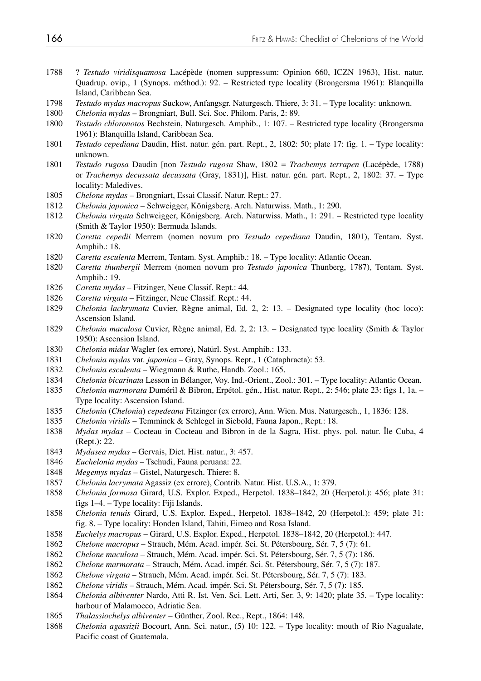- 1788 ? *Testudo viridisquamosa* Lacépède (nomen suppressum: Opinion 660, ICZN 1963), Hist. natur. Quadrup. ovip., 1 (Synops. méthod.): 92. – Restricted type locality (Brongersma 1961): Blanquilla Island, Caribbean Sea.
- *Testudo mydas macropus* Suckow, Anfangsgr. Naturgesch. Thiere, 3: 31. Type locality: unknown.
- *Chelonia mydas* Brongniart, Bull. Sci. Soc. Philom. Paris, 2: 89.
- *Testudo chloronotos* Bechstein, Naturgesch. Amphib., 1: 107. Restricted type locality (Brongersma 1961): Blanquilla Island, Caribbean Sea.
- *Testudo cepediana* Daudin, Hist. natur. gén. part. Rept., 2, 1802: 50; plate 17: fig. 1. Type locality: unknown.
- *Testudo rugosa* Daudin [non *Testudo rugosa* Shaw, 1802 = *Trachemys terrapen* (Lacépède, 1788) or *Trachemys decussata decussata* (Gray, 1831)], Hist. natur. gén. part. Rept., 2, 1802: 37. – Type locality: Maledives.
- *Chelone mydas* Brongniart, Essai Classif. Natur. Rept.: 27.
- *Chelonia japonica*  Schweigger, Königsberg. Arch. Naturwiss. Math., 1: 290.
- *Chelonia virgata* Schweigger, Königsberg. Arch. Naturwiss. Math., 1: 291. Restricted type locality (Smith & Taylor 1950): Bermuda Islands.
- *Caretta cepedii* Merrem (nomen novum pro *Testudo cepediana* Daudin, 1801), Tentam. Syst. Amphib.: 18.
- *Caretta esculenta* Merrem, Tentam. Syst. Amphib.: 18. Type locality: Atlantic Ocean.
- *Caretta thunbergii* Merrem (nomen novum pro *Testudo japonica* Thunberg, 1787), Tentam. Syst. Amphib.: 19.
- *Caretta mydas* Fitzinger, Neue Classif. Rept.: 44.
- *Caretta virgata* Fitzinger, Neue Classif. Rept.: 44.
- *Chelonia lachrymata* Cuvier, Règne animal, Ed. 2, 2: 13. Designated type locality (hoc loco): Ascension Island.
- *Chelonia maculosa* Cuvier, Règne animal, Ed. 2, 2: 13. Designated type locality (Smith & Taylor 1950): Ascension Island.
- *Chelonia midas* Wagler (ex errore), Natürl. Syst. Amphib.: 133.
- *Chelonia mydas* var. *japonica*  Gray, Synops. Rept., 1 (Cataphracta): 53.
- *Chelonia esculenta* Wiegmann & Ruthe, Handb. Zool.: 165.
- *Chelonia bicarinata* Lesson in Bélanger, Voy. Ind.-Orient., Zool.: 301. Type locality: Atlantic Ocean.
- *Chelonia marmorata* Duméril & Bibron, Erpétol. gén., Hist. natur. Rept., 2: 546; plate 23: figs 1, 1a. Type locality: Ascension Island.
- *Chelonia* (*Chelonia*) *cepedeana* Fitzinger (ex errore), Ann. Wien. Mus. Naturgesch., 1, 1836: 128.
- *Chelonia viridis* Temminck & Schlegel in Siebold, Fauna Japon., Rept.: 18.
- *Mydas mydas* Cocteau in Cocteau and Bibron in de la Sagra, Hist. phys. pol. natur. Île Cuba, 4 (Rept.): 22.
- *Mydasea mydas* Gervais, Dict. Hist. natur., 3: 457.
- *Euchelonia mydas* Tschudi, Fauna peruana: 22.
- *Megemys mydas* Gistel, Naturgesch. Thiere: 8.
- *Chelonia lacrymata* Agassiz (ex errore), Contrib. Natur. Hist. U.S.A., 1: 379.
- *Chelonia formosa* Girard, U.S. Explor. Exped., Herpetol. 1838*–*1842, 20 (Herpetol.): 456; plate 31: figs 1–4. – Type locality: Fiji Islands.
- *Chelonia tenuis* Girard, U.S. Explor. Exped., Herpetol. 1838*–*1842, 20 (Herpetol.): 459; plate 31: fig. 8. – Type locality: Honden Island, Tahiti, Eimeo and Rosa Island.
- *Euchelys macropus* Girard, U.S. Explor. Exped., Herpetol. 1838*–*1842, 20 (Herpetol.): 447.
- *Chelone macropus* Strauch, Mém. Acad. impér. Sci. St. Pétersbourg, Sér. 7, 5 (7): 61.
- *Chelone maculosa* Strauch, Mém. Acad. impér. Sci. St. Pétersbourg, Sér. 7, 5 (7): 186.
- *Chelone marmorata* Strauch, Mém. Acad. impér. Sci. St. Pétersbourg, Sér. 7, 5 (7): 187.
- *Chelone virgata* Strauch, Mém. Acad. impér. Sci. St. Pétersbourg, Sér. 7, 5 (7): 183.
- *Chelone viridis* Strauch, Mém. Acad. impér. Sci. St. Pétersbourg, Sér. 7, 5 (7): 185.
- *Chelonia albiventer* Nardo, Atti R. Ist. Ven. Sci. Lett. Arti, Ser. 3, 9: 1420; plate 35. Type locality: harbour of Malamocco, Adriatic Sea.
- *Thalassiochelys albiventer* Günther, Zool. Rec., Rept., 1864: 148.
- *Chelonia agassizii* Bocourt, Ann. Sci. natur., (5) 10: 122. Type locality: mouth of Rio Nagualate, Pacific coast of Guatemala.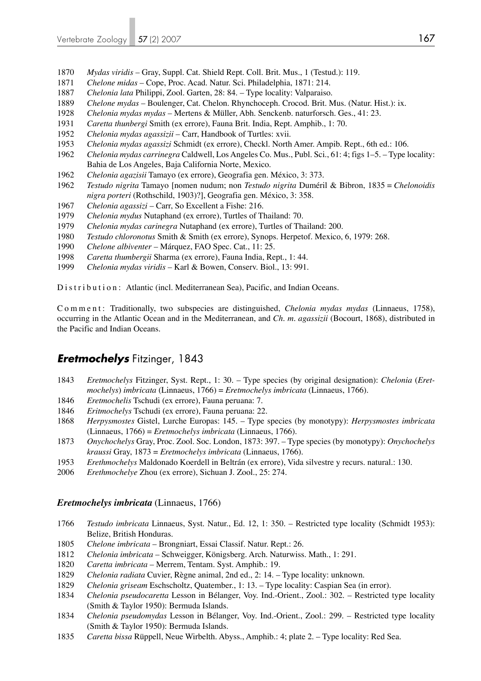- *Mydas viridis* Gray, Suppl. Cat. Shield Rept. Coll. Brit. Mus., 1 (Testud.): 119.
- *Chelone midas* Cope, Proc. Acad. Natur. Sci. Philadelphia, 1871: 214.
- *Chelonia lata* Philippi, Zool. Garten, 28: 84. Type locality: Valparaiso.
- *Chelone mydas*  Boulenger, Cat. Chelon. Rhynchoceph. Crocod. Brit. Mus. (Natur. Hist.): ix.
- *Chelonia mydas mydas*  Mertens & Müller, Abh. Senckenb. naturforsch. Ges., 41: 23.
- *Caretta thunbergi* Smith (ex errore), Fauna Brit. India, Rept. Amphib., 1: 70.
- *Chelonia mydas agassizii* Carr, Handbook of Turtles: xvii.
- *Chelonia mydas agassizi* Schmidt (ex errore), Checkl. North Amer. Ampib. Rept., 6th ed.: 106.
- *Chelonia mydas carrinegra* Caldwell, Los Angeles Co. Mus., Publ. Sci., 61: 4; figs 1–5. Type locality: Bahia de Los Angeles, Baja California Norte, Mexico.
- *Chelonia agazisii* Tamayo (ex errore), Geografia gen. México, 3: 373.
- *Testudo nigrita* Tamayo [nomen nudum; non *Testudo nigrita* Duméril & Bibron, 1835 = *Chelonoidis nigra porteri* (Rothschild, 1903)?], Geografia gen. México, 3: 358.
- *Chelonia agassizi* Carr, So Excellent a Fishe: 216.
- *Chelonia mydus* Nutaphand (ex errore), Turtles of Thailand: 70.
- *Chelonia mydas carinegra* Nutaphand (ex errore), Turtles of Thailand: 200.
- *Testudo chloronotus* Smith & Smith (ex errore), Synops. Herpetof. Mexico, 6, 1979: 268.
- *Chelone albiventer* Márquez, FAO Spec. Cat., 11: 25.
- *Caretta thumbergii* Sharma (ex errore), Fauna India, Rept., 1: 44.
- *Chelonia mydas viridis* Karl & Bowen, Conserv. Biol., 13: 991.

Distribution: Atlantic (incl. Mediterranean Sea), Pacific, and Indian Oceans.

Comment: Traditionally, two subspecies are distinguished, *Chelonia mydas mydas* (Linnaeus, 1758), occurring in the Atlantic Ocean and in the Mediterranean, and *Ch. m. agassizii* (Bocourt, 1868), distributed in the Pacific and Indian Oceans.

## *Eretmochelys* Fitzinger, 1843

- *Eretmochelys* Fitzinger, Syst. Rept., 1: 30. Type species (by original designation): *Chelonia* (*Eret mochelys*) *imbricata* (Linnaeus, 1766) = *Eretmochelys imbricata* (Linnaeus, 1766).
- *Eretmochelis* Tschudi (ex errore), Fauna peruana: 7.
- *Eritmochelys* Tschudi (ex errore), Fauna peruana: 22.
- *Herpysmostes* Gistel, Lurche Europas: 145. Type species (by monotypy): *Herpysmostes imbricata* (Linnaeus, 1766) = *Eretmochelys imbricata* (Linnaeus, 1766).
- *Onychochelys* Gray, Proc. Zool. Soc. London, 1873: 397. Type species (by monotypy): *Onychochelys kraussi* Gray, 1873 = *Eretmochelys imbricata* (Linnaeus, 1766).
- *Erethmochelys* Maldonado Koerdell in Beltrán (ex errore), Vida silvestre y recurs. natural.: 130.
- *Erethmochelye* Zhou (ex errore), Sichuan J. Zool., 25: 274.

#### *Eretmochelys imbricata* (Linnaeus, 1766)

- *Testudo imbricata* Linnaeus, Syst. Natur., Ed. 12, 1: 350. Restricted type locality (Schmidt 1953): Belize, British Honduras.
- *Chelone imbricata* Brongniart, Essai Classif. Natur. Rept.: 26.
- *Chelonia imbricata* Schweigger, Königsberg. Arch. Naturwiss. Math., 1: 291.
- *Caretta imbricata* Merrem, Tentam. Syst. Amphib.: 19.
- *Chelonia radiata* Cuvier, Règne animal, 2nd ed., 2: 14. Type locality: unknown.
- *Chelonia griseam* Eschscholtz, Quatember., 1: 13. Type locality: Caspian Sea (in error).
- *Chelonia pseudocaretta* Lesson in Bélanger, Voy. Ind.-Orient., Zool.: 302. Restricted type locality (Smith & Taylor 1950): Bermuda Islands.
- *Chelonia pseudomydas* Lesson in Bélanger, Voy. Ind.-Orient., Zool.: 299. Restricted type locality (Smith & Taylor 1950): Bermuda Islands.
- *Caretta bissa* Rüppell, Neue Wirbelth. Abyss., Amphib.: 4; plate 2. Type locality: Red Sea.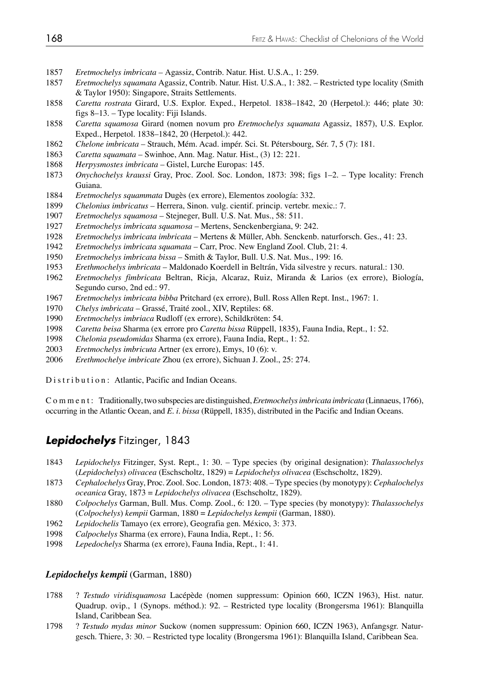- *Eretmochelys imbricata* Agassiz, Contrib. Natur. Hist. U.S.A., 1: 259.
- *Eretmochelys squamata* Agassiz, Contrib. Natur. Hist. U.S.A., 1: 382. Restricted type locality (Smith & Taylor 1950): Singapore, Straits Settlements.
- *Caretta rostrata* Girard, U.S. Explor. Exped., Herpetol. 1838*–*1842, 20 (Herpetol.): 446; plate 30: figs 8–13. – Type locality: Fiji Islands.
- *Caretta squamosa* Girard (nomen novum pro *Eretmochelys squamata* Agassiz, 1857), U.S. Explor. Exped., Herpetol. 1838–1842, 20 (Herpetol.): 442.
- *Chelone imbricata* Strauch, Mém. Acad. impér. Sci. St. Pétersbourg, Sér. 7, 5 (7): 181.
- *Caretta squamata*  Swinhoe, Ann. Mag. Natur. Hist., (3) 12: 221.
- *Herpysmostes imbricata* Gistel, Lurche Europas: 145.
- *Onychochelys kraussi* Gray, Proc. Zool. Soc. London, 1873: 398; figs 1–2. Type locality: French Guiana.
- *Eretmochelys squammata* Dugès (ex errore), Elementos zoología: 332.
- *Chelonius imbricatus* Herrera, Sinon. vulg. cientif. princip. vertebr. mexic.: 7.
- *Eretmochelys squamosa*  Stejneger, Bull. U.S. Nat. Mus., 58: 511.
- *Eretmochelys imbricata squamosa* Mertens, Senckenbergiana, 9: 242.
- *Eretmochelys imbricata imbricata* Mertens & Müller, Abh. Senckenb. naturforsch. Ges., 41: 23.
- *Eretmochelys imbricata squamata*  Carr, Proc. New England Zool. Club, 21: 4.
- *Eretmochelys imbricata bissa*  Smith & Taylor, Bull. U.S. Nat. Mus., 199: 16.
- *Erethmochelys imbricata* Maldonado Koerdell in Beltrán, Vida silvestre y recurs. natural.: 130.
- *Eretmochelys fimbricata* Beltran, Ricja, Alcaraz, Ruiz, Miranda & Larios (ex errore), Biología, Segundo curso, 2nd ed.: 97.
- *Eretmochelys imbricata bibba* Pritchard (ex errore), Bull. Ross Allen Rept. Inst., 1967: 1.
- *Chelys imbricata*  Grassé, Traité zool., XIV, Reptiles: 68.
- *Eretmochelys imbriaca* Rudloff (ex errore), Schildkröten: 54.
- *Caretta beisa* Sharma (ex errore pro *Caretta bissa* Rüppell, 1835), Fauna India, Rept., 1: 52.
- *Chelonia pseudomidas* Sharma (ex errore), Fauna India, Rept., 1: 52.
- *Eretmochelys imbricuta* Artner (ex errore), Emys, 10 (6): v.
- *Erethmochelye imbricate* Zhou (ex errore), Sichuan J. Zool., 25: 274.

Distribution: Atlantic, Pacific and Indian Oceans.

Comment: Traditionally, two subspecies are distinguished, *Eretmochelys imbricata imbricata* (Linnaeus, 1766), occurring in the Atlantic Ocean, and *E. i. bissa* (Rüppell, 1835), distributed in the Pacific and Indian Oceans.

### *Lepidochelys* Fitzinger, 1843

- *Lepidochelys* Fitzinger, Syst. Rept., 1: 30. Type species (by original designation): *Thalassochelys*  (*Lepidochelys*) *olivacea* (Eschscholtz, 1829) = *Lepidochelys olivacea* (Eschscholtz, 1829).
- *Cephalochelys* Gray, Proc. Zool. Soc. London, 1873: 408. Type species (by monotypy): *Cephalochelys oceanica* Gray, 1873 = *Lepidochelys olivacea* (Eschscholtz, 1829).
- *Colpochelys* Garman, Bull. Mus. Comp. Zool., 6: 120. Type species (by monotypy): *Thalassochelys*  (*Colpochelys*) *kempii* Garman, 1880 = *Lepidochelys kempii* (Garman, 1880).
- *Lepidochelis* Tamayo (ex errore), Geografia gen. México, 3: 373.
- *Calpochelys* Sharma (ex errore), Fauna India, Rept., 1: 56.
- *Lepedochelys* Sharma (ex errore), Fauna India, Rept., 1: 41.

#### *Lepidochelys kempii* (Garman, 1880)

- 1788 ? *Testudo viridisquamosa* Lacépède (nomen suppressum: Opinion 660, ICZN 1963), Hist. natur. Quadrup. ovip., 1 (Synops. méthod.): 92. – Restricted type locality (Brongersma 1961): Blanquilla Island, Caribbean Sea.
- 1798 ? *Testudo mydas minor* Suckow (nomen suppressum: Opinion 660, ICZN 1963), Anfangsgr. Natur gesch. Thiere, 3: 30. – Restricted type locality (Brongersma 1961): Blanquilla Island, Caribbean Sea.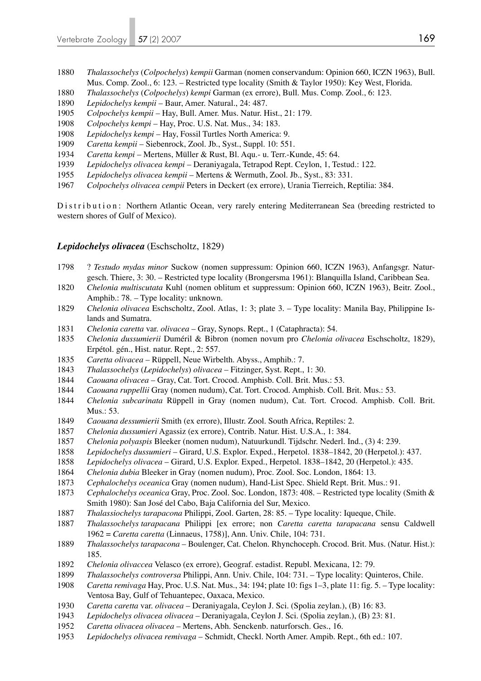- *Thalassochelys* (*Colpochelys*) *kempii* Garman (nomen conservandum: Opinion 660, ICZN 1963), Bull. Mus. Comp. Zool., 6: 123. – Restricted type locality (Smith & Taylor 1950): Key West, Florida.
- *Thalassochelys* (*Colpochelys*) *kempi* Garman (ex errore), Bull. Mus. Comp. Zool., 6: 123.
- *Lepidochelys kempii* Baur, Amer. Natural., 24: 487.
- *Colpochelys kempii* Hay, Bull. Amer. Mus. Natur. Hist., 21: 179.
- *Colpochelys kempi* Hay, Proc. U.S. Nat. Mus., 34: 183.
- *Lepidochelys kempi* Hay, Fossil Turtles North America: 9.
- *Caretta kempii*  Siebenrock, Zool. Jb., Syst., Suppl. 10: 551.
- *Caretta kempi* Mertens, Müller & Rust, Bl. Aqu.- u. Terr.-Kunde, 45: 64.
- *Lepidochelys olivacea kempi* Deraniyagala, Tetrapod Rept. Ceylon, 1, Testud.: 122.
- *Lepidochelys olivacea kempii* Mertens & Wermuth, Zool. Jb., Syst., 83: 331.
- *Colpochelys olivacea cempii* Peters in Deckert (ex errore), Urania Tierreich, Reptilia: 384.

Distribution: Northern Atlantic Ocean, very rarely entering Mediterranean Sea (breeding restricted to western shores of Gulf of Mexico).

#### *Lepidochelys olivacea* (Eschscholtz, 1829)

- 1798 ? *Testudo mydas minor* Suckow (nomen suppressum: Opinion 660, ICZN 1963), Anfangsgr. Natur gesch. Thiere, 3: 30. – Restricted type locality (Brongersma 1961): Blanquilla Island, Caribbean Sea.
- *Chelonia multiscutata* Kuhl (nomen oblitum et suppressum: Opinion 660, ICZN 1963), Beitr. Zool., Amphib.: 78. – Type locality: unknown.
- *Chelonia olivacea* Eschscholtz, Zool. Atlas, 1: 3; plate 3. Type locality: Manila Bay, Philippine Is lands and Sumatra.
- *Chelonia caretta* var. *olivacea* Gray, Synops. Rept., 1 (Cataphracta): 54.
- *Chelonia dussumierii* Duméril & Bibron (nomen novum pro *Chelonia olivacea* Eschscholtz, 1829), Erpétol. gén., Hist. natur. Rept., 2: 557.
- *Caretta olivacea* Rüppell, Neue Wirbelth. Abyss., Amphib.: 7.
- *Thalassochelys* (*Lepidochelys*) *olivacea* Fitzinger, Syst. Rept., 1: 30.
- *Caouana olivacea* Gray, Cat. Tort. Crocod. Amphisb. Coll. Brit. Mus.: 53.
- *Caouana ruppellii* Gray (nomen nudum), Cat. Tort. Crocod. Amphisb. Coll. Brit. Mus.: 53.
- *Chelonia subcarinata* Rüppell in Gray (nomen nudum), Cat. Tort. Crocod. Amphisb. Coll. Brit. Mus.: 53.
- *Caouana dessumierii* Smith (ex errore), Illustr. Zool. South Africa, Reptiles: 2.
- *Chelonia dussumieri* Agassiz (ex errore), Contrib. Natur. Hist. U.S.A., 1: 384.
- *Chelonia polyaspis* Bleeker (nomen nudum), Natuurkundl. Tijdschr. Nederl. Ind., (3) 4: 239.
- *Lepidochelys dussumieri* Girard, U.S. Explor. Exped., Herpetol. 1838*–*1842, 20 (Herpetol.): 437.
- *Lepidochelys olivacea* Girard, U.S. Explor. Exped., Herpetol. 1838*–*1842, 20 (Herpetol.): 435.
- *Chelonia dubia* Bleeker in Gray (nomen nudum), Proc. Zool. Soc. London, 1864: 13.
- *Cephalochelys oceanica* Gray (nomen nudum), Hand-List Spec. Shield Rept. Brit. Mus.: 91.
- *Cephalochelys oceanica* Gray, Proc. Zool. Soc. London, 1873: 408. Restricted type locality (Smith & Smith 1980): San José del Cabo, Baja California del Sur, Mexico.
- *Thalassiochelys tarapacona* Philippi, Zool. Garten, 28: 85. Type locality: Iqueque, Chile.
- *Thalassochelys tarapacana* Philippi [ex errore; non *Caretta caretta tarapacana* sensu Caldwell 1962 = *Caretta caretta* (Linnaeus, 1758)], Ann. Univ. Chile, 104: 731.
- *Thalassochelys tarapacona* Boulenger, Cat. Chelon. Rhynchoceph. Crocod. Brit. Mus. (Natur. Hist.): 185.
- *Chelonia olivaccea* Velasco (ex errore), Geograf. estadist. Republ. Mexicana, 12: 79.
- *Thalassochelys controversa* Philippi, Ann. Univ. Chile, 104: 731. Type locality: Quinteros, Chile.
- *Caretta remivaga* Hay, Proc. U.S. Nat. Mus., 34: 194; plate 10: figs 1–3, plate 11: fig. 5. Type locality: Ventosa Bay, Gulf of Tehuantepec, Oaxaca, Mexico.
- *Caretta caretta* var. *olivacea* Deraniyagala, Ceylon J. Sci. (Spolia zeylan.), (B) 16: 83.
- *Lepidochelys olivacea olivacea* Deraniyagala, Ceylon J. Sci. (Spolia zeylan.), (B) 23: 81.
- *Caretta olivacea olivacea* Mertens, Abh. Senckenb. naturforsch. Ges., 16.
- *Lepidochelys olivacea remivaga* Schmidt, Checkl. North Amer. Ampib. Rept., 6th ed.: 107.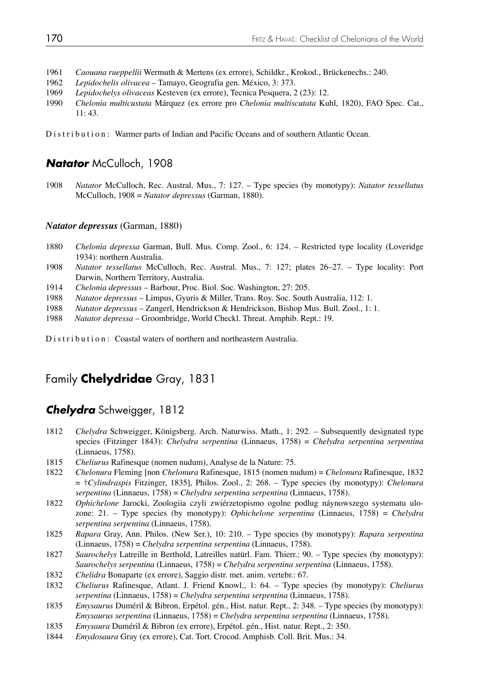- 1961 *Caouana rueppellii* Wermuth & Mertens (ex errore), Schildkr., Krokod., Brückenechs.: 240.
- 1962 *Lepidochelis olivacea* Tamayo, Geografia gen. México, 3: 373.
- 1969 *Lepidochelys olivaceas* Kesteven (ex errore), Tecnica Pesquera, 2 (23): 12.
- 1990 *Chelonia multicustata* Márquez (ex errore pro *Chelonia multiscutata* Kuhl, 1820), FAO Spec. Cat., 11: 43.

Distribution: Warmer parts of Indian and Pacific Oceans and of southern Atlantic Ocean.

### **Natator** McCulloch, 1908

1908 *Natator* McCulloch, Rec. Austral. Mus., 7: 127. – Type species (by monotypy): *Natator tessellatus*  McCulloch, 1908 = *Natator depressus* (Garman, 1880).

#### *Natator depressus* (Garman, 1880)

- 1880 *Chelonia depressa* Garman, Bull. Mus. Comp. Zool., 6: 124. Restricted type locality (Loveridge 1934): northern Australia.
- 1908 *Natator tessellatus* McCulloch, Rec. Austral. Mus., 7: 127; plates 26–27. Type locality: Port Darwin, Northern Territory, Australia.
- 1914 *Chelonia depressus* Barbour, Proc. Biol. Soc. Washington, 27: 205.
- 1988 *Natator depressus* Limpus, Gyuris & Miller, Trans. Roy. Soc. South Australia, 112: 1.
- 1988 *Natator depressus*  Zangerl, Hendrickson & Hendrickson, Bishop Mus. Bull. Zool., 1: 1.
- 1988 *Natator depressa* Groombridge, World Checkl. Threat. Amphib. Rept.: 19.

Distribution: Coastal waters of northern and northeastern Australia.

# Family **Chelydridae** Gray, 1831

### *Chelydra* Schweigger, 1812

- 1812 *Chelydra* Schweigger, Königsberg. Arch. Naturwiss. Math., 1: 292. Subsequently designated type species (Fitzinger 1843): *Chelydra serpentina* (Linnaeus, 1758) = *Chelydra serpentina serpentina*  (Linnaeus, 1758).
- 1815 *Cheliurus* Rafinesque (nomen nudum), Analyse de la Nature: 75.
- 1822 *Chelonura* Fleming [non *Chelonura* Rafinesque, 1815 (nomen nudum) = *Chelonura* Rafinesque, 1832 = †*Cylindraspis* Fitzinger, 1835], Philos. Zool., 2: 268. – Type species (by monotypy): *Chelonura serpentina* (Linnaeus, 1758) = *Chelydra serpentina serpentina* (Linnaeus, 1758).
- 1822 *Ophichelone* Jarocki, Zoologiia czyli zwiérzetopismo ogolne podlug náynowszego systematu ulo zone: 21. – Type species (by monotypy): *Ophichelone serpentina* (Linnaeus, 1758) = *Chelydra serpentina serpentina* (Linnaeus, 1758).
- 1825 *Rapara* Gray, Ann. Philos. (New Ser.), 10: 210. Type species (by monotypy): *Rapara serpentina* (Linnaeus, 1758) = *Chelydra serpentina serpentina* (Linnaeus, 1758).
- 1827 *Saurochelys* Latreille in Berthold, Latreilles natürl. Fam. Thierr.: 90. Type species (by monotypy): *Saurochelys serpentina* (Linnaeus, 1758) = *Chelydra serpentina serpentina* (Linnaeus, 1758).
- 1832 *Chelidra* Bonaparte (ex errore), Saggio distr. met. anim. vertebr.: 67.
- 1832 *Cheliurus* Rafinesque, Atlant. J. Friend Knowl., 1: 64. Type species (by monotypy): *Cheliurus serpentina* (Linnaeus, 1758) = *Chelydra serpentina serpentina* (Linnaeus, 1758).
- 1835 *Emysaurus* Duméril & Bibron, Erpétol. gén., Hist. natur. Rept., 2: 348. Type species (by monotypy): *Emysaurus serpentina* (Linnaeus, 1758) = *Chelydra serpentina serpentina* (Linnaeus, 1758).
- 1835 *Emysaura* Duméril & Bibron (ex errore), Erpétol. gén., Hist. natur. Rept., 2: 350.
- 1844 *Emydosaura* Gray (ex errore), Cat. Tort. Crocod. Amphisb. Coll. Brit. Mus.: 34.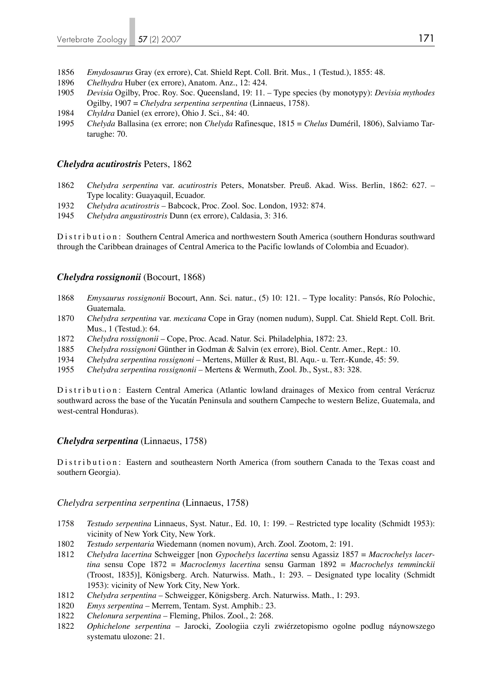- 1856 *Emydosaurus* Gray (ex errore), Cat. Shield Rept. Coll. Brit. Mus., 1 (Testud.), 1855: 48.
- 1896 *Chelhydra* Huber (ex errore), Anatom. Anz., 12: 424.
- 1905 *Devisia* Ogilby, Proc. Roy. Soc. Queensland, 19: 11. Type species (by monotypy): *Devisia mythodes* Ogilby, 1907 = *Chelydra serpentina serpentina* (Linnaeus, 1758).
- 1984 *Chyldra* Daniel (ex errore), Ohio J. Sci., 84: 40.
- 1995 *Chelyda* Ballasina (ex errore; non *Chelyda* Rafinesque, 1815 = *Chelus* Duméril, 1806), Salviamo Tar tarughe: 70.

#### *Chelydra acutirostris* Peters, 1862

- 1862 *Chelydra serpentina* var. *acutirostris* Peters, Monatsber. Preuß. Akad. Wiss. Berlin, 1862: 627. Type locality: Guayaquil, Ecuador.
- 1932 *Chelydra acutirostris*  Babcock, Proc. Zool. Soc. London, 1932: 874.
- 1945 *Chelydra angustirostris* Dunn (ex errore), Caldasia, 3: 316.

Distribution: Southern Central America and northwestern South America (southern Honduras southward through the Caribbean drainages of Central America to the Pacific lowlands of Colombia and Ecuador).

#### *Chelydra rossignonii* (Bocourt, 1868)

- 1868 *Emysaurus rossignonii* Bocourt, Ann. Sci. natur., (5) 10: 121. Type locality: Pansós, Río Polochic, Guatemala.
- 1870 *Chelydra serpentina* var. *mexicana* Cope in Gray (nomen nudum), Suppl. Cat. Shield Rept. Coll. Brit. Mus., 1 (Testud.): 64.
- 1872 *Chelydra rossignonii*  Cope, Proc. Acad. Natur. Sci. Philadelphia, 1872: 23.
- 1885 *Chelydra rossignoni* Günther in Godman & Salvin (ex errore), Biol. Centr. Amer., Rept.: 10.
- 1934 *Chelydra serpentina rossignoni*  Mertens, Müller & Rust, Bl. Aqu.- u. Terr.-Kunde, 45: 59.
- 1955 *Chelydra serpentina rossignonii* Mertens & Wermuth, Zool. Jb., Syst., 83: 328.

D is tribution: Eastern Central America (Atlantic lowland drainages of Mexico from central Verácruz southward across the base of the Yucatán Peninsula and southern Campeche to western Belize, Guatemala, and west-central Honduras).

#### *Chelydra serpentina* (Linnaeus, 1758)

D is tribution: Eastern and southeastern North America (from southern Canada to the Texas coast and southern Georgia).

#### *Chelydra serpentina serpentina* (Linnaeus, 1758)

- 1758 *Testudo serpentina* Linnaeus, Syst. Natur., Ed. 10, 1: 199. Restricted type locality (Schmidt 1953): vicinity of New York City, New York.
- 1802 *Testudo serpentaria* Wiedemann (nomen novum), Arch. Zool. Zootom, 2: 191.
- 1812 *Chelydra lacertina* Schweigger [non *Gypochelys lacertina* sensu Agassiz 1857 = *Macrochelys lacer tina* sensu Cope 1872 = *Macroclemys lacertina* sensu Garman 1892 = *Macrochelys temminckii* (Troost, 1835)], Königsberg. Arch. Naturwiss. Math., 1: 293. – Designated type locality (Schmidt 1953): vicinity of New York City, New York.
- 1812 *Chelydra serpentina*  Schweigger, Königsberg. Arch. Naturwiss. Math., 1: 293.
- 1820 *Emys serpentina* Merrem, Tentam. Syst. Amphib.: 23.
- 1822 *Chelonura serpentina* Fleming, Philos. Zool., 2: 268.
- 1822 *Ophichelone serpentina* Jarocki, Zoologiia czyli zwiérzetopismo ogolne podlug náynowszego systematu ulozone: 21.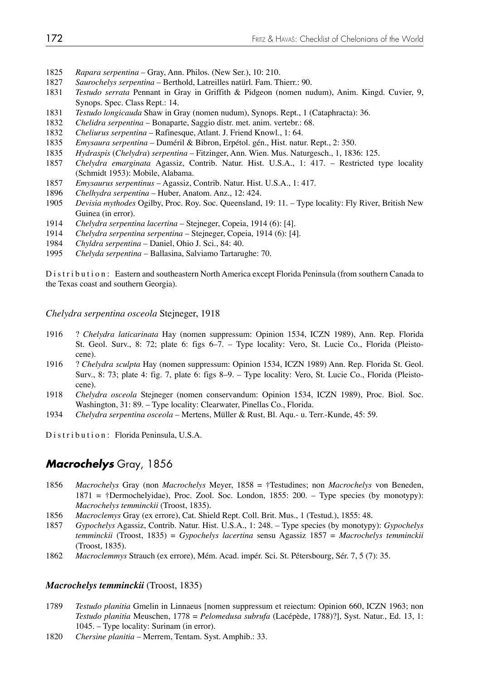- 1825 *Rapara serpentina* Gray, Ann. Philos. (New Ser.), 10: 210.
- 1827 *Saurochelys serpentina* Berthold, Latreilles natürl. Fam. Thierr.: 90.
- 1831 *Testudo serrata* Pennant in Gray in Griffith & Pidgeon (nomen nudum), Anim. Kingd. Cuvier, 9, Synops. Spec. Class Rept.: 14.
- 1831 *Testudo longicauda* Shaw in Gray (nomen nudum), Synops. Rept., 1 (Cataphracta): 36.
- 1832 *Chelidra serpentina* Bonaparte, Saggio distr. met. anim. vertebr.: 68.
- 1832 *Cheliurus serpentina* Rafinesque, Atlant. J. Friend Knowl., 1: 64.
- 1835 *Emysaura serpentina*  Duméril & Bibron, Erpétol. gén., Hist. natur. Rept., 2: 350.
- 1835 *Hydraspis* (*Chelydra*) *serpentina* Fitzinger, Ann. Wien. Mus. Naturgesch., 1, 1836: 125.
- 1857 *Chelydra emarginata* Agassiz, Contrib. Natur. Hist. U.S.A., 1: 417. Restricted type locality (Schmidt 1953): Mobile, Alabama.
- 1857 *Emysaurus serpentinus*  Agassiz, Contrib. Natur. Hist. U.S.A., 1: 417.
- 1896 *Chelhydra serpentina*  Huber, Anatom. Anz., 12: 424.
- 1905 *Devisia mythodes* Ogilby, Proc. Roy. Soc. Queensland, 19: 11. Type locality: Fly River, British New Guinea (in error).
- 1914 *Chelydra serpentina lacertina*  Stejneger, Copeia, 1914 (6): [4].
- 1914 *Chelydra serpentina serpentina*  Stejneger, Copeia, 1914 (6): [4].
- 1984 *Chyldra serpentina*  Daniel, Ohio J. Sci., 84: 40.
- 1995 *Chelyda serpentina* Ballasina, Salviamo Tartarughe: 70.

Distribution: Eastern and southeastern North America except Florida Peninsula (from southern Canada to the Texas coast and southern Georgia).

*Chelydra serpentina osceola* Stejneger, 1918

- 1916 ? *Chelydra laticarinata* Hay (nomen suppressum: Opinion 1534, ICZN 1989), Ann. Rep. Florida St. Geol. Surv., 8: 72; plate 6: figs 6–7. – Type locality: Vero, St. Lucie Co., Florida (Pleisto cene).
- 1916 ? *Chelydra sculpta* Hay (nomen suppressum: Opinion 1534, ICZN 1989) Ann. Rep. Florida St. Geol. Surv., 8: 73; plate 4: fig. 7, plate 6: figs 8–9. – Type locality: Vero, St. Lucie Co., Florida (Pleisto cene).<br>1918 *Chelve*
- 1918 *Chelydra osceola* Stejneger (nomen conservandum: Opinion 1534, ICZN 1989), Proc. Biol. Soc. Washington, 31: 89. – Type locality: Clearwater, Pinellas Co., Florida.
- 1934 *Chelydra serpentina osceola*  Mertens, Müller & Rust, Bl. Aqu.- u. Terr.-Kunde, 45: 59.

Distribution: Florida Peninsula, U.S.A.

# *Macrochelys* Gray, 1856

- 1856 *Macrochelys* Gray (non *Macrochelys* Meyer, 1858 = †Testudines; non *Macrochelys* von Beneden, 1871 = †Dermochelyidae), Proc. Zool. Soc. London, 1855: 200. – Type species (by monotypy): *Macrochelys temminckii* (Troost, 1835).
- 1856 *Macroclemys* Gray (ex errore), Cat. Shield Rept. Coll. Brit. Mus., 1 (Testud.), 1855: 48.
- 1857 *Gypochelys* Agassiz, Contrib. Natur. Hist. U.S.A., 1: 248. Type species (by monotypy): *Gypochelys temminckii* (Troost, 1835) = *Gypochelys lacertina* sensu Agassiz 1857 = *Macrochelys temminckii*  (Troost, 1835).
- 1862 *Macroclemmys* Strauch (ex errore), Mém. Acad. impér. Sci. St. Pétersbourg, Sér. 7, 5 (7): 35.

#### *Macrochelys temminckii* (Troost, 1835)

- 1789 *Testudo planitia* Gmelin in Linnaeus [nomen suppressum et reiectum: Opinion 660, ICZN 1963; non *Testudo planitia* Meuschen, 1778 = *Pelomedusa subrufa* (Lacépède, 1788)?], Syst. Natur., Ed. 13, 1: 1045. – Type locality: Surinam (in error).
- 1820 *Chersine planitia* Merrem, Tentam. Syst. Amphib.: 33.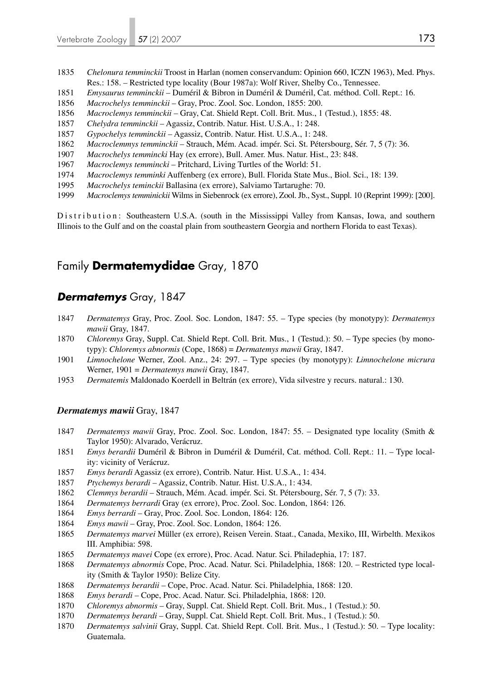- *Chelonura temminckii* Troost in Harlan (nomen conservandum: Opinion 660, ICZN 1963), Med. Phys. Res.: 158. – Restricted type locality (Bour 1987a): Wolf River, Shelby Co., Tennessee.
- *Emysaurus temminckii* Duméril & Bibron in Duméril & Duméril, Cat. méthod. Coll. Rept.: 16.
- *Macrochelys temminckii* Gray, Proc. Zool. Soc. London, 1855: 200.
- *Macroclemys temminckii* Gray, Cat. Shield Rept. Coll. Brit. Mus., 1 (Testud.), 1855: 48.
- *Chelydra temminckii* Agassiz, Contrib. Natur. Hist. U.S.A., 1: 248.
- *Gypochelys temminckii* Agassiz, Contrib. Natur. Hist. U.S.A., 1: 248.
- *Macroclemmys temminckii* Strauch, Mém. Acad. impér. Sci. St. Pétersbourg, Sér. 7, 5 (7): 36.
- *Macrochelys temmincki* Hay (ex errore), Bull. Amer. Mus. Natur. Hist., 23: 848.
- *Macroclemys temmincki* Pritchard, Living Turtles of the World: 51.
- *Macroclemys temminki* Auffenberg (ex errore), Bull. Florida State Mus., Biol. Sci., 18: 139.
- *Macrochelys teminckii* Ballasina (ex errore), Salviamo Tartarughe: 70.
- *Macroclemys temminickii* Wilms in Siebenrock (ex errore), Zool. Jb., Syst., Suppl. 10 (Reprint 1999): [200].

Distribution: Southeastern U.S.A. (south in the Mississippi Valley from Kansas, Iowa, and southern Illinois to the Gulf and on the coastal plain from southeastern Georgia and northern Florida to east Texas).

# Family **Dermatemydidae** Gray, 1870

### *Dermatemys* Gray, 1847

- *Dermatemys* Gray, Proc. Zool. Soc. London, 1847: 55. Type species (by monotypy): *Dermatemys mawii* Gray, 1847.
- *Chloremys* Gray, Suppl. Cat. Shield Rept. Coll. Brit. Mus., 1 (Testud.): 50. Type species (by mono typy): *Chloremys abnormis* (Cope, 1868) = *Dermatemys mawii* Gray, 1847.
- *Limnochelone* Werner, Zool. Anz., 24: 297. Type species (by monotypy): *Limnochelone micrura*  Werner, 1901 = *Dermatemys mawii* Gray, 1847.
- *Dermatemis* Maldonado Koerdell in Beltrán (ex errore), Vida silvestre y recurs. natural.: 130.

#### *Dermatemys mawii* Gray, 1847

- *Dermatemys mawii* Gray, Proc. Zool. Soc. London, 1847: 55. Designated type locality (Smith & Taylor 1950): Alvarado, Verácruz.
- *Emys berardii* Duméril & Bibron in Duméril & Duméril, Cat. méthod. Coll. Rept.: 11. Type local ity: vicinity of Verácruz.
- *Emys berardi* Agassiz (ex errore), Contrib. Natur. Hist. U.S.A., 1: 434.
- *Ptychemys berardi* Agassiz, Contrib. Natur. Hist. U.S.A., 1: 434.
- *Clemmys berardii* Strauch, Mém. Acad. impér. Sci. St. Pétersbourg, Sér. 7, 5 (7): 33.
- *Dermatemys berrardi* Gray (ex errore), Proc. Zool. Soc. London, 1864: 126.
- *Emys berrardi* Gray, Proc. Zool. Soc. London, 1864: 126.
- *Emys mawii* Gray, Proc. Zool. Soc. London, 1864: 126.
- *Dermatemys marvei* Müller (ex errore), Reisen Verein. Staat., Canada, Mexiko, III, Wirbelth. Mexikos III. Amphibia: 598.
- *Dermatemys mavei* Cope (ex errore), Proc. Acad. Natur. Sci. Philadephia, 17: 187.
- *Dermatemys abnormis* Cope, Proc. Acad. Natur. Sci. Philadelphia, 1868: 120. Restricted type local ity (Smith & Taylor 1950): Belize City.
- *Dermatemys berardii* Cope, Proc. Acad. Natur. Sci. Philadelphia, 1868: 120.
- *Emys berardi* Cope, Proc. Acad. Natur. Sci. Philadelphia, 1868: 120.
- *Chloremys abnormis* Gray, Suppl. Cat. Shield Rept. Coll. Brit. Mus., 1 (Testud.): 50.
- *Dermatemys berardi* Gray, Suppl. Cat. Shield Rept. Coll. Brit. Mus., 1 (Testud.): 50.
- *Dermatemys salvinii* Gray, Suppl. Cat. Shield Rept. Coll. Brit. Mus., 1 (Testud.): 50. Type locality: Guatemala.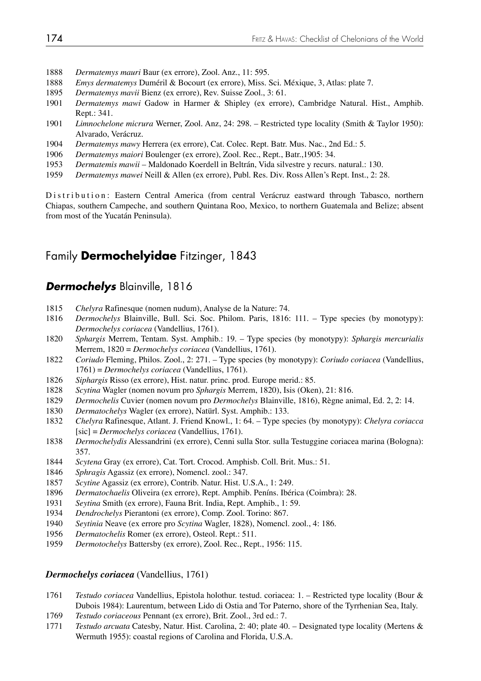- *Dermatemys mauri* Baur (ex errore), Zool. Anz., 11: 595.
- *Emys dermatemys* Duméril & Bocourt (ex errore), Miss. Sci. Méxique, 3, Atlas: plate 7.
- *Dermatemys mavii* Bienz (ex errore), Rev. Suisse Zool., 3: 61.
- *Dermatemys mawi* Gadow in Harmer & Shipley (ex errore), Cambridge Natural. Hist., Amphib. Rept.: 341.
- *Limnochelone micrura* Werner, Zool. Anz, 24: 298. Restricted type locality (Smith & Taylor 1950): Alvarado, Verácruz.
- *Dermatemys mawy* Herrera (ex errore), Cat. Colec. Rept. Batr. Mus. Nac., 2nd Ed.: 5.
- *Dermatemys maiori* Boulenger (ex errore), Zool. Rec., Rept., Batr.,1905: 34.
- *Dermatemis mawii* Maldonado Koerdell in Beltrán, Vida silvestre y recurs. natural.: 130.
- *Dermatemys mawei* Neill & Allen (ex errore), Publ. Res. Div. Ross Allen's Rept. Inst., 2: 28.

Distribution: Eastern Central America (from central Verácruz eastward through Tabasco, northern Chiapas, southern Campeche, and southern Quintana Roo, Mexico, to northern Guatemala and Belize; absent from most of the Yucatán Peninsula).

# Family **Dermochelyidae** Fitzinger, 1843

### *Dermochelys* Blainville, 1816

- *Chelyra* Rafinesque (nomen nudum), Analyse de la Nature: 74.
- *Dermochelys* Blainville, Bull. Sci. Soc. Philom. Paris, 1816: 111. Type species (by monotypy): *Dermochelys coriacea* (Vandellius, 1761).
- *Sphargis* Merrem, Tentam. Syst. Amphib.: 19. Type species (by monotypy): *Sphargis mercurialis* Merrem, 1820 = *Dermochelys coriacea* (Vandellius, 1761).
- *Coriudo* Fleming, Philos. Zool., 2: 271. Type species (by monotypy): *Coriudo coriacea* (Vandellius, 1761) = *Dermochelys coriacea* (Vandellius, 1761).
- *Siphargis* Risso (ex errore), Hist. natur. princ. prod. Europe merid.: 85.
- *Scytina* Wagler (nomen novum pro *Sphargis* Merrem, 1820), Isis (Oken), 21: 816.
- *Dermochelis* Cuvier (nomen novum pro *Dermochelys* Blainville, 1816), Règne animal, Ed. 2, 2: 14.
- *Dermatochelys* Wagler (ex errore), Natürl. Syst. Amphib.: 133.
- *Chelyra* Rafinesque, Atlant. J. Friend Knowl., 1: 64. Type species (by monotypy): *Chelyra coriacca* [sic] = *Dermochelys coriacea* (Vandellius, 1761).
- *Dermochelydis* Alessandrini (ex errore), Cenni sulla Stor. sulla Testuggine coriacea marina (Bologna): 357.
- *Scytena* Gray (ex errore), Cat. Tort. Crocod. Amphisb. Coll. Brit. Mus.: 51.
- *Sphragis* Agassiz (ex errore), Nomencl. zool.: 347.
- *Scytine* Agassiz (ex errore), Contrib. Natur. Hist. U.S.A., 1: 249.
- *Dermatochaelis* Oliveira (ex errore), Rept. Amphib. Peníns. Ibérica (Coimbra): 28.
- *Seytina* Smith (ex errore), Fauna Brit. India, Rept. Amphib., 1: 59.
- *Dendrochelys* Pierantoni (ex errore), Comp. Zool. Torino: 867.
- *Seytinia* Neave (ex errore pro *Scytina* Wagler, 1828), Nomencl. zool., 4: 186.
- *Dermatochelis* Romer (ex errore), Osteol. Rept.: 511.
- *Dermotochelys* Battersby (ex errore), Zool. Rec., Rept., 1956: 115.

#### *Dermochelys coriacea* (Vandellius, 1761)

- *Testudo coriacea* Vandellius, Epistola holothur. testud. coriacea: 1. Restricted type locality (Bour & Dubois 1984): Laurentum, between Lido di Ostia and Tor Paterno, shore of the Tyrrhenian Sea, Italy.
- *Testudo coriaceous* Pennant (ex errore), Brit. Zool., 3rd ed.: 7.
- *Testudo arcuata* Catesby, Natur. Hist. Carolina, 2: 40; plate 40. Designated type locality (Mertens & Wermuth 1955): coastal regions of Carolina and Florida, U.S.A.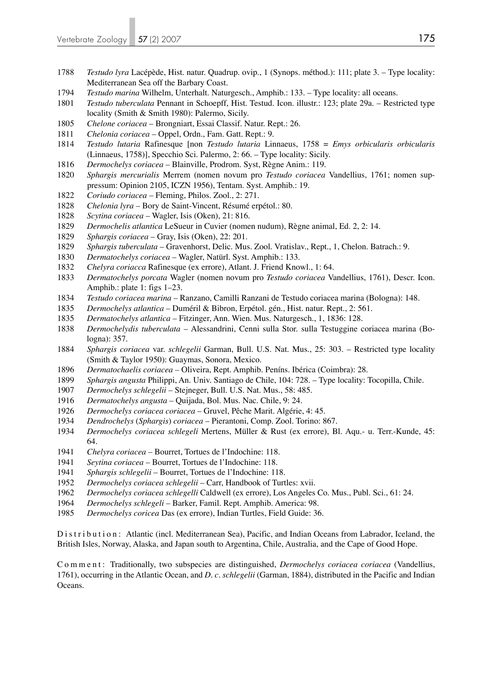- *Testudo lyra* Lacépède, Hist. natur. Quadrup. ovip., 1 (Synops. méthod.): 111; plate 3. Type locality: Mediterranean Sea off the Barbary Coast.
- *Testudo marina* Wilhelm, Unterhalt. Naturgesch., Amphib.: 133. Type locality: all oceans.
- *Testudo tuberculata* Pennant in Schoepff, Hist. Testud. Icon. illustr.: 123; plate 29a. Restricted type locality (Smith & Smith 1980): Palermo, Sicily.
- *Chelone coriacea* Brongniart, Essai Classif. Natur. Rept.: 26.
- *Chelonia coriacea*  Oppel, Ordn., Fam. Gatt. Rept.: 9.
- *Testudo lutaria* Rafinesque [non *Testudo lutaria* Linnaeus, 1758 = *Emys orbicularis orbicularis* (Linnaeus, 1758)], Specchio Sci. Palermo, 2: 66. – Type locality: Sicily.
- *Dermochelys coriacea* Blainville, Prodrom. Syst, Règne Anim.: 119.
- *Sphargis mercurialis* Merrem (nomen novum pro *Testudo coriacea* Vandellius, 1761; nomen sup pressum: Opinion 2105, ICZN 1956), Tentam. Syst. Amphib.: 19.
- *Coriudo coriacea* Fleming, Philos. Zool., 2: 271.
- *Chelonia lyra* Bory de Saint-Vincent, Résumé erpétol.: 80.
- *Scytina coriacea* Wagler, Isis (Oken), 21: 816.
- *Dermochelis atlantica* LeSueur in Cuvier (nomen nudum), Règne animal, Ed. 2, 2: 14.
- *Sphargis coriacea* Gray, Isis (Oken), 22: 201.
- *Sphargis tuberculata* Gravenhorst, Delic. Mus. Zool. Vratislav., Rept., 1, Chelon. Batrach.: 9.
- *Dermatochelys coriacea* Wagler, Natürl. Syst. Amphib.: 133.
- *Chelyra coriacca* Rafinesque (ex errore), Atlant. J. Friend Knowl., 1: 64.
- *Dermatochelys porcata* Wagler (nomen novum pro *Testudo coriacea* Vandellius, 1761), Descr. Icon. Amphib.: plate 1: figs 1–23.
- *Testudo coriacea marina* Ranzano, Camilli Ranzani de Testudo coriacea marina (Bologna): 148.
- *Dermochelys atlantica* Duméril & Bibron, Erpétol. gén., Hist. natur. Rept., 2: 561.
- *Dermatochelys atlantica* Fitzinger, Ann. Wien. Mus. Naturgesch., 1, 1836: 128.
- *Dermochelydis tuberculata* Alessandrini, Cenni sulla Stor. sulla Testuggine coriacea marina (Bo logna): 357.
- *Sphargis coriacea* var. *schlegelii* Garman, Bull. U.S. Nat. Mus., 25: 303. Restricted type locality (Smith & Taylor 1950): Guaymas, Sonora, Mexico.
- *Dermatochaelis coriacea* Oliveira, Rept. Amphib. Peníns. Ibérica (Coimbra): 28.
- *Sphargis angusta* Philippi, An. Univ. Santiago de Chile, 104: 728. Type locality: Tocopilla, Chile.
- *Dermochelys schlegelii*  Stejneger, Bull. U.S. Nat. Mus., 58: 485.
- *Dermatochelys angusta* Quijada, Bol. Mus. Nac. Chile, 9: 24.
- *Dermochelys coriacea coriacea* Gruvel, Pêche Marit. Algérie, 4: 45.
- *Dendrochelys* (*Sphargis*) *coriacea*  Pierantoni, Comp. Zool. Torino: 867.
- *Dermochelys coriacea schlegeli* Mertens, Müller & Rust (ex errore), Bl. Aqu.- u. Terr.-Kunde, 45: 64.
- *Chelyra coriacea* Bourret, Tortues de l'Indochine: 118.
- *Seytina coriacea* Bourret, Tortues de l'Indochine: 118.
- *Sphargis schlegelii* Bourret, Tortues de l'Indochine: 118.
- *Dermochelys coriacea schlegelii* Carr, Handbook of Turtles: xvii.
- *Dermochelys coriacea schlegelli* Caldwell (ex errore), Los Angeles Co. Mus., Publ. Sci., 61: 24.
- *Dermochelys schlegeli* Barker, Famil. Rept. Amphib. America: 98.
- *Dermochelys coricea* Das (ex errore), Indian Turtles, Field Guide: 36.

Distribution: Atlantic (incl. Mediterranean Sea), Pacific, and Indian Oceans from Labrador, Iceland, the British Isles, Norway, Alaska, and Japan south to Argentina, Chile, Australia, and the Cape of Good Hope.

Comment: Traditionally, two subspecies are distinguished, *Dermochelys coriacea coriacea* (Vandellius, 1761), occurring in the Atlantic Ocean, and *D. c. schlegelii* (Garman, 1884), distributed in the Pacific and Indian Oceans.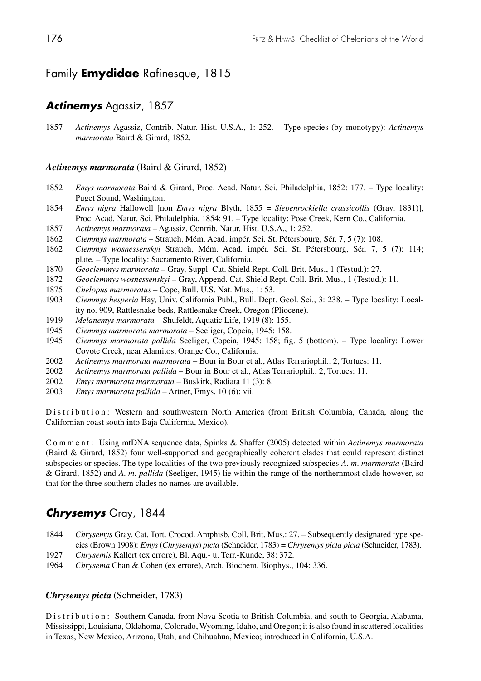# Family **Emydidae** Rafinesque, 1815

### *Actinemys* Agassiz, 1857

1857 *Actinemys* Agassiz, Contrib. Natur. Hist. U.S.A., 1: 252. – Type species (by monotypy): *Actinemys marmorata* Baird & Girard, 1852.

#### *Actinemys marmorata* (Baird & Girard, 1852)

- 1852 *Emys marmorata* Baird & Girard, Proc. Acad. Natur. Sci. Philadelphia, 1852: 177. Type locality: Puget Sound, Washington.
- 1854 *Emys nigra* Hallowell [non *Emys nigra* Blyth, 1855 = *Siebenrockiella crassicollis* (Gray, 1831)], Proc. Acad. Natur. Sci. Philadelphia, 1854: 91. – Type locality: Pose Creek, Kern Co., California.
- 1857 *Actinemys marmorata*  Agassiz, Contrib. Natur. Hist. U.S.A., 1: 252.
- 1862 *Clemmys marmorata*  Strauch, Mém. Acad. impér. Sci. St. Pétersbourg, Sér. 7, 5 (7): 108.
- 1862 *Clemmys wosnessenskyi* Strauch, Mém. Acad. impér. Sci. St. Pétersbourg, Sér. 7, 5 (7): 114; plate. – Type locality: Sacramento River, California.
- 1870 *Geoclemmys marmorata* Gray, Suppl. Cat. Shield Rept. Coll. Brit. Mus., 1 (Testud.): 27.
- 1872 *Geoclemmys wosnessenskyi* Gray, Append. Cat. Shield Rept. Coll. Brit. Mus., 1 (Testud.): 11.
- 1875 *Chelopus marmoratus* Cope, Bull. U.S. Nat. Mus., 1: 53.
- 1903 *Clemmys hesperia* Hay, Univ. California Publ., Bull. Dept. Geol. Sci., 3: 238. Type locality: Local ity no. 909, Rattlesnake beds, Rattlesnake Creek, Oregon (Pliocene).
- 1919 *Melanemys marmorata* Shufeldt, Aquatic Life, 1919 (8): 155.
- 1945 *Clemmys marmorata marmorata*  Seeliger, Copeia, 1945: 158.
- 1945 *Clemmys marmorata pallida* Seeliger, Copeia, 1945: 158; fig. 5 (bottom). Type locality: Lower Coyote Creek, near Alamitos, Orange Co., California.
- 2002 *Actinemys marmorata marmorata* Bour in Bour et al., Atlas Terrariophil., 2, Tortues: 11.
- 2002 *Actinemys marmorata pallida* Bour in Bour et al., Atlas Terrariophil., 2, Tortues: 11.
- 2002 *Emys marmorata marmorata* Buskirk, Radiata 11 (3): 8.
- 2003 *Emys marmorata pallida* Artner, Emys, 10 (6): vii.

Distribution: Western and southwestern North America (from British Columbia, Canada, along the Californian coast south into Baja California, Mexico).

Comment: Using mtDNA sequence data, Spinks & Shaffer (2005) detected within *Actinemys marmorata* (Baird & Girard, 1852) four well-supported and geographically coherent clades that could represent distinct subspecies or species. The type localities of the two previously recognized subspecies *A. m. marmorata* (Baird & Girard, 1852) and *A. m. pallida* (Seeliger, 1945) lie within the range of the northernmost clade however, so that for the three southern clades no names are available.

## *Chrysemys* Gray, 1844

- 1844 *Chrysemys* Gray, Cat. Tort. Crocod. Amphisb. Coll. Brit. Mus.: 27. Subsequently designated type spe cies (Brown 1908): *Emys* (*Chrysemys*) *picta* (Schneider, 1783) = *Chrysemys picta picta* (Schneider, 1783).
- 1927 *Chrysemis* Kallert (ex errore), Bl. Aqu.- u. Terr.-Kunde, 38: 372.
- 1964 *Chrysema* Chan & Cohen (ex errore), Arch. Biochem. Biophys., 104: 336.

#### *Chrysemys picta* (Schneider, 1783)

Distribution: Southern Canada, from Nova Scotia to British Columbia, and south to Georgia, Alabama, Mississippi, Louisiana, Oklahoma, Colorado, Wyoming, Idaho, and Oregon; it is also found in scattered localities in Texas, New Mexico, Arizona, Utah, and Chihuahua, Mexico; introduced in California, U.S.A.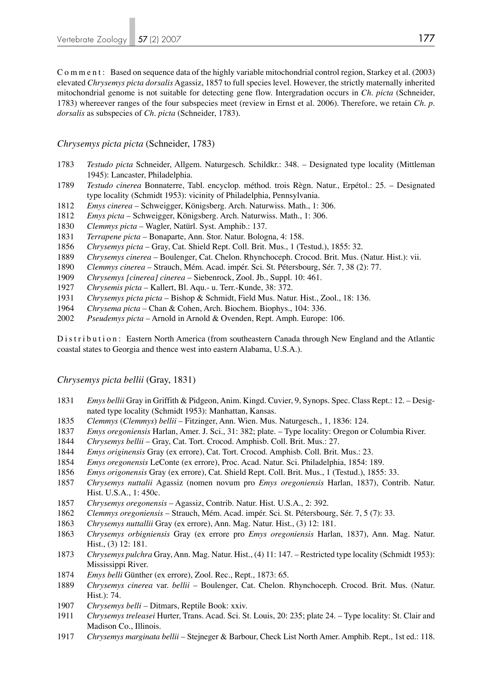Comment: Based on sequence data of the highly variable mitochondrial control region, Starkey et al. (2003) elevated *Chrysemys picta dorsalis* Agassiz, 1857 to full species level. However, the strictly maternally inherited mitochondrial genome is not suitable for detecting gene flow. Intergradation occurs in *Ch. picta* (Schneider, 1783) whereever ranges of the four subspecies meet (review in Ernst et al. 2006). Therefore, we retain *Ch. p. dorsalis* as subspecies of *Ch. picta* (Schneider, 1783).

#### *Chrysemys picta picta* (Schneider, 1783)

- *Testudo picta* Schneider, Allgem. Naturgesch. Schildkr.: 348. Designated type locality (Mittleman 1945): Lancaster, Philadelphia.
- *Testudo cinerea* Bonnaterre, Tabl. encyclop. méthod. trois Règn. Natur., Erpétol.: 25. Designated type locality (Schmidt 1953): vicinity of Philadelphia, Pennsylvania.
- *Emys cinerea* Schweigger, Königsberg. Arch. Naturwiss. Math., 1: 306.
- *Emys picta* Schweigger, Königsberg. Arch. Naturwiss. Math., 1: 306.
- *Clemmys picta* Wagler, Natürl. Syst. Amphib.: 137.
- *Terrapene picta* Bonaparte, Ann. Stor. Natur. Bologna, 4: 158.
- *Chrysemys picta*  Gray, Cat. Shield Rept. Coll. Brit. Mus., 1 (Testud.), 1855: 32.
- *Chrysemys cinerea* Boulenger, Cat. Chelon. Rhynchoceph. Crocod. Brit. Mus. (Natur. Hist.): vii.
- *Clemmys cinerea* Strauch, Mém. Acad. impér. Sci. St. Pétersbourg, Sér. 7, 38 (2): 77.
- *Chrysemys [cinerea] cinerea*  Siebenrock, Zool. Jb., Suppl. 10: 461.
- *Chrysemis picta* Kallert, Bl. Aqu.- u. Terr.-Kunde, 38: 372.
- *Chrysemys picta picta*  Bishop & Schmidt, Field Mus. Natur. Hist., Zool., 18: 136.
- *Chrysema picta* Chan & Cohen, Arch. Biochem. Biophys., 104: 336.
- *Pseudemys picta* Arnold in Arnold & Ovenden, Rept. Amph. Europe: 106.

D is t r i b u t i o n : Eastern North America (from southeastern Canada through New England and the Atlantic coastal states to Georgia and thence west into eastern Alabama, U.S.A.).

#### *Chrysemys picta bellii* (Gray, 1831)

- *Emys bellii* Gray in Griffith & Pidgeon, Anim. Kingd. Cuvier, 9, Synops. Spec. Class Rept.: 12. Designated type locality (Schmidt 1953): Manhattan, Kansas.
- *Clemmys* (*Clemmys*) *bellii* Fitzinger, Ann. Wien. Mus. Naturgesch., 1, 1836: 124.
- *Emys oregoniensis* Harlan, Amer. J. Sci., 31: 382; plate. Type locality: Oregon or Columbia River.
- *Chrysemys bellii* Gray, Cat. Tort. Crocod. Amphisb. Coll. Brit. Mus.: 27.
- *Emys originensis* Gray (ex errore), Cat. Tort. Crocod. Amphisb. Coll. Brit. Mus.: 23.
- *Emys oregonensis* LeConte (ex errore), Proc. Acad. Natur. Sci. Philadelphia, 1854: 189.
- *Emys origonensis* Gray (ex errore), Cat. Shield Rept. Coll. Brit. Mus., 1 (Testud.), 1855: 33.
- *Chrysemys nuttalii* Agassiz (nomen novum pro *Emys oregoniensis* Harlan, 1837), Contrib. Natur. Hist. U.S.A., 1: 450c.
- *Chrysemys oregonensis* Agassiz, Contrib. Natur. Hist. U.S.A., 2: 392.
- *Clemmys oregoniensis*  Strauch, Mém. Acad. impér. Sci. St. Pétersbourg, Sér. 7, 5 (7): 33.
- *Chrysemys nuttallii* Gray (ex errore), Ann. Mag. Natur. Hist., (3) 12: 181.
- *Chrysemys orbigniensis* Gray (ex errore pro *Emys oregoniensis* Harlan, 1837), Ann. Mag. Natur. Hist., (3) 12: 181.
- *Chrysemys pulchra* Gray, Ann. Mag. Natur. Hist., (4) 11: 147. Restricted type locality (Schmidt 1953): Mississippi River.
- *Emys belli* Günther (ex errore), Zool. Rec., Rept., 1873: 65.
- *Chrysemys cinerea* var. *bellii*  Boulenger, Cat. Chelon. Rhynchoceph. Crocod. Brit. Mus. (Natur. Hist.): 74.
- *Chrysemys belli* Ditmars, Reptile Book: xxiv.
- *Chrysemys treleasei* Hurter, Trans. Acad. Sci. St. Louis, 20: 235; plate 24. Type locality: St. Clair and Madison Co., Illinois.
- *Chrysemys marginata bellii* Stejneger & Barbour, Check List North Amer. Amphib. Rept., 1st ed.: 118.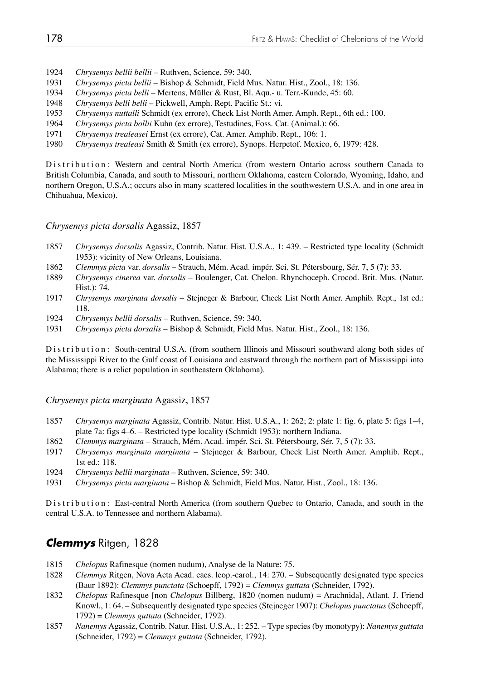- 1924 *Chrysemys bellii bellii* Ruthven, Science, 59: 340.
- 1931 *Chrysemys picta bellii*  Bishop & Schmidt, Field Mus. Natur. Hist., Zool., 18: 136.
- 1934 *Chrysemys picta belli* Mertens, Müller & Rust, Bl. Aqu.- u. Terr.-Kunde, 45: 60.
- 1948 *Chrysemys belli belli* Pickwell, Amph. Rept. Pacific St.: vi.
- 1953 *Chrysemys nuttalli* Schmidt (ex errore), Check List North Amer. Amph. Rept., 6th ed.: 100.
- 1964 *Chrysemys picta bollii* Kuhn (ex errore), Testudines, Foss. Cat. (Animal.): 66.
- 1971 *Chrysemys trealeasei* Ernst (ex errore), Cat. Amer. Amphib. Rept., 106: 1.
- 1980 *Chrysemys trealeasi* Smith & Smith (ex errore), Synops. Herpetof. Mexico, 6, 1979: 428.

Distribution: Western and central North America (from western Ontario across southern Canada to British Columbia, Canada, and south to Missouri, northern Oklahoma, eastern Colorado, Wyoming, Idaho, and northern Oregon, U.S.A.; occurs also in many scattered localities in the southwestern U.S.A. and in one area in Chihuahua, Mexico).

*Chrysemys picta dorsalis* Agassiz, 1857

- 1857 *Chrysemys dorsalis* Agassiz, Contrib. Natur. Hist. U.S.A., 1: 439. Restricted type locality (Schmidt 1953): vicinity of New Orleans, Louisiana.
- 1862 *Clemmys picta* var. *dorsalis* Strauch, Mém. Acad. impér. Sci. St. Pétersbourg, Sér. 7, 5 (7): 33.
- 1889 *Chrysemys cinerea* var. *dorsalis*  Boulenger, Cat. Chelon. Rhynchoceph. Crocod. Brit. Mus. (Natur. Hist.): 74.
- 1917 *Chrysemys marginata dorsalis* Stejneger & Barbour, Check List North Amer. Amphib. Rept., 1st ed.: 118.
- 1924 *Chrysemys bellii dorsalis* Ruthven, Science, 59: 340.
- 1931 *Chrysemys picta dorsalis*  Bishop & Schmidt, Field Mus. Natur. Hist., Zool., 18: 136.

Distribution: South-central U.S.A. (from southern Illinois and Missouri southward along both sides of the Mississippi River to the Gulf coast of Louisiana and eastward through the northern part of Mississippi into Alabama; there is a relict population in southeastern Oklahoma).

#### *Chrysemys picta marginata* Agassiz, 1857

- 1857 *Chrysemys marginata* Agassiz, Contrib. Natur. Hist. U.S.A., 1: 262; 2: plate 1: fig. 6, plate 5: figs 1–4, plate 7a: figs 4–6. – Restricted type locality (Schmidt 1953): northern Indiana.
- 1862 *Clemmys marginata* Strauch, Mém. Acad. impér. Sci. St. Pétersbourg, Sér. 7, 5 (7): 33.
- 1917 *Chrysemys marginata marginata* Stejneger & Barbour, Check List North Amer. Amphib. Rept., 1st ed.: 118.
- 1924 *Chrysemys bellii marginata* Ruthven, Science, 59: 340.
- 1931 *Chrysemys picta marginata*  Bishop & Schmidt, Field Mus. Natur. Hist., Zool., 18: 136.

Distribution: East-central North America (from southern Quebec to Ontario, Canada, and south in the central U.S.A. to Tennessee and northern Alabama).

### *Clemmys* Ritgen, 1828

- 1815 *Chelopus* Rafinesque (nomen nudum), Analyse de la Nature: 75.
- 1828 *Clemmys* Ritgen, Nova Acta Acad. caes. leop.-carol., 14: 270. Subsequently designated type species (Baur 1892): *Clemmys punctata* (Schoepff, 1792) = *Clemmys guttata* (Schneider, 1792).
- 1832 *Chelopus* Rafinesque [non *Chelopus* Billberg, 1820 (nomen nudum) = Arachnida], Atlant. J. Friend Knowl., 1: 64. – Subsequently designated type species (Stejneger 1907): *Chelopus punctatus* (Schoepff, 1792) = *Clemmys guttata* (Schneider, 1792).
- 1857 *Nanemys* Agassiz, Contrib. Natur. Hist. U.S.A., 1: 252. Type species (by monotypy): *Nanemys guttata* (Schneider, 1792) = *Clemmys guttata* (Schneider, 1792).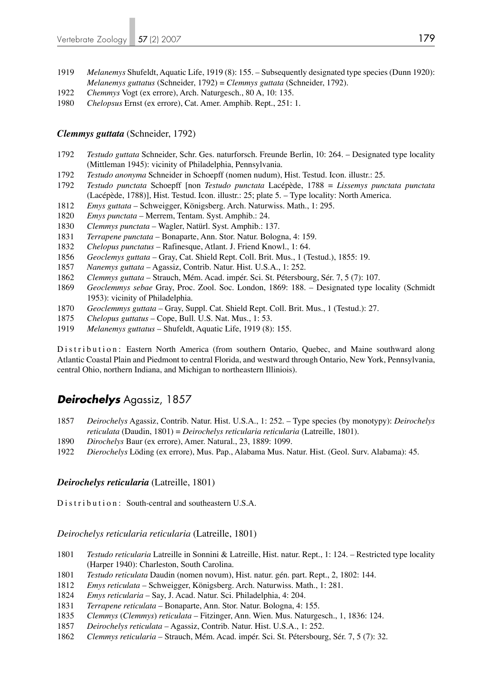- *Melanemys* Shufeldt, Aquatic Life, 1919 (8): 155. Subsequently designated type species (Dunn 1920): *Melanemys guttatus* (Schneider, 1792) = *Clemmys guttata* (Schneider, 1792).
- *Chemmys* Vogt (ex errore), Arch. Naturgesch., 80 A, 10: 135.
- *Chelopsus* Ernst (ex errore), Cat. Amer. Amphib. Rept., 251: 1.

#### *Clemmys guttata* (Schneider, 1792)

- *Testudo guttata* Schneider, Schr. Ges. naturforsch. Freunde Berlin, 10: 264. Designated type locality (Mittleman 1945): vicinity of Philadelphia, Pennsylvania.
- *Testudo anonyma* Schneider in Schoepff (nomen nudum), Hist. Testud. Icon. illustr.: 25.
- *Testudo punctata* Schoepff [non *Testudo punctata* Lacépède, 1788 = *Lissemys punctata punctata* (Lacépède, 1788)], Hist. Testud. Icon. illustr.: 25; plate 5. – Type locality: North America.
- *Emys guttata* Schweigger, Königsberg. Arch. Naturwiss. Math., 1: 295.
- *Emys punctata* Merrem, Tentam. Syst. Amphib.: 24.
- *Clemmys punctata* Wagler, Natürl. Syst. Amphib.: 137.
- *Terrapene punctata* Bonaparte, Ann. Stor. Natur. Bologna, 4: 159.
- *Chelopus punctatus*  Rafinesque, Atlant. J. Friend Knowl., 1: 64.
- *Geoclemys guttata* Gray, Cat. Shield Rept. Coll. Brit. Mus., 1 (Testud.), 1855: 19.
- *Nanemys guttata* Agassiz, Contrib. Natur. Hist. U.S.A., 1: 252.
- *Clemmys guttata* Strauch, Mém. Acad. impér. Sci. St. Pétersbourg, Sér. 7, 5 (7): 107.
- *Geoclemmys sebae* Gray, Proc. Zool. Soc. London, 1869: 188. Designated type locality (Schmidt 1953): vicinity of Philadelphia.
- *Geoclemmys guttata* Gray, Suppl. Cat. Shield Rept. Coll. Brit. Mus., 1 (Testud.): 27.
- *Chelopus guttatus* Cope, Bull. U.S. Nat. Mus., 1: 53.
- *Melanemys guttatus* Shufeldt, Aquatic Life, 1919 (8): 155.

Distribution: Eastern North America (from southern Ontario, Quebec, and Maine southward along Atlantic Coastal Plain and Piedmont to central Florida, and westward through Ontario, New York, Pennsylvania, central Ohio, northern Indiana, and Michigan to northeastern Illiniois).

# *Deirochelys* Agassiz, 1857

- *Deirochelys* Agassiz, Contrib. Natur. Hist. U.S.A., 1: 252. Type species (by monotypy): *Deirochelys reticulata* (Daudin, 1801) = *Deirochelys reticularia reticularia* (Latreille, 1801).
- *Dirochelys* Baur (ex errore), Amer. Natural., 23, 1889: 1099.
- *Dierochelys* Löding (ex errore), Mus. Pap., Alabama Mus. Natur. Hist. (Geol. Surv. Alabama): 45.

#### *Deirochelys reticularia* (Latreille, 1801)

Distribution: South-central and southeastern U.S.A.

#### *Deirochelys reticularia reticularia* (Latreille, 1801)

- *Testudo reticularia* Latreille in Sonnini & Latreille, Hist. natur. Rept., 1: 124. Restricted type locality (Harper 1940): Charleston, South Carolina.
- *Testudo reticulata* Daudin (nomen novum), Hist. natur. gén. part. Rept., 2, 1802: 144.
- *Emys reticulata* Schweigger, Königsberg. Arch. Naturwiss. Math., 1: 281.
- *Emys reticularia* Say, J. Acad. Natur. Sci. Philadelphia, 4: 204.
- *Terrapene reticulata* Bonaparte, Ann. Stor. Natur. Bologna, 4: 155.
- *Clemmys* (*Clemmys*) *reticulata* Fitzinger, Ann. Wien. Mus. Naturgesch., 1, 1836: 124.
- *Deirochelys reticulata* Agassiz, Contrib. Natur. Hist. U.S.A., 1: 252.
- *Clemmys reticularia* Strauch, Mém. Acad. impér. Sci. St. Pétersbourg, Sér. 7, 5 (7): 32.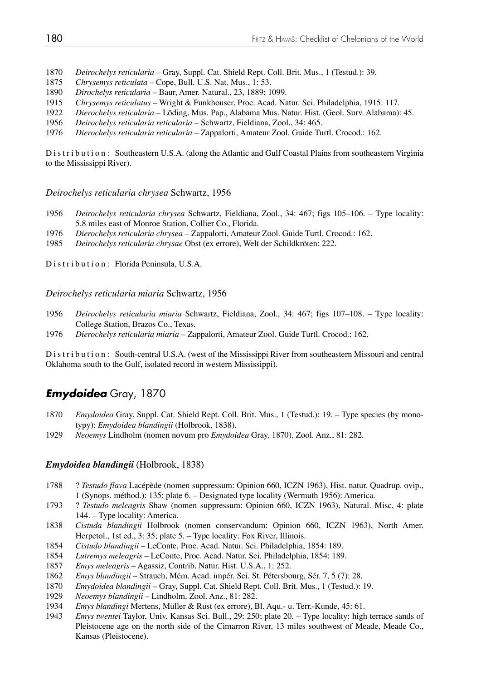1870 *Deirochelys reticularia* – Gray, Suppl. Cat. Shield Rept. Coll. Brit. Mus., 1 (Testud.): 39.

- 1875 *Chrysemys reticulata* Cope, Bull. U.S. Nat. Mus., 1: 53.
- 1890 *Dirochelys reticularia* Baur, Amer. Natural., 23, 1889: 1099.
- 1915 *Chrysemys reticulatus* Wright & Funkhouser, Proc. Acad. Natur. Sci. Philadelphia, 1915: 117.
- 1922 *Dierochelys reticularia* Löding, Mus. Pap., Alabama Mus. Natur. Hist. (Geol. Surv. Alabama): 45.
- 1956 *Deirochelys reticularia reticularia* Schwartz, Fieldiana, Zool., 34: 465.
- 1976 *Dierochelys reticularia reticularia* Zappalorti, Amateur Zool. Guide Turtl. Crocod.: 162.

Distribution: Southeastern U.S.A. (along the Atlantic and Gulf Coastal Plains from southeastern Virginia to the Mississippi River).

*Deirochelys reticularia chrysea* Schwartz, 1956

- 1956 *Deirochelys reticularia chrysea* Schwartz, Fieldiana, Zool., 34: 467; figs 105–106. Type locality: 5.8 miles east of Monroe Station, Collier Co., Florida.
- 1976 *Dierochelys reticularia chrysea* Zappalorti, Amateur Zool. Guide Turtl. Crocod.: 162.
- 1985 *Deirochelys reticularia chrysae* Obst (ex errore), Welt der Schildkröten: 222.

Distribution: Florida Peninsula, U.S.A.

*Deirochelys reticularia miaria* Schwartz, 1956

- 1956 *Deirochelys reticularia miaria* Schwartz, Fieldiana, Zool., 34: 467; figs 107–108. Type locality: College Station, Brazos Co., Texas.
- 1976 *Dierochelys reticularia miaria* Zappalorti, Amateur Zool. Guide Turtl. Crocod.: 162.

Distribution: South-central U.S.A. (west of the Mississippi River from southeastern Missouri and central Oklahoma south to the Gulf, isolated record in western Mississippi).

# *Emydoidea* Gray, 1870

- 1870 *Emydoidea* Gray, Suppl. Cat. Shield Rept. Coll. Brit. Mus., 1 (Testud.): 19. Type species (by mono typy): *Emydoidea blandingii* (Holbrook, 1838).
- 1929 *Neoemys* Lindholm (nomen novum pro *Emydoidea* Gray, 1870), Zool. Anz., 81: 282.

#### *Emydoidea blandingii* (Holbrook, 1838)

- 1788 ? *Testudo flava* Lacépède (nomen suppressum: Opinion 660, ICZN 1963), Hist. natur. Quadrup. ovip., 1 (Synops. méthod.): 135; plate 6. – Designated type locality (Wermuth 1956): America.
- 1793 ? *Testudo meleagris* Shaw (nomen suppressum: Opinion 660, ICZN 1963), Natural. Misc, 4: plate 144. – Type locality: America.
- 1838 *Cistuda blandingii* Holbrook (nomen conservandum: Opinion 660, ICZN 1963), North Amer. Herpetol., 1st ed., 3: 35; plate 5. – Type locality: Fox River, Illinois.
- 1854 *Cistudo blandingii*  LeConte, Proc. Acad. Natur. Sci. Philadelphia, 1854: 189.
- 1854 *Lutremys meleagris* LeConte, Proc. Acad. Natur. Sci. Philadelphia, 1854: 189.
- 1857 *Emys meleagris* Agassiz, Contrib. Natur. Hist. U.S.A., 1: 252.
- 1862 *Emys blandingii* Strauch, Mém. Acad. impér. Sci. St. Pétersbourg, Sér. 7, 5 (7): 28.
- 1870 *Emydoidea blandingii* Gray, Suppl. Cat. Shield Rept. Coll. Brit. Mus., 1 (Testud.): 19.
- 1929 *Neoemys blandingii* Lindholm, Zool. Anz., 81: 282.
- 1934 *Emys blandingi* Mertens, Müller & Rust (ex errore), Bl. Aqu.- u. Terr.-Kunde, 45: 61.
- 1943 *Emys twentei* Taylor, Univ. Kansas Sci. Bull., 29: 250; plate 20. Type locality: high terrace sands of Pleistocene age on the north side of the Cimarron River, 13 miles southwest of Meade, Meade Co., Kansas (Pleistocene).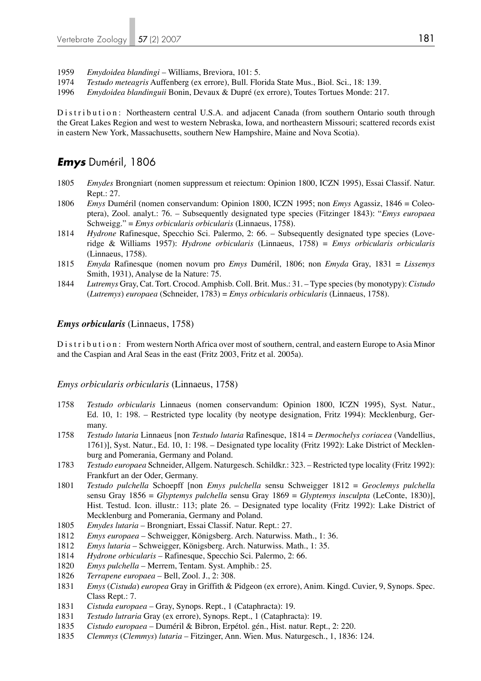- 1959 *Emydoidea blandingi*  Williams, Breviora, 101: 5.
- 1974 *Testudo meteagris* Auffenberg (ex errore), Bull. Florida State Mus., Biol. Sci., 18: 139.
- 1996 *Emydoidea blandinguii* Bonin, Devaux & Dupré (ex errore), Toutes Tortues Monde: 217.

Distribution: Northeastern central U.S.A. and adjacent Canada (from southern Ontario south through the Great Lakes Region and west to western Nebraska, Iowa, and northeastern Missouri; scattered records exist in eastern New York, Massachusetts, southern New Hampshire, Maine and Nova Scotia).

### *Emys* Duméril, 1806

- 1805 *Emydes* Brongniart (nomen suppressum et reiectum: Opinion 1800, ICZN 1995), Essai Classif. Natur. Rept.: 27.
- 1806 *Emys* Duméril (nomen conservandum: Opinion 1800, ICZN 1995; non *Emys* Agassiz, 1846 = Coleo ptera), Zool. analyt.: 76. – Subsequently designated type species (Fitzinger 1843): "*Emys europaea* Schweigg." = *Emys orbicularis orbicularis* (Linnaeus, 1758).
- 1814 *Hydrone* Rafinesque, Specchio Sci. Palermo, 2: 66. Subsequently designated type species (Love ridge & Williams 1957): *Hydrone orbicularis* (Linnaeus, 1758) = *Emys orbicularis orbicularis* (Linnaeus, 1758).
- 1815 *Emyda* Rafinesque (nomen novum pro *Emys* Duméril, 1806; non *Emyda* Gray, 1831 = *Lissemys* Smith, 1931), Analyse de la Nature: 75.
- 1844 *Lutremys* Gray, Cat. Tort. Crocod. Amphisb. Coll. Brit. Mus.: 31. Type species (by monotypy): *Cistudo*  (*Lutremys*) *europaea* (Schneider, 1783) = *Emys orbicularis orbicularis* (Linnaeus, 1758).

#### *Emys orbicularis* (Linnaeus, 1758)

Distribution: From western North Africa over most of southern, central, and eastern Europe to Asia Minor and the Caspian and Aral Seas in the east (Fritz 2003, Fritz et al. 2005a).

#### *Emys orbicularis orbicularis* (Linnaeus, 1758)

- 1758 *Testudo orbicularis* Linnaeus (nomen conservandum: Opinion 1800, ICZN 1995), Syst. Natur., Ed. 10, 1: 198. – Restricted type locality (by neotype designation, Fritz 1994): Mecklenburg, Ger many.
- 1758 *Testudo lutaria* Linnaeus [non *Testudo lutaria* Rafinesque, 1814 = *Dermochelys coriacea* (Vandellius, 1761)], Syst. Natur., Ed. 10, 1: 198. – Designated type locality (Fritz 1992): Lake District of Mecklen burg and Pomerania, Germany and Poland.
- 1783 *Testudo europaea* Schneider, Allgem. Naturgesch. Schildkr.: 323. Restricted type locality (Fritz 1992): Frankfurt an der Oder, Germany.
- 1801 *Testudo pulchella* Schoepff [non *Emys pulchella* sensu Schweigger 1812 = *Geoclemys pulchella* sensu Gray 1856 = *Glyptemys pulchella* sensu Gray 1869 = *Glyptemys insculpta* (LeConte, 1830)], Hist. Testud. Icon. illustr.: 113; plate 26. – Designated type locality (Fritz 1992): Lake District of Mecklenburg and Pomerania, Germany and Poland.
- 1805 *Emydes lutaria* Brongniart, Essai Classif. Natur. Rept.: 27.
- 1812 *Emys europaea* Schweigger, Königsberg. Arch. Naturwiss. Math., 1: 36.
- 1812 *Emys lutaria* Schweigger, Königsberg. Arch. Naturwiss. Math., 1: 35.
- 1814 *Hydrone orbicularis* Rafinesque, Specchio Sci. Palermo, 2: 66.
- 1820 *Emys pulchella* Merrem, Tentam. Syst. Amphib.: 25.
- 1826 *Terrapene europaea* Bell, Zool. J., 2: 308.
- 1831 *Emys* (*Cistuda*) *europea* Gray in Griffith & Pidgeon (ex errore), Anim. Kingd. Cuvier, 9, Synops. Spec. Class Rept.: 7.
- 1831 *Cistuda europaea* Gray, Synops. Rept., 1 (Cataphracta): 19.
- 1831 *Testudo lutraria* Gray (ex errore), Synops. Rept., 1 (Cataphracta): 19.
- 1835 *Cistudo europaea* Duméril & Bibron, Erpétol. gén., Hist. natur. Rept., 2: 220.
- 1835 *Clemmys* (*Clemmys*) *lutaria* Fitzinger, Ann. Wien. Mus. Naturgesch., 1, 1836: 124.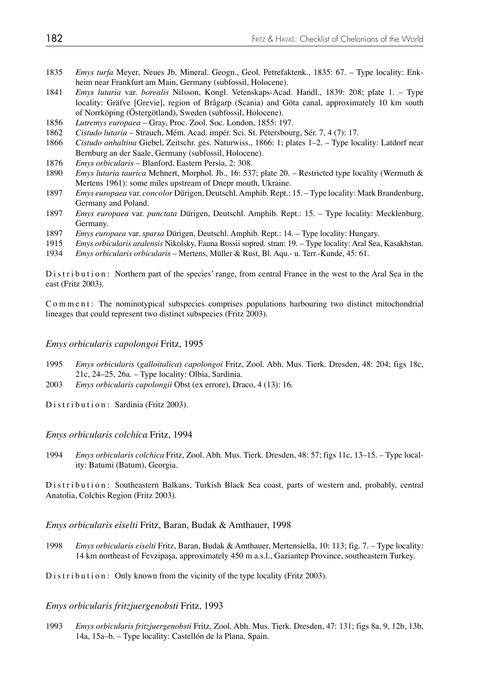- 1835 *Emys turfa* Meyer, Neues Jb. Mineral. Geogn., Geol. Petrefaktenk., 1835: 67. Type locality: Enk heim near Frankfurt am Main, Germany (subfossil, Holocene).<br>1841 *Emys lutaria var. borealis* Nilsson, Kongl. Vetenskaps-Acad
- 1841 *Emys lutaria* var. *borealis* Nilsson, Kongl. Vetenskaps-Acad. Handl., 1839: 208; plate 1. Type locality: Gräfve [Grevie], region of Brågarp (Scania) and Göta canal, approximately 10 km south of Norrköping (Östergötland), Sweden (subfossil, Holocene).
- 1856 *Lutremys europaea* Gray, Proc. Zool. Soc. London, 1855: 197.
- 1862 *Cistudo lutaria* Strauch, Mém. Acad. impér. Sci. St. Pétersbourg, Sér. 7, 4 (7): 17.
- 1866 *Cistudo anhaltina* Giebel, Zeitschr. ges. Naturwiss., 1866: 1; plates 1–2. Type locality: Latdorf near Bernburg an der Saale, Germany (subfossil, Holocene).
- 1876 *Emys orbicularis* Blanford, Eastern Persia, 2: 308.
- 1890 *Emys lutaria taurica* Mehnert, Morphol. Jb., 16: 537; plate 20. Restricted type locality (Wermuth & Mertens 1961): some miles upstream of Dnepr mouth, Ukraine.
- 1897 *Emys europaea* var. *concolor* Dürigen, Deutschl. Amphib. Rept.: 15. Type locality: Mark Brandenburg, Germany and Poland.
- 1897 *Emys europaea* var. *punctata* Dürigen, Deutschl. Amphib. Rept.: 15. Type locality: Mecklenburg, Germany.
- 1897 *Emys europaea* var. *sparsa* Dürigen, Deutschl. Amphib. Rept.: 14. Type locality: Hungary.
- 1915 *Emys orbicularis aralensis* Nikolsky, Fauna Rossii sopred. stran: 19. Type locality: Aral Sea, Kasakhstan.
- 1934 *Emys orbicularis orbicularis* Mertens, Müller & Rust, Bl. Aqu.- u. Terr.-Kunde, 45: 61.

Distribution: Northern part of the species' range, from central France in the west to the Aral Sea in the east (Fritz 2003).

Comment: The nominotypical subspecies comprises populations harbouring two distinct mitochondrial lineages that could represent two distinct subspecies (Fritz 2003).

#### *Emys orbicularis capolongoi* Fritz, 1995

- 1995 *Emys orbicularis* (*galloitalica*) *capolongoi* Fritz, Zool. Abh. Mus. Tierk. Dresden, 48: 204; figs 18c, 21c, 24–25, 26a. – Type locality: Olbia, Sardinia.
- 2003 *Emys orbicularis capolongii* Obst (ex errore), Draco, 4 (13): 16.

Distribution: Sardinia (Fritz 2003).

#### *Emys orbicularis colchica* Fritz, 1994

1994 *Emys orbicularis colchica* Fritz, Zool. Abh. Mus. Tierk. Dresden, 48: 57; figs 11c, 13–15. – Type local ity: Batumi (Batum), Georgia.

Distribution: Southeastern Balkans, Turkish Black Sea coast, parts of western and, probably, central Anatolia, Colchis Region (Fritz 2003).

#### *Emys orbicularis eiselti* Fritz, Baran, Budak & Amthauer, 1998

1998 *Emys orbicularis eiselti* Fritz, Baran, Budak & Amthauer, Mertensiella, 10: 113; fig. 7. – Type locality: 14 km northeast of Fevzipaşa, approximately 450 m a.s.l., Gaziantep Province, southeastern Turkey.

Distribution: Only known from the vicinity of the type locality (Fritz 2003).

#### *Emys orbicularis fritzjuergenobsti* Fritz, 1993

1993 *Emys orbicularis fritzjuergenobsti* Fritz, Zool. Abh. Mus. Tierk. Dresden, 47: 131; figs 8a, 9, 12b, 13b, 14a, 15a–b. – Type locality: Castellón de la Plana, Spain.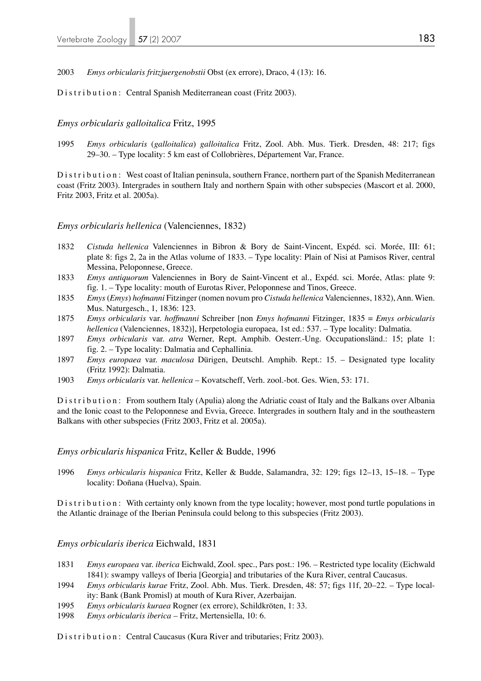2003 *Emys orbicularis fritzjuergenobstii* Obst (ex errore), Draco, 4 (13): 16.

Distribution: Central Spanish Mediterranean coast (Fritz 2003).

#### *Emys orbicularis galloitalica* Fritz, 1995

1995 *Emys orbicularis* (*galloitalica*) *galloitalica* Fritz, Zool. Abh. Mus. Tierk. Dresden, 48: 217; figs 29–30. – Type locality: 5 km east of Collobrières, Département Var, France.

Distribution: West coast of Italian peninsula, southern France, northern part of the Spanish Mediterranean coast (Fritz 2003). Intergrades in southern Italy and northern Spain with other subspecies (Mascort et al. 2000, Fritz 2003, Fritz et al. 2005a).

#### *Emys orbicularis hellenica* (Valenciennes, 1832)

- 1832 *Cistuda hellenica* Valenciennes in Bibron & Bory de Saint-Vincent, Expéd. sci. Morée, III: 61; plate 8: figs 2, 2a in the Atlas volume of 1833. – Type locality: Plain of Nisi at Pamisos River, central Messina, Peloponnese, Greece.
- 1833 *Emys antiquorum* Valenciennes in Bory de Saint-Vincent et al., Expéd. sci. Morée, Atlas: plate 9: fig. 1. – Type locality: mouth of Eurotas River, Peloponnese and Tinos, Greece.
- 1835 *Emys* (*Emys*) *hofmanni* Fitzinger (nomen novum pro *Cistuda hellenica* Valenciennes, 1832), Ann. Wien. Mus. Naturgesch., 1, 1836: 123.
- 1875 *Emys orbicularis* var. *hoffmanni* Schreiber [non *Emys hofmanni* Fitzinger, 1835 = *Emys orbicularis hellenica* (Valenciennes, 1832)], Herpetologia europaea, 1st ed.: 537. – Type locality: Dalmatia.
- 1897 *Emys orbicularis* var. *atra* Werner, Rept. Amphib. Oesterr.-Ung. Occupationsländ.: 15; plate 1: fig. 2. – Type locality: Dalmatia and Cephallinia.
- 1897 *Emys europaea* var. *maculosa* Dürigen, Deutschl. Amphib. Rept.: 15. Designated type locality (Fritz 1992): Dalmatia.
- 1903 *Emys orbicularis* var. *hellenica* Kovatscheff, Verh. zool.-bot. Ges. Wien, 53: 171.

Distribution: From southern Italy (Apulia) along the Adriatic coast of Italy and the Balkans over Albania and the Ionic coast to the Peloponnese and Evvia, Greece. Intergrades in southern Italy and in the southeastern Balkans with other subspecies (Fritz 2003, Fritz et al. 2005a).

#### *Emys orbicularis hispanica* Fritz, Keller & Budde, 1996

1996 *Emys orbicularis hispanica* Fritz, Keller & Budde, Salamandra, 32: 129; figs 12–13, 15–18. – Type locality: Doñana (Huelva), Spain.

Distribution: With certainty only known from the type locality; however, most pond turtle populations in the Atlantic drainage of the Iberian Peninsula could belong to this subspecies (Fritz 2003).

*Emys orbicularis iberica* Eichwald, 1831

- 1831 *Emys europaea* var. *iberica* Eichwald, Zool. spec., Pars post.: 196. Restricted type locality (Eichwald 1841): swampy valleys of Iberia [Georgia] and tributaries of the Kura River, central Caucasus.
- 1994 *Emys orbicularis kurae* Fritz, Zool. Abh. Mus. Tierk. Dresden, 48: 57; figs 11f, 20–22. Type local ity: Bank (Bank Promisl) at mouth of Kura River, Azerbaijan.
- 1995 *Emys orbicularis kuraea* Rogner (ex errore), Schildkröten, 1: 33.
- 1998 *Emys orbicularis iberica* Fritz, Mertensiella, 10: 6.

Distribution: Central Caucasus (Kura River and tributaries; Fritz 2003).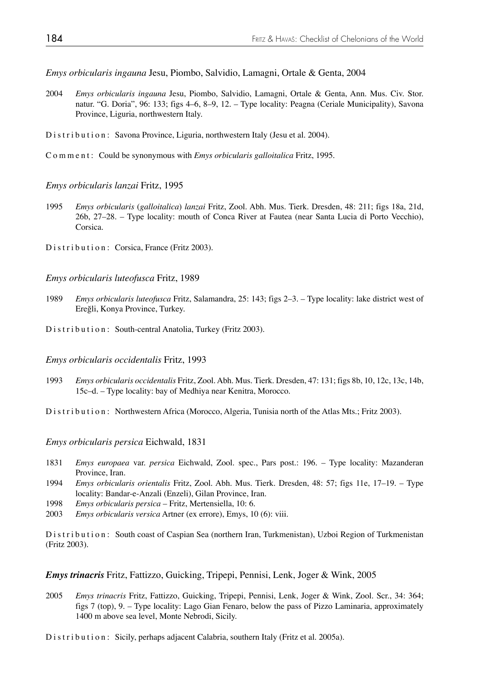*Emys orbicularis ingauna* Jesu, Piombo, Salvidio, Lamagni, Ortale & Genta, 2004

- 2004 *Emys orbicularis ingauna* Jesu, Piombo, Salvidio, Lamagni, Ortale & Genta, Ann. Mus. Civ. Stor. natur. "G. Doria", 96: 133; figs 4–6, 8–9, 12. – Type locality: Peagna (Ceriale Municipality), Savona Province, Liguria, northwestern Italy.
- Distribution: Savona Province, Liguria, northwestern Italy (Jesu et al. 2004).

Comment: Could be synonymous with *Emys orbicularis galloitalica* Fritz, 1995.

#### *Emys orbicularis lanzai* Fritz, 1995

- 1995 *Emys orbicularis* (*galloitalica*) *lanzai* Fritz, Zool. Abh. Mus. Tierk. Dresden, 48: 211; figs 18a, 21d, 26b, 27–28. – Type locality: mouth of Conca River at Fautea (near Santa Lucia di Porto Vecchio), Corsica.
- Distribution: Corsica, France (Fritz 2003).

#### *Emys orbicularis luteofusca* Fritz, 1989

- 1989 *Emys orbicularis luteofusca* Fritz, Salamandra, 25: 143; figs 2–3. Type locality: lake district west of Ereğli, Konya Province, Turkey.
- Distribution: South-central Anatolia, Turkey (Fritz 2003).

#### *Emys orbicularis occidentalis* Fritz, 1993

1993 *Emys orbicularis occidentalis* Fritz, Zool. Abh. Mus. Tierk. Dresden, 47: 131; figs 8b, 10, 12c, 13c, 14b, 15c–d. – Type locality: bay of Medhiya near Kenitra, Morocco.

Distribution: Northwestern Africa (Morocco, Algeria, Tunisia north of the Atlas Mts.; Fritz 2003).

*Emys orbicularis persica* Eichwald, 1831

- 1831 *Emys europaea* var. *persica* Eichwald, Zool. spec., Pars post.: 196. Type locality: Mazanderan Province, Iran.<br>1994 Emys orbicular
- 1994 *Emys orbicularis orientalis* Fritz, Zool. Abh. Mus. Tierk. Dresden, 48: 57; figs 11e, 17–19. Type locality: Bandar-e-Anzali (Enzeli), Gilan Province, Iran.
- 1998 *Emys orbicularis persica* Fritz, Mertensiella, 10: 6.
- 2003 *Emys orbicularis versica* Artner (ex errore), Emys, 10 (6): viii.

Distribution: South coast of Caspian Sea (northern Iran, Turkmenistan), Uzboi Region of Turkmenistan (Fritz 2003).

*Emys trinacris* Fritz, Fattizzo, Guicking, Tripepi, Pennisi, Lenk, Joger & Wink, 2005

2005 *Emys trinacris* Fritz, Fattizzo, Guicking, Tripepi, Pennisi, Lenk, Joger & Wink, Zool. Scr., 34: 364; figs 7 (top), 9. – Type locality: Lago Gian Fenaro, below the pass of Pizzo Laminaria, approximately 1400 m above sea level, Monte Nebrodi, Sicily.

Distribution: Sicily, perhaps adjacent Calabria, southern Italy (Fritz et al. 2005a).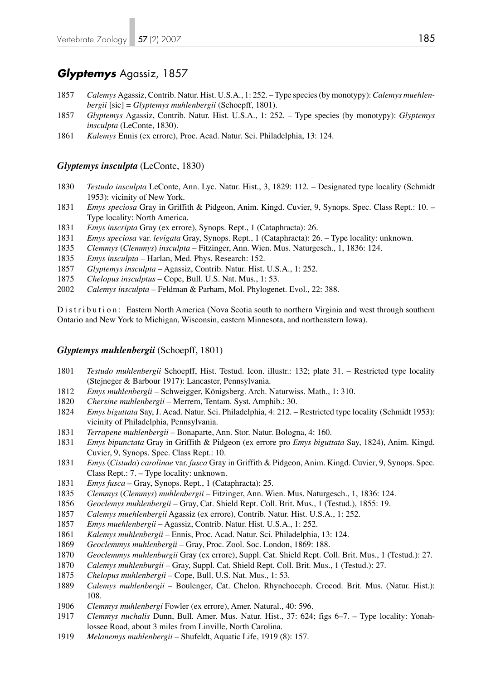## *Glyptemys* Agassiz, 1857

- *Calemys* Agassiz, Contrib. Natur. Hist. U.S.A., 1: 252. Type species (by monotypy): *Calemys muehlen bergii* [sic] = *Glyptemys muhlenbergii* (Schoepff, 1801).
- *Glyptemys* Agassiz, Contrib. Natur. Hist. U.S.A., 1: 252. Type species (by monotypy): *Glyptemys insculpta* (LeConte, 1830).
- *Kalemys* Ennis (ex errore), Proc. Acad. Natur. Sci. Philadelphia, 13: 124.

#### *Glyptemys insculpta* (LeConte, 1830)

- *Testudo insculpta* LeConte, Ann. Lyc. Natur. Hist., 3, 1829: 112. Designated type locality (Schmidt 1953): vicinity of New York.
- *Emys speciosa* Gray in Griffith & Pidgeon, Anim. Kingd. Cuvier, 9, Synops. Spec. Class Rept.: 10. Type locality: North America.
- *Emys inscripta* Gray (ex errore), Synops. Rept., 1 (Cataphracta): 26.
- *Emys speciosa* var. *levigata* Gray, Synops. Rept., 1 (Cataphracta): 26. Type locality: unknown.
- *Clemmys* (*Clemmys*) *insculpta* Fitzinger, Ann. Wien. Mus. Naturgesch., 1, 1836: 124.
- *Emys insculpta*  Harlan, Med. Phys. Research: 152.
- *Glyptemys insculpta* Agassiz, Contrib. Natur. Hist. U.S.A., 1: 252.
- *Chelopus insculptus* Cope, Bull. U.S. Nat. Mus., 1: 53.
- *Calemys insculpta* Feldman & Parham, Mol. Phylogenet. Evol., 22: 388.

Distribution: Eastern North America (Nova Scotia south to northern Virginia and west through southern Ontario and New York to Michigan, Wisconsin, eastern Minnesota, and northeastern Iowa).

#### *Glyptemys muhlenbergii* (Schoepff, 1801)

- *Testudo muhlenbergii* Schoepff, Hist. Testud. Icon. illustr.: 132; plate 31. Restricted type locality (Stejneger & Barbour 1917): Lancaster, Pennsylvania.
- *Emys muhlenbergii*  Schweigger, Königsberg. Arch. Naturwiss. Math., 1: 310.
- *Chersine muhlenbergii* Merrem, Tentam. Syst. Amphib.: 30.
- *Emys biguttata* Say, J. Acad. Natur. Sci. Philadelphia, 4: 212. Restricted type locality (Schmidt 1953): vicinity of Philadelphia, Pennsylvania.
- *Terrapene muhlenbergii* Bonaparte, Ann. Stor. Natur. Bologna, 4: 160.
- *Emys bipunctata* Gray in Griffith & Pidgeon (ex errore pro *Emys biguttata* Say, 1824), Anim. Kingd. Cuvier, 9, Synops. Spec. Class Rept.: 10.
- *Emys* (*Cistuda*) *carolinae* var. *fusca* Gray in Griffith & Pidgeon, Anim. Kingd. Cuvier, 9, Synops. Spec. Class Rept.: 7. – Type locality: unknown.
- *Emys fusca* Gray, Synops. Rept., 1 (Cataphracta): 25.
- *Clemmys* (*Clemmys*) *muhlenbergii*  Fitzinger, Ann. Wien. Mus. Naturgesch., 1, 1836: 124.
- *Geoclemys muhlenbergii* Gray, Cat. Shield Rept. Coll. Brit. Mus., 1 (Testud.), 1855: 19.
- *Calemys muehlenbergii* Agassiz (ex errore), Contrib. Natur. Hist. U.S.A., 1: 252.
- *Emys muehlenbergii* Agassiz, Contrib. Natur. Hist. U.S.A., 1: 252.
- *Kalemys muhlenbergii* Ennis, Proc. Acad. Natur. Sci. Philadelphia, 13: 124.
- *Geoclemmys muhlenbergii* Gray, Proc. Zool. Soc. London, 1869: 188.
- *Geoclemmys muhlenburgii* Gray (ex errore), Suppl. Cat. Shield Rept. Coll. Brit. Mus., 1 (Testud.): 27.
- *Calemys muhlenburgii* Gray, Suppl. Cat. Shield Rept. Coll. Brit. Mus., 1 (Testud.): 27.
- *Chelopus muhlenbergii* Cope, Bull. U.S. Nat. Mus., 1: 53.
- *Calemys muhlenbergii* Boulenger, Cat. Chelon. Rhynchoceph. Crocod. Brit. Mus. (Natur. Hist.): 108.
- *Clemmys muhlenbergi* Fowler (ex errore), Amer. Natural., 40: 596.
- *Clemmys nuchalis* Dunn, Bull. Amer. Mus. Natur. Hist., 37: 624; figs 6–7. Type locality: Yonah lossee Road, about 3 miles from Linville, North Carolina.
- *Melanemys muhlenbergii* Shufeldt, Aquatic Life, 1919 (8): 157.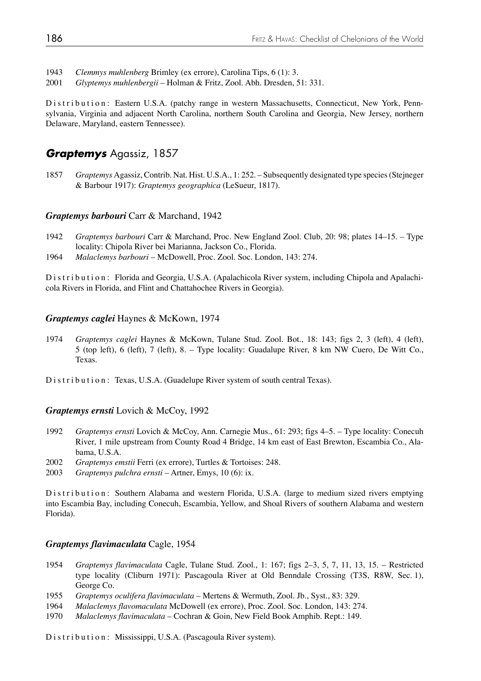- 1943 *Clemmys muhlenberg* Brimley (ex errore), Carolina Tips, 6 (1): 3.
- 2001 *Glyptemys muhlenbergii* Holman & Fritz, Zool. Abh. Dresden, 51: 331.

Distribution: Eastern U.S.A. (patchy range in western Massachusetts, Connecticut, New York, Pennsylvania, Virginia and adjacent North Carolina, northern South Carolina and Georgia, New Jersey, northern Delaware, Maryland, eastern Tennessee).

## *Graptemys* Agassiz, 1857

1857 *Graptemys* Agassiz, Contrib. Nat. Hist. U.S.A., 1: 252. – Subsequently designated type species (Stejneger & Barbour 1917): *Graptemys geographica* (LeSueur, 1817).

#### *Graptemys barbouri* Carr & Marchand, 1942

- 1942 *Graptemys barbouri* Carr & Marchand, Proc. New England Zool. Club, 20: 98; plates 14–15. Type locality: Chipola River bei Marianna, Jackson Co., Florida.
- 1964 *Malaclemys barbouri*  McDowell, Proc. Zool. Soc. London, 143: 274.

Distribution: Florida and Georgia, U.S.A. (Apalachicola River system, including Chipola and Apalachicola Rivers in Florida, and Flint and Chattahochee Rivers in Georgia).

### *Graptemys caglei* Haynes & McKown, 1974

- 1974 *Graptemys caglei* Haynes & McKown, Tulane Stud. Zool. Bot., 18: 143; figs 2, 3 (left), 4 (left), 5 (top left), 6 (left), 7 (left), 8. – Type locality: Guadalupe River, 8 km NW Cuero, De Witt Co., Texas.
- Distribution: Texas, U.S.A. (Guadelupe River system of south central Texas).

### *Graptemys ernsti* Lovich & McCoy, 1992

- 1992 *Graptemys ernsti* Lovich & McCoy, Ann. Carnegie Mus., 61: 293; figs 4–5. Type locality: Conecuh River, 1 mile upstream from County Road 4 Bridge, 14 km east of East Brewton, Escambia Co., Ala bama, U.S.A.
- 2002 *Graptemys emstii* Ferri (ex errore), Turtles & Tortoises: 248.
- 2003 *Graptemys pulchra ernsti* Artner, Emys, 10 (6): ix.

Distribution: Southern Alabama and western Florida, U.S.A. (large to medium sized rivers emptying into Escambia Bay, including Conecuh, Escambia, Yellow, and Shoal Rivers of southern Alabama and western Florida).

#### *Graptemys flavimaculata* Cagle, 1954

- 1954 *Graptemys flavimaculata* Cagle, Tulane Stud. Zool., 1: 167; figs 2–3, 5, 7, 11, 13, 15. Restricted type locality (Cliburn 1971): Pascagoula River at Old Benndale Crossing (T3S, R8W, Sec. 1), George Co.
- 1955 *Graptemys oculifera flavimaculata*  Mertens & Wermuth, Zool. Jb., Syst., 83: 329.
- 1964 *Malaclemys flavomaculata* McDowell (ex errore), Proc. Zool. Soc. London, 143: 274.
- 1970 *Malaclemys flavimaculata* Cochran & Goin, New Field Book Amphib. Rept.: 149.

Distribution: Mississippi, U.S.A. (Pascagoula River system).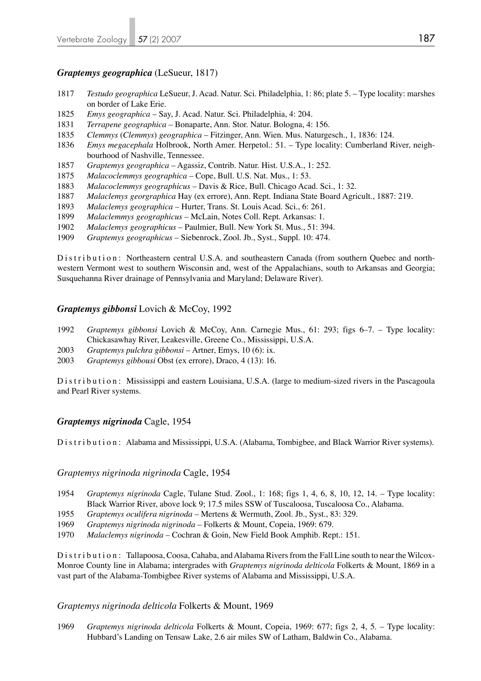## *Graptemys geographica* (LeSueur, 1817)

- 1817 *Testudo geographica* LeSueur, J. Acad. Natur. Sci. Philadelphia, 1: 86; plate 5. Type locality: marshes on border of Lake Erie.
- 1825 *Emys geographica* Say, J. Acad. Natur. Sci. Philadelphia, 4: 204.
- 1831 *Terrapene geographica* Bonaparte, Ann. Stor. Natur. Bologna, 4: 156.
- 1835 *Clemmys* (*Clemmys*) *geographica* Fitzinger, Ann. Wien. Mus. Naturgesch., 1, 1836: 124.
- 1836 *Emys megacephala* Holbrook, North Amer. Herpetol.: 51. Type locality: Cumberland River, neigh bourhood of Nashville, Tennessee.
- 1857 *Graptemys geographica*  Agassiz, Contrib. Natur. Hist. U.S.A., 1: 252.
- 1875 *Malacoclemmys geographica*  Cope, Bull. U.S. Nat. Mus., 1: 53.
- 1883 *Malacoclemmys geographicus* Davis & Rice, Bull. Chicago Acad. Sci., 1: 32.
- 1887 *Malaclemys georgraphica* Hay (ex errore), Ann. Rept. Indiana State Board Agricult., 1887: 219.
- 1893 *Malaclemys geographica* Hurter, Trans. St. Louis Acad. Sci., 6: 261.
- 1899 *Malaclemmys geographicus* McLain, Notes Coll. Rept. Arkansas: 1.
- 1902 *Malaclemys geographicus* Paulmier, Bull. New York St. Mus., 51: 394.
- 1909 *Graptemys geographicus* Siebenrock, Zool. Jb., Syst., Suppl. 10: 474.

Distribution: Northeastern central U.S.A. and southeastern Canada (from southern Quebec and northwestern Vermont west to southern Wisconsin and, west of the Appalachians, south to Arkansas and Georgia; Susquehanna River drainage of Pennsylvania and Maryland; Delaware River).

## *Graptemys gibbonsi* Lovich & McCoy, 1992

- 1992 *Graptemys gibbonsi* Lovich & McCoy, Ann. Carnegie Mus., 61: 293; figs 6–7. Type locality: Chickasawhay River, Leakesville, Greene Co., Mississippi, U.S.A.
- 2003 *Graptemys pulchra gibbonsi* Artner, Emys, 10 (6): ix.
- 2003 *Graptemys gibbousi* Obst (ex errore), Draco, 4 (13): 16.

Distribution: Mississippi and eastern Louisiana, U.S.A. (large to medium-sized rivers in the Pascagoula and Pearl River systems.

## *Graptemys nigrinoda* Cagle, 1954

Distribution: Alabama and Mississippi, U.S.A. (Alabama, Tombigbee, and Black Warrior River systems).

*Graptemys nigrinoda nigrinoda* Cagle, 1954

- 1954 *Graptemys nigrinoda* Cagle, Tulane Stud. Zool., 1: 168; figs 1, 4, 6, 8, 10, 12, 14. Type locality: Black Warrior River, above lock 9; 17.5 miles SSW of Tuscaloosa, Tuscaloosa Co., Alabama.
- 1955 *Graptemys oculifera nigrinoda*  Mertens & Wermuth, Zool. Jb., Syst., 83: 329.
- 1969 *Graptemys nigrinoda nigrinoda*  Folkerts & Mount, Copeia, 1969: 679.
- 1970 *Malaclemys nigrinoda* Cochran & Goin, New Field Book Amphib. Rept.: 151.

Distribution: Tallapoosa, Coosa, Cahaba, and Alabama Rivers from the Fall Line south to near the Wilcox-Monroe County line in Alabama; intergrades with *Graptemys nigrinoda delticola* Folkerts & Mount, 1869 in a vast part of the Alabama-Tombigbee River systems of Alabama and Mississippi, U.S.A.

## *Graptemys nigrinoda delticola* Folkerts & Mount, 1969

1969 *Graptemys nigrinoda delticola* Folkerts & Mount, Copeia, 1969: 677; figs 2, 4, 5. – Type locality: Hubbard's Landing on Tensaw Lake, 2.6 air miles SW of Latham, Baldwin Co., Alabama.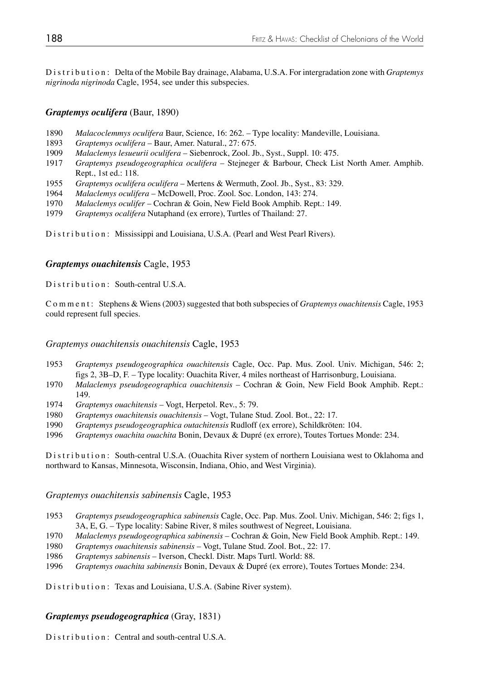Distribution: Delta of the Mobile Bay drainage, Alabama, U.S.A. For intergradation zone with *Graptemys nigrinoda nigrinoda* Cagle, 1954, see under this subspecies.

## *Graptemys oculifera* (Baur, 1890)

- 1890 *Malacoclemmys oculifera* Baur, Science, 16: 262. Type locality: Mandeville, Louisiana.
- 1893 *Graptemys oculifera*  Baur, Amer. Natural., 27: 675.
- 1909 *Malaclemys lesueurii oculifera* Siebenrock, Zool. Jb., Syst., Suppl. 10: 475.
- 1917 *Graptemys pseudogeographica oculifera*  Stejneger & Barbour, Check List North Amer. Amphib. Rept., 1st ed.: 118.
- 1955 *Graptemys oculifera oculifera*  Mertens & Wermuth, Zool. Jb., Syst., 83: 329.
- 1964 *Malaclemys oculifera*  McDowell, Proc. Zool. Soc. London, 143: 274.
- Malaclemys oculifer Cochran & Goin, New Field Book Amphib. Rept.: 149.
- 1979 *Graptemys ocalifera* Nutaphand (ex errore), Turtles of Thailand: 27.

Distribution: Mississippi and Louisiana, U.S.A. (Pearl and West Pearl Rivers).

## *Graptemys ouachitensis* Cagle, 1953

Distribution: South-central U.S.A.

Comment: Stephens & Wiens (2003) suggested that both subspecies of *Graptemys ouachitensis* Cagle, 1953 could represent full species.

*Graptemys ouachitensis ouachitensis* Cagle, 1953

- 1953 *Graptemys pseudogeographica ouachitensis* Cagle, Occ. Pap. Mus. Zool. Univ. Michigan, 546: 2; figs 2, 3B–D, F. – Type locality: Ouachita River, 4 miles northeast of Harrisonburg, Louisiana.
- 1970 *Malaclemys pseudogeographica ouachitensis* Cochran & Goin, New Field Book Amphib. Rept.: 149.
- 1974 *Graptemys ouachitensis*  Vogt, Herpetol. Rev., 5: 79.
- 1980 *Graptemys ouachitensis ouachitensis*  Vogt, Tulane Stud. Zool. Bot., 22: 17.
- 1990 *Graptemys pseudogeographica outachitensis* Rudloff (ex errore), Schildkröten: 104.
- 1996 *Graptemys ouachita ouachita* Bonin, Devaux & Dupré (ex errore), Toutes Tortues Monde: 234.

Distribution: South-central U.S.A. (Ouachita River system of northern Louisiana west to Oklahoma and northward to Kansas, Minnesota, Wisconsin, Indiana, Ohio, and West Virginia).

## *Graptemys ouachitensis sabinensis* Cagle, 1953

- 1953 *Graptemys pseudogeographica sabinensis* Cagle, Occ. Pap. Mus. Zool. Univ. Michigan, 546: 2; figs 1, 3A, E, G. – Type locality: Sabine River, 8 miles southwest of Negreet, Louisiana.
- 1970 *Malaclemys pseudogeographica sabinensis*  Cochran & Goin, New Field Book Amphib. Rept.: 149.
- 1980 *Graptemys ouachitensis sabinensis*  Vogt, Tulane Stud. Zool. Bot., 22: 17.
- 1986 *Graptemys sabinensis* Iverson, Checkl. Distr. Maps Turtl. World: 88.
- 1996 *Graptemys ouachita sabinensis* Bonin, Devaux & Dupré (ex errore), Toutes Tortues Monde: 234.

Distribution: Texas and Louisiana, U.S.A. (Sabine River system).

## *Graptemys pseudogeographica* (Gray, 1831)

Distribution: Central and south-central U.S.A.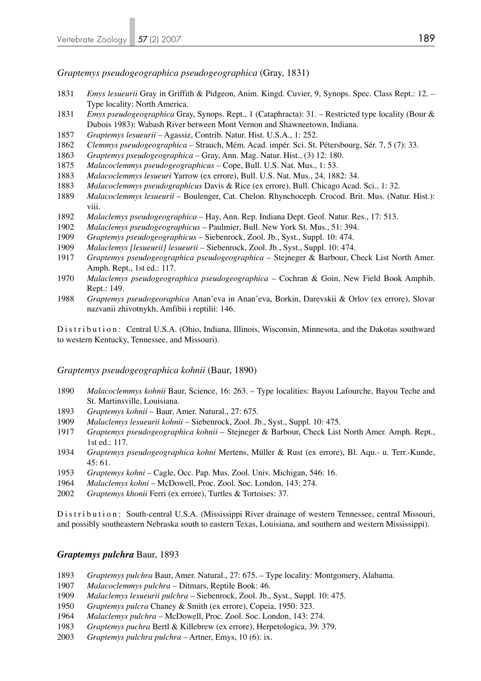*Graptemys pseudogeographica pseudogeographica* (Gray, 1831)

- *Emys lesueurii* Gray in Griffith & Pidgeon, Anim. Kingd. Cuvier, 9, Synops. Spec. Class Rept.: 12. Type locality: North America.
- *Emys pseudogeographica* Gray, Synops. Rept., 1 (Cataphracta): 31. Restricted type locality (Bour & Dubois 1983): Wabash River between Mont Vernon and Shawneetown, Indiana.
- *Graptemys lesueurii* Agassiz, Contrib. Natur. Hist. U.S.A., 1: 252.
- *Clemmys pseudogeographica* Strauch, Mém. Acad. impér. Sci. St. Pétersbourg, Sér. 7, 5 (7): 33.
- *Graptemys pseudogeographica*  Gray, Ann. Mag. Natur. Hist., (3) 12: 180.
- *Malacoclemmys pseudogeographicus* Cope, Bull. U.S. Nat. Mus., 1: 53.
- *Malacoclemmys lesueuri* Yarrow (ex errore), Bull. U.S. Nat. Mus., 24, 1882: 34.
- *Malacoclemmys pseudographicus* Davis & Rice (ex errore), Bull. Chicago Acad. Sci., 1: 32.
- *Malacoclemmys lesueurii* Boulenger, Cat. Chelon. Rhynchoceph. Crocod. Brit. Mus. (Natur. Hist.): viii.
- *Malaclemys pseudogeographica* Hay, Ann. Rep. Indiana Dept. Geol. Natur. Res., 17: 513.
- *Malaclemys pseudogeographicus* Paulmier, Bull. New York St. Mus., 51: 394.
- *Graptemys pseudogeographicus* Siebenrock, Zool. Jb., Syst., Suppl. 10: 474.
- *Malaclemys [lesueurii] lesueurii* Siebenrock, Zool. Jb., Syst., Suppl. 10: 474.
- *Graptemys pseudogeographica pseudogeographica*  Stejneger & Barbour, Check List North Amer. Amph. Rept., 1st ed.: 117.
- *Malaclemys pseudogeographica pseudogeographica*  Cochran & Goin, New Field Book Amphib. Rept.: 149.
- *Graptemys pseudogeoraphica* Anan'eva in Anan'eva, Borkin, Darevskii & Orlov (ex errore), Slovar nazvanii zhivotnykh, Amfibii i reptilii: 146.

Distribution: Central U.S.A. (Ohio, Indiana, Illinois, Wisconsin, Minnesota, and the Dakotas southward to western Kentucky, Tennessee, and Missouri).

#### *Graptemys pseudogeographica kohnii* (Baur, 1890)

- *Malacoclemmys kohnii* Baur, Science, 16: 263. Type localities: Bayou Lafourche, Bayou Teche and St. Martinsville, Louisiana.
- *Graptemys kohnii* Baur, Amer. Natural., 27: 675.
- *Malaclemys lesueurii kohnii* Siebenrock, Zool. Jb., Syst., Suppl. 10: 475.
- *Graptemys pseudogeographica kohnii*  Stejneger & Barbour, Check List North Amer. Amph. Rept., 1st ed.: 117.
- *Graptemys pseudogeographica kohni* Mertens, Müller & Rust (ex errore), Bl. Aqu.- u. Terr.-Kunde, 45: 61.
- *Graptemys kohni*  Cagle, Occ. Pap. Mus. Zool. Univ. Michigan, 546: 16.
- *Malaclemys kohni* McDowell, Proc. Zool. Soc. London, 143: 274.
- *Graptemys khonii* Ferri (ex errore), Turtles & Tortoises: 37.

Distribution: South-central U.S.A. (Mississippi River drainage of western Tennessee, central Missouri, and possibly southeastern Nebraska south to eastern Texas, Louisiana, and southern and western Mississippi).

#### *Graptemys pulchra* Baur, 1893

- *Graptemys pulchra* Baur, Amer. Natural., 27: 675. Type locality: Montgomery, Alabama.
- *Malacoclemmys pulchra* Ditmars, Reptile Book: 46.
- *Malaclemys lesueurii pulchra* Siebenrock, Zool. Jb., Syst., Suppl. 10: 475.
- *Graptemys pulcra* Chaney & Smith (ex errore), Copeia, 1950: 323.
- *Malaclemys pulchra* McDowell, Proc. Zool. Soc. London, 143: 274.
- *Graptemys puchra* Bertl & Killebrew (ex errore), Herpetologica, 39: 379.
- *Graptemys pulchra pulchra* Artner, Emys, 10 (6): ix.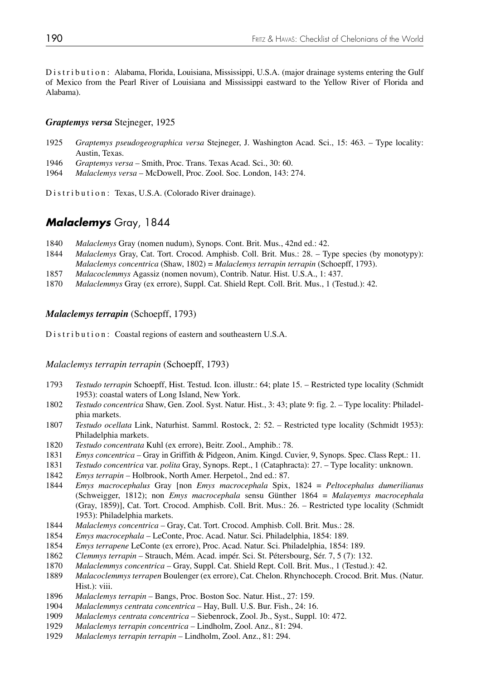Distribution: Alabama, Florida, Louisiana, Mississippi, U.S.A. (major drainage systems entering the Gulf of Mexico from the Pearl River of Louisiana and Mississippi eastward to the Yellow River of Florida and Alabama).

#### *Graptemys versa* Stejneger, 1925

- 1925 *Graptemys pseudogeographica versa* Stejneger, J. Washington Acad. Sci., 15: 463. Type locality: Austin, Texas.
- 1946 *Graptemys versa* Smith, Proc. Trans. Texas Acad. Sci., 30: 60.
- 1964 *Malaclemys versa* McDowell, Proc. Zool. Soc. London, 143: 274.

Distribution: Texas, U.S.A. (Colorado River drainage).

## *Malaclemys* Gray, 1844

- 1840 *Malaclemys* Gray (nomen nudum), Synops. Cont. Brit. Mus., 42nd ed.: 42.
- 1844 *Malaclemys* Gray, Cat. Tort. Crocod. Amphisb. Coll. Brit. Mus.: 28. Type species (by monotypy): *Malaclemys concentrica* (Shaw, 1802) = *Malaclemys terrapin terrapin* (Schoepff, 1793).
- 1857 *Malacoclemmys* Agassiz (nomen novum), Contrib. Natur. Hist. U.S.A., 1: 437.
- 1870 *Malaclemmys* Gray (ex errore), Suppl. Cat. Shield Rept. Coll. Brit. Mus., 1 (Testud.): 42.

## *Malaclemys terrapin* (Schoepff, 1793)

Distribution: Coastal regions of eastern and southeastern U.S.A.

#### *Malaclemys terrapin terrapin* (Schoepff, 1793)

- 1793 *Testudo terrapin* Schoepff, Hist. Testud. Icon. illustr.: 64; plate 15. Restricted type locality (Schmidt 1953): coastal waters of Long Island, New York.<br>1802 *Testudo concentrica* Shaw Gen Zool Syst Natu
- Testudo concentrica Shaw, Gen. Zool. Syst. Natur. Hist., 3: 43; plate 9: fig. 2. Type locality: Philadelphia markets.
- 1807 *Testudo ocellata* Link, Naturhist. Samml. Rostock, 2: 52. Restricted type locality (Schmidt 1953): Philadelphia markets.
- 1820 *Testudo concentrata* Kuhl (ex errore), Beitr. Zool., Amphib.: 78.
- 1831 *Emys concentrica* Gray in Griffith & Pidgeon, Anim. Kingd. Cuvier, 9, Synops. Spec. Class Rept.: 11.
- 1831 *Testudo concentrica* var. *polita* Gray, Synops. Rept., 1 (Cataphracta): 27. Type locality: unknown.
- 1842 *Emys terrapin* Holbrook, North Amer. Herpetol., 2nd ed.: 87.
- 1844 *Emys macrocephalus* Gray [non *Emys macrocephala* Spix, 1824 = *Peltocephalus dumerilianus*  (Schweigger, 1812); non *Emys macrocephala* sensu Günther 1864 = *Malayemys macrocephala* (Gray, 1859)], Cat. Tort. Crocod. Amphisb. Coll. Brit. Mus.: 26. – Restricted type locality (Schmidt 1953): Philadelphia markets.
- 1844 *Malaclemys concentrica*  Gray, Cat. Tort. Crocod. Amphisb. Coll. Brit. Mus.: 28.
- 1854 *Emys macrocephala* LeConte, Proc. Acad. Natur. Sci. Philadelphia, 1854: 189.
- 1854 *Emys terrapene* LeConte (ex errore), Proc. Acad. Natur. Sci. Philadelphia, 1854: 189.
- 1862 *Clemmys terrapin* Strauch, Mém. Acad. impér. Sci. St. Pétersbourg, Sér. 7, 5 (7): 132.
- 1870 *Malaclemmys concentrica* Gray, Suppl. Cat. Shield Rept. Coll. Brit. Mus., 1 (Testud.): 42.
- 1889 *Malacoclemmys terrapen* Boulenger (ex errore), Cat. Chelon. Rhynchoceph. Crocod. Brit. Mus. (Natur. Hist.): viii.
- 1896 *Malaclemys terrapin*  Bangs, Proc. Boston Soc. Natur. Hist., 27: 159.
- 1904 *Malaclemmys centrata concentrica*  Hay, Bull. U.S. Bur. Fish., 24: 16.
- 1909 *Malaclemys centrata concentrica*  Siebenrock, Zool. Jb., Syst., Suppl. 10: 472.
- 1929 *Malaclemys terrapin concentrica*  Lindholm, Zool. Anz., 81: 294.
- 1929 *Malaclemys terrapin terrapin*  Lindholm, Zool. Anz., 81: 294.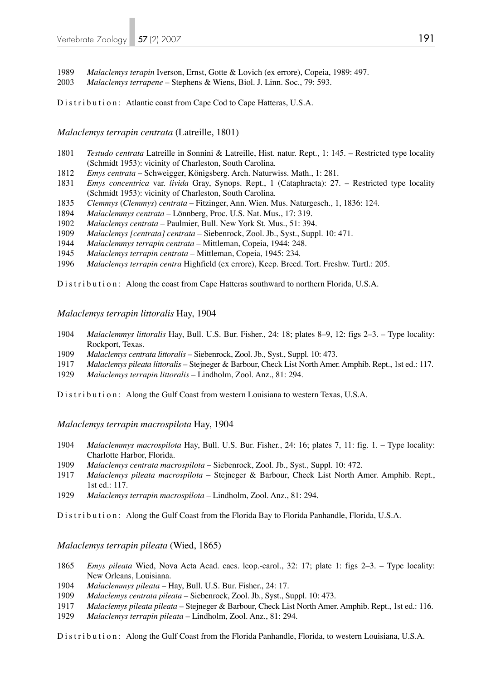*Malaclemys terapin* Iverson, Ernst, Gotte & Lovich (ex errore), Copeia, 1989: 497.

*Malaclemys terrapene* – Stephens & Wiens, Biol. J. Linn. Soc., 79: 593.

Distribution: Atlantic coast from Cape Cod to Cape Hatteras, U.S.A.

*Malaclemys terrapin centrata* (Latreille, 1801)

- *Testudo centrata* Latreille in Sonnini & Latreille, Hist. natur. Rept., 1: 145. Restricted type locality (Schmidt 1953): vicinity of Charleston, South Carolina.
- *Emys centrata* Schweigger, Königsberg. Arch. Naturwiss. Math., 1: 281.
- *Emys concentrica* var. *livida* Gray, Synops. Rept., 1 (Cataphracta): 27. Restricted type locality (Schmidt 1953): vicinity of Charleston, South Carolina.
- *Clemmys* (*Clemmys*) *centrata* Fitzinger, Ann. Wien. Mus. Naturgesch., 1, 1836: 124.
- *Malaclemmys centrata* Lönnberg, Proc. U.S. Nat. Mus., 17: 319.
- *Malaclemys centrata* Paulmier, Bull. New York St. Mus., 51: 394.
- *Malaclemys [centrata] centrata*  Siebenrock, Zool. Jb., Syst., Suppl. 10: 471.
- *Malaclemmys terrapin centrata* Mittleman, Copeia, 1944: 248.
- *Malaclemys terrapin centrata*  Mittleman, Copeia, 1945: 234.
- *Malaclemys terrapin centra* Highfield (ex errore), Keep. Breed. Tort. Freshw. Turtl.: 205.

Distribution: Along the coast from Cape Hatteras southward to northern Florida, U.S.A.

### *Malaclemys terrapin littoralis* Hay, 1904

- *Malaclemmys littoralis* Hay, Bull. U.S. Bur. Fisher., 24: 18; plates 8–9, 12: figs 2–3. Type locality: Rockport, Texas.
- *Malaclemys centrata littoralis* Siebenrock, Zool. Jb., Syst., Suppl. 10: 473.
- *Malaclemys pileata littoralis*  Stejneger & Barbour, Check List North Amer. Amphib. Rept., 1st ed.: 117.
- *Malaclemys terrapin littoralis*  Lindholm, Zool. Anz., 81: 294.

Distribution: Along the Gulf Coast from western Louisiana to western Texas, U.S.A.

*Malaclemys terrapin macrospilota* Hay, 1904

- *Malaclemmys macrospilota* Hay, Bull. U.S. Bur. Fisher., 24: 16; plates 7, 11: fig. 1. Type locality: Charlotte Harbor, Florida.
- *Malaclemys centrata macrospilota* Siebenrock, Zool. Jb., Syst., Suppl. 10: 472.
- *Malaclemys pileata macrospilota*  Stejneger & Barbour, Check List North Amer. Amphib. Rept., 1st ed.: 117.
- *Malaclemys terrapin macrospilota*  Lindholm, Zool. Anz., 81: 294.

Distribution: Along the Gulf Coast from the Florida Bay to Florida Panhandle, Florida, U.S.A.

*Malaclemys terrapin pileata* (Wied, 1865)

- *Emys pileata* Wied, Nova Acta Acad. caes. leop.-carol., 32: 17; plate 1: figs 2–3. Type locality: New Orleans, Louisiana.
- *Malaclemmys pileata*  Hay, Bull. U.S. Bur. Fisher., 24: 17.
- *Malaclemys centrata pileata* Siebenrock, Zool. Jb., Syst., Suppl. 10: 473.
- *Malaclemys pileata pileata*  Stejneger & Barbour, Check List North Amer. Amphib. Rept., 1st ed.: 116.
- *Malaclemys terrapin pileata*  Lindholm, Zool. Anz., 81: 294.

Distribution: Along the Gulf Coast from the Florida Panhandle, Florida, to western Louisiana, U.S.A.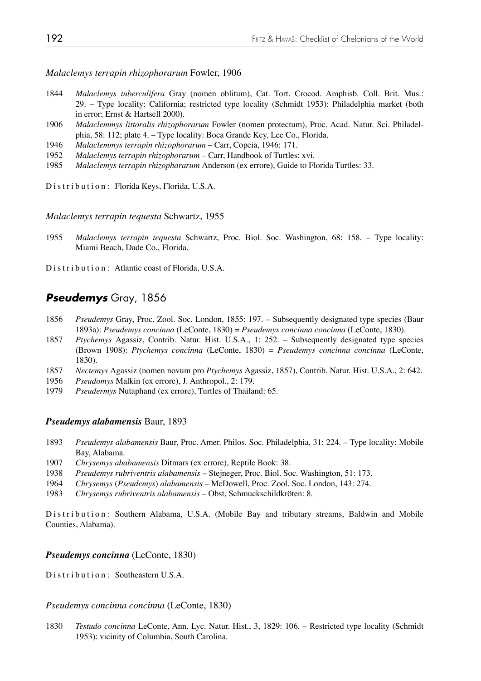*Malaclemys terrapin rhizophorarum* Fowler, 1906

- 1844 *Malaclemys tuberculifera* Gray (nomen oblitum), Cat. Tort. Crocod. Amphisb. Coll. Brit. Mus.: 29. – Type locality: California; restricted type locality (Schmidt 1953): Philadelphia market (both in error; Ernst & Hartsell 2000).
- 1906 *Malaclemmys littoralis rhizophorarum* Fowler (nomen protectum), Proc. Acad. Natur. Sci. Philadel phia, 58: 112; plate 4. – Type locality: Boca Grande Key, Lee Co., Florida.
- 1946 *Malaclemmys terrapin rhizophorarum*  Carr, Copeia, 1946: 171.
- 1952 *Malaclemys terrapin rhizophorarum*  Carr, Handbook of Turtles: xvi.
- 1985 *Malaclemys terrapin rhizophararum* Anderson (ex errore), Guide to Florida Turtles: 33.

Distribution: Florida Keys, Florida, U.S.A.

*Malaclemys terrapin tequesta* Schwartz, 1955

1955 *Malaclemys terrapin tequesta* Schwartz, Proc. Biol. Soc. Washington, 68: 158. – Type locality: Miami Beach, Dade Co., Florida.

Distribution: Atlantic coast of Florida, U.S.A.

## *Pseudemys* Gray, 1856

- 1856 *Pseudemys* Gray, Proc. Zool. Soc. London, 1855: 197. Subsequently designated type species (Baur 1893a): *Pseudemys concinna* (LeConte, 1830) = *Pseudemys concinna concinna* (LeConte, 1830).
- 1857 *Ptychemys* Agassiz, Contrib. Natur. Hist. U.S.A., 1: 252. Subsequently designated type species (Brown 1908): *Ptychemys concinna* (LeConte, 1830) = *Pseudemys concinna concinna* (LeConte, 1830).
- 1857 *Nectemys* Agassiz (nomen novum pro *Ptychemys* Agassiz, 1857), Contrib. Natur. Hist. U.S.A., 2: 642.
- 1956 *Pseudomys* Malkin (ex errore), J. Anthropol., 2: 179.
- 1979 *Pseudermys* Nutaphand (ex errore), Turtles of Thailand: 65.

#### *Pseudemys alabamensis* Baur, 1893

- 1893 *Pseudemys alabamensis* Baur, Proc. Amer. Philos. Soc. Philadelphia, 31: 224. Type locality: Mobile Bay, Alabama.
- 1907 *Chrysemys ababamensis* Ditmars (ex errore), Reptile Book: 38.
- 1938 *Pseudemys rubriventris alabamensis* Stejneger, Proc. Biol. Soc. Washington, 51: 173.
- 1964 *Chrysemys* (*Pseudemys*) *alabamensis* McDowell, Proc. Zool. Soc. London, 143: 274.
- 1983 *Chrysemys rubriventris alabamensis* Obst, Schmuckschildkröten: 8.

Distribution: Southern Alabama, U.S.A. (Mobile Bay and tributary streams, Baldwin and Mobile Counties, Alabama).

#### *Pseudemys concinna* (LeConte, 1830)

Distribution: Southeastern U.S.A.

*Pseudemys concinna concinna* (LeConte, 1830)

1830 *Testudo concinna* LeConte, Ann. Lyc. Natur. Hist., 3, 1829: 106. – Restricted type locality (Schmidt 1953): vicinity of Columbia, South Carolina.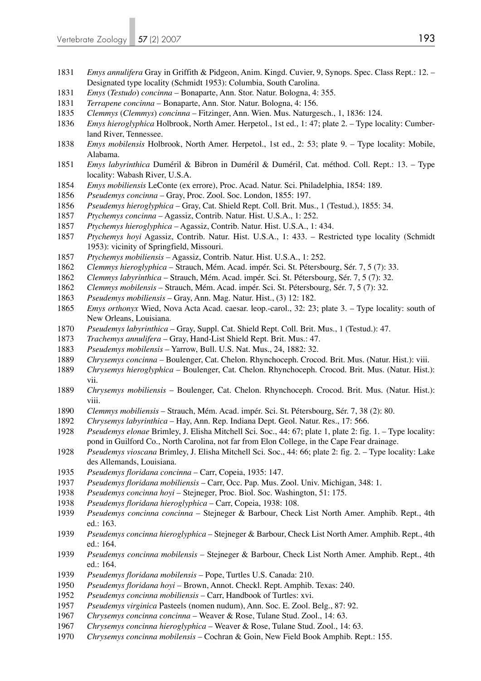- *Emys annulifera* Gray in Griffith & Pidgeon, Anim. Kingd. Cuvier, 9, Synops. Spec. Class Rept.: 12. Designated type locality (Schmidt 1953): Columbia, South Carolina.
- *Emys* (*Testudo*) *concinna* Bonaparte, Ann. Stor. Natur. Bologna, 4: 355.
- *Terrapene concinna* Bonaparte, Ann. Stor. Natur. Bologna, 4: 156.
- *Clemmys* (*Clemmys*) *concinna* Fitzinger, Ann. Wien. Mus. Naturgesch., 1, 1836: 124.
- *Emys hieroglyphica* Holbrook, North Amer. Herpetol., 1st ed., 1: 47; plate 2. Type locality: Cumber land River, Tennessee.
- *Emys mobilensis* Holbrook, North Amer. Herpetol., 1st ed., 2: 53; plate 9. Type locality: Mobile, Alabama.
- *Emys labyrinthica* Duméril & Bibron in Duméril & Duméril, Cat. méthod. Coll. Rept.: 13. Type locality: Wabash River, U.S.A.
- *Emys mobiliensis* LeConte (ex errore), Proc. Acad. Natur. Sci. Philadelphia, 1854: 189.
- *Pseudemys concinna* Gray, Proc. Zool. Soc. London, 1855: 197.
- *Pseudemys hieroglyphica* Gray, Cat. Shield Rept. Coll. Brit. Mus., 1 (Testud.), 1855: 34.
- *Ptychemys concinna* Agassiz, Contrib. Natur. Hist. U.S.A., 1: 252.
- *Ptychemys hieroglyphica* Agassiz, Contrib. Natur. Hist. U.S.A., 1: 434.
- *Ptychemys hoyi* Agassiz, Contrib. Natur. Hist. U.S.A., 1: 433. Restricted type locality (Schmidt 1953): vicinity of Springfield, Missouri.
- *Ptychemys mobiliensis* Agassiz, Contrib. Natur. Hist. U.S.A., 1: 252.
- *Clemmys hieroglyphica* Strauch, Mém. Acad. impér. Sci. St. Pétersbourg, Sér. 7, 5 (7): 33.
- *Clemmys labyrinthica* Strauch, Mém. Acad. impér. Sci. St. Pétersbourg, Sér. 7, 5 (7): 32.
- *Clemmys mobilensis* Strauch, Mém. Acad. impér. Sci. St. Pétersbourg, Sér. 7, 5 (7): 32.
- *Pseudemys mobiliensis* Gray, Ann. Mag. Natur. Hist., (3) 12: 182.
- *Emys orthonyx* Wied, Nova Acta Acad. caesar. leop.-carol., 32: 23; plate 3. Type locality: south of New Orleans, Louisiana.
- *Pseudemys labyrinthica* Gray, Suppl. Cat. Shield Rept. Coll. Brit. Mus., 1 (Testud.): 47.
- *Trachemys annulifera* Gray, Hand-List Shield Rept. Brit. Mus.: 47.
- *Pseudemys mobilensis* Yarrow, Bull. U.S. Nat. Mus., 24, 1882: 32.
- *Chrysemys concinna* Boulenger, Cat. Chelon. Rhynchoceph. Crocod. Brit. Mus. (Natur. Hist.): viii.
- *Chrysemys hieroglyphica* Boulenger, Cat. Chelon. Rhynchoceph. Crocod. Brit. Mus. (Natur. Hist.): vii.
- *Chrysemys mobiliensis* Boulenger, Cat. Chelon. Rhynchoceph. Crocod. Brit. Mus. (Natur. Hist.): viii.
- *Clemmys mobiliensis* Strauch, Mém. Acad. impér. Sci. St. Pétersbourg, Sér. 7, 38 (2): 80.
- *Chrysemys labyrinthica* Hay, Ann. Rep. Indiana Dept. Geol. Natur. Res., 17: 566.
- *Pseudemys elonae* Brimley, J. Elisha Mitchell Sci. Soc., 44: 67; plate 1, plate 2: fig. 1. Type locality: pond in Guilford Co., North Carolina, not far from Elon College, in the Cape Fear drainage.
- *Pseudemys vioscana* Brimley, J. Elisha Mitchell Sci. Soc., 44: 66; plate 2: fig. 2. Type locality: Lake des Allemands, Louisiana.
- *Pseudemys floridana concinna* Carr, Copeia, 1935: 147.
- *Pseudemys floridana mobiliensis* Carr, Occ. Pap. Mus. Zool. Univ. Michigan, 348: 1.
- *Pseudemys concinna hoyi* Stejneger, Proc. Biol. Soc. Washington, 51: 175.
- *Pseudemys floridana hieroglyphica* Carr, Copeia, 1938: 108.
- *Pseudemys concinna concinna* Stejneger & Barbour, Check List North Amer. Amphib. Rept., 4th ed.: 163.
- *Pseudemys concinna hieroglyphica* Stejneger & Barbour, Check List North Amer. Amphib. Rept., 4th ed.: 164.
- *Pseudemys concinna mobilensis* Stejneger & Barbour, Check List North Amer. Amphib. Rept., 4th ed.: 164.
- *Pseudemys floridana mobilensis* Pope, Turtles U.S. Canada: 210.
- *Pseudemys floridana hoyi* Brown, Annot. Checkl. Rept. Amphib. Texas: 240.
- *Pseudemys concinna mobiliensis* Carr, Handbook of Turtles: xvi.
- *Pseudemys virginica* Pasteels (nomen nudum), Ann. Soc. E. Zool. Belg., 87: 92.
- *Chrysemys concinna concinna* Weaver & Rose, Tulane Stud. Zool., 14: 63.
- *Chrysemys concinna hieroglyphica* Weaver & Rose, Tulane Stud. Zool., 14: 63.
- *Chrysemys concinna mobilensis* Cochran & Goin, New Field Book Amphib. Rept.: 155.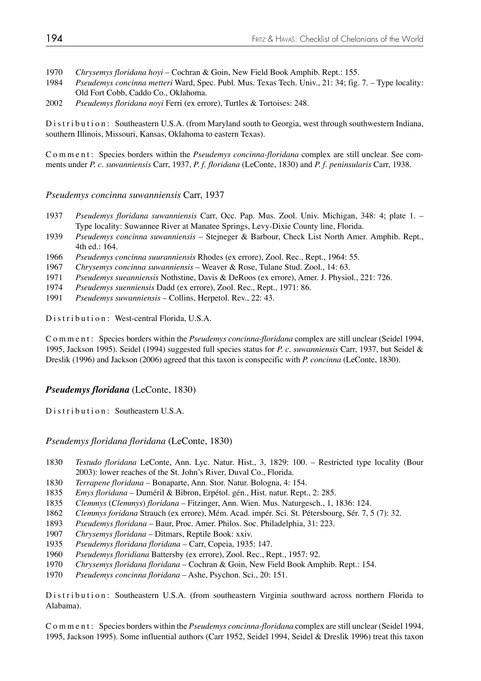1970 *Chrysemys floridana hoyi* – Cochran & Goin, New Field Book Amphib. Rept.: 155.

- 1984 *Pseudemys concinna metteri* Ward, Spec. Publ. Mus. Texas Tech. Univ., 21: 34; fig. 7. Type locality: Old Fort Cobb, Caddo Co., Oklahoma.
- 2002 *Pseudemys floridana noyi* Ferri (ex errore), Turtles & Tortoises: 248.

Distribution: Southeastern U.S.A. (from Maryland south to Georgia, west through southwestern Indiana, southern Illinois, Missouri, Kansas, Oklahoma to eastern Texas).

Comment: Species borders within the *Pseudemys concinna-floridana* complex are still unclear. See comments under *P. c. suwanniensis* Carr, 1937, *P. f. floridana* (LeConte, 1830) and *P. f. peninsularis* Carr, 1938.

#### *Pseudemys concinna suwanniensis* Carr, 1937

- 1937 *Pseudemys floridana suwanniensis* Carr, Occ. Pap. Mus. Zool. Univ. Michigan, 348: 4; plate 1. Type locality: Suwannee River at Manatee Springs, Levy-Dixie County line, Florida.
- 1939 *Pseudemys concinna suwanniensis* Stejneger & Barbour, Check List North Amer. Amphib. Rept., 4th ed.: 164.
- 1966 *Pseudemys concinna suuranniensis* Rhodes (ex errore), Zool. Rec., Rept., 1964: 55.
- 1967 *Chrysemys concinna suwanniensis* Weaver & Rose, Tulane Stud. Zool., 14: 63.
- 1971 *Pseudemys sueanniensis* Nothstine, Davis & DeRoos (ex errore), Amer. J. Physiol., 221: 726.
- 1974 *Pseudemys suenniensis* Dadd (ex errore), Zool. Rec., Rept., 1971: 86.
- 1991 *Pseudemys suwanniensis* Collins, Herpetol. Rev., 22: 43.

Distribution: West-central Florida, U.S.A.

Comment: Species borders within the *Pseudemys concinna-floridana* complex are still unclear (Seidel 1994, 1995, Jackson 1995). Seidel (1994) suggested full species status for *P. c. suwanniensis* Carr, 1937, but Seidel & Dreslik (1996) and Jackson (2006) agreed that this taxon is conspecific with *P. concinna* (LeConte, 1830).

#### *Pseudemys floridana* (LeConte, 1830)

Distribution: Southeastern U.S.A.

#### *Pseudemys floridana floridana* (LeConte, 1830)

- 1830 *Testudo floridana* LeConte, Ann. Lyc. Natur. Hist., 3, 1829: 100. Restricted type locality (Bour 2003): lower reaches of the St. John's River, Duval Co., Florida.<br>1830 *Terranene floridana* – Bonaparte, Ann. Stor, Natur, Bologna, 4:1
- 1830 *Terrapene floridana* Bonaparte, Ann. Stor. Natur. Bologna, 4: 154.
- 1835 *Emys floridana* Duméril & Bibron, Erpétol. gén., Hist. natur. Rept., 2: 285.
- 1835 *Clemmys* (*Clemmys*) *floridana* Fitzinger, Ann. Wien. Mus. Naturgesch., 1, 1836: 124.
- 1862 *Clemmys foridana* Strauch (ex errore), Mém. Acad. impér. Sci. St. Pétersbourg, Sér. 7, 5 (7): 32.
- 1893 *Pseudemys floridana* Baur, Proc. Amer. Philos. Soc. Philadelphia, 31: 223.
- 1907 *Chrysemys floridana* Ditmars, Reptile Book: xxiv.
- 1935 *Pseudemys floridana floridana* Carr, Copeia, 1935: 147.
- 1960 *Pseudemys floridiana* Battersby (ex errore), Zool. Rec., Rept., 1957: 92.
- 1970 *Chrysemys floridana floridana* Cochran & Goin, New Field Book Amphib. Rept.: 154.
- 1970 *Pseudemys concinna floridana* Ashe, Psychon. Sci., 20: 151.

Distribution: Southeastern U.S.A. (from southeastern Virginia southward across northern Florida to Alabama).

Comment: Species borders within the *Pseudemys concinna-floridana* complex are still unclear (Seidel 1994, 1995, Jackson 1995). Some influential authors (Carr 1952, Seidel 1994, Seidel & Dreslik 1996) treat this taxon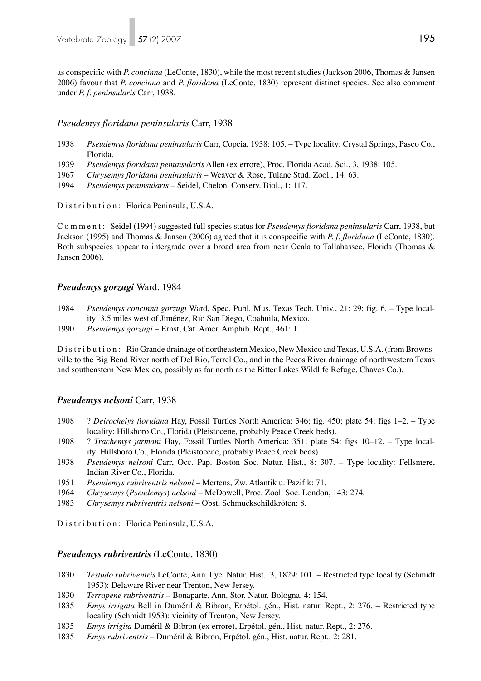as conspecific with *P. concinna* (LeConte, 1830), while the most recent studies (Jackson 2006, Thomas & Jansen 2006) favour that *P. concinna* and *P. floridana* (LeConte, 1830) represent distinct species. See also comment under *P. f. peninsularis* Carr, 1938.

#### *Pseudemys floridana peninsularis* Carr, 1938

- 1938 *Pseudemys floridana peninsularis* Carr, Copeia, 1938: 105. Type locality: Crystal Springs, Pasco Co., Florida.
- 1939 *Pseudemys floridana penunsularis* Allen (ex errore), Proc. Florida Acad. Sci., 3, 1938: 105.
- 1967 *Chrysemys floridana peninsularis* Weaver & Rose, Tulane Stud. Zool., 14: 63.
- 1994 *Pseudemys peninsularis* Seidel, Chelon. Conserv. Biol., 1: 117.

Distribution: Florida Peninsula, U.S.A.

Comment: Seidel (1994) suggested full species status for *Pseudemys floridana peninsularis* Carr, 1938, but Jackson (1995) and Thomas & Jansen (2006) agreed that it is conspecific with *P. f. floridana* (LeConte, 1830). Both subspecies appear to intergrade over a broad area from near Ocala to Tallahassee, Florida (Thomas & Jansen 2006).

#### *Pseudemys gorzugi* Ward, 1984

- 1984 *Pseudemys concinna gorzugi* Ward, Spec. Publ. Mus. Texas Tech. Univ., 21: 29; fig. 6. Type local ity: 3.5 miles west of Jiménez, Río San Diego, Coahuila, Mexico.
- 1990 *Pseudemys gorzugi* Ernst, Cat. Amer. Amphib. Rept., 461: 1.

Distribution: Rio Grande drainage of northeastern Mexico, New Mexico and Texas, U.S.A. (from Brownsville to the Big Bend River north of Del Rio, Terrel Co., and in the Pecos River drainage of northwestern Texas and southeastern New Mexico, possibly as far north as the Bitter Lakes Wildlife Refuge, Chaves Co.).

#### *Pseudemys nelsoni* Carr, 1938

- 1908 ? *Deirochelys floridana* Hay, Fossil Turtles North America: 346; fig. 450; plate 54: figs 1–2. Type locality: Hillsboro Co., Florida (Pleistocene, probably Peace Creek beds).
- 1908 ? *Trachemys jarmani* Hay, Fossil Turtles North America: 351; plate 54: figs 10–12. Type local ity: Hillsboro Co., Florida (Pleistocene, probably Peace Creek beds).
- 1938 *Pseudemys nelsoni* Carr, Occ. Pap. Boston Soc. Natur. Hist., 8: 307. Type locality: Fellsmere, Indian River Co., Florida.<br>1951 - *Pseudemys rubriventris ne*
- 1951 *Pseudemys rubriventris nelsoni* Mertens, Zw. Atlantik u. Pazifik: 71.
- 1964 *Chrysemys* (*Pseudemys*) *nelsoni* McDowell, Proc. Zool. Soc. London, 143: 274.
- 1983 *Chrysemys rubriventris nelsoni* Obst, Schmuckschildkröten: 8.

Distribution: Florida Peninsula, U.S.A.

#### *Pseudemys rubriventris* (LeConte, 1830)

- 1830 *Testudo rubriventris* LeConte, Ann. Lyc. Natur. Hist., 3, 1829: 101. Restricted type locality (Schmidt 1953): Delaware River near Trenton, New Jersey.
- 1830 *Terrapene rubriventris* Bonaparte, Ann. Stor. Natur. Bologna, 4: 154.
- 1835 *Emys irrigata* Bell in Duméril & Bibron, Erpétol. gén., Hist. natur. Rept., 2: 276. Restricted type locality (Schmidt 1953): vicinity of Trenton, New Jersey.
- 1835 *Emys irrigita* Duméril & Bibron (ex errore), Erpétol. gén., Hist. natur. Rept., 2: 276.
- 1835 *Emys rubriventris* Duméril & Bibron, Erpétol. gén., Hist. natur. Rept., 2: 281.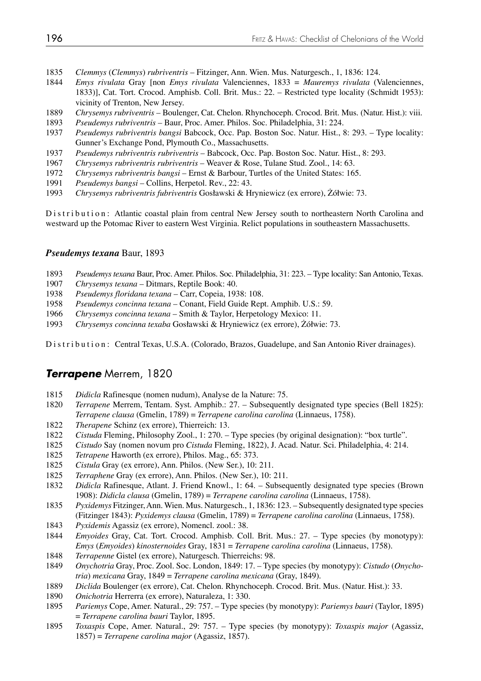- *Clemmys* (*Clemmys*) *rubriventris* Fitzinger, Ann. Wien. Mus. Naturgesch., 1, 1836: 124.
- *Emys rivulata* Gray [non *Emys rivulata* Valenciennes, 1833 = *Mauremys rivulata* (Valenciennes, 1833)], Cat. Tort. Crocod. Amphisb. Coll. Brit. Mus.: 22. – Restricted type locality (Schmidt 1953): vicinity of Trenton, New Jersey.
- *Chrysemys rubriventris* Boulenger, Cat. Chelon. Rhynchoceph. Crocod. Brit. Mus. (Natur. Hist.): viii.
- *Pseudemys rubriventris* Baur, Proc. Amer. Philos. Soc. Philadelphia, 31: 224.
- *Pseudemys rubriventris bangsi* Babcock, Occ. Pap. Boston Soc. Natur. Hist., 8: 293. Type locality: Gunner's Exchange Pond, Plymouth Co., Massachusetts.
- *Pseudemys rubriventris rubriventris* Babcock, Occ. Pap. Boston Soc. Natur. Hist., 8: 293.
- *Chrysemys rubriventris rubriventris* Weaver & Rose, Tulane Stud. Zool., 14: 63.
- *Chrysemys rubriventris bangsi* Ernst & Barbour, Turtles of the United States: 165.
- *Pseudemys bangsi* Collins, Herpetol. Rev., 22: 43.
- *Chrysemys rubriventris fubriventris* Gosławski & Hryniewicz (ex errore), Żółwie: 73.

Distribution: Atlantic coastal plain from central New Jersey south to northeastern North Carolina and westward up the Potomac River to eastern West Virginia. Relict populations in southeastern Massachusetts.

#### *Pseudemys texana* Baur, 1893

- *Pseudemys texana* Baur, Proc. Amer. Philos. Soc. Philadelphia, 31: 223. Type locality: San Antonio, Texas.
- *Chrysemys texana* Ditmars, Reptile Book: 40.
- *Pseudemys floridana texana* Carr, Copeia, 1938: 108.
- *Pseudemys concinna texana* Conant, Field Guide Rept. Amphib. U.S.: 59.
- *Chrysemys concinna texana* Smith & Taylor, Herpetology Mexico: 11.
- *Chrysemys concinna texaba* Gosławski & Hryniewicz (ex errore), Żółwie: 73.

Distribution: Central Texas, U.S.A. (Colorado, Brazos, Guadelupe, and San Antonio River drainages).

## *Terrapene* Merrem, 1820

- 1815 *Didicla* Rafinesque (nomen nudum), Analyse de la Nature: 75.<br>1820 *Terranene* Merrem Tentam Syst Amphib : 27 Subsequent
- *Terrapene* Merrem, Tentam. Syst. Amphib.: 27. Subsequently designated type species (Bell 1825): *Terrapene clausa* (Gmelin, 1789) = *Terrapene carolina carolina* (Linnaeus, 1758).
- *Therapene* Schinz (ex errore), Thierreich: 13.
- *Cistuda* Fleming, Philosophy Zool., 1: 270. Type species (by original designation): "box turtle".
- *Cistudo* Say (nomen novum pro *Cistuda* Fleming, 1822), J. Acad. Natur. Sci. Philadelphia, 4: 214.
- *Tetrapene* Haworth (ex errore), Philos. Mag., 65: 373.
- *Cistula* Gray (ex errore), Ann. Philos. (New Ser.), 10: 211.
- *Terraphene* Gray (ex errore), Ann. Philos. (New Ser.), 10: 211.
- *Didicla* Rafinesque, Atlant. J. Friend Knowl., 1: 64. Subsequently designated type species (Brown 1908): *Didicla clausa* (Gmelin, 1789) = *Terrapene carolina carolina* (Linnaeus, 1758).
- *Pyxidemys* Fitzinger, Ann. Wien. Mus. Naturgesch., 1, 1836: 123. Subsequently designated type species (Fitzinger 1843): *Pyxidemys clausa* (Gmelin, 1789) = *Terrapene carolina carolina* (Linnaeus, 1758).
- *Pyxidemis* Agassiz (ex errore), Nomencl. zool.: 38.
- *Emyoides* Gray, Cat. Tort. Crocod. Amphisb. Coll. Brit. Mus.: 27. Type species (by monotypy): *Emys* (*Emyoides*) *kinosternoides* Gray, 1831 = *Terrapene carolina carolina* (Linnaeus, 1758).
- *Terrapenne* Gistel (ex errore), Naturgesch. Thierreichs: 98.
- *Onychotria* Gray, Proc. Zool. Soc. London, 1849: 17. Type species (by monotypy): *Cistudo* (*Onycho tria*) *mexicana* Gray, 1849 = *Terrapene carolina mexicana* (Gray, 1849).
- *Diclida* Boulenger (ex errore), Cat. Chelon. Rhynchoceph. Crocod. Brit. Mus. (Natur. Hist.): 33.
- *Onichotria* Herrerra (ex errore), Naturaleza, 1: 330.
- *Pariemys* Cope, Amer. Natural., 29: 757. Type species (by monotypy): *Pariemys bauri* (Taylor, 1895) = *Terrapene carolina bauri* Taylor, 1895.
- *Toxaspis* Cope, Amer. Natural., 29: 757. Type species (by monotypy): *Toxaspis major* (Agassiz, 1857) = *Terrapene carolina major* (Agassiz, 1857).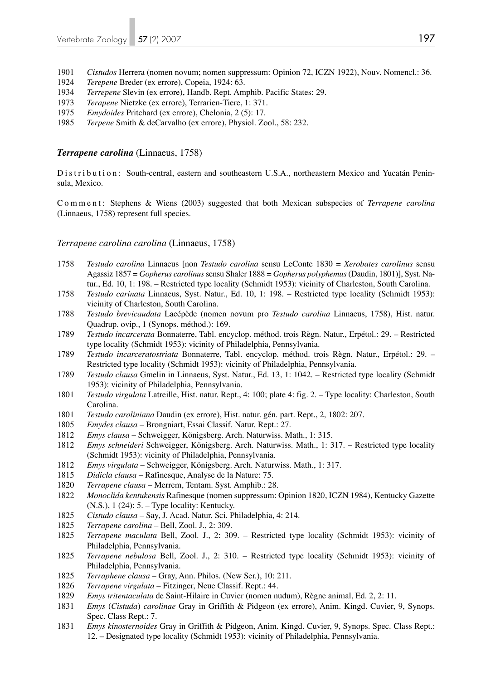- 1901 *Cistudos* Herrera (nomen novum; nomen suppressum: Opinion 72, ICZN 1922), Nouv. Nomencl.: 36.
- 1924 *Terepene* Breder (ex errore), Copeia, 1924: 63.
- 1934 *Terrepene* Slevin (ex errore), Handb. Rept. Amphib. Pacific States: 29.
- 1973 *Terapene* Nietzke (ex errore), Terrarien-Tiere, 1: 371.
- 1975 *Emydoides* Pritchard (ex errore), Chelonia, 2 (5): 17.
- 1985 *Terpene* Smith & deCarvalho (ex errore), Physiol. Zool., 58: 232.

#### *Terrapene carolina* (Linnaeus, 1758)

Distribution: South-central, eastern and southeastern U.S.A., northeastern Mexico and Yucatán Peninsula, Mexico.

Comment: Stephens & Wiens (2003) suggested that both Mexican subspecies of *Terrapene carolina* (Linnaeus, 1758) represent full species.

#### *Terrapene carolina carolina* (Linnaeus, 1758)

- 1758 *Testudo carolina* Linnaeus [non *Testudo carolina* sensu LeConte 1830 = *Xerobates carolinus* sensu Agassiz 1857 = *Gopherus carolinus* sensu Shaler 1888 = *Gopherus polyphemus* (Daudin, 1801)], Syst. Na tur., Ed. 10, 1: 198. – Restricted type locality (Schmidt 1953): vicinity of Charleston, South Carolina.
- 1758 *Testudo carinata* Linnaeus, Syst. Natur., Ed. 10, 1: 198. Restricted type locality (Schmidt 1953): vicinity of Charleston, South Carolina.
- 1788 *Testudo brevicaudata* Lacépède (nomen novum pro *Testudo carolina* Linnaeus, 1758), Hist. natur. Quadrup. ovip., 1 (Synops. méthod.): 169.
- 1789 *Testudo incarcerata* Bonnaterre, Tabl. encyclop. méthod. trois Règn. Natur., Erpétol.: 29. Restricted type locality (Schmidt 1953): vicinity of Philadelphia, Pennsylvania.
- 1789 *Testudo incarceratostriata* Bonnaterre, Tabl. encyclop. méthod. trois Règn. Natur., Erpétol.: 29. Restricted type locality (Schmidt 1953): vicinity of Philadelphia, Pennsylvania.
- 1789 *Testudo clausa* Gmelin in Linnaeus, Syst. Natur., Ed. 13, 1: 1042. Restricted type locality (Schmidt 1953): vicinity of Philadelphia, Pennsylvania.<br>1801 *Testudo virgulata* Latreille. Hist. natur. Rept..
- 1801 *Testudo virgulata* Latreille, Hist. natur. Rept., 4: 100; plate 4: fig. 2. Type locality: Charleston, South Carolina.
- 1801 *Testudo caroliniana* Daudin (ex errore), Hist. natur. gén. part. Rept., 2, 1802: 207.
- 1805 *Emydes clausa* Brongniart, Essai Classif. Natur. Rept.: 27.
- 1812 *Emys clausa* Schweigger, Königsberg. Arch. Naturwiss. Math., 1: 315.
- 1812 *Emys schneideri* Schweigger, Königsberg. Arch. Naturwiss. Math., 1: 317. Restricted type locality (Schmidt 1953): vicinity of Philadelphia, Pennsylvania.
- 1812 *Emys virgulata* Schweigger, Königsberg. Arch. Naturwiss. Math., 1: 317.
- 1815 *Didicla clausa* Rafinesque, Analyse de la Nature: 75.
- 1820 *Terrapene clausa* Merrem, Tentam. Syst. Amphib.: 28.
- 1822 *Monoclida kentukensis* Rafinesque (nomen suppressum: Opinion 1820, ICZN 1984), Kentucky Gazette (N.S.), 1 (24): 5. – Type locality: Kentucky.
- 1825 *Cistudo clausa* Say, J. Acad. Natur. Sci. Philadelphia, 4: 214.
- 1825 *Terrapene carolina* Bell, Zool. J., 2: 309.
- 1825 *Terrapene maculata* Bell, Zool. J., 2: 309. Restricted type locality (Schmidt 1953): vicinity of Philadelphia, Pennsylvania.
- 1825 *Terrapene nebulosa* Bell, Zool. J., 2: 310. Restricted type locality (Schmidt 1953): vicinity of Philadelphia, Pennsylvania.
- 1825 *Terraphene clausa* Gray, Ann. Philos. (New Ser.), 10: 211.
- 1826 *Terrapene virgulata* Fitzinger, Neue Classif. Rept.: 44.
- 1829 *Emys tritentaculata* de Saint-Hilaire in Cuvier (nomen nudum), Règne animal, Ed. 2, 2: 11.
- 1831 *Emys* (*Cistuda*) *carolinae* Gray in Griffith & Pidgeon (ex errore), Anim. Kingd. Cuvier, 9, Synops. Spec. Class Rept.: 7.
- 1831 *Emys kinosternoides* Gray in Griffith & Pidgeon, Anim. Kingd. Cuvier, 9, Synops. Spec. Class Rept.: 12. – Designated type locality (Schmidt 1953): vicinity of Philadelphia, Pennsylvania.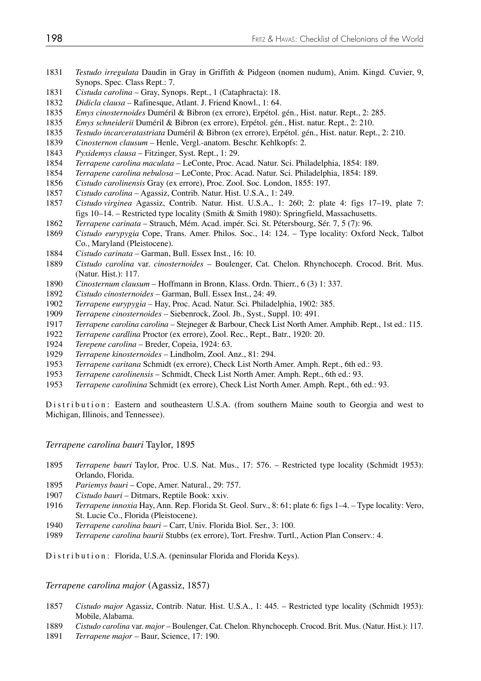- *Testudo irregulata* Daudin in Gray in Griffith & Pidgeon (nomen nudum), Anim. Kingd. Cuvier, 9, Synops. Spec. Class Rept.: 7.
- *Cistuda carolina* Gray, Synops. Rept., 1 (Cataphracta): 18.
- 1832 *Didicla clausa* Rafinesque, Atlant. J. Friend Knowl., 1: 64.<br>1835 *Emys cinosternoides* Duméril & Bibron (ex errore). Ernétol.
- *Emys cinosternoides* Duméril & Bibron (ex errore), Erpétol. gén., Hist. natur. Rept., 2: 285.
- *Emys schneiderii* Duméril & Bibron (ex errore), Erpétol. gén., Hist. natur. Rept., 2: 210.
- *Testudo incarceratastriata* Duméril & Bibron (ex errore), Erpétol. gén., Hist. natur. Rept., 2: 210.
- *Cinosternon clausum* Henle, Vergl.-anatom. Beschr. Kehlkopfs: 2.
- *Pyxidemys clausa* Fitzinger, Syst. Rept., 1: 29.
- *Terrapene carolina maculata* LeConte, Proc. Acad. Natur. Sci. Philadelphia, 1854: 189.
- *Terrapene carolina nebulosa*  LeConte, Proc. Acad. Natur. Sci. Philadelphia, 1854: 189.
- *Cistudo carolinensis* Gray (ex errore), Proc. Zool. Soc. London, 1855: 197.
- *Cistudo carolina* Agassiz, Contrib. Natur. Hist. U.S.A., 1: 249.
- *Cistudo virginea* Agassiz, Contrib. Natur. Hist. U.S.A., 1: 260; 2: plate 4: figs 17–19, plate 7: figs 10–14. – Restricted type locality (Smith & Smith 1980): Springfield, Massachusetts.
- *Terrapene carinata* Strauch, Mém. Acad. impér. Sci. St. Pétersbourg, Sér. 7, 5 (7): 96.
- *Cistudo eurypygia* Cope, Trans. Amer. Philos. Soc., 14: 124. Type locality: Oxford Neck, Talbot Co., Maryland (Pleistocene).
- *Cistudo carinata* Garman, Bull. Essex Inst., 16: 10.
- *Cistudo carolina* var. *cinosternoides* Boulenger, Cat. Chelon. Rhynchoceph. Crocod. Brit. Mus. (Natur. Hist.): 117.
- *Cinosternum clausum* Hoffmann in Bronn, Klass. Ordn. Thierr., 6 (3) 1: 337.
- *Cistudo cinosternoides* Garman, Bull. Essex Inst., 24: 49.
- *Terrapene eurypygia* Hay, Proc. Acad. Natur. Sci. Philadelphia, 1902: 385.
- *Terrapene cinosternoides* Siebenrock, Zool. Jb., Syst., Suppl. 10: 491.
- *Terrapene carolina carolina* Stejneger & Barbour, Check List North Amer. Amphib. Rept., 1st ed.: 115.
- *Terrapene cardlina* Proctor (ex errore), Zool. Rec., Rept., Batr., 1920: 20.
- *Terepene carolina* Breder, Copeia, 1924: 63.
- *Terrapene kinosternoides* Lindholm, Zool. Anz., 81: 294.
- *Terrapene caritana* Schmidt (ex errore), Check List North Amer. Amph. Rept., 6th ed.: 93.
- *Terrapene carolinensis* Schmidt, Check List North Amer. Amph. Rept., 6th ed.: 93.
- *Terrapene carolinina* Schmidt (ex errore), Check List North Amer. Amph. Rept., 6th ed.: 93.

Distribution: Eastern and southeastern U.S.A. (from southern Maine south to Georgia and west to Michigan, Illinois, and Tennessee).

*Terrapene carolina bauri* Taylor, 1895

- *Terrapene bauri* Taylor, Proc. U.S. Nat. Mus., 17: 576. Restricted type locality (Schmidt 1953): Orlando, Florida.
- *Pariemys bauri* Cope, Amer. Natural., 29: 757.
- *Cistudo bauri* Ditmars, Reptile Book: xxiv.
- *Terrapene innoxia* Hay, Ann. Rep. Florida St. Geol. Surv., 8: 61; plate 6: figs 1–4. Type locality: Vero, St. Lucie Co., Florida (Pleistocene).
- *Terrapene carolina bauri* Carr, Univ. Florida Biol. Ser., 3: 100.
- *Terrapene carolina baurii* Stubbs (ex errore), Tort. Freshw. Turtl., Action Plan Conserv.: 4.

Distribution: Florida, U.S.A. (peninsular Florida and Florida Keys).

*Terrapene carolina major* (Agassiz, 1857)

- *Cistudo major* Agassiz, Contrib. Natur. Hist. U.S.A., 1: 445. Restricted type locality (Schmidt 1953): Mobile, Alabama.
- *Cistudo carolina* var. *major* Boulenger, Cat. Chelon. Rhynchoceph. Crocod. Brit. Mus. (Natur. Hist.): 117.
- *Terrapene major* Baur, Science, 17: 190.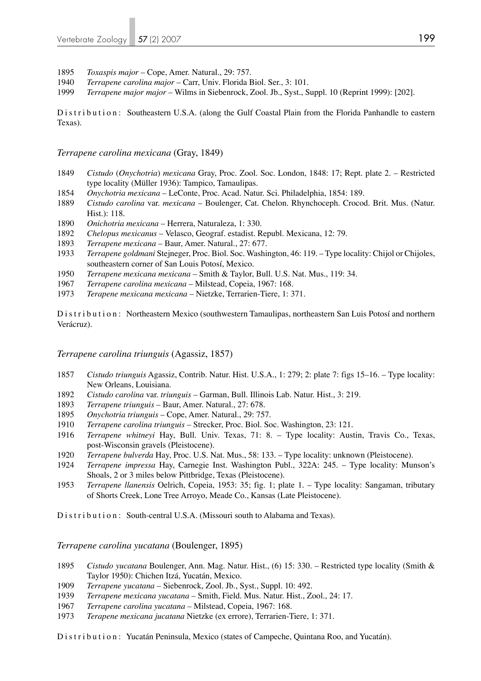1895 *Toxaspis major* – Cope, Amer. Natural., 29: 757.

- 1940 *Terrapene carolina major* Carr, Univ. Florida Biol. Ser., 3: 101.
- 1999 *Terrapene major major* Wilms in Siebenrock, Zool. Jb., Syst., Suppl. 10 (Reprint 1999): [202].

Distribution: Southeastern U.S.A. (along the Gulf Coastal Plain from the Florida Panhandle to eastern Texas).

*Terrapene carolina mexicana* (Gray, 1849)

- 1849 *Cistudo* (*Onychotria*) *mexicana* Gray, Proc. Zool. Soc. London, 1848: 17; Rept. plate 2. Restricted type locality (Müller 1936): Tampico, Tamaulipas.
- 1854 *Onychotria mexicana* LeConte, Proc. Acad. Natur. Sci. Philadelphia, 1854: 189.
- 1889 *Cistudo carolina* var. *mexicana* Boulenger, Cat. Chelon. Rhynchoceph. Crocod. Brit. Mus. (Natur. Hist.): 118.
- 1890 *Onichotria mexicana* Herrera, Naturaleza, 1: 330.
- 1892 *Chelopus mexicanus* Velasco, Geograf. estadist. Republ. Mexicana, 12: 79.
- 1893 *Terrapene mexicana* Baur, Amer. Natural., 27: 677.
- 1933 *Terrapene goldmani* Stejneger, Proc. Biol. Soc. Washington, 46: 119. Type locality: Chijol or Chijoles, southeastern corner of San Louis Potosí, Mexico.
- 1950 *Terrapene mexicana mexicana* Smith & Taylor, Bull. U.S. Nat. Mus., 119: 34.
- 1967 *Terrapene carolina mexicana* Milstead, Copeia, 1967: 168.
- 1973 *Terapene mexicana mexicana* Nietzke, Terrarien-Tiere, 1: 371.

Distribution: Northeastern Mexico (southwestern Tamaulipas, northeastern San Luis Potosí and northern Verácruz).

#### *Terrapene carolina triunguis* (Agassiz, 1857)

- 1857 *Cistudo triunguis* Agassiz, Contrib. Natur. Hist. U.S.A., 1: 279; 2: plate 7: figs 15–16. Type locality: New Orleans, Louisiana.
- 1892 *Cistudo carolina* var. *triunguis* Garman, Bull. Illinois Lab. Natur. Hist., 3: 219.
- 1893 *Terrapene triunguis* Baur, Amer. Natural., 27: 678.
- 1895 *Onychotria triunguis* Cope, Amer. Natural., 29: 757.
- 1910 *Terrapene carolina triunguis* Strecker, Proc. Biol. Soc. Washington, 23: 121.
- 1916 *Terrapene whitneyi* Hay, Bull. Univ. Texas, 71: 8. Type locality: Austin, Travis Co., Texas, post-Wisconsin gravels (Pleistocene).
- 1920 *Terrapene bulverda* Hay, Proc. U.S. Nat. Mus., 58: 133. Type locality: unknown (Pleistocene).
- 1924 *Terrapene impressa* Hay, Carnegie Inst. Washington Publ., 322A: 245. Type locality: Munson's Shoals, 2 or 3 miles below Pittbridge, Texas (Pleistocene).
- 1953 *Terrapene llanensis* Oelrich, Copeia, 1953: 35; fig. 1; plate 1. Type locality: Sangaman, tributary of Shorts Creek, Lone Tree Arroyo, Meade Co., Kansas (Late Pleistocene).

Distribution: South-central U.S.A. (Missouri south to Alabama and Texas).

*Terrapene carolina yucatana* (Boulenger, 1895)

- 1895 *Cistudo yucatana* Boulenger, Ann. Mag. Natur. Hist., (6) 15: 330. Restricted type locality (Smith & Taylor 1950): Chichen Itzá, Yucatán, Mexico.
- 1909 *Terrapene yucatana* Siebenrock, Zool. Jb., Syst., Suppl. 10: 492.
- 1939 *Terrapene mexicana yucatana* Smith, Field. Mus. Natur. Hist., Zool., 24: 17.
- 1967 *Terrapene carolina yucatana* Milstead, Copeia, 1967: 168.
- 1973 *Terapene mexicana jucatana* Nietzke (ex errore), Terrarien-Tiere, 1: 371.

Distribution: Yucatán Peninsula, Mexico (states of Campeche, Quintana Roo, and Yucatán).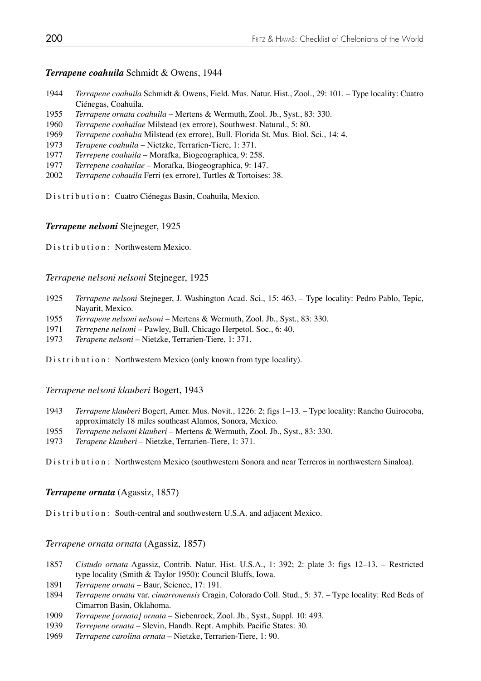#### *Terrapene coahuila* Schmidt & Owens, 1944

- 1944 *Terrapene coahuila* Schmidt & Owens, Field. Mus. Natur. Hist., Zool., 29: 101. Type locality: Cuatro Ciénegas, Coahuila.
- 1955 *Terrapene ornata coahuila* Mertens & Wermuth, Zool. Jb., Syst., 83: 330.
- 1960 *Terrapene coahuilae* Milstead (ex errore), Southwest. Natural., 5: 80.
- 1969 *Terrapene coahulia* Milstead (ex errore), Bull. Florida St. Mus. Biol. Sci., 14: 4.
- 1973 *Terapene coahuila* Nietzke, Terrarien-Tiere, 1: 371.
- 1977 *Terrepene coahuila* Morafka, Biogeographica, 9: 258.
- 1977 *Terrepene coahuilae* Morafka, Biogeographica, 9: 147.
- 2002 *Terrapene cohauila* Ferri (ex errore), Turtles & Tortoises: 38.

Distribution: Cuatro Ciénegas Basin, Coahuila, Mexico.

#### *Terrapene nelsoni* Stejneger, 1925

Distribution: Northwestern Mexico.

#### *Terrapene nelsoni nelsoni* Stejneger, 1925

- 1925 *Terrapene nelsoni* Stejneger, J. Washington Acad. Sci., 15: 463. Type locality: Pedro Pablo, Tepic, Nayarit, Mexico.
- 1955 *Terrapene nelsoni nelsoni* Mertens & Wermuth, Zool. Jb., Syst., 83: 330.
- 1971 *Terrepene nelsoni* Pawley, Bull. Chicago Herpetol. Soc., 6: 40.
- 1973 *Terapene nelsoni* Nietzke, Terrarien-Tiere, 1: 371.

Distribution: Northwestern Mexico (only known from type locality).

#### *Terrapene nelsoni klauberi* Bogert, 1943

- 1943 *Terrapene klauberi* Bogert, Amer. Mus. Novit., 1226: 2; figs 1–13. Type locality: Rancho Guirocoba, approximately 18 miles southeast Alamos, Sonora, Mexico.
- 1955 *Terrapene nelsoni klauberi* Mertens & Wermuth, Zool. Jb., Syst., 83: 330.
- 1973 *Terapene klauberi* Nietzke, Terrarien-Tiere, 1: 371.

Distribution: Northwestern Mexico (southwestern Sonora and near Terreros in northwestern Sinaloa).

#### *Terrapene ornata* (Agassiz, 1857)

Distribution: South-central and southwestern U.S.A. and adjacent Mexico.

#### *Terrapene ornata ornata* (Agassiz, 1857)

- 1857 *Cistudo ornata* Agassiz, Contrib. Natur. Hist. U.S.A., 1: 392; 2: plate 3: figs 12–13. Restricted type locality (Smith & Taylor 1950): Council Bluffs, Iowa.
- 1891 *Terrapene ornata* Baur, Science, 17: 191.
- 1894 *Terrapene ornata* var. *cimarronensis* Cragin, Colorado Coll. Stud., 5: 37. Type locality: Red Beds of Cimarron Basin, Oklahoma.
- 1909 *Terrapene [ornata] ornata* Siebenrock, Zool. Jb., Syst., Suppl. 10: 493.
- 1939 *Terrepene ornata* Slevin, Handb. Rept. Amphib. Pacific States: 30.
- 1969 *Terrapene carolina ornata* Nietzke, Terrarien-Tiere, 1: 90.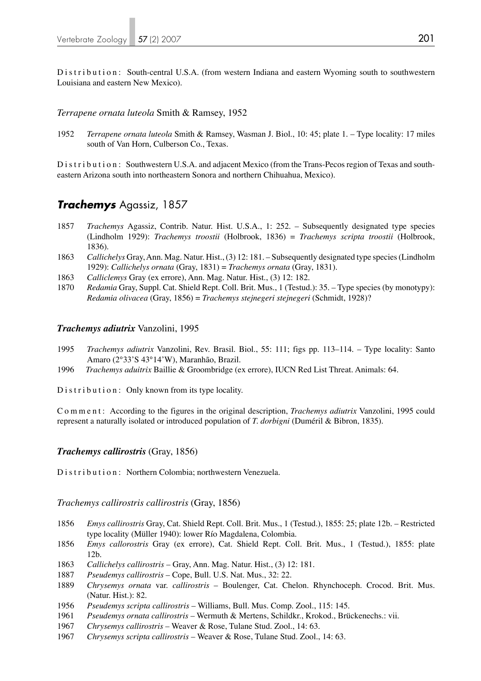Distribution: South-central U.S.A. (from western Indiana and eastern Wyoming south to southwestern Louisiana and eastern New Mexico).

#### *Terrapene ornata luteola* Smith & Ramsey, 1952

1952 *Terrapene ornata luteola* Smith & Ramsey, Wasman J. Biol., 10: 45; plate 1. – Type locality: 17 miles south of Van Horn, Culberson Co., Texas.

Distribution: Southwestern U.S.A. and adjacent Mexico (from the Trans-Pecos region of Texas and southeastern Arizona south into northeastern Sonora and northern Chihuahua, Mexico).

## *Trachemys* Agassiz, 1857

- 1857 *Trachemys* Agassiz, Contrib. Natur. Hist. U.S.A., 1: 252. Subsequently designated type species (Lindholm 1929): *Trachemys troostii* (Holbrook, 1836) = *Trachemys scripta troostii* (Holbrook, 1836).
- 1863 *Callichelys* Gray, Ann. Mag. Natur. Hist., (3) 12: 181. Subsequently designated type species (Lindholm 1929): *Callichelys ornata* (Gray, 1831) = *Trachemys ornata* (Gray, 1831).
- 1863 *Calliclemys* Gray (ex errore), Ann. Mag. Natur. Hist., (3) 12: 182.
- 1870 *Redamia* Gray, Suppl. Cat. Shield Rept. Coll. Brit. Mus., 1 (Testud.): 35. Type species (by monotypy): *Redamia olivacea* (Gray, 1856) = *Trachemys stejnegeri stejnegeri* (Schmidt, 1928)?

#### *Trachemys adiutrix* Vanzolini, 1995

- 1995 *Trachemys adiutrix* Vanzolini, Rev. Brasil. Biol., 55: 111; figs pp. 113–114. Type locality: Santo Amaro (2°33'S 43°14'W), Maranhão, Brazil.
- 1996 *Trachemys aduitrix* Baillie & Groombridge (ex errore), IUCN Red List Threat. Animals: 64.

Distribution: Only known from its type locality.

Comment: According to the figures in the original description, *Trachemys adiutrix* Vanzolini, 1995 could represent a naturally isolated or introduced population of *T. dorbigni* (Duméril & Bibron, 1835).

#### *Trachemys callirostris* (Gray, 1856)

Distribution: Northern Colombia; northwestern Venezuela.

#### *Trachemys callirostris callirostris* (Gray, 1856)

- 1856 *Emys callirostris* Gray, Cat. Shield Rept. Coll. Brit. Mus., 1 (Testud.), 1855: 25; plate 12b. Restricted type locality (Müller 1940): lower Río Magdalena, Colombia.
- 1856 *Emys callorostris* Gray (ex errore), Cat. Shield Rept. Coll. Brit. Mus., 1 (Testud.), 1855: plate 12b.
- 1863 *Callichelys callirostris* Gray, Ann. Mag. Natur. Hist., (3) 12: 181.
- 1887 *Pseudemys callirostris* Cope, Bull. U.S. Nat. Mus., 32: 22.
- 1889 *Chrysemys ornata* var. *callirostris* Boulenger, Cat. Chelon. Rhynchoceph. Crocod. Brit. Mus. (Natur. Hist.): 82.
- 1956 *Pseudemys scripta callirostris* Williams, Bull. Mus. Comp. Zool., 115: 145.
- 1961 *Pseudemys ornata callirostris* Wermuth & Mertens, Schildkr., Krokod., Brückenechs.: vii.
- 1967 *Chrysemys callirostris* Weaver & Rose, Tulane Stud. Zool., 14: 63.
- 1967 *Chrysemys scripta callirostris* Weaver & Rose, Tulane Stud. Zool., 14: 63.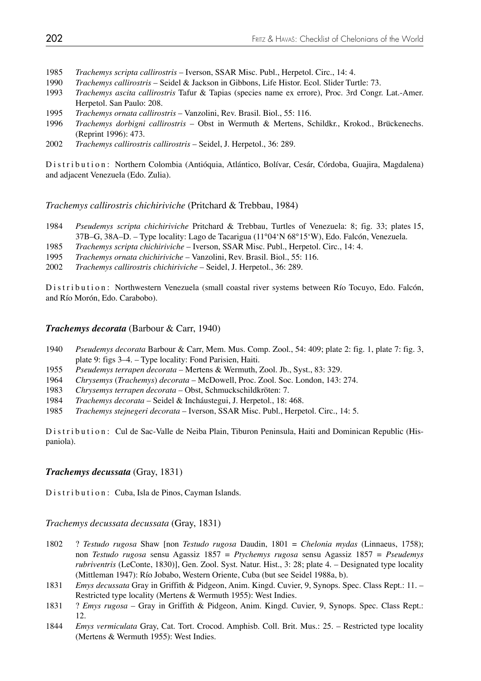- 1985 *Trachemys scripta callirostris* Iverson, SSAR Misc. Publ., Herpetol. Circ., 14: 4.
- 1990 *Trachemys callirostris* Seidel & Jackson in Gibbons, Life Histor. Ecol. Slider Turtle: 73.
- 1993 *Trachemys ascita callirostris* Tafur & Tapias (species name ex errore), Proc. 3rd Congr. Lat.-Amer. Herpetol. San Paulo: 208.
- 1995 *Trachemys ornata callirostris* Vanzolini, Rev. Brasil. Biol., 55: 116.
- 1996 *Trachemys dorbigni callirostris* Obst in Wermuth & Mertens, Schildkr., Krokod., Brückenechs. (Reprint 1996): 473.
- 2002 *Trachemys callirostris callirostris* Seidel, J. Herpetol., 36: 289.

Distribution: Northern Colombia (Antióquia, Atlántico, Bolívar, Cesár, Córdoba, Guajira, Magdalena) and adjacent Venezuela (Edo. Zulia).

*Trachemys callirostris chichiriviche* (Pritchard & Trebbau, 1984)

- 1984 *Pseudemys scripta chichiriviche* Pritchard & Trebbau, Turtles of Venezuela: 8; fig. 33; plates 15, 37B–G, 38A–D. – Type locality: Lago de Tacarigua (11°04'N 68°15'W), Edo. Falcón, Venezuela.
- 1985 *Trachemys scripta chichiriviche* Iverson, SSAR Misc. Publ., Herpetol. Circ., 14: 4.
- 1995 *Trachemys ornata chichiriviche* Vanzolini, Rev. Brasil. Biol., 55: 116.
- 2002 *Trachemys callirostris chichiriviche* Seidel, J. Herpetol., 36: 289.

Distribution: Northwestern Venezuela (small coastal river systems between Río Tocuyo, Edo. Falcón, and Río Morón, Edo. Carabobo).

#### *Trachemys decorata* (Barbour & Carr, 1940)

- 1940 *Pseudemys decorata* Barbour & Carr, Mem. Mus. Comp. Zool., 54: 409; plate 2: fig. 1, plate 7: fig. 3, plate 9: figs 3–4. – Type locality: Fond Parisien, Haiti.
- 1955 *Pseudemys terrapen decorata* Mertens & Wermuth, Zool. Jb., Syst., 83: 329.
- 1964 *Chrysemys* (*Trachemys*) *decorata* McDowell, Proc. Zool. Soc. London, 143: 274.
- 1983 *Chrysemys terrapen decorata* Obst, Schmuckschildkröten: 7.
- 1984 *Trachemys decorata* Seidel & Incháustegui, J. Herpetol., 18: 468.
- 1985 *Trachemys stejnegeri decorata* Iverson, SSAR Misc. Publ., Herpetol. Circ., 14: 5.

Distribution: Cul de Sac-Valle de Neiba Plain, Tiburon Peninsula, Haiti and Dominican Republic (Hispaniola).

#### *Trachemys decussata* (Gray, 1831)

Distribution: Cuba, Isla de Pinos, Cayman Islands.

*Trachemys decussata decussata* (Gray, 1831)

- 1802 ? *Testudo rugosa* Shaw [non *Testudo rugosa* Daudin, 1801 = *Chelonia mydas* (Linnaeus, 1758); non *Testudo rugosa* sensu Agassiz 1857 = *Ptychemys rugosa* sensu Agassiz 1857 = *Pseudemys rubriventris* (LeConte, 1830)], Gen. Zool. Syst. Natur. Hist., 3: 28; plate 4. – Designated type locality (Mittleman 1947): Río Jobabo, Western Oriente, Cuba (but see Seidel 1988a, b).
- 1831 *Emys decussata* Gray in Griffith & Pidgeon, Anim. Kingd. Cuvier, 9, Synops. Spec. Class Rept.: 11. Restricted type locality (Mertens & Wermuth 1955): West Indies.
- 1831 ? *Emys rugosa* Gray in Griffith & Pidgeon, Anim. Kingd. Cuvier, 9, Synops. Spec. Class Rept.: 12.
- 1844 *Emys vermiculata* Gray, Cat. Tort. Crocod. Amphisb. Coll. Brit. Mus.: 25. Restricted type locality (Mertens & Wermuth 1955): West Indies.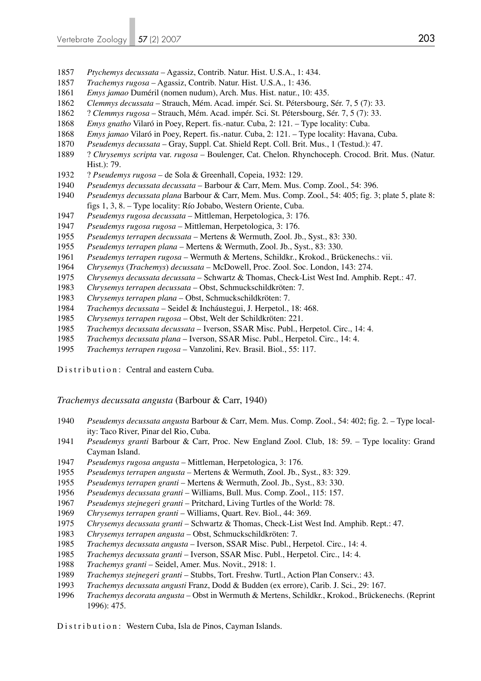- *Ptychemys decussata* Agassiz, Contrib. Natur. Hist. U.S.A., 1: 434.
- *Trachemys rugosa* Agassiz, Contrib. Natur. Hist. U.S.A., 1: 436.
- *Emys jamao* Duméril (nomen nudum), Arch. Mus. Hist. natur., 10: 435.
- *Clemmys decussata* Strauch, Mém. Acad. impér. Sci. St. Pétersbourg, Sér. 7, 5 (7): 33.
- 1862 ? *Clemmys rugosa* Strauch, Mém. Acad. impér. Sci. St. Pétersbourg, Sér. 7, 5 (7): 33.
- *Emys gnatho* Vilaró in Poey, Repert. fis.-natur. Cuba, 2: 121. Type locality: Cuba.
- *Emys jamao* Vilaró in Poey, Repert. fis.-natur. Cuba, 2: 121. Type locality: Havana, Cuba.
- *Pseudemys decussata* Gray, Suppl. Cat. Shield Rept. Coll. Brit. Mus., 1 (Testud.): 47.
- 1889 ? *Chrysemys scripta* var. *rugosa* Boulenger, Cat. Chelon. Rhynchoceph. Crocod. Brit. Mus. (Natur. Hist.): 79.
- 1932 ? *Pseudemys rugosa* de Sola & Greenhall, Copeia, 1932: 129.
- *Pseudemys decussata decussata* Barbour & Carr, Mem. Mus. Comp. Zool., 54: 396.
- *Pseudemys decussata plana* Barbour & Carr, Mem. Mus. Comp. Zool., 54: 405; fig. 3; plate 5, plate 8: figs 1, 3, 8. – Type locality: Río Jobabo, Western Oriente, Cuba.
- *Pseudemys rugosa decussata* Mittleman, Herpetologica, 3: 176.
- *Pseudemys rugosa rugosa* Mittleman, Herpetologica, 3: 176.
- *Pseudemys terrapen decussata* Mertens & Wermuth, Zool. Jb., Syst., 83: 330.
- *Pseudemys terrapen plana* Mertens & Wermuth, Zool. Jb., Syst., 83: 330.
- *Pseudemys terrapen rugosa* Wermuth & Mertens, Schildkr., Krokod., Brückenechs.: vii.
- *Chrysemys* (*Trachemys*) *decussata* McDowell, Proc. Zool. Soc. London, 143: 274.
- *Chrysemys decussata decussata* Schwartz & Thomas, Check-List West Ind. Amphib. Rept.: 47.
- *Chrysemys terrapen decussata* Obst, Schmuckschildkröten: 7.
- *Chrysemys terrapen plana* Obst, Schmuckschildkröten: 7.
- *Trachemys decussata* Seidel & Incháustegui, J. Herpetol., 18: 468.
- *Chrysemys terrapen rugosa* Obst, Welt der Schildkröten: 221.
- *Trachemys decussata decussata* Iverson, SSAR Misc. Publ., Herpetol. Circ., 14: 4.
- *Trachemys decussata plana* Iverson, SSAR Misc. Publ., Herpetol. Circ., 14: 4.
- *Trachemys terrapen rugosa* Vanzolini, Rev. Brasil. Biol., 55: 117.

Distribution: Central and eastern Cuba.

*Trachemys decussata angusta* (Barbour & Carr, 1940)

- *Pseudemys decussata angusta* Barbour & Carr, Mem. Mus. Comp. Zool., 54: 402; fig. 2. Type local ity: Taco River, Pinar del Rio, Cuba.
- *Pseudemys granti* Barbour & Carr, Proc. New England Zool. Club, 18: 59. Type locality: Grand Cayman Island.
- *Pseudemys rugosa angusta* Mittleman, Herpetologica, 3: 176.
- *Pseudemys terrapen angusta* Mertens & Wermuth, Zool. Jb., Syst., 83: 329.
- *Pseudemys terrapen granti* Mertens & Wermuth, Zool. Jb., Syst., 83: 330.
- *Pseudemys decussata granti* Williams, Bull. Mus. Comp. Zool., 115: 157.
- *Pseudemys stejnegeri granti* Pritchard, Living Turtles of the World: 78.
- *Chrysemys terrapen granti* Williams, Quart. Rev. Biol., 44: 369.
- *Chrysemys decussata granti* Schwartz & Thomas, Check-List West Ind. Amphib. Rept.: 47.
- *Chrysemys terrapen angusta* Obst, Schmuckschildkröten: 7.
- *Trachemys decussata angusta* Iverson, SSAR Misc. Publ., Herpetol. Circ., 14: 4.
- *Trachemys decussata granti* Iverson, SSAR Misc. Publ., Herpetol. Circ., 14: 4.
- *Trachemys granti* Seidel, Amer. Mus. Novit., 2918: 1.
- *Trachemys stejnegeri granti* Stubbs, Tort. Freshw. Turtl., Action Plan Conserv.: 43.
- *Trachemys decussata angusti* Franz, Dodd & Budden (ex errore), Carib. J. Sci., 29: 167.
- *Trachemys decorata angusta* Obst in Wermuth & Mertens, Schildkr., Krokod., Brückenechs. (Reprint 1996): 475.

Distribution: Western Cuba, Isla de Pinos, Cayman Islands.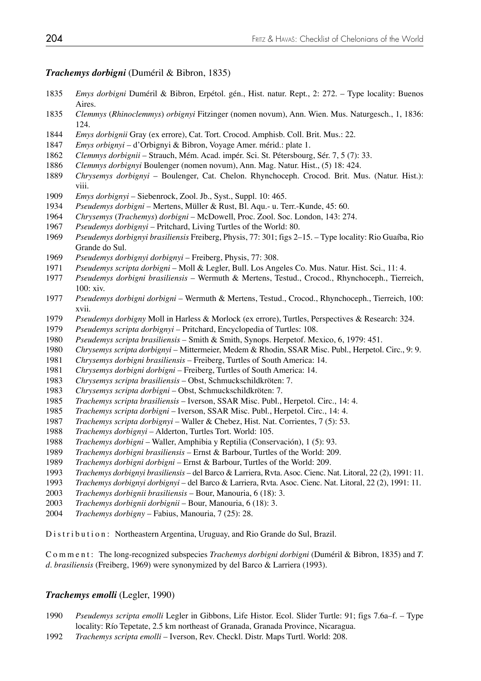## *Trachemys dorbigni* (Duméril & Bibron, 1835)

- *Emys dorbigni* Duméril & Bibron, Erpétol. gén., Hist. natur. Rept., 2: 272. Type locality: Buenos Aires.
- *Clemmys* (*Rhinoclemmys*) *orbignyi* Fitzinger (nomen novum), Ann. Wien. Mus. Naturgesch., 1, 1836: 124.
- *Emys dorbignii* Gray (ex errore), Cat. Tort. Crocod. Amphisb. Coll. Brit. Mus.: 22.
- *Emys orbignyi* d'Orbignyi & Bibron, Voyage Amer. mérid.: plate 1.
- *Clemmys dorbignii* Strauch, Mém. Acad. impér. Sci. St. Pétersbourg, Sér. 7, 5 (7): 33.
- *Clemmys dorbignyi* Boulenger (nomen novum), Ann. Mag. Natur. Hist., (5) 18: 424.
- *Chrysemys dorbignyi* Boulenger, Cat. Chelon. Rhynchoceph. Crocod. Brit. Mus. (Natur. Hist.): viii.
- *Emys dorbignyi* Siebenrock, Zool. Jb., Syst., Suppl. 10: 465.
- *Pseudemys dorbigni* Mertens, Müller & Rust, Bl. Aqu.- u. Terr.-Kunde, 45: 60.
- *Chrysemys* (*Trachemys*) *dorbigni* McDowell, Proc. Zool. Soc. London, 143: 274.
- *Pseudemys dorbignyi*  Pritchard, Living Turtles of the World: 80.
- *Pseudemys dorbignyi brasiliensis* Freiberg, Physis, 77: 301; figs 2–15. Type locality: Rio Guaíba, Rio Grande do Sul.
- *Pseudemys dorbignyi dorbignyi* Freiberg, Physis, 77: 308.
- *Pseudemys scripta dorbigni* Moll & Legler, Bull. Los Angeles Co. Mus. Natur. Hist. Sci., 11: 4.
- *Pseudemys dorbigni brasiliensis* Wermuth & Mertens, Testud., Crocod., Rhynchoceph., Tierreich, 100: xiv.
- *Pseudemys dorbigni dorbigni* Wermuth & Mertens, Testud., Crocod., Rhynchoceph., Tierreich, 100: xvii.
- *Pseudemys dorbigny* Moll in Harless & Morlock (ex errore), Turtles, Perspectives & Research: 324.
- *Pseudemys scripta dorbignyi* Pritchard, Encyclopedia of Turtles: 108.
- *Pseudemys scripta brasiliensis* Smith & Smith, Synops. Herpetof. Mexico, 6, 1979: 451.
- *Chrysemys scripta dorbignyi*  Mittermeier, Medem & Rhodin, SSAR Misc. Publ., Herpetol. Circ., 9: 9.
- *Chrysemys dorbigni brasiliensis* Freiberg, Turtles of South America: 14.
- *Chrysemys dorbigni dorbigni* Freiberg, Turtles of South America: 14.
- *Chrysemys scripta brasiliensis* Obst, Schmuckschildkröten: 7.
- *Chrysemys scripta dorbigni* Obst, Schmuckschildkröten: 7.
- *Trachemys scripta brasiliensis* Iverson, SSAR Misc. Publ., Herpetol. Circ., 14: 4.
- *Trachemys scripta dorbigni* Iverson, SSAR Misc. Publ., Herpetol. Circ., 14: 4.
- *Trachemys scripta dorbignyi* Waller & Chebez, Hist. Nat. Corrientes, 7 (5): 53.
- *Trachemys dorbignyi* Alderton, Turtles Tort. World: 105.
- *Trachemys dorbigni* Waller, Amphibia y Reptilia (Conservación), 1 (5): 93.
- *Trachemys dorbigni brasiliensis* Ernst & Barbour, Turtles of the World: 209.
- *Trachemys dorbigni dorbigni* Ernst & Barbour, Turtles of the World: 209.
- *Trachemys dorbignyi brasiliensis* del Barco & Larriera, Rvta. Asoc. Cienc. Nat. Litoral, 22 (2), 1991: 11.
- *Trachemys dorbignyi dorbignyi*  del Barco & Larriera, Rvta. Asoc. Cienc. Nat. Litoral, 22 (2), 1991: 11.
- *Trachemys dorbignii brasiliensis* Bour, Manouria, 6 (18): 3.
- *Trachemys dorbignii dorbignii*  Bour, Manouria, 6 (18): 3.
- *Trachemys dorbigny* Fabius, Manouria, 7 (25): 28.

Distribution: Northeastern Argentina, Uruguay, and Rio Grande do Sul, Brazil.

Comment: The long-recognized subspecies *Trachemys dorbigni dorbigni* (Duméril & Bibron, 1835) and *T. d. brasiliensis* (Freiberg, 1969) were synonymized by del Barco & Larriera (1993).

#### *Trachemys emolli* (Legler, 1990)

- *Pseudemys scripta emolli* Legler in Gibbons, Life Histor. Ecol. Slider Turtle: 91; figs 7.6a–f. Type locality: Río Tepetate, 2.5 km northeast of Granada, Granada Province, Nicaragua.
- *Trachemys scripta emolli* Iverson, Rev. Checkl. Distr. Maps Turtl. World: 208.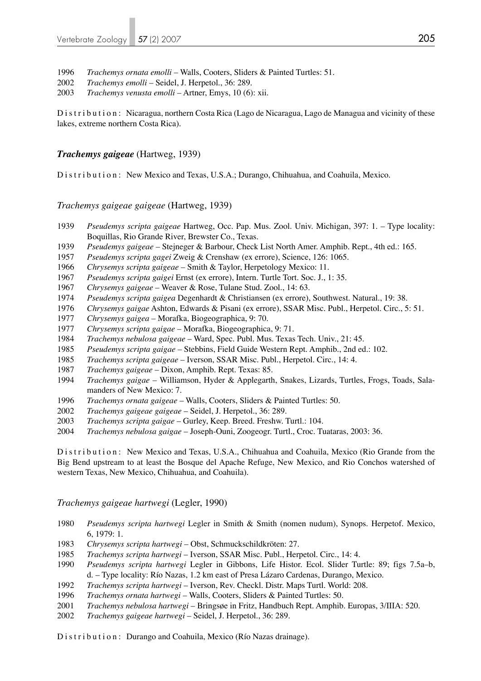- *Trachemys ornata emolli* Walls, Cooters, Sliders & Painted Turtles: 51.
- *Trachemys emolli* Seidel, J. Herpetol., 36: 289.
- *Trachemys venusta emolli* Artner, Emys, 10 (6): xii.

Distribution: Nicaragua, northern Costa Rica (Lago de Nicaragua, Lago de Managua and vicinity of these lakes, extreme northern Costa Rica).

#### *Trachemys gaigeae* (Hartweg, 1939)

Distribution: New Mexico and Texas, U.S.A.; Durango, Chihuahua, and Coahuila, Mexico.

#### *Trachemys gaigeae gaigeae* (Hartweg, 1939)

- *Pseudemys scripta gaigeae* Hartweg, Occ. Pap. Mus. Zool. Univ. Michigan, 397: 1. Type locality: Boquillas, Rio Grande River, Brewster Co., Texas.<br>1939 *Pseudemys gaigeae* – Steineger & Barbour. Check
- *Pseudemys gaigeae* Stejneger & Barbour, Check List North Amer. Amphib. Rept., 4th ed.: 165.
- *Pseudemys scripta gagei* Zweig & Crenshaw (ex errore), Science, 126: 1065.
- *Chrysemys scripta gaigeae* Smith & Taylor, Herpetology Mexico: 11.
- *Pseudemys scripta gaigei* Ernst (ex errore), Intern. Turtle Tort. Soc. J., 1: 35.
- *Chrysemys gaigeae*  Weaver & Rose, Tulane Stud. Zool., 14: 63.
- *Pseudemys scripta gaigea* Degenhardt & Christiansen (ex errore), Southwest. Natural., 19: 38.
- *Chrysemys gaigae* Ashton, Edwards & Pisani (ex errore), SSAR Misc. Publ., Herpetol. Circ., 5: 51.
- *Chrysemys gaigea* Morafka, Biogeographica, 9: 70.
- *Chrysemys scripta gaigae* Morafka, Biogeographica, 9: 71.
- *Trachemys nebulosa gaigeae* Ward, Spec. Publ. Mus. Texas Tech. Univ., 21: 45.
- *Pseudemys scripta gaigae* Stebbins, Field Guide Western Rept. Amphib., 2nd ed.: 102.
- *Trachemys scripta gaigeae* Iverson, SSAR Misc. Publ., Herpetol. Circ., 14: 4.
- *Trachemys gaigeae* Dixon, Amphib. Rept. Texas: 85.
- *Trachemys gaigae* Williamson, Hyder & Applegarth, Snakes, Lizards, Turtles, Frogs, Toads, Sala manders of New Mexico: 7.
- *Trachemys ornata gaigeae* Walls, Cooters, Sliders & Painted Turtles: 50.
- *Trachemys gaigeae gaigeae* Seidel, J. Herpetol., 36: 289.
- *Trachemys scripta gaigae* Gurley, Keep. Breed. Freshw. Turtl.: 104.
- *Trachemys nebulosa gaigae* Joseph-Ouni, Zoogeogr. Turtl., Croc. Tuataras, 2003: 36.

Distribution: New Mexico and Texas, U.S.A., Chihuahua and Coahuila, Mexico (Rio Grande from the Big Bend upstream to at least the Bosque del Apache Refuge, New Mexico, and Rio Conchos watershed of western Texas, New Mexico, Chihuahua, and Coahuila).

#### *Trachemys gaigeae hartwegi* (Legler, 1990)

- *Pseudemys scripta hartwegi* Legler in Smith & Smith (nomen nudum), Synops. Herpetof. Mexico, 6, 1979: 1.
- *Chrysemys scripta hartwegi*  Obst, Schmuckschildkröten: 27.
- *Trachemys scripta hartwegi* Iverson, SSAR Misc. Publ., Herpetol. Circ., 14: 4.
- *Pseudemys scripta hartwegi* Legler in Gibbons, Life Histor. Ecol. Slider Turtle: 89; figs 7.5a–b, d. – Type locality: Río Nazas, 1.2 km east of Presa Lázaro Cardenas, Durango, Mexico.
- *Trachemys scripta hartwegi* Iverson, Rev. Checkl. Distr. Maps Turtl. World: 208.
- *Trachemys ornata hartwegi* Walls, Cooters, Sliders & Painted Turtles: 50.
- *Trachemys nebulosa hartwegi* Bringsøe in Fritz, Handbuch Rept. Amphib. Europas, 3/IIIA: 520.
- *Trachemys gaigeae hartwegi* Seidel, J. Herpetol., 36: 289.

Distribution: Durango and Coahuila, Mexico (Río Nazas drainage).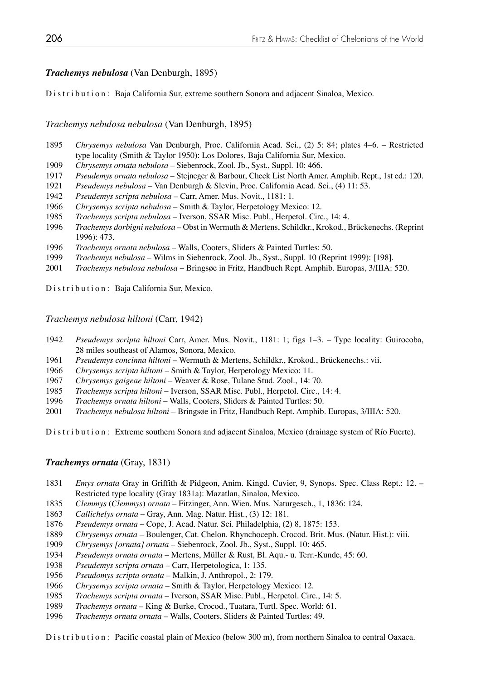## *Trachemys nebulosa* (Van Denburgh, 1895)

Distribution: Baja California Sur, extreme southern Sonora and adjacent Sinaloa, Mexico.

*Trachemys nebulosa nebulosa* (Van Denburgh, 1895)

- *Chrysemys nebulosa* Van Denburgh, Proc. California Acad. Sci., (2) 5: 84; plates 4–6. Restricted type locality (Smith & Taylor 1950): Los Dolores, Baja California Sur, Mexico.
- *Chrysemys ornata nebulosa* Siebenrock, Zool. Jb., Syst., Suppl. 10: 466.
- *Pseudemys ornata nebulosa*  Stejneger & Barbour, Check List North Amer. Amphib. Rept., 1st ed.: 120.
- *Pseudemys nebulosa* Van Denburgh & Slevin, Proc. California Acad. Sci., (4) 11: 53.
- *Pseudemys scripta nebulosa* Carr, Amer. Mus. Novit., 1181: 1.
- *Chrysemys scripta nebulosa* Smith & Taylor, Herpetology Mexico: 12.
- *Trachemys scripta nebulosa* Iverson, SSAR Misc. Publ., Herpetol. Circ., 14: 4.
- *Trachemys dorbigni nebulosa* Obst in Wermuth & Mertens, Schildkr., Krokod., Brückenechs. (Reprint 1996): 473.
- *Trachemys ornata nebulosa* Walls, Cooters, Sliders & Painted Turtles: 50.
- *Trachemys nebulosa*  Wilms in Siebenrock, Zool. Jb., Syst., Suppl. 10 (Reprint 1999): [198].
- *Trachemys nebulosa nebulosa* Bringsøe in Fritz, Handbuch Rept. Amphib. Europas, 3/IIIA: 520.

Distribution: Baja California Sur, Mexico.

*Trachemys nebulosa hiltoni* (Carr, 1942)

- *Pseudemys scripta hiltoni* Carr, Amer. Mus. Novit., 1181: 1; figs 1–3. Type locality: Guirocoba, 28 miles southeast of Alamos, Sonora, Mexico.
- *Pseudemys concinna hiltoni* Wermuth & Mertens, Schildkr., Krokod., Brückenechs.: vii.
- *Chrysemys scripta hiltoni* Smith & Taylor, Herpetology Mexico: 11.
- *Chrysemys gaigeae hiltoni* Weaver & Rose, Tulane Stud. Zool., 14: 70.
- *Trachemys scripta hiltoni* Iverson, SSAR Misc. Publ., Herpetol. Circ., 14: 4.
- *Trachemys ornata hiltoni* Walls, Cooters, Sliders & Painted Turtles: 50.
- *Trachemys nebulosa hiltoni* Bringsøe in Fritz, Handbuch Rept. Amphib. Europas, 3/IIIA: 520.

Distribution: Extreme southern Sonora and adjacent Sinaloa, Mexico (drainage system of Río Fuerte).

## *Trachemys ornata* (Gray, 1831)

- *Emys ornata* Gray in Griffith & Pidgeon, Anim. Kingd. Cuvier, 9, Synops. Spec. Class Rept.: 12. Restricted type locality (Gray 1831a): Mazatlan, Sinaloa, Mexico.
- *Clemmys* (*Clemmys*) *ornata* Fitzinger, Ann. Wien. Mus. Naturgesch., 1, 1836: 124.
- *Callichelys ornata* Gray, Ann. Mag. Natur. Hist., (3) 12: 181.
- *Pseudemys ornata* Cope, J. Acad. Natur. Sci. Philadelphia, (2) 8, 1875: 153.
- *Chrysemys ornata* Boulenger, Cat. Chelon. Rhynchoceph. Crocod. Brit. Mus. (Natur. Hist.): viii.
- *Chrysemys [ornata] ornata* Siebenrock, Zool. Jb., Syst., Suppl. 10: 465.
- *Pseudemys ornata ornata* Mertens, Müller & Rust, Bl. Aqu.- u. Terr.-Kunde, 45: 60.
- *Pseudemys scripta ornata* Carr, Herpetologica, 1: 135.
- *Pseudomys scripta ornata* Malkin, J. Anthropol., 2: 179.
- *Chrysemys scripta ornata* Smith & Taylor, Herpetology Mexico: 12.
- *Trachemys scripta ornata* Iverson, SSAR Misc. Publ., Herpetol. Circ., 14: 5.
- *Trachemys ornata*  King & Burke, Crocod., Tuatara, Turtl. Spec. World: 61.
- *Trachemys ornata ornata* Walls, Cooters, Sliders & Painted Turtles: 49.

Distribution: Pacific coastal plain of Mexico (below 300 m), from northern Sinaloa to central Oaxaca.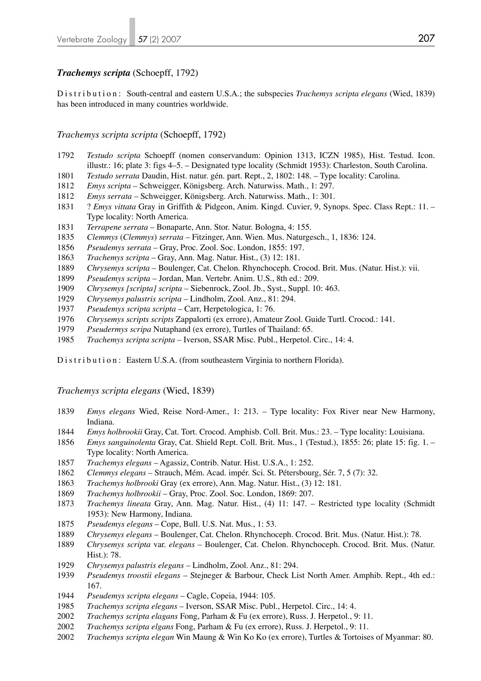#### *Trachemys scripta* (Schoepff, 1792)

Distribution: South-central and eastern U.S.A.; the subspecies *Trachemys scripta elegans* (Wied, 1839) has been introduced in many countries worldwide.

#### *Trachemys scripta scripta* (Schoepff, 1792)

- *Testudo scripta* Schoepff (nomen conservandum: Opinion 1313, ICZN 1985), Hist. Testud. Icon. illustr.: 16; plate 3: figs 4–5. – Designated type locality (Schmidt 1953): Charleston, South Carolina.
- *Testudo serrata* Daudin, Hist. natur. gén. part. Rept., 2, 1802: 148. Type locality: Carolina.
- *Emys scripta* Schweigger, Königsberg. Arch. Naturwiss. Math., 1: 297.
- *Emys serrata* Schweigger, Königsberg. Arch. Naturwiss. Math., 1: 301.
- 1831 ? *Emys vittata* Gray in Griffith & Pidgeon, Anim. Kingd. Cuvier, 9, Synops. Spec. Class Rept.: 11. Type locality: North America.
- *Terrapene serrata*  Bonaparte, Ann. Stor. Natur. Bologna, 4: 155.
- *Clemmys* (*Clemmys*) *serrata* Fitzinger, Ann. Wien. Mus. Naturgesch., 1, 1836: 124.
- *Pseudemys serrata* Gray, Proc. Zool. Soc. London, 1855: 197.
- *Trachemys scripta* Gray, Ann. Mag. Natur. Hist., (3) 12: 181.
- *Chrysemys scripta* Boulenger, Cat. Chelon. Rhynchoceph. Crocod. Brit. Mus. (Natur. Hist.): vii.
- *Pseudemys scripta* Jordan, Man. Vertebr. Anim. U.S., 8th ed.: 209.
- *Chrysemys [scripta] scripta* Siebenrock, Zool. Jb., Syst., Suppl. 10: 463.
- *Chrysemys palustris scripta* Lindholm, Zool. Anz., 81: 294.
- *Pseudemys scripta scripta* Carr, Herpetologica, 1: 76.
- *Chrysemys scripts scripts* Zappalorti (ex errore), Amateur Zool. Guide Turtl. Crocod.: 141.
- *Pseudermys scripa* Nutaphand (ex errore), Turtles of Thailand: 65.
- *Trachemys scripta scripta* Iverson, SSAR Misc. Publ., Herpetol. Circ., 14: 4.

D is t r i b u t i o n : Eastern U.S.A. (from southeastern Virginia to northern Florida).

#### *Trachemys scripta elegans* (Wied, 1839)

- *Emys elegans* Wied, Reise Nord-Amer., 1: 213. Type locality: Fox River near New Harmony, Indiana.
- *Emys holbrookii* Gray, Cat. Tort. Crocod. Amphisb. Coll. Brit. Mus.: 23. Type locality: Louisiana.
- *Emys sanguinolenta* Gray, Cat. Shield Rept. Coll. Brit. Mus., 1 (Testud.), 1855: 26; plate 15: fig. 1. Type locality: North America.
- *Trachemys elegans* Agassiz, Contrib. Natur. Hist. U.S.A., 1: 252.
- *Clemmys elegans* Strauch, Mém. Acad. impér. Sci. St. Pétersbourg, Sér. 7, 5 (7): 32.
- *Trachemys holbrooki* Gray (ex errore), Ann. Mag. Natur. Hist., (3) 12: 181.
- *Trachemys holbrookii*  Gray, Proc. Zool. Soc. London, 1869: 207.
- *Trachemys lineata* Gray, Ann. Mag. Natur. Hist., (4) 11: 147. Restricted type locality (Schmidt 1953): New Harmony, Indiana.
- *Pseudemys elegans* Cope, Bull. U.S. Nat. Mus., 1: 53.
- *Chrysemys elegans*  Boulenger, Cat. Chelon. Rhynchoceph. Crocod. Brit. Mus. (Natur. Hist.): 78.
- *Chrysemys scripta* var. *elegans* Boulenger, Cat. Chelon. Rhynchoceph. Crocod. Brit. Mus. (Natur. Hist.): 78.
- *Chrysemys palustris elegans* Lindholm, Zool. Anz., 81: 294.
- *Pseudemys troostii elegans* Stejneger & Barbour, Check List North Amer. Amphib. Rept., 4th ed.: 167.
- *Pseudemys scripta elegans*  Cagle, Copeia, 1944: 105.
- *Trachemys scripta elegans* Iverson, SSAR Misc. Publ., Herpetol. Circ., 14: 4.
- *Trachemys scripta elagans* Fong, Parham & Fu (ex errore), Russ. J. Herpetol., 9: 11.
- *Trachemys scripta elgans* Fong, Parham & Fu (ex errore), Russ. J. Herpetol., 9: 11.
- *Trachemys scripta elegan* Win Maung & Win Ko Ko (ex errore), Turtles & Tortoises of Myanmar: 80.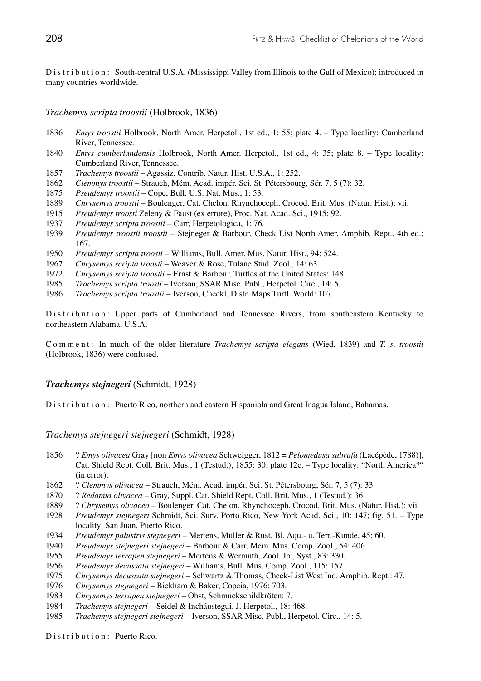Distribution: South-central U.S.A. (Mississippi Valley from Illinois to the Gulf of Mexico); introduced in many countries worldwide.

*Trachemys scripta troostii* (Holbrook, 1836)

- 1836 *Emys troostii* Holbrook, North Amer. Herpetol., 1st ed., 1: 55; plate 4. Type locality: Cumberland River, Tennessee.
- 1840 *Emys cumberlandensis* Holbrook, North Amer. Herpetol., 1st ed., 4: 35; plate 8. Type locality: Cumberland River, Tennessee.
- 1857 *Trachemys troostii* Agassiz, Contrib. Natur. Hist. U.S.A., 1: 252.
- 1862 *Clemmys troostii* Strauch, Mém. Acad. impér. Sci. St. Pétersbourg, Sér. 7, 5 (7): 32.
- 1875 *Pseudemys troostii* Cope, Bull. U.S. Nat. Mus., 1: 53.
- 1889 *Chrysemys troostii* Boulenger, Cat. Chelon. Rhynchoceph. Crocod. Brit. Mus. (Natur. Hist.): vii.
- 1915 *Pseudemys troosti* Zeleny & Faust (ex errore), Proc. Nat. Acad. Sci., 1915: 92.
- 1937 *Pseudemys scripta troostii* Carr, Herpetologica, 1: 76.
- 1939 *Pseudemys troostii troostii* Stejneger & Barbour, Check List North Amer. Amphib. Rept., 4th ed.: 167.
- 1950 *Pseudemys scripta troosti* Williams, Bull. Amer. Mus. Natur. Hist., 94: 524.
- 1967 *Chrysemys scripta troosti* Weaver & Rose, Tulane Stud. Zool., 14: 63.
- 1972 *Chrysemys scripta troostii* Ernst & Barbour, Turtles of the United States: 148.
- 1985 *Trachemys scripta troosti* Iverson, SSAR Misc. Publ., Herpetol. Circ., 14: 5.
- 1986 *Trachemys scripta troostii* Iverson, Checkl. Distr. Maps Turtl. World: 107.

Distribution: Upper parts of Cumberland and Tennessee Rivers, from southeastern Kentucky to northeastern Alabama, U.S.A.

C o m m e n t : In much of the older literature *Trachemys scripta elegans* (Wied, 1839) and *T. s. troostii* (Holbrook, 1836) were confused.

## *Trachemys stejnegeri* (Schmidt, 1928)

Distribution: Puerto Rico, northern and eastern Hispaniola and Great Inagua Island, Bahamas.

## *Trachemys stejnegeri stejnegeri* (Schmidt, 1928)

- 1856 ? *Emys olivacea* Gray [non *Emys olivacea* Schweigger, 1812 = *Pelomedusa subrufa* (Lacépède, 1788)], Cat. Shield Rept. Coll. Brit. Mus., 1 (Testud.), 1855: 30; plate 12c. – Type locality: "North America?" (in error).
- 1862 ? *Clemmys olivacea* Strauch, Mém. Acad. impér. Sci. St. Pétersbourg, Sér. 7, 5 (7): 33.
- 1870 ? *Redamia olivacea*  Gray, Suppl. Cat. Shield Rept. Coll. Brit. Mus., 1 (Testud.): 36.
- 1889 ? *Chrysemys olivacea*  Boulenger, Cat. Chelon. Rhynchoceph. Crocod. Brit. Mus. (Natur. Hist.): vii.
- 1928 *Pseudemys stejnegeri* Schmidt, Sci. Surv. Porto Rico, New York Acad. Sci., 10: 147; fig. 51. Type locality: San Juan, Puerto Rico.
- 1934 *Pseudemys palustris stejnegeri* Mertens, Müller & Rust, Bl. Aqu.- u. Terr.-Kunde, 45: 60.
- 1940 *Pseudemys stejnegeri stejnegeri* Barbour & Carr, Mem. Mus. Comp. Zool., 54: 406.
- 1955 *Pseudemys terrapen stejnegeri* Mertens & Wermuth, Zool. Jb., Syst., 83: 330.
- 1956 *Pseudemys decussata stejnegeri* Williams, Bull. Mus. Comp. Zool., 115: 157.
- 1975 *Chrysemys decussata stejnegeri* Schwartz & Thomas, Check-List West Ind. Amphib. Rept.: 47.
- 1976 *Chrysemys stejnegeri* Bickham & Baker, Copeia, 1976: 703.
- 1983 *Chrysemys terrapen stejnegeri* Obst, Schmuckschildkröten: 7.
- 1984 *Trachemys stejnegeri* Seidel & Incháustegui, J. Herpetol., 18: 468.
- 1985 *Trachemys stejnegeri stejnegeri* Iverson, SSAR Misc. Publ., Herpetol. Circ., 14: 5.

Distribution: Puerto Rico.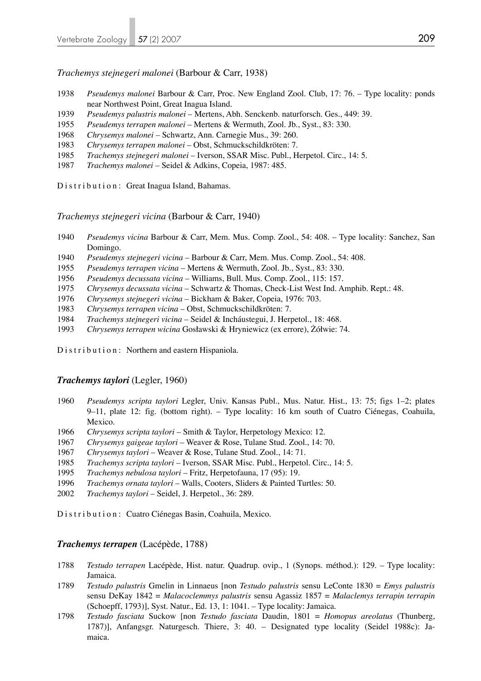*Trachemys stejnegeri malonei* (Barbour & Carr, 1938)

- *Pseudemys malonei* Barbour & Carr, Proc. New England Zool. Club, 17: 76. Type locality: ponds near Northwest Point, Great Inagua Island.
- *Pseudemys palustris malonei* Mertens, Abh. Senckenb. naturforsch. Ges., 449: 39.
- *Pseudemys terrapen malonei* Mertens & Wermuth, Zool. Jb., Syst., 83: 330.
- *Chrysemys malonei* Schwartz, Ann. Carnegie Mus., 39: 260.
- *Chrysemys terrapen malonei* Obst, Schmuckschildkröten: 7.
- *Trachemys stejnegeri malonei* Iverson, SSAR Misc. Publ., Herpetol. Circ., 14: 5.
- *Trachemys malonei* Seidel & Adkins, Copeia, 1987: 485.

Distribution: Great Inagua Island, Bahamas.

*Trachemys stejnegeri vicina* (Barbour & Carr, 1940)

- *Pseudemys vicina* Barbour & Carr, Mem. Mus. Comp. Zool., 54: 408. Type locality: Sanchez, San Domingo.
- *Pseudemys stejnegeri vicina* Barbour & Carr, Mem. Mus. Comp. Zool., 54: 408.
- *Pseudemys terrapen vicina* Mertens & Wermuth, Zool. Jb., Syst., 83: 330.
- *Pseudemys decussata vicina* Williams, Bull. Mus. Comp. Zool., 115: 157.
- *Chrysemys decussata vicina* Schwartz & Thomas, Check-List West Ind. Amphib. Rept.: 48.
- *Chrysemys stejnegeri vicina* Bickham & Baker, Copeia, 1976: 703.
- *Chrysemys terrapen vicina* Obst, Schmuckschildkröten: 7.
- *Trachemys stejnegeri vicina* Seidel & Incháustegui, J. Herpetol., 18: 468.
- *Chrysemys terrapen wicina* Gosławski & Hryniewicz (ex errore), Żółwie: 74.

Distribution: Northern and eastern Hispaniola.

#### *Trachemys taylori* (Legler, 1960)

- *Pseudemys scripta taylori* Legler, Univ. Kansas Publ., Mus. Natur. Hist., 13: 75; figs 1–2; plates 9–11, plate 12: fig. (bottom right). – Type locality: 16 km south of Cuatro Ciénegas, Coahuila, Mexico.
- *Chrysemys scripta taylori* Smith & Taylor, Herpetology Mexico: 12.
- *Chrysemys gaigeae taylori* Weaver & Rose, Tulane Stud. Zool., 14: 70.
- *Chrysemys taylori* Weaver & Rose, Tulane Stud. Zool., 14: 71.
- *Trachemys scripta taylori* Iverson, SSAR Misc. Publ., Herpetol. Circ., 14: 5.
- *Trachemys nebulosa taylori* Fritz, Herpetofauna, 17 (95): 19.
- *Trachemys ornata taylori* Walls, Cooters, Sliders & Painted Turtles: 50.
- *Trachemys taylori* Seidel, J. Herpetol., 36: 289.

Distribution: Cuatro Ciénegas Basin, Coahuila, Mexico.

#### *Trachemys terrapen* (Lacépède, 1788)

- *Testudo terrapen* Lacépède, Hist. natur. Quadrup. ovip., 1 (Synops. méthod.): 129. Type locality: Jamaica.
- *Testudo palustris* Gmelin in Linnaeus [non *Testudo palustris* sensu LeConte 1830 = *Emys palustris* sensu DeKay 1842 = *Malacoclemmys palustris* sensu Agassiz 1857 = *Malaclemys terrapin terrapin* (Schoepff, 1793)], Syst. Natur., Ed. 13, 1: 1041. – Type locality: Jamaica.
- *Testudo fasciata* Suckow [non *Testudo fasciata* Daudin, 1801 = *Homopus areolatus* (Thunberg, 1787)], Anfangsgr. Naturgesch. Thiere, 3: 40. – Designated type locality (Seidel 1988c): Ja maica.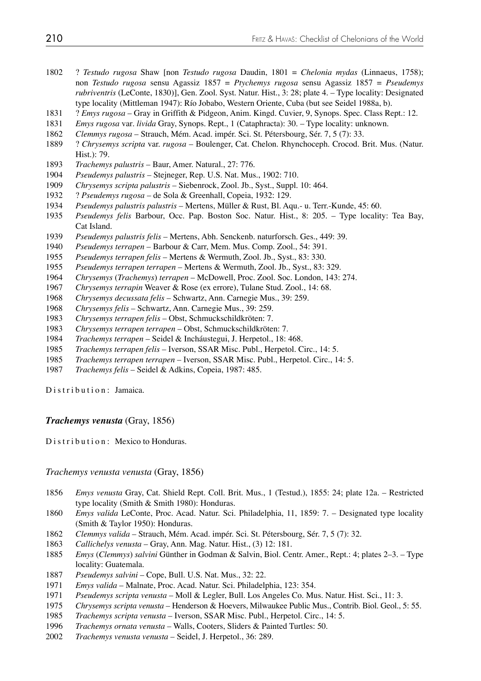- 1802 ? *Testudo rugosa* Shaw [non *Testudo rugosa* Daudin, 1801 = *Chelonia mydas* (Linnaeus, 1758); non *Testudo rugosa* sensu Agassiz 1857 = *Ptychemys rugosa* sensu Agassiz 1857 = *Pseudemys rubriventris* (LeConte, 1830)], Gen. Zool. Syst. Natur. Hist., 3: 28; plate 4. – Type locality: Designated type locality (Mittleman 1947): Río Jobabo, Western Oriente, Cuba (but see Seidel 1988a, b).
- 1831 ? *Emys rugosa* Gray in Griffith & Pidgeon, Anim. Kingd. Cuvier, 9, Synops. Spec. Class Rept.: 12.
- *Emys rugosa* var*. livida* Gray, Synops. Rept., 1 (Cataphracta): 30. Type locality: unknown.
- *Clemmys rugosa* Strauch, Mém. Acad. impér. Sci. St. Pétersbourg, Sér. 7, 5 (7): 33.
- 1889 ? *Chrysemys scripta* var. *rugosa* Boulenger, Cat. Chelon. Rhynchoceph. Crocod. Brit. Mus. (Natur. Hist.): 79.
- *Trachemys palustris* Baur, Amer. Natural., 27: 776.
- *Pseudemys palustris* Stejneger, Rep. U.S. Nat. Mus., 1902: 710.
- *Chrysemys scripta palustris* Siebenrock, Zool. Jb., Syst., Suppl. 10: 464.
- 1932 ? *Pseudemys rugosa* de Sola & Greenhall, Copeia, 1932: 129.
- *Pseudemys palustris palustris* Mertens, Müller & Rust, Bl. Aqu.- u. Terr.-Kunde, 45: 60.
- *Pseudemys felis* Barbour, Occ. Pap. Boston Soc. Natur. Hist., 8: 205. Type locality: Tea Bay, Cat Island.
- *Pseudemys palustris felis* Mertens, Abh. Senckenb. naturforsch. Ges., 449: 39.
- *Pseudemys terrapen* Barbour & Carr, Mem. Mus. Comp. Zool., 54: 391.
- *Pseudemys terrapen felis* Mertens & Wermuth, Zool. Jb., Syst., 83: 330.
- *Pseudemys terrapen terrapen* Mertens & Wermuth, Zool. Jb., Syst., 83: 329.
- *Chrysemys* (*Trachemys*) *terrapen* McDowell, Proc. Zool. Soc. London, 143: 274.
- *Chrysemys terrapin* Weaver & Rose (ex errore), Tulane Stud. Zool., 14: 68.
- *Chrysemys decussata felis* Schwartz, Ann. Carnegie Mus., 39: 259.
- *Chrysemys felis* Schwartz, Ann. Carnegie Mus., 39: 259.
- *Chrysemys terrapen felis* Obst, Schmuckschildkröten: 7.
- *Chrysemys terrapen terrapen* Obst, Schmuckschildkröten: 7.
- *Trachemys terrapen* Seidel & Incháustegui, J. Herpetol., 18: 468.
- *Trachemys terrapen felis* Iverson, SSAR Misc. Publ., Herpetol. Circ., 14: 5.
- *Trachemys terrapen terrapen*  Iverson, SSAR Misc. Publ., Herpetol. Circ., 14: 5.
- *Trachemys felis* Seidel & Adkins, Copeia, 1987: 485.

Distribution: Jamaica.

## *Trachemys venusta* (Gray, 1856)

Distribution: Mexico to Honduras.

*Trachemys venusta venusta* (Gray, 1856)

- *Emys venusta* Gray, Cat. Shield Rept. Coll. Brit. Mus., 1 (Testud.), 1855: 24; plate 12a. Restricted type locality (Smith & Smith 1980): Honduras.
- *Emys valida* LeConte, Proc. Acad. Natur. Sci. Philadelphia, 11, 1859: 7. Designated type locality (Smith & Taylor 1950): Honduras.
- *Clemmys valida* Strauch, Mém. Acad. impér. Sci. St. Pétersbourg, Sér. 7, 5 (7): 32.
- *Callichelys venusta* Gray, Ann. Mag. Natur. Hist., (3) 12: 181.
- *Emys* (*Clemmys*) *salvini* Günther in Godman & Salvin, Biol. Centr. Amer., Rept.: 4; plates 2–3. Type locality: Guatemala.
- *Pseudemys salvini* Cope, Bull. U.S. Nat. Mus., 32: 22.
- *Emys valida* Malnate, Proc. Acad. Natur. Sci. Philadelphia, 123: 354.
- *Pseudemys scripta venusta* Moll & Legler, Bull. Los Angeles Co. Mus. Natur. Hist. Sci., 11: 3.
- *Chrysemys scripta venusta* Henderson & Hoevers, Milwaukee Public Mus., Contrib. Biol. Geol., 5: 55.
- *Trachemys scripta venusta* Iverson, SSAR Misc. Publ., Herpetol. Circ., 14: 5.
- *Trachemys ornata venusta*  Walls, Cooters, Sliders & Painted Turtles: 50.
- *Trachemys venusta venusta* Seidel, J. Herpetol., 36: 289.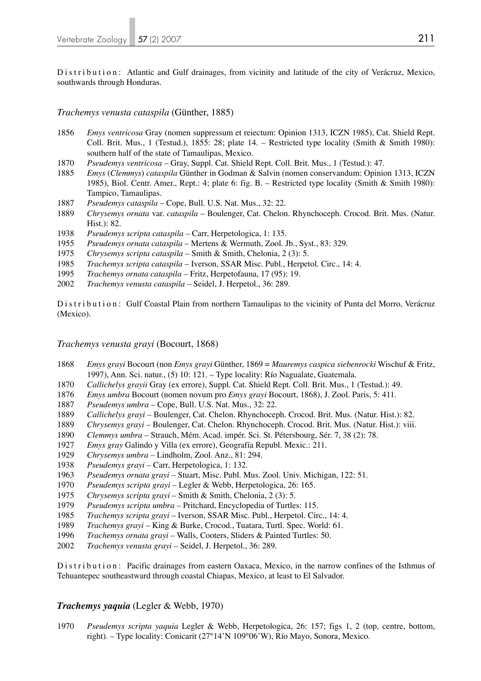Distribution: Atlantic and Gulf drainages, from vicinity and latitude of the city of Verácruz, Mexico, southwards through Honduras.

*Trachemys venusta cataspila* (Günther, 1885)

- *Emys ventricosa* Gray (nomen suppressum et reiectum: Opinion 1313, ICZN 1985), Cat. Shield Rept. Coll. Brit. Mus., 1 (Testud.), 1855: 28; plate  $14.$  – Restricted type locality (Smith & Smith 1980): southern half of the state of Tamaulipas, Mexico.
- *Pseudemys ventricosa*  Gray, Suppl. Cat. Shield Rept. Coll. Brit. Mus., 1 (Testud.): 47.
- *Emys* (*Clemmys*) *cataspila* Günther in Godman & Salvin (nomen conservandum: Opinion 1313, ICZN 1985), Biol. Centr. Amer., Rept.: 4; plate 6: fig. B. – Restricted type locality (Smith & Smith 1980): Tampico, Tamaulipas.
- *Pseudemys cataspila* Cope, Bull. U.S. Nat. Mus., 32: 22.
- *Chrysemys ornata* var. *cataspila* Boulenger, Cat. Chelon. Rhynchoceph. Crocod. Brit. Mus. (Natur. Hist.): 82.
- *Pseudemys scripta cataspila* Carr, Herpetologica, 1: 135.
- *Pseudemys ornata cataspila* Mertens & Wermuth, Zool. Jb., Syst., 83: 329.
- *Chrysemys scripta cataspila* Smith & Smith, Chelonia, 2 (3): 5.
- *Trachemys scripta cataspila* Iverson, SSAR Misc. Publ., Herpetol. Circ., 14: 4.
- *Trachemys ornata cataspila* Fritz, Herpetofauna, 17 (95): 19.
- *Trachemys venusta cataspila* Seidel, J. Herpetol., 36: 289.

Distribution: Gulf Coastal Plain from northern Tamaulipas to the vicinity of Punta del Morro, Verácruz (Mexico).

*Trachemys venusta grayi* (Bocourt, 1868)

- *Emys grayi* Bocourt (non *Emys grayi* Günther, 1869 = *Mauremys caspica siebenrocki* Wischuf & Fritz, 1997), Ann. Sci. natur., (5) 10: 121. – Type locality: Río Nagualate, Guatemala.
- *Callichelys grayii* Gray (ex errore), Suppl. Cat. Shield Rept. Coll. Brit. Mus., 1 (Testud.): 49.
- *Emys umbra* Bocourt (nomen novum pro *Emys grayi* Bocourt, 1868), J. Zool. Paris, 5: 411.
- *Pseudemys umbra* Cope, Bull. U.S. Nat. Mus., 32: 22.
- *Callichelys grayi* Boulenger, Cat. Chelon. Rhynchoceph. Crocod. Brit. Mus. (Natur. Hist.): 82.
- *Chrysemys grayi* Boulenger, Cat. Chelon. Rhynchoceph. Crocod. Brit. Mus. (Natur. Hist.): viii.
- *Clemmys umbra*  Strauch, Mém. Acad. impér. Sci. St. Pétersbourg, Sér. 7, 38 (2): 78.
- *Emys gray* Galindo y Villa (ex errore), Geografía Republ. Mexic.: 211.
- *Chrysemys umbra* Lindholm, Zool. Anz., 81: 294.
- *Pseudemys grayi*  Carr, Herpetologica, 1: 132.
- *Pseudemys ornata grayi* Stuart, Misc. Publ. Mus. Zool. Univ. Michigan, 122: 51.
- *Pseudemys scripta grayi* Legler & Webb, Herpetologica, 26: 165.
- *Chrysemys scripta grayi* Smith & Smith, Chelonia, 2 (3): 5.
- *Pseudemys scripta umbra* Pritchard, Encyclopedia of Turtles: 115.
- *Trachemys scripta grayi*  Iverson, SSAR Misc. Publ., Herpetol. Circ., 14: 4.
- *Trachemys grayi*  King & Burke, Crocod., Tuatara, Turtl. Spec. World: 61.
- *Trachemys ornata grayi* Walls, Cooters, Sliders & Painted Turtles: 50.
- *Trachemys venusta grayi* Seidel, J. Herpetol., 36: 289.

Distribution: Pacific drainages from eastern Oaxaca, Mexico, in the narrow confines of the Isthmus of Tehuantepec southeastward through coastal Chiapas, Mexico, at least to El Salvador.

## *Trachemys yaquia* (Legler & Webb, 1970)

*Pseudemys scripta yaquia* Legler & Webb, Herpetologica, 26: 157; figs 1, 2 (top, centre, bottom, right). – Type locality: Conicarit (27°14'N 109°06'W), Río Mayo, Sonora, Mexico.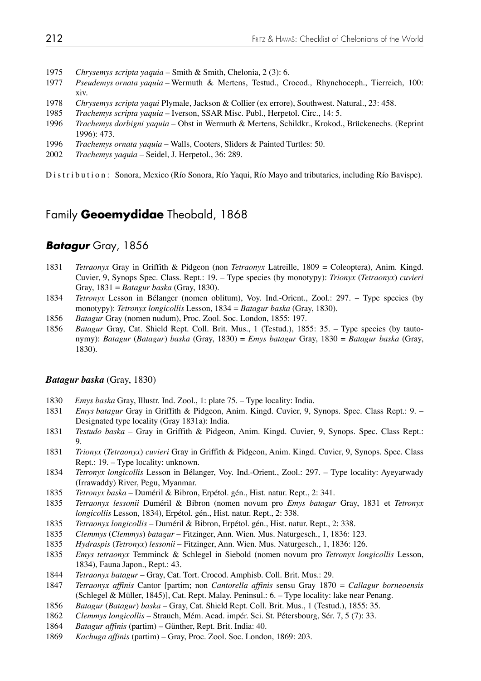- *Chrysemys scripta yaquia* Smith & Smith, Chelonia, 2 (3): 6.
- *Pseudemys ornata yaquia* Wermuth & Mertens, Testud., Crocod., Rhynchoceph., Tierreich, 100: xiv.
- *Chrysemys scripta yaqui* Plymale, Jackson & Collier (ex errore), Southwest. Natural., 23: 458.
- *Trachemys scripta yaquia* Iverson, SSAR Misc. Publ., Herpetol. Circ., 14: 5.
- *Trachemys dorbigni yaquia* Obst in Wermuth & Mertens, Schildkr., Krokod., Brückenechs. (Reprint 1996): 473.
- *Trachemys ornata yaquia* Walls, Cooters, Sliders & Painted Turtles: 50.
- *Trachemys yaquia* Seidel, J. Herpetol., 36: 289.

Distribution: Sonora, Mexico (Río Sonora, Río Yaqui, Río Mayo and tributaries, including Río Bavispe).

# Family **Geoemydidae** Theobald, 1868

## *Batagur* Gray, 1856

- *Tetraonyx* Gray in Griffith & Pidgeon (non *Tetraonyx* Latreille, 1809 = Coleoptera), Anim. Kingd. Cuvier, 9, Synops Spec. Class. Rept.: 19. – Type species (by monotypy): *Trionyx* (*Tetraonyx*) *cuvieri*  Gray, 1831 = *Batagur baska* (Gray, 1830).
- *Tetronyx* Lesson in Bélanger (nomen oblitum), Voy. Ind.-Orient., Zool.: 297. Type species (by monotypy): *Tetronyx longicollis* Lesson, 1834 = *Batagur baska* (Gray, 1830).
- *Batagur* Gray (nomen nudum), Proc. Zool. Soc. London, 1855: 197.
- *Batagur* Gray, Cat. Shield Rept. Coll. Brit. Mus., 1 (Testud.), 1855: 35. Type species (by tauto nymy): *Batagur* (*Batagur*) *baska* (Gray, 1830) = *Emys batagur* Gray, 1830 = *Batagur baska* (Gray, 1830).

#### *Batagur baska* (Gray, 1830)

- *Emys baska* Gray, Illustr. Ind. Zool., 1: plate 75. Type locality: India.
- *Emys batagur* Gray in Griffith & Pidgeon, Anim. Kingd. Cuvier, 9, Synops. Spec. Class Rept.: 9. Designated type locality (Gray 1831a): India.
- *Testudo baska*  Gray in Griffith & Pidgeon, Anim. Kingd. Cuvier, 9, Synops. Spec. Class Rept.: 9.
- *Trionyx* (*Tetraonyx*) *cuvieri* Gray in Griffith & Pidgeon, Anim. Kingd. Cuvier, 9, Synops. Spec. Class Rept.: 19. – Type locality: unknown.
- *Tetronyx longicollis* Lesson in Bélanger, Voy. Ind.-Orient., Zool.: 297. Type locality: Ayeyarwady (Irrawaddy) River, Pegu, Myanmar.
- *Tetronyx baska* Duméril & Bibron, Erpétol. gén., Hist. natur. Rept., 2: 341.
- *Tetraonyx lessonii* Duméril & Bibron (nomen novum pro *Emys batagur* Gray, 1831 et *Tetronyx longicollis* Lesson, 1834), Erpétol. gén., Hist. natur. Rept., 2: 338.
- *Tetraonyx longicollis* Duméril & Bibron, Erpétol. gén., Hist. natur. Rept., 2: 338.
- *Clemmys* (*Clemmys*) *batagur* Fitzinger, Ann. Wien. Mus. Naturgesch., 1, 1836: 123.
- *Hydraspis* (*Tetronyx*) *lessonii* Fitzinger, Ann. Wien. Mus. Naturgesch., 1, 1836: 126.
- *Emys tetraonyx* Temminck & Schlegel in Siebold (nomen novum pro *Tetronyx longicollis* Lesson, 1834), Fauna Japon., Rept.: 43.
- *Tetraonyx batagur*  Gray, Cat. Tort. Crocod. Amphisb. Coll. Brit. Mus.: 29.
- *Tetraonyx affinis* Cantor [partim; non *Cantorella affinis* sensu Gray 1870 = *Callagur borneoensis*  (Schlegel & Müller, 1845)], Cat. Rept. Malay. Peninsul.: 6. – Type locality: lake near Penang.
- *Batagur* (*Batagur*) *baska* Gray, Cat. Shield Rept. Coll. Brit. Mus., 1 (Testud.), 1855: 35.
- *Clemmys longicollis*  Strauch, Mém. Acad. impér. Sci. St. Pétersbourg, Sér. 7, 5 (7): 33.
- *Batagur affinis* (partim) Günther, Rept. Brit. India: 40.
- *Kachuga affinis* (partim) Gray, Proc. Zool. Soc. London, 1869: 203.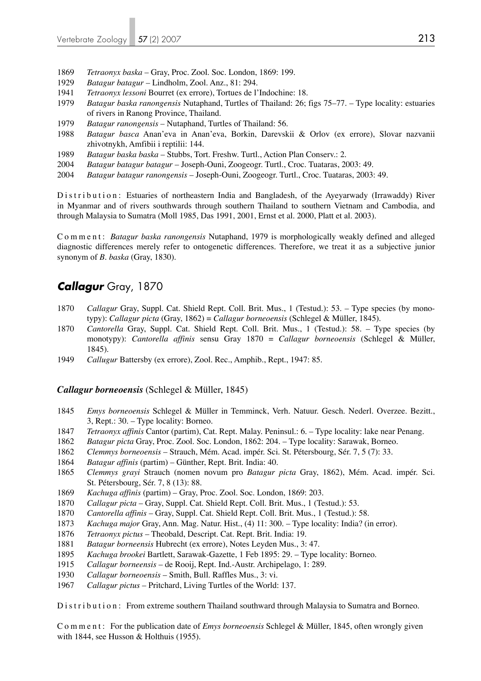- 1869 *Tetraonyx baska* Gray, Proc. Zool. Soc. London, 1869: 199.
- 1929 *Batagur batagur*  Lindholm, Zool. Anz., 81: 294.
- 1941 *Tetraonyx lessoni* Bourret (ex errore), Tortues de l'Indochine: 18.
- 1979 *Batagur baska ranongensis* Nutaphand, Turtles of Thailand: 26; figs 75–77. Type locality: estuaries of rivers in Ranong Province, Thailand.
- 1979 *Batagur ranongensis* Nutaphand, Turtles of Thailand: 56.
- 1988 *Batagur basca* Anan'eva in Anan'eva, Borkin, Darevskii & Orlov (ex errore), Slovar nazvanii zhivotnykh, Amfibii i reptilii: 144.
- 1989 *Batagur baska baska* Stubbs, Tort. Freshw. Turtl., Action Plan Conserv.: 2.
- 2004 *Batagur batagur batagur*  Joseph-Ouni, Zoogeogr. Turtl., Croc. Tuataras, 2003: 49.
- 2004 *Batagur batagur ranongensis*  Joseph-Ouni, Zoogeogr. Turtl., Croc. Tuataras, 2003: 49.

Distribution: Estuaries of northeastern India and Bangladesh, of the Ayeyarwady (Irrawaddy) River in Myanmar and of rivers southwards through southern Thailand to southern Vietnam and Cambodia, and through Malaysia to Sumatra (Moll 1985, Das 1991, 2001, Ernst et al. 2000, Platt et al. 2003).

Comment: *Batagur baska ranongensis* Nutaphand, 1979 is morphologically weakly defined and alleged diagnostic differences merely refer to ontogenetic differences. Therefore, we treat it as a subjective junior synonym of *B. baska* (Gray, 1830).

## *Callagur* Gray, 1870

- 1870 *Callagur* Gray, Suppl. Cat. Shield Rept. Coll. Brit. Mus., 1 (Testud.): 53. Type species (by mono typy): *Callagur picta* (Gray, 1862) = *Callagur borneoensis* (Schlegel & Müller, 1845).
- 1870 *Cantorella* Gray, Suppl. Cat. Shield Rept. Coll. Brit. Mus., 1 (Testud.): 58. Type species (by monotypy): *Cantorella affinis* sensu Gray 1870 = *Callagur borneoensis* (Schlegel & Müller, 1845).
- 1949 *Callugur* Battersby (ex errore), Zool. Rec., Amphib., Rept., 1947: 85.

#### *Callagur borneoensis* (Schlegel & Müller, 1845)

- 1845 *Emys borneoensis* Schlegel & Müller in Temminck, Verh. Natuur. Gesch. Nederl. Overzee. Bezitt., 3, Rept.: 30. – Type locality: Borneo.
- 1847 *Tetraonyx affinis* Cantor (partim), Cat. Rept. Malay. Peninsul.: 6. Type locality: lake near Penang.
- 1862 *Batagur picta* Gray, Proc. Zool. Soc. London, 1862: 204. Type locality: Sarawak, Borneo.
- 1862 *Clemmys borneoensis*  Strauch, Mém. Acad. impér. Sci. St. Pétersbourg, Sér. 7, 5 (7): 33.
- 1864 *Batagur affinis* (partim) Günther, Rept. Brit. India: 40.
- 1865 *Clemmys grayi* Strauch (nomen novum pro *Batagur picta* Gray, 1862), Mém. Acad. impér. Sci. St. Pétersbourg, Sér. 7, 8 (13): 88.
- 1869 *Kachuga affinis* (partim) Gray, Proc. Zool. Soc. London, 1869: 203.
- 1870 *Callagur picta* Gray, Suppl. Cat. Shield Rept. Coll. Brit. Mus., 1 (Testud.): 53.
- 1870 *Cantorella affinis* Gray, Suppl. Cat. Shield Rept. Coll. Brit. Mus., 1 (Testud.): 58.
- 1873 *Kachuga major* Gray, Ann. Mag. Natur. Hist., (4) 11: 300. Type locality: India? (in error).
- 1876 *Tetraonyx pictus* Theobald, Descript. Cat. Rept. Brit. India: 19.
- 1881 *Batagur borneensis* Hubrecht (ex errore), Notes Leyden Mus., 3: 47.
- 1895 *Kachuga brookei* Bartlett, Sarawak-Gazette, 1 Feb 1895: 29. Type locality: Borneo.
- 1915 *Callagur borneensis*  de Rooij, Rept. Ind.-Austr. Archipelago, 1: 289.
- 1930 *Callagur borneoensis*  Smith, Bull. Raffles Mus., 3: vi.
- 1967 *Callagur pictus* Pritchard, Living Turtles of the World: 137.

Distribution: From extreme southern Thailand southward through Malaysia to Sumatra and Borneo.

C o m m e n t : For the publication date of *Emys borneoensis* Schlegel & Müller, 1845, often wrongly given with 1844, see Husson & Holthuis (1955).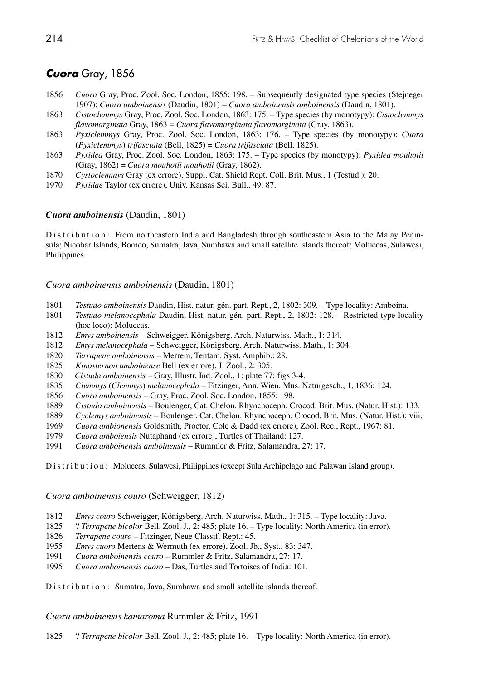## *Cuora* Gray, 1856

- *Cuora* Gray, Proc. Zool. Soc. London, 1855: 198. Subsequently designated type species (Stejneger 1907): *Cuora amboinensis* (Daudin, 1801) = *Cuora amboinensis amboinensis* (Daudin, 1801).
- *Cistoclemmys* Gray, Proc. Zool. Soc. London, 1863: 175. Type species (by monotypy): *Cistoclemmys flavomarginata* Gray, 1863 = *Cuora flavomarginata flavomarginata* (Gray, 1863).
- *Pyxiclemmys* Gray, Proc. Zool. Soc. London, 1863: 176. Type species (by monotypy): *Cuora*  (*Pyxiclemmys*) *trifasciata* (Bell, 1825) = *Cuora trifasciata* (Bell, 1825).
- *Pyxidea* Gray, Proc. Zool. Soc. London, 1863: 175. Type species (by monotypy): *Pyxidea mouhotii* (Gray, 1862) = *Cuora mouhotii mouhotii* (Gray, 1862).
- *Cystoclemmys* Gray (ex errore), Suppl. Cat. Shield Rept. Coll. Brit. Mus., 1 (Testud.): 20.
- *Pyxidae* Taylor (ex errore), Univ. Kansas Sci. Bull., 49: 87.

#### *Cuora amboinensis* (Daudin, 1801)

Distribution: From northeastern India and Bangladesh through southeastern Asia to the Malay Peninsula; Nicobar Islands, Borneo, Sumatra, Java, Sumbawa and small satellite islands thereof; Moluccas, Sulawesi, Philippines.

#### *Cuora amboinensis amboinensis* (Daudin, 1801)

- *Testudo amboinensis* Daudin, Hist. natur. gén. part. Rept., 2, 1802: 309. Type locality: Amboina.
- *Testudo melanocephala* Daudin, Hist. natur. gén. part. Rept., 2, 1802: 128. Restricted type locality (hoc loco): Moluccas.
- *Emys amboinensis* Schweigger, Königsberg. Arch. Naturwiss. Math., 1: 314.
- *Emys melanocephala* Schweigger, Königsberg. Arch. Naturwiss. Math., 1: 304.
- *Terrapene amboinensis* Merrem, Tentam. Syst. Amphib.: 28.
- *Kinosternon amboinense* Bell (ex errore), J. Zool., 2: 305.
- *Cistuda amboinensis* Gray, Illustr. Ind. Zool., 1: plate 77: figs 3-4.
- *Clemmys* (*Clemmys*) *melanocephala* Fitzinger, Ann. Wien. Mus. Naturgesch., 1, 1836: 124.
- *Cuora amboinensis* Gray, Proc. Zool. Soc. London, 1855: 198.
- *Cistudo amboinensis* Boulenger, Cat. Chelon. Rhynchoceph. Crocod. Brit. Mus. (Natur. Hist.): 133.
- *Cyclemys amboinensis* Boulenger, Cat. Chelon. Rhynchoceph. Crocod. Brit. Mus. (Natur. Hist.): viii.
- *Cuora ambionensis* Goldsmith, Proctor, Cole & Dadd (ex errore), Zool. Rec., Rept., 1967: 81.
- *Cuora amboiensis* Nutaphand (ex errore), Turtles of Thailand: 127.
- *Cuora amboinensis amboinensis* Rummler & Fritz, Salamandra, 27: 17.

Distribution: Moluccas, Sulawesi, Philippines (except Sulu Archipelago and Palawan Island group).

*Cuora amboinensis couro* (Schweigger, 1812)

- *Emys couro* Schweigger, Königsberg. Arch. Naturwiss. Math., 1: 315. Type locality: Java.
- 1825 ? *Terrapene bicolor* Bell, Zool. J., 2: 485; plate 16. Type locality: North America (in error).
- *Terrapene couro* Fitzinger, Neue Classif. Rept.: 45.
- *Emys cuoro* Mertens & Wermuth (ex errore), Zool. Jb., Syst., 83: 347.
- *Cuora amboinensis couro* Rummler & Fritz, Salamandra, 27: 17.
- *Cuora amboinensis cuoro* Das, Turtles and Tortoises of India: 101.

Distribution: Sumatra, Java, Sumbawa and small satellite islands thereof.

*Cuora amboinensis kamaroma* Rummler & Fritz, 1991

1825 ? *Terrapene bicolor* Bell, Zool. J., 2: 485; plate 16. – Type locality: North America (in error).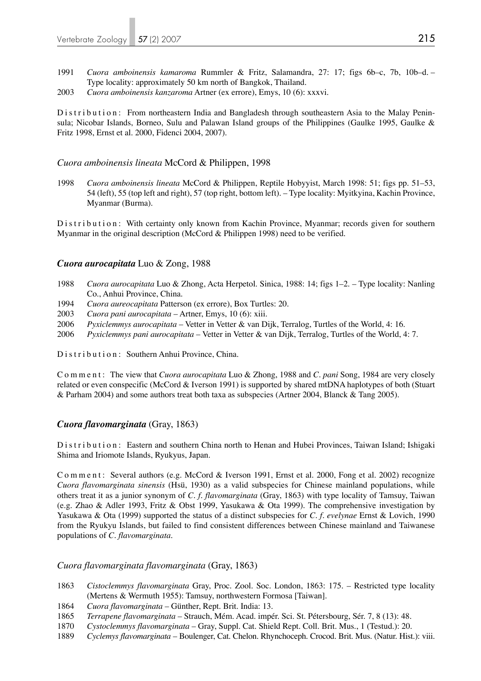- 1991 *Cuora amboinensis kamaroma* Rummler & Fritz, Salamandra, 27: 17; figs 6b–c, 7b, 10b–d. Type locality: approximately 50 km north of Bangkok, Thailand.
- 2003 *Cuora amboinensis kanzaroma* Artner (ex errore), Emys, 10 (6): xxxvi.

Distribution: From northeastern India and Bangladesh through southeastern Asia to the Malay Peninsula; Nicobar Islands, Borneo, Sulu and Palawan Island groups of the Philippines (Gaulke 1995, Gaulke & Fritz 1998, Ernst et al. 2000, Fidenci 2004, 2007).

## *Cuora amboinensis lineata* McCord & Philippen, 1998

1998 *Cuora amboinensis lineata* McCord & Philippen, Reptile Hobyyist, March 1998: 51; figs pp. 51–53, 54 (left), 55 (top left and right), 57 (top right, bottom left). – Type locality: Myitkyina, Kachin Province, Myanmar (Burma).

Distribution: With certainty only known from Kachin Province, Myanmar; records given for southern Myanmar in the original description (McCord & Philippen 1998) need to be verified.

## *Cuora aurocapitata* Luo & Zong, 1988

- 1988 *Cuora aurocapitata* Luo & Zhong, Acta Herpetol. Sinica, 1988: 14; figs 1–2. Type locality: Nanling Co., Anhui Province, China.
- 1994 *Cuora aureocapitata* Patterson (ex errore), Box Turtles: 20.
- 2003 *Cuora pani aurocapitata* Artner, Emys, 10 (6): xiii.
- 2006 *Pyxiclemmys aurocapitata* Vetter in Vetter & van Dijk, Terralog, Turtles of the World, 4: 16.
- 2006 *Pyxiclemmys pani aurocapitata* Vetter in Vetter & van Dijk, Terralog, Turtles of the World, 4: 7.

Distribution: Southern Anhui Province, China.

Comment: The view that *Cuora aurocapitata* Luo & Zhong, 1988 and *C. pani* Song, 1984 are very closely related or even conspecific (McCord & Iverson 1991) is supported by shared mtDNA haplotypes of both (Stuart & Parham 2004) and some authors treat both taxa as subspecies (Artner 2004, Blanck & Tang 2005).

## *Cuora flavomarginata* (Gray, 1863)

Distribution: Eastern and southern China north to Henan and Hubei Provinces, Taiwan Island; Ishigaki Shima and Iriomote Islands, Ryukyus, Japan.

Comment: Several authors (e.g. McCord & Iverson 1991, Ernst et al. 2000, Fong et al. 2002) recognize *Cuora flavomarginata sinensis* (Hsü, 1930) as a valid subspecies for Chinese mainland populations, while others treat it as a junior synonym of *C. f. flavomarginata* (Gray, 1863) with type locality of Tamsuy, Taiwan (e.g. Zhao & Adler 1993, Fritz & Obst 1999, Yasukawa & Ota 1999). The comprehensive investigation by Yasukawa & Ota (1999) supported the status of a distinct subspecies for *C. f. evelynae* Ernst & Lovich, 1990 from the Ryukyu Islands, but failed to find consistent differences between Chinese mainland and Taiwanese populations of *C. flavomarginata*.

## *Cuora flavomarginata flavomarginata* (Gray, 1863)

- 1863 *Cistoclemmys flavomarginata* Gray, Proc. Zool. Soc. London, 1863: 175. Restricted type locality (Mertens & Wermuth 1955): Tamsuy, northwestern Formosa [Taiwan].
- 1864 *Cuora flavomarginata* Günther, Rept. Brit. India: 13.
- 1865 *Terrapene flavomarginata* Strauch, Mém. Acad. impér. Sci. St. Pétersbourg, Sér. 7, 8 (13): 48.
- 1870 *Cystoclemmys flavomarginata* Gray, Suppl. Cat. Shield Rept. Coll. Brit. Mus., 1 (Testud.): 20.
- 1889 *Cyclemys flavomarginata* Boulenger, Cat. Chelon. Rhynchoceph. Crocod. Brit. Mus. (Natur. Hist.): viii.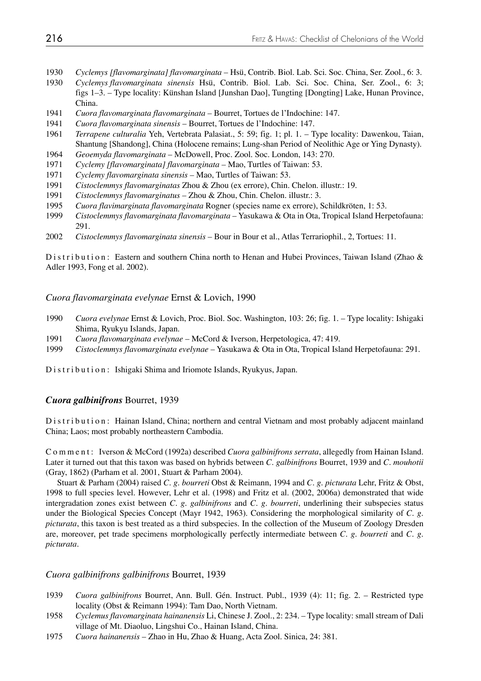- 1930 *Cyclemys [flavomarginata] flavomarginata*  Hsü, Contrib. Biol. Lab. Sci. Soc. China, Ser. Zool., 6: 3.
- 1930 *Cyclemys flavomarginata sinensis* Hsü, Contrib. Biol. Lab. Sci. Soc. China, Ser. Zool., 6: 3; figs 1–3. – Type locality: Künshan Island [Junshan Dao], Tungting [Dongting] Lake, Hunan Province, China.
- 1941 *Cuora flavomarginata flavomarginata* Bourret, Tortues de l'Indochine: 147.
- 1941 *Cuora flavomarginata sinensis* Bourret, Tortues de l'Indochine: 147.
- 1961 *Terrapene culturalia* Yeh, Vertebrata Palasiat., 5: 59; fig. 1; pl. 1. Type locality: Dawenkou, Taian, Shantung [Shandong], China (Holocene remains; Lung-shan Period of Neolithic Age or Ying Dynasty).
- 1964 *Geoemyda flavomarginata*  McDowell, Proc. Zool. Soc. London, 143: 270.
- 1971 *Cyclemy [flavomarginata] flavomarginata* Mao, Turtles of Taiwan: 53.
- 1971 *Cyclemy flavomarginata sinensis* Mao, Turtles of Taiwan: 53.
- 1991 *Cistoclemmys flavomarginatas* Zhou & Zhou (ex errore), Chin. Chelon. illustr.: 19.
- 1991 *Cistoclemmys flavomarginatus* Zhou & Zhou, Chin. Chelon. illustr.: 3.
- 1995 *Cuora flavimarginata flavomarginata* Rogner (species name ex errore), Schildkröten, 1: 53.
- 1999 *Cistoclemmys flavomarginata flavomarginata* Yasukawa & Ota in Ota, Tropical Island Herpetofauna: 291.
- 2002 *Cistoclemmys flavomarginata sinensis* Bour in Bour et al., Atlas Terrariophil., 2, Tortues: 11.

Distribution: Eastern and southern China north to Henan and Hubei Provinces, Taiwan Island (Zhao & Adler 1993, Fong et al. 2002).

*Cuora flavomarginata evelynae* Ernst & Lovich, 1990

- 1990 *Cuora evelynae* Ernst & Lovich, Proc. Biol. Soc. Washington, 103: 26; fig. 1. Type locality: Ishigaki Shima, Ryukyu Islands, Japan.
- 1991 *Cuora flavomarginata evelynae* McCord & Iverson, Herpetologica, 47: 419.
- 1999 *Cistoclemmys flavomarginata evelynae* Yasukawa & Ota in Ota, Tropical Island Herpetofauna: 291.

Distribution: Ishigaki Shima and Iriomote Islands, Ryukyus, Japan.

#### *Cuora galbinifrons* Bourret, 1939

Distribution: Hainan Island, China; northern and central Vietnam and most probably adjacent mainland China; Laos; most probably northeastern Cambodia.

Comment: Iverson & McCord (1992a) described *Cuora galbinifrons serrata*, allegedly from Hainan Island. Later it turned out that this taxon was based on hybrids between *C. galbinifrons* Bourret, 1939 and *C. mouhotii* (Gray, 1862) (Parham et al. 2001, Stuart & Parham 2004).

 Stuart & Parham (2004) raised *C. g. bourreti* Obst & Reimann, 1994 and *C. g. picturata* Lehr, Fritz & Obst, 1998 to full species level. However, Lehr et al. (1998) and Fritz et al. (2002, 2006a) demonstrated that wide intergradation zones exist between *C. g. galbinifrons* and *C. g. bourreti*, underlining their subspecies status under the Biological Species Concept (Mayr 1942, 1963). Considering the morphological similarity of *C. g. picturata*, this taxon is best treated as a third subspecies. In the collection of the Museum of Zoology Dresden are, moreover, pet trade specimens morphologically perfectly intermediate between *C. g. bourreti* and *C. g. picturata*.

#### *Cuora galbinifrons galbinifrons* Bourret, 1939

- 1939 *Cuora galbinifrons* Bourret, Ann. Bull. Gén. Instruct. Publ., 1939 (4): 11; fig. 2. Restricted type locality (Obst & Reimann 1994): Tam Dao, North Vietnam.
- 1958 *Cyclemus flavomarginata hainanensis* Li, Chinese J. Zool., 2: 234. Type locality: small stream of Dali village of Mt. Diaoluo, Lingshui Co., Hainan Island, China.
- 1975 *Cuora hainanensis* Zhao in Hu, Zhao & Huang, Acta Zool. Sinica, 24: 381.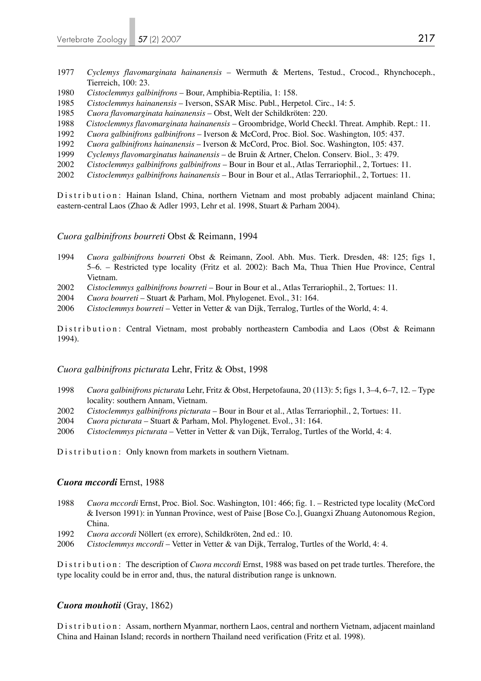- 1977 *Cyclemys flavomarginata hainanensis* Wermuth & Mertens, Testud., Crocod., Rhynchoceph., Tierreich, 100: 23.
- 1980 *Cistoclemmys galbinifrons* Bour, Amphibia-Reptilia, 1: 158.
- 1985 *Cistoclemmys hainanensis* Iverson, SSAR Misc. Publ., Herpetol. Circ., 14: 5.
- 1985 *Cuora flavomarginata hainanensis* Obst, Welt der Schildkröten: 220.
- 1988 *Cistoclemmys flavomarginata hainanensis* Groombridge, World Checkl. Threat. Amphib. Rept.: 11.
- 1992 *Cuora galbinifrons galbinifrons* Iverson & McCord, Proc. Biol. Soc. Washington, 105: 437.
- 1992 *Cuora galbinifrons hainanensis* Iverson & McCord, Proc. Biol. Soc. Washington, 105: 437.
- 1999 *Cyclemys flavomarginatus hainanensis* de Bruin & Artner, Chelon. Conserv. Biol., 3: 479.
- 2002 *Cistoclemmys galbinifrons galbinifrons* Bour in Bour et al., Atlas Terrariophil., 2, Tortues: 11.
- 2002 *Cistoclemmys galbinifrons hainanensis* Bour in Bour et al., Atlas Terrariophil., 2, Tortues: 11.

Distribution: Hainan Island, China, northern Vietnam and most probably adjacent mainland China; eastern-central Laos (Zhao & Adler 1993, Lehr et al. 1998, Stuart & Parham 2004).

## *Cuora galbinifrons bourreti* Obst & Reimann, 1994

- 1994 *Cuora galbinifrons bourreti* Obst & Reimann, Zool. Abh. Mus. Tierk. Dresden, 48: 125; figs 1, 5–6. – Restricted type locality (Fritz et al. 2002): Bach Ma, Thua Thien Hue Province, Central Vietnam.
- 2002 *Cistoclemmys galbinifrons bourreti* Bour in Bour et al., Atlas Terrariophil., 2, Tortues: 11.
- 2004 *Cuora bourreti* Stuart & Parham, Mol. Phylogenet. Evol., 31: 164.
- 2006 *Cistoclemmys bourreti* Vetter in Vetter & van Dijk, Terralog, Turtles of the World, 4: 4.

Distribution: Central Vietnam, most probably northeastern Cambodia and Laos (Obst & Reimann 1994).

## *Cuora galbinifrons picturata* Lehr, Fritz & Obst, 1998

- 1998 *Cuora galbinifrons picturata* Lehr, Fritz & Obst, Herpetofauna, 20 (113): 5; figs 1, 3–4, 6–7, 12. Type locality: southern Annam, Vietnam.
- 2002 *Cistoclemmys galbinifrons picturata* Bour in Bour et al., Atlas Terrariophil., 2, Tortues: 11.
- 2004 *Cuora picturata* Stuart & Parham, Mol. Phylogenet. Evol., 31: 164.
- 2006 *Cistoclemmys picturata* Vetter in Vetter & van Dijk, Terralog, Turtles of the World, 4: 4.

Distribution: Only known from markets in southern Vietnam.

## *Cuora mccordi* Ernst, 1988

- 1988 *Cuora mccordi* Ernst, Proc. Biol. Soc. Washington, 101: 466; fig. 1. Restricted type locality (McCord & Iverson 1991): in Yunnan Province, west of Paise [Bose Co.], Guangxi Zhuang Autonomous Region, China.
- 1992 *Cuora accordi* Nöllert (ex errore), Schildkröten, 2nd ed.: 10.
- 2006 *Cistoclemmys mccordi* Vetter in Vetter & van Dijk, Terralog, Turtles of the World, 4: 4.

Distribution: The description of *Cuora mccordi* Ernst, 1988 was based on pet trade turtles. Therefore, the type locality could be in error and, thus, the natural distribution range is unknown.

## *Cuora mouhotii* (Gray, 1862)

Distribution: Assam, northern Myanmar, northern Laos, central and northern Vietnam, adjacent mainland China and Hainan Island; records in northern Thailand need verification (Fritz et al. 1998).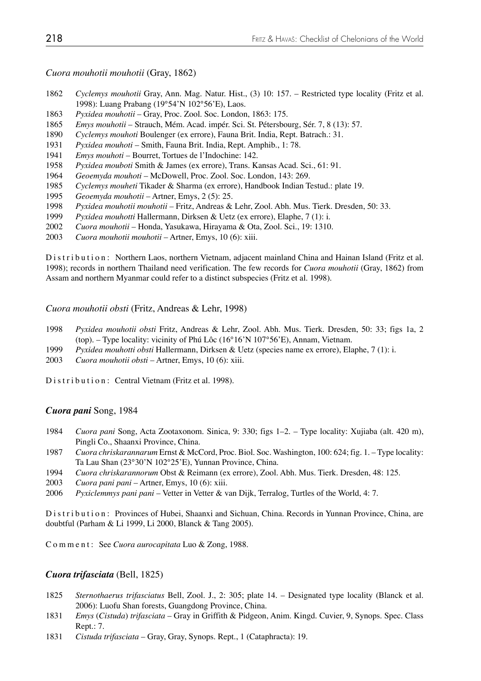*Cuora mouhotii mouhotii* (Gray, 1862)

- *Cyclemys mouhotii* Gray, Ann. Mag. Natur. Hist., (3) 10: 157. Restricted type locality (Fritz et al. 1998): Luang Prabang (19°54'N 102°56'E), Laos.
- *Pyxidea mouhotii*  Gray, Proc. Zool. Soc. London, 1863: 175.
- *Emys mouhotii* Strauch, Mém. Acad. impér. Sci. St. Pétersbourg, Sér. 7, 8 (13): 57.
- *Cyclemys mouhoti* Boulenger (ex errore), Fauna Brit. India, Rept. Batrach.: 31.
- *Pyxidea mouhoti*  Smith, Fauna Brit. India, Rept. Amphib., 1: 78.
- *Emys mouhoti* Bourret, Tortues de l'Indochine: 142.
- *Pyxidea mouboti* Smith & James (ex errore), Trans. Kansas Acad. Sci., 61: 91.
- *Geoemyda mouhoti* McDowell, Proc. Zool. Soc. London, 143: 269.
- *Cyclemys mouheti* Tikader & Sharma (ex errore), Handbook Indian Testud.: plate 19.
- *Geoemyda mouhotii* Artner, Emys, 2 (5): 25.
- *Pyxidea mouhotii mouhotii* Fritz, Andreas & Lehr, Zool. Abh. Mus. Tierk. Dresden, 50: 33.
- *Pyxidea mouhotti* Hallermann, Dirksen & Uetz (ex errore), Elaphe, 7 (1): i.
- *Cuora mouhotii* Honda, Yasukawa, Hirayama & Ota, Zool. Sci., 19: 1310.
- *Cuora mouhotii mouhotii*  Artner, Emys, 10 (6): xiii.

Distribution: Northern Laos, northern Vietnam, adjacent mainland China and Hainan Island (Fritz et al. 1998); records in northern Thailand need verification. The few records for *Cuora mouhotii* (Gray, 1862) from Assam and northern Myanmar could refer to a distinct subspecies (Fritz et al. 1998).

*Cuora mouhotii obsti* (Fritz, Andreas & Lehr, 1998)

- *Pyxidea mouhotii obsti* Fritz, Andreas & Lehr, Zool. Abh. Mus. Tierk. Dresden, 50: 33; figs 1a, 2 (top). – Type locality: vicinity of Phú Lôc (16°16'N 107°56'E), Annam, Vietnam.
- *Pyxidea mouhotti obsti* Hallermann, Dirksen & Uetz (species name ex errore), Elaphe, 7 (1): i.
- *Cuora mouhotii obsti* Artner, Emys, 10 (6): xiii.

Distribution: Central Vietnam (Fritz et al. 1998).

### *Cuora pani* Song, 1984

- *Cuora pani* Song, Acta Zootaxonom. Sinica, 9: 330; figs 1–2. Type locality: Xujiaba (alt. 420 m), Pingli Co., Shaanxi Province, China.
- *Cuora chriskarannarum* Ernst & McCord, Proc. Biol. Soc. Washington, 100: 624; fig. 1. Type locality: Ta Lau Shan (23°30'N 102°25'E), Yunnan Province, China.
- *Cuora chriskarannorum* Obst & Reimann (ex errore), Zool. Abh. Mus. Tierk. Dresden, 48: 125.
- *Cuora pani pani* Artner, Emys, 10 (6): xiii.
- *Pyxiclemmys pani pani* Vetter in Vetter & van Dijk, Terralog, Turtles of the World, 4: 7.

Distribution: Provinces of Hubei, Shaanxi and Sichuan, China. Records in Yunnan Province, China, are doubtful (Parham & Li 1999, Li 2000, Blanck & Tang 2005).

Comment: See *Cuora aurocapitata* Luo & Zong, 1988.

#### *Cuora trifasciata* (Bell, 1825)

- *Sternothaerus trifasciatus* Bell, Zool. J., 2: 305; plate 14. Designated type locality (Blanck et al. 2006): Luofu Shan forests, Guangdong Province, China.
- *Emys* (*Cistuda*) *trifasciata* Gray in Griffith & Pidgeon, Anim. Kingd. Cuvier, 9, Synops. Spec. Class Rept.: 7.
- *Cistuda trifasciata* Gray, Gray, Synops. Rept., 1 (Cataphracta): 19.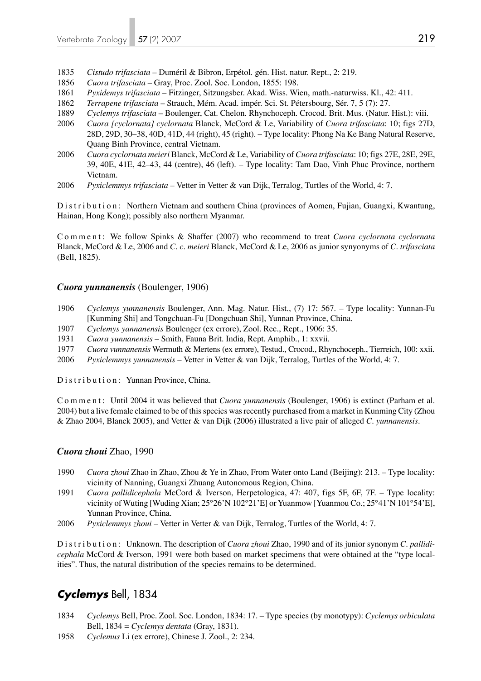- 1835 *Cistudo trifasciata* Duméril & Bibron, Erpétol. gén. Hist. natur. Rept., 2: 219.
- 1856 *Cuora trifasciata* Gray, Proc. Zool. Soc. London, 1855: 198.
- 1861 *Pyxidemys trifasciata*  Fitzinger, Sitzungsber. Akad. Wiss. Wien, math.-naturwiss. Kl., 42: 411.
- 1862 *Terrapene trifasciata*  Strauch, Mém. Acad. impér. Sci. St. Pétersbourg, Sér. 7, 5 (7): 27.
- 1889 *Cyclemys trifasciata* Boulenger, Cat. Chelon. Rhynchoceph. Crocod. Brit. Mus. (Natur. Hist.): viii.
- 2006 *Cuora [cyclornata] cyclornata* Blanck, McCord & Le, Variability of *Cuora trifasciata*: 10; figs 27D, 28D, 29D, 30–38, 40D, 41D, 44 (right), 45 (right). – Type locality: Phong Na Ke Bang Natural Reserve, Quang Binh Province, central Vietnam.
- 2006 *Cuora cyclornata meieri* Blanck, McCord & Le, Variability of *Cuora trifasciata*: 10; figs 27E, 28E, 29E, 39, 40E, 41E, 42–43, 44 (centre), 46 (left). – Type locality: Tam Dao, Vinh Phuc Province, northern Vietnam.
- 2006 *Pyxiclemmys trifasciata* Vetter in Vetter & van Dijk, Terralog, Turtles of the World, 4: 7.

Distribution: Northern Vietnam and southern China (provinces of Aomen, Fujian, Guangxi, Kwantung, Hainan, Hong Kong); possibly also northern Myanmar.

C o m m e n t : We follow Spinks & Shaffer (2007) who recommend to treat *Cuora cyclornata cyclornata* Blanck, McCord & Le, 2006 and *C. c. meieri* Blanck, McCord & Le, 2006 as junior synyonyms of *C. trifasciata* (Bell, 1825).

## *Cuora yunnanensis* (Boulenger, 1906)

- 1906 *Cyclemys yunnanensis* Boulenger, Ann. Mag. Natur. Hist., (7) 17: 567. Type locality: Yunnan-Fu [Kunming Shi] and Tongchuan-Fu [Dongchuan Shi], Yunnan Province, China.
- 1907 *Cyclemys yannanensis* Boulenger (ex errore), Zool. Rec., Rept., 1906: 35.
- 1931 *Cuora yunnanensis* Smith, Fauna Brit. India, Rept. Amphib., 1: xxvii.
- 1977 *Cuora vunnanensis* Wermuth & Mertens (ex errore), Testud., Crocod., Rhynchoceph., Tierreich, 100: xxii.
- 2006 *Pyxiclemmys yunnanensis* Vetter in Vetter & van Dijk, Terralog, Turtles of the World, 4: 7.

Distribution: Yunnan Province, China.

Comment: Until 2004 it was believed that *Cuora yunnanensis* (Boulenger, 1906) is extinct (Parham et al. 2004) but a live female claimed to be of this species was recently purchased from a market in Kunming City (Zhou & Zhao 2004, Blanck 2005), and Vetter & van Dijk (2006) illustrated a live pair of alleged *C. yunnanensis*.

## *Cuora zhoui* Zhao, 1990

- 1990 *Cuora zhoui* Zhao in Zhao, Zhou & Ye in Zhao, From Water onto Land (Beijing): 213. Type locality: vicinity of Nanning, Guangxi Zhuang Autonomous Region, China.
- 1991 *Cuora pallidicephala* McCord & Iverson, Herpetologica, 47: 407, figs 5F, 6F, 7F. Type locality: vicinity of Wuting [Wuding Xian; 25°26'N 102°21'E] or Yuanmow [Yuanmou Co.; 25°41'N 101°54'E], Yunnan Province, China.
- 2006 *Pyxiclemmys zhoui* Vetter in Vetter & van Dijk, Terralog, Turtles of the World, 4: 7.

Distribution: Unknown. The description of *Cuora zhoui* Zhao, 1990 and of its junior synonym *C. pallidicephala* McCord & Iverson, 1991 were both based on market specimens that were obtained at the "type localities". Thus, the natural distribution of the species remains to be determined.

# *Cyclemys* Bell, 1834

- 1834 *Cyclemys* Bell, Proc. Zool. Soc. London, 1834: 17. Type species (by monotypy): *Cyclemys orbiculata*  Bell, 1834 = *Cyclemys dentata* (Gray, 1831).
- 1958 *Cyclemus* Li (ex errore), Chinese J. Zool., 2: 234.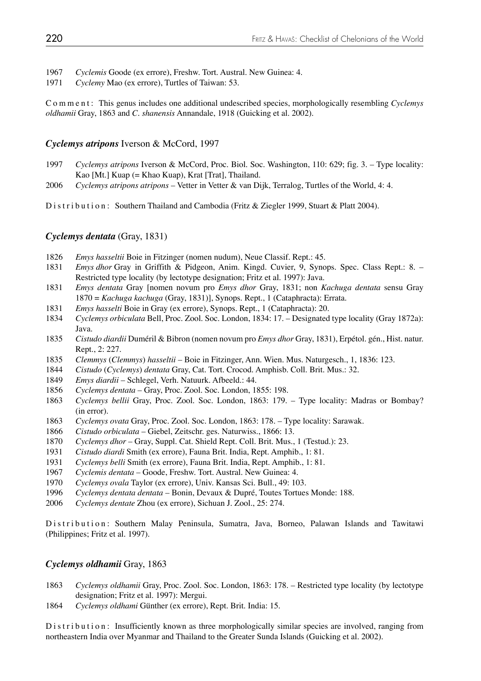- *Cyclemis* Goode (ex errore), Freshw. Tort. Austral. New Guinea: 4.
- *Cyclemy* Mao (ex errore), Turtles of Taiwan: 53.

Comment: This genus includes one additional undescribed species, morphologically resembling *Cyclemys oldhamii* Gray, 1863 and *C. shanensis* Annandale, 1918 (Guicking et al. 2002).

## *Cyclemys atripons* Iverson & McCord, 1997

- *Cyclemys atripons* Iverson & McCord, Proc. Biol. Soc. Washington, 110: 629; fig. 3. Type locality: Kao [Mt.] Kuap (= Khao Kuap), Krat [Trat], Thailand.
- *Cyclemys atripons atripons* Vetter in Vetter & van Dijk, Terralog, Turtles of the World, 4: 4.

Distribution: Southern Thailand and Cambodia (Fritz & Ziegler 1999, Stuart & Platt 2004).

## *Cyclemys dentata* (Gray, 1831)

- *Emys hasseltii* Boie in Fitzinger (nomen nudum), Neue Classif. Rept.: 45.
- *Emys dhor* Gray in Griffith & Pidgeon, Anim. Kingd. Cuvier, 9, Synops. Spec. Class Rept.: 8. Restricted type locality (by lectotype designation; Fritz et al. 1997): Java.
- *Emys dentata* Gray [nomen novum pro *Emys dhor* Gray, 1831; non *Kachuga dentata* sensu Gray 1870 = *Kachuga kachuga* (Gray, 1831)], Synops. Rept., 1 (Cataphracta): Errata.
- *Emys hasselti* Boie in Gray (ex errore), Synops. Rept., 1 (Cataphracta): 20.
- *Cyclemys orbiculata* Bell, Proc. Zool. Soc. London, 1834: 17. Designated type locality (Gray 1872a): Java.
- *Cistudo diardii* Duméril & Bibron (nomen novum pro *Emys dhor* Gray, 1831), Erpétol. gén., Hist. natur. Rept., 2: 227.
- *Clemmys* (*Clemmys*) *hasseltii* Boie in Fitzinger, Ann. Wien. Mus. Naturgesch., 1, 1836: 123.
- *Cistudo* (*Cyclemys*) *dentata* Gray, Cat. Tort. Crocod. Amphisb. Coll. Brit. Mus.: 32.
- *Emys diardii* Schlegel, Verh. Natuurk. Afbeeld.: 44.
- *Cyclemys dentata* Gray, Proc. Zool. Soc. London, 1855: 198.
- *Cyclemys bellii* Gray, Proc. Zool. Soc. London, 1863: 179. Type locality: Madras or Bombay? (in error).
- *Cyclemys ovata* Gray, Proc. Zool. Soc. London, 1863: 178. Type locality: Sarawak.
- *Cistudo orbiculata* Giebel, Zeitschr. ges. Naturwiss., 1866: 13.
- *Cyclemys dhor* Gray, Suppl. Cat. Shield Rept. Coll. Brit. Mus., 1 (Testud.): 23.
- *Cistudo diardi* Smith (ex errore), Fauna Brit. India, Rept. Amphib., 1: 81.
- *Cyclemys belli* Smith (ex errore), Fauna Brit. India, Rept. Amphib., 1: 81.
- *Cyclemis dentata* Goode, Freshw. Tort. Austral. New Guinea: 4.
- *Cyclemys ovala* Taylor (ex errore), Univ. Kansas Sci. Bull., 49: 103.
- *Cyclemys dentata dentata* Bonin, Devaux & Dupré, Toutes Tortues Monde: 188.
- *Cyclemys dentate* Zhou (ex errore), Sichuan J. Zool., 25: 274.

Distribution: Southern Malay Peninsula, Sumatra, Java, Borneo, Palawan Islands and Tawitawi (Philippines; Fritz et al. 1997).

## *Cyclemys oldhamii* Gray, 1863

- *Cyclemys oldhamii* Gray, Proc. Zool. Soc. London, 1863: 178. Restricted type locality (by lectotype designation; Fritz et al. 1997): Mergui.
- *Cyclemys oldhami* Günther (ex errore), Rept. Brit. India: 15.

Distribution: Insufficiently known as three morphologically similar species are involved, ranging from northeastern India over Myanmar and Thailand to the Greater Sunda Islands (Guicking et al. 2002).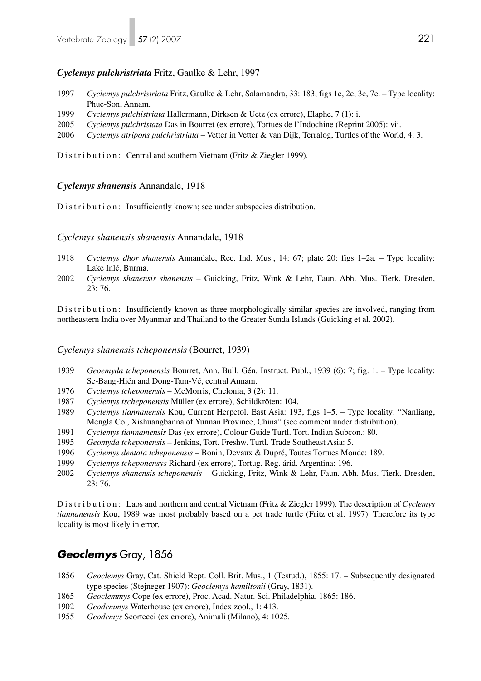## *Cyclemys pulchristriata* Fritz, Gaulke & Lehr, 1997

- 1997 *Cyclemys pulchristriata* Fritz, Gaulke & Lehr, Salamandra, 33: 183, figs 1c, 2c, 3c, 7c. Type locality: Phuc-Son, Annam.
- 1999 *Cyclemys pulchistriata* Hallermann, Dirksen & Uetz (ex errore), Elaphe, 7 (1): i.
- 2005 *Cyclemys pulchristata* Das in Bourret (ex errore), Tortues de l'Indochine (Reprint 2005): vii.
- 2006 *Cyclemys atripons pulchristriata* Vetter in Vetter & van Dijk, Terralog, Turtles of the World, 4: 3.

Distribution: Central and southern Vietnam (Fritz & Ziegler 1999).

## *Cyclemys shanensis* Annandale, 1918

Distribution: Insufficiently known; see under subspecies distribution.

*Cyclemys shanensis shanensis* Annandale, 1918

- 1918 *Cyclemys dhor shanensis* Annandale, Rec. Ind. Mus., 14: 67; plate 20: figs 1–2a. Type locality: Lake Inlé, Burma.
- 2002 *Cyclemys shanensis shanensis* Guicking, Fritz, Wink & Lehr, Faun. Abh. Mus. Tierk. Dresden, 23: 76.

Distribution: Insufficiently known as three morphologically similar species are involved, ranging from northeastern India over Myanmar and Thailand to the Greater Sunda Islands (Guicking et al. 2002).

*Cyclemys shanensis tcheponensis* (Bourret, 1939)

- 1939 *Geoemyda tcheponensis* Bourret, Ann. Bull. Gén. Instruct. Publ., 1939 (6): 7; fig. 1. Type locality: Se-Bang-Hién and Dong-Tam-Vé, central Annam.
- 1976 *Cyclemys tcheponensis* McMorris, Chelonia, 3 (2): 11.
- 1987 *Cyclemys tscheponensis* Müller (ex errore), Schildkröten: 104.
- 1989 *Cyclemys tiannanensis* Kou, Current Herpetol. East Asia: 193, figs 1–5. Type locality: "Nanliang, Mengla Co., Xishuangbanna of Yunnan Province, China" (see comment under distribution).
- 1991 *Cyclemys tiannamensis* Das (ex errore), Colour Guide Turtl. Tort. Indian Subcon.: 80.
- 1995 *Geomyda tcheponensis* Jenkins, Tort. Freshw. Turtl. Trade Southeast Asia: 5.
- 1996 *Cyclemys dentata tcheponensis* Bonin, Devaux & Dupré, Toutes Tortues Monde: 189.
- 1999 *Cyclemys tcheponensys* Richard (ex errore), Tortug. Reg. árid. Argentina: 196.
- 2002 *Cyclemys shanensis tcheponensis* Guicking, Fritz, Wink & Lehr, Faun. Abh. Mus. Tierk. Dresden, 23: 76.

Distribution: Laos and northern and central Vietnam (Fritz & Ziegler 1999). The description of *Cyclemys tiannanensis* Kou, 1989 was most probably based on a pet trade turtle (Fritz et al. 1997). Therefore its type locality is most likely in error.

# *Geoclemys* Gray, 1856

- 1856 *Geoclemys* Gray, Cat. Shield Rept. Coll. Brit. Mus., 1 (Testud.), 1855: 17. Subsequently designated type species (Stejneger 1907): *Geoclemys hamiltonii* (Gray, 1831).
- 1865 *Geoclemmys* Cope (ex errore), Proc. Acad. Natur. Sci. Philadelphia, 1865: 186.
- 1902 *Geodemmys* Waterhouse (ex errore), Index zool., 1: 413.
- 1955 *Geodemys* Scortecci (ex errore), Animali (Milano), 4: 1025.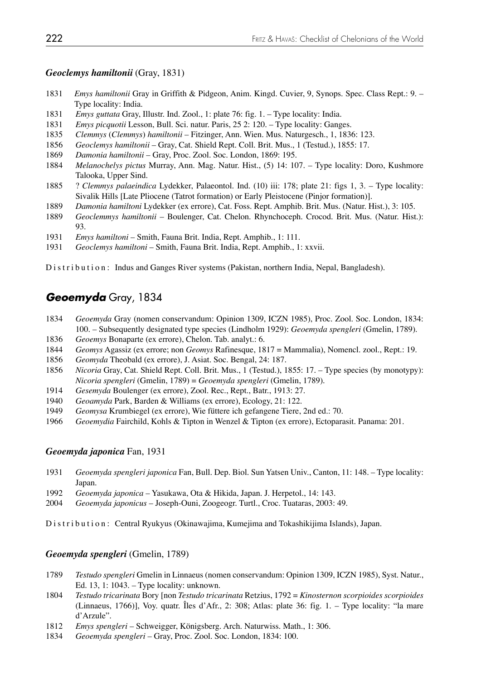## *Geoclemys hamiltonii* (Gray, 1831)

- *Emys hamiltonii* Gray in Griffith & Pidgeon, Anim. Kingd. Cuvier, 9, Synops. Spec. Class Rept.: 9. Type locality: India.
- *Emys guttata* Gray, Illustr. Ind. Zool., 1: plate 76: fig. 1. Type locality: India.
- *Emys picquotii* Lesson, Bull. Sci. natur. Paris, 25 2: 120. Type locality: Ganges.
- *Clemmys* (*Clemmys*) *hamiltonii* Fitzinger, Ann. Wien. Mus. Naturgesch., 1, 1836: 123.
- *Geoclemys hamiltonii*  Gray, Cat. Shield Rept. Coll. Brit. Mus., 1 (Testud.), 1855: 17.
- *Damonia hamiltonii* Gray, Proc. Zool. Soc. London, 1869: 195.
- *Melanochelys pictus* Murray, Ann. Mag. Natur. Hist., (5) 14: 107. Type locality: Doro, Kushmore Talooka, Upper Sind.
- 1885 ? *Clemmys palaeindica* Lydekker, Palaeontol. Ind. (10) iii: 178; plate 21: figs 1, 3. Type locality: Sivalik Hills [Late Pliocene (Tatrot formation) or Early Pleistocene (Pinjor formation)].
- *Damonia hamiltoni* Lydekker (ex errore), Cat. Foss. Rept. Amphib. Brit. Mus. (Natur. Hist.), 3: 105.
- *Geoclemmys hamiltonii* Boulenger, Cat. Chelon. Rhynchoceph. Crocod. Brit. Mus. (Natur. Hist.): 93.
- *Emys hamiltoni*  Smith, Fauna Brit. India, Rept. Amphib., 1: 111.
- *Geoclemys hamiltoni* Smith, Fauna Brit. India, Rept. Amphib., 1: xxvii.

Distribution: Indus and Ganges River systems (Pakistan, northern India, Nepal, Bangladesh).

# *Geoemyda* Gray, 1834

- *Geoemyda* Gray (nomen conservandum: Opinion 1309, ICZN 1985), Proc. Zool. Soc. London, 1834: 100. – Subsequently designated type species (Lindholm 1929): *Geoemyda spengleri* (Gmelin, 1789).
- *Geoemys* Bonaparte (ex errore), Chelon. Tab. analyt.: 6.
- *Geomys* Agassiz (ex errore; non *Geomys* Rafinesque, 1817 = Mammalia), Nomencl. zool., Rept.: 19.
- *Geomyda* Theobald (ex errore), J. Asiat. Soc. Bengal, 24: 187.
- *Nicoria* Gray, Cat. Shield Rept. Coll. Brit. Mus., 1 (Testud.), 1855: 17. Type species (by monotypy): *Nicoria spengleri* (Gmelin, 1789) = *Geoemyda spengleri* (Gmelin, 1789).
- *Gesemyda* Boulenger (ex errore), Zool. Rec., Rept., Batr., 1913: 27.
- *Geoamyda* Park, Barden & Williams (ex errore), Ecology, 21: 122.
- *Geomysa* Krumbiegel (ex errore), Wie füttere ich gefangene Tiere, 2nd ed.: 70.
- *Geoemydia* Fairchild, Kohls & Tipton in Wenzel & Tipton (ex errore), Ectoparasit. Panama: 201.

## *Geoemyda japonica* Fan, 1931

- *Geoemyda spengleri japonica* Fan, Bull. Dep. Biol. Sun Yatsen Univ., Canton, 11: 148. Type locality: Japan.
- *Geoemyda japonica* Yasukawa, Ota & Hikida, Japan. J. Herpetol., 14: 143.
- *Geoemyda japonicus* Joseph-Ouni, Zoogeogr. Turtl., Croc. Tuataras, 2003: 49.

Distribution: Central Ryukyus (Okinawajima, Kumejima and Tokashikijima Islands), Japan.

## *Geoemyda spengleri* (Gmelin, 1789)

- *Testudo spengleri* Gmelin in Linnaeus (nomen conservandum: Opinion 1309, ICZN 1985), Syst. Natur., Ed. 13, 1: 1043. – Type locality: unknown.
- *Testudo tricarinata* Bory [non *Testudo tricarinata* Retzius, 1792 = *Kinosternon scorpioides scorpioides*  (Linnaeus, 1766)], Voy. quatr. Îles d'Afr., 2: 308; Atlas: plate 36: fig. 1. – Type locality: "la mare d'Arzule".
- *Emys spengleri* Schweigger, Königsberg. Arch. Naturwiss. Math., 1: 306.
- *Geoemyda spengleri*  Gray, Proc. Zool. Soc. London, 1834: 100.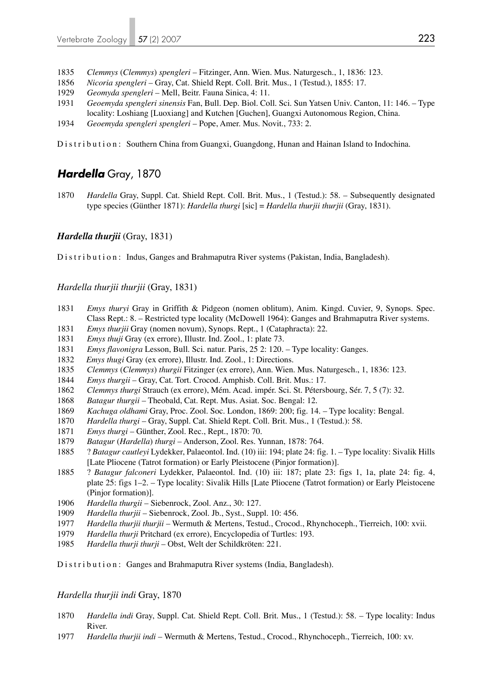- *Clemmys* (*Clemmys*) *spengleri* Fitzinger, Ann. Wien. Mus. Naturgesch., 1, 1836: 123.
- *Nicoria spengleri*  Gray, Cat. Shield Rept. Coll. Brit. Mus., 1 (Testud.), 1855: 17.
- *Geomyda spengleri* Mell, Beitr. Fauna Sinica, 4: 11.
- *Geoemyda spengleri sinensis* Fan, Bull. Dep. Biol. Coll. Sci. Sun Yatsen Univ. Canton, 11: 146. Type locality: Loshiang [Luoxiang] and Kutchen [Guchen], Guangxi Autonomous Region, China.
- *Geoemyda spengleri spengleri*  Pope, Amer. Mus. Novit., 733: 2.

Distribution: Southern China from Guangxi, Guangdong, Hunan and Hainan Island to Indochina.

# *Hardella* Gray, 1870

*Hardella* Gray, Suppl. Cat. Shield Rept. Coll. Brit. Mus., 1 (Testud.): 58. – Subsequently designated type species (Günther 1871): *Hardella thurgi* [sic] = *Hardella thurjii thurjii* (Gray, 1831).

## *Hardella thurjii* (Gray, 1831)

Distribution: Indus, Ganges and Brahmaputra River systems (Pakistan, India, Bangladesh).

*Hardella thurjii thurjii* (Gray, 1831)

- *Emys thuryi* Gray in Griffith & Pidgeon (nomen oblitum), Anim. Kingd. Cuvier, 9, Synops. Spec. Class Rept.: 8. – Restricted type locality (McDowell 1964): Ganges and Brahmaputra River systems.
- *Emys thurjii* Gray (nomen novum), Synops. Rept., 1 (Cataphracta): 22.
- *Emys thuji* Gray (ex errore), Illustr. Ind. Zool., 1: plate 73.
- *Emys flavonigra* Lesson, Bull. Sci. natur. Paris, 25 2: 120. Type locality: Ganges.
- *Emys thugi* Gray (ex errore), Illustr. Ind. Zool., 1: Directions.
- *Clemmys* (*Clemmys*) *thurgii* Fitzinger (ex errore), Ann. Wien. Mus. Naturgesch., 1, 1836: 123.
- *Emys thurgii* Gray, Cat. Tort. Crocod. Amphisb. Coll. Brit. Mus.: 17.
- *Clemmys thurgi* Strauch (ex errore), Mém. Acad. impér. Sci. St. Pétersbourg, Sér. 7, 5 (7): 32.
- *Batagur thurgii* Theobald, Cat. Rept. Mus. Asiat. Soc. Bengal: 12.
- *Kachuga oldhami* Gray, Proc. Zool. Soc. London, 1869: 200; fig. 14. Type locality: Bengal.
- *Hardella thurgi* Gray, Suppl. Cat. Shield Rept. Coll. Brit. Mus., 1 (Testud.): 58.
- *Emys thurgi* Günther, Zool. Rec., Rept., 1870: 70.
- *Batagur* (*Hardella*) *thurgi* Anderson, Zool. Res. Yunnan, 1878: 764.
- 1885 ? *Batagur cautleyi* Lydekker, Palaeontol. Ind. (10) iii: 194; plate 24: fig. 1. Type locality: Sivalik Hills [Late Pliocene (Tatrot formation) or Early Pleistocene (Pinjor formation)].
- 1885 ? *Batagur falconeri* Lydekker, Palaeontol. Ind. (10) iii: 187; plate 23: figs 1, 1a, plate 24: fig. 4, plate 25: figs 1–2. – Type locality: Sivalik Hills [Late Pliocene (Tatrot formation) or Early Pleistocene (Pinjor formation)].
- *Hardella thurgii* Siebenrock, Zool. Anz., 30: 127.
- *Hardella thurjii* Siebenrock, Zool. Jb., Syst., Suppl. 10: 456.
- *Hardella thurjii thurjii* Wermuth & Mertens, Testud., Crocod., Rhynchoceph., Tierreich, 100: xvii.
- *Hardella thurji* Pritchard (ex errore), Encyclopedia of Turtles: 193.
- *Hardella thurji thurji* Obst, Welt der Schildkröten: 221.

Distribution: Ganges and Brahmaputra River systems (India, Bangladesh).

### *Hardella thurjii indi* Gray, 1870

- *Hardella indi* Gray, Suppl. Cat. Shield Rept. Coll. Brit. Mus., 1 (Testud.): 58. Type locality: Indus River.
- *Hardella thurjii indi* Wermuth & Mertens, Testud., Crocod., Rhynchoceph., Tierreich, 100: xv.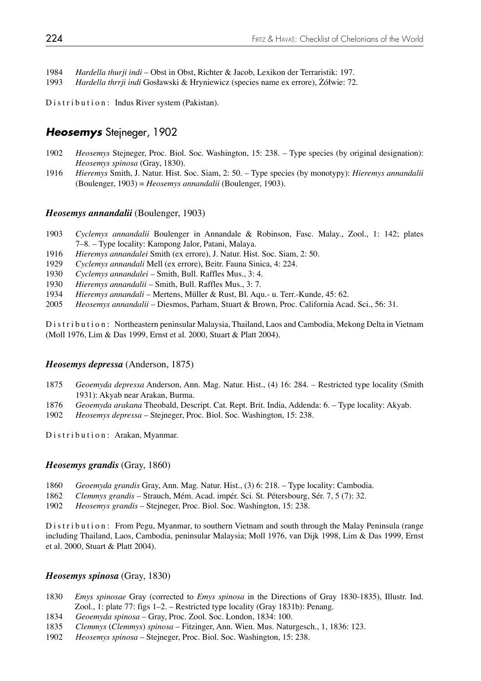1984 *Hardella thurji indi* – Obst in Obst, Richter & Jacob, Lexikon der Terraristik: 197.

1993 *Hardella thrrji indi* Gosławski & Hryniewicz (species name ex errore), Żółwie: 72.

Distribution: Indus River system (Pakistan).

# *Heosemys* Stejneger, 1902

- 1902 *Heosemys* Stejneger, Proc. Biol. Soc. Washington, 15: 238. Type species (by original designation): *Heosemys spinosa* (Gray, 1830).
- 1916 *Hieremys* Smith, J. Natur. Hist. Soc. Siam, 2: 50. Type species (by monotypy): *Hieremys annandalii* (Boulenger, 1903) = *Heosemys annandalii* (Boulenger, 1903).

## *Heosemys annandalii* (Boulenger, 1903)

- 1903 *Cyclemys annandalii* Boulenger in Annandale & Robinson, Fasc. Malay., Zool., 1: 142; plates 7–8. – Type locality: Kampong Jalor, Patani, Malaya.
- 1916 *Hieremys annandalei* Smith (ex errore), J. Natur. Hist. Soc. Siam, 2: 50.
- 1929 *Cyclemys annandali* Mell (ex errore), Beitr. Fauna Sinica, 4: 224.
- 1930 *Cyclemys annandalei* Smith, Bull. Raffles Mus., 3: 4.
- 1930 *Hieremys annandalii* Smith, Bull. Raffles Mus., 3: 7.
- 1934 *Hieremys annandali* Mertens, Müller & Rust, Bl. Aqu.- u. Terr.-Kunde, 45: 62.
- 2005 *Heosemys annandalii* Diesmos, Parham, Stuart & Brown, Proc. California Acad. Sci., 56: 31.

Distribution: Northeastern peninsular Malaysia, Thailand, Laos and Cambodia, Mekong Delta in Vietnam (Moll 1976, Lim & Das 1999, Ernst et al. 2000, Stuart & Platt 2004).

### *Heosemys depressa* (Anderson, 1875)

- 1875 *Geoemyda depressa* Anderson, Ann. Mag. Natur. Hist., (4) 16: 284. Restricted type locality (Smith 1931): Akyab near Arakan, Burma.
- 1876 *Geoemyda arakana* Theobald, Descript. Cat. Rept. Brit. India, Addenda: 6. Type locality: Akyab.
- 1902 *Heosemys depressa*  Stejneger, Proc. Biol. Soc. Washington, 15: 238.

Distribution: Arakan, Myanmar.

### *Heosemys grandis* (Gray, 1860)

- 1860 *Geoemyda grandis* Gray, Ann. Mag. Natur. Hist., (3) 6: 218. Type locality: Cambodia.
- 1862 *Clemmys grandis*  Strauch, Mém. Acad. impér. Sci. St. Pétersbourg, Sér. 7, 5 (7): 32.
- 1902 *Heosemys grandis*  Stejneger, Proc. Biol. Soc. Washington, 15: 238.

Distribution: From Pegu, Myanmar, to southern Vietnam and south through the Malay Peninsula (range including Thailand, Laos, Cambodia, peninsular Malaysia; Moll 1976, van Dijk 1998, Lim & Das 1999, Ernst et al. 2000, Stuart & Platt 2004).

### *Heosemys spinosa* (Gray, 1830)

- 1830 *Emys spinosae* Gray (corrected to *Emys spinosa* in the Directions of Gray 1830-1835), Illustr. Ind. Zool., 1: plate 77: figs 1–2. – Restricted type locality (Gray 1831b): Penang.
- 1834 *Geoemyda spinosa*  Gray, Proc. Zool. Soc. London, 1834: 100.
- 1835 *Clemmys* (*Clemmys*) *spinosa* Fitzinger, Ann. Wien. Mus. Naturgesch., 1, 1836: 123.
- 1902 *Heosemys spinosa*  Stejneger, Proc. Biol. Soc. Washington, 15: 238.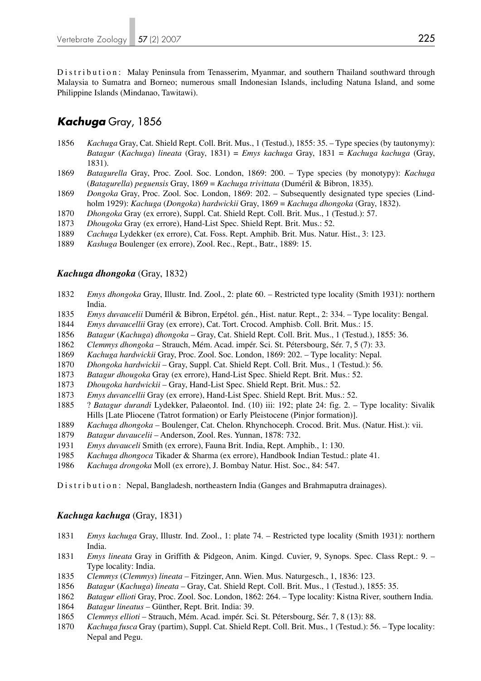Distribution: Malay Peninsula from Tenasserim, Myanmar, and southern Thailand southward through Malaysia to Sumatra and Borneo; numerous small Indonesian Islands, including Natuna Island, and some Philippine Islands (Mindanao, Tawitawi).

# *Kachuga* Gray, 1856

- *Kachuga* Gray, Cat. Shield Rept. Coll. Brit. Mus., 1 (Testud.), 1855: 35. Type species (by tautonymy): *Batagur* (*Kachuga*) *lineata* (Gray, 1831) = *Emys kachuga* Gray, 1831 = *Kachuga kachuga* (Gray, 1831).
- *Batagurella* Gray, Proc. Zool. Soc. London, 1869: 200. Type species (by monotypy): *Kachuga*  (*Batagurella*) *peguensis* Gray, 1869 = *Kachuga trivittata* (Duméril & Bibron, 1835).
- *Dongoka* Gray, Proc. Zool. Soc. London, 1869: 202. Subsequently designated type species (Lind holm 1929): *Kachuga* (*Dongoka*) *hardwickii* Gray, 1869 = *Kachuga dhongoka* (Gray, 1832).
- *Dhongoka* Gray (ex errore), Suppl. Cat. Shield Rept. Coll. Brit. Mus., 1 (Testud.): 57.
- *Dhougoka* Gray (ex errore), Hand-List Spec. Shield Rept. Brit. Mus.: 52.
- *Cachuga* Lydekker (ex errore), Cat. Foss. Rept. Amphib. Brit. Mus. Natur. Hist., 3: 123.
- *Kashuga* Boulenger (ex errore), Zool. Rec., Rept., Batr., 1889: 15.

## *Kachuga dhongoka* (Gray, 1832)

- *Emys dhongoka* Gray, Illustr. Ind. Zool., 2: plate 60. Restricted type locality (Smith 1931): northern India.
- *Emys duvaucelii* Duméril & Bibron, Erpétol. gén., Hist. natur. Rept., 2: 334. Type locality: Bengal.
- *Emys duvaucellii* Gray (ex errore), Cat. Tort. Crocod. Amphisb. Coll. Brit. Mus.: 15.
- *Batagur* (*Kachuga*) *dhongoka* Gray, Cat. Shield Rept. Coll. Brit. Mus., 1 (Testud.), 1855: 36.
- *Clemmys dhongoka* Strauch, Mém. Acad. impér. Sci. St. Pétersbourg, Sér. 7, 5 (7): 33.
- *Kachuga hardwickii* Gray, Proc. Zool. Soc. London, 1869: 202. Type locality: Nepal.
- *Dhongoka hardwickii* Gray, Suppl. Cat. Shield Rept. Coll. Brit. Mus., 1 (Testud.): 56.
- *Batagur dhougoka* Gray (ex errore), Hand-List Spec. Shield Rept. Brit. Mus.: 52.
- *Dhougoka hardwickii* Gray, Hand-List Spec. Shield Rept. Brit. Mus.: 52.
- *Emys duvancellii* Gray (ex errore), Hand-List Spec. Shield Rept. Brit. Mus.: 52.
- 1885 ? *Batagur durandi* Lydekker, Palaeontol. Ind. (10) iii: 192; plate 24: fig. 2. Type locality: Sivalik Hills [Late Pliocene (Tatrot formation) or Early Pleistocene (Pinjor formation)].
- *Kachuga dhongoka*  Boulenger, Cat. Chelon. Rhynchoceph. Crocod. Brit. Mus. (Natur. Hist.): vii.
- *Batagur duvaucelii*  Anderson, Zool. Res. Yunnan, 1878: 732.
- *Emys duvauceli* Smith (ex errore), Fauna Brit. India, Rept. Amphib., 1: 130.
- *Kachuga dhongoca* Tikader & Sharma (ex errore), Handbook Indian Testud.: plate 41.
- *Kachuga drongoka* Moll (ex errore), J. Bombay Natur. Hist. Soc., 84: 547.

Distribution: Nepal, Bangladesh, northeastern India (Ganges and Brahmaputra drainages).

### *Kachuga kachuga* (Gray, 1831)

- *Emys kachuga* Gray, Illustr. Ind. Zool., 1: plate 74. Restricted type locality (Smith 1931): northern India.
- *Emys lineata* Gray in Griffith & Pidgeon, Anim. Kingd. Cuvier, 9, Synops. Spec. Class Rept.: 9. Type locality: India.
- *Clemmys* (*Clemmys*) *lineata* Fitzinger, Ann. Wien. Mus. Naturgesch., 1, 1836: 123.
- *Batagur* (*Kachuga*) *lineata* Gray, Cat. Shield Rept. Coll. Brit. Mus., 1 (Testud.), 1855: 35.
- *Batagur ellioti* Gray, Proc. Zool. Soc. London, 1862: 264. Type locality: Kistna River, southern India.
- *Batagur lineatus* Günther, Rept. Brit. India: 39.
- *Clemmys ellioti*  Strauch, Mém. Acad. impér. Sci. St. Pétersbourg, Sér. 7, 8 (13): 88.
- *Kachuga fusca* Gray (partim), Suppl. Cat. Shield Rept. Coll. Brit. Mus., 1 (Testud.): 56. Type locality: Nepal and Pegu.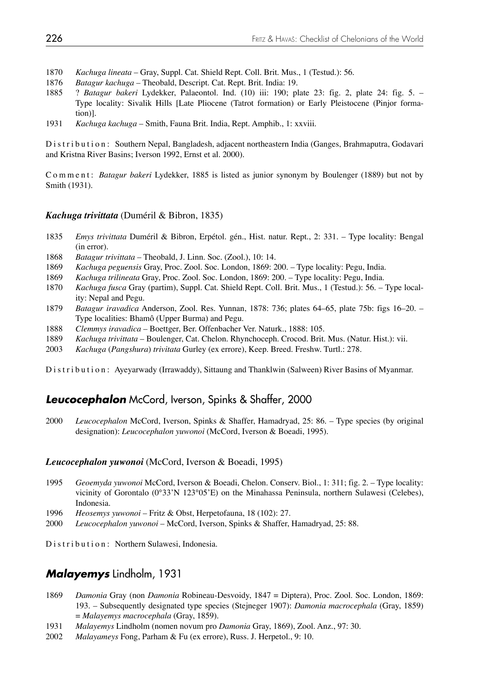- 1870 *Kachuga lineata* Gray, Suppl. Cat. Shield Rept. Coll. Brit. Mus., 1 (Testud.): 56.
- 1876 *Batagur kachuga* Theobald, Descript. Cat. Rept. Brit. India: 19.
- 1885 ? *Batagur bakeri* Lydekker, Palaeontol. Ind. (10) iii: 190; plate 23: fig. 2, plate 24: fig. 5. Type locality: Sivalik Hills [Late Pliocene (Tatrot formation) or Early Pleistocene (Pinjor forma tion)].
- 1931 *Kachuga kachuga*  Smith, Fauna Brit. India, Rept. Amphib., 1: xxviii.

Distribution: Southern Nepal, Bangladesh, adjacent northeastern India (Ganges, Brahmaputra, Godavari and Kristna River Basins; Iverson 1992, Ernst et al. 2000).

Comment: *Batagur bakeri* Lydekker, 1885 is listed as junior synonym by Boulenger (1889) but not by Smith (1931).

## *Kachuga trivittata* (Duméril & Bibron, 1835)

- 1835 *Emys trivittata* Duméril & Bibron, Erpétol. gén., Hist. natur. Rept., 2: 331. Type locality: Bengal (in error).
- 1868 *Batagur trivittata* Theobald, J. Linn. Soc. (Zool.), 10: 14.
- 1869 *Kachuga peguensis* Gray, Proc. Zool. Soc. London, 1869: 200. Type locality: Pegu, India.
- 1869 *Kachuga trilineata* Gray, Proc. Zool. Soc. London, 1869: 200. Type locality: Pegu, India.
- 1870 *Kachuga fusca* Gray (partim), Suppl. Cat. Shield Rept. Coll. Brit. Mus., 1 (Testud.): 56. Type local ity: Nepal and Pegu.
- 1879 *Batagur iravadica* Anderson, Zool. Res. Yunnan, 1878: 736; plates 64–65, plate 75b: figs 16–20. Type localities: Bhamô (Upper Burma) and Pegu.
- 1888 *Clemmys iravadica* Boettger, Ber. Offenbacher Ver. Naturk., 1888: 105.
- 1889 *Kachuga trivittata*  Boulenger, Cat. Chelon. Rhynchoceph. Crocod. Brit. Mus. (Natur. Hist.): vii.
- 2003 *Kachuga* (*Pangshura*) *trivitata* Gurley (ex errore), Keep. Breed. Freshw. Turtl.: 278.

Distribution: Ayeyarwady (Irrawaddy), Sittaung and Thanklwin (Salween) River Basins of Myanmar.

# *Leucocephalon* McCord, Iverson, Spinks & Shaffer, 2000

2000 *Leucocephalon* McCord, Iverson, Spinks & Shaffer, Hamadryad, 25: 86. – Type species (by original designation): *Leucocephalon yuwonoi* (McCord, Iverson & Boeadi, 1995).

## *Leucocephalon yuwonoi* (McCord, Iverson & Boeadi, 1995)

- 1995 *Geoemyda yuwonoi* McCord, Iverson & Boeadi, Chelon. Conserv. Biol., 1: 311; fig. 2. Type locality: vicinity of Gorontalo (0°33'N 123°05'E) on the Minahassa Peninsula, northern Sulawesi (Celebes), Indonesia.
- 1996 *Heosemys yuwonoi* Fritz & Obst, Herpetofauna, 18 (102): 27.
- 2000 *Leucocephalon yuwonoi* McCord, Iverson, Spinks & Shaffer, Hamadryad, 25: 88.

Distribution: Northern Sulawesi, Indonesia.

# *Malayemys* Lindholm, 1931

- 1869 *Damonia* Gray (non *Damonia* Robineau-Desvoidy, 1847 = Diptera), Proc. Zool. Soc. London, 1869: 193. – Subsequently designated type species (Stejneger 1907): *Damonia macrocephala* (Gray, 1859) = *Malayemys macrocephala* (Gray, 1859).
- 1931 *Malayemys* Lindholm (nomen novum pro *Damonia* Gray, 1869), Zool. Anz., 97: 30.
- 2002 *Malayameys* Fong, Parham & Fu (ex errore), Russ. J. Herpetol., 9: 10.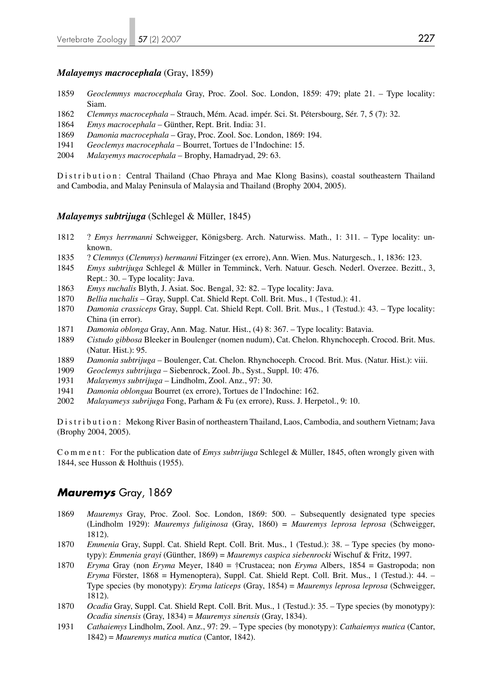### *Malayemys macrocephala* (Gray, 1859)

- 1859 *Geoclemmys macrocephala* Gray, Proc. Zool. Soc. London, 1859: 479; plate 21. Type locality: Siam.
- 1862 *Clemmys macrocephala* Strauch, Mém. Acad. impér. Sci. St. Pétersbourg, Sér. 7, 5 (7): 32.
- 1864 *Emys macrocephala* Günther, Rept. Brit. India: 31.
- 1869 *Damonia macrocephala* Gray, Proc. Zool. Soc. London, 1869: 194.
- 1941 *Geoclemys macrocephala* Bourret, Tortues de l'Indochine: 15.
- 2004 *Malayemys macrocephala* Brophy, Hamadryad, 29: 63.

Distribution: Central Thailand (Chao Phraya and Mae Klong Basins), coastal southeastern Thailand and Cambodia, and Malay Peninsula of Malaysia and Thailand (Brophy 2004, 2005).

### *Malayemys subtrijuga* (Schlegel & Müller, 1845)

- 1812 ? *Emys herrmanni* Schweigger, Königsberg. Arch. Naturwiss. Math., 1: 311. Type locality: un known.
- 1835 ? *Clemmys* (*Clemmys*) *hermanni* Fitzinger (ex errore), Ann. Wien. Mus. Naturgesch., 1, 1836: 123.
- 1845 *Emys subtrijuga* Schlegel & Müller in Temminck, Verh. Natuur. Gesch. Nederl. Overzee. Bezitt., 3, Rept.: 30. – Type locality: Java.
- 1863 *Emys nuchalis* Blyth, J. Asiat. Soc. Bengal, 32: 82. Type locality: Java.
- 1870 *Bellia nuchalis* Gray, Suppl. Cat. Shield Rept. Coll. Brit. Mus., 1 (Testud.): 41.
- 1870 *Damonia crassiceps* Gray, Suppl. Cat. Shield Rept. Coll. Brit. Mus., 1 (Testud.): 43. Type locality: China (in error).
- 1871 *Damonia oblonga* Gray, Ann. Mag. Natur. Hist., (4) 8: 367. Type locality: Batavia.
- 1889 *Cistudo gibbosa* Bleeker in Boulenger (nomen nudum), Cat. Chelon. Rhynchoceph. Crocod. Brit. Mus. (Natur. Hist.): 95.
- 1889 *Damonia subtrijuga* Boulenger, Cat. Chelon. Rhynchoceph. Crocod. Brit. Mus. (Natur. Hist.): viii.
- 1909 *Geoclemys subtrijuga* Siebenrock, Zool. Jb., Syst., Suppl. 10: 476.
- 1931 *Malayemys subtrijuga* Lindholm, Zool. Anz., 97: 30.
- 1941 *Damonia oblongua* Bourret (ex errore), Tortues de l'Indochine: 162.
- 2002 *Malayameys subrijuga* Fong, Parham & Fu (ex errore), Russ. J. Herpetol., 9: 10.

Distribution: Mekong River Basin of northeastern Thailand, Laos, Cambodia, and southern Vietnam; Java (Brophy 2004, 2005).

C o m m e n t : For the publication date of *Emys subtrijuga* Schlegel & Müller, 1845, often wrongly given with 1844, see Husson & Holthuis (1955).

## *Mauremys* Gray, 1869

- 1869 *Mauremys* Gray, Proc. Zool. Soc. London, 1869: 500. Subsequently designated type species (Lindholm 1929): *Mauremys fuliginosa* (Gray, 1860) = *Mauremys leprosa leprosa* (Schweigger, 1812).
- 1870 *Emmenia* Gray, Suppl. Cat. Shield Rept. Coll. Brit. Mus., 1 (Testud.): 38. Type species (by mono typy): *Emmenia grayi* (Günther, 1869) = *Mauremys caspica siebenrocki* Wischuf & Fritz, 1997.
- 1870 *Eryma* Gray (non *Eryma* Meyer, 1840 = †Crustacea; non *Eryma* Albers, 1854 = Gastropoda; non *Eryma* Förster, 1868 = Hymenoptera), Suppl. Cat. Shield Rept. Coll. Brit. Mus., 1 (Testud.): 44. – Type species (by monotypy): *Eryma laticeps* (Gray, 1854) = *Mauremys leprosa leprosa* (Schweigger, 1812).
- 1870 *Ocadia* Gray, Suppl. Cat. Shield Rept. Coll. Brit. Mus., 1 (Testud.): 35. Type species (by monotypy): *Ocadia sinensis* (Gray, 1834) = *Mauremys sinensis* (Gray, 1834).
- 1931 *Cathaiemys* Lindholm, Zool. Anz., 97: 29. Type species (by monotypy): *Cathaiemys mutica* (Cantor, 1842) = *Mauremys mutica mutica* (Cantor, 1842).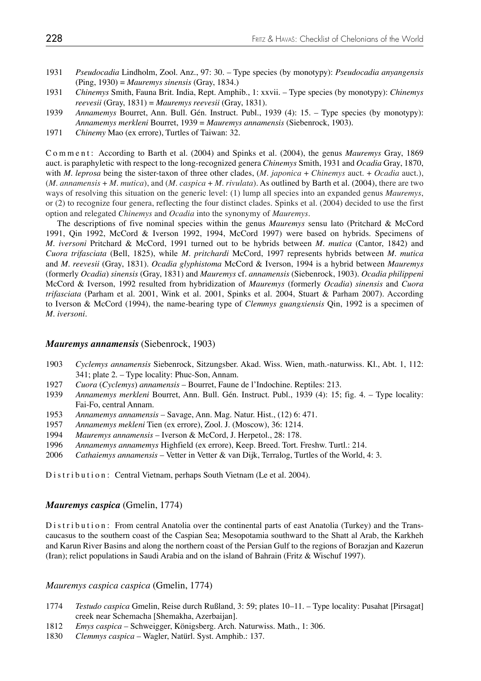- 1931 *Pseudocadia* Lindholm, Zool. Anz., 97: 30. Type species (by monotypy): *Pseudocadia anyangensis* (Ping, 1930) = *Mauremys sinensis* (Gray, 1834.)
- 1931 *Chinemys* Smith, Fauna Brit. India, Rept. Amphib., 1: xxvii. Type species (by monotypy): *Chinemys reevesii* (Gray, 1831) = *Mauremys reevesii* (Gray, 1831).<br>1939 - *Annamemys Bourret, Ann, Bull, Gén, Instruct, Publ, 1*
- 1939 *Annamemys* Bourret, Ann. Bull. Gén. Instruct. Publ., 1939 (4): 15. Type species (by monotypy): *Annamemys merkleni* Bourret, 1939 = *Mauremys annamensis* (Siebenrock, 1903).
- 1971 *Chinemy* Mao (ex errore), Turtles of Taiwan: 32.

Comment: According to Barth et al. (2004) and Spinks et al. (2004), the genus *Mauremys* Gray, 1869 auct. is paraphyletic with respect to the long-recognized genera *Chinemys* Smith, 1931 and *Ocadia* Gray, 1870, with *M. leprosa* being the sister-taxon of three other clades, *(M. japonica + Chinemys auct. + Ocadia auct.)*, (*M. annamensis* + *M. mutica*), and (*M. caspica* + *M. rivulata*). As outlined by Barth et al. (2004), there are two ways of resolving this situation on the generic level: (1) lump all species into an expanded genus *Mauremys*, or (2) to recognize four genera, reflecting the four distinct clades. Spinks et al. (2004) decided to use the first option and relegated *Chinemys* and *Ocadia* into the synonymy of *Mauremys*.

 The descriptions of five nominal species within the genus *Mauremys* sensu lato (Pritchard & McCord 1991, Qin 1992, McCord & Iverson 1992, 1994, McCord 1997) were based on hybrids. Specimens of *M. iversoni* Pritchard & McCord, 1991 turned out to be hybrids between *M. mutica* (Cantor, 1842) and *Cuora trifasciata* (Bell, 1825), while *M. pritchardi* McCord, 1997 represents hybrids between *M. mutica* and *M. reevesii* (Gray, 1831). *Ocadia glyphistoma* McCord & Iverson, 1994 is a hybrid between *Mauremys* (formerly *Ocadia*) *sinensis* (Gray, 1831) and *Mauremys* cf. *annamensis* (Siebenrock, 1903). *Ocadia philippeni* McCord & Iverson, 1992 resulted from hybridization of *Mauremys* (formerly *Ocadia*) *sinensis* and *Cuora trifasciata* (Parham et al. 2001, Wink et al. 2001, Spinks et al. 2004, Stuart & Parham 2007). According to Iverson & McCord (1994), the name-bearing type of *Clemmys guangxiensis* Qin, 1992 is a specimen of *M. iversoni*.

#### *Mauremys annamensis* (Siebenrock, 1903)

- 1903 *Cyclemys annamensis* Siebenrock, Sitzungsber. Akad. Wiss. Wien, math.-naturwiss. Kl., Abt. 1, 112: 341; plate 2. – Type locality: Phuc-Son, Annam.
- 1927 *Cuora* (*Cyclemys*) *annamensis* Bourret, Faune de l'Indochine. Reptiles: 213.
- 1939 *Annamemys merkleni* Bourret, Ann. Bull. Gén. Instruct. Publ., 1939 (4): 15; fig. 4. Type locality: Fai-Fo, central Annam.
- 1953 *Annamemys annamensis* Savage, Ann. Mag. Natur. Hist., (12) 6: 471.
- 1957 *Annamemys mekleni* Tien (ex errore), Zool. J. (Moscow), 36: 1214.
- 1994 *Mauremys annamensis* Iverson & McCord, J. Herpetol., 28: 178.
- 1996 *Annamemys annamemys* Highfield (ex errore), Keep. Breed. Tort. Freshw. Turtl.: 214.
- 2006 *Cathaiemys annamensis* Vetter in Vetter & van Dijk, Terralog, Turtles of the World, 4: 3.

Distribution: Central Vietnam, perhaps South Vietnam (Le et al. 2004).

#### *Mauremys caspica* (Gmelin, 1774)

Distribution: From central Anatolia over the continental parts of east Anatolia (Turkey) and the Transcaucasus to the southern coast of the Caspian Sea; Mesopotamia southward to the Shatt al Arab, the Karkheh and Karun River Basins and along the northern coast of the Persian Gulf to the regions of Borazjan and Kazerun (Iran); relict populations in Saudi Arabia and on the island of Bahrain (Fritz & Wischuf 1997).

#### *Mauremys caspica caspica* (Gmelin, 1774)

- 1774 *Testudo caspica* Gmelin, Reise durch Rußland, 3: 59; plates 10–11. Type locality: Pusahat [Pirsagat] creek near Schemacha [Shemakha, Azerbaijan].
- 1812 *Emys caspica* Schweigger, Königsberg. Arch. Naturwiss. Math., 1: 306.
- 1830 *Clemmys caspica* Wagler, Natürl. Syst. Amphib.: 137.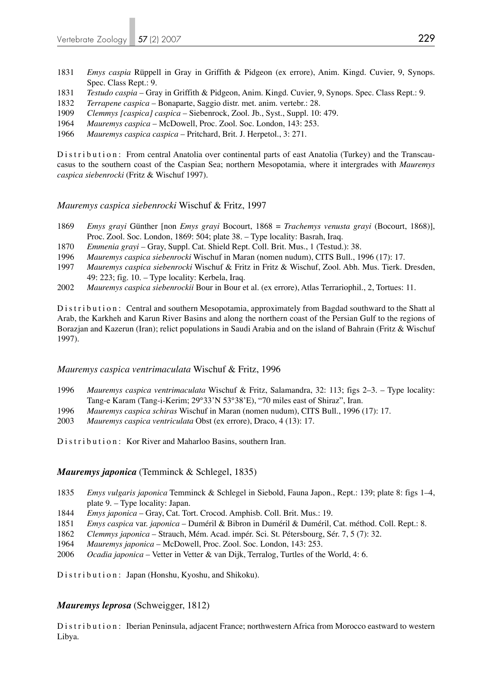- 1831 *Emys caspia* Rüppell in Gray in Griffith & Pidgeon (ex errore), Anim. Kingd. Cuvier, 9, Synops. Spec. Class Rept.: 9.
- 1831 *Testudo caspia* Gray in Griffith & Pidgeon, Anim. Kingd. Cuvier, 9, Synops. Spec. Class Rept.: 9.
- 1832 *Terrapene caspica* Bonaparte, Saggio distr. met. anim. vertebr.: 28.
- 1909 *Clemmys [caspica] caspica* Siebenrock, Zool. Jb., Syst., Suppl. 10: 479.
- 1964 *Mauremys caspica*  McDowell, Proc. Zool. Soc. London, 143: 253.
- 1966 *Mauremys caspica caspica* Pritchard, Brit. J. Herpetol., 3: 271.

Distribution: From central Anatolia over continental parts of east Anatolia (Turkey) and the Transcaucasus to the southern coast of the Caspian Sea; northern Mesopotamia, where it intergrades with *Mauremys caspica siebenrocki* (Fritz & Wischuf 1997).

## *Mauremys caspica siebenrocki* Wischuf & Fritz, 1997

- 1869 *Emys grayi* Günther [non *Emys grayi* Bocourt, 1868 = *Trachemys venusta grayi* (Bocourt, 1868)], Proc. Zool. Soc. London, 1869: 504; plate 38. – Type locality: Basrah, Iraq.
- 1870 *Emmenia grayi* Gray, Suppl. Cat. Shield Rept. Coll. Brit. Mus., 1 (Testud.): 38.
- 1996 *Mauremys caspica siebenrocki* Wischuf in Maran (nomen nudum), CITS Bull., 1996 (17): 17.
- 1997 *Mauremys caspica siebenrocki* Wischuf & Fritz in Fritz & Wischuf, Zool. Abh. Mus. Tierk. Dresden, 49: 223; fig. 10. – Type locality: Kerbela, Iraq.
- 2002 *Mauremys caspica siebenrockii* Bour in Bour et al. (ex errore), Atlas Terrariophil., 2, Tortues: 11.

Distribution: Central and southern Mesopotamia, approximately from Bagdad southward to the Shatt al Arab, the Karkheh and Karun River Basins and along the northern coast of the Persian Gulf to the regions of Borazjan and Kazerun (Iran); relict populations in Saudi Arabia and on the island of Bahrain (Fritz & Wischuf 1997).

## *Mauremys caspica ventrimaculata* Wischuf & Fritz, 1996

- 1996 *Mauremys caspica ventrimaculata* Wischuf & Fritz, Salamandra, 32: 113; figs 2–3. Type locality: Tang-e Karam (Tang-i-Kerim; 29°33'N 53°38'E), "70 miles east of Shiraz", Iran.
- 1996 *Mauremys caspica schiras* Wischuf in Maran (nomen nudum), CITS Bull., 1996 (17): 17.
- 2003 *Mauremys caspica ventriculata* Obst (ex errore), Draco, 4 (13): 17.
- Distribution: Kor River and Maharloo Basins, southern Iran.

## *Mauremys japonica* (Temminck & Schlegel, 1835)

- 1835 *Emys vulgaris japonica* Temminck & Schlegel in Siebold, Fauna Japon., Rept.: 139; plate 8: figs 1–4, plate 9. – Type locality: Japan.
- 1844 *Emys japonica* Gray, Cat. Tort. Crocod. Amphisb. Coll. Brit. Mus.: 19.
- 1851 *Emys caspica* var. *japonica* Duméril & Bibron in Duméril & Duméril, Cat. méthod. Coll. Rept.: 8.
- 1862 *Clemmys japonica* Strauch, Mém. Acad. impér. Sci. St. Pétersbourg, Sér. 7, 5 (7): 32.
- 1964 *Mauremys japonica* McDowell, Proc. Zool. Soc. London, 143: 253.
- 2006 *Ocadia japonica* Vetter in Vetter & van Dijk, Terralog, Turtles of the World, 4: 6.

Distribution: Japan (Honshu, Kyoshu, and Shikoku).

## *Mauremys leprosa* (Schweigger, 1812)

Distribution: Iberian Peninsula, adjacent France; northwestern Africa from Morocco eastward to western Libya.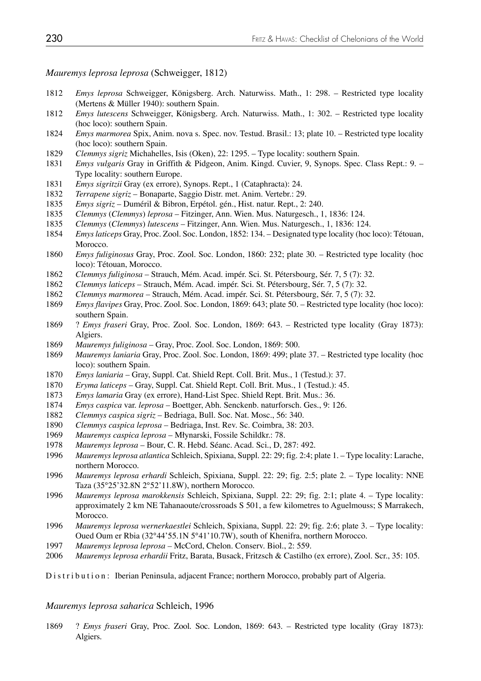## *Mauremys leprosa leprosa* (Schweigger, 1812)

- *Emys leprosa* Schweigger, Königsberg. Arch. Naturwiss. Math., 1: 298. Restricted type locality (Mertens & Müller 1940): southern Spain.
- *Emys lutescens* Schweigger, Königsberg. Arch. Naturwiss. Math., 1: 302. Restricted type locality (hoc loco): southern Spain.
- *Emys marmorea* Spix, Anim. nova s. Spec. nov. Testud. Brasil.: 13; plate 10. Restricted type locality (hoc loco): southern Spain.
- *Clemmys sigriz* Michahelles, Isis (Oken), 22: 1295. Type locality: southern Spain.
- *Emys vulgaris* Gray in Griffith & Pidgeon, Anim. Kingd. Cuvier, 9, Synops. Spec. Class Rept.: 9. Type locality: southern Europe.
- *Emys sigritzii* Gray (ex errore), Synops. Rept., 1 (Cataphracta): 24.
- *Terrapene sigriz* Bonaparte, Saggio Distr. met. Anim. Vertebr.: 29.
- *Emys sigriz* Duméril & Bibron, Erpétol. gén., Hist. natur. Rept., 2: 240.
- *Clemmys* (*Clemmys*) *leprosa* Fitzinger, Ann. Wien. Mus. Naturgesch., 1, 1836: 124.
- *Clemmys* (*Clemmys*) *lutescens* Fitzinger, Ann. Wien. Mus. Naturgesch., 1, 1836: 124.
- *Emys laticeps* Gray, Proc. Zool. Soc. London, 1852: 134. Designated type locality (hoc loco): Tétouan, Morocco.
- *Emys fuliginosus* Gray, Proc. Zool. Soc. London, 1860: 232; plate 30. Restricted type locality (hoc loco): Tétouan, Morocco.
- *Clemmys fuliginosa* Strauch, Mém. Acad. impér. Sci. St. Pétersbourg, Sér. 7, 5 (7): 32.
- *Clemmys laticeps* Strauch, Mém. Acad. impér. Sci. St. Pétersbourg, Sér. 7, 5 (7): 32.
- *Clemmys marmorea* Strauch, Mém. Acad. impér. Sci. St. Pétersbourg, Sér. 7, 5 (7): 32.
- *Emys flavipes* Gray, Proc. Zool. Soc. London, 1869: 643; plate 50. Restricted type locality (hoc loco): southern Spain.
- 1869 ? *Emys fraseri* Gray, Proc. Zool. Soc. London, 1869: 643. Restricted type locality (Gray 1873): Algiers.
- *Mauremys fuliginosa* Gray, Proc. Zool. Soc. London, 1869: 500.
- *Mauremys laniaria* Gray, Proc. Zool. Soc. London, 1869: 499; plate 37. Restricted type locality (hoc loco): southern Spain.
- *Emys laniaria* Gray, Suppl. Cat. Shield Rept. Coll. Brit. Mus., 1 (Testud.): 37.
- *Eryma laticeps* Gray, Suppl. Cat. Shield Rept. Coll. Brit. Mus., 1 (Testud.): 45.
- *Emys lamaria* Gray (ex errore), Hand-List Spec. Shield Rept. Brit. Mus.: 36.
- *Emys caspica* var. *leprosa* Boettger, Abh. Senckenb. naturforsch. Ges., 9: 126.
- *Clemmys caspica sigriz* Bedriaga, Bull. Soc. Nat. Mosc., 56: 340.
- *Clemmys caspica leprosa* Bedriaga, Inst. Rev. Sc. Coimbra, 38: 203.
- *Mauremys caspica leprosa* Młynarski, Fossile Schildkr.: 78.
- *Mauremys leprosa* Bour, C. R. Hebd. Séanc. Acad. Sci., D, 287: 492.
- Mauremys leprosa atlantica Schleich, Spixiana, Suppl. 22: 29; fig. 2:4; plate 1. Type locality: Larache, northern Morocco.
- *Mauremys leprosa erhardi* Schleich, Spixiana, Suppl. 22: 29; fig. 2:5; plate 2. Type locality: NNE Taza (35°25'32.8N 2°52'11.8W), northern Morocco.
- *Mauremys leprosa marokkensis* Schleich, Spixiana, Suppl. 22: 29; fig. 2:1; plate 4. Type locality: approximately 2 km NE Tahanaoute/crossroads S 501, a few kilometres to Aguelmouss; S Marrakech, Morocco.
- *Mauremys leprosa wernerkaestlei* Schleich, Spixiana, Suppl. 22: 29; fig. 2:6; plate 3. Type locality: Oued Oum er Rbia (32°44'55.1N 5°41'10.7W), south of Khenifra, northern Morocco.
- *Mauremys leprosa leprosa* McCord, Chelon. Conserv. Biol., 2: 559.
- *Mauremys leprosa erhardii* Fritz, Barata, Busack, Fritzsch & Castilho (ex errore), Zool. Scr., 35: 105.

Distribution: Iberian Peninsula, adjacent France; northern Morocco, probably part of Algeria.

### *Mauremys leprosa saharica* Schleich, 1996

1869 ? *Emys fraseri* Gray, Proc. Zool. Soc. London, 1869: 643. – Restricted type locality (Gray 1873): Algiers.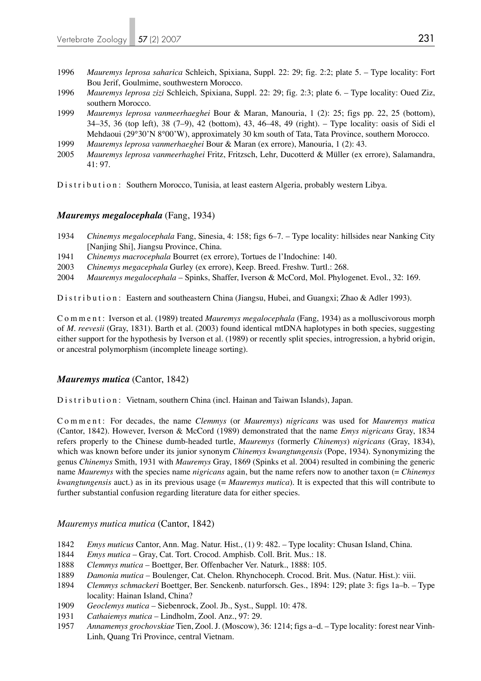- 1996 *Mauremys leprosa saharica* Schleich, Spixiana, Suppl. 22: 29; fig. 2:2; plate 5. Type locality: Fort Bou Jerif, Goulmime, southwestern Morocco.
- 1996 *Mauremys leprosa zizi* Schleich, Spixiana, Suppl. 22: 29; fig. 2:3; plate 6. Type locality: Oued Ziz, southern Morocco.
- 1999 *Mauremys leprosa vanmeerhaeghei* Bour & Maran, Manouria, 1 (2): 25; figs pp. 22, 25 (bottom), 34–35, 36 (top left), 38 (7–9), 42 (bottom), 43, 46–48, 49 (right). – Type locality: oasis of Sidi el Mehdaoui (29°30'N 8°00'W), approximately 30 km south of Tata, Tata Province, southern Morocco.
- 1999 *Mauremys leprosa vanmerhaeghei* Bour & Maran (ex errore), Manouria, 1 (2): 43.
- 2005 *Mauremys leprosa vanmeerhaghei* Fritz, Fritzsch, Lehr, Ducotterd & Müller (ex errore), Salamandra, 41: 97.

Distribution: Southern Morocco, Tunisia, at least eastern Algeria, probably western Libya.

## *Mauremys megalocephala* (Fang, 1934)

- 1934 *Chinemys megalocephala* Fang, Sinesia, 4: 158; figs 6–7. Type locality: hillsides near Nanking City [Nanjing Shi], Jiangsu Province, China.
- 1941 *Chinemys macrocephala* Bourret (ex errore), Tortues de l'Indochine: 140.
- 2003 *Chinemys megacephala* Gurley (ex errore), Keep. Breed. Freshw. Turtl.: 268.
- 2004 *Mauremys megalocephala*  Spinks, Shaffer, Iverson & McCord, Mol. Phylogenet. Evol., 32: 169.

Distribution: Eastern and southeastern China (Jiangsu, Hubei, and Guangxi; Zhao & Adler 1993).

Comment: Iverson et al. (1989) treated *Mauremys megalocephala* (Fang, 1934) as a molluscivorous morph of *M. reevesii* (Gray, 1831). Barth et al. (2003) found identical mtDNA haplotypes in both species, suggesting either support for the hypothesis by Iverson et al. (1989) or recently split species, introgression, a hybrid origin, or ancestral polymorphism (incomplete lineage sorting).

### *Mauremys mutica* (Cantor, 1842)

Distribution: Vietnam, southern China (incl. Hainan and Taiwan Islands), Japan.

Comment: For decades, the name *Clemmys* (or *Mauremys*) *nigricans* was used for *Mauremys mutica* (Cantor, 1842). However, Iverson & McCord (1989) demonstrated that the name *Emys nigricans* Gray, 1834 refers properly to the Chinese dumb-headed turtle, *Mauremys* (formerly *Chinemys*) *nigricans* (Gray, 1834), which was known before under its junior synonym *Chinemys kwangtungensis* (Pope, 1934). Synonymizing the genus *Chinemys* Smith, 1931 with *Mauremys* Gray, 1869 (Spinks et al. 2004) resulted in combining the generic name *Mauremys* with the species name *nigricans* again, but the name refers now to another taxon (= *Chinemys kwangtungensis* auct.) as in its previous usage (= *Mauremys mutica*). It is expected that this will contribute to further substantial confusion regarding literature data for either species.

### *Mauremys mutica mutica* (Cantor, 1842)

- 1842 *Emys muticus* Cantor, Ann. Mag. Natur. Hist., (1) 9: 482. Type locality: Chusan Island, China.
- 1844 *Emys mutica* Gray, Cat. Tort. Crocod. Amphisb. Coll. Brit. Mus.: 18.
- 1888 *Clemmys mutica* Boettger, Ber. Offenbacher Ver. Naturk., 1888: 105.
- 1889 *Damonia mutica* Boulenger, Cat. Chelon. Rhynchoceph. Crocod. Brit. Mus. (Natur. Hist.): viii.
- 1894 *Clemmys schmackeri* Boettger, Ber. Senckenb. naturforsch. Ges., 1894: 129; plate 3: figs 1a–b. Type locality: Hainan Island, China?
- 1909 *Geoclemys mutica* Siebenrock, Zool. Jb., Syst., Suppl. 10: 478.
- 1931 *Cathaiemys mutica*  Lindholm, Zool. Anz., 97: 29.
- 1957 *Annamemys grochovskiae* Tien, Zool. J. (Moscow), 36: 1214; figs a–d. Type locality: forest near Vinh- Linh, Quang Tri Province, central Vietnam.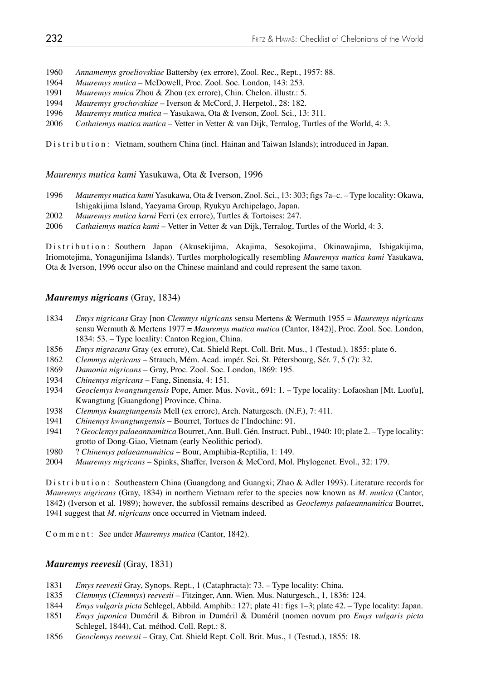- 1960 *Annamemys groeliovskiae* Battersby (ex errore), Zool. Rec., Rept., 1957: 88.
- 1964 *Mauremys mutica* McDowell, Proc. Zool. Soc. London, 143: 253.
- 1991 *Mauremys muica* Zhou & Zhou (ex errore), Chin. Chelon. illustr.: 5.
- 1994 *Mauremys grochovskiae*  Iverson & McCord, J. Herpetol., 28: 182.
- 1996 *Mauremys mutica mutica* Yasukawa, Ota & Iverson, Zool. Sci., 13: 311.
- 2006 *Cathaiemys mutica mutica* Vetter in Vetter & van Dijk, Terralog, Turtles of the World, 4: 3.

Distribution: Vietnam, southern China (incl. Hainan and Taiwan Islands); introduced in Japan.

*Mauremys mutica kami* Yasukawa, Ota & Iverson, 1996

- 1996 *Mauremys mutica kami* Yasukawa, Ota & Iverson, Zool. Sci., 13: 303; figs 7a–c. Type locality: Okawa, Ishigakijima Island, Yaeyama Group, Ryukyu Archipelago, Japan.
- 2002 *Mauremys mutica karni* Ferri (ex errore), Turtles & Tortoises: 247.
- 2006 *Cathaiemys mutica kami*  Vetter in Vetter & van Dijk, Terralog, Turtles of the World, 4: 3.

Distribution: Southern Japan (Akusekijima, Akajima, Sesokojima, Okinawajima, Ishigakijima, Iriomotejima, Yonagunijima Islands). Turtles morphologically resembling *Mauremys mutica kami* Yasukawa, Ota & Iverson, 1996 occur also on the Chinese mainland and could represent the same taxon.

## *Mauremys nigricans* (Gray, 1834)

- 1834 *Emys nigricans* Gray [non *Clemmys nigricans* sensu Mertens & Wermuth 1955 = *Mauremys nigricans* sensu Wermuth & Mertens 1977 = *Mauremys mutica mutica* (Cantor, 1842)], Proc. Zool. Soc. London, 1834: 53. – Type locality: Canton Region, China.
- 1856 *Emys nigracans* Gray (ex errore), Cat. Shield Rept. Coll. Brit. Mus., 1 (Testud.), 1855: plate 6.
- 1862 *Clemmys nigricans* Strauch, Mém. Acad. impér. Sci. St. Pétersbourg, Sér. 7, 5 (7): 32.
- 1869 *Damonia nigricans* Gray, Proc. Zool. Soc. London, 1869: 195.
- 1934 *Chinemys nigricans* Fang, Sinensia, 4: 151.
- 1934 *Geoclemys kwangtungensis* Pope, Amer. Mus. Novit., 691: 1. Type locality: Lofaoshan [Mt. Luofu], Kwangtung [Guangdong] Province, China.
- 1938 *Clemmys kuangtungensis* Mell (ex errore), Arch. Naturgesch. (N.F.), 7: 411.
- 1941 *Chinemys kwangtungensis*  Bourret, Tortues de l'Indochine: 91.
- 1941 ? *Geoclemys palaeannamitica* Bourret, Ann. Bull. Gén. Instruct. Publ., 1940: 10; plate 2. Type locality: grotto of Dong-Giao, Vietnam (early Neolithic period).
- 1980 ? *Chinemys palaeannamitica* Bour, Amphibia-Reptilia, 1: 149.
- 2004 *Mauremys nigricans* Spinks, Shaffer, Iverson & McCord, Mol. Phylogenet. Evol., 32: 179.

Distribution: Southeastern China (Guangdong and Guangxi; Zhao & Adler 1993). Literature records for *Mauremys nigricans* (Gray, 1834) in northern Vietnam refer to the species now known as *M. mutica* (Cantor, 1842) (Iverson et al. 1989); however, the subfossil remains described as *Geoclemys palaeannamitica* Bourret, 1941 suggest that *M. nigricans* once occurred in Vietnam indeed.

Comment: See under *Mauremys mutica* (Cantor, 1842).

## *Mauremys reevesii* (Gray, 1831)

- 1831 *Emys reevesii* Gray, Synops. Rept., 1 (Cataphracta): 73. Type locality: China.
- 1835 *Clemmys* (*Clemmys*) *reevesii* Fitzinger, Ann. Wien. Mus. Naturgesch., 1, 1836: 124.
- 1844 *Emys vulgaris picta* Schlegel, Abbild. Amphib.: 127; plate 41: figs 1–3; plate 42. Type locality: Japan.
- 1851 *Emys japonica* Duméril & Bibron in Duméril & Duméril (nomen novum pro *Emys vulgaris picta*  Schlegel, 1844), Cat. méthod. Coll. Rept.: 8.
- 1856 *Geoclemys reevesii* Gray, Cat. Shield Rept. Coll. Brit. Mus., 1 (Testud.), 1855: 18.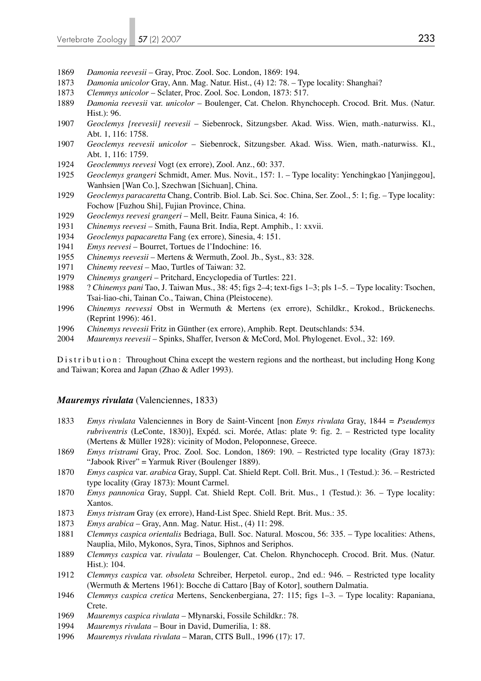- *Damonia reevesii*  Gray, Proc. Zool. Soc. London, 1869: 194.
- *Damonia unicolor* Gray, Ann. Mag. Natur. Hist., (4) 12: 78. Type locality: Shanghai?
- *Clemmys unicolor* Sclater, Proc. Zool. Soc. London, 1873: 517.
- *Damonia reevesii* var. *unicolor*  Boulenger, Cat. Chelon. Rhynchoceph. Crocod. Brit. Mus. (Natur. Hist.): 96.
- *Geoclemys [reevesii] reevesii* Siebenrock, Sitzungsber. Akad. Wiss. Wien, math.-naturwiss. Kl., Abt. 1, 116: 1758.
- *Geoclemys reevesii unicolor* Siebenrock, Sitzungsber. Akad. Wiss. Wien, math.-naturwiss. Kl., Abt. 1, 116: 1759.
- *Geoclemmys reevesi* Vogt (ex errore), Zool. Anz., 60: 337.
- *Geoclemys grangeri* Schmidt, Amer. Mus. Novit., 157: 1. Type locality: Yenchingkao [Yanjinggou], Wanhsien [Wan Co.], Szechwan [Sichuan], China.
- *Geoclemys paracaretta* Chang, Contrib. Biol. Lab. Sci. Soc. China, Ser. Zool., 5: 1; fig. Type locality: Fochow [Fuzhou Shi], Fujian Province, China.
- *Geoclemys reevesi grangeri* Mell, Beitr. Fauna Sinica, 4: 16.
- *Chinemys reevesi –* Smith, Fauna Brit. India, Rept. Amphib., 1: xxvii.
- *Geoclemys papacaretta* Fang (ex errore), Sinesia, 4: 151.
- *Emys reevesi* Bourret, Tortues de l'Indochine: 16.
- *Chinemys reevesii* Mertens & Wermuth, Zool. Jb., Syst., 83: 328.
- *Chinemy reevesi* Mao, Turtles of Taiwan: 32.
- *Chinemys grangeri*  Pritchard, Encyclopedia of Turtles: 221.
- 1988 ? *Chinemys pani* Tao, J. Taiwan Mus., 38: 45; figs 2–4; text-figs 1–3; pls 1–5. Type locality: Tsochen, Tsai-liao-chi, Tainan Co., Taiwan, China (Pleistocene).
- *Chinemys reevessi* Obst in Wermuth & Mertens (ex errore), Schildkr., Krokod., Brückenechs. (Reprint 1996): 461.
- *Chinemys reveesii* Fritz in Günther (ex errore), Amphib. Rept. Deutschlands: 534.
- *Mauremys reevesii* Spinks, Shaffer, Iverson & McCord, Mol. Phylogenet. Evol., 32: 169.

Distribution: Throughout China except the western regions and the northeast, but including Hong Kong and Taiwan; Korea and Japan (Zhao & Adler 1993).

### *Mauremys rivulata* (Valenciennes, 1833)

- *Emys rivulata* Valenciennes in Bory de Saint-Vincent [non *Emys rivulata* Gray, 1844 = *Pseudemys rubriventris* (LeConte, 1830)], Expéd. sci. Morée, Atlas: plate 9: fig. 2. – Restricted type locality (Mertens & Müller 1928): vicinity of Modon, Peloponnese, Greece.
- *Emys tristrami* Gray, Proc. Zool. Soc. London, 1869: 190. Restricted type locality (Gray 1873): "Jabook River" = Yarmuk River (Boulenger 1889).
- *Emys caspica* var. *arabica* Gray, Suppl. Cat. Shield Rept. Coll. Brit. Mus., 1 (Testud.): 36. Restricted type locality (Gray 1873): Mount Carmel.
- *Emys pannonica* Gray, Suppl. Cat. Shield Rept. Coll. Brit. Mus., 1 (Testud.): 36. Type locality: Xantos.
- *Emys tristram* Gray (ex errore), Hand-List Spec. Shield Rept. Brit. Mus.: 35.
- *Emys arabica* Gray, Ann. Mag. Natur. Hist., (4) 11: 298.
- *Clemmys caspica orientalis* Bedriaga, Bull. Soc. Natural. Moscou, 56: 335. Type localities: Athens, Nauplia, Milo, Mykonos, Syra, Tinos, Siphnos and Seriphos.
- *Clemmys caspica* var. *rivulata* Boulenger, Cat. Chelon. Rhynchoceph. Crocod. Brit. Mus. (Natur. Hist.): 104.
- *Clemmys caspica* var. *obsoleta* Schreiber, Herpetol. europ., 2nd ed.: 946. Restricted type locality (Wermuth & Mertens 1961): Bocche di Cattaro [Bay of Kotor], southern Dalmatia.
- *Clemmys caspica cretica* Mertens, Senckenbergiana, 27: 115; figs 1–3. Type locality: Rapaniana, Crete.
- *Mauremys caspica rivulata* Młynarski, Fossile Schildkr.: 78.
- *Mauremys rivulata* Bour in David, Dumerilia, 1: 88.
- *Mauremys rivulata rivulata* Maran, CITS Bull., 1996 (17): 17.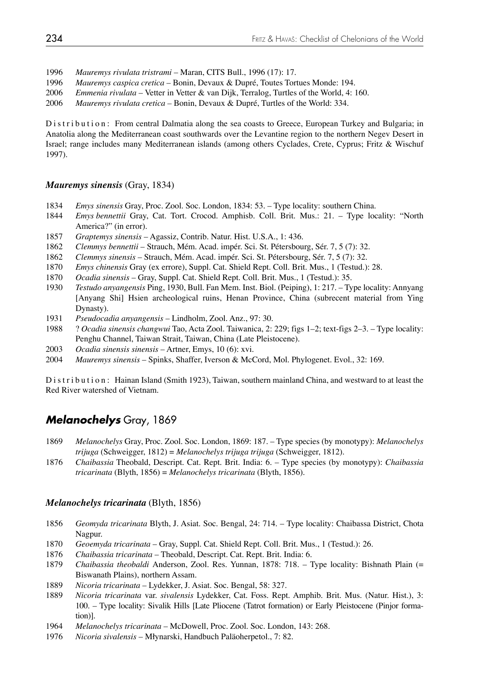- 1996 *Mauremys rivulata tristrami* Maran, CITS Bull., 1996 (17): 17.
- 1996 *Mauremys caspica cretica* Bonin, Devaux & Dupré, Toutes Tortues Monde: 194.
- 2006 *Emmenia rivulata* Vetter in Vetter & van Dijk, Terralog, Turtles of the World, 4: 160.
- 2006 *Mauremys rivulata cretica* Bonin, Devaux & Dupré, Turtles of the World: 334.

Distribution: From central Dalmatia along the sea coasts to Greece, European Turkey and Bulgaria; in Anatolia along the Mediterranean coast southwards over the Levantine region to the northern Negev Desert in Israel; range includes many Mediterranean islands (among others Cyclades, Crete, Cyprus; Fritz & Wischuf 1997).

### *Mauremys sinensis* (Gray, 1834)

- 1834 *Emys sinensis* Gray, Proc. Zool. Soc. London, 1834: 53. Type locality: southern China.
- 1844 *Emys bennettii* Gray, Cat. Tort. Crocod. Amphisb. Coll. Brit. Mus.: 21. Type locality: "North America?" (in error).
- 1857 *Graptemys sinensis* Agassiz, Contrib. Natur. Hist. U.S.A., 1: 436.
- 1862 *Clemmys bennettii* Strauch, Mém. Acad. impér. Sci. St. Pétersbourg, Sér. 7, 5 (7): 32.
- 1862 *Clemmys sinensis* Strauch, Mém. Acad. impér. Sci. St. Pétersbourg, Sér. 7, 5 (7): 32.
- 1870 *Emys chinensis* Gray (ex errore), Suppl. Cat. Shield Rept. Coll. Brit. Mus., 1 (Testud.): 28.
- 1870 *Ocadia sinensis* Gray, Suppl. Cat. Shield Rept. Coll. Brit. Mus., 1 (Testud.): 35.
- 1930 *Testudo anyangensis* Ping, 1930, Bull. Fan Mem. Inst. Biol. (Peiping), 1: 217. Type locality: Annyang [Anyang Shi] Hsien archeological ruins, Henan Province, China (subrecent material from Ying Dynasty).
- 1931 *Pseudocadia anyangensis* Lindholm, Zool. Anz., 97: 30.
- 1988 ? *Ocadia sinensis changwui* Tao, Acta Zool. Taiwanica, 2: 229; figs 1–2; text-figs 2–3. Type locality: Penghu Channel, Taiwan Strait, Taiwan, China (Late Pleistocene).
- 2003 *Ocadia sinensis sinensis* Artner, Emys, 10 (6): xvi.
- 2004 *Mauremys sinensis* Spinks, Shaffer, Iverson & McCord, Mol. Phylogenet. Evol., 32: 169.

Distribution: Hainan Island (Smith 1923), Taiwan, southern mainland China, and westward to at least the Red River watershed of Vietnam.

## *Melanochelys* Gray, 1869

- 1869 *Melanochelys* Gray, Proc. Zool. Soc. London, 1869: 187. Type species (by monotypy): *Melanochelys trijuga* (Schweigger, 1812) = *Melanochelys trijuga trijuga* (Schweigger, 1812).
- 1876 *Chaibassia* Theobald, Descript. Cat. Rept. Brit. India: 6. Type species (by monotypy): *Chaibassia tricarinata* (Blyth, 1856) = *Melanochelys tricarinata* (Blyth, 1856).

#### *Melanochelys tricarinata* (Blyth, 1856)

- 1856 *Geomyda tricarinata* Blyth, J. Asiat. Soc. Bengal, 24: 714. Type locality: Chaibassa District, Chota Nagpur.
- 1870 *Geoemyda tricarinata* Gray, Suppl. Cat. Shield Rept. Coll. Brit. Mus., 1 (Testud.): 26.
- 1876 *Chaibassia tricarinata*  Theobald, Descript. Cat. Rept. Brit. India: 6.
- 1879 *Chaibassia theobaldi* Anderson, Zool. Res. Yunnan, 1878: 718. Type locality: Bishnath Plain (= Biswanath Plains), northern Assam.
- 1889 *Nicoria tricarinata* Lydekker, J. Asiat. Soc. Bengal, 58: 327.
- 1889 *Nicoria tricarinata* var. *sivalensis* Lydekker, Cat. Foss. Rept. Amphib. Brit. Mus. (Natur. Hist.), 3: 100. – Type locality: Sivalik Hills [Late Pliocene (Tatrot formation) or Early Pleistocene (Pinjor forma tion)].
- 1964 *Melanochelys tricarinata*  McDowell, Proc. Zool. Soc. London, 143: 268.
- 1976 *Nicoria sivalensis* Młynarski, Handbuch Paläoherpetol., 7: 82.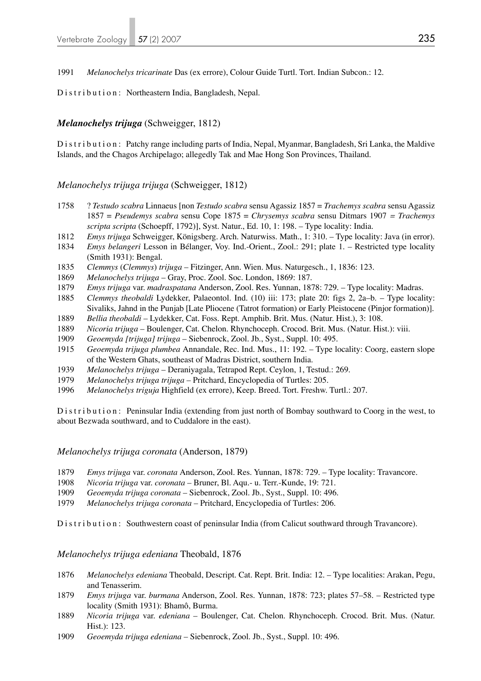1991 *Melanochelys tricarinate* Das (ex errore), Colour Guide Turtl. Tort. Indian Subcon.: 12.

Distribution: Northeastern India, Bangladesh, Nepal.

## *Melanochelys trijuga* (Schweigger, 1812)

Distribution: Patchy range including parts of India, Nepal, Myanmar, Bangladesh, Sri Lanka, the Maldive Islands, and the Chagos Archipelago; allegedly Tak and Mae Hong Son Provinces, Thailand.

## *Melanochelys trijuga trijuga* (Schweigger, 1812)

- 1758 ? *Testudo scabra* Linnaeus [non *Testudo scabra* sensu Agassiz 1857 = *Trachemys scabra* sensu Agassiz 1857 = *Pseudemys scabra* sensu Cope 1875 = *Chrysemys scabra* sensu Ditmars 1907 *= Trachemys scripta scripta* (Schoepff, 1792)], Syst. Natur., Ed. 10, 1: 198. – Type locality: India.
- 1812 *Emys trijuga* Schweigger, Königsberg. Arch. Naturwiss. Math., 1: 310. Type locality: Java (in error).
- 1834 *Emys belangeri* Lesson in Bélanger, Voy. Ind.-Orient., Zool.: 291; plate 1. Restricted type locality (Smith 1931): Bengal.
- 1835 *Clemmys* (*Clemmys*) *trijuga* Fitzinger, Ann. Wien. Mus. Naturgesch., 1, 1836: 123.
- 1869 *Melanochelys trijuga* Gray, Proc. Zool. Soc. London, 1869: 187.
- 1879 *Emys trijuga* var. *madraspatana* Anderson, Zool. Res. Yunnan, 1878: 729. Type locality: Madras.
- 1885 *Clemmys theobaldi* Lydekker, Palaeontol. Ind. (10) iii: 173; plate 20: figs 2, 2a–b. Type locality: Sivaliks, Jahnd in the Punjab [Late Pliocene (Tatrot formation) or Early Pleistocene (Pinjor formation)].
- 1889 *Bellia theobaldi*  Lydekker, Cat. Foss. Rept. Amphib. Brit. Mus. (Natur. Hist.), 3: 108.
- 1889 *Nicoria trijuga*  Boulenger, Cat. Chelon. Rhynchoceph. Crocod. Brit. Mus. (Natur. Hist.): viii.
- 1909 *Geoemyda [trijuga] trijuga*  Siebenrock, Zool. Jb., Syst., Suppl. 10: 495.
- 1915 *Geoemyda trijuga plumbea* Annandale, Rec. Ind. Mus., 11: 192. Type locality: Coorg, eastern slope of the Western Ghats, southeast of Madras District, southern India.
- 1939 *Melanochelys trijuga*  Deraniyagala, Tetrapod Rept. Ceylon, 1, Testud.: 269.
- 1979 *Melanochelys trijuga trijuga*  Pritchard, Encyclopedia of Turtles: 205.
- 1996 *Melanochelys triguja* Highfield (ex errore), Keep. Breed. Tort. Freshw. Turtl.: 207.

Distribution: Peninsular India (extending from just north of Bombay southward to Coorg in the west, to about Bezwada southward, and to Cuddalore in the east).

### *Melanochelys trijuga coronata* (Anderson, 1879)

- 1879 *Emys trijuga* var. *coronata* Anderson, Zool. Res. Yunnan, 1878: 729. Type locality: Travancore.
- 1908 *Nicoria trijuga* var. *coronata*  Bruner, Bl. Aqu.- u. Terr.-Kunde, 19: 721.
- 1909 *Geoemyda trijuga coronata*  Siebenrock, Zool. Jb., Syst., Suppl. 10: 496.
- 1979 *Melanochelys trijuga coronata* Pritchard, Encyclopedia of Turtles: 206.

Distribution: Southwestern coast of peninsular India (from Calicut southward through Travancore).

### *Melanochelys trijuga edeniana* Theobald, 1876

- 1876 *Melanochelys edeniana* Theobald, Descript. Cat. Rept. Brit. India: 12. Type localities: Arakan, Pegu, and Tenasserim.
- 1879 *Emys trijuga* var. *burmana* Anderson, Zool. Res. Yunnan, 1878: 723; plates 57–58. Restricted type locality (Smith 1931): Bhamô, Burma.
- 1889 *Nicoria trijuga* var. *edeniana* Boulenger, Cat. Chelon. Rhynchoceph. Crocod. Brit. Mus. (Natur. Hist.): 123.
- 1909 *Geoemyda trijuga edeniana*  Siebenrock, Zool. Jb., Syst., Suppl. 10: 496.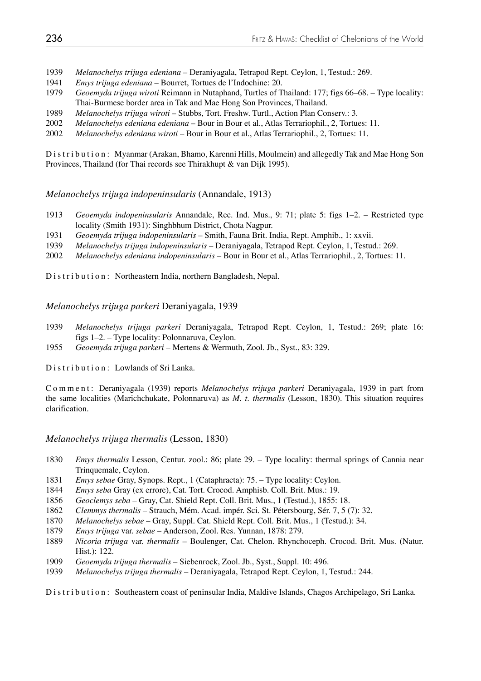- 1939 *Melanochelys trijuga edeniana*  Deraniyagala, Tetrapod Rept. Ceylon, 1, Testud.: 269.
- 1941 *Emys trijuga edeniana* Bourret, Tortues de l'Indochine: 20.
- 1979 *Geoemyda trijuga wiroti* Reimann in Nutaphand, Turtles of Thailand: 177; figs 66–68. Type locality: Thai-Burmese border area in Tak and Mae Hong Son Provinces, Thailand.
- 1989 *Melanochelys trijuga wiroti* Stubbs, Tort. Freshw. Turtl., Action Plan Conserv.: 3.
- 2002 *Melanochelys edeniana edeniana* Bour in Bour et al., Atlas Terrariophil., 2, Tortues: 11.
- 2002 *Melanochelys edeniana wiroti* Bour in Bour et al., Atlas Terrariophil., 2, Tortues: 11.

Distribution: Myanmar (Arakan, Bhamo, Karenni Hills, Moulmein) and allegedly Tak and Mae Hong Son Provinces, Thailand (for Thai records see Thirakhupt & van Dijk 1995).

#### *Melanochelys trijuga indopeninsularis* (Annandale, 1913)

- 1913 *Geoemyda indopeninsularis* Annandale, Rec. Ind. Mus., 9: 71; plate 5: figs 1–2. Restricted type locality (Smith 1931): Singhbhum District, Chota Nagpur.
- 1931 *Geoemyda trijuga indopeninsularis*  Smith, Fauna Brit. India, Rept. Amphib., 1: xxvii.
- 1939 *Melanochelys trijuga indopeninsularis*  Deraniyagala, Tetrapod Rept. Ceylon, 1, Testud.: 269.
- 2002 *Melanochelys edeniana indopeninsularis*  Bour in Bour et al., Atlas Terrariophil., 2, Tortues: 11.

Distribution: Northeastern India, northern Bangladesh, Nepal.

### *Melanochelys trijuga parkeri* Deraniyagala, 1939

- 1939 *Melanochelys trijuga parkeri* Deraniyagala, Tetrapod Rept. Ceylon, 1, Testud.: 269; plate 16: figs 1–2. – Type locality: Polonnaruva, Ceylon.
- 1955 *Geoemyda trijuga parkeri*  Mertens & Wermuth, Zool. Jb., Syst., 83: 329.

Distribution: Lowlands of Sri Lanka.

Comment: Deraniyagala (1939) reports *Melanochelys trijuga parkeri* Deraniyagala, 1939 in part from the same localities (Marichchukate, Polonnaruva) as *M. t. thermalis* (Lesson, 1830). This situation requires clarification.

*Melanochelys trijuga thermalis* (Lesson, 1830)

- 1830 *Emys thermalis* Lesson, Centur. zool.: 86; plate 29. Type locality: thermal springs of Cannia near Trinquemale, Ceylon.
- 1831 *Emys sebae* Gray, Synops. Rept., 1 (Cataphracta): 75. Type locality: Ceylon.
- 1844 *Emys seba* Gray (ex errore), Cat. Tort. Crocod. Amphisb. Coll. Brit. Mus.: 19.
- 1856 *Geoclemys seba* Gray, Cat. Shield Rept. Coll. Brit. Mus., 1 (Testud.), 1855: 18.
- 1862 *Clemmys thermalis* Strauch, Mém. Acad. impér. Sci. St. Pétersbourg, Sér. 7, 5 (7): 32.
- 1870 *Melanochelys sebae* Gray, Suppl. Cat. Shield Rept. Coll. Brit. Mus., 1 (Testud.): 34.
- 1879 *Emys trijuga* var. *sebae*  Anderson, Zool. Res. Yunnan, 1878: 279.
- 1889 *Nicoria trijuga* var. *thermalis*  Boulenger, Cat. Chelon. Rhynchoceph. Crocod. Brit. Mus. (Natur. Hist.): 122.
- 1909 *Geoemyda trijuga thermalis*  Siebenrock, Zool. Jb., Syst., Suppl. 10: 496.
- 1939 *Melanochelys trijuga thermalis*  Deraniyagala, Tetrapod Rept. Ceylon, 1, Testud.: 244.

Distribution: Southeastern coast of peninsular India, Maldive Islands, Chagos Archipelago, Sri Lanka.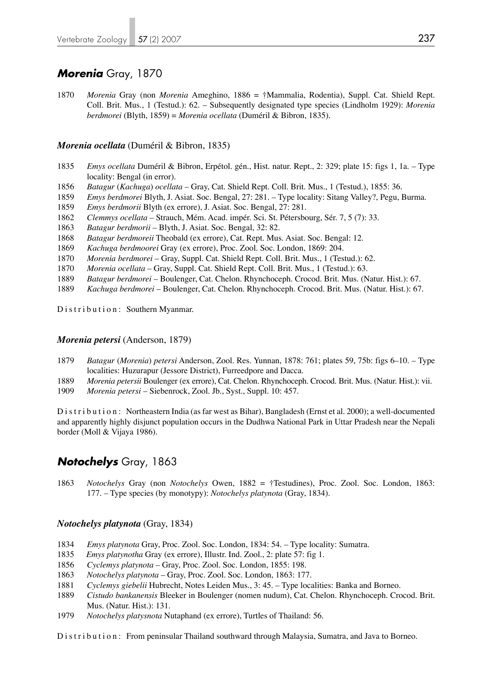# *Morenia* Gray, 1870

1870 *Morenia* Gray (non *Morenia* Ameghino, 1886 = †Mammalia, Rodentia), Suppl. Cat. Shield Rept. Coll. Brit. Mus., 1 (Testud.): 62. – Subsequently designated type species (Lindholm 1929): *Morenia berdmorei* (Blyth, 1859) = *Morenia ocellata* (Duméril & Bibron, 1835).

## *Morenia ocellata* (Duméril & Bibron, 1835)

- 1835 *Emys ocellata* Duméril & Bibron, Erpétol. gén., Hist. natur. Rept., 2: 329; plate 15: figs 1, 1a. Type locality: Bengal (in error).
- 1856 *Batagur* (*Kachuga*) *ocellata* Gray, Cat. Shield Rept. Coll. Brit. Mus., 1 (Testud.), 1855: 36.
- 1859 *Emys berdmorei* Blyth, J. Asiat. Soc. Bengal, 27: 281. Type locality: Sitang Valley?, Pegu, Burma.
- 1859 *Emys berdmorii* Blyth (ex errore), J. Asiat. Soc. Bengal, 27: 281.
- 1862 *Clemmys ocellata*  Strauch, Mém. Acad. impér. Sci. St. Pétersbourg, Sér. 7, 5 (7): 33.
- 1863 *Batagur berdmorii* Blyth, J. Asiat. Soc. Bengal, 32: 82.
- 1868 *Batagur berdmoreii* Theobald (ex errore), Cat. Rept. Mus. Asiat. Soc. Bengal: 12.
- 1869 *Kachuga berdmoorei* Gray (ex errore), Proc. Zool. Soc. London, 1869: 204.
- 1870 *Morenia berdmorei* Gray, Suppl. Cat. Shield Rept. Coll. Brit. Mus., 1 (Testud.): 62.
- 1870 *Morenia ocellata* Gray, Suppl. Cat. Shield Rept. Coll. Brit. Mus., 1 (Testud.): 63.
- 1889 *Batagur berdmorei*  Boulenger, Cat. Chelon. Rhynchoceph. Crocod. Brit. Mus. (Natur. Hist.): 67.
- 1889 *Kachuga berdmorei*  Boulenger, Cat. Chelon. Rhynchoceph. Crocod. Brit. Mus. (Natur. Hist.): 67.

Distribution: Southern Myanmar.

#### *Morenia petersi* (Anderson, 1879)

- 1879 *Batagur* (*Morenia*) *petersi* Anderson, Zool. Res. Yunnan, 1878: 761; plates 59, 75b: figs 6–10. Type localities: Huzurapur (Jessore District), Furreedpore and Dacca.
- 1889 *Morenia petersii* Boulenger (ex errore), Cat. Chelon. Rhynchoceph. Crocod. Brit. Mus. (Natur. Hist.): vii.
- 1909 *Morenia petersi* Siebenrock, Zool. Jb., Syst., Suppl. 10: 457.

Distribution: Northeastern India (as far west as Bihar), Bangladesh (Ernst et al. 2000); a well-documented and apparently highly disjunct population occurs in the Dudhwa National Park in Uttar Pradesh near the Nepali border (Moll & Vijaya 1986).

# *Notochelys* Gray, 1863

1863 *Notochelys* Gray (non *Notochelys* Owen, 1882 = †Testudines), Proc. Zool. Soc. London, 1863: 177. – Type species (by monotypy): *Notochelys platynota* (Gray, 1834).

### *Notochelys platynota* (Gray, 1834)

- 1834 *Emys platynota* Gray, Proc. Zool. Soc. London, 1834: 54. Type locality: Sumatra.
- 1835 *Emys platynotha* Gray (ex errore), Illustr. Ind. Zool., 2: plate 57: fig 1.
- 1856 *Cyclemys platynota* Gray, Proc. Zool. Soc. London, 1855: 198.
- 1863 *Notochelys platynota* Gray, Proc. Zool. Soc. London, 1863: 177.
- 1881 *Cyclemys giebelii* Hubrecht, Notes Leiden Mus., 3: 45. Type localities: Banka and Borneo.
- 1889 *Cistudo bankanensis* Bleeker in Boulenger (nomen nudum), Cat. Chelon. Rhynchoceph. Crocod. Brit. Mus. (Natur. Hist.): 131.
- 1979 *Notochelys platysnota* Nutaphand (ex errore), Turtles of Thailand: 56.

Distribution: From peninsular Thailand southward through Malaysia, Sumatra, and Java to Borneo.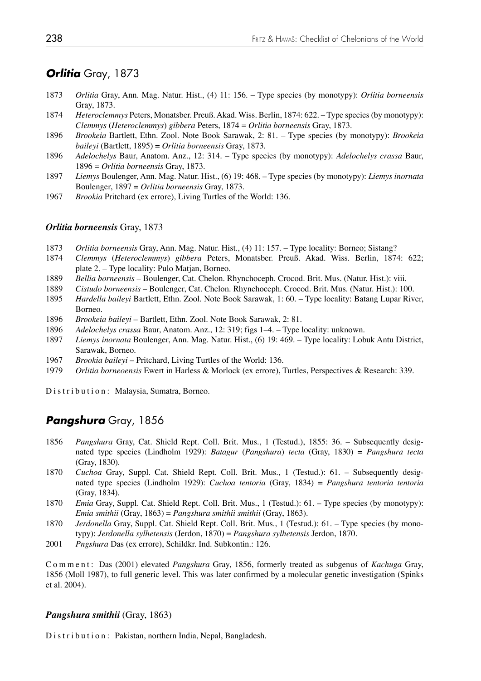# *Orlitia* Gray, 1873

- 1873 *Orlitia* Gray, Ann. Mag. Natur. Hist., (4) 11: 156. Type species (by monotypy): *Orlitia borneensis* Gray, 1873.
- 1874 *Heteroclemmys* Peters, Monatsber. Preuß. Akad. Wiss. Berlin, 1874: 622. Type species (by monotypy): *Clemmys* (*Heteroclemmys*) *gibbera* Peters, 1874 = *Orlitia borneensis* Gray, 1873.
- 1896 *Brookeia* Bartlett, Ethn. Zool. Note Book Sarawak, 2: 81. Type species (by monotypy): *Brookeia baileyi* (Bartlett, 1895) = *Orlitia borneensis* Gray, 1873.
- 1896 *Adelochelys* Baur, Anatom. Anz., 12: 314. Type species (by monotypy): *Adelochelys crassa* Baur, 1896 = *Orlitia borneensis* Gray, 1873.
- 1897 *Liemys* Boulenger, Ann. Mag. Natur. Hist., (6) 19: 468. Type species (by monotypy): *Liemys inornata* Boulenger, 1897 = *Orlitia borneensis* Gray, 1873.
- 1967 *Brookia* Pritchard (ex errore), Living Turtles of the World: 136.

## *Orlitia borneensis* Gray, 1873

- 1873 *Orlitia borneensis* Gray, Ann. Mag. Natur. Hist., (4) 11: 157. Type locality: Borneo; Sistang?
- 1874 *Clemmys* (*Heteroclemmys*) *gibbera* Peters, Monatsber. Preuß. Akad. Wiss. Berlin, 1874: 622; plate 2. – Type locality: Pulo Matjan, Borneo.
- 1889 *Bellia borneensis* Boulenger, Cat. Chelon. Rhynchoceph. Crocod. Brit. Mus. (Natur. Hist.): viii.
- 1889 *Cistudo borneensis* Boulenger, Cat. Chelon. Rhynchoceph. Crocod. Brit. Mus. (Natur. Hist.): 100.
- 1895 *Hardella baileyi* Bartlett, Ethn. Zool. Note Book Sarawak, 1: 60. Type locality: Batang Lupar River, Borneo.
- 1896 *Brookeia baileyi* Bartlett, Ethn. Zool. Note Book Sarawak, 2: 81.
- 1896 *Adelochelys crassa* Baur, Anatom. Anz., 12: 319; figs 1–4. Type locality: unknown.
- 1897 *Liemys inornata* Boulenger, Ann. Mag. Natur. Hist., (6) 19: 469. Type locality: Lobuk Antu District, Sarawak, Borneo.
- 1967 *Brookia baileyi* Pritchard, Living Turtles of the World: 136.
- 1979 *Orlitia borneoensis* Ewert in Harless & Morlock (ex errore), Turtles, Perspectives & Research: 339.

Distribution: Malaysia, Sumatra, Borneo.

# *Pangshura* Gray, 1856

- 1856 *Pangshura* Gray, Cat. Shield Rept. Coll. Brit. Mus., 1 (Testud.), 1855: 36. Subsequently desig nated type species (Lindholm 1929): *Batagur* (*Pangshura*) *tecta* (Gray, 1830) = *Pangshura tecta* (Gray, 1830).
- 1870 *Cuchoa* Gray, Suppl. Cat. Shield Rept. Coll. Brit. Mus., 1 (Testud.): 61. Subsequently desig nated type species (Lindholm 1929): *Cuchoa tentoria* (Gray, 1834) = *Pangshura tentoria tentoria* (Gray, 1834).
- 1870 *Emia* Gray, Suppl. Cat. Shield Rept. Coll. Brit. Mus., 1 (Testud.): 61. Type species (by monotypy): *Emia smithii* (Gray, 1863) = *Pangshura smithii smithii* (Gray, 1863).
- 1870 *Jerdonella* Gray, Suppl. Cat. Shield Rept. Coll. Brit. Mus., 1 (Testud.): 61. Type species (by mono typy): *Jerdonella sylhetensis* (Jerdon, 1870) = *Pangshura sylhetensis* Jerdon, 1870.
- 2001 *Pngshura* Das (ex errore), Schildkr. Ind. Subkontin.: 126.

Comment: Das (2001) elevated *Pangshura* Gray, 1856, formerly treated as subgenus of *Kachuga* Gray, 1856 (Moll 1987), to full generic level. This was later confirmed by a molecular genetic investigation (Spinks et al. 2004).

## *Pangshura smithii* (Gray, 1863)

Distribution: Pakistan, northern India, Nepal, Bangladesh.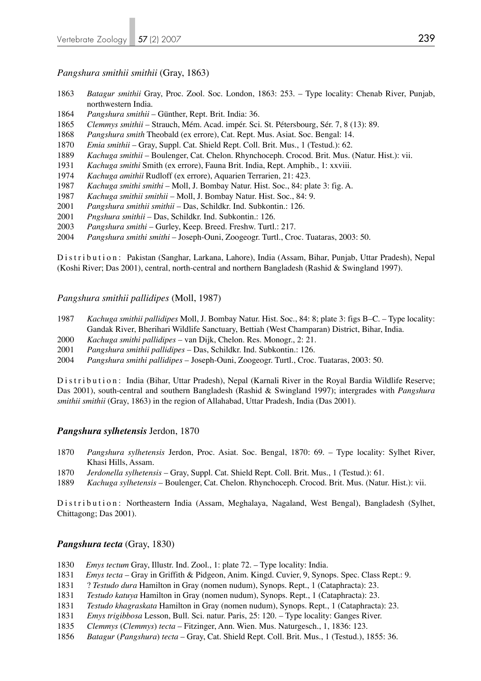## *Pangshura smithii smithii* (Gray, 1863)

- *Batagur smithii* Gray, Proc. Zool. Soc. London, 1863: 253. Type locality: Chenab River, Punjab, northwestern India.
- *Pangshura smithii* Günther, Rept. Brit. India: 36.
- *Clemmys smithii* Strauch, Mém. Acad. impér. Sci. St. Pétersbourg, Sér. 7, 8 (13): 89.
- *Pangshura smith* Theobald (ex errore), Cat. Rept. Mus. Asiat. Soc. Bengal: 14.
- *Emia smithii* Gray, Suppl. Cat. Shield Rept. Coll. Brit. Mus., 1 (Testud.): 62.
- *Kachuga smithii*  Boulenger, Cat. Chelon. Rhynchoceph. Crocod. Brit. Mus. (Natur. Hist.): vii.
- *Kachuga smithi* Smith (ex errore), Fauna Brit. India, Rept. Amphib., 1: xxviii.
- *Kachuga amithii* Rudloff (ex errore), Aquarien Terrarien, 21: 423.
- *Kachuga smithi smithi* Moll, J. Bombay Natur. Hist. Soc., 84: plate 3: fig. A.
- *Kachuga smithii smithii* Moll, J. Bombay Natur. Hist. Soc., 84: 9.
- *Pangshura smithii smithii* Das, Schildkr. Ind. Subkontin.: 126.
- *Pngshura smithii*  Das, Schildkr. Ind. Subkontin.: 126.
- *Pangshura smithi* Gurley, Keep. Breed. Freshw. Turtl.: 217.
- *Pangshura smithi smithi* Joseph-Ouni, Zoogeogr. Turtl., Croc. Tuataras, 2003: 50.

Distribution: Pakistan (Sanghar, Larkana, Lahore), India (Assam, Bihar, Punjab, Uttar Pradesh), Nepal (Koshi River; Das 2001), central, north-central and northern Bangladesh (Rashid & Swingland 1997).

## *Pangshura smithii pallidipes* (Moll, 1987)

- *Kachuga smithii pallidipes* Moll, J. Bombay Natur. Hist. Soc., 84: 8; plate 3: figs B–C. Type locality: Gandak River, Bherihari Wildlife Sanctuary, Bettiah (West Champaran) District, Bihar, India.
- *Kachuga smithi pallidipes* van Dijk, Chelon. Res. Monogr., 2: 21.
- *Pangshura smithii pallidipes* Das, Schildkr. Ind. Subkontin.: 126.
- *Pangshura smithi pallidipes* Joseph-Ouni, Zoogeogr. Turtl., Croc. Tuataras, 2003: 50.

Distribution: India (Bihar, Uttar Pradesh), Nepal (Karnali River in the Royal Bardia Wildlife Reserve; Das 2001), south-central and southern Bangladesh (Rashid & Swingland 1997); intergrades with *Pangshura smithii smithii* (Gray, 1863) in the region of Allahabad, Uttar Pradesh, India (Das 2001).

## *Pangshura sylhetensis* Jerdon, 1870

- *Pangshura sylhetensis* Jerdon, Proc. Asiat. Soc. Bengal, 1870: 69. Type locality: Sylhet River, Khasi Hills, Assam.
- *Jerdonella sylhetensis* Gray, Suppl. Cat. Shield Rept. Coll. Brit. Mus., 1 (Testud.): 61.
- *Kachuga sylhetensis*  Boulenger, Cat. Chelon. Rhynchoceph. Crocod. Brit. Mus. (Natur. Hist.): vii.

Distribution: Northeastern India (Assam, Meghalaya, Nagaland, West Bengal), Bangladesh (Sylhet, Chittagong; Das 2001).

## *Pangshura tecta* (Gray, 1830)

- *Emys tectum* Gray, Illustr. Ind. Zool., 1: plate 72. Type locality: India.
- *Emys tecta* Gray in Griffith & Pidgeon, Anim. Kingd. Cuvier, 9, Synops. Spec. Class Rept.: 9.
- 1831 ? *Testudo dura* Hamilton in Gray (nomen nudum), Synops. Rept., 1 (Cataphracta): 23.
- *Testudo katuya* Hamilton in Gray (nomen nudum), Synops. Rept., 1 (Cataphracta): 23.
- *Testudo khagraskata* Hamilton in Gray (nomen nudum), Synops. Rept., 1 (Cataphracta): 23.
- *Emys trigibbosa* Lesson, Bull. Sci. natur. Paris, 25: 120. Type locality: Ganges River.
- *Clemmys* (*Clemmys*) *tecta* Fitzinger, Ann. Wien. Mus. Naturgesch., 1, 1836: 123.
- *Batagur* (*Pangshura*) *tecta* Gray, Cat. Shield Rept. Coll. Brit. Mus., 1 (Testud.), 1855: 36.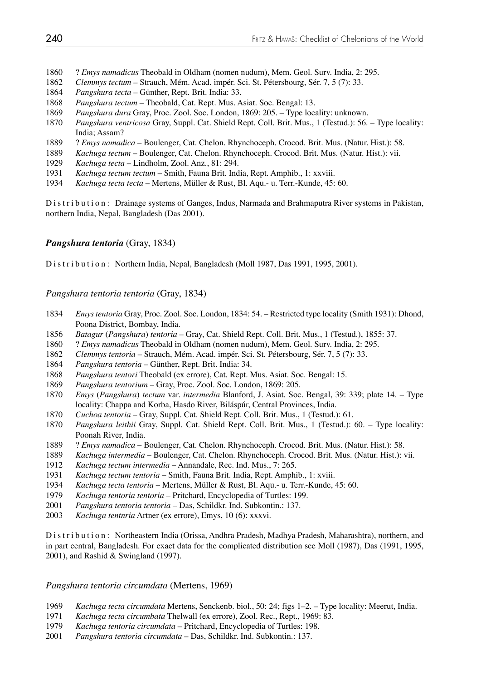- 1860 ? *Emys namadicus* Theobald in Oldham (nomen nudum), Mem. Geol. Surv. India, 2: 295.
- *Clemmys tectum* Strauch, Mém. Acad. impér. Sci. St. Pétersbourg, Sér. 7, 5 (7): 33.
- *Pangshura tecta* Günther, Rept. Brit. India: 33.
- *Pangshura tectum* Theobald, Cat. Rept. Mus. Asiat. Soc. Bengal: 13.
- *Pangshura dura* Gray, Proc. Zool. Soc. London, 1869: 205. Type locality: unknown.
- *Pangshura ventricosa* Gray, Suppl. Cat. Shield Rept. Coll. Brit. Mus., 1 (Testud.): 56. Type locality: India; Assam?
- 1889 ? *Emys namadica* Boulenger, Cat. Chelon. Rhynchoceph. Crocod. Brit. Mus. (Natur. Hist.): 58.
- *Kachuga tectum*  Boulenger, Cat. Chelon. Rhynchoceph. Crocod. Brit. Mus. (Natur. Hist.): vii.
- *Kachuga tecta*  Lindholm, Zool. Anz., 81: 294.
- *Kachuga tectum tectum* Smith, Fauna Brit. India, Rept. Amphib., 1: xxviii.
- *Kachuga tecta tecta*  Mertens, Müller & Rust, Bl. Aqu.- u. Terr.-Kunde, 45: 60.

Distribution: Drainage systems of Ganges, Indus, Narmada and Brahmaputra River systems in Pakistan, northern India, Nepal, Bangladesh (Das 2001).

## *Pangshura tentoria* (Gray, 1834)

Distribution: Northern India, Nepal, Bangladesh (Moll 1987, Das 1991, 1995, 2001).

## *Pangshura tentoria tentoria* (Gray, 1834)

- *Emys tentoria* Gray, Proc. Zool. Soc. London, 1834: 54. Restricted type locality (Smith 1931): Dhond, Poona District, Bombay, India.
- 1856 *Batagur (Pangshura) tentoria* Gray, Cat. Shield Rept. Coll. Brit. Mus., 1 (Testud.), 1855: 37.<br>1860 *? Emys namadicus* Theobald in Oldham (nomen nudum). Mem. Geol. Surv. India. 2: 295.
- 1860 ? *Emys namadicus* Theobald in Oldham (nomen nudum), Mem. Geol. Surv. India, 2: 295.
- *Clemmys tentoria*  Strauch, Mém. Acad. impér. Sci. St. Pétersbourg, Sér. 7, 5 (7): 33.
- *Pangshura tentoria*  Günther, Rept. Brit. India: 34.
- *Pangshura tentori* Theobald (ex errore), Cat. Rept. Mus. Asiat. Soc. Bengal: 15.
- *Pangshura tentorium* Gray, Proc. Zool. Soc. London, 1869: 205.
- *Emys* (*Pangshura*) *tectum* var. *intermedia* Blanford, J. Asiat. Soc. Bengal, 39: 339; plate 14. Type locality: Chappa and Korba, Hasdo River, Biláspúr, Central Provinces, India.
- *Cuchoa tentoria* Gray, Suppl. Cat. Shield Rept. Coll. Brit. Mus., 1 (Testud.): 61.
- *Pangshura leithii* Gray, Suppl. Cat. Shield Rept. Coll. Brit. Mus., 1 (Testud.): 60. Type locality: Poonah River, India.
- 1889 ? *Emys namadica* Boulenger, Cat. Chelon. Rhynchoceph. Crocod. Brit. Mus. (Natur. Hist.): 58.
- *Kachuga intermedia* Boulenger, Cat. Chelon. Rhynchoceph. Crocod. Brit. Mus. (Natur. Hist.): vii.
- *Kachuga tectum intermedia* Annandale, Rec. Ind. Mus., 7: 265.
- *Kachuga tectum tentoria*  Smith, Fauna Brit. India, Rept. Amphib., 1: xviii.
- *Kachuga tecta tentoria*  Mertens, Müller & Rust, Bl. Aqu.- u. Terr.-Kunde, 45: 60.
- *Kachuga tentoria tentoria* Pritchard, Encyclopedia of Turtles: 199.
- *Pangshura tentoria tentoria* Das, Schildkr. Ind. Subkontin.: 137.
- *Kachuga tentnria* Artner (ex errore), Emys, 10 (6): xxxvi.

Distribution: Northeastern India (Orissa, Andhra Pradesh, Madhya Pradesh, Maharashtra), northern, and in part central, Bangladesh. For exact data for the complicated distribution see Moll (1987), Das (1991, 1995, 2001), and Rashid & Swingland (1997).

## *Pangshura tentoria circumdata* (Mertens, 1969)

- *Kachuga tecta circumdata* Mertens, Senckenb. biol., 50: 24; figs 1–2. Type locality: Meerut, India.
- *Kachuga tecta circumbata* Thelwall (ex errore), Zool. Rec., Rept., 1969: 83.
- *Kachuga tentoria circumdata* Pritchard, Encyclopedia of Turtles: 198.
- *Pangshura tentoria circumdata* Das, Schildkr. Ind. Subkontin.: 137.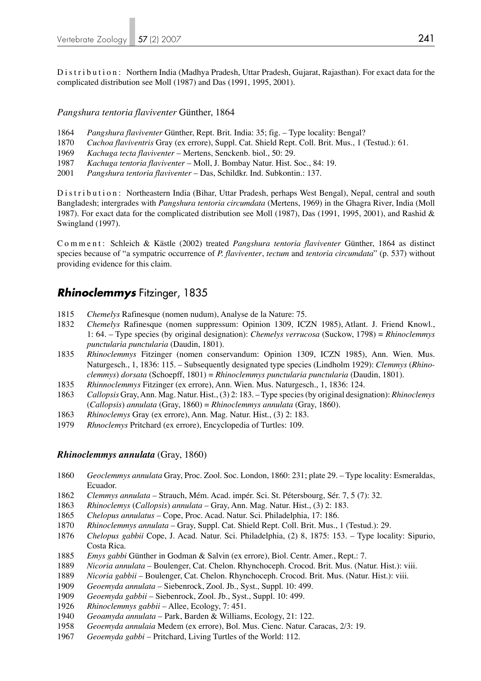Distribution: Northern India (Madhya Pradesh, Uttar Pradesh, Gujarat, Rajasthan). For exact data for the complicated distribution see Moll (1987) and Das (1991, 1995, 2001).

## *Pangshura tentoria flaviventer* Günther, 1864

- 1864 *Pangshura flaviventer* Günther, Rept. Brit. India: 35; fig. Type locality: Bengal?
- 1870 *Cuchoa flaviventris* Gray (ex errore), Suppl. Cat. Shield Rept. Coll. Brit. Mus., 1 (Testud.): 61.
- 1969 *Kachuga tecta flaviventer* Mertens, Senckenb. biol., 50: 29.
- 1987 *Kachuga tentoria flaviventer* Moll, J. Bombay Natur. Hist. Soc., 84: 19.
- 2001 *Pangshura tentoria flaviventer* Das, Schildkr. Ind. Subkontin.: 137.

Distribution: Northeastern India (Bihar, Uttar Pradesh, perhaps West Bengal), Nepal, central and south Bangladesh; intergrades with *Pangshura tentoria circumdata* (Mertens, 1969) in the Ghagra River, India (Moll 1987). For exact data for the complicated distribution see Moll (1987), Das (1991, 1995, 2001), and Rashid & Swingland (1997).

Comment: Schleich & Kästle (2002) treated *Pangshura tentoria flaviventer* Günther, 1864 as distinct species because of "a sympatric occurrence of *P. flaviventer*, *tectum* and *tentoria circumdata*" (p. 537) without providing evidence for this claim.

## *Rhinoclemmys* Fitzinger, 1835

- 1815 *Chemelys* Rafinesque (nomen nudum), Analyse de la Nature: 75.
- 1832 *Chemelys* Rafinesque (nomen suppressum: Opinion 1309, ICZN 1985), Atlant. J. Friend Knowl., 1: 64. – Type species (by original designation): *Chemelys verrucosa* (Suckow, 1798) = *Rhinoclemmys punctularia punctularia* (Daudin, 1801).
- 1835 *Rhinoclemmys* Fitzinger (nomen conservandum: Opinion 1309, ICZN 1985), Ann. Wien. Mus. Naturgesch., 1, 1836: 115. – Subsequently designated type species (Lindholm 1929): *Clemmys* (*Rhino clemmys*) *dorsata* (Schoepff, 1801) = *Rhinoclemmys punctularia punctularia* (Daudin, 1801).
- 1835 *Rhinnoclemmys* Fitzinger (ex errore), Ann. Wien. Mus. Naturgesch., 1, 1836: 124.
- 1863 *Callopsis* Gray, Ann. Mag. Natur. Hist., (3) 2: 183. Type species (by original designation): *Rhinoclemys*  (*Callopsis*) *annulata* (Gray, 1860) = *Rhinoclemmys annulata* (Gray, 1860).
- 1863 *Rhinoclemys* Gray (ex errore), Ann. Mag. Natur. Hist., (3) 2: 183.
- 1979 *Rhnoclemys* Pritchard (ex errore), Encyclopedia of Turtles: 109.

### *Rhinoclemmys annulata* (Gray, 1860)

- 1860 *Geoclemmys annulata* Gray, Proc. Zool. Soc. London, 1860: 231; plate 29. Type locality: Esmeraldas, Ecuador.
- 1862 *Clemmys annulata* Strauch, Mém. Acad. impér. Sci. St. Pétersbourg, Sér. 7, 5 (7): 32.
- 1863 *Rhinoclemys* (*Callopsis*) *annulata* Gray, Ann. Mag. Natur. Hist., (3) 2: 183.
- 1865 *Chelopus annulatus* Cope, Proc. Acad. Natur. Sci. Philadelphia, 17: 186.
- 1870 *Rhinoclemmys annulata* Gray, Suppl. Cat. Shield Rept. Coll. Brit. Mus., 1 (Testud.): 29.
- 1876 *Chelopus gabbii* Cope, J. Acad. Natur. Sci. Philadelphia, (2) 8, 1875: 153. Type locality: Sipurio, Costa Rica.
- 1885 *Emys gabbi* Günther in Godman & Salvin (ex errore), Biol. Centr. Amer., Rept.: 7.
- 1889 *Nicoria annulata*  Boulenger, Cat. Chelon. Rhynchoceph. Crocod. Brit. Mus. (Natur. Hist.): viii.
- 1889 *Nicoria gabbii* Boulenger, Cat. Chelon. Rhynchoceph. Crocod. Brit. Mus. (Natur. Hist.): viii.
- 1909 *Geoemyda annulata*  Siebenrock, Zool. Jb., Syst., Suppl. 10: 499.
- 1909 *Geoemyda gabbii* Siebenrock, Zool. Jb., Syst., Suppl. 10: 499.
- 1926 *Rhinoclemmys gabbii* Allee, Ecology, 7: 451.
- 1940 *Geoamyda annulata* Park, Barden & Williams, Ecology, 21: 122.
- 1958 *Geoemyda annulaia* Medem (ex errore), Bol. Mus. Cienc. Natur. Caracas, 2/3: 19.
- 1967 *Geoemyda gabbi* Pritchard, Living Turtles of the World: 112.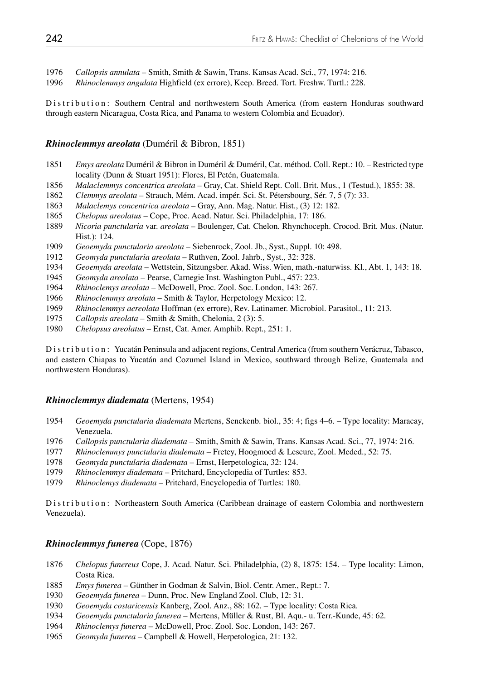*Callopsis annulata* – Smith, Smith & Sawin, Trans. Kansas Acad. Sci., 77, 1974: 216.

*Rhinoclemmys angulata* Highfield (ex errore), Keep. Breed. Tort. Freshw. Turtl.: 228.

Distribution: Southern Central and northwestern South America (from eastern Honduras southward through eastern Nicaragua, Costa Rica, and Panama to western Colombia and Ecuador).

## *Rhinoclemmys areolata* (Duméril & Bibron, 1851)

- *Emys areolata* Duméril & Bibron in Duméril & Duméril, Cat. méthod. Coll. Rept.: 10. Restricted type locality (Dunn & Stuart 1951): Flores, El Petén, Guatemala.
- *Malaclemmys concentrica areolata* Gray, Cat. Shield Rept. Coll. Brit. Mus., 1 (Testud.), 1855: 38.
- *Clemmys areolata* Strauch, Mém. Acad. impér. Sci. St. Pétersbourg, Sér. 7, 5 (7): 33.
- *Malaclemys concentrica areolata* Gray, Ann. Mag. Natur. Hist., (3) 12: 182.
- *Chelopus areolatus* Cope, Proc. Acad. Natur. Sci. Philadelphia, 17: 186.
- *Nicoria punctularia* var. *areolata* Boulenger, Cat. Chelon. Rhynchoceph. Crocod. Brit. Mus. (Natur. Hist.): 124.<br>1909 *Geoemyda*
- *Geoemyda punctularia areolata* Siebenrock, Zool. Jb., Syst., Suppl. 10: 498.
- *Geomyda punctularia areolata* Ruthven, Zool. Jahrb., Syst., 32: 328.
- *Geoemyda areolata* Wettstein, Sitzungsber. Akad. Wiss. Wien, math.-naturwiss. Kl., Abt. 1, 143: 18.
- *Geomyda areolata* Pearse, Carnegie Inst. Washington Publ., 457: 223.
- *Rhinoclemys areolata* McDowell, Proc. Zool. Soc. London, 143: 267.
- *Rhinoclemmys areolata* Smith & Taylor, Herpetology Mexico: 12.
- *Rhinoclemmys aereolata* Hoffman (ex errore), Rev. Latinamer. Microbiol. Parasitol., 11: 213.
- *Callopsis areolata* Smith & Smith, Chelonia, 2 (3): 5.
- *Chelopsus areolatus* Ernst, Cat. Amer. Amphib. Rept., 251: 1.

Distribution: Yucatán Peninsula and adjacent regions, Central America (from southern Verácruz, Tabasco, and eastern Chiapas to Yucatán and Cozumel Island in Mexico, southward through Belize, Guatemala and northwestern Honduras).

### *Rhinoclemmys diademata* (Mertens, 1954)

- *Geoemyda punctularia diademata* Mertens, Senckenb. biol., 35: 4; figs 4–6. Type locality: Maracay, Venezuela.
- *Callopsis punctularia diademata* Smith, Smith & Sawin, Trans. Kansas Acad. Sci., 77, 1974: 216.
- *Rhinoclemmys punctularia diademata* Fretey, Hoogmoed & Lescure, Zool. Meded., 52: 75.
- *Geomyda punctularia diademata* Ernst, Herpetologica, 32: 124.
- *Rhinoclemmys diademata* Pritchard, Encyclopedia of Turtles: 853.
- *Rhinoclemys diademata* Pritchard, Encyclopedia of Turtles: 180.

Distribution: Northeastern South America (Caribbean drainage of eastern Colombia and northwestern Venezuela).

### *Rhinoclemmys funerea* (Cope, 1876)

- *Chelopus funereus* Cope, J. Acad. Natur. Sci. Philadelphia, (2) 8, 1875: 154. Type locality: Limon, Costa Rica.
- *Emys funerea* Günther in Godman & Salvin, Biol. Centr. Amer., Rept.: 7.
- *Geoemyda funerea*  Dunn, Proc. New England Zool. Club, 12: 31.
- *Geoemyda costaricensis* Kanberg, Zool. Anz., 88: 162. Type locality: Costa Rica.
- *Geoemyda punctularia funerea* Mertens, Müller & Rust, Bl. Aqu.- u. Terr.-Kunde, 45: 62.
- *Rhinoclemys funerea*  McDowell, Proc. Zool. Soc. London, 143: 267.
- *Geomyda funerea* Campbell & Howell, Herpetologica, 21: 132.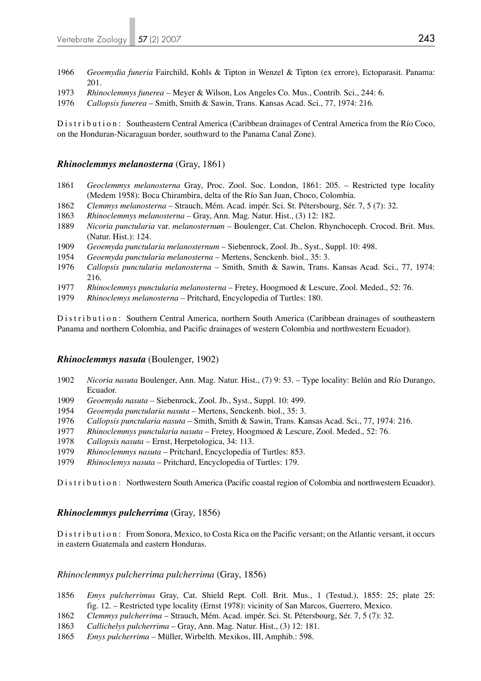- 1966 *Geoemydia funeria* Fairchild, Kohls & Tipton in Wenzel & Tipton (ex errore), Ectoparasit. Panama: 201.
- 1973 *Rhinoclemmys funerea* Meyer & Wilson, Los Angeles Co. Mus., Contrib. Sci., 244: 6.
- 1976 *Callopsis funerea* Smith, Smith & Sawin, Trans. Kansas Acad. Sci., 77, 1974: 216.

Distribution: Southeastern Central America (Caribbean drainages of Central America from the Río Coco, on the Honduran-Nicaraguan border, southward to the Panama Canal Zone).

## *Rhinoclemmys melanosterna* (Gray, 1861)

- 1861 *Geoclemmys melanosterna* Gray, Proc. Zool. Soc. London, 1861: 205. Restricted type locality (Medem 1958): Boca Chirambira, delta of the Río San Juan, Choco, Colombia.
- 1862 *Clemmys melanosterna* Strauch, Mém. Acad. impér. Sci. St. Pétersbourg, Sér. 7, 5 (7): 32.
- 1863 *Rhinoclemmys melanosterna*  Gray, Ann. Mag. Natur. Hist., (3) 12: 182.
- 1889 *Nicoria punctularia* var. *melanosternum* Boulenger, Cat. Chelon. Rhynchoceph. Crocod. Brit. Mus. (Natur. Hist.): 124.<br>1909 *Geoemyda nunctule*
- 1909 *Geoemyda punctularia melanosternum* Siebenrock, Zool. Jb., Syst., Suppl. 10: 498.
- 1954 *Geoemyda punctularia melanosterna* Mertens, Senckenb. biol., 35: 3.
- 1976 *Callopsis punctularia melanosterna* Smith, Smith & Sawin, Trans. Kansas Acad. Sci., 77, 1974: 216.
- 1977 *Rhinoclemmys punctularia melanosterna* Fretey, Hoogmoed & Lescure, Zool. Meded., 52: 76.
- 1979 *Rhinoclemys melanosterna*  Pritchard, Encyclopedia of Turtles: 180.

Distribution: Southern Central America, northern South America (Caribbean drainages of southeastern Panama and northern Colombia, and Pacific drainages of western Colombia and northwestern Ecuador).

### *Rhinoclemmys nasuta* (Boulenger, 1902)

- 1902 *Nicoria nasuta* Boulenger, Ann. Mag. Natur. Hist., (7) 9: 53. Type locality: Belún and Río Durango, Ecuador.
- 1909 *Geoemyda nasuta* Siebenrock, Zool. Jb., Syst., Suppl. 10: 499.
- 1954 *Geoemyda punctularia nasuta* Mertens, Senckenb. biol., 35: 3.
- 1976 *Callopsis punctularia nasuta* Smith, Smith & Sawin, Trans. Kansas Acad. Sci., 77, 1974: 216.
- 1977 *Rhinoclemmys punctularia nasuta* Fretey, Hoogmoed & Lescure, Zool. Meded., 52: 76.
- 1978 *Callopsis nasuta* Ernst, Herpetologica, 34: 113.
- 1979 *Rhinoclemmys nasuta* Pritchard, Encyclopedia of Turtles: 853.
- 1979 *Rhinoclemys nasuta* Pritchard, Encyclopedia of Turtles: 179.

Distribution: Northwestern South America (Pacific coastal region of Colombia and northwestern Ecuador).

### *Rhinoclemmys pulcherrima* (Gray, 1856)

Distribution: From Sonora, Mexico, to Costa Rica on the Pacific versant; on the Atlantic versant, it occurs in eastern Guatemala and eastern Honduras.

### *Rhinoclemmys pulcherrima pulcherrima* (Gray, 1856)

- 1856 *Emys pulcherrimus* Gray, Cat. Shield Rept. Coll. Brit. Mus., 1 (Testud.), 1855: 25; plate 25: fig. 12. – Restricted type locality (Ernst 1978): vicinity of San Marcos, Guerrero, Mexico.
- 1862 *Clemmys pulcherrima* Strauch, Mém. Acad. impér. Sci. St. Pétersbourg, Sér. 7, 5 (7): 32.
- 1863 *Callichelys pulcherrima* Gray, Ann. Mag. Natur. Hist., (3) 12: 181.
- 1865 *Emys pulcherrima* Müller, Wirbelth. Mexikos, III, Amphib.: 598.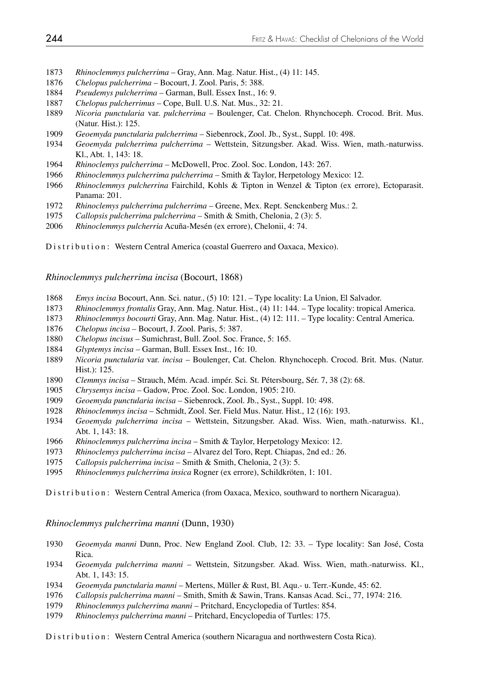- *Rhinoclemmys pulcherrima* Gray, Ann. Mag. Natur. Hist., (4) 11: 145.
- *Chelopus pulcherrima* Bocourt, J. Zool. Paris, 5: 388.
- *Pseudemys pulcherrima* Garman, Bull. Essex Inst., 16: 9.
- *Chelopus pulcherrimus* Cope, Bull. U.S. Nat. Mus., 32: 21.
- *Nicoria punctularia* var. *pulcherrima*  Boulenger, Cat. Chelon. Rhynchoceph. Crocod. Brit. Mus. (Natur. Hist.): 125.
- *Geoemyda punctularia pulcherrima* Siebenrock, Zool. Jb., Syst., Suppl. 10: 498.
- *Geoemyda pulcherrima pulcherrima*  Wettstein, Sitzungsber. Akad. Wiss. Wien, math.-naturwiss. Kl., Abt. 1, 143: 18.
- *Rhinoclemys pulcherrima*  McDowell, Proc. Zool. Soc. London, 143: 267.
- *Rhinoclemmys pulcherrima pulcherrima* Smith & Taylor, Herpetology Mexico: 12.
- *Rhinoclemmys pulcherrina* Fairchild, Kohls & Tipton in Wenzel & Tipton (ex errore), Ectoparasit. Panama: 201.
- *Rhinoclemys pulcherrima pulcherrima* Greene, Mex. Rept. Senckenberg Mus.: 2.
- *Callopsis pulcherrima pulcherrima*  Smith & Smith, Chelonia, 2 (3): 5.
- *Rhinoclemmys pulcherria* Acuña-Mesén (ex errore), Chelonii, 4: 74.

Distribution: Western Central America (coastal Guerrero and Oaxaca, Mexico).

*Rhinoclemmys pulcherrima incisa* (Bocourt, 1868)

- *Emys incisa* Bocourt, Ann. Sci. natur., (5) 10: 121. Type locality: La Union, El Salvador.
- *Rhinoclemmys frontalis* Gray, Ann. Mag. Natur. Hist., (4) 11: 144. Type locality: tropical America.
- *Rhinoclemmys bocourti* Gray, Ann. Mag. Natur. Hist., (4) 12: 111. Type locality: Central America.
- *Chelopus incisa* Bocourt, J. Zool. Paris, 5: 387.
- *Chelopus incisus* Sumichrast, Bull. Zool. Soc. France, 5: 165.
- *Glyptemys incisa* Garman, Bull. Essex Inst., 16: 10.
- *Nicoria punctularia* var. *incisa*  Boulenger, Cat. Chelon. Rhynchoceph. Crocod. Brit. Mus. (Natur. Hist.): 125.
- *Clemmys incisa*  Strauch, Mém. Acad. impér. Sci. St. Pétersbourg, Sér. 7, 38 (2): 68.
- *Chrysemys incisa* Gadow, Proc. Zool. Soc. London, 1905: 210.
- *Geoemyda punctularia incisa*  Siebenrock, Zool. Jb., Syst., Suppl. 10: 498.
- *Rhinoclemmys incisa* Schmidt, Zool. Ser. Field Mus. Natur. Hist., 12 (16): 193.
- *Geoemyda pulcherrima incisa*  Wettstein, Sitzungsber. Akad. Wiss. Wien, math.-naturwiss. Kl., Abt. 1, 143: 18.
- *Rhinoclemmys pulcherrima incisa* Smith & Taylor, Herpetology Mexico: 12.
- *Rhinoclemys pulcherrima incisa* Alvarez del Toro, Rept. Chiapas, 2nd ed.: 26.
- *Callopsis pulcherrima incisa* Smith & Smith, Chelonia, 2 (3): 5.
- *Rhinoclemmys pulcherrima insica* Rogner (ex errore), Schildkröten, 1: 101.

Distribution: Western Central America (from Oaxaca, Mexico, southward to northern Nicaragua).

*Rhinoclemmys pulcherrima manni* (Dunn, 1930)

- *Geoemyda manni* Dunn, Proc. New England Zool. Club, 12: 33. Type locality: San José, Costa Rica.
- *Geoemyda pulcherrima manni*  Wettstein, Sitzungsber. Akad. Wiss. Wien, math.-naturwiss. Kl., Abt. 1, 143: 15.
- *Geoemyda punctularia manni*  Mertens, Müller & Rust, Bl. Aqu.- u. Terr.-Kunde, 45: 62.
- *Callopsis pulcherrima manni* Smith, Smith & Sawin, Trans. Kansas Acad. Sci., 77, 1974: 216.
- *Rhinoclemmys pulcherrima manni* Pritchard, Encyclopedia of Turtles: 854.
- *Rhinoclemys pulcherrima manni* Pritchard, Encyclopedia of Turtles: 175.

Distribution: Western Central America (southern Nicaragua and northwestern Costa Rica).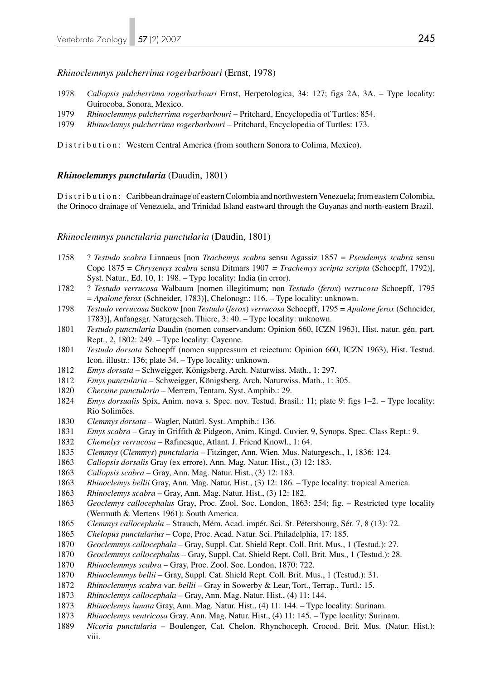### *Rhinoclemmys pulcherrima rogerbarbouri* (Ernst, 1978)

- *Callopsis pulcherrima rogerbarbouri* Ernst, Herpetologica, 34: 127; figs 2A, 3A. Type locality: Guirocoba, Sonora, Mexico.
- *Rhinoclemmys pulcherrima rogerbarbouri* Pritchard, Encyclopedia of Turtles: 854.
- *Rhinoclemys pulcherrima rogerbarbouri* Pritchard, Encyclopedia of Turtles: 173.

Distribution: Western Central America (from southern Sonora to Colima, Mexico).

#### *Rhinoclemmys punctularia* (Daudin, 1801)

Distribution: Caribbean drainage of eastern Colombia and northwestern Venezuela; from eastern Colombia, the Orinoco drainage of Venezuela, and Trinidad Island eastward through the Guyanas and north-eastern Brazil.

#### *Rhinoclemmys punctularia punctularia* (Daudin, 1801)

- 1758 ? *Testudo scabra* Linnaeus [non *Trachemys scabra* sensu Agassiz 1857 = *Pseudemys scabra* sensu Cope 1875 = *Chrysemys scabra* sensu Ditmars 1907 *= Trachemys scripta scripta* (Schoepff, 1792)], Syst. Natur., Ed. 10, 1: 198. – Type locality: India (in error).
- 1782 ? *Testudo verrucosa* Walbaum [nomen illegitimum; non *Testudo* (*ferox*) *verrucosa* Schoepff, 1795 = *Apalone ferox* (Schneider, 1783)], Chelonogr.: 116. – Type locality: unknown.
- *Testudo verrucosa* Suckow [non *Testudo* (*ferox*) *verrucosa* Schoepff, 1795 = *Apalone ferox* (Schneider, 1783)], Anfangsgr. Naturgesch. Thiere, 3: 40. – Type locality: unknown.
- *Testudo punctularia* Daudin (nomen conservandum: Opinion 660, ICZN 1963), Hist. natur. gén. part. Rept., 2, 1802: 249. – Type locality: Cayenne.
- *Testudo dorsata* Schoepff (nomen suppressum et reiectum: Opinion 660, ICZN 1963), Hist. Testud. Icon. illustr.: 136; plate 34. – Type locality: unknown.
- *Emys dorsata* Schweigger, Königsberg. Arch. Naturwiss. Math., 1: 297.
- *Emys punctularia* Schweigger, Königsberg. Arch. Naturwiss. Math., 1: 305.
- *Chersine punctularia* Merrem, Tentam. Syst. Amphib.: 29.
- *Emys dorsualis* Spix, Anim. nova s. Spec. nov. Testud. Brasil.: 11; plate 9: figs 1–2. Type locality: Rio Solimões.
- *Clemmys dorsata* Wagler, Natürl. Syst. Amphib.: 136.
- *Emys scabra* Gray in Griffith & Pidgeon, Anim. Kingd. Cuvier, 9, Synops. Spec. Class Rept.: 9.
- *Chemelys verrucosa* Rafinesque, Atlant. J. Friend Knowl., 1: 64.
- *Clemmys* (*Clemmys*) *punctularia* Fitzinger, Ann. Wien. Mus. Naturgesch., 1, 1836: 124.
- *Callopsis dorsalis* Gray (ex errore), Ann. Mag. Natur. Hist., (3) 12: 183.
- *Callopsis scabra* Gray, Ann. Mag. Natur. Hist., (3) 12: 183.
- *Rhinoclemys bellii* Gray, Ann. Mag. Natur. Hist., (3) 12: 186. Type locality: tropical America.
- *Rhinoclemys scabra* Gray, Ann. Mag. Natur. Hist., (3) 12: 182.
- *Geoclemys callocephalus* Gray, Proc. Zool. Soc. London, 1863: 254; fig. Restricted type locality (Wermuth & Mertens 1961): South America.
- *Clemmys callocephala* Strauch, Mém. Acad. impér. Sci. St. Pétersbourg, Sér. 7, 8 (13): 72.
- *Chelopus punctularius* Cope, Proc. Acad. Natur. Sci. Philadelphia, 17: 185.
- *Geoclemmys callocephala* Gray, Suppl. Cat. Shield Rept. Coll. Brit. Mus., 1 (Testud.): 27.
- *Geoclemmys callocephalus* Gray, Suppl. Cat. Shield Rept. Coll. Brit. Mus., 1 (Testud.): 28.
- *Rhinoclemmys scabra* Gray, Proc. Zool. Soc. London, 1870: 722.
- *Rhinoclemmys bellii* Gray, Suppl. Cat. Shield Rept. Coll. Brit. Mus., 1 (Testud.): 31.
- *Rhinoclemmys scabra* var. *bellii* Gray in Sowerby & Lear, Tort., Terrap., Turtl.: 15.
- *Rhinoclemys callocephala* Gray, Ann. Mag. Natur. Hist., (4) 11: 144.
- *Rhinoclemys lunata* Gray, Ann. Mag. Natur. Hist., (4) 11: 144. Type locality: Surinam.
- *Rhinoclemys ventricosa* Gray, Ann. Mag. Natur. Hist., (4) 11: 145. Type locality: Surinam.
- *Nicoria punctularia* Boulenger, Cat. Chelon. Rhynchoceph. Crocod. Brit. Mus. (Natur. Hist.): viii.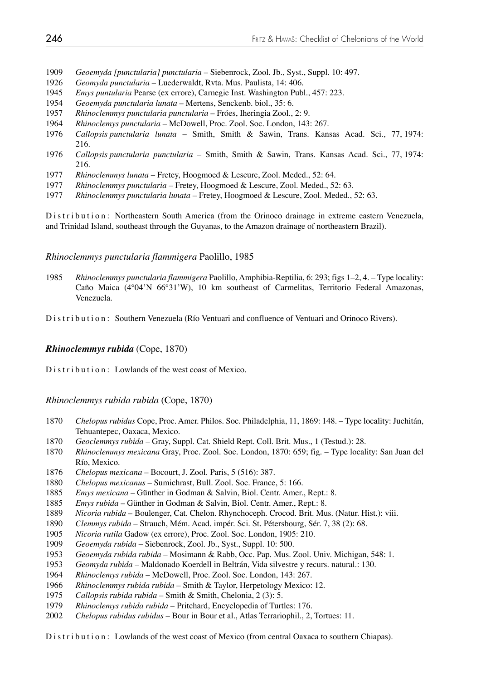- *Geoemyda [punctularia] punctularia*  Siebenrock, Zool. Jb., Syst., Suppl. 10: 497.
- *Geomyda punctularia* Luederwaldt, Rvta. Mus. Paulista, 14: 406.
- *Emys puntularia* Pearse (ex errore), Carnegie Inst. Washington Publ., 457: 223.
- *Geoemyda punctularia lunata* Mertens, Senckenb. biol., 35: 6.
- *Rhinoclemmys punctularia punctularia* Fróes, Iheringia Zool., 2: 9.
- *Rhinoclemys punctularia* McDowell, Proc. Zool. Soc. London, 143: 267.
- *Callopsis punctularia lunata* Smith, Smith & Sawin, Trans. Kansas Acad. Sci., 77, 1974: 216.
- *Callopsis punctularia punctularia* Smith, Smith & Sawin, Trans. Kansas Acad. Sci., 77, 1974: 216.
- *Rhinoclemmys lunata*  Fretey, Hoogmoed & Lescure, Zool. Meded., 52: 64.
- *Rhinoclemmys punctularia*  Fretey, Hoogmoed & Lescure, Zool. Meded., 52: 63.
- *Rhinoclemmys punctularia lunata* Fretey, Hoogmoed & Lescure, Zool. Meded., 52: 63.

Distribution: Northeastern South America (from the Orinoco drainage in extreme eastern Venezuela, and Trinidad Island, southeast through the Guyanas, to the Amazon drainage of northeastern Brazil).

### *Rhinoclemmys punctularia flammigera* Paolillo, 1985

*Rhinoclemmys punctularia flammigera* Paolillo, Amphibia-Reptilia, 6: 293; figs 1–2, 4. – Type locality: Caño Maica (4°04'N 66°31'W), 10 km southeast of Carmelitas, Territorio Federal Amazonas, Venezuela.

Distribution: Southern Venezuela (Río Ventuari and confluence of Ventuari and Orinoco Rivers).

## *Rhinoclemmys rubida* (Cope, 1870)

Distribution: Lowlands of the west coast of Mexico.

#### *Rhinoclemmys rubida rubida* (Cope, 1870)

- *Chelopus rubidus* Cope, Proc. Amer. Philos. Soc. Philadelphia, 11, 1869: 148. Type locality: Juchitán, Tehuantepec, Oaxaca, Mexico.
- *Geoclemmys rubida* Gray, Suppl. Cat. Shield Rept. Coll. Brit. Mus., 1 (Testud.): 28.
- *Rhinoclemmys mexicana* Gray, Proc. Zool. Soc. London, 1870: 659; fig. Type locality: San Juan del Río, Mexico.
- *Chelopus mexicana* Bocourt, J. Zool. Paris, 5 (516): 387.
- *Chelopus mexicanus* Sumichrast, Bull. Zool. Soc. France, 5: 166.
- *Emys mexicana* Günther in Godman & Salvin, Biol. Centr. Amer., Rept.: 8.
- *Emys rubida* Günther in Godman & Salvin, Biol. Centr. Amer., Rept.: 8.
- *Nicoria rubida* Boulenger, Cat. Chelon. Rhynchoceph. Crocod. Brit. Mus. (Natur. Hist.): viii.
- *Clemmys rubida* Strauch, Mém. Acad. impér. Sci. St. Pétersbourg, Sér. 7, 38 (2): 68.
- *Nicoria rutila* Gadow (ex errore), Proc. Zool. Soc. London, 1905: 210.
- *Geoemyda rubida* Siebenrock, Zool. Jb., Syst., Suppl. 10: 500.
- *Geoemyda rubida rubida* Mosimann & Rabb, Occ. Pap. Mus. Zool. Univ. Michigan, 548: 1.
- *Geomyda rubida* Maldonado Koerdell in Beltrán, Vida silvestre y recurs. natural.: 130.
- *Rhinoclemys rubida* McDowell, Proc. Zool. Soc. London, 143: 267.
- *Rhinoclemmys rubida rubida* Smith & Taylor, Herpetology Mexico: 12.
- *Callopsis rubida rubida* Smith & Smith, Chelonia, 2 (3): 5.
- *Rhinoclemys rubida rubida* Pritchard, Encyclopedia of Turtles: 176.
- *Chelopus rubidus rubidus* Bour in Bour et al., Atlas Terrariophil., 2, Tortues: 11.

Distribution: Lowlands of the west coast of Mexico (from central Oaxaca to southern Chiapas).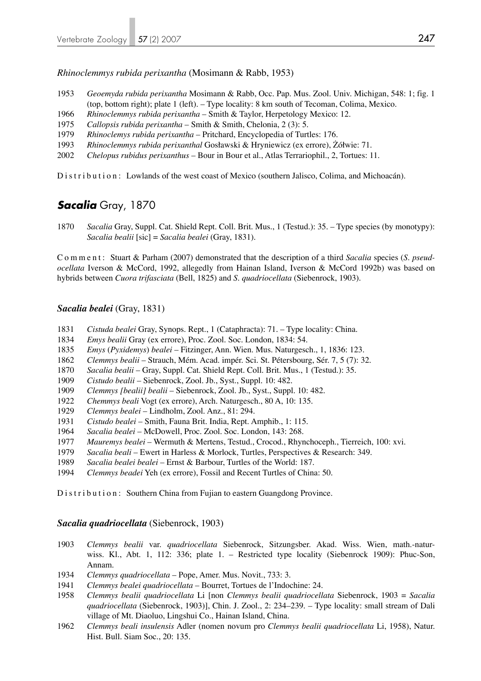*Rhinoclemmys rubida perixantha* (Mosimann & Rabb, 1953)

- *Geoemyda rubida perixantha* Mosimann & Rabb, Occ. Pap. Mus. Zool. Univ. Michigan, 548: 1; fig. 1 (top, bottom right); plate 1 (left). – Type locality: 8 km south of Tecoman, Colima, Mexico.
- *Rhinoclemmys rubida perixantha* Smith & Taylor, Herpetology Mexico: 12.
- *Callopsis rubida perixantha* Smith & Smith, Chelonia, 2 (3): 5.
- *Rhinoclemys rubida perixantha* Pritchard, Encyclopedia of Turtles: 176.
- *Rhinoclemmys rubida perixanthal* Gosławski & Hryniewicz (ex errore), Żółwie: 71.
- *Chelopus rubidus perixanthus* Bour in Bour et al., Atlas Terrariophil., 2, Tortues: 11.

Distribution: Lowlands of the west coast of Mexico (southern Jalisco, Colima, and Michoacán).

# *Sacalia* Gray, 1870

*Sacalia* Gray, Suppl. Cat. Shield Rept. Coll. Brit. Mus., 1 (Testud.): 35. – Type species (by monotypy): *Sacalia bealii* [sic] = *Sacalia bealei* (Gray, 1831).

Comment: Stuart & Parham (2007) demonstrated that the description of a third *Sacalia* species (*S. pseudocellata* Iverson & McCord, 1992, allegedly from Hainan Island, Iverson & McCord 1992b) was based on hybrids between *Cuora trifasciata* (Bell, 1825) and *S. quadriocellata* (Siebenrock, 1903).

### *Sacalia bealei* (Gray, 1831)

- *Cistuda bealei* Gray, Synops. Rept., 1 (Cataphracta): 71. Type locality: China.
- *Emys bealii* Gray (ex errore), Proc. Zool. Soc. London, 1834: 54.
- *Emys* (*Pyxidemys*) *bealei* Fitzinger, Ann. Wien. Mus. Naturgesch., 1, 1836: 123.
- *Clemmys bealii* Strauch, Mém. Acad. impér. Sci. St. Pétersbourg, Sér. 7, 5 (7): 32.
- *Sacalia bealii* Gray, Suppl. Cat. Shield Rept. Coll. Brit. Mus., 1 (Testud.): 35.
- *Cistudo bealii*  Siebenrock, Zool. Jb., Syst., Suppl. 10: 482.
- *Clemmys [bealii] bealii* Siebenrock, Zool. Jb., Syst., Suppl. 10: 482.
- *Chemmys beali* Vogt (ex errore), Arch. Naturgesch., 80 A, 10: 135.
- *Clemmys bealei* Lindholm, Zool. Anz., 81: 294.
- *Cistudo bealei* Smith, Fauna Brit. India, Rept. Amphib., 1: 115.
- *Sacalia bealei* McDowell, Proc. Zool. Soc. London, 143: 268.
- *Mauremys bealei*  Wermuth & Mertens, Testud., Crocod., Rhynchoceph., Tierreich, 100: xvi.
- *Sacalia beali* Ewert in Harless & Morlock, Turtles, Perspectives & Research: 349.
- *Sacalia bealei bealei* Ernst & Barbour, Turtles of the World: 187.
- *Clemmys beadei* Yeh (ex errore), Fossil and Recent Turtles of China: 50.

Distribution: Southern China from Fujian to eastern Guangdong Province.

#### *Sacalia quadriocellata* (Siebenrock, 1903)

- *Clemmys bealii* var. *quadriocellata* Siebenrock, Sitzungsber. Akad. Wiss. Wien, math.-natur wiss. Kl., Abt. 1, 112: 336; plate 1. – Restricted type locality (Siebenrock 1909): Phuc-Son, Annam.
- *Clemmys quadriocellata* Pope, Amer. Mus. Novit., 733: 3.
- *Clemmys bealei quadriocellata* Bourret, Tortues de l'Indochine: 24.
- *Clemmys bealii quadriocellata* Li [non *Clemmys bealii quadriocellata* Siebenrock, 1903 = *Sacalia quadriocellata* (Siebenrock, 1903)], Chin. J. Zool., 2: 234–239. – Type locality: small stream of Dali village of Mt. Diaoluo, Lingshui Co., Hainan Island, China.
- *Clemmys beali insulensis* Adler (nomen novum pro *Clemmys bealii quadriocellata* Li, 1958), Natur. Hist. Bull. Siam Soc., 20: 135.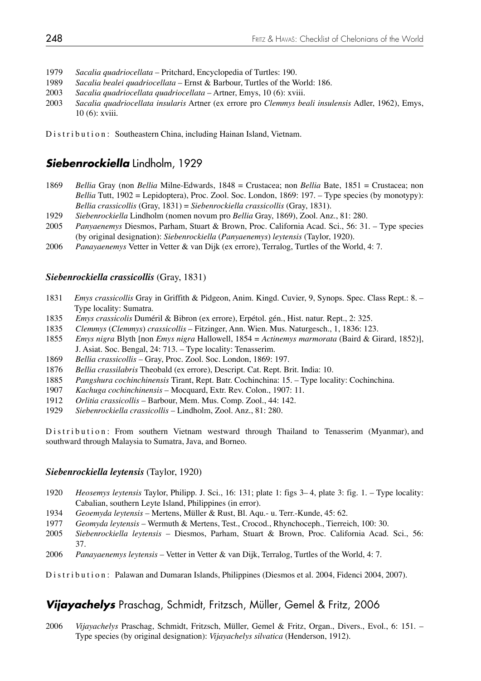- 1979 *Sacalia quadriocellata* Pritchard, Encyclopedia of Turtles: 190.
- 1989 *Sacalia bealei quadriocellata* Ernst & Barbour, Turtles of the World: 186.
- 2003 *Sacalia quadriocellata quadriocellata* Artner, Emys, 10 (6): xviii.
- 2003 *Sacalia quadriocellata insularis* Artner (ex errore pro *Clemmys beali insulensis* Adler, 1962), Emys, 10 (6): xviii.

Distribution: Southeastern China, including Hainan Island, Vietnam.

# *Siebenrockiella* Lindholm, 1929

- 1869 *Bellia* Gray (non *Bellia* Milne-Edwards, 1848 = Crustacea; non *Bellia* Bate, 1851 = Crustacea; non *Bellia* Tutt, 1902 = Lepidoptera), Proc. Zool. Soc. London, 1869: 197. – Type species (by monotypy): *Bellia crassicollis* (Gray, 1831) = *Siebenrockiella crassicollis* (Gray, 1831).
- 1929 *Siebenrockiella* Lindholm (nomen novum pro *Bellia* Gray, 1869), Zool. Anz., 81: 280.
- 2005 *Panyaenemys* Diesmos, Parham, Stuart & Brown, Proc. California Acad. Sci., 56: 31. Type species (by original designation): *Siebenrockiella* (*Panyaenemys*) *leytensis* (Taylor, 1920).
- Panayaenemys Vetter in Vetter & van Dijk (ex errore), Terralog, Turtles of the World, 4: 7.

## *Siebenrockiella crassicollis* (Gray, 1831)

- 1831 *Emys crassicollis* Gray in Griffith & Pidgeon, Anim. Kingd. Cuvier, 9, Synops. Spec. Class Rept.: 8. Type locality: Sumatra.
- 1835 *Emys crassicolis* Duméril & Bibron (ex errore), Erpétol. gén., Hist. natur. Rept., 2: 325.
- 1835 *Clemmys* (*Clemmys*) *crassicollis* Fitzinger, Ann. Wien. Mus. Naturgesch., 1, 1836: 123.
- 1855 *Emys nigra* Blyth [non *Emys nigra* Hallowell, 1854 = *Actinemys marmorata* (Baird & Girard, 1852)], J. Asiat. Soc. Bengal, 24: 713. – Type locality: Tenasserim.
- 1869 *Bellia crassicollis* Gray, Proc. Zool. Soc. London, 1869: 197.
- 1876 *Bellia crassilabris* Theobald (ex errore), Descript. Cat. Rept. Brit. India: 10.
- 1885 *Pangshura cochinchinensis* Tirant, Rept. Batr. Cochinchina: 15. Type locality: Cochinchina.
- 1907 *Kachuga cochinchinensis*  Mocquard, Extr. Rev. Colon., 1907: 11.
- 1912 *Orlitia crassicollis* Barbour, Mem. Mus. Comp. Zool., 44: 142.
- 1929 *Siebenrockiella crassicollis* Lindholm, Zool. Anz., 81: 280.

Distribution: From southern Vietnam westward through Thailand to Tenasserim (Myanmar), and southward through Malaysia to Sumatra, Java, and Borneo.

### *Siebenrockiella leytensis* (Taylor, 1920)

- 1920 *Heosemys leytensis* Taylor, Philipp. J. Sci., 16: 131; plate 1: figs 3– 4, plate 3: fig. 1. Type locality: Cabalian, southern Leyte Island, Philippines (in error).
- 1934 *Geoemyda leytensis*  Mertens, Müller & Rust, Bl. Aqu.- u. Terr.-Kunde, 45: 62.
- 1977 *Geomyda leytensis* Wermuth & Mertens, Test., Crocod., Rhynchoceph., Tierreich, 100: 30.
- 2005 *Siebenrockiella leytensis*  Diesmos, Parham, Stuart & Brown, Proc. California Acad. Sci., 56: 37.
- 2006 *Panayaenemys leytensis*  Vetter in Vetter & van Dijk, Terralog, Turtles of the World, 4: 7.

Distribution: Palawan and Dumaran Islands, Philippines (Diesmos et al. 2004, Fidenci 2004, 2007).

# *Vijayachelys* Praschag, Schmidt, Fritzsch, Müller, Gemel & Fritz, 2006

2006 *Vijayachelys* Praschag, Schmidt, Fritzsch, Müller, Gemel & Fritz, Organ., Divers., Evol., 6: 151. – Type species (by original designation): *Vijayachelys silvatica* (Henderson, 1912).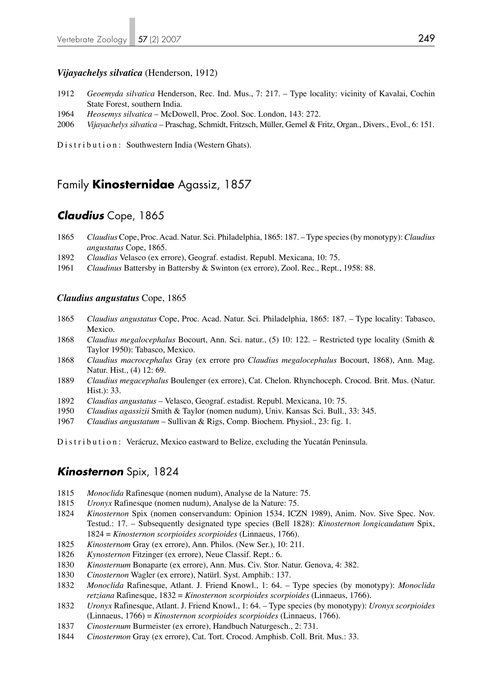### *Vijayachelys silvatica* (Henderson, 1912)

- 1912 *Geoemyda silvatica* Henderson, Rec. Ind. Mus., 7: 217. Type locality: vicinity of Kavalai, Cochin State Forest, southern India.
- 1964 *Heosemys silvatica*  McDowell, Proc. Zool. Soc. London, 143: 272.
- 2006 *Vijayachelys silvatica* Praschag, Schmidt, Fritzsch, Müller, Gemel & Fritz, Organ., Divers., Evol., 6: 151.

Distribution: Southwestern India (Western Ghats).

# Family **Kinosternidae** Agassiz, 1857

# *Claudius* Cope, 1865

- 1865 *Claudius* Cope, Proc. Acad. Natur. Sci. Philadelphia, 1865: 187. Type species (by monotypy): *Claudius angustatus* Cope, 1865.
- 1892 *Claudias* Velasco (ex errore), Geograf. estadist. Republ. Mexicana, 10: 75.
- 1961 *Claudinus* Battersby in Battersby & Swinton (ex errore), Zool. Rec., Rept., 1958: 88.

#### *Claudius angustatus* Cope, 1865

- 1865 *Claudius angustatus* Cope, Proc. Acad. Natur. Sci. Philadelphia, 1865: 187. Type locality: Tabasco, Mexico.
- 1868 *Claudius megalocephalus* Bocourt, Ann. Sci. natur., (5) 10: 122. Restricted type locality (Smith & Taylor 1950): Tabasco, Mexico.
- 1868 *Claudius macrocephalus* Gray (ex errore pro *Claudius megalocephalus* Bocourt, 1868), Ann. Mag. Natur. Hist., (4) 12: 69.
- 1889 *Claudius megacephalus* Boulenger (ex errore), Cat. Chelon. Rhynchoceph. Crocod. Brit. Mus. (Natur. Hist.): 33.
- 1892 *Claudias angustatus* Velasco, Geograf. estadist. Republ. Mexicana, 10: 75.
- 1950 *Claudius agassizii* Smith & Taylor (nomen nudum), Univ. Kansas Sci. Bull., 33: 345.
- 1967 *Claudius angustatum* Sullivan & Rigs, Comp. Biochem. Physiol., 23: fig. 1.

Distribution: Verácruz, Mexico eastward to Belize, excluding the Yucatán Peninsula.

## *Kinosternon* Spix, 1824

- 1815 *Monoclida* Rafinesque (nomen nudum), Analyse de la Nature: 75.
- 1815 *Uronyx* Rafinesque (nomen nudum), Analyse de la Nature: 75.
- 1824 *Kinosternon* Spix (nomen conservandum: Opinion 1534, ICZN 1989), Anim. Nov. Sive Spec. Nov. Testud.: 17. – Subsequently designated type species (Bell 1828): *Kinosternon longicaudatum* Spix, 1824 = *Kinosternon scorpioides scorpioides* (Linnaeus, 1766).
- 1825 *Kinosternom* Gray (ex errore), Ann. Philos. (New Ser.), 10: 211.
- 1826 *Kynosternon* Fitzinger (ex errore), Neue Classif. Rept.: 6.
- 1830 *Kinosternum* Bonaparte (ex errore), Ann. Mus. Civ. Stor. Natur. Genova, 4: 382.
- 1830 *Cinosternon* Wagler (ex errore), Natürl. Syst. Amphib.: 137.
- 1832 *Monoclida* Rafinesque, Atlant. J. Friend Knowl., 1: 64. Type species (by monotypy): *Monoclida retziana* Rafinesque, 1832 = *Kinosternon scorpioides scorpioides* (Linnaeus, 1766).
- 1832 *Uronyx* Rafinesque, Atlant. J. Friend Knowl., 1: 64. Type species (by monotypy): *Uronyx scorpioides* (Linnaeus, 1766) = *Kinosternon scorpioides scorpioides* (Linnaeus, 1766).
- 1837 *Cinosternum* Burmeister (ex errore), Handbuch Naturgesch., 2: 731.
- 1844 *Cinostermon* Gray (ex errore), Cat. Tort. Crocod. Amphisb. Coll. Brit. Mus.: 33.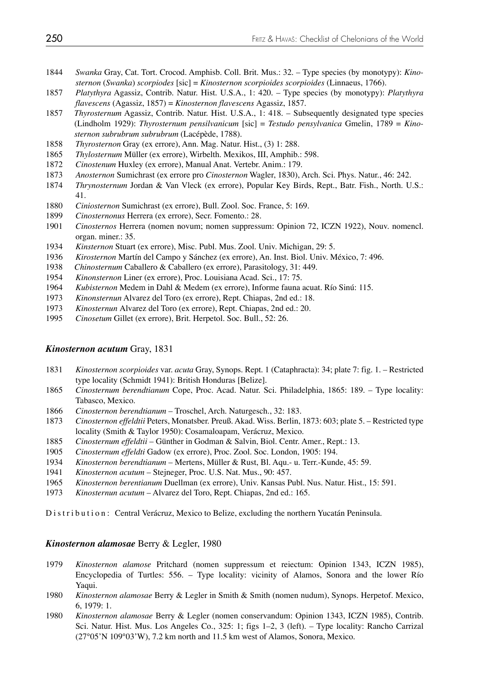- *Swanka* Gray, Cat. Tort. Crocod. Amphisb. Coll. Brit. Mus.: 32. Type species (by monotypy): *Kino sternon* (*Swanka*) *scorpiodes* [sic] = *Kinosternon scorpioides scorpioides* (Linnaeus, 1766).
- *Platythyra* Agassiz, Contrib. Natur. Hist. U.S.A., 1: 420. Type species (by monotypy): *Platythyra flavescens* (Agassiz, 1857) = *Kinosternon flavescens* Agassiz, 1857.
- *Thyrosternum* Agassiz, Contrib. Natur. Hist. U.S.A., 1: 418. Subsequently designated type species (Lindholm 1929): *Thyrosternum pensilvanicum* [sic] = *Testudo pensylvanica* Gmelin, 1789 = *Kino sternon subrubrum subrubrum* (Lacépède, 1788).
- *Thyrosternon* Gray (ex errore), Ann. Mag. Natur. Hist., (3) 1: 288.
- *Thylosternum* Müller (ex errore), Wirbelth. Mexikos, III, Amphib.: 598.
- *Cinostenum* Huxley (ex errore), Manual Anat. Vertebr. Anim.: 179.
- *Anosternon* Sumichrast (ex errore pro *Cinosternon* Wagler, 1830), Arch. Sci. Phys. Natur., 46: 242.
- *Thrynosternum* Jordan & Van Vleck (ex errore), Popular Key Birds, Rept., Batr. Fish., North. U.S.: 41.
- *Ciniosternon* Sumichrast (ex errore), Bull. Zool. Soc. France, 5: 169.
- *Cinosternonus* Herrera (ex errore), Secr. Fomento.: 28.
- *Cinosternos* Herrera (nomen novum; nomen suppressum: Opinion 72, ICZN 1922), Nouv. nomencl. organ. miner.: 35.<br>1934 *Kinsternon* Stuart
- *Kinsternon* Stuart (ex errore), Misc. Publ. Mus. Zool. Univ. Michigan, 29: 5.
- *Kirosternon* Martín del Campo y Sánchez (ex errore), An. Inst. Biol. Univ. México, 7: 496.
- *Chinosternum* Caballero & Caballero (ex errore), Parasitology, 31: 449.
- *Kinonsternon* Liner (ex errore), Proc. Louisiana Acad. Sci., 17: 75.
- *Kubisternon* Medem in Dahl & Medem (ex errore), Informe fauna acuat. Río Sinú: 115.
- *Kinonsternun* Alvarez del Toro (ex errore), Rept. Chiapas, 2nd ed.: 18.
- *Kinosternun* Alvarez del Toro (ex errore), Rept. Chiapas, 2nd ed.: 20.
- *Cinosetum* Gillet (ex errore), Brit. Herpetol. Soc. Bull., 52: 26.

### *Kinosternon acutum* Gray, 1831

- *Kinosternon scorpioides* var. *acuta* Gray, Synops. Rept. 1 (Cataphracta): 34; plate 7: fig. 1. Restricted type locality (Schmidt 1941): British Honduras [Belize].
- *Cinosternum berendtianum* Cope, Proc. Acad. Natur. Sci. Philadelphia, 1865: 189. Type locality: Tabasco, Mexico.
- *Cinosternon berendtianum* Troschel, Arch. Naturgesch., 32: 183.
- *Cinosternon effeldtii* Peters, Monatsber. Preuß. Akad. Wiss. Berlin, 1873: 603; plate 5. Restricted type locality (Smith & Taylor 1950): Cosamaloapam, Verácruz, Mexico.
- *Cinosternum effeldtii* Günther in Godman & Salvin, Biol. Centr. Amer., Rept.: 13.
- *Cinosternum effeldti* Gadow (ex errore), Proc. Zool. Soc. London, 1905: 194.
- *Kinosternon berendtianum*  Mertens, Müller & Rust, Bl. Aqu.- u. Terr.-Kunde, 45: 59.
- *Kinosternon acutum* Stejneger, Proc. U.S. Nat. Mus., 90: 457.
- *Kinosternon berentianum* Duellman (ex errore), Univ. Kansas Publ. Nus. Natur. Hist., 15: 591.
- *Kinosternun acutum* Alvarez del Toro, Rept. Chiapas, 2nd ed.: 165.

Distribution: Central Verácruz, Mexico to Belize, excluding the northern Yucatán Peninsula.

### *Kinosternon alamosae* Berry & Legler, 1980

- *Kinosternon alamose* Pritchard (nomen suppressum et reiectum: Opinion 1343, ICZN 1985), Encyclopedia of Turtles: 556. – Type locality: vicinity of Alamos, Sonora and the lower Río Yaqui.
- *Kinosternon alamosae* Berry & Legler in Smith & Smith (nomen nudum), Synops. Herpetof. Mexico, 6, 1979: 1.
- *Kinosternon alamosae* Berry & Legler (nomen conservandum: Opinion 1343, ICZN 1985), Contrib. Sci. Natur. Hist. Mus. Los Angeles Co., 325: 1; figs 1–2, 3 (left). – Type locality: Rancho Carrizal (27°05'N 109°03'W), 7.2 km north and 11.5 km west of Alamos, Sonora, Mexico.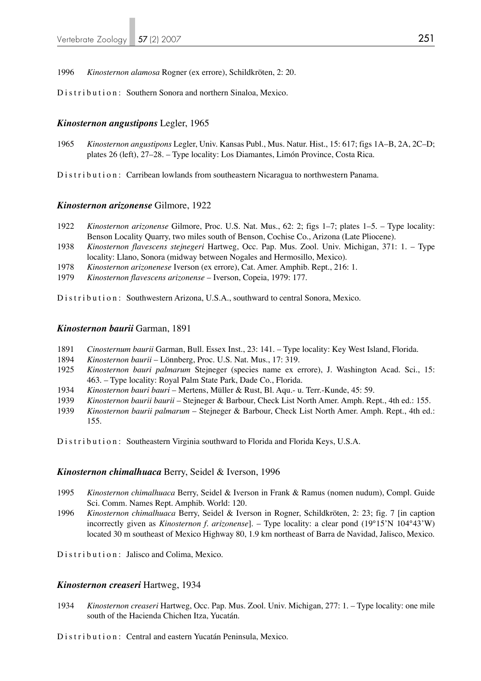1996 *Kinosternon alamosa* Rogner (ex errore), Schildkröten, 2: 20.

Distribution: Southern Sonora and northern Sinaloa, Mexico.

### *Kinosternon angustipons* Legler, 1965

1965 *Kinosternon angustipons* Legler, Univ. Kansas Publ., Mus. Natur. Hist., 15: 617; figs 1A–B, 2A, 2C–D; plates 26 (left), 27–28. – Type locality: Los Diamantes, Limón Province, Costa Rica.

Distribution: Carribean lowlands from southeastern Nicaragua to northwestern Panama.

## *Kinosternon arizonense* Gilmore, 1922

- 1922 *Kinosternon arizonense* Gilmore, Proc. U.S. Nat. Mus., 62: 2; figs 1–7; plates 1–5. Type locality: Benson Locality Quarry, two miles south of Benson, Cochise Co., Arizona (Late Pliocene).<br>1938 Kinosternon flavescens steinegeri Hartweg, Occ. Pap. Mus. Zool. Univ. Michigan, 371:
- 1938 *Kinosternon flavescens stejnegeri* Hartweg, Occ. Pap. Mus. Zool. Univ. Michigan, 371: 1. Type locality: Llano, Sonora (midway between Nogales and Hermosillo, Mexico).
- 1978 *Kinosternon arizonenese* Iverson (ex errore), Cat. Amer. Amphib. Rept., 216: 1.
- 1979 *Kinosternon flavescens arizonense* Iverson, Copeia, 1979: 177.

Distribution: Southwestern Arizona, U.S.A., southward to central Sonora, Mexico.

#### *Kinosternon baurii* Garman, 1891

- 1891 *Cinosternum baurii* Garman, Bull. Essex Inst., 23: 141. Type locality: Key West Island, Florida.
- 1894 *Kinosternon baurii* Lönnberg, Proc. U.S. Nat. Mus., 17: 319.
- 1925 *Kinosternon bauri palmarum* Stejneger (species name ex errore), J. Washington Acad. Sci., 15: 463. – Type locality: Royal Palm State Park, Dade Co., Florida.
- 1934 *Kinosternon bauri bauri* Mertens, Müller & Rust, Bl. Aqu.- u. Terr.-Kunde, 45: 59.
- 1939 *Kinosternon baurii baurii* Stejneger & Barbour, Check List North Amer. Amph. Rept., 4th ed.: 155.
- 1939 *Kinosternon baurii palmarum* Stejneger & Barbour, Check List North Amer. Amph. Rept., 4th ed.: 155.
- Distribution: Southeastern Virginia southward to Florida and Florida Keys, U.S.A.

#### *Kinosternon chimalhuaca* Berry, Seidel & Iverson, 1996

- 1995 *Kinosternon chimalhuaca* Berry, Seidel & Iverson in Frank & Ramus (nomen nudum), Compl. Guide Sci. Comm. Names Rept. Amphib. World: 120.
- 1996 *Kinosternon chimalhuaca* Berry, Seidel & Iverson in Rogner, Schildkröten, 2: 23; fig. 7 [in caption incorrectly given as *Kinosternon f. arizonense*]. – Type locality: a clear pond (19°15'N 104°43'W) located 30 m southeast of Mexico Highway 80, 1.9 km northeast of Barra de Navidad, Jalisco, Mexico.
- Distribution: Jalisco and Colima, Mexico.

#### *Kinosternon creaseri* Hartweg, 1934

1934 *Kinosternon creaseri* Hartweg, Occ. Pap. Mus. Zool. Univ. Michigan, 277: 1. – Type locality: one mile south of the Hacienda Chichen Itza, Yucatán.

Distribution: Central and eastern Yucatán Peninsula, Mexico.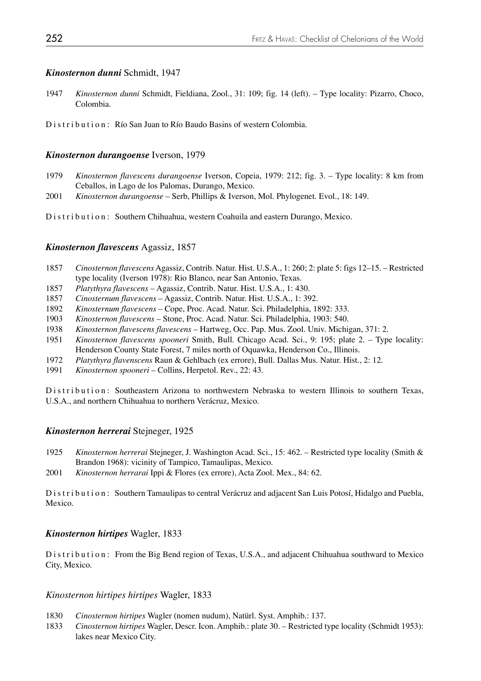### *Kinosternon dunni* Schmidt, 1947

1947 *Kinosternon dunni* Schmidt, Fieldiana, Zool., 31: 109; fig. 14 (left). – Type locality: Pizarro, Choco, Colombia.

Distribution: Río San Juan to Río Baudo Basins of western Colombia.

## *Kinosternon durangoense* Iverson, 1979

- 1979 *Kinosternon flavescens durangoense* Iverson, Copeia, 1979: 212; fig. 3. Type locality: 8 km from Ceballos, in Lago de los Palomas, Durango, Mexico.
- 2001 *Kinosternon durangoense* Serb, Phillips & Iverson, Mol. Phylogenet. Evol., 18: 149.

Distribution: Southern Chihuahua, western Coahuila and eastern Durango, Mexico.

## *Kinosternon flavescens* Agassiz, 1857

- 1857 *Cinosternon flavescens* Agassiz, Contrib. Natur. Hist. U.S.A., 1: 260; 2: plate 5: figs 12–15. Restricted type locality (Iverson 1978): Rio Blanco, near San Antonio, Texas.
- 1857 *Platythyra flavescens*  Agassiz, Contrib. Natur. Hist. U.S.A., 1: 430.
- 1857 *Cinosternum flavescens*  Agassiz, Contrib. Natur. Hist. U.S.A., 1: 392.
- 1892 *Kinosternum flavescens*  Cope, Proc. Acad. Natur. Sci. Philadelphia, 1892: 333.
- 1903 *Kinosternon flavescens*  Stone, Proc. Acad. Natur. Sci. Philadelphia, 1903: 540.
- 1938 *Kinosternon flavescens flavescens* Hartweg, Occ. Pap. Mus. Zool. Univ. Michigan, 371: 2.
- 1951 *Kinosternon flavescens spooneri* Smith, Bull. Chicago Acad. Sci., 9: 195; plate 2. Type locality: Henderson County State Forest, 7 miles north of Oquawka, Henderson Co., Illinois.
- 1972 *Platythyra flavenscens* Raun & Gehlbach (ex errore), Bull. Dallas Mus. Natur. Hist., 2: 12.
- 1991 *Kinosternon spooneri* Collins, Herpetol. Rev., 22: 43.

Distribution: Southeastern Arizona to northwestern Nebraska to western Illinois to southern Texas, U.S.A., and northern Chihuahua to northern Verácruz, Mexico.

### *Kinosternon herrerai* Stejneger, 1925

- 1925 *Kinosternon herrerai* Stejneger, J. Washington Acad. Sci., 15: 462. Restricted type locality (Smith & Brandon 1968): vicinity of Tampico, Tamaulipas, Mexico.
- 2001 *Kinosternon herrarai* Ippi & Flores (ex errore), Acta Zool. Mex., 84: 62.

Distribution: Southern Tamaulipas to central Verácruz and adjacent San Luis Potosí, Hidalgo and Puebla, Mexico.

#### *Kinosternon hirtipes* Wagler, 1833

Distribution: From the Big Bend region of Texas, U.S.A., and adjacent Chihuahua southward to Mexico City, Mexico.

#### *Kinosternon hirtipes hirtipes* Wagler, 1833

- 1830 *Cinosternon hirtipes* Wagler (nomen nudum), Natürl. Syst. Amphib.: 137.
- 1833 *Cinosternon hirtipes* Wagler, Descr. Icon. Amphib.: plate 30. Restricted type locality (Schmidt 1953): lakes near Mexico City.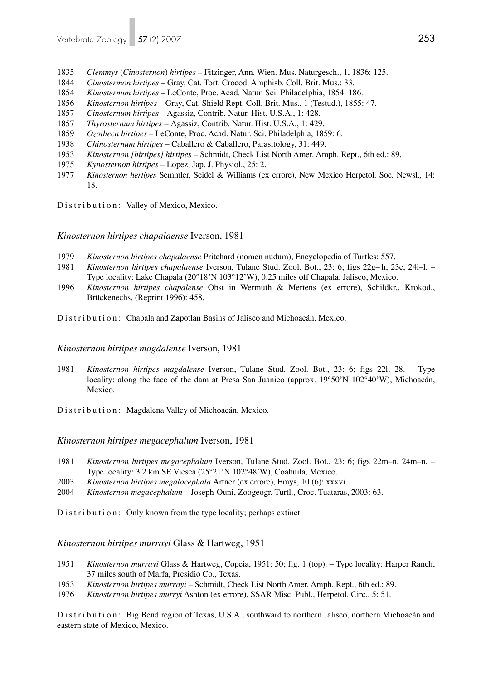- 1835 *Clemmys* (*Cinosternon*) *hirtipes* Fitzinger, Ann. Wien. Mus. Naturgesch., 1, 1836: 125.
- 1844 *Cinostermon hirtipes*  Gray, Cat. Tort. Crocod. Amphisb. Coll. Brit. Mus.: 33.
- 1854 *Kinosternum hirtipes* LeConte, Proc. Acad. Natur. Sci. Philadelphia, 1854: 186.
- 1856 *Kinosternon hirtipes*  Gray, Cat. Shield Rept. Coll. Brit. Mus., 1 (Testud.), 1855: 47.
- 1857 *Cinosternum hirtipes* Agassiz, Contrib. Natur. Hist. U.S.A., 1: 428.
- 1857 *Thyrosternum hirtipes* Agassiz, Contrib. Natur. Hist. U.S.A., 1: 429.
- 1859 *Ozotheca hirtipes* LeConte, Proc. Acad. Natur. Sci. Philadelphia, 1859: 6.
- 1938 *Chinosternum hirtipes* Caballero & Caballero, Parasitology, 31: 449.
- 1953 *Kinosternon [hirtipes] hirtipes*  Schmidt, Check List North Amer. Amph. Rept., 6th ed.: 89.
- 1975 *Kynosternon hirtipes* Lopez, Jap. J. Physiol., 25: 2.
- 1977 *Kinosternon hertipes* Semmler, Seidel & Williams (ex errore), New Mexico Herpetol. Soc. Newsl., 14: 18.

Distribution: Valley of Mexico, Mexico.

*Kinosternon hirtipes chapalaense* Iverson, 1981

- 1979 *Kinosternon hirtipes chapalaense* Pritchard (nomen nudum), Encyclopedia of Turtles: 557.
- 1981 *Kinosternon hirtipes chapalaense* Iverson, Tulane Stud. Zool. Bot., 23: 6; figs 22g– h, 23c, 24i–l. Type locality: Lake Chapala (20°18'N 103°12'W), 0.25 miles off Chapala, Jalisco, Mexico.
- 1996 *Kinosternon hirtipes chapalense* Obst in Wermuth & Mertens (ex errore), Schildkr., Krokod., Brückenechs. (Reprint 1996): 458.
- Distribution: Chapala and Zapotlan Basins of Jalisco and Michoacán, Mexico.

## *Kinosternon hirtipes magdalense* Iverson, 1981

- 1981 *Kinosternon hirtipes magdalense* Iverson, Tulane Stud. Zool. Bot., 23: 6; figs 22l, 28. Type locality: along the face of the dam at Presa San Juanico (approx. 19°50'N 102°40'W), Michoacán, Mexico.
- Distribution: Magdalena Valley of Michoacán, Mexico.

## *Kinosternon hirtipes megacephalum* Iverson, 1981

- 1981 *Kinosternon hirtipes megacephalum* Iverson, Tulane Stud. Zool. Bot., 23: 6; figs 22m–n, 24m–n. Type locality: 3.2 km SE Viesca (25°21'N 102°48'W), Coahuila, Mexico.<br>2003 *Kinosternon hirtines megalocephala* Artner (ex errore). Emys. 10 (6): xxx
- 2003 *Kinosternon hirtipes megalocephala* Artner (ex errore), Emys, 10 (6): xxxvi.
- 2004 *Kinosternon megacephalum*  Joseph-Ouni, Zoogeogr. Turtl., Croc. Tuataras, 2003: 63.

Distribution: Only known from the type locality; perhaps extinct.

*Kinosternon hirtipes murrayi* Glass & Hartweg, 1951

- 1951 *Kinosternon murrayi* Glass & Hartweg, Copeia, 1951: 50; fig. 1 (top). Type locality: Harper Ranch, 37 miles south of Marfa, Presidio Co., Texas.
- 1953 *Kinosternon hirtipes murrayi* Schmidt, Check List North Amer. Amph. Rept., 6th ed.: 89.
- 1976 *Kinosternon hirtipes murryi* Ashton (ex errore), SSAR Misc. Publ., Herpetol. Circ., 5: 51.

Distribution: Big Bend region of Texas, U.S.A., southward to northern Jalisco, northern Michoacán and eastern state of Mexico, Mexico.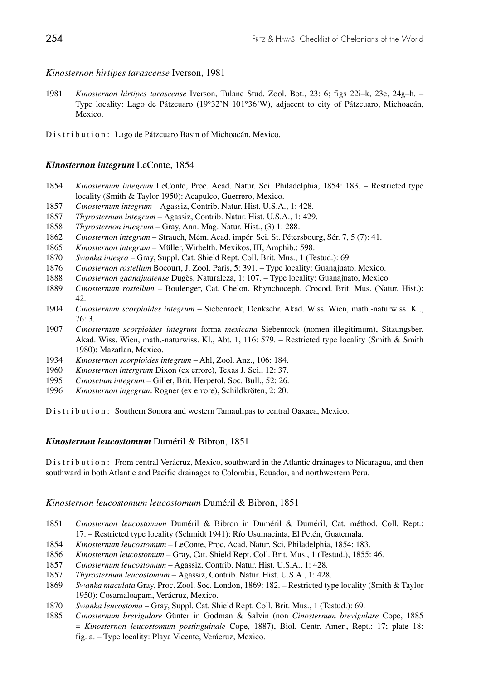*Kinosternon hirtipes tarascense* Iverson, 1981

1981 *Kinosternon hirtipes tarascense* Iverson, Tulane Stud. Zool. Bot., 23: 6; figs 22i–k, 23e, 24g–h. – Type locality: Lago de Pátzcuaro (19°32'N 101°36'W), adjacent to city of Pátzcuaro, Michoacán, Mexico.

Distribution: Lago de Pátzcuaro Basin of Michoacán, Mexico.

## *Kinosternon integrum* LeConte, 1854

- 1854 *Kinosternum integrum* LeConte, Proc. Acad. Natur. Sci. Philadelphia, 1854: 183. Restricted type locality (Smith & Taylor 1950): Acapulco, Guerrero, Mexico.
- 1857 *Cinosternum integrum* Agassiz, Contrib. Natur. Hist. U.S.A., 1: 428.
- 1857 *Thyrosternum integrum* Agassiz, Contrib. Natur. Hist. U.S.A., 1: 429.
- 1858 *Thyrosternon integrum* Gray, Ann. Mag. Natur. Hist., (3) 1: 288.
- 1862 *Cinosternon integrum* Strauch, Mém. Acad. impér. Sci. St. Pétersbourg, Sér. 7, 5 (7): 41.
- 1865 *Kinosternon integrum* Müller, Wirbelth. Mexikos, III, Amphib.: 598.
- 1870 *Swanka integra*  Gray, Suppl. Cat. Shield Rept. Coll. Brit. Mus., 1 (Testud.): 69.
- 1876 *Cinosternon rostellum* Bocourt, J. Zool. Paris, 5: 391. Type locality: Guanajuato, Mexico.
- 1888 *Cinosternon guanajuatense* Dugès, Naturaleza, 1: 107. Type locality: Guanajuato, Mexico.
- 1889 *Cinosternum rostellum* Boulenger, Cat. Chelon. Rhynchoceph. Crocod. Brit. Mus. (Natur. Hist.): 42.
- 1904 *Cinosternum scorpioides integrum* Siebenrock, Denkschr. Akad. Wiss. Wien, math.-naturwiss. Kl., 76: 3.
- 1907 *Cinosternum scorpioides integrum* forma *mexicana* Siebenrock (nomen illegitimum), Sitzungsber. Akad. Wiss. Wien, math.-naturwiss. Kl., Abt. 1, 116: 579. – Restricted type locality (Smith & Smith 1980): Mazatlan, Mexico.
- 1934 *Kinosternon scorpioides integrum* Ahl, Zool. Anz., 106: 184.
- 1960 *Kinosternon intergrum* Dixon (ex errore), Texas J. Sci., 12: 37.
- 1995 *Cinosetum integrum* Gillet, Brit. Herpetol. Soc. Bull., 52: 26.
- 1996 *Kinosternon ingegrum* Rogner (ex errore), Schildkröten, 2: 20.

Distribution: Southern Sonora and western Tamaulipas to central Oaxaca, Mexico.

## *Kinosternon leucostomum* Duméril & Bibron, 1851

Distribution: From central Verácruz, Mexico, southward in the Atlantic drainages to Nicaragua, and then southward in both Atlantic and Pacific drainages to Colombia, Ecuador, and northwestern Peru.

## *Kinosternon leucostomum leucostomum* Duméril & Bibron, 1851

- 1851 *Cinosternon leucostomum* Duméril & Bibron in Duméril & Duméril, Cat. méthod. Coll. Rept.: 17. – Restricted type locality (Schmidt 1941): Río Usumacinta, El Petén, Guatemala.
- 1854 *Kinosternum leucostomum* LeConte, Proc. Acad. Natur. Sci. Philadelphia, 1854: 183.
- 1856 *Kinosternon leucostomum* Gray, Cat. Shield Rept. Coll. Brit. Mus., 1 (Testud.), 1855: 46.
- 1857 *Cinosternum leucostomum* Agassiz, Contrib. Natur. Hist. U.S.A., 1: 428.
- 1857 *Thyrosternum leucostomum* Agassiz, Contrib. Natur. Hist. U.S.A., 1: 428.
- 1869 *Swanka maculata* Gray, Proc. Zool. Soc. London, 1869: 182. Restricted type locality (Smith & Taylor 1950): Cosamaloapam, Verácruz, Mexico.
- 1870 *Swanka leucostoma* Gray, Suppl. Cat. Shield Rept. Coll. Brit. Mus., 1 (Testud.): 69.
- 1885 *Cinosternum brevigulare* Günter in Godman & Salvin (non *Cinosternum brevigulare* Cope, 1885 = *Kinosternon leucostomum postinguinale* Cope, 1887), Biol. Centr. Amer., Rept.: 17; plate 18: fig. a. – Type locality: Playa Vicente, Verácruz, Mexico.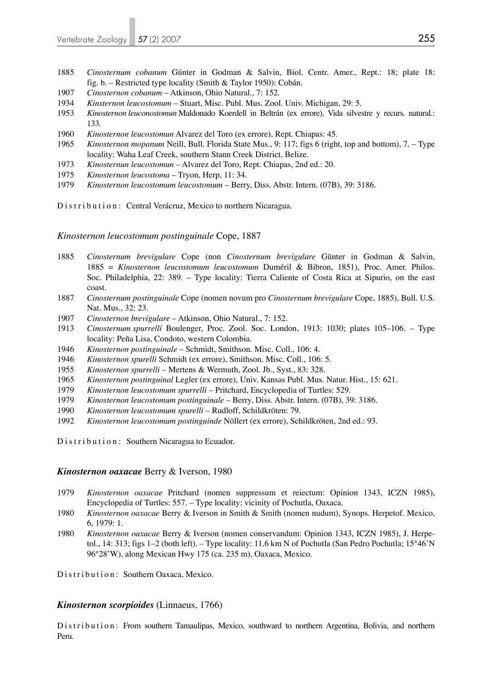- 1885 *Cinosternum cobanum* Günter in Godman & Salvin, Biol. Centr. Amer., Rept.: 18; plate 18: fig. b. – Restricted type locality (Smith & Taylor 1950): Cobán.
- 1907 *Cinosternon cobanum* Atkinson, Ohio Natural., 7: 152.
- 1934 *Kinsternon leucostomum* Stuart, Misc. Publ. Mus. Zool. Univ. Michigan, 29: 5.
- 1953 *Kinosternon leuconostomun* Maldonado Koerdell in Beltrán (ex errore), Vida silvestre y recurs. natural.: 133.
- 1960 *Kinosternon leucostomun* Alvarez del Toro (ex errore), Rept. Chiapas: 45.
- 1965 *Kinosternon mopanum* Neill, Bull. Florida State Mus., 9: 117; figs 6 (right, top and bottom), 7. Type locality: Waha Leaf Creek, southern Stann Creek District, Belize.
- 1973 *Kinosternun leucostomun* Alvarez del Toro, Rept. Chiapas, 2nd ed.: 20.
- 1975 *Kinosternon leucostoma* Tryon, Herp, 11: 34.
- 1979 *Kinosternon leucostomum leucostomum* Berry, Diss. Abstr. Intern. (07B), 39: 3186.

Distribution: Central Verácruz, Mexico to northern Nicaragua.

### *Kinosternon leucostomum postinguinale* Cope, 1887

- 1885 *Cinosternum brevigulare* Cope (non *Cinosternum brevigulare* Günter in Godman & Salvin, 1885 = *Kinosternon leucostomum leucostomum* Duméril & Bibron, 1851), Proc. Amer. Philos. Soc. Philadelphia, 22: 389. – Type locality: Tierra Caliente of Costa Rica at Sipurio, on the east coast.
- 1887 *Cinosternum postinguinale* Cope (nomen novum pro *Cinosternum brevigulare* Cope, 1885), Bull. U.S. Nat. Mus., 32: 23.
- 1907 *Cinosternon brevigulare* Atkinson, Ohio Natural., 7: 152.
- 1913 *Cinosternum spurrelli* Boulenger, Proc. Zool. Soc. London, 1913: 1030; plates 105–106. Type locality: Peña Lisa, Condoto, western Colombia.
- 1946 *Kinosternon postinguinale* Schmidt, Smithson. Misc. Coll., 106: 4.
- 1946 *Kinosternon spurelli* Schmidt (ex errore), Smithson. Misc. Coll., 106: 5.
- 1955 *Kinosternon spurrelli* Mertens & Wermuth, Zool. Jb., Syst., 83: 328.
- 1965 *Kinosternon postinguinal* Legler (ex errore), Univ. Kansas Publ. Mus. Natur. Hist., 15: 621.
- 1979 *Kinosternon leucostomum spurrelli* Pritchard, Encyclopedia of Turtles: 529.
- 1979 *Kinosternon leucostomum postinguinale* Berry, Diss. Abstr. Intern. (07B), 39: 3186.
- 1990 *Kinosternon leucostomum spurelli* Rudloff, Schildkröten: 79.
- 1992 *Kinosternon leucostomum postinguinde* Nöllert (ex errore), Schildkröten, 2nd ed.: 93.
- Distribution: Southern Nicaragua to Ecuador.

#### *Kinosternon oaxacae* Berry & Iverson, 1980

- 1979 *Kinosternon oaxacae* Pritchard (nomen suppressum et reiectum: Opinion 1343, ICZN 1985), Encyclopedia of Turtles: 557. – Type locality: vicinity of Pochutla, Oaxaca.
- 1980 *Kinosternon oaxacae* Berry & Iverson in Smith & Smith (nomen nudum), Synops. Herpetof. Mexico, 6, 1979: 1.
- 1980 *Kinosternon oaxacae* Berry & Iverson (nomen conservandum: Opinion 1343, ICZN 1985), J. Herpe tol., 14: 313; figs 1–2 (both left). – Type locality: 11.6 km N of Pochutla (San Pedro Pochutla; 15°46'N 96°28'W), along Mexican Hwy 175 (ca. 235 m), Oaxaca, Mexico.

Distribution: Southern Oaxaca, Mexico.

### *Kinosternon scorpioides* (Linnaeus, 1766)

Distribution: From southern Tamaulipas, Mexico, southward to northern Argentina, Bolivia, and northern Peru.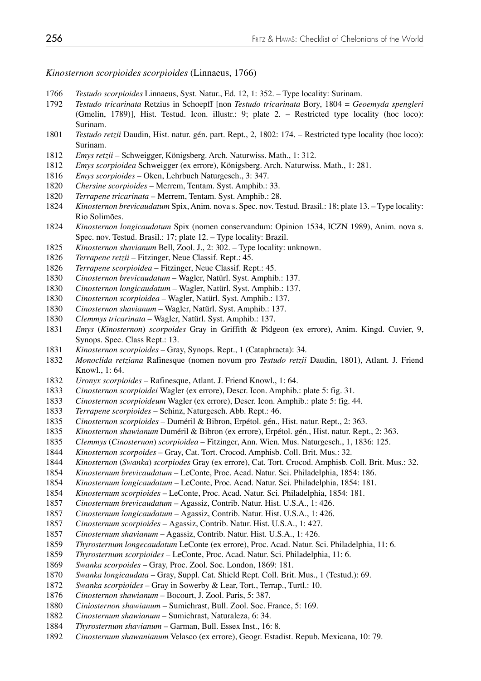*Kinosternon scorpioides scorpioides* (Linnaeus, 1766)

- *Testudo scorpioides* Linnaeus, Syst. Natur., Ed. 12, 1: 352. Type locality: Surinam.
- *Testudo tricarinata* Retzius in Schoepff [non *Testudo tricarinata* Bory, 1804 = *Geoemyda spengleri* (Gmelin, 1789)], Hist. Testud. Icon. illustr.: 9; plate 2. – Restricted type locality (hoc loco): Surinam.
- *Testudo retzii* Daudin, Hist. natur. gén. part. Rept., 2, 1802: 174. Restricted type locality (hoc loco): Surinam.
- *Emys retzii* Schweigger, Königsberg. Arch. Naturwiss. Math., 1: 312.
- *Emys scorpioidea* Schweigger (ex errore), Königsberg. Arch. Naturwiss. Math., 1: 281.
- *Emys scorpioides* Oken, Lehrbuch Naturgesch., 3: 347.
- *Chersine scorpioides* Merrem, Tentam. Syst. Amphib.: 33.
- *Terrapene tricarinata* Merrem, Tentam. Syst. Amphib.: 28.
- *Kinosternon brevicaudatum* Spix, Anim. nova s. Spec. nov. Testud. Brasil.: 18; plate 13. Type locality: Rio Solimões.
- *Kinosternon longicaudatum* Spix (nomen conservandum: Opinion 1534, ICZN 1989), Anim. nova s. Spec. nov. Testud. Brasil.: 17; plate 12. – Type locality: Brazil.
- *Kinosternon shavianum* Bell, Zool. J., 2: 302. Type locality: unknown.
- *Terrapene retzii* Fitzinger, Neue Classif. Rept.: 45.
- *Terrapene scorpioidea* Fitzinger, Neue Classif. Rept.: 45.
- *Cinosternon brevicaudatum* Wagler, Natürl. Syst. Amphib.: 137.
- *Cinosternon longicaudatum* Wagler, Natürl. Syst. Amphib.: 137.
- *Cinosternon scorpioidea* Wagler, Natürl. Syst. Amphib.: 137.
- *Cinosternon shavianum* Wagler, Natürl. Syst. Amphib.: 137.
- *Clemmys tricarinata* Wagler, Natürl. Syst. Amphib.: 137.
- *Emys* (*Kinosternon*) *scorpoides* Gray in Griffith & Pidgeon (ex errore), Anim. Kingd. Cuvier, 9, Synops. Spec. Class Rept.: 13.
- *Kinosternon scorpioides* Gray, Synops. Rept., 1 (Cataphracta): 34.
- *Monoclida retziana* Rafinesque (nomen novum pro *Testudo retzii* Daudin, 1801), Atlant. J. Friend Knowl., 1: 64.
- *Uronyx scorpioides* Rafinesque, Atlant. J. Friend Knowl., 1: 64.
- *Cinosternon scorpioidei* Wagler (ex errore), Descr. Icon. Amphib.: plate 5: fig. 31.
- *Cinosternon scorpioideum* Wagler (ex errore), Descr. Icon. Amphib.: plate 5: fig. 44.
- *Terrapene scorpioides* Schinz, Naturgesch. Abb. Rept.: 46.
- *Cinosternon scorpioides* Duméril & Bibron, Erpétol. gén., Hist. natur. Rept., 2: 363.
- *Kinosternon shawianum* Duméril & Bibron (ex errore), Erpétol. gén., Hist. natur. Rept., 2: 363.
- *Clemmys* (*Cinosternon*) *scorpioidea* Fitzinger, Ann. Wien. Mus. Naturgesch., 1, 1836: 125.
- *Kinosternon scorpoides*  Gray, Cat. Tort. Crocod. Amphisb. Coll. Brit. Mus.: 32.
- *Kinosternon* (*Swanka*) *scorpiodes* Gray (ex errore), Cat. Tort. Crocod. Amphisb. Coll. Brit. Mus.: 32.
- *Kinosternum brevicaudatum* LeConte, Proc. Acad. Natur. Sci. Philadelphia, 1854: 186.
- *Kinosternum longicaudatum* LeConte, Proc. Acad. Natur. Sci. Philadelphia, 1854: 181.
- *Kinosternum scorpioides* LeConte, Proc. Acad. Natur. Sci. Philadelphia, 1854: 181.
- *Cinosternum brevicaudatum* Agassiz, Contrib. Natur. Hist. U.S.A., 1: 426.
- *Cinosternum longicaudatum* Agassiz, Contrib. Natur. Hist. U.S.A., 1: 426.
- *Cinosternum scorpioides* Agassiz, Contrib. Natur. Hist. U.S.A., 1: 427.
- *Cinosternum shavianum* Agassiz, Contrib. Natur. Hist. U.S.A., 1: 426.
- *Thyrosternum longecaudatum* LeConte (ex errore), Proc. Acad. Natur. Sci. Philadelphia, 11: 6.
- *Thyrosternum scorpioides* LeConte, Proc. Acad. Natur. Sci. Philadelphia, 11: 6.
- *Swanka scorpoides* Gray, Proc. Zool. Soc. London, 1869: 181.
- *Swanka longicaudata* Gray, Suppl. Cat. Shield Rept. Coll. Brit. Mus., 1 (Testud.): 69.
- *Swanka scorpioides* Gray in Sowerby & Lear, Tort., Terrap., Turtl.: 10.
- *Cinosternon shawianum* Bocourt, J. Zool. Paris, 5: 387.
- *Ciniosternon shawianum* Sumichrast, Bull. Zool. Soc. France, 5: 169.
- *Cinosternum shawianum* Sumichrast, Naturaleza, 6: 34.
- *Thyrosternum shavianum* Garman, Bull. Essex Inst., 16: 8.
- *Cinosternum shawanianum* Velasco (ex errore), Geogr. Estadist. Repub. Mexicana, 10: 79.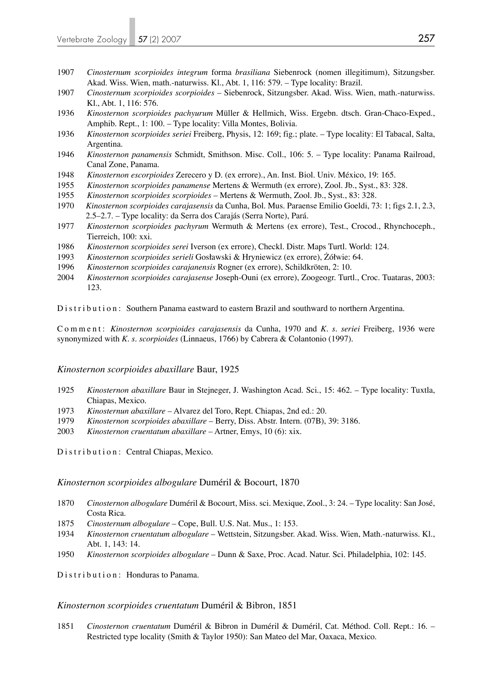- 1907 *Cinosternum scorpioides integrum* forma *brasiliana* Siebenrock (nomen illegitimum), Sitzungsber. Akad. Wiss. Wien, math.-naturwiss. Kl., Abt. 1, 116: 579. – Type locality: Brazil.
- 1907 *Cinosternum scorpioides scorpioides* Siebenrock, Sitzungsber. Akad. Wiss. Wien, math.-naturwiss. Kl., Abt. 1, 116: 576.
- 1936 *Kinosternon scorpioides pachyurum* Müller & Hellmich, Wiss. Ergebn. dtsch. Gran-Chaco-Exped., Amphib. Rept., 1: 100. – Type locality: Villa Montes, Bolivia.
- 1936 *Kinosternon scorpioides seriei* Freiberg, Physis, 12: 169; fig.; plate. Type locality: El Tabacal, Salta, Argentina.
- 1946 *Kinosternon panamensis* Schmidt, Smithson. Misc. Coll., 106: 5. Type locality: Panama Railroad, Canal Zone, Panama.
- 1948 *Kinosternon escorpioides* Zerecero y D. (ex errore)., An. Inst. Biol. Univ. México, 19: 165.
- 1955 *Kinosternon scorpioides panamense* Mertens & Wermuth (ex errore), Zool. Jb., Syst., 83: 328.
- 1955 *Kinosternon scorpioides scorpioides*  Mertens & Wermuth, Zool. Jb., Syst., 83: 328.
- 1970 *Kinosternon scorpioides carajasensis* da Cunha, Bol. Mus. Paraense Emilio Goeldi, 73: 1; figs 2.1, 2.3, 2.5–2.7. – Type locality: da Serra dos Carajás (Serra Norte), Pará.
- 1977 *Kinosternon scorpioides pachyrum* Wermuth & Mertens (ex errore), Test., Crocod., Rhynchoceph., Tierreich, 100: xxi.
- 1986 *Kinosternon scorpioides serei* Iverson (ex errore), Checkl. Distr. Maps Turtl. World: 124.
- 1993 *Kinosternon scorpioides serieli* Gosławski & Hryniewicz (ex errore), Żółwie: 64.
- 1996 *Kinosternon scorpioides carajanensis* Rogner (ex errore), Schildkröten, 2: 10.
- 2004 *Kinosternon scorpioides carajasense* Joseph-Ouni (ex errore), Zoogeogr. Turtl., Croc. Tuataras, 2003: 123.

Distribution: Southern Panama eastward to eastern Brazil and southward to northern Argentina.

Comment: *Kinosternon scorpioides carajasensis* da Cunha, 1970 and *K. s. seriei* Freiberg, 1936 were synonymized with *K. s. scorpioides* (Linnaeus, 1766) by Cabrera & Colantonio (1997).

### *Kinosternon scorpioides abaxillare* Baur, 1925

- 1925 *Kinosternon abaxillare* Baur in Stejneger, J. Washington Acad. Sci., 15: 462. Type locality: Tuxtla, Chiapas, Mexico.
- 1973 *Kinosternun abaxillare* Alvarez del Toro, Rept. Chiapas, 2nd ed.: 20.
- 1979 *Kinosternon scorpioides abaxillare* Berry, Diss. Abstr. Intern. (07B), 39: 3186.
- 2003 *Kinosternon cruentatum abaxillare* Artner, Emys, 10 (6): xix.

Distribution: Central Chiapas, Mexico.

### *Kinosternon scorpioides albogulare* Duméril & Bocourt, 1870

- 1870 *Cinosternon albogulare* Duméril & Bocourt, Miss. sci. Mexique, Zool., 3: 24. Type locality: San José, Costa Rica.
- 1875 *Cinosternum albogulare* Cope, Bull. U.S. Nat. Mus., 1: 153.
- 1934 *Kinosternon cruentatum albogulare* Wettstein, Sitzungsber. Akad. Wiss. Wien, Math.-naturwiss. Kl., Abt. 1, 143: 14.
- 1950 *Kinosternon scorpioides albogulare* Dunn & Saxe, Proc. Acad. Natur. Sci. Philadelphia, 102: 145.

Distribution: Honduras to Panama.

#### *Kinosternon scorpioides cruentatum* Duméril & Bibron, 1851

1851 *Cinosternon cruentatum* Duméril & Bibron in Duméril & Duméril, Cat. Méthod. Coll. Rept.: 16. – Restricted type locality (Smith & Taylor 1950): San Mateo del Mar, Oaxaca, Mexico.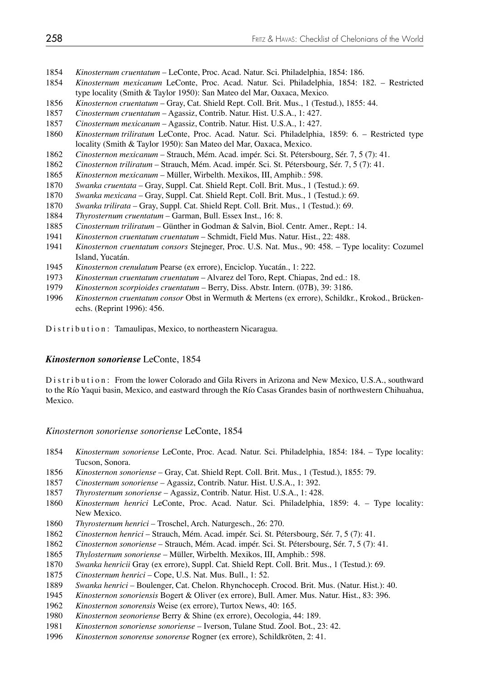- *Kinosternum cruentatum* LeConte, Proc. Acad. Natur. Sci. Philadelphia, 1854: 186.
- *Kinosternum mexicanum* LeConte, Proc. Acad. Natur. Sci. Philadelphia, 1854: 182. Restricted type locality (Smith & Taylor 1950): San Mateo del Mar, Oaxaca, Mexico.
- *Kinosternon cruentatum* Gray, Cat. Shield Rept. Coll. Brit. Mus., 1 (Testud.), 1855: 44.
- *Cinosternum cruentatum* Agassiz, Contrib. Natur. Hist. U.S.A., 1: 427.
- *Cinosternum mexicanum* Agassiz, Contrib. Natur. Hist. U.S.A., 1: 427.
- *Kinosternum triliratum* LeConte, Proc. Acad. Natur. Sci. Philadelphia, 1859: 6. Restricted type locality (Smith & Taylor 1950): San Mateo del Mar, Oaxaca, Mexico.
- *Cinosternon mexicanum* Strauch, Mém. Acad. impér. Sci. St. Pétersbourg, Sér. 7, 5 (7): 41.
- *Cinosternon triliratum* Strauch, Mém. Acad. impér. Sci. St. Pétersbourg, Sér. 7, 5 (7): 41.
- *Kinosternon mexicanum* Müller, Wirbelth. Mexikos, III, Amphib.: 598.
- *Swanka cruentata*  Gray, Suppl. Cat. Shield Rept. Coll. Brit. Mus., 1 (Testud.): 69.
- *Swanka mexicana*  Gray, Suppl. Cat. Shield Rept. Coll. Brit. Mus., 1 (Testud.): 69.
- *Swanka trilirata*  Gray, Suppl. Cat. Shield Rept. Coll. Brit. Mus., 1 (Testud.): 69.
- *Thyrosternum cruentatum* Garman, Bull. Essex Inst., 16: 8.
- *Cinosternum triliratum* Günther in Godman & Salvin, Biol. Centr. Amer., Rept.: 14.
- *Kinosternon cruentatum cruentatum*  Schmidt, Field Mus. Natur. Hist., 22: 488.
- *Kinosternon cruentatum consors* Stejneger, Proc. U.S. Nat. Mus., 90: 458. Type locality: Cozumel Island, Yucatán.
- *Kinosternon crenulatum* Pearse (ex errore), Enciclop. Yucatán., 1: 222.
- *Kinosternun cruentatum cruentatum*  Alvarez del Toro, Rept. Chiapas, 2nd ed.: 18.
- *Kinosternon scorpioides cruentatum*  Berry, Diss. Abstr. Intern. (07B), 39: 3186.
- *Kinosternon cruentatum consor* Obst in Wermuth & Mertens (ex errore), Schildkr., Krokod., Brücken echs. (Reprint 1996): 456.
- Distribution: Tamaulipas, Mexico, to northeastern Nicaragua.

### *Kinosternon sonoriense* LeConte, 1854

Distribution: From the lower Colorado and Gila Rivers in Arizona and New Mexico, U.S.A., southward to the Río Yaqui basin, Mexico, and eastward through the Río Casas Grandes basin of northwestern Chihuahua, Mexico.

### *Kinosternon sonoriense sonoriense* LeConte, 1854

- *Kinosternum sonoriense* LeConte, Proc. Acad. Natur. Sci. Philadelphia, 1854: 184. Type locality: Tucson, Sonora.
- *Kinosternon sonoriense* Gray, Cat. Shield Rept. Coll. Brit. Mus., 1 (Testud.), 1855: 79.
- *Cinosternum sonoriense* Agassiz, Contrib. Natur. Hist. U.S.A., 1: 392.
- *Thyrosternum sonoriense* Agassiz, Contrib. Natur. Hist. U.S.A., 1: 428.
- *Kinosternum henrici* LeConte, Proc. Acad. Natur. Sci. Philadelphia, 1859: 4. Type locality: New Mexico.
- *Thyrosternum henrici* Troschel, Arch. Naturgesch., 26: 270.
- *Cinosternon henrici* Strauch, Mém. Acad. impér. Sci. St. Pétersbourg, Sér. 7, 5 (7): 41.
- *Cinosternon sonoriense* Strauch, Mém. Acad. impér. Sci. St. Pétersbourg, Sér. 7, 5 (7): 41.
- *Thylosternum sonoriense* Müller, Wirbelth. Mexikos, III, Amphib.: 598.
- *Swanka henricii* Gray (ex errore), Suppl. Cat. Shield Rept. Coll. Brit. Mus., 1 (Testud.): 69.
- *Cinosternum henrici* Cope, U.S. Nat. Mus. Bull., 1: 52.
- *Swanka henrici* Boulenger, Cat. Chelon. Rhynchoceph. Crocod. Brit. Mus. (Natur. Hist.): 40.
- *Kinosternon sonoriensis* Bogert & Oliver (ex errore), Bull. Amer. Mus. Natur. Hist., 83: 396.
- *Kinosternon sonorensis* Weise (ex errore), Turtox News, 40: 165.
- *Kinosternon seonoriense* Berry & Shine (ex errore), Oecologia, 44: 189.
- *Kinosternon sonoriense sonoriense* Iverson, Tulane Stud. Zool. Bot., 23: 42.
- *Kinosternon sonorense sonorense* Rogner (ex errore), Schildkröten, 2: 41.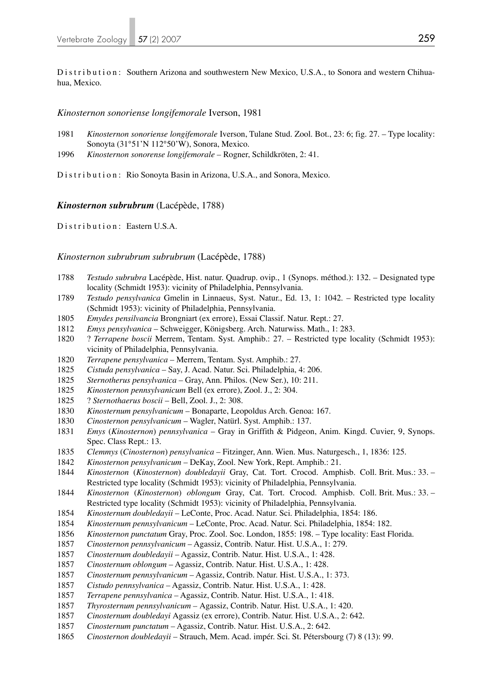Distribution: Southern Arizona and southwestern New Mexico, U.S.A., to Sonora and western Chihuahua, Mexico.

### *Kinosternon sonoriense longifemorale* Iverson, 1981

- *Kinosternon sonoriense longifemorale* Iverson, Tulane Stud. Zool. Bot., 23: 6; fig. 27. Type locality: Sonoyta (31°51'N 112°50'W), Sonora, Mexico.
- *Kinosternon sonorense longifemorale* Rogner, Schildkröten, 2: 41.

Distribution: Rio Sonoyta Basin in Arizona, U.S.A., and Sonora, Mexico.

### *Kinosternon subrubrum* (Lacépède, 1788)

Distribution: Eastern U.S.A.

### *Kinosternon subrubrum subrubrum* (Lacépède, 1788)

- *Testudo subrubra* Lacépède, Hist. natur. Quadrup. ovip., 1 (Synops. méthod.): 132. Designated type locality (Schmidt 1953): vicinity of Philadelphia, Pennsylvania.
- *Testudo pensylvanica* Gmelin in Linnaeus, Syst. Natur., Ed. 13, 1: 1042. Restricted type locality (Schmidt 1953): vicinity of Philadelphia, Pennsylvania.
- *Emydes pensilvancia* Brongniart (ex errore), Essai Classif. Natur. Rept.: 27.
- *Emys pensylvanica* Schweigger, Königsberg. Arch. Naturwiss. Math., 1: 283.
- 1820 ? *Terrapene boscii* Merrem, Tentam. Syst. Amphib.: 27. Restricted type locality (Schmidt 1953): vicinity of Philadelphia, Pennsylvania.
- *Terrapene pensylvanica* Merrem, Tentam. Syst. Amphib.: 27.
- *Cistuda pensylvanica* Say, J. Acad. Natur. Sci. Philadelphia, 4: 206.
- *Sternotherus pensylvanica* Gray, Ann. Philos. (New Ser.), 10: 211.
- *Kinosternon pennsylvanicum* Bell (ex errore), Zool. J., 2: 304.
- 1825 ? *Sternothaerus boscii* Bell, Zool. J., 2: 308.
- *Kinosternum pensylvanicum* Bonaparte, Leopoldus Arch. Genoa: 167.
- *Cinosternon pensylvanicum* Wagler, Natürl. Syst. Amphib.: 137.
- *Emys* (*Kinosternon*) *pennsylvanica* Gray in Griffith & Pidgeon, Anim. Kingd. Cuvier, 9, Synops. Spec. Class Rept.: 13.
- *Clemmys* (*Cinosternon*) *pensylvanica* Fitzinger, Ann. Wien. Mus. Naturgesch., 1, 1836: 125.
- *Kinosternon pensylvanicum* DeKay, Zool. New York, Rept. Amphib.: 21.
- *Kinosternon* (*Kinosternon*) *doubledayii* Gray, Cat. Tort. Crocod. Amphisb. Coll. Brit. Mus.: 33. Restricted type locality (Schmidt 1953): vicinity of Philadelphia, Pennsylvania.
- *Kinosternon* (*Kinosternon*) *oblongum* Gray, Cat. Tort. Crocod. Amphisb. Coll. Brit. Mus.: 33. Restricted type locality (Schmidt 1953): vicinity of Philadelphia, Pennsylvania.
- *Kinosternum doubledayii* LeConte, Proc. Acad. Natur. Sci. Philadelphia, 1854: 186.
- *Kinosternum pennsylvanicum* LeConte, Proc. Acad. Natur. Sci. Philadelphia, 1854: 182.
- *Kinosternon punctatum* Gray, Proc. Zool. Soc. London, 1855: 198. Type locality: East Florida.
- *Cinosternon pennsylvanicum* Agassiz, Contrib. Natur. Hist. U.S.A., 1: 279.
- *Cinosternum doubledayii* Agassiz, Contrib. Natur. Hist. U.S.A., 1: 428.
- *Cinosternum oblongum*  Agassiz, Contrib. Natur. Hist. U.S.A., 1: 428.
- *Cinosternum pennsylvanicum* Agassiz, Contrib. Natur. Hist. U.S.A., 1: 373.
- *Cistudo pennsylvanica* Agassiz, Contrib. Natur. Hist. U.S.A., 1: 428.
- *Terrapene pennsylvanica* Agassiz, Contrib. Natur. Hist. U.S.A., 1: 418.
- *Thyrosternum pennsylvanicum* Agassiz, Contrib. Natur. Hist. U.S.A., 1: 420.
- *Cinosternum doubledayi* Agassiz (ex errore), Contrib. Natur. Hist. U.S.A., 2: 642.
- *Cinosternum punctatum* Agassiz, Contrib. Natur. Hist. U.S.A., 2: 642.
- *Cinosternon doubledayii* Strauch, Mem. Acad. impér. Sci. St. Pétersbourg (7) 8 (13): 99.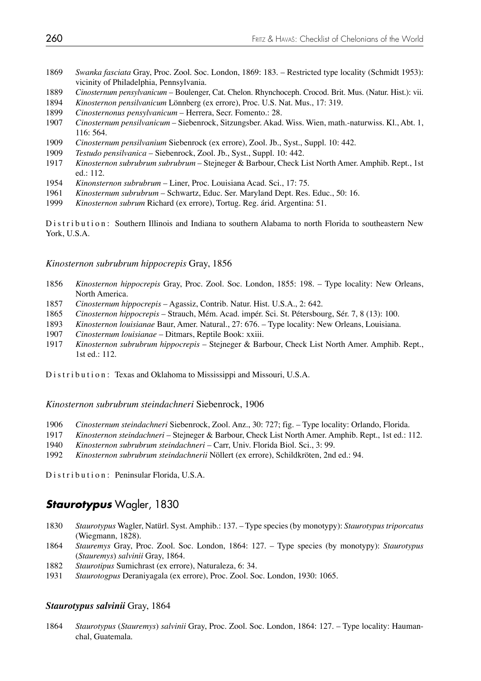- *Swanka fasciata* Gray, Proc. Zool. Soc. London, 1869: 183. Restricted type locality (Schmidt 1953): vicinity of Philadelphia, Pennsylvania.
- *Cinosternum pensylvanicum* Boulenger, Cat. Chelon. Rhynchoceph. Crocod. Brit. Mus. (Natur. Hist.): vii.
- *Kinosternon pensilvanicum* Lönnberg (ex errore), Proc. U.S. Nat. Mus., 17: 319.
- *Cinosternonus pensylvanicum* Herrera, Secr. Fomento.: 28.
- *Cinosternum pensilvanicum* Siebenrock, Sitzungsber. Akad. Wiss. Wien, math.-naturwiss. Kl., Abt. 1, 116: 564.
- *Cinosternum pensilvanium* Siebenrock (ex errore), Zool. Jb., Syst., Suppl. 10: 442.
- *Testudo pensilvanica* Siebenrock, Zool. Jb., Syst., Suppl. 10: 442.
- *Kinosternon subrubrum subrubrum* Stejneger & Barbour, Check List North Amer. Amphib. Rept., 1st ed.: 112.
- *Kinonsternon subrubrum* Liner, Proc. Louisiana Acad. Sci., 17: 75.
- *Kinosternum subrubrum* Schwartz, Educ. Ser. Maryland Dept. Res. Educ., 50: 16.
- *Kinosternon subrum* Richard (ex errore), Tortug. Reg. árid. Argentina: 51.

Distribution: Southern Illinois and Indiana to southern Alabama to north Florida to southeastern New York, U.S.A.

### *Kinosternon subrubrum hippocrepis* Gray, 1856

- *Kinosternon hippocrepis* Gray, Proc. Zool. Soc. London, 1855: 198. Type locality: New Orleans, North America.
- *Cinosternum hippocrepis*  Agassiz, Contrib. Natur. Hist. U.S.A., 2: 642.
- *Cinosternon hippocrepis* Strauch, Mém. Acad. impér. Sci. St. Pétersbourg, Sér. 7, 8 (13): 100.
- *Kinosternon louisianae* Baur, Amer. Natural., 27: 676. Type locality: New Orleans, Louisiana.
- *Cinosternum louisianae* Ditmars, Reptile Book: xxiii.
- *Kinosternon subrubrum hippocrepis* Stejneger & Barbour, Check List North Amer. Amphib. Rept., 1st ed.: 112.

Distribution: Texas and Oklahoma to Mississippi and Missouri, U.S.A.

### *Kinosternon subrubrum steindachneri* Siebenrock, 1906

- *Cinosternum steindachneri* Siebenrock, Zool. Anz., 30: 727; fig. Type locality: Orlando, Florida.
- *Kinosternon steindachneri* Stejneger & Barbour, Check List North Amer. Amphib. Rept., 1st ed.: 112.
- *Kinosternon subrubrum steindachneri* Carr, Univ. Florida Biol. Sci., 3: 99.
- *Kinosternon subrubrum steindachnerii* Nöllert (ex errore), Schildkröten, 2nd ed.: 94.

Distribution: Peninsular Florida, U.S.A.

### *Staurotypus* Wagler, 1830

- *Staurotypus* Wagler, Natürl. Syst. Amphib.: 137. Type species (by monotypy): *Staurotypus triporcatus* (Wiegmann, 1828).
- *Stauremys* Gray, Proc. Zool. Soc. London, 1864: 127. Type species (by monotypy): *Staurotypus*  (*Stauremys*) *salvinii* Gray, 1864.
- *Staurotipus* Sumichrast (ex errore), Naturaleza, 6: 34.
- *Staurotogpus* Deraniyagala (ex errore), Proc. Zool. Soc. London, 1930: 1065.

### *Staurotypus salvinii* Gray, 1864

*Staurotypus* (*Stauremys*) *salvinii* Gray, Proc. Zool. Soc. London, 1864: 127. – Type locality: Hauman chal, Guatemala.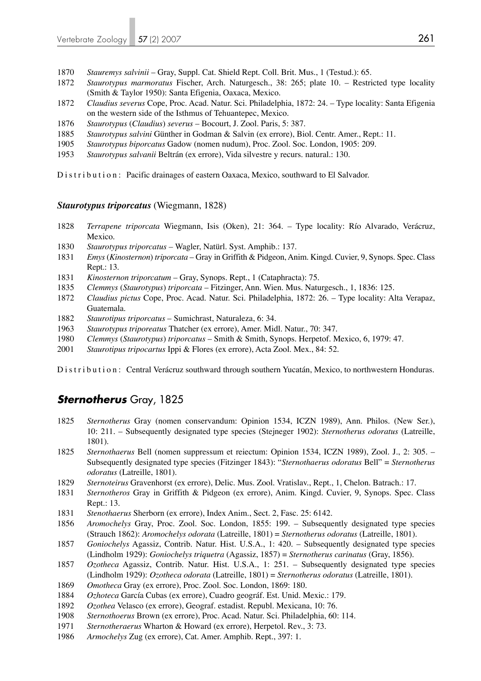- *Stauremys salvinii* Gray, Suppl. Cat. Shield Rept. Coll. Brit. Mus., 1 (Testud.): 65.
- *Staurotypus marmoratus* Fischer, Arch. Naturgesch., 38: 265; plate 10. Restricted type locality (Smith & Taylor 1950): Santa Efigenia, Oaxaca, Mexico.
- *Claudius severus* Cope, Proc. Acad. Natur. Sci. Philadelphia, 1872: 24. Type locality: Santa Efigenia on the western side of the Isthmus of Tehuantepec, Mexico.
- *Staurotypus* (*Claudius*) *severus* Bocourt, J. Zool. Paris, 5: 387.
- *Staurotypus salvini* Günther in Godman & Salvin (ex errore), Biol. Centr. Amer., Rept.: 11.
- *Staurotypus biporcatus* Gadow (nomen nudum), Proc. Zool. Soc. London, 1905: 209.
- *Staurotypus salvanii* Beltrán (ex errore), Vida silvestre y recurs. natural.: 130.

Distribution: Pacific drainages of eastern Oaxaca, Mexico, southward to El Salvador.

### *Staurotypus triporcatus* (Wiegmann, 1828)

- *Terrapene triporcata* Wiegmann, Isis (Oken), 21: 364. Type locality: Río Alvarado, Verácruz, Mexico.
- *Staurotypus triporcatus* Wagler, Natürl. Syst. Amphib.: 137.
- *Emys* (*Kinosternon*) *triporcata*  Gray in Griffith & Pidgeon, Anim. Kingd. Cuvier, 9, Synops. Spec. Class Rept.: 13.
- *Kinosternon triporcatum*  Gray, Synops. Rept., 1 (Cataphracta): 75.
- *Clemmys* (*Staurotypus*) *triporcata* Fitzinger, Ann. Wien. Mus. Naturgesch., 1, 1836: 125.
- *Claudius pictus* Cope, Proc. Acad. Natur. Sci. Philadelphia, 1872: 26. Type locality: Alta Verapaz, Guatemala.
- *Staurotipus triporcatus*  Sumichrast, Naturaleza, 6: 34.
- *Staurotypus triporeatus* Thatcher (ex errore), Amer. Midl. Natur., 70: 347.
- *Clemmys* (*Staurotypus*) *triporcatus*  Smith & Smith, Synops. Herpetof. Mexico, 6, 1979: 47.
- *Staurotipus tripocartus* Ippi & Flores (ex errore), Acta Zool. Mex., 84: 52.

Distribution: Central Verácruz southward through southern Yucatán, Mexico, to northwestern Honduras.

# *Sternotherus* Gray, 1825

- *Sternotherus* Gray (nomen conservandum: Opinion 1534, ICZN 1989), Ann. Philos. (New Ser.), 10: 211. – Subsequently designated type species (Stejneger 1902): *Sternotherus odoratus* (Latreille, 1801).
- *Sternothaerus* Bell (nomen suppressum et reiectum: Opinion 1534, ICZN 1989), Zool. J., 2: 305. Subsequently designated type species (Fitzinger 1843): "*Sternothaerus odoratus* Bell" = *Sternotherus odoratus* (Latreille, 1801).
- *Sternoteirus* Gravenhorst (ex errore), Delic. Mus. Zool. Vratislav., Rept., 1, Chelon. Batrach.: 17.
- *Sternotheros* Gray in Griffith & Pidgeon (ex errore), Anim. Kingd. Cuvier, 9, Synops. Spec. Class Rept.: 13.
- *Stenothaerus* Sherborn (ex errore), Index Anim., Sect. 2, Fasc. 25: 6142.
- *Aromochelys* Gray, Proc. Zool. Soc. London, 1855: 199. Subsequently designated type species (Strauch 1862): *Aromochelys odorata* (Latreille, 1801) = *Sternotherus odoratus* (Latreille, 1801).
- *Goniochelys* Agassiz, Contrib. Natur. Hist. U.S.A., 1: 420. Subsequently designated type species (Lindholm 1929): *Goniochelys triquetra* (Agassiz, 1857) = *Sternotherus carinatus* (Gray, 1856).
- *Ozotheca* Agassiz, Contrib. Natur. Hist. U.S.A., 1: 251. Subsequently designated type species (Lindholm 1929): *Ozotheca odorata* (Latreille, 1801) = *Sternotherus odoratus* (Latreille, 1801).
- *Omotheca* Gray (ex errore), Proc. Zool. Soc. London, 1869: 180.
- *Ozhoteca* García Cubas (ex errore), Cuadro geográf. Est. Unid. Mexic.: 179.
- *Ozothea* Velasco (ex errore), Geograf. estadist. Republ. Mexicana, 10: 76.
- *Sternothoerus* Brown (ex errore), Proc. Acad. Natur. Sci. Philadelphia, 60: 114.
- *Sternotheraerus* Wharton & Howard (ex errore), Herpetol. Rev., 3: 73.
- *Armochelys* Zug (ex errore), Cat. Amer. Amphib. Rept., 397: 1.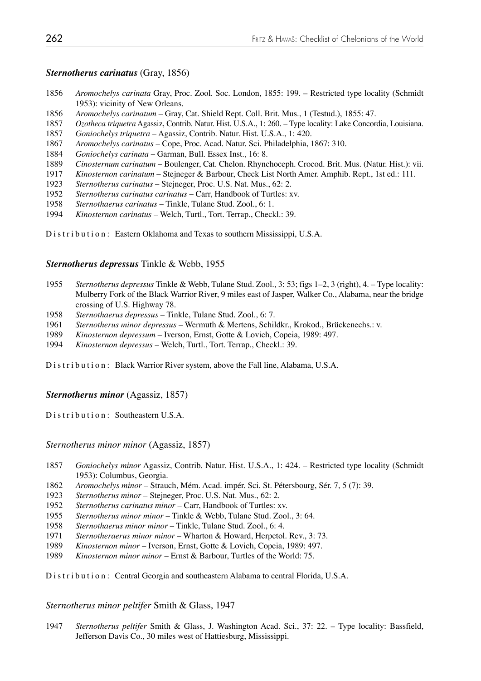### *Sternotherus carinatus* (Gray, 1856)

- *Aromochelys carinata* Gray, Proc. Zool. Soc. London, 1855: 199. Restricted type locality (Schmidt 1953): vicinity of New Orleans.
- *Aromochelys carinatum* Gray, Cat. Shield Rept. Coll. Brit. Mus., 1 (Testud.), 1855: 47.
- *Ozotheca triquetra* Agassiz, Contrib. Natur. Hist. U.S.A., 1: 260. Type locality: Lake Concordia, Louisiana.
- *Goniochelys triquetra* Agassiz, Contrib. Natur. Hist. U.S.A., 1: 420.
- *Aromochelys carinatus*  Cope, Proc. Acad. Natur. Sci. Philadelphia, 1867: 310.
- *Goniochelys carinata*  Garman, Bull. Essex Inst., 16: 8.
- *Cinosternum carinatum* Boulenger, Cat. Chelon. Rhynchoceph. Crocod. Brit. Mus. (Natur. Hist.): vii.
- *Kinosternon carinatum* Stejneger & Barbour, Check List North Amer. Amphib. Rept., 1st ed.: 111.
- *Sternotherus carinatus*  Stejneger, Proc. U.S. Nat. Mus., 62: 2.
- *Sternotherus carinatus carinatus*  Carr, Handbook of Turtles: xv.
- *Sternothaerus carinatus*  Tinkle, Tulane Stud. Zool., 6: 1.
- *Kinosternon carinatus* Welch, Turtl., Tort. Terrap., Checkl.: 39.

Distribution: Eastern Oklahoma and Texas to southern Mississippi, U.S.A.

### *Sternotherus depressus* Tinkle & Webb, 1955

- *Sternotherus depressus* Tinkle & Webb, Tulane Stud. Zool., 3: 53; figs 1–2, 3 (right), 4. Type locality: Mulberry Fork of the Black Warrior River, 9 miles east of Jasper, Walker Co., Alabama, near the bridge crossing of U.S. Highway 78.
- *Sternothaerus depressus*  Tinkle, Tulane Stud. Zool., 6: 7.
- *Sternotherus minor depressus*  Wermuth & Mertens, Schildkr., Krokod., Brückenechs.: v.
- *Kinosternon depressum* Iverson, Ernst, Gotte & Lovich, Copeia, 1989: 497.
- *Kinosternon depressus* Welch, Turtl., Tort. Terrap., Checkl.: 39.

Distribution: Black Warrior River system, above the Fall line, Alabama, U.S.A.

### *Sternotherus minor* (Agassiz, 1857)

Distribution: Southeastern U.S.A.

*Sternotherus minor minor* (Agassiz, 1857)

- *Goniochelys minor* Agassiz, Contrib. Natur. Hist. U.S.A., 1: 424. Restricted type locality (Schmidt 1953): Columbus, Georgia.
- *Aromochelys minor* Strauch, Mém. Acad. impér. Sci. St. Pétersbourg, Sér. 7, 5 (7): 39.
- *Sternotherus minor*  Stejneger, Proc. U.S. Nat. Mus., 62: 2.
- *Sternotherus carinatus minor*  Carr, Handbook of Turtles: xv.
- *Sternotherus minor minor*  Tinkle & Webb, Tulane Stud. Zool., 3: 64.
- *Sternothaerus minor minor*  Tinkle, Tulane Stud. Zool., 6: 4.
- *Sternotheraerus minor minor*  Wharton & Howard, Herpetol. Rev., 3: 73.
- *Kinosternon minor*  Iverson, Ernst, Gotte & Lovich, Copeia, 1989: 497.
- *Kinosternon minor minor* Ernst & Barbour, Turtles of the World: 75.

Distribution: Central Georgia and southeastern Alabama to central Florida, U.S.A.

*Sternotherus minor peltifer* Smith & Glass, 1947

*Sternotherus peltifer* Smith & Glass, J. Washington Acad. Sci., 37: 22. – Type locality: Bassfield, Jefferson Davis Co., 30 miles west of Hattiesburg, Mississippi.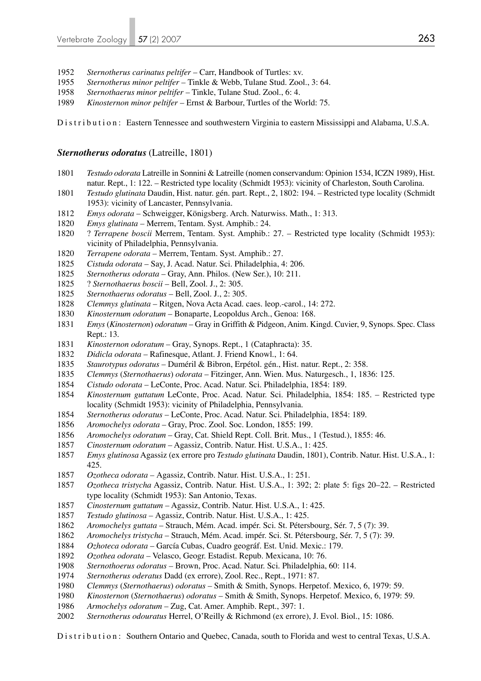- *Sternotherus carinatus peltifer*  Carr, Handbook of Turtles: xv.
- *Sternotherus minor peltifer* Tinkle & Webb, Tulane Stud. Zool., 3: 64.
- *Sternothaerus minor peltifer*  Tinkle, Tulane Stud. Zool., 6: 4.
- *Kinosternon minor peltifer*  Ernst & Barbour, Turtles of the World: 75.

Distribution: Eastern Tennessee and southwestern Virginia to eastern Mississippi and Alabama, U.S.A.

### *Sternotherus odoratus* (Latreille, 1801)

- *Testudo odorata* Latreille in Sonnini & Latreille (nomen conservandum: Opinion 1534, ICZN 1989), Hist. natur. Rept., 1: 122. – Restricted type locality (Schmidt 1953): vicinity of Charleston, South Carolina.
- *Testudo glutinata* Daudin, Hist. natur. gén. part. Rept., 2, 1802: 194. Restricted type locality (Schmidt 1953): vicinity of Lancaster, Pennsylvania.
- *Emys odorata*  Schweigger, Königsberg. Arch. Naturwiss. Math., 1: 313.
- *Emys glutinata* Merrem, Tentam. Syst. Amphib.: 24.
- 1820 ? *Terrapene boscii* Merrem, Tentam. Syst. Amphib.: 27. Restricted type locality (Schmidt 1953): vicinity of Philadelphia, Pennsylvania.
- *Terrapene odorata* Merrem, Tentam. Syst. Amphib.: 27.
- *Cistuda odorata*  Say, J. Acad. Natur. Sci. Philadelphia, 4: 206.
- *Sternotherus odorata*  Gray, Ann. Philos. (New Ser.), 10: 211.
- 1825 ? *Sternothaerus boscii*  Bell, Zool. J., 2: 305.
- *Sternothaerus odoratus*  Bell, Zool. J., 2: 305.
- *Clemmys glutinata*  Ritgen, Nova Acta Acad. caes. leop.-carol., 14: 272.
- *Kinosternum odoratum* Bonaparte, Leopoldus Arch., Genoa: 168.
- *Emys* (*Kinosternon*) *odoratum* Gray in Griffith & Pidgeon, Anim. Kingd. Cuvier, 9, Synops. Spec. Class Rept.: 13.
- *Kinosternon odoratum* Gray, Synops. Rept., 1 (Cataphracta): 35.
- *Didicla odorata*  Rafinesque, Atlant. J. Friend Knowl., 1: 64.
- *Staurotypus odoratus*  Duméril & Bibron, Erpétol. gén., Hist. natur. Rept., 2: 358.
- *Clemmys* (*Sternothaerus*) *odorata*  Fitzinger, Ann. Wien. Mus. Naturgesch., 1, 1836: 125.
- *Cistudo odorata* LeConte, Proc. Acad. Natur. Sci. Philadelphia, 1854: 189.
- *Kinosternum guttatum* LeConte, Proc. Acad. Natur. Sci. Philadelphia, 1854: 185. Restricted type locality (Schmidt 1953): vicinity of Philadelphia, Pennsylvania.
- *Sternotherus odoratus* LeConte, Proc. Acad. Natur. Sci. Philadelphia, 1854: 189.
- *Aromochelys odorata* Gray, Proc. Zool. Soc. London, 1855: 199.
- *Aromochelys odoratum*  Gray, Cat. Shield Rept. Coll. Brit. Mus., 1 (Testud.), 1855: 46.
- *Cinosternum odoratum*  Agassiz, Contrib. Natur. Hist. U.S.A., 1: 425.
- *Emys glutinosa* Agassiz (ex errore pro *Testudo glutinata* Daudin, 1801), Contrib. Natur. Hist. U.S.A., 1: 425.
- *Ozotheca odorata* Agassiz, Contrib. Natur. Hist. U.S.A., 1: 251.
- *Ozotheca tristycha* Agassiz, Contrib. Natur. Hist. U.S.A., 1: 392; 2: plate 5: figs 20–22. Restricted type locality (Schmidt 1953): San Antonio, Texas.
- *Cinosternum guttatum* Agassiz, Contrib. Natur. Hist. U.S.A., 1: 425.
- *Testudo glutinosa* Agassiz, Contrib. Natur. Hist. U.S.A., 1: 425.
- *Aromochelys guttata* Strauch, Mém. Acad. impér. Sci. St. Pétersbourg, Sér. 7, 5 (7): 39.
- *Aromochelys tristycha* Strauch, Mém. Acad. impér. Sci. St. Pétersbourg, Sér. 7, 5 (7): 39.
- *Ozhoteca odorata* García Cubas, Cuadro geográf. Est. Unid. Mexic.: 179.
- *Ozothea odorata* Velasco, Geogr. Estadist. Repub. Mexicana, 10: 76.
- *Sternothoerus odoratus* Brown, Proc. Acad. Natur. Sci. Philadelphia, 60: 114.
- *Sternotherus oderatus* Dadd (ex errore), Zool. Rec., Rept., 1971: 87.
- *Clemmys* (*Sternothaerus*) *odoratus*  Smith & Smith, Synops. Herpetof. Mexico, 6, 1979: 59.
- *Kinosternon* (*Sternothaerus*) *odoratus*  Smith & Smith, Synops. Herpetof. Mexico, 6, 1979: 59.
- *Armochelys odoratum* Zug, Cat. Amer. Amphib. Rept., 397: 1.
- *Sternotherus odouratus* Herrel, O'Reilly & Richmond (ex errore), J. Evol. Biol., 15: 1086.

Distribution: Southern Ontario and Quebec, Canada, south to Florida and west to central Texas, U.S.A.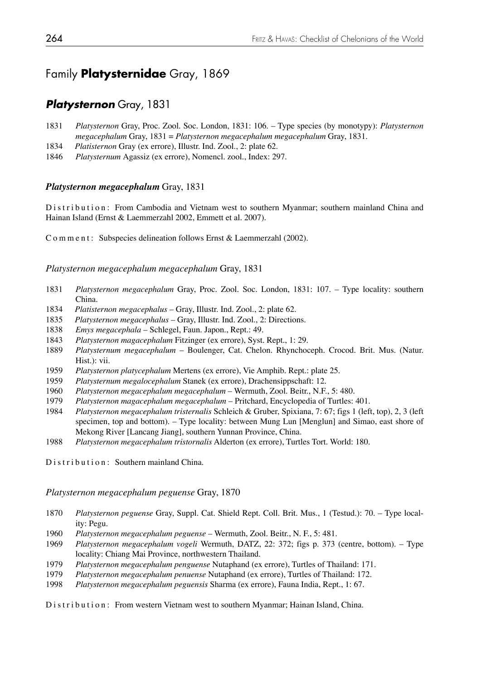# Family **Platysternidae** Gray, 1869

# *Platysternon* Gray, 1831

- 1831 *Platysternon* Gray, Proc. Zool. Soc. London, 1831: 106. Type species (by monotypy): *Platysternon megacephalum* Gray, 1831 = *Platysternon megacephalum megacephalum* Gray, 1831.
- 1834 *Platisternon* Gray (ex errore), Illustr. Ind. Zool., 2: plate 62.
- 1846 *Platysternum* Agassiz (ex errore), Nomencl. zool., Index: 297.

### *Platysternon megacephalum* Gray, 1831

Distribution: From Cambodia and Vietnam west to southern Myanmar; southern mainland China and Hainan Island (Ernst & Laemmerzahl 2002, Emmett et al. 2007).

Comment: Subspecies delineation follows Ernst & Laemmerzahl (2002).

### *Platysternon megacephalum megacephalum* Gray, 1831

- 1831 *Platysternon megacephalum* Gray, Proc. Zool. Soc. London, 1831: 107. Type locality: southern China.
- 1834 *Platisternon megacephalus* Gray, Illustr. Ind. Zool., 2: plate 62.
- 1835 *Platysternon megacephalus* Gray, Illustr. Ind. Zool., 2: Directions.
- 1838 *Emys megacephala*  Schlegel, Faun. Japon., Rept.: 49.
- 1843 *Platysternon magacephalum* Fitzinger (ex errore), Syst. Rept., 1: 29.
- 1889 *Platysternum megacephalum*  Boulenger, Cat. Chelon. Rhynchoceph. Crocod. Brit. Mus. (Natur. Hist.): vii.
- 1959 *Platysternon platycephalum* Mertens (ex errore), Vie Amphib. Rept.: plate 25.
- 1959 *Platysternum megalocephalum* Stanek (ex errore), Drachensippschaft: 12.
- 1960 *Platysternon megacephalum megacephalum*  Wermuth, Zool. Beitr., N.F., 5: 480.
- 1979 *Platysternon magacephalum megacephalum*  Pritchard, Encyclopedia of Turtles: 401.
- 1984 *Platysternon megacephalum tristernalis* Schleich & Gruber, Spixiana, 7: 67; figs 1 (left, top), 2, 3 (left specimen, top and bottom). – Type locality: between Mung Lun [Menglun] and Simao, east shore of Mekong River [Lancang Jiang], southern Yunnan Province, China.<br>1988 – *Platysternon megacephalum tristornalis* Alderton (ex errore) Turtl
- 1988 *Platysternon megacephalum tristornalis* Alderton (ex errore), Turtles Tort. World: 180.

Distribution: Southern mainland China.

### *Platysternon megacephalum peguense* Gray, 1870

- 1870 *Platysternon peguense* Gray, Suppl. Cat. Shield Rept. Coll. Brit. Mus., 1 (Testud.): 70. Type local ity: Pegu.
- 1960 *Platysternon megacephalum peguense*  Wermuth, Zool. Beitr., N. F., 5: 481.
- 1969 *Platysternon megacephalum vogeli* Wermuth, DATZ, 22: 372; figs p. 373 (centre, bottom). Type locality: Chiang Mai Province, northwestern Thailand.
- 1979 *Platysternon megacephalum penguense* Nutaphand (ex errore), Turtles of Thailand: 171.
- 1979 *Platysternon megacephalum penuense* Nutaphand (ex errore), Turtles of Thailand: 172.
- 1998 *Platysternon megacephalum peguensis* Sharma (ex errore), Fauna India, Rept., 1: 67.

Distribution: From western Vietnam west to southern Myanmar; Hainan Island, China.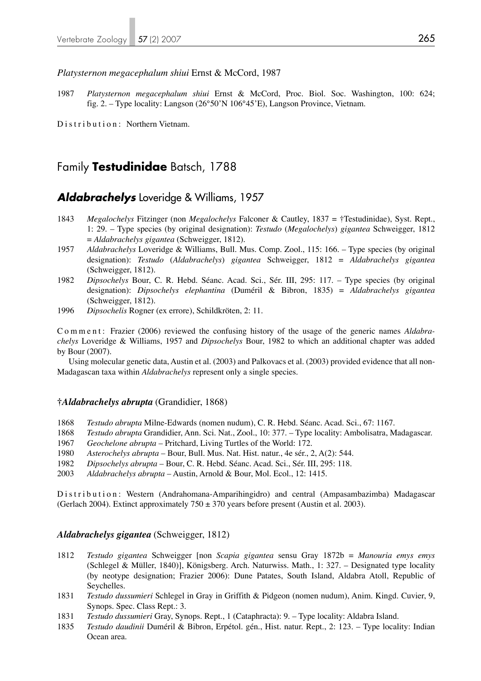### *Platysternon megacephalum shiui* Ernst & McCord, 1987

1987 *Platysternon megacephalum shiui* Ernst & McCord, Proc. Biol. Soc. Washington, 100: 624; fig. 2. – Type locality: Langson (26°50'N 106°45'E), Langson Province, Vietnam.

Distribution: Northern Vietnam.

# Family **Testudinidae** Batsch, 1788

### *Aldabrachelys* Loveridge & Williams, 1957

- 1843 *Megalochelys* Fitzinger (non *Megalochelys* Falconer & Cautley, 1837 = †Testudinidae), Syst. Rept., 1: 29. – Type species (by original designation): *Testudo* (*Megalochelys*) *gigantea* Schweigger, 1812 = *Aldabrachelys gigantea* (Schweigger, 1812).
- 1957 *Aldabrachelys* Loveridge & Williams, Bull. Mus. Comp. Zool., 115: 166. Type species (by original designation): *Testudo* (*Aldabrachelys*) *gigantea* Schweigger, 1812 = *Aldabrachelys gigantea*  (Schweigger, 1812).
- 1982 *Dipsochelys* Bour, C. R. Hebd. Séanc. Acad. Sci., Sér. III, 295: 117. Type species (by original designation): *Dipsochelys elephantina* (Duméril & Bibron, 1835) = *Aldabrachelys gigantea* (Schweigger, 1812).
- 1996 *Dipsochelis* Rogner (ex errore), Schildkröten, 2: 11.

Comment: Frazier (2006) reviewed the confusing history of the usage of the generic names *Aldabrachelys* Loveridge & Williams, 1957 and *Dipsochelys* Bour, 1982 to which an additional chapter was added by Bour (2007).

 Using molecular genetic data, Austin et al. (2003) and Palkovacs et al. (2003) provided evidence that all non-Madagascan taxa within *Aldabrachelys* represent only a single species.

### **†***Aldabrachelys abrupta* (Grandidier, 1868)

- 1868 *Testudo abrupta* Milne-Edwards (nomen nudum), C. R. Hebd. Séanc. Acad. Sci., 67: 1167.
- 1868 *Testudo abrupta* Grandidier, Ann. Sci. Nat., Zool., 10: 377. Type locality: Ambolisatra, Madagascar.
- 1967 *Geochelone abrupta*  Pritchard, Living Turtles of the World: 172.
- 1980 *Asterochelys abrupta*  Bour, Bull. Mus. Nat. Hist. natur., 4e sér., 2, A(2): 544.
- 1982 *Dipsochelys abrupta*  Bour, C. R. Hebd. Séanc. Acad. Sci., Sér. III, 295: 118.
- 2003 *Aldabrachelys abrupta*  Austin, Arnold & Bour, Mol. Ecol., 12: 1415.

Distribution: Western (Andrahomana-Amparihingidro) and central (Ampasambazimba) Madagascar (Gerlach 2004). Extinct approximately  $750 \pm 370$  years before present (Austin et al. 2003).

### *Aldabrachelys gigantea* (Schweigger, 1812)

- 1812 *Testudo gigantea* Schweigger [non *Scapia gigantea* sensu Gray 1872b = *Manouria emys emys* (Schlegel & Müller, 1840)], Königsberg. Arch. Naturwiss. Math., 1: 327. – Designated type locality (by neotype designation; Frazier 2006): Dune Patates, South Island, Aldabra Atoll, Republic of Seychelles.
- 1831 *Testudo dussumieri* Schlegel in Gray in Griffith & Pidgeon (nomen nudum), Anim. Kingd. Cuvier, 9, Synops. Spec. Class Rept.: 3.
- 1831 *Testudo dussumieri* Gray, Synops. Rept., 1 (Cataphracta): 9. Type locality: Aldabra Island.
- 1835 *Testudo daudinii* Duméril & Bibron, Erpétol. gén., Hist. natur. Rept., 2: 123. Type locality: Indian Ocean area.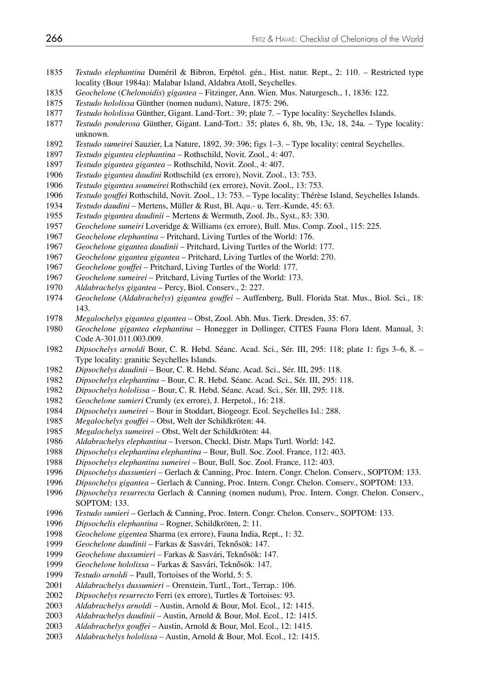- *Testudo elephantina* Duméril & Bibron, Erpétol. gén., Hist. natur. Rept., 2: 110. Restricted type locality (Bour 1984a): Malabar Island, Aldabra Atoll, Seychelles.
- *Geochelone* (*Chelonoidis*) *gigantea*  Fitzinger, Ann. Wien. Mus. Naturgesch., 1, 1836: 122.
- *Testudo hololissa* Günther (nomen nudum), Nature, 1875: 296.
- *Testudo hololissa* Günther, Gigant. Land-Tort.: 39; plate 7. Type locality: Seychelles Islands.
- *Testudo ponderosa* Günther, Gigant. Land-Tort.: 35; plates 6, 8b, 9b, 13c, 18, 24a. Type locality: unknown.
- *Testudo sumeirei* Sauzier, La Nature, 1892, 39: 396; figs 1–3. Type locality: central Seychelles.
- *Testudo gigantea elephantina*  Rothschild, Novit. Zool., 4: 407.
- *Testudo gigantea gigantea*  Rothschild, Novit. Zool., 4: 407.
- *Testudo gigantea daudini* Rothschild (ex errore), Novit. Zool., 13: 753.
- *Testudo gigantea soumeirei* Rothschild (ex errore), Novit. Zool., 13: 753.
- *Testudo gouffei* Rothschild, Novit. Zool., 13: 753. Type locality: Thérèse Island, Seychelles Islands.
- *Testudo daudini* Mertens, Müller & Rust, Bl. Aqu.- u. Terr.-Kunde, 45: 63.
- *Testudo gigantea daudinii*  Mertens & Wermuth, Zool. Jb., Syst., 83: 330.
- *Geochelone sumeiri* Loveridge & Williams (ex errore), Bull. Mus. Comp. Zool., 115: 225.
- *Geochelone elephantina*  Pritchard, Living Turtles of the World: 176.
- *Geochelone gigantea daudinii*  Pritchard, Living Turtles of the World: 177.
- *Geochelone gigantea gigantea*  Pritchard, Living Turtles of the World: 270.
- *Geochelone gouffei* Pritchard, Living Turtles of the World: 177.
- *Geochelone sumeirei*  Pritchard, Living Turtles of the World: 173.
- *Aldabrachelys gigantea*  Percy, Biol. Conserv., 2: 227.
- *Geochelone* (*Aldabrachelys*) *gigantea gouffei* Auffenberg, Bull. Florida Stat. Mus., Biol. Sci., 18: 143.
- *Megalochelys gigantea gigantea*  Obst, Zool. Abh. Mus. Tierk. Dresden, 35: 67.
- *Geochelone gigantea elephantina* Honegger in Dollinger, CITES Fauna Flora Ident. Manual, 3: Code A-301.011.003.009.
- *Dipsochelys arnoldi* Bour, C. R. Hebd. Séanc. Acad. Sci., Sér. III, 295: 118; plate 1: figs 3–6, 8. Type locality: granitic Seychelles Islands.
- *Dipsochelys daudinii*  Bour, C. R. Hebd. Séanc. Acad. Sci., Sér. III, 295: 118.
- *Dipsochelys elephantina*  Bour, C. R. Hebd. Séanc. Acad. Sci., Sér. III, 295: 118.
- *Dipsochelys hololissa*  Bour, C. R. Hebd. Séanc. Acad. Sci., Sér. III, 295: 118.
- *Geochelone sumieri* Crumly (ex errore), J. Herpetol., 16: 218.
- *Dipsochelys sumeirei*  Bour in Stoddart, Biogeogr. Ecol. Seychelles Isl.: 288.
- *Megalochelys gouffei* Obst, Welt der Schildkröten: 44.
- *Megalochelys sumeirei*  Obst, Welt der Schildkröten: 44.
- *Aldabrachelys elephantina*  Iverson, Checkl. Distr. Maps Turtl. World: 142.
- *Dipsochelys elephantina elephantina* Bour, Bull. Soc. Zool. France, 112: 403.
- *Dipsochelys elephantina sumeirei*  Bour, Bull. Soc. Zool. France, 112: 403.
- 1996 *Dipsochelys dussumieri* Gerlach & Canning, Proc. Intern. Congr. Chelon. Conserv., SOPTOM: 133.<br>1996 *Dipsochelys gigantea* Gerlach & Canning, Proc. Intern. Congr. Chelon. Conserv., SOPTOM: 133.
- *Dipsochelys gigantea*  Gerlach & Canning, Proc. Intern. Congr. Chelon. Conserv., SOPTOM: 133.
- *Dipsochelys resurrecta* Gerlach & Canning (nomen nudum), Proc. Intern. Congr. Chelon. Conserv., SOPTOM: 133.
- *Testudo sumieri* Gerlach & Canning, Proc. Intern. Congr. Chelon. Conserv., SOPTOM: 133.
- *Dipsochelis elephantina* Rogner, Schildkröten, 2: 11.
- *Geochelone gigentea* Sharma (ex errore), Fauna India, Rept., 1: 32.
- *Geochelone daudinii*  Farkas & Sasvári, Teknősök: 147.
- *Geochelone dussumieri* Farkas & Sasvári, Teknősök: 147.
- *Geochelone hololissa*  Farkas & Sasvári, Teknősök: 147.
- *Testudo arnoldi*  Paull, Tortoises of the World, 5: 5.
- *Aldabrachelys dussumieri* Orenstein, Turtl., Tort., Terrap.: 106.
- *Dipsochelys resurrecto* Ferri (ex errore), Turtles & Tortoises: 93.
- *Aldabrachelys arnoldi* Austin, Arnold & Bour, Mol. Ecol., 12: 1415.
- *Aldabrachelys daudinii*  Austin, Arnold & Bour, Mol. Ecol., 12: 1415.
- *Aldabrachelys gouffei* Austin, Arnold & Bour, Mol. Ecol., 12: 1415.
- *Aldabrachelys hololissa*  Austin, Arnold & Bour, Mol. Ecol., 12: 1415.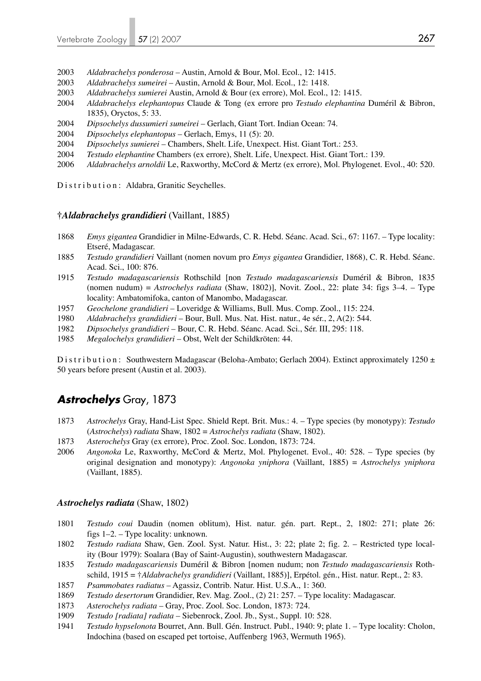- 2003 *Aldabrachelys ponderosa*  Austin, Arnold & Bour, Mol. Ecol., 12: 1415.
- 2003 *Aldabrachelys sumeirei*  Austin, Arnold & Bour, Mol. Ecol., 12: 1418.
- 2003 *Aldabrachelys sumierei* Austin, Arnold & Bour (ex errore), Mol. Ecol., 12: 1415.
- 2004 *Aldabrachelys elephantopus* Claude & Tong (ex errore pro *Testudo elephantina* Duméril & Bibron, 1835), Oryctos, 5: 33.
- 2004 *Dipsochelys dussumieri sumeirei*  Gerlach, Giant Tort. Indian Ocean: 74.
- 2004 *Dipsochelys elephantopus* Gerlach, Emys, 11 (5): 20.
- 2004 *Dipsochelys sumierei* Chambers, Shelt. Life, Unexpect. Hist. Giant Tort.: 253.
- 2004 *Testudo elephantine* Chambers (ex errore), Shelt. Life, Unexpect. Hist. Giant Tort.: 139.
- 2006 *Aldabrachelys arnoldii* Le, Raxworthy, McCord & Mertz (ex errore), Mol. Phylogenet. Evol., 40: 520.

Distribution: Aldabra, Granitic Seychelles.

### **†***Aldabrachelys grandidieri* (Vaillant, 1885)

- 1868 *Emys gigantea* Grandidier in Milne-Edwards, C. R. Hebd. Séanc. Acad. Sci., 67: 1167. Type locality: Etseré, Madagascar.
- 1885 *Testudo grandidieri* Vaillant (nomen novum pro *Emys gigantea* Grandidier, 1868), C. R. Hebd. Séanc. Acad. Sci., 100: 876.
- 1915 *Testudo madagascariensis* Rothschild [non *Testudo madagascariensis* Duméril & Bibron, 1835 (nomen nudum) = *Astrochelys radiata* (Shaw, 1802)], Novit. Zool., 22: plate 34: figs 3–4. – Type locality: Ambatomifoka, canton of Manombo, Madagascar.
- 1957 *Geochelone grandidieri*  Loveridge & Williams, Bull. Mus. Comp. Zool., 115: 224.
- 1980 *Aldabrachelys grandidieri*  Bour, Bull. Mus. Nat. Hist. natur., 4e sér., 2, A(2): 544.
- 1982 *Dipsochelys grandidieri*  Bour, C. R. Hebd. Séanc. Acad. Sci., Sér. III, 295: 118.
- 1985 *Megalochelys grandidieri*  Obst, Welt der Schildkröten: 44.

Distribution: Southwestern Madagascar (Beloha-Ambato; Gerlach 2004). Extinct approximately 1250 ± 50 years before present (Austin et al. 2003).

# *Astrochelys* Gray, 1873

- 1873 *Astrochelys* Gray, Hand-List Spec. Shield Rept. Brit. Mus.: 4. Type species (by monotypy): *Testudo*  (*Astrochelys*) *radiata* Shaw, 1802 = *Astrochelys radiata* (Shaw, 1802).
- 1873 *Asterochelys* Gray (ex errore), Proc. Zool. Soc. London, 1873: 724.
- 2006 *Angonoka* Le, Raxworthy, McCord & Mertz, Mol. Phylogenet. Evol., 40: 528. Type species (by original designation and monotypy): *Angonoka yniphora* (Vaillant, 1885) = *Astrochelys yniphora* (Vaillant, 1885).

#### *Astrochelys radiata* (Shaw, 1802)

- 1801 *Testudo coui* Daudin (nomen oblitum), Hist. natur. gén. part. Rept., 2, 1802: 271; plate 26: figs 1–2. – Type locality: unknown.
- 1802 *Testudo radiata* Shaw, Gen. Zool. Syst. Natur. Hist., 3: 22; plate 2; fig. 2. Restricted type local ity (Bour 1979): Soalara (Bay of Saint-Augustin), southwestern Madagascar.
- 1835 *Testudo madagascariensis* Duméril & Bibron [nomen nudum; non *Testudo madagascariensis* Roth schild, 1915 = †*Aldabrachelys grandidieri* (Vaillant, 1885)], Erpétol. gén., Hist. natur. Rept., 2: 83.
- 1857 *Psammobates radiatus* Agassiz, Contrib. Natur. Hist. U.S.A., 1: 360.
- 1869 *Testudo desertorum* Grandidier, Rev. Mag. Zool., (2) 21: 257. Type locality: Madagascar.
- 1873 *Asterochelys radiata* Gray, Proc. Zool. Soc. London, 1873: 724.
- 1909 *Testudo [radiata] radiata* Siebenrock, Zool. Jb., Syst., Suppl. 10: 528.
- 1941 *Testudo hypselonota* Bourret, Ann. Bull. Gén. Instruct. Publ., 1940: 9; plate 1. Type locality: Cholon, Indochina (based on escaped pet tortoise, Auffenberg 1963, Wermuth 1965).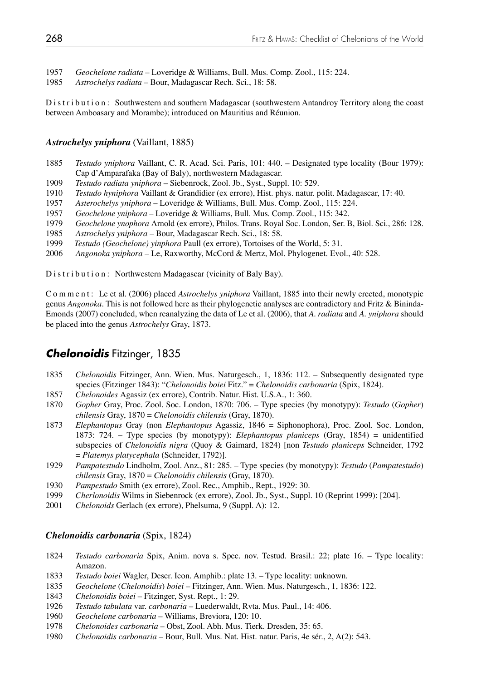- 1957 *Geochelone radiata* Loveridge & Williams, Bull. Mus. Comp. Zool., 115: 224.
- 1985 *Astrochelys radiata* Bour, Madagascar Rech. Sci., 18: 58.

Distribution: Southwestern and southern Madagascar (southwestern Antandroy Territory along the coast between Amboasary and Morambe); introduced on Mauritius and Réunion.

### *Astrochelys yniphora* (Vaillant, 1885)

- 1885 *Testudo yniphora* Vaillant, C. R. Acad. Sci. Paris, 101: 440. Designated type locality (Bour 1979): Cap d'Amparafaka (Bay of Baly), northwestern Madagascar.
- 1909 *Testudo radiata yniphora* Siebenrock, Zool. Jb., Syst., Suppl. 10: 529.
- 1910 *Testudo hyniphora* Vaillant & Grandidier (ex errore), Hist. phys. natur. polit. Madagascar, 17: 40.
- 1957 *Asterochelys yniphora*  Loveridge & Williams, Bull. Mus. Comp. Zool., 115: 224.
- 1957 *Geochelone yniphora*  Loveridge & Williams, Bull. Mus. Comp. Zool., 115: 342.
- 1979 *Geochelone ynophora* Arnold (ex errore), Philos. Trans. Royal Soc. London, Ser. B, Biol. Sci., 286: 128.
- 1985 *Astrochelys yniphora* Bour, Madagascar Rech. Sci., 18: 58.
- *Testudo (Geochelone) yinphora Paull (ex errore), Tortoises of the World, 5: 31.*
- 2006 *Angonoka yniphora* Le, Raxworthy, McCord & Mertz, Mol. Phylogenet. Evol., 40: 528.

Distribution: Northwestern Madagascar (vicinity of Baly Bay).

C o m m e n t : Le et al. (2006) placed *Astrochelys yniphora* Vaillant, 1885 into their newly erected, monotypic genus *Angonoka*. This is not followed here as their phylogenetic analyses are contradictory and Fritz & Bininda-Emonds (2007) concluded, when reanalyzing the data of Le et al. (2006), that *A. radiata* and *A. yniphora* should be placed into the genus *Astrochelys* Gray, 1873.

# *Chelonoidis* Fitzinger, 1835

- 1835 *Chelonoidis* Fitzinger, Ann. Wien. Mus. Naturgesch., 1, 1836: 112. Subsequently designated type species (Fitzinger 1843): "*Chelonoidis boiei* Fitz." = *Chelonoidis carbonaria* (Spix, 1824).
- 1857 *Chelonoides* Agassiz (ex errore), Contrib. Natur. Hist. U.S.A., 1: 360.
- 1870 *Gopher* Gray, Proc. Zool. Soc. London, 1870: 706. Type species (by monotypy): *Testudo* (*Gopher*)  *chilensis* Gray, 1870 = *Chelonoidis chilensis* (Gray, 1870).
- 1873 *Elephantopus* Gray (non *Elephantopus* Agassiz, 1846 = Siphonophora), Proc. Zool. Soc. London, 1873: 724. – Type species (by monotypy): *Elephantopus planiceps* (Gray, 1854) = unidentified subspecies of *Chelonoidis nigra* (Quoy & Gaimard, 1824) [non *Testudo planiceps* Schneider, 1792 = *Platemys platycephala* (Schneider, 1792)].
- 1929 *Pampatestudo* Lindholm, Zool. Anz., 81: 285. Type species (by monotypy): *Testudo* (*Pampatestudo*)  *chilensis* Gray, 1870 = *Chelonoidis chilensis* (Gray, 1870).
- 1930 *Pampestudo* Smith (ex errore), Zool. Rec., Amphib., Rept., 1929: 30.
- 1999 *Cherlonoidis* Wilms in Siebenrock (ex errore), Zool. Jb., Syst., Suppl. 10 (Reprint 1999): [204].
- 2001 *Chelonoids* Gerlach (ex errore), Phelsuma, 9 (Suppl. A): 12.

### *Chelonoidis carbonaria* (Spix, 1824)

- 1824 *Testudo carbonaria* Spix, Anim. nova s. Spec. nov. Testud. Brasil.: 22; plate 16. Type locality: Amazon.
- 1833 *Testudo boiei* Wagler, Descr. Icon. Amphib.: plate 13. Type locality: unknown.
- 1835 *Geochelone* (*Chelonoidis*) *boiei* Fitzinger, Ann. Wien. Mus. Naturgesch., 1, 1836: 122.
- 1843 *Chelonoidis boiei* Fitzinger, Syst. Rept., 1: 29.
- 1926 *Testudo tabulata* var. *carbonaria* Luederwaldt, Rvta. Mus. Paul., 14: 406.
- 1960 *Geochelone carbonaria* Williams, Breviora, 120: 10.
- 1978 *Chelonoides carbonaria* Obst, Zool. Abh. Mus. Tierk. Dresden, 35: 65.
- 1980 *Chelonoidis carbonaria* Bour, Bull. Mus. Nat. Hist. natur. Paris, 4e sér., 2, A(2): 543.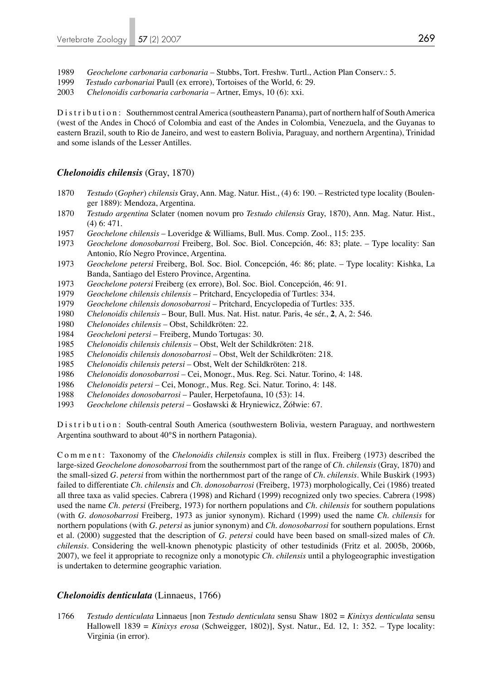1989 *Geochelone carbonaria carbonaria* – Stubbs, Tort. Freshw. Turtl., Action Plan Conserv.: 5.

- 1999 *Testudo carbonariai* Paull (ex errore), Tortoises of the World, 6: 29.
- 2003 *Chelonoidis carbonaria carbonaria* Artner, Emys, 10 (6): xxi.

Distribution: Southernmost central America (southeastern Panama), part of northern half of South America (west of the Andes in Chocó of Colombia and east of the Andes in Colombia, Venezuela, and the Guyanas to eastern Brazil, south to Rio de Janeiro, and west to eastern Bolivia, Paraguay, and northern Argentina), Trinidad and some islands of the Lesser Antilles.

### *Chelonoidis chilensis* (Gray, 1870)

- 1870 *Testudo* (*Gopher*) *chilensis* Gray, Ann. Mag. Natur. Hist., (4) 6: 190. Restricted type locality (Boulen ger 1889): Mendoza, Argentina.
- 1870 *Testudo argentina* Sclater (nomen novum pro *Testudo chilensis* Gray, 1870), Ann. Mag. Natur. Hist., (4) 6: 471.
- 1957 *Geochelone chilensis* Loveridge & Williams, Bull. Mus. Comp. Zool., 115: 235.
- 1973 *Geochelone donosobarrosi* Freiberg, Bol. Soc. Biol. Concepción, 46: 83; plate. Type locality: San Antonio, Río Negro Province, Argentina.
- 1973 *Geochelone petersi* Freiberg, Bol. Soc. Biol. Concepción, 46: 86; plate. Type locality: Kishka, La Banda, Santiago del Estero Province, Argentina.
- 1973 *Geochelone potersi* Freiberg (ex errore), Bol. Soc. Biol. Concepción, 46: 91.
- 1979 *Geochelone chilensis chilensis* Pritchard, Encyclopedia of Turtles: 334.
- 1979 *Geochelone chilensis donosobarrosi* Pritchard, Encyclopedia of Turtles: 335.
- 1980 *Chelonoidis chilensis* Bour, Bull. Mus. Nat. Hist. natur. Paris, 4e sér., **2**, A, 2: 546.
- 1980 *Chelonoides chilensis* Obst, Schildkröten: 22.
- 1984 *Geocheloni petersi* Freiberg, Mundo Tortugas: 30.
- 1985 *Chelonoidis chilensis chilensis* Obst, Welt der Schildkröten: 218.
- 1985 *Chelonoidis chilensis donosobarrosi* Obst, Welt der Schildkröten: 218.
- 1985 *Chelonoidis chilensis petersi* Obst, Welt der Schildkröten: 218.
- 1986 *Chelonoidis donosobarrosi*  Cei, Monogr., Mus. Reg. Sci. Natur. Torino, 4: 148.
- 1986 *Chelonoidis petersi* Cei, Monogr., Mus. Reg. Sci. Natur. Torino, 4: 148.
- 1988 *Chelonoides donosobarrosi*  Pauler, Herpetofauna, 10 (53): 14.
- 1993 *Geochelone chilensis petersi* Gosławski & Hryniewicz, Żółwie: 67.

Distribution: South-central South America (southwestern Bolivia, western Paraguay, and northwestern Argentina southward to about 40°S in northern Patagonia).

Comment: Taxonomy of the *Chelonoidis chilensis* complex is still in flux. Freiberg (1973) described the large-sized *Geochelone donosobarrosi* from the southernmost part of the range of *Ch. chilensis* (Gray, 1870) and the small-sized *G. petersi* from within the northernmost part of the range of *Ch. chilensis*. While Buskirk (1993) failed to differentiate *Ch. chilensis* and *Ch. donosobarrosi* (Freiberg, 1973) morphologically, Cei (1986) treated all three taxa as valid species. Cabrera (1998) and Richard (1999) recognized only two species. Cabrera (1998) used the name *Ch. petersi* (Freiberg, 1973) for northern populations and *Ch. chilensis* for southern populations (with *G. donosobarrosi* Freiberg, 1973 as junior synonym). Richard (1999) used the name *Ch. chilensis* for northern populations (with *G. petersi* as junior synonym) and *Ch. donosobarrosi* for southern populations. Ernst et al. (2000) suggested that the description of *G. petersi* could have been based on small-sized males of *Ch. chilensis*. Considering the well-known phenotypic plasticity of other testudinids (Fritz et al. 2005b, 2006b, 2007), we feel it appropriate to recognize only a monotypic *Ch. chilensis* until a phylogeographic investigation is undertaken to determine geographic variation.

### *Chelonoidis denticulata* (Linnaeus, 1766)

1766 *Testudo denticulata* Linnaeus [non *Testudo denticulata* sensu Shaw 1802 = *Kinixys denticulata* sensu Hallowell 1839 = *Kinixys erosa* (Schweigger, 1802)], Syst. Natur., Ed. 12, 1: 352. – Type locality: Virginia (in error).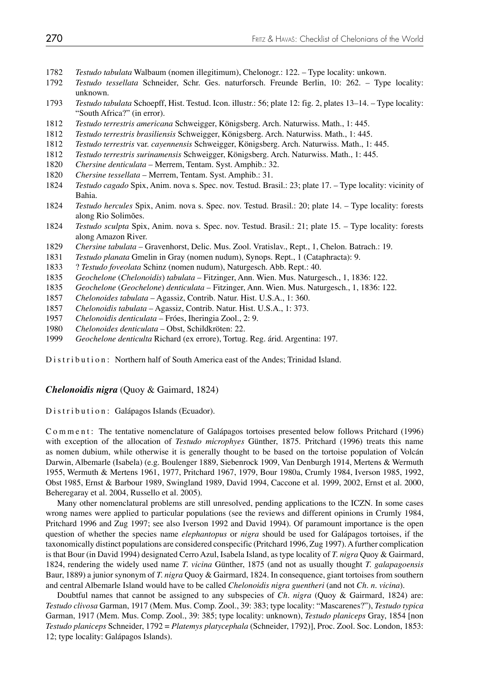- 1782 *Testudo tabulata* Walbaum (nomen illegitimum), Chelonogr.: 122. Type locality: unkown.
- 1792 *Testudo tessellata* Schneider, Schr. Ges. naturforsch. Freunde Berlin, 10: 262. Type locality: unknown.
- 1793 *Testudo tabulata* Schoepff, Hist. Testud. Icon. illustr.: 56; plate 12: fig. 2, plates 13–14. Type locality: "South Africa?" (in error).
- 1812 *Testudo terrestris americana* Schweigger, Königsberg. Arch. Naturwiss. Math., 1: 445.
- 1812 *Testudo terrestris brasiliensis* Schweigger, Königsberg. Arch. Naturwiss. Math., 1: 445.
- 1812 *Testudo terrestris* var. *cayennensis* Schweigger, Königsberg. Arch. Naturwiss. Math., 1: 445.
- 1812 *Testudo terrestris surinamensis* Schweigger, Königsberg. Arch. Naturwiss. Math., 1: 445.
- 1820 *Chersine denticulata* Merrem, Tentam. Syst. Amphib.: 32.
- 1820 *Chersine tessellata* Merrem, Tentam. Syst. Amphib.: 31.
- 1824 *Testudo cagado* Spix, Anim. nova s. Spec. nov. Testud. Brasil.: 23; plate 17. Type locality: vicinity of Bahia.
- 1824 *Testudo hercules* Spix, Anim. nova s. Spec. nov. Testud. Brasil.: 20; plate 14. Type locality: forests along Rio Solimões.
- 1824 *Testudo sculpta* Spix, Anim. nova s. Spec. nov. Testud. Brasil.: 21; plate 15. Type locality: forests along Amazon River.<br>1829 Chersine tabulata – C
- 1829 *Chersine tabulata* Gravenhorst, Delic. Mus. Zool. Vratislav., Rept., 1, Chelon. Batrach.: 19.
- 1831 *Testudo planata* Gmelin in Gray (nomen nudum), Synops. Rept., 1 (Cataphracta): 9.
- 1833 ? *Testudo foveolata* Schinz (nomen nudum), Naturgesch. Abb. Rept.: 40.
- 1835 *Geochelone* (*Chelonoidis*) *tabulata* Fitzinger, Ann. Wien. Mus. Naturgesch., 1, 1836: 122.
- 1835 *Geochelone* (*Geochelone*) *denticulata* Fitzinger, Ann. Wien. Mus. Naturgesch., 1, 1836: 122.
- 1857 *Chelonoides tabulata* Agassiz, Contrib. Natur. Hist. U.S.A., 1: 360.
- 1857 *Chelonoidis tabulata* Agassiz, Contrib. Natur. Hist. U.S.A., 1: 373.
- 1957 *Chelonoidis denticulata* Fróes, Iheringia Zool., 2: 9.
- 1980 *Chelonoides denticulata* Obst, Schildkröten: 22.
- 1999 *Geochelone denticulta* Richard (ex errore), Tortug. Reg. árid. Argentina: 197.

Distribution: Northern half of South America east of the Andes; Trinidad Island.

### *Chelonoidis nigra* (Quoy & Gaimard, 1824)

Distribution: Galápagos Islands (Ecuador).

Comment: The tentative nomenclature of Galápagos tortoises presented below follows Pritchard (1996) with exception of the allocation of *Testudo microphyes* Günther, 1875. Pritchard (1996) treats this name as nomen dubium, while otherwise it is generally thought to be based on the tortoise population of Volcán Darwin, Albemarle (Isabela) (e.g. Boulenger 1889, Siebenrock 1909, Van Denburgh 1914, Mertens & Wermuth 1955, Wermuth & Mertens 1961, 1977, Pritchard 1967, 1979, Bour 1980a, Crumly 1984, Iverson 1985, 1992, Obst 1985, Ernst & Barbour 1989, Swingland 1989, David 1994, Caccone et al. 1999, 2002, Ernst et al. 2000, Beheregaray et al. 2004, Russello et al. 2005).

 Many other nomenclatural problems are still unresolved, pending applications to the ICZN. In some cases wrong names were applied to particular populations (see the reviews and different opinions in Crumly 1984, Pritchard 1996 and Zug 1997; see also Iverson 1992 and David 1994). Of paramount importance is the open question of whether the species name *elephantopus* or *nigra* should be used for Galápagos tortoises, if the taxonomically distinct populations are considered conspecific (Pritchard 1996, Zug 1997). A further complication is that Bour (in David 1994) designated Cerro Azul, Isabela Island, as type locality of *T. nigra* Quoy & Gairmard, 1824, rendering the widely used name *T. vicina* Günther, 1875 (and not as usually thought *T. galapagoensis* Baur, 1889) a junior synonym of *T. nigra* Quoy & Gairmard, 1824. In consequence, giant tortoises from southern and central Albemarle Island would have to be called *Chelonoidis nigra guentheri* (and not *Ch. n. vicina*).

 Doubtful names that cannot be assigned to any subspecies of *Ch. nigra* (Quoy & Gairmard, 1824) are: *Testudo clivosa* Garman, 1917 (Mem. Mus. Comp. Zool., 39: 383; type locality: "Mascarenes?"), *Testudo typica* Garman, 1917 (Mem. Mus. Comp. Zool., 39: 385; type locality: unknown), *Testudo planiceps* Gray, 1854 [non *Testudo planiceps* Schneider, 1792 = *Platemys platycephala* (Schneider, 1792)], Proc. Zool. Soc. London, 1853: 12; type locality: Galápagos Islands).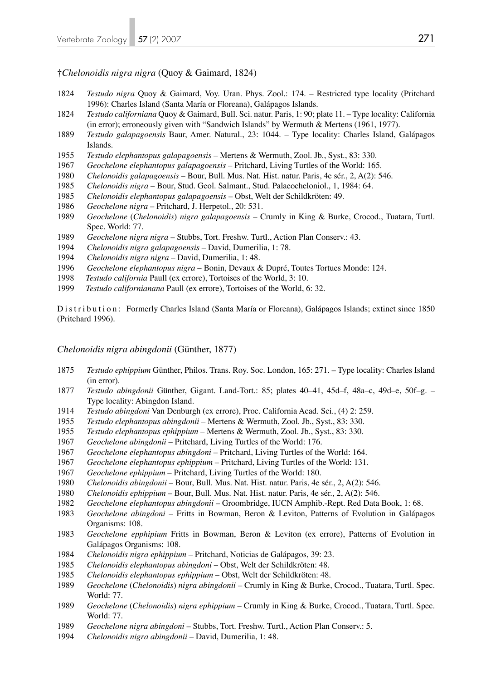### †*Chelonoidis nigra nigra* (Quoy & Gaimard, 1824)

- *Testudo nigra* Quoy & Gaimard, Voy. Uran. Phys. Zool.: 174. Restricted type locality (Pritchard 1996): Charles Island (Santa María or Floreana), Galápagos Islands.
- *Testudo californiana* Quoy & Gaimard, Bull. Sci. natur. Paris, 1: 90; plate 11. Type locality: California (in error); erroneously given with "Sandwich Islands" by Wermuth & Mertens (1961, 1977).
- *Testudo galapagoensis* Baur, Amer. Natural., 23: 1044. Type locality: Charles Island, Galápagos Islands.
- *Testudo elephantopus galapagoensis*  Mertens & Wermuth, Zool. Jb., Syst., 83: 330.
- *Geochelone elephantopus galapagoensis*  Pritchard, Living Turtles of the World: 165.
- *Chelonoidis galapagoensis* Bour, Bull. Mus. Nat. Hist. natur. Paris, 4e sér., 2, A(2): 546.
- *Chelonoidis nigra*  Bour, Stud. Geol. Salmant., Stud. Palaeocheloniol., 1, 1984: 64.
- *Chelonoidis elephantopus galapagoensis*  Obst, Welt der Schildkröten: 49.
- *Geochelone nigra*  Pritchard, J. Herpetol., 20: 531.
- *Geochelone* (*Chelonoidis*) *nigra galapagoensis*  Crumly in King & Burke, Crocod., Tuatara, Turtl. Spec. World: 77.
- *Geochelone nigra nigra*  Stubbs, Tort. Freshw. Turtl., Action Plan Conserv.: 43.
- *Chelonoidis nigra galapagoensis* David, Dumerilia, 1: 78.
- *Chelonoidis nigra nigra* David, Dumerilia, 1: 48.
- *Geochelone elephantopus nigra* Bonin, Devaux & Dupré, Toutes Tortues Monde: 124.
- *Testudo california* Paull (ex errore), Tortoises of the World, 3: 10.
- *Testudo californianana* Paull (ex errore), Tortoises of the World, 6: 32.

Distribution: Formerly Charles Island (Santa María or Floreana), Galápagos Islands; extinct since 1850 (Pritchard 1996).

### *Chelonoidis nigra abingdonii* (Günther, 1877)

- *Testudo ephippium* Günther, Philos. Trans. Roy. Soc. London, 165: 271. Type locality: Charles Island (in error).
- *Testudo abingdonii* Günther, Gigant. Land-Tort.: 85; plates 40–41, 45d–f, 48a–c, 49d–e, 50f–g. Type locality: Abingdon Island.
- *Testudo abingdoni* Van Denburgh (ex errore), Proc. California Acad. Sci., (4) 2: 259.
- *Testudo elephantopus abingdonii*  Mertens & Wermuth, Zool. Jb., Syst., 83: 330.
- *Testudo elephantopus ephippium*  Mertens & Wermuth, Zool. Jb., Syst., 83: 330.
- *Geochelone abingdonii* Pritchard, Living Turtles of the World: 176.
- *Geochelone elephantopus abingdoni* Pritchard, Living Turtles of the World: 164.
- *Geochelone elephantopus ephippium* Pritchard, Living Turtles of the World: 131.
- *Geochelone ephippium* Pritchard, Living Turtles of the World: 180.
- *Chelonoidis abingdonii*  Bour, Bull. Mus. Nat. Hist. natur. Paris, 4e sér., 2, A(2): 546.
- *Chelonoidis ephippium*  Bour, Bull. Mus. Nat. Hist. natur. Paris, 4e sér., 2, A(2): 546.
- *Geochelone elephantopus abingdonii* Groombridge, IUCN Amphib.-Rept. Red Data Book, 1: 68.
- *Geochelone abingdoni* Fritts in Bowman, Beron & Leviton, Patterns of Evolution in Galápagos Organisms: 108.
- *Geochelone epphipium* Fritts in Bowman, Beron & Leviton (ex errore), Patterns of Evolution in Galápagos Organisms: 108.
- *Chelonoidis nigra ephippium*  Pritchard, Noticias de Galápagos, 39: 23.
- *Chelonoidis elephantopus abingdoni* Obst, Welt der Schildkröten: 48.
- *Chelonoidis elephantopus ephippium* Obst, Welt der Schildkröten: 48.
- *Geochelone* (*Chelonoidis*) *nigra abingdonii* Crumly in King & Burke, Crocod., Tuatara, Turtl. Spec. World: 77.
- *Geochelone* (*Chelonoidis*) *nigra ephippium*  Crumly in King & Burke, Crocod., Tuatara, Turtl. Spec. World: 77.
- *Geochelone nigra abingdoni* Stubbs, Tort. Freshw. Turtl., Action Plan Conserv.: 5.
- *Chelonoidis nigra abingdonii* David, Dumerilia, 1: 48.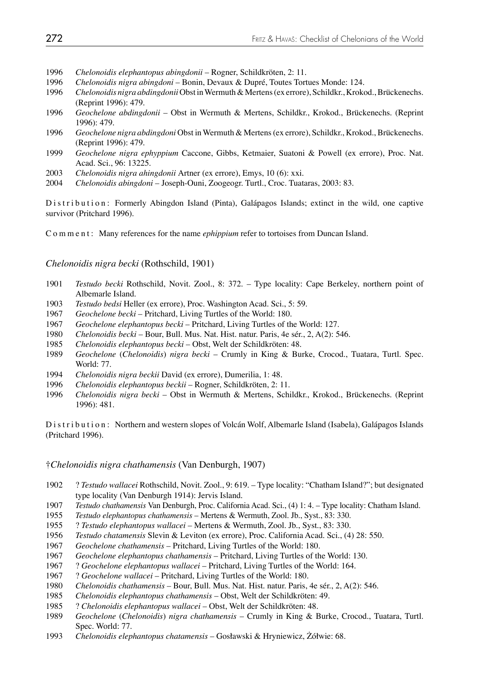- 1996 *Chelonoidis elephantopus abingdonii* Rogner, Schildkröten, 2: 11.
- 1996 *Chelonoidis nigra abingdoni* Bonin, Devaux & Dupré, Toutes Tortues Monde: 124.
- 1996 *Chelonoidis nigra abdingdonii* Obst in Wermuth & Mertens (ex errore), Schildkr., Krokod., Brückenechs. (Reprint 1996): 479.<br>1996 *Geochelone abdinga*
- 1996 *Geochelone abdingdonii* Obst in Wermuth & Mertens, Schildkr., Krokod., Brückenechs. (Reprint 1996): 479.
- 1996 *Geochelone nigra abdingdoni* Obst in Wermuth & Mertens (ex errore), Schildkr., Krokod., Brückenechs. (Reprint 1996): 479.
- 1999 *Geochelone nigra ephyppium* Caccone, Gibbs, Ketmaier, Suatoni & Powell (ex errore), Proc. Nat. Acad. Sci., 96: 13225.
- 2003 *Chelonoidis nigra ahingdonii* Artner (ex errore), Emys, 10 (6): xxi.
- 2004 *Chelonoidis abingdoni*  Joseph-Ouni, Zoogeogr. Turtl., Croc. Tuataras, 2003: 83.

Distribution: Formerly Abingdon Island (Pinta), Galápagos Islands; extinct in the wild, one captive survivor (Pritchard 1996).

Comment: Many references for the name *ephippium* refer to tortoises from Duncan Island.

#### *Chelonoidis nigra becki* (Rothschild, 1901)

- 1901 *Testudo becki* Rothschild, Novit. Zool., 8: 372. Type locality: Cape Berkeley, northern point of Albemarle Island.
- 1903 *Testudo bedsi* Heller (ex errore), Proc. Washington Acad. Sci., 5: 59.
- 1967 *Geochelone becki* Pritchard, Living Turtles of the World: 180.
- 1967 *Geochelone elephantopus becki* Pritchard, Living Turtles of the World: 127.
- 1980 *Chelonoidis becki* Bour, Bull. Mus. Nat. Hist. natur. Paris, 4e sér., 2, A(2): 546.
- 1985 *Chelonoidis elephantopus becki* Obst, Welt der Schildkröten: 48.
- 1989 *Geochelone* (*Chelonoidis*) *nigra becki* Crumly in King & Burke, Crocod., Tuatara, Turtl. Spec. World: 77.
- 1994 *Chelonoidis nigra beckii* David (ex errore), Dumerilia, 1: 48.
- 1996 *Chelonoidis elephantopus beckii* Rogner, Schildkröten, 2: 11.<br>1996 *Chelonoidis nigra becki* Obst in Wermuth & Mertens, Schi
- 1996 *Chelonoidis nigra becki* Obst in Wermuth & Mertens, Schildkr., Krokod., Brückenechs. (Reprint 1996): 481.

Distribution: Northern and western slopes of Volcán Wolf, Albemarle Island (Isabela), Galápagos Islands (Pritchard 1996).

### †*Chelonoidis nigra chathamensis* (Van Denburgh, 1907)

- 1902 ? *Testudo wallacei* Rothschild, Novit. Zool., 9: 619. Type locality: "Chatham Island?"; but designated type locality (Van Denburgh 1914): Jervis Island.
- 1907 *Testudo chathamensis* Van Denburgh, Proc. California Acad. Sci., (4) 1: 4. Type locality: Chatham Island.
- 1955 *Testudo elephantopus chathamensis*  Mertens & Wermuth, Zool. Jb., Syst., 83: 330.
- 1955 ? *Testudo elephantopus wallacei*  Mertens & Wermuth, Zool. Jb., Syst., 83: 330.
- 1956 *Testudo chatamensis* Slevin & Leviton (ex errore), Proc. California Acad. Sci., (4) 28: 550.
- 1967 *Geochelone chathamensis*  Pritchard, Living Turtles of the World: 180.
- 1967 *Geochelone elephantopus chathamensis* Pritchard, Living Turtles of the World: 130.
- 1967 ? *Geochelone elephantopus wallacei* Pritchard, Living Turtles of the World: 164.
- 1967 ? *Geochelone wallacei* Pritchard, Living Turtles of the World: 180.
- 1980 *Chelonoidis chathamensis* Bour, Bull. Mus. Nat. Hist. natur. Paris, 4e sér., 2, A(2): 546.
- 1985 *Chelonoidis elephantopus chathamensis* Obst, Welt der Schildkröten: 49.
- 1985 ? *Chelonoidis elephantopus wallacei* Obst, Welt der Schildkröten: 48.
- 1989 *Geochelone* (*Chelonoidis*) *nigra chathamensis* Crumly in King & Burke, Crocod., Tuatara, Turtl. Spec. World: 77.
- 1993 *Chelonoidis elephantopus chatamensis* Gosławski & Hryniewicz, Żółwie: 68.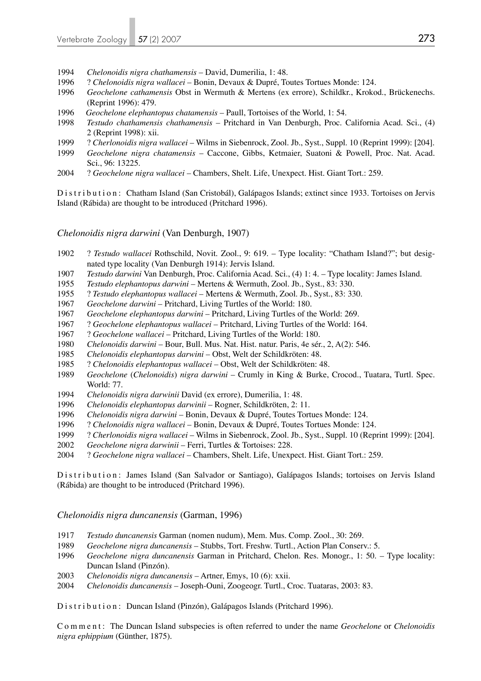- 1994 *Chelonoidis nigra chathamensis* David, Dumerilia, 1: 48.
- 1996 ? *Chelonoidis nigra wallacei* Bonin, Devaux & Dupré, Toutes Tortues Monde: 124.
- 1996 *Geochelone cathamensis* Obst in Wermuth & Mertens (ex errore), Schildkr., Krokod., Brückenechs. (Reprint 1996): 479.
- 1996 *Geochelone elephantopus chatamensis*  Paull, Tortoises of the World, 1: 54.
- 1998 *Testudo chathamensis chathamensis* Pritchard in Van Denburgh, Proc. California Acad. Sci., (4) 2 (Reprint 1998): xii.
- 1999 ? *Cherlonoidis nigra wallacei* Wilms in Siebenrock, Zool. Jb., Syst., Suppl. 10 (Reprint 1999): [204].
- 1999 *Geochelone nigra chatamensis*  Caccone, Gibbs, Ketmaier, Suatoni & Powell, Proc. Nat. Acad. Sci., 96: 13225.
- 2004 ? *Geochelone nigra wallacei* Chambers, Shelt. Life, Unexpect. Hist. Giant Tort.: 259.

Distribution: Chatham Island (San Cristobál), Galápagos Islands; extinct since 1933. Tortoises on Jervis Island (Rábida) are thought to be introduced (Pritchard 1996).

*Chelonoidis nigra darwini* (Van Denburgh, 1907)

- 1902 ? *Testudo wallacei* Rothschild, Novit. Zool., 9: 619. Type locality: "Chatham Island?"; but desig nated type locality (Van Denburgh 1914): Jervis Island.
- 1907 *Testudo darwini* Van Denburgh, Proc. California Acad. Sci., (4) 1: 4. Type locality: James Island.
- 1955 *Testudo elephantopus darwini*  Mertens & Wermuth, Zool. Jb., Syst., 83: 330.
- 1955 ? *Testudo elephantopus wallacei*  Mertens & Wermuth, Zool. Jb., Syst., 83: 330.
- 1967 *Geochelone darwini*  Pritchard, Living Turtles of the World: 180.
- 1967 *Geochelone elephantopus darwini*  Pritchard, Living Turtles of the World: 269.
- 1967 ? *Geochelone elephantopus wallacei* Pritchard, Living Turtles of the World: 164.
- 1967 ? *Geochelone wallacei* Pritchard, Living Turtles of the World: 180.
- 1980 *Chelonoidis darwini*  Bour, Bull. Mus. Nat. Hist. natur. Paris, 4e sér., 2, A(2): 546.
- 1985 *Chelonoidis elephantopus darwini*  Obst, Welt der Schildkröten: 48.
- 1985 ? *Chelonoidis elephantopus wallacei* Obst, Welt der Schildkröten: 48.
- 1989 *Geochelone* (*Chelonoidis*) *nigra darwini* Crumly in King & Burke, Crocod., Tuatara, Turtl. Spec. World: 77.
- 1994 *Chelonoidis nigra darwinii* David (ex errore), Dumerilia, 1: 48.
- 1996 *Chelonoidis elephantopus darwinii*  Rogner, Schildkröten, 2: 11.
- 1996 *Chelonoidis nigra darwini* Bonin, Devaux & Dupré, Toutes Tortues Monde: 124.
- 1996 ? *Chelonoidis nigra wallacei* Bonin, Devaux & Dupré, Toutes Tortues Monde: 124.
- 1999 ? *Cherlonoidis nigra wallacei* Wilms in Siebenrock, Zool. Jb., Syst., Suppl. 10 (Reprint 1999): [204].
- 2002 *Geochelone nigra darwinii* Ferri, Turtles & Tortoises: 228.
- 2004 ? *Geochelone nigra wallacei* Chambers, Shelt. Life, Unexpect. Hist. Giant Tort.: 259.

Distribution: James Island (San Salvador or Santiago), Galápagos Islands; tortoises on Jervis Island (Rábida) are thought to be introduced (Pritchard 1996).

*Chelonoidis nigra duncanensis* (Garman, 1996)

- 1917 *Testudo duncanensis* Garman (nomen nudum), Mem. Mus. Comp. Zool., 30: 269.
- 1989 *Geochelone nigra duncanensis* Stubbs, Tort. Freshw. Turtl., Action Plan Conserv.: 5.
- 1996 *Geochelone nigra duncanensis* Garman in Pritchard, Chelon. Res. Monogr., 1: 50. Type locality: Duncan Island (Pinzón).
- 2003 *Chelonoidis nigra duncanensis* Artner, Emys, 10 (6): xxii.
- 2004 *Chelonoidis duncanensis* Joseph-Ouni, Zoogeogr. Turtl., Croc. Tuataras, 2003: 83.

Distribution: Duncan Island (Pinzón), Galápagos Islands (Pritchard 1996).

Comment: The Duncan Island subspecies is often referred to under the name *Geochelone* or *Chelonoidis nigra ephippium* (Günther, 1875).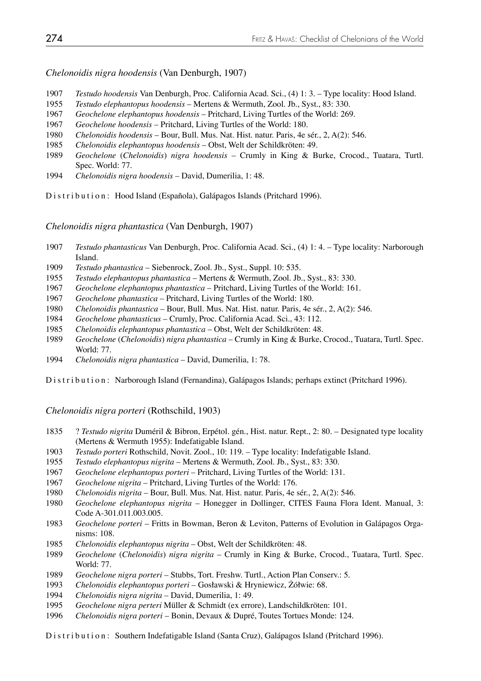*Chelonoidis nigra hoodensis* (Van Denburgh, 1907)

- *Testudo hoodensis* Van Denburgh, Proc. California Acad. Sci., (4) 1: 3. Type locality: Hood Island.
- *Testudo elephantopus hoodensis*  Mertens & Wermuth, Zool. Jb., Syst., 83: 330.
- *Geochelone elephantopus hoodensis* Pritchard, Living Turtles of the World: 269.
- *Geochelone hoodensis* Pritchard, Living Turtles of the World: 180.
- *Chelonoidis hoodensis* Bour, Bull. Mus. Nat. Hist. natur. Paris, 4e sér., 2, A(2): 546.
- *Chelonoidis elephantopus hoodensis* Obst, Welt der Schildkröten: 49.
- *Geochelone* (*Chelonoidis*) *nigra hoodensis* Crumly in King & Burke, Crocod., Tuatara, Turtl. Spec. World: 77.<br>1994 Chelonoidis nior
- *Chelonoidis nigra hoodensis* David, Dumerilia, 1: 48.

Distribution: Hood Island (Española), Galápagos Islands (Pritchard 1996).

*Chelonoidis nigra phantastica* (Van Denburgh, 1907)

- *Testudo phantasticus* Van Denburgh, Proc. California Acad. Sci., (4) 1: 4. Type locality: Narborough Island.
- *Testudo phantastica* Siebenrock, Zool. Jb., Syst., Suppl. 10: 535.
- *Testudo elephantopus phantastica*  Mertens & Wermuth, Zool. Jb., Syst., 83: 330.
- *Geochelone elephantopus phantastica* Pritchard, Living Turtles of the World: 161.
- *Geochelone phantastica* Pritchard, Living Turtles of the World: 180.
- *Chelonoidis phantastica* Bour, Bull. Mus. Nat. Hist. natur. Paris, 4e sér., 2, A(2): 546.
- *Geochelone phantasticus* Crumly, Proc. California Acad. Sci., 43: 112.
- *Chelonoidis elephantopus phantastica* Obst, Welt der Schildkröten: 48.
- *Geochelone* (*Chelonoidis*) *nigra phantastica* Crumly in King & Burke, Crocod., Tuatara, Turtl. Spec. World: 77.
- *Chelonoidis nigra phantastica* David, Dumerilia, 1: 78.
- Distribution: Narborough Island (Fernandina), Galápagos Islands; perhaps extinct (Pritchard 1996).

*Chelonoidis nigra porteri* (Rothschild, 1903)

- 1835 ? *Testudo nigrita* Duméril & Bibron, Erpétol. gén., Hist. natur. Rept., 2: 80. Designated type locality (Mertens & Wermuth 1955): Indefatigable Island.
- *Testudo porteri* Rothschild, Novit. Zool., 10: 119. Type locality: Indefatigable Island.
- *Testudo elephantopus nigrita*  Mertens & Wermuth, Zool. Jb., Syst., 83: 330.
- *Geochelone elephantopus porteri* Pritchard, Living Turtles of the World: 131.
- *Geochelone nigrita* Pritchard, Living Turtles of the World: 176.
- *Chelonoidis nigrita* Bour, Bull. Mus. Nat. Hist. natur. Paris, 4e sér., 2, A(2): 546.
- *Geochelone elephantopus nigrita* Honegger in Dollinger, CITES Fauna Flora Ident. Manual, 3: Code A-301.011.003.005.
- *Geochelone porteri* Fritts in Bowman, Beron & Leviton, Patterns of Evolution in Galápagos Orga nisms: 108.
- *Chelonoidis elephantopus nigrita* Obst, Welt der Schildkröten: 48.
- *Geochelone* (*Chelonoidis*) *nigra nigrita*  Crumly in King & Burke, Crocod., Tuatara, Turtl. Spec. World: 77.
- *Geochelone nigra porteri* Stubbs, Tort. Freshw. Turtl., Action Plan Conserv.: 5.
- *Chelonoidis elephantopus porteri* Gosławski & Hryniewicz, Żółwie: 68.
- *Chelonoidis nigra nigrita*  David, Dumerilia, 1: 49.
- *Geochelone nigra perteri* Müller & Schmidt (ex errore), Landschildkröten: 101.
- *Chelonoidis nigra porteri* Bonin, Devaux & Dupré, Toutes Tortues Monde: 124.

Distribution: Southern Indefatigable Island (Santa Cruz), Galápagos Island (Pritchard 1996).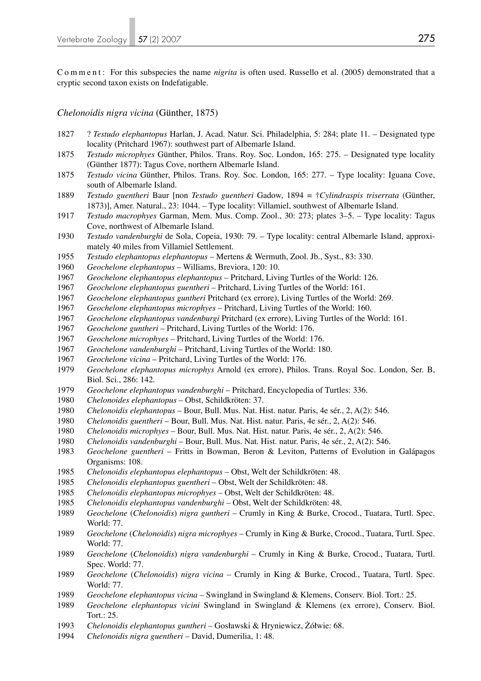Comment: For this subspecies the name *nigrita* is often used. Russello et al. (2005) demonstrated that a cryptic second taxon exists on Indefatigable.

*Chelonoidis nigra vicina* (Günther, 1875)

- 1827 ? *Testudo elephantopus* Harlan, J. Acad. Natur. Sci. Philadelphia, 5: 284; plate 11. Designated type locality (Pritchard 1967): southwest part of Albemarle Island.
- *Testudo microphyes* Günther, Philos. Trans. Roy. Soc. London, 165: 275. Designated type locality (Günther 1877): Tagus Cove, northern Albemarle Island.
- *Testudo vicina* Günther, Philos. Trans. Roy. Soc. London, 165: 277. Type locality: Iguana Cove, south of Albemarle Island.
- *Testudo guentheri* Baur [non *Testudo guentheri* Gadow, 1894 = †*Cylindraspis triserrata* (Günther, 1873)], Amer. Natural., 23: 1044. – Type locality: Villamiel, southwest of Albemarle Island.
- *Testudo macrophyes* Garman, Mem. Mus. Comp. Zool., 30: 273; plates 3–5. Type locality: Tagus Cove, northwest of Albemarle Island.
- *Testudo vandenburghi* de Sola, Copeia, 1930: 79. Type locality: central Albemarle Island, approxi mately 40 miles from Villamiel Settlement.
- *Testudo elephantopus elephantopus* Mertens & Wermuth, Zool. Jb., Syst., 83: 330.
- *Geochelone elephantopus* Williams, Breviora, 120: 10.
- *Geochelone elephantopus elephantopus* Pritchard, Living Turtles of the World: 126.
- *Geochelone elephantopus guentheri* Pritchard, Living Turtles of the World: 161.
- *Geochelone elephantopus guntheri* Pritchard (ex errore), Living Turtles of the World: 269.
- *Geochelone elephantopus microphyes* Pritchard, Living Turtles of the World: 160.
- *Geochelone elephantopus vandenburgi* Pritchard (ex errore), Living Turtles of the World: 161.
- *Geochelone guntheri* Pritchard, Living Turtles of the World: 176.
- *Geochelone microphyes* Pritchard, Living Turtles of the World: 176.
- *Geochelone vandenburghi* Pritchard, Living Turtles of the World: 180.
- *Geochelone vicina* Pritchard, Living Turtles of the World: 176.
- *Geochelone elephantopus microphys* Arnold (ex errore), Philos. Trans. Royal Soc. London, Ser. B, Biol. Sci., 286: 142.
- *Geochelone elephantopus vandenburghi* Pritchard, Encyclopedia of Turtles: 336.
- *Chelonoides elephantopus* Obst, Schildkröten: 37.
- *Chelonoidis elephantopus* Bour, Bull. Mus. Nat. Hist. natur. Paris, 4e sér., 2, A(2): 546.
- *Chelonoidis guentheri* Bour, Bull. Mus. Nat. Hist. natur. Paris, 4e sér., 2, A(2): 546.
- *Chelonoidis microphyes* Bour, Bull. Mus. Nat. Hist. natur. Paris, 4e sér., 2, A(2): 546.
- *Chelonoidis vandenburghi*  Bour, Bull. Mus. Nat. Hist. natur. Paris, 4e sér., 2, A(2): 546.
- *Geochelone guentheri* Fritts in Bowman, Beron & Leviton, Patterns of Evolution in Galápagos Organisms: 108.
- *Chelonoidis elephantopus elephantopus* Obst, Welt der Schildkröten: 48.
- *Chelonoidis elephantopus guentheri*  Obst, Welt der Schildkröten: 48.
- *Chelonoidis elephantopus microphyes* Obst, Welt der Schildkröten: 48.
- *Chelonoidis elephantopus vandenburghi*  Obst, Welt der Schildkröten: 48.
- *Geochelone* (*Chelonoidis*) *nigra guntheri* Crumly in King & Burke, Crocod., Tuatara, Turtl. Spec. World: 77.
- *Geochelone* (*Chelonoidis*) *nigra microphyes*  Crumly in King & Burke, Crocod., Tuatara, Turtl. Spec. World: 77.
- *Geochelone* (*Chelonoidis*) *nigra vandenburghi*  Crumly in King & Burke, Crocod., Tuatara, Turtl. Spec. World: 77.
- *Geochelone* (*Chelonoidis*) *nigra vicina*  Crumly in King & Burke, Crocod., Tuatara, Turtl. Spec. World: 77.
- *Geochelone elephantopus vicina* Swingland in Swingland & Klemens, Conserv. Biol. Tort.: 25.
- *Geochelone elephantopus vicini* Swingland in Swingland & Klemens (ex errore), Conserv. Biol. Tort.: 25.
- *Chelonoidis elephantopus guntheri* Gosławski & Hryniewicz, Żółwie: 68.
- *Chelonoidis nigra guentheri*  David, Dumerilia, 1: 48.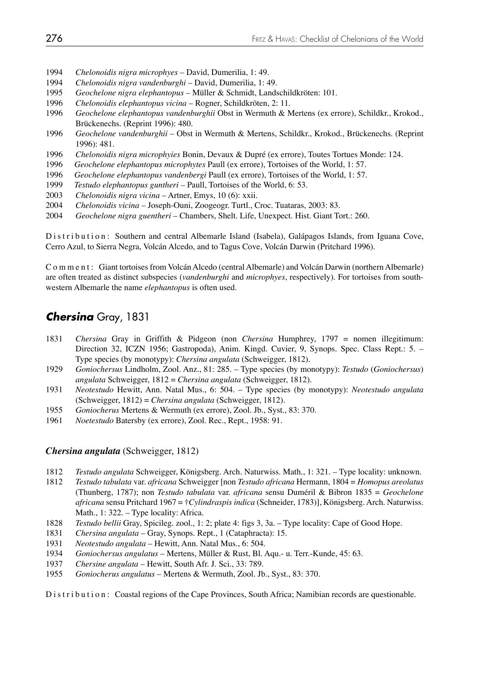- *Chelonoidis nigra microphyes* David, Dumerilia, 1: 49.
- *Chelonoidis nigra vandenburghi*  David, Dumerilia, 1: 49.
- *Geochelone nigra elephantopus* Müller & Schmidt, Landschildkröten: 101.
- *Chelonoidis elephantopus vicina*  Rogner, Schildkröten, 2: 11.
- *Geochelone elephantopus vandenburghii* Obst in Wermuth & Mertens (ex errore), Schildkr., Krokod., Brückenechs. (Reprint 1996): 480.
- *Geochelone vandenburghii* Obst in Wermuth & Mertens, Schildkr., Krokod., Brückenechs. (Reprint 1996): 481.
- *Chelonoidis nigra microphyies* Bonin, Devaux & Dupré (ex errore), Toutes Tortues Monde: 124.
- *Geochelone elephantopus microphytes* Paull (ex errore), Tortoises of the World, 1: 57.
- *Geochelone elephantopus vandenbergi* Paull (ex errore), Tortoises of the World, 1: 57.
- *Testudo elephantopus guntheri* Paull, Tortoises of the World, 6: 53.
- *Chelonoidis nigra vicina*  Artner, Emys, 10 (6): xxii.
- *Chelonoidis vicina*  Joseph-Ouni, Zoogeogr. Turtl., Croc. Tuataras, 2003: 83.
- *Geochelone nigra guentheri*  Chambers, Shelt. Life, Unexpect. Hist. Giant Tort.: 260.

Distribution: Southern and central Albemarle Island (Isabela), Galápagos Islands, from Iguana Cove, Cerro Azul, to Sierra Negra, Volcán Alcedo, and to Tagus Cove, Volcán Darwin (Pritchard 1996).

Comment: Giant tortoises from Volcán Alcedo (central Albemarle) and Volcán Darwin (northern Albemarle) are often treated as distinct subspecies (*vandenburghi* and *microphyes*, respectively). For tortoises from southwestern Albemarle the name *elephantopus* is often used.

# *Chersina* Gray, 1831

- *Chersina* Gray in Griffith & Pidgeon (non *Chersina* Humphrey, 1797 = nomen illegitimum: Direction 32, ICZN 1956; Gastropoda), Anim. Kingd. Cuvier, 9, Synops. Spec. Class Rept.: 5. – Type species (by monotypy): *Chersina angulata* (Schweigger, 1812).
- *Goniochersus* Lindholm, Zool. Anz., 81: 285. Type species (by monotypy): *Testudo* (*Goniochersus*) *angulata* Schweigger, 1812 = *Chersina angulata* (Schweigger, 1812).
- *Neotestudo* Hewitt, Ann. Natal Mus., 6: 504. Type species (by monotypy): *Neotestudo angulata*  (Schweigger, 1812) = *Chersina angulata* (Schweigger, 1812).
- *Goniocherus* Mertens & Wermuth (ex errore), Zool. Jb., Syst., 83: 370.
- *Noetestudo* Batersby (ex errore), Zool. Rec., Rept., 1958: 91.

### *Chersina angulata* (Schweigger, 1812)

- *Testudo angulata* Schweigger, Königsberg. Arch. Naturwiss. Math., 1: 321. Type locality: unknown.
- *Testudo tabulata* var. *africana* Schweigger [non *Testudo africana* Hermann, 1804 = *Homopus areolatus* (Thunberg, 1787); non *Testudo tabulata* var. *africana* sensu Duméril & Bibron 1835 = *Geochelone africana* sensu Pritchard 1967 = †*Cylindraspis indica* (Schneider, 1783)], Königsberg. Arch. Naturwiss. Math., 1: 322. – Type locality: Africa.
- *Testudo bellii* Gray, Spicileg. zool., 1: 2; plate 4: figs 3, 3a. Type locality: Cape of Good Hope.
- *Chersina angulata*  Gray, Synops. Rept., 1 (Cataphracta): 15.
- *Neotestudo angulata* Hewitt, Ann. Natal Mus., 6: 504.
- *Goniochersus angulatus* Mertens, Müller & Rust, Bl. Aqu.- u. Terr.-Kunde, 45: 63.
- *Chersine angulata* Hewitt, South Afr. J. Sci., 33: 789.
- *Goniocherus angulatus* Mertens & Wermuth, Zool. Jb., Syst., 83: 370.

Distribution: Coastal regions of the Cape Provinces, South Africa; Namibian records are questionable.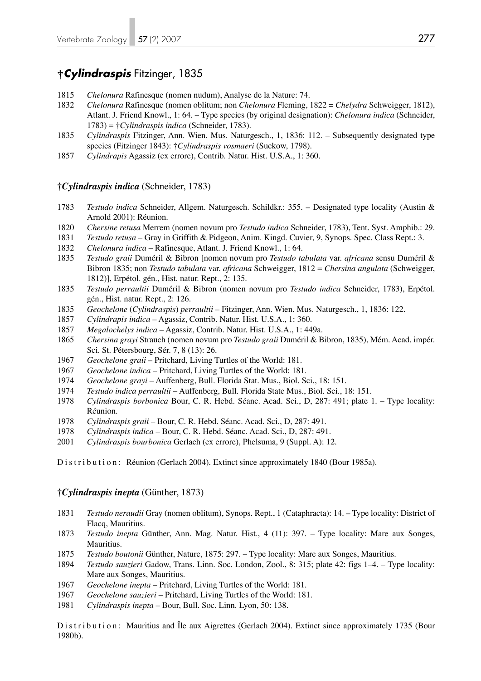# **†***Cylindraspis* Fitzinger, 1835

- *Chelonura* Rafinesque (nomen nudum), Analyse de la Nature: 74.
- *Chelonura* Rafinesque (nomen oblitum; non *Chelonura* Fleming, 1822 = *Chelydra* Schweigger, 1812), Atlant. J. Friend Knowl., 1: 64. – Type species (by original designation): *Chelonura indica* (Schneider, 1783) = †*Cylindraspis indica* (Schneider, 1783).
- *Cylindraspis* Fitzinger, Ann. Wien. Mus. Naturgesch., 1, 1836: 112. Subsequently designated type species (Fitzinger 1843): †*Cylindraspis vosmaeri* (Suckow, 1798).
- *Cylindrapis* Agassiz (ex errore), Contrib. Natur. Hist. U.S.A., 1: 360.

### **†***Cylindraspis indica* (Schneider, 1783)

- *Testudo indica* Schneider, Allgem. Naturgesch. Schildkr.: 355. Designated type locality (Austin & Arnold 2001): Réunion.
- *Chersine retusa* Merrem (nomen novum pro *Testudo indica* Schneider, 1783), Tent. Syst. Amphib.: 29.
- *Testudo retusa* Gray in Griffith & Pidgeon, Anim. Kingd. Cuvier, 9, Synops. Spec. Class Rept.: 3.
- *Chelonura indica* Rafinesque, Atlant. J. Friend Knowl., 1: 64.
- *Testudo graii* Duméril & Bibron [nomen novum pro *Testudo tabulata* var. *africana* sensu Duméril & Bibron 1835; non *Testudo tabulata* var. *africana* Schweigger, 1812 = *Chersina angulata* (Schweigger, 1812)], Erpétol. gén., Hist. natur. Rept., 2: 135.
- *Testudo perraultii* Duméril & Bibron (nomen novum pro *Testudo indica* Schneider, 1783), Erpétol. gén., Hist. natur. Rept., 2: 126.
- *Geochelone* (*Cylindraspis*) *perraultii*  Fitzinger, Ann. Wien. Mus. Naturgesch., 1, 1836: 122.
- *Cylindrapis indica* Agassiz, Contrib. Natur. Hist. U.S.A., 1: 360.
- *Megalochelys indica* Agassiz, Contrib. Natur. Hist. U.S.A., 1: 449a.
- *Chersina grayi* Strauch (nomen novum pro *Testudo graii* Duméril & Bibron, 1835), Mém. Acad. impér. Sci. St. Pétersbourg, Sér. 7, 8 (13): 26.
- *Geochelone graii* Pritchard, Living Turtles of the World: 181.
- *Geochelone indica* Pritchard, Living Turtles of the World: 181.
- *Geochelone grayi* Auffenberg, Bull. Florida Stat. Mus., Biol. Sci., 18: 151.
- *Testudo indica perraultii* Auffenberg, Bull. Florida State Mus., Biol. Sci., 18: 151.
- *Cylindraspis borbonica* Bour, C. R. Hebd. Séanc. Acad. Sci., D, 287: 491; plate 1. Type locality: Réunion.
- *Cylindraspis graii* Bour, C. R. Hebd. Séanc. Acad. Sci., D, 287: 491.
- *Cylindraspis indica* Bour, C. R. Hebd. Séanc. Acad. Sci., D, 287: 491.
- *Cylindraspis bourbonica* Gerlach (ex errore), Phelsuma, 9 (Suppl. A): 12.

Distribution: Réunion (Gerlach 2004). Extinct since approximately 1840 (Bour 1985a).

### **†***Cylindraspis inepta* (Günther, 1873)

- *Testudo neraudii* Gray (nomen oblitum), Synops. Rept., 1 (Cataphracta): 14. Type locality: District of Flacq, Mauritius.
- *Testudo inepta* Günther, Ann. Mag. Natur. Hist., 4 (11): 397. Type locality: Mare aux Songes, Mauritius.
- *Testudo boutonii* Günther, Nature, 1875: 297. Type locality: Mare aux Songes, Mauritius.
- *Testudo sauzieri* Gadow, Trans. Linn. Soc. London, Zool., 8: 315; plate 42: figs 1–4. Type locality: Mare aux Songes, Mauritius.
- *Geochelone inepta*  Pritchard, Living Turtles of the World: 181.
- *Geochelone sauzieri*  Pritchard, Living Turtles of the World: 181.
- *Cylindraspis inepta*  Bour, Bull. Soc. Linn. Lyon, 50: 138.

Distribution: Mauritius and Île aux Aigrettes (Gerlach 2004). Extinct since approximately 1735 (Bour 1980b).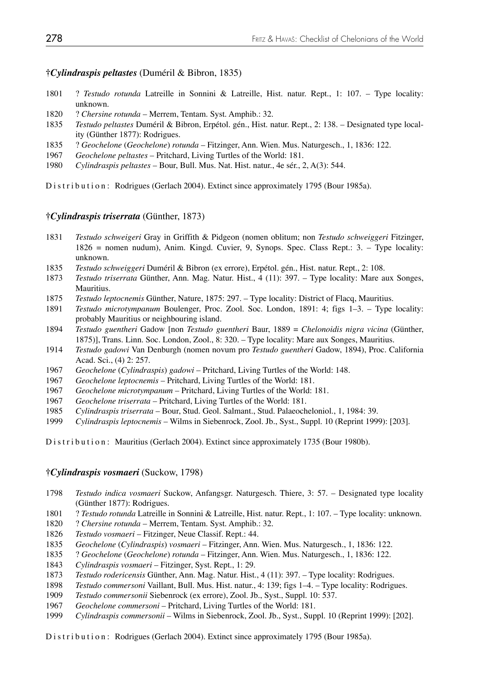### **†***Cylindraspis peltastes* (Duméril & Bibron, 1835)

- 1801 ? *Testudo rotunda* Latreille in Sonnini & Latreille, Hist. natur. Rept., 1: 107. Type locality: unknown.
- 1820 ? *Chersine rotunda* Merrem, Tentam. Syst. Amphib.: 32.
- 1835 *Testudo peltastes* Duméril & Bibron, Erpétol. gén., Hist. natur. Rept., 2: 138. Designated type local ity (Günther 1877): Rodrigues.
- 1835 ? *Geochelone* (*Geochelone*) *rotunda* Fitzinger, Ann. Wien. Mus. Naturgesch., 1, 1836: 122.
- 1967 *Geochelone peltastes*  Pritchard, Living Turtles of the World: 181.
- 1980 *Cylindraspis peltastes*  Bour, Bull. Mus. Nat. Hist. natur., 4e sér., 2, A(3): 544.

Distribution: Rodrigues (Gerlach 2004). Extinct since approximately 1795 (Bour 1985a).

### **†***Cylindraspis triserrata* (Günther, 1873)

- 1831 *Testudo schweigeri* Gray in Griffith & Pidgeon (nomen oblitum; non *Testudo schweiggeri* Fitzinger, 1826 = nomen nudum), Anim. Kingd. Cuvier, 9, Synops. Spec. Class Rept.: 3. – Type locality: unknown.
- 1835 *Testudo schweiggeri* Duméril & Bibron (ex errore), Erpétol. gén., Hist. natur. Rept., 2: 108.
- 1873 *Testudo triserrata* Günther, Ann. Mag. Natur. Hist., 4 (11): 397. Type locality: Mare aux Songes, Mauritius.
- 1875 *Testudo leptocnemis* Günther, Nature, 1875: 297. Type locality: District of Flacq, Mauritius.
- 1891 *Testudo microtympanum* Boulenger, Proc. Zool. Soc. London, 1891: 4; figs 1–3. Type locality: probably Mauritius or neighbouring island.
- 1894 *Testudo guentheri* Gadow [non *Testudo guentheri* Baur, 1889 = *Chelonoidis nigra vicina* (Günther, 1875)], Trans. Linn. Soc. London, Zool., 8: 320. – Type locality: Mare aux Songes, Mauritius.
- 1914 *Testudo gadowi* Van Denburgh (nomen novum pro *Testudo guentheri* Gadow, 1894), Proc. California Acad. Sci., (4) 2: 257.
- 1967 *Geochelone* (*Cylindraspis*) *gadowi*  Pritchard, Living Turtles of the World: 148.
- 1967 *Geochelone leptocnemis*  Pritchard, Living Turtles of the World: 181.
- 1967 *Geochelone microtympanum*  Pritchard, Living Turtles of the World: 181.
- 1967 *Geochelone triserrata*  Pritchard, Living Turtles of the World: 181.
- 1985 *Cylindraspis triserrata*  Bour, Stud. Geol. Salmant., Stud. Palaeocheloniol., 1, 1984: 39.
- 1999 *Cylindraspis leptocnemis* Wilms in Siebenrock, Zool. Jb., Syst., Suppl. 10 (Reprint 1999): [203].

Distribution: Mauritius (Gerlach 2004). Extinct since approximately 1735 (Bour 1980b).

### **†***Cylindraspis vosmaeri* (Suckow, 1798)

- 1798 *Testudo indica vosmaeri* Suckow, Anfangsgr. Naturgesch. Thiere, 3: 57. Designated type locality (Günther 1877): Rodrigues.
- 1801 ? *Testudo rotunda* Latreille in Sonnini & Latreille, Hist. natur. Rept., 1: 107. Type locality: unknown.
- 1820 ? *Chersine rotunda* Merrem, Tentam. Syst. Amphib.: 32.
- 1826 *Testudo vosmaeri* Fitzinger, Neue Classif. Rept.: 44.
- 1835 *Geochelone* (*Cylindraspis*) *vosmaeri* Fitzinger, Ann. Wien. Mus. Naturgesch., 1, 1836: 122.
- 1835 ? *Geochelone* (*Geochelone*) *rotunda* Fitzinger, Ann. Wien. Mus. Naturgesch., 1, 1836: 122.
- 1843 *Cylindraspis vosmaeri* Fitzinger, Syst. Rept., 1: 29.
- 1873 *Testudo rodericensis* Günther, Ann. Mag. Natur. Hist., 4 (11): 397. Type locality: Rodrigues.
- 1898 *Testudo commersoni* Vaillant, Bull. Mus. Hist. natur., 4: 139; figs 1–4. Type locality: Rodrigues.
- 1909 *Testudo commersonii* Siebenrock (ex errore), Zool. Jb., Syst., Suppl. 10: 537.
- 1967 *Geochelone commersoni*  Pritchard, Living Turtles of the World: 181.
- 1999 *Cylindraspis commersonii* Wilms in Siebenrock, Zool. Jb., Syst., Suppl. 10 (Reprint 1999): [202].

Distribution: Rodrigues (Gerlach 2004). Extinct since approximately 1795 (Bour 1985a).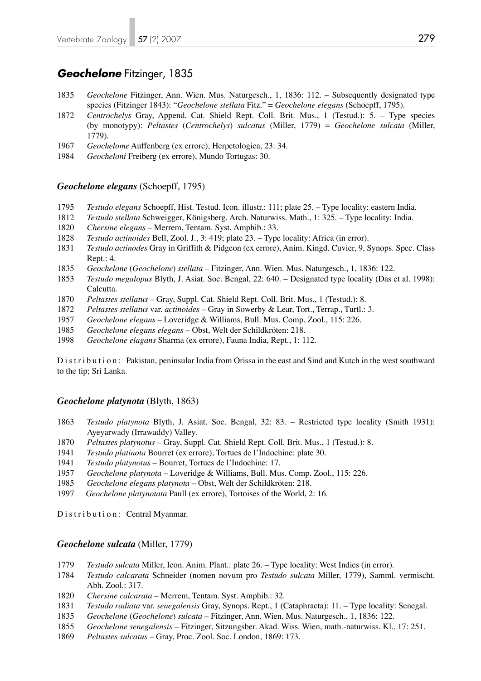### *Geochelone* Fitzinger, 1835

- *Geochelone* Fitzinger, Ann. Wien. Mus. Naturgesch., 1, 1836: 112. Subsequently designated type species (Fitzinger 1843): "*Geochelone stellata* Fitz." = *Geochelone elegans* (Schoepff, 1795).
- *Centrochelys* Gray, Append. Cat. Shield Rept. Coll. Brit. Mus., 1 (Testud.): 5. Type species (by monotypy): *Peltastes* (*Centrochelys*) *sulcatus* (Miller, 1779) = *Geochelone sulcata* (Miller, 1779).
- *Geochelome* Auffenberg (ex errore), Herpetologica, 23: 34.
- *Geocheloni* Freiberg (ex errore), Mundo Tortugas: 30.

### *Geochelone elegans* (Schoepff, 1795)

- *Testudo elegans* Schoepff, Hist. Testud. Icon. illustr.: 111; plate 25. Type locality: eastern India.
- *Testudo stellata* Schweigger, Königsberg. Arch. Naturwiss. Math., 1: 325. Type locality: India.
- *Chersine elegans* Merrem, Tentam. Syst. Amphib.: 33.
- *Testudo actinoides* Bell, Zool. J., 3: 419; plate 23. Type locality: Africa (in error).
- *Testudo actinodes* Gray in Griffith & Pidgeon (ex errore), Anim. Kingd. Cuvier, 9, Synops. Spec. Class Rept.: 4.
- *Geochelone* (*Geochelone*) *stellata* Fitzinger, Ann. Wien. Mus. Naturgesch., 1, 1836: 122.
- *Testudo megalopus* Blyth, J. Asiat. Soc. Bengal, 22: 640. Designated type locality (Das et al. 1998): Calcutta.
- *Peltastes stellatus* Gray, Suppl. Cat. Shield Rept. Coll. Brit. Mus., 1 (Testud.): 8.
- *Peltastes stellatus* var. *actinoides*  Gray in Sowerby & Lear, Tort., Terrap., Turtl.: 3.
- *Geochelone elegans* Loveridge & Williams, Bull. Mus. Comp. Zool., 115: 226.
- *Geochelone elegans elegans* Obst, Welt der Schildkröten: 218.
- *Geochelone elagans* Sharma (ex errore), Fauna India, Rept., 1: 112.

Distribution: Pakistan, peninsular India from Orissa in the east and Sind and Kutch in the west southward to the tip; Sri Lanka.

### *Geochelone platynota* (Blyth, 1863)

- *Testudo platynota* Blyth, J. Asiat. Soc. Bengal, 32: 83. Restricted type locality (Smith 1931): Ayeyarwady (Irrawaddy) Valley.
- *Peltastes platynotus*  Gray, Suppl. Cat. Shield Rept. Coll. Brit. Mus., 1 (Testud.): 8.
- *Testudo platinota* Bourret (ex errore), Tortues de l'Indochine: plate 30.
- *Testudo platynotus*  Bourret, Tortues de l'Indochine: 17.
- *Geochelone platynota* Loveridge & Williams, Bull. Mus. Comp. Zool., 115: 226.
- *Geochelone elegans platynota* Obst, Welt der Schildkröten: 218.
- *Geochelone platynotata* Paull (ex errore), Tortoises of the World, 2: 16.

Distribution: Central Myanmar.

### *Geochelone sulcata* (Miller, 1779)

- *Testudo sulcata* Miller, Icon. Anim. Plant.: plate 26. Type locality: West Indies (in error).
- *Testudo calcarata* Schneider (nomen novum pro *Testudo sulcata* Miller, 1779), Samml. vermischt. Abh. Zool.: 317.
- *Chersine calcarata* Merrem, Tentam. Syst. Amphib.: 32.
- *Testudo radiata* var. *senegalensis* Gray, Synops. Rept., 1 (Cataphracta): 11. Type locality: Senegal.
- *Geochelone* (*Geochelone*) *sulcata*  Fitzinger, Ann. Wien. Mus. Naturgesch., 1, 1836: 122.
- *Geochelone senegalensis* Fitzinger, Sitzungsber. Akad. Wiss. Wien, math.-naturwiss. Kl., 17: 251.
- *Peltastes sulcatus* Gray, Proc. Zool. Soc. London, 1869: 173.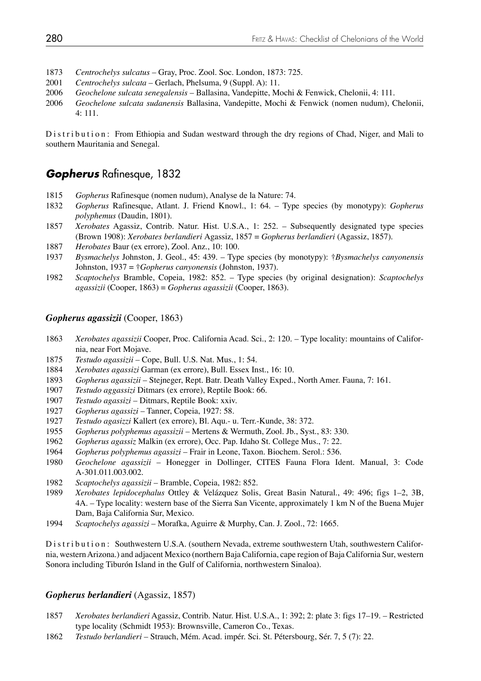- *Centrochelys sulcatus*  Gray, Proc. Zool. Soc. London, 1873: 725.
- *Centrochelys sulcata* Gerlach, Phelsuma, 9 (Suppl. A): 11.
- *Geochelone sulcata senegalensis* Ballasina, Vandepitte, Mochi & Fenwick, Chelonii, 4: 111.
- *Geochelone sulcata sudanensis* Ballasina, Vandepitte, Mochi & Fenwick (nomen nudum), Chelonii, 4: 111.

Distribution: From Ethiopia and Sudan westward through the dry regions of Chad, Niger, and Mali to southern Mauritania and Senegal.

# *Gopherus* Rafinesque, 1832

- *Gopherus* Rafinesque (nomen nudum), Analyse de la Nature: 74.
- *Gopherus* Rafinesque, Atlant. J. Friend Knowl., 1: 64. Type species (by monotypy): *Gopherus polyphemus* (Daudin, 1801).
- *Xerobates* Agassiz, Contrib. Natur. Hist. U.S.A., 1: 252. Subsequently designated type species (Brown 1908): *Xerobates berlandieri* Agassiz, 1857 = *Gopherus berlandieri* (Agassiz, 1857).
- *Herobates* Baur (ex errore), Zool. Anz., 10: 100.
- *Bysmachelys* Johnston, J. Geol., 45: 439. Type species (by monotypy): †*Bysmachelys canyonensis* Johnston, 1937 = †*Gopherus canyonensis* (Johnston, 1937).
- *Scaptochelys* Bramble, Copeia, 1982: 852. Type species (by original designation): *Scaptochelys agassizii* (Cooper, 1863) = *Gopherus agassizii* (Cooper, 1863).

### *Gopherus agassizii* (Cooper, 1863)

- *Xerobates agassizii* Cooper, Proc. California Acad. Sci., 2: 120. Type locality: mountains of Califor nia, near Fort Mojave.
- *Testudo agassizii* Cope, Bull. U.S. Nat. Mus., 1: 54.
- *Xerobates agassizi* Garman (ex errore), Bull. Essex Inst., 16: 10.
- *Gopherus agassizii* Stejneger, Rept. Batr. Death Valley Exped., North Amer. Fauna, 7: 161.
- *Testudo aggassizi* Ditmars (ex errore), Reptile Book: 66.
- *Testudo agassizi*  Ditmars, Reptile Book: xxiv.
- *Gopherus agassizi* Tanner, Copeia, 1927: 58.
- *Testudo agasizzi* Kallert (ex errore), Bl. Aqu.- u. Terr.-Kunde, 38: 372.
- *Gopherus polyphemus agassizii* Mertens & Wermuth, Zool. Jb., Syst., 83: 330.
- *Gopherus agassiz* Malkin (ex errore), Occ. Pap. Idaho St. College Mus., 7: 22.
- *Gopherus polyphemus agassizi*  Frair in Leone, Taxon. Biochem. Serol.: 536.
- *Geochelone agassizii* Honegger in Dollinger, CITES Fauna Flora Ident. Manual, 3: Code A-301.011.003.002.<br>1982 Scantochelys agassi
- *Scaptochelys agassizii* Bramble, Copeia, 1982: 852.
- *Xerobates lepidocephalus* Ottley & Velázquez Solis, Great Basin Natural., 49: 496; figs 1–2, 3B, 4A. – Type locality: western base of the Sierra San Vicente, approximately 1 km N of the Buena Mujer Dam, Baja California Sur, Mexico.
- *Scaptochelys agassizi* Morafka, Aguirre & Murphy, Can. J. Zool., 72: 1665.

Distribution: Southwestern U.S.A. (southern Nevada, extreme southwestern Utah, southwestern California, western Arizona.) and adjacent Mexico (northern Baja California, cape region of Baja California Sur, western Sonora including Tiburón Island in the Gulf of California, northwestern Sinaloa).

#### *Gopherus berlandieri* (Agassiz, 1857)

- *Xerobates berlandieri* Agassiz, Contrib. Natur. Hist. U.S.A., 1: 392; 2: plate 3: figs 17–19. Restricted type locality (Schmidt 1953): Brownsville, Cameron Co., Texas.
- *Testudo berlandieri*  Strauch, Mém. Acad. impér. Sci. St. Pétersbourg, Sér. 7, 5 (7): 22.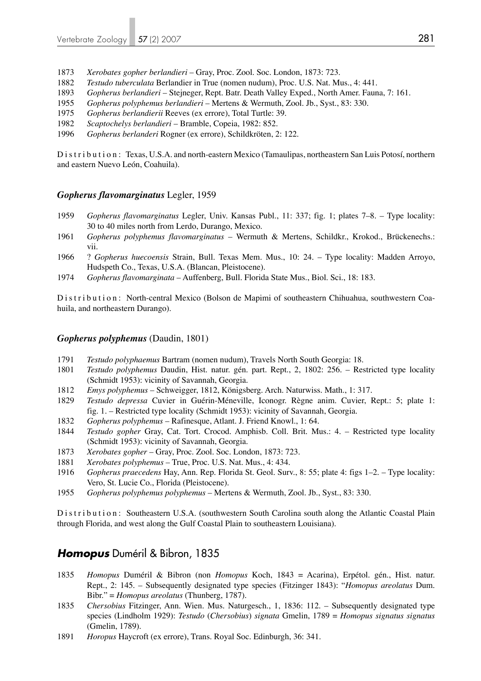- 1873 *Xerobates gopher berlandieri* Gray, Proc. Zool. Soc. London, 1873: 723.
- 1882 *Testudo tuberculata* Berlandier in True (nomen nudum), Proc. U.S. Nat. Mus., 4: 441.
- 1893 *Gopherus berlandieri* Stejneger, Rept. Batr. Death Valley Exped., North Amer. Fauna, 7: 161.
- 1955 *Gopherus polyphemus berlandieri* Mertens & Wermuth, Zool. Jb., Syst., 83: 330.
- 1975 *Gopherus berlandierii* Reeves (ex errore), Total Turtle: 39.
- 1982 *Scaptochelys berlandieri* Bramble, Copeia, 1982: 852.
- 1996 *Gopherus berlanderi* Rogner (ex errore), Schildkröten, 2: 122.

Distribution: Texas, U.S.A. and north-eastern Mexico (Tamaulipas, northeastern San Luis Potosí, northern and eastern Nuevo León, Coahuila).

### *Gopherus flavomarginatus* Legler, 1959

- 1959 *Gopherus flavomarginatus* Legler, Univ. Kansas Publ., 11: 337; fig. 1; plates 7–8. Type locality: 30 to 40 miles north from Lerdo, Durango, Mexico.
- 1961 *Gopherus polyphemus flavomarginatus* Wermuth & Mertens, Schildkr., Krokod., Brückenechs.: vii.
- 1966 ? *Gopherus huecoensis* Strain, Bull. Texas Mem. Mus., 10: 24. Type locality: Madden Arroyo, Hudspeth Co., Texas, U.S.A. (Blancan, Pleistocene).
- 1974 *Gopherus flavomarginata*  Auffenberg, Bull. Florida State Mus., Biol. Sci., 18: 183.

Distribution: North-central Mexico (Bolson de Mapimi of southeastern Chihuahua, southwestern Coahuila, and northeastern Durango).

### *Gopherus polyphemus* (Daudin, 1801)

- 1791 *Testudo polyphaemus* Bartram (nomen nudum), Travels North South Georgia: 18.
- 1801 *Testudo polyphemus* Daudin, Hist. natur. gén. part. Rept., 2, 1802: 256. Restricted type locality (Schmidt 1953): vicinity of Savannah, Georgia.
- 1812 *Emys polyphemus*  Schweigger, 1812, Königsberg. Arch. Naturwiss. Math., 1: 317.
- 1829 *Testudo depressa* Cuvier in Guérin-Méneville, Iconogr. Règne anim. Cuvier, Rept.: 5; plate 1: fig. 1. – Restricted type locality (Schmidt 1953): vicinity of Savannah, Georgia.
- 1832 *Gopherus polyphemus*  Rafinesque, Atlant. J. Friend Knowl., 1: 64.
- 1844 *Testudo gopher* Gray, Cat. Tort. Crocod. Amphisb. Coll. Brit. Mus.: 4. Restricted type locality (Schmidt 1953): vicinity of Savannah, Georgia.
- 1873 *Xerobates gopher* Gray, Proc. Zool. Soc. London, 1873: 723.
- 1881 *Xerobates polyphemus* True, Proc. U.S. Nat. Mus., 4: 434.
- 1916 *Gopherus praecedens* Hay, Ann. Rep. Florida St. Geol. Surv., 8: 55; plate 4: figs 1–2. Type locality: Vero, St. Lucie Co., Florida (Pleistocene).
- 1955 *Gopherus polyphemus polyphemus*  Mertens & Wermuth, Zool. Jb., Syst., 83: 330.

Distribution: Southeastern U.S.A. (southwestern South Carolina south along the Atlantic Coastal Plain through Florida, and west along the Gulf Coastal Plain to southeastern Louisiana).

### *Homopus* Duméril & Bibron, 1835

- 1835 *Homopus* Duméril & Bibron (non *Homopus* Koch, 1843 = Acarina), Erpétol. gén., Hist. natur. Rept., 2: 145. – Subsequently designated type species (Fitzinger 1843): "*Homopus areolatus* Dum. Bibr." = *Homopus areolatus* (Thunberg, 1787).
- 1835 *Chersobius* Fitzinger, Ann. Wien. Mus. Naturgesch., 1, 1836: 112. Subsequently designated type species (Lindholm 1929): *Testudo* (*Chersobius*) *signata* Gmelin, 1789 = *Homopus signatus signatus* (Gmelin, 1789).
- 1891 *Horopus* Haycroft (ex errore), Trans. Royal Soc. Edinburgh, 36: 341.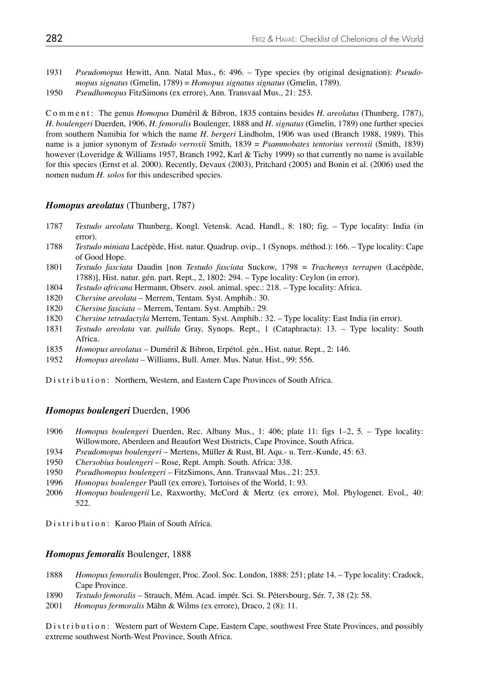- 1931 *Pseudomopus* Hewitt, Ann. Natal Mus., 6: 496. Type species (by original designation): *Pseudo mopus signatus* (Gmelin, 1789) = *Homopus signatus signatus* (Gmelin, 1789).
- 1950 *Pseudhomopus* FitzSimons (ex errore), Ann. Transvaal Mus., 21: 253.

Comment: The genus *Homopus* Duméril & Bibron, 1835 contains besides *H. areolatus* (Thunberg, 1787), *H. boulengeri* Duerden, 1906, *H. femoralis* Boulenger, 1888 and *H. signatus* (Gmelin, 1789) one further species from southern Namibia for which the name *H. bergeri* Lindholm, 1906 was used (Branch 1988, 1989). This name is a junior synonym of *Testudo verroxii* Smith, 1839 = *Psammobates tentorius verroxii* (Smith, 1839) however (Loveridge & Williams 1957, Branch 1992, Karl & Tichy 1999) so that currently no name is available for this species (Ernst et al. 2000). Recently, Devaux (2003), Pritchard (2005) and Bonin et al. (2006) used the nomen nudum *H. solos* for this undescribed species.

### *Homopus areolatus* (Thunberg, 1787)

- 1787 *Testudo areolata* Thunberg, Kongl. Vetensk. Acad. Handl., 8: 180; fig. Type locality: India (in error).
- 1788 *Testudo miniata* Lacépède, Hist. natur. Quadrup. ovip., 1 (Synops. méthod.): 166. Type locality: Cape of Good Hope.
- 1801 *Testudo fasciata* Daudin [non *Testudo fasciata* Suckow, 1798 = *Trachemys terrapen* (Lacépède, 1788)], Hist. natur. gén. part. Rept., 2, 1802: 294. – Type locality: Ceylon (in error).
- 1804 *Testudo africana* Hermann, Observ. zool. animal. spec.: 218. Type locality: Africa.
- 1820 *Chersine areolata* Merrem, Tentam. Syst. Amphib.: 30.
- 1820 *Chersine fasciata* Merrem, Tentam. Syst. Amphib.: 29.
- 1820 *Chersine tetradactyla* Merrem, Tentam. Syst. Amphib.: 32. Type locality: East India (in error).
- 1831 *Testudo areolata* var. *pallida* Gray, Synops. Rept., 1 (Cataphracta): 13. Type locality: South Africa.
- 1835 *Homopus areolatus* Duméril & Bibron, Erpétol. gén., Hist. natur. Rept., 2: 146.
- 1952 *Homopus areolata* Williams, Bull. Amer. Mus. Natur. Hist., 99: 556.

Distribution: Northern, Western, and Eastern Cape Provinces of South Africa.

### *Homopus boulengeri* Duerden, 1906

- 1906 *Homopus boulengeri* Duerden, Rec. Albany Mus., 1: 406; plate 11: figs 1–2, 5. Type locality: Willowmore, Aberdeen and Beaufort West Districts, Cape Province, South Africa.
- 1934 *Pseudomopus boulengeri* Mertens, Müller & Rust, Bl. Aqu.- u. Terr.-Kunde, 45: 63.
- 1950 *Chersobius boulengeri* Rose, Rept. Amph. South. Africa: 338.
- 1950 *Pseudhomopus boulengeri* FitzSimons, Ann. Transvaal Mus., 21: 253.
- *Homopus boulenger Paull (ex errore), Tortoises of the World, 1: 93.*
- 2006 *Homopus boulengerii* Le, Raxworthy, McCord & Mertz (ex errore), Mol. Phylogenet. Evol., 40: 522.

Distribution: Karoo Plain of South Africa.

### *Homopus femoralis* Boulenger, 1888

- 1888 *Homopus femoralis* Boulenger, Proc. Zool. Soc. London, 1888: 251; plate 14. Type locality: Cradock, Cape Province.
- 1890 *Testudo femoralis* Strauch, Mém. Acad. impér. Sci. St. Pétersbourg, Sér. 7, 38 (2): 58.
- 2001 *Homopus fermoralis* Mähn & Wilms (ex errore), Draco, 2 (8): 11.

Distribution: Western part of Western Cape, Eastern Cape, southwest Free State Provinces, and possibly extreme southwest North-West Province, South Africa.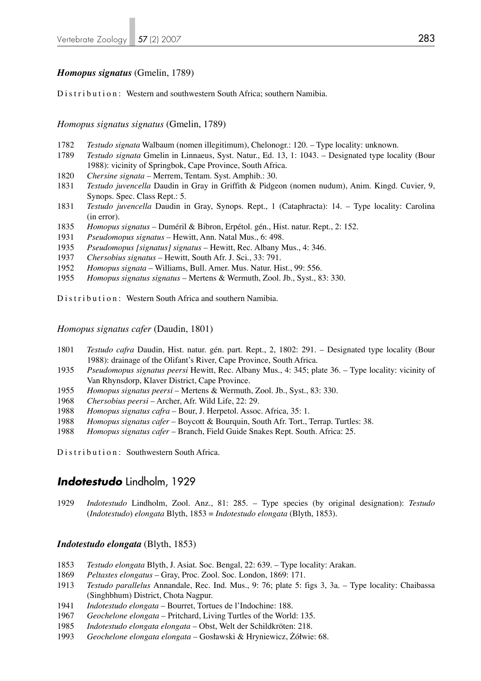### *Homopus signatus* (Gmelin, 1789)

Distribution: Western and southwestern South Africa; southern Namibia.

*Homopus signatus signatus* (Gmelin, 1789)

- *Testudo signata* Walbaum (nomen illegitimum), Chelonogr.: 120. Type locality: unknown.
- *Testudo signata* Gmelin in Linnaeus, Syst. Natur., Ed. 13, 1: 1043. Designated type locality (Bour 1988): vicinity of Springbok, Cape Province, South Africa.
- *Chersine signata* Merrem, Tentam. Syst. Amphib.: 30.
- *Testudo juvencella* Daudin in Gray in Griffith & Pidgeon (nomen nudum), Anim. Kingd. Cuvier, 9, Synops. Spec. Class Rept.: 5.
- *Testudo juvencella* Daudin in Gray, Synops. Rept., 1 (Cataphracta): 14. Type locality: Carolina (in error).
- *Homopus signatus* Duméril & Bibron, Erpétol. gén., Hist. natur. Rept., 2: 152.
- *Pseudomopus signatus* Hewitt, Ann. Natal Mus., 6: 498.
- *Pseudomopus [signatus] signatus*  Hewitt, Rec. Albany Mus., 4: 346.
- *Chersobius signatus* Hewitt, South Afr. J. Sci., 33: 791.
- *Homopus signata* Williams, Bull. Amer. Mus. Natur. Hist., 99: 556.
- *Homopus signatus signatus*  Mertens & Wermuth, Zool. Jb., Syst., 83: 330.

Distribution: Western South Africa and southern Namibia.

*Homopus signatus cafer* (Daudin, 1801)

- *Testudo cafra* Daudin, Hist. natur. gén. part. Rept., 2, 1802: 291. Designated type locality (Bour 1988): drainage of the Olifant's River, Cape Province, South Africa.
- *Pseudomopus signatus peersi* Hewitt, Rec. Albany Mus., 4: 345; plate 36. Type locality: vicinity of Van Rhynsdorp, Klaver District, Cape Province.
- *Homopus signatus peersi* Mertens & Wermuth, Zool. Jb., Syst., 83: 330.
- *Chersobius peersi* Archer, Afr. Wild Life, 22: 29.
- *Homopus signatus cafra* Bour, J. Herpetol. Assoc. Africa, 35: 1.
- *Homopus signatus cafer* Boycott & Bourquin, South Afr. Tort., Terrap. Turtles: 38.
- *Homopus signatus cafer* Branch, Field Guide Snakes Rept. South. Africa: 25.

Distribution: Southwestern South Africa.

### *Indotestudo* Lindholm, 1929

*Indotestudo* Lindholm, Zool. Anz., 81: 285. – Type species (by original designation): *Testudo*  (*Indotestudo*) *elongata* Blyth, 1853 = *Indotestudo elongata* (Blyth, 1853).

### *Indotestudo elongata* (Blyth, 1853)

- *Testudo elongata* Blyth, J. Asiat. Soc. Bengal, 22: 639. Type locality: Arakan.
- *Peltastes elongatus*  Gray, Proc. Zool. Soc. London, 1869: 171.
- *Testudo parallelus* Annandale, Rec. Ind. Mus., 9: 76; plate 5: figs 3, 3a. Type locality: Chaibassa (Singhbhum) District, Chota Nagpur.
- *Indotestudo elongata* Bourret, Tortues de l'Indochine: 188.
- *Geochelone elongata*  Pritchard, Living Turtles of the World: 135.
- *Indotestudo elongata elongata* Obst, Welt der Schildkröten: 218.
- *Geochelone elongata elongata* Gosławski & Hryniewicz, Żółwie: 68.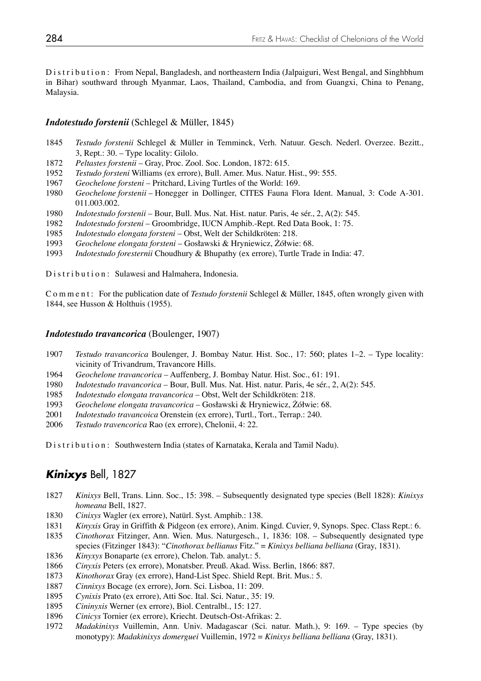Distribution: From Nepal, Bangladesh, and northeastern India (Jalpaiguri, West Bengal, and Singhbhum in Bihar) southward through Myanmar, Laos, Thailand, Cambodia, and from Guangxi, China to Penang, Malaysia.

### *Indotestudo forstenii* (Schlegel & Müller, 1845)

- *Testudo forstenii* Schlegel & Müller in Temminck, Verh. Natuur. Gesch. Nederl. Overzee. Bezitt., 3, Rept.: 30. – Type locality: Gilolo.
- *Peltastes forstenii* Gray, Proc. Zool. Soc. London, 1872: 615.
- *Testudo forsteni* Williams (ex errore), Bull. Amer. Mus. Natur. Hist., 99: 555.
- *Geochelone forsteni* Pritchard, Living Turtles of the World: 169.
- *Geochelone forstenii* Honegger in Dollinger, CITES Fauna Flora Ident. Manual, 3: Code A-301. 011.003.002.
- *Indotestudo forstenii* Bour, Bull. Mus. Nat. Hist. natur. Paris, 4e sér., 2, A(2): 545.
- *Indotestudo forsteni* Groombridge, IUCN Amphib.-Rept. Red Data Book, 1: 75.
- *Indotestudo elongata forsteni* Obst, Welt der Schildkröten: 218.
- *Geochelone elongata forsteni* Gosławski & Hryniewicz, Żółwie: 68.
- *Indotestudo foresternii* Choudhury & Bhupathy (ex errore), Turtle Trade in India: 47.

Distribution: Sulawesi and Halmahera, Indonesia.

C o m m e n t : For the publication date of *Testudo forstenii* Schlegel & Müller, 1845, often wrongly given with 1844, see Husson & Holthuis (1955).

### *Indotestudo travancorica* (Boulenger, 1907)

- *Testudo travancorica* Boulenger, J. Bombay Natur. Hist. Soc., 17: 560; plates 1–2. Type locality: vicinity of Trivandrum, Travancore Hills.
- *Geochelone travancorica*  Auffenberg, J. Bombay Natur. Hist. Soc., 61: 191.
- *Indotestudo travancorica*  Bour, Bull. Mus. Nat. Hist. natur. Paris, 4e sér., 2, A(2): 545.
- *Indotestudo elongata travancorica*  Obst, Welt der Schildkröten: 218.
- *Geochelone elongata travancorica*  Gosławski & Hryniewicz, Żółwie: 68.
- *Indotestudo travancoica* Orenstein (ex errore), Turtl., Tort., Terrap.: 240.
- *Testudo travencorica* Rao (ex errore), Chelonii, 4: 22.

Distribution: Southwestern India (states of Karnataka, Kerala and Tamil Nadu).

# *Kinixys* Bell, 1827

- *Kinixys* Bell, Trans. Linn. Soc., 15: 398. Subsequently designated type species (Bell 1828): *Kinixys homeana* Bell, 1827.
- *Cinixys* Wagler (ex errore), Natürl. Syst. Amphib.: 138.
- *Kinyxis* Gray in Griffith & Pidgeon (ex errore), Anim. Kingd. Cuvier, 9, Synops. Spec. Class Rept.: 6.
- *Cinothorax* Fitzinger, Ann. Wien. Mus. Naturgesch., 1, 1836: 108. Subsequently designated type species (Fitzinger 1843): "*Cinothorax bellianus* Fitz." = *Kinixys belliana belliana* (Gray, 1831).
- *Kinyxys* Bonaparte (ex errore), Chelon. Tab. analyt.: 5.
- *Cinyxis* Peters (ex errore), Monatsber. Preuß. Akad. Wiss. Berlin, 1866: 887.
- *Kinothorax* Gray (ex errore), Hand-List Spec. Shield Rept. Brit. Mus.: 5.
- *Cinnixys* Bocage (ex errore), Jorn. Sci. Lisboa, 11: 209.
- *Cynixis* Prato (ex errore), Atti Soc. Ital. Sci. Natur., 35: 19.
- *Cininyxis* Werner (ex errore), Biol. Centralbl., 15: 127.
- *Cinicys* Tornier (ex errore), Kriecht. Deutsch-Ost-Afrikas: 2.
- *Madakinixys* Vuillemin, Ann. Univ. Madagascar (Sci. natur. Math.), 9: 169. Type species (by monotypy): *Madakinixys domerguei* Vuillemin, 1972 = *Kinixys belliana belliana* (Gray, 1831).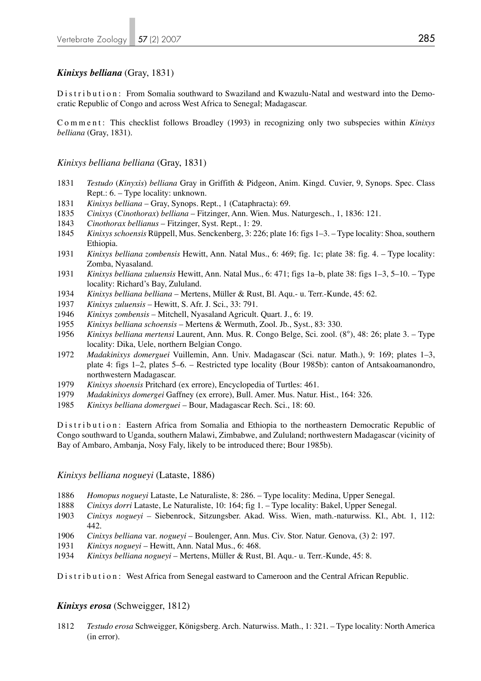### *Kinixys belliana* (Gray, 1831)

Distribution: From Somalia southward to Swaziland and Kwazulu-Natal and westward into the Democratic Republic of Congo and across West Africa to Senegal; Madagascar.

Comment: This checklist follows Broadley (1993) in recognizing only two subspecies within *Kinixys belliana* (Gray, 1831).

### *Kinixys belliana belliana* (Gray, 1831)

- 1831 *Testudo* (*Kinyxis*) *belliana* Gray in Griffith & Pidgeon, Anim. Kingd. Cuvier, 9, Synops. Spec. Class Rept.: 6. – Type locality: unknown.
- 1831 *Kinixys belliana* Gray, Synops. Rept., 1 (Cataphracta): 69.
- 1835 *Cinixys* (*Cinothorax*) *belliana* Fitzinger, Ann. Wien. Mus. Naturgesch., 1, 1836: 121.
- 1843 *Cinothorax bellianus* Fitzinger, Syst. Rept., 1: 29.
- 1845 *Kinixysschoensis* Rüppell, Mus. Senckenberg, 3: 226; plate 16: figs 1–3. Type locality: Shoa, southern Ethiopia.
- 1931 *Kinixys belliana zombensis* Hewitt, Ann. Natal Mus., 6: 469; fig. 1c; plate 38: fig. 4. Type locality: Zomba, Nyasaland.
- 1931 *Kinixys belliana zuluensis* Hewitt, Ann. Natal Mus., 6: 471; figs 1a–b, plate 38: figs 1–3, 5–10. Type locality: Richard's Bay, Zululand.
- 1934 *Kinixys belliana belliana* Mertens, Müller & Rust, Bl. Aqu.- u. Terr.-Kunde, 45: 62.
- 1937 *Kinixys zuluensis* Hewitt, S. Afr. J. Sci., 33: 791.
- 1946 *Kinixys zombensis* Mitchell, Nyasaland Agricult. Quart. J., 6: 19.
- 1955 *Kinixys belliana schoensis* Mertens & Wermuth, Zool. Jb., Syst., 83: 330.
- 1956 *Kinixys belliana mertensi* Laurent, Ann. Mus. R. Congo Belge, Sci. zool. (8°), 48: 26; plate 3. Type locality: Dika, Uele, northern Belgian Congo.
- 1972 *Madakinixys domerguei* Vuillemin, Ann. Univ. Madagascar (Sci. natur. Math.), 9: 169; plates 1–3, plate 4: figs 1–2, plates 5–6. – Restricted type locality (Bour 1985b): canton of Antsakoamanondro, northwestern Madagascar.
- 1979 *Kinixys shoensis* Pritchard (ex errore), Encyclopedia of Turtles: 461.
- 1979 *Madakinixys domergei* Gaffney (ex errore), Bull. Amer. Mus. Natur. Hist., 164: 326.
- 1985 *Kinixys belliana domerguei* Bour, Madagascar Rech. Sci., 18: 60.

Distribution: Eastern Africa from Somalia and Ethiopia to the northeastern Democratic Republic of Congo southward to Uganda, southern Malawi, Zimbabwe, and Zululand; northwestern Madagascar (vicinity of Bay of Ambaro, Ambanja, Nosy Faly, likely to be introduced there; Bour 1985b).

### *Kinixys belliana nogueyi* (Lataste, 1886)

- 1886 *Homopus nogueyi* Lataste, Le Naturaliste, 8: 286. Type locality: Medina, Upper Senegal.
- 1888 *Cinixys dorri* Lataste, Le Naturaliste, 10: 164; fig 1. Type locality: Bakel, Upper Senegal.
- 1903 *Cinixys nogueyi* Siebenrock, Sitzungsber. Akad. Wiss. Wien, math.-naturwiss. Kl., Abt. 1, 112: 442.
- 1906 *Cinixys belliana* var*. nogueyi*  Boulenger, Ann. Mus. Civ. Stor. Natur. Genova, (3) 2: 197.
- 1931 *Kinixys nogueyi*  Hewitt, Ann. Natal Mus., 6: 468.
- 1934 *Kinixys belliana nogueyi*  Mertens, Müller & Rust, Bl. Aqu.- u. Terr.-Kunde, 45: 8.

Distribution: West Africa from Senegal eastward to Cameroon and the Central African Republic.

### *Kinixys erosa* (Schweigger, 1812)

1812 *Testudo erosa* Schweigger, Königsberg. Arch. Naturwiss. Math., 1: 321. – Type locality: North America (in error).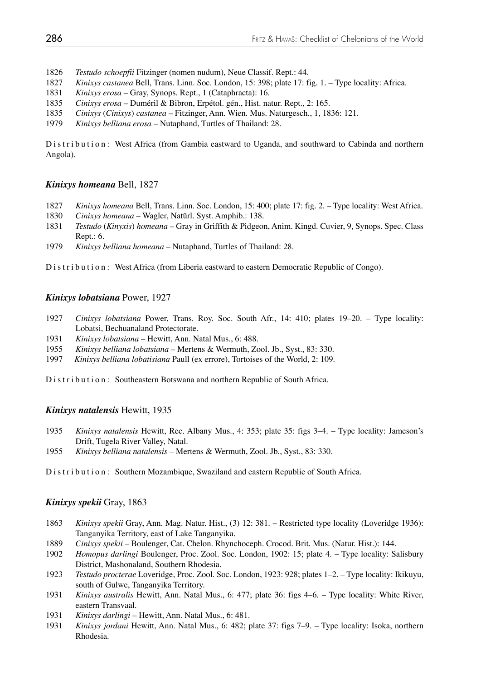- 1826 *Testudo schoepfii* Fitzinger (nomen nudum), Neue Classif. Rept.: 44.
- 1827 *Kinixys castanea* Bell, Trans. Linn. Soc. London, 15: 398; plate 17: fig. 1. Type locality: Africa.
- 1831 *Kinixys erosa*  Gray, Synops. Rept., 1 (Cataphracta): 16.
- 1835 *Cinixys erosa*  Duméril & Bibron, Erpétol. gén., Hist. natur. Rept., 2: 165.
- 1835 *Cinixys* (*Cinixys*) *castanea* Fitzinger, Ann. Wien. Mus. Naturgesch., 1, 1836: 121.
- 1979 *Kinixys belliana erosa*  Nutaphand, Turtles of Thailand: 28.

Distribution: West Africa (from Gambia eastward to Uganda, and southward to Cabinda and northern Angola).

### *Kinixys homeana* Bell, 1827

- 1827 *Kinixys homeana* Bell, Trans. Linn. Soc. London, 15: 400; plate 17: fig. 2. Type locality: West Africa.
- 1830 *Cinixys homeana* Wagler, Natürl. Syst. Amphib.: 138.
- 1831 *Testudo* (*Kinyxis*) *homeana*  Gray in Griffith & Pidgeon, Anim. Kingd. Cuvier, 9, Synops. Spec. Class Rept.: 6.
- 1979 *Kinixys belliana homeana* Nutaphand, Turtles of Thailand: 28.

Distribution: West Africa (from Liberia eastward to eastern Democratic Republic of Congo).

### *Kinixys lobatsiana* Power, 1927

- 1927 *Cinixys lobatsiana* Power, Trans. Roy. Soc. South Afr., 14: 410; plates 19–20. Type locality: Lobatsi, Bechuanaland Protectorate.
- 1931 *Kinixys lobatsiana* Hewitt, Ann. Natal Mus., 6: 488.
- 1955 *Kinixys belliana lobatsiana* Mertens & Wermuth, Zool. Jb., Syst., 83: 330.
- 1997 *Kinixys belliana lobatisiana* Paull (ex errore), Tortoises of the World, 2: 109.

Distribution: Southeastern Botswana and northern Republic of South Africa.

### *Kinixys natalensis* Hewitt, 1935

- 1935 *Kinixys natalensis* Hewitt, Rec. Albany Mus., 4: 353; plate 35: figs 3–4. Type locality: Jameson's Drift, Tugela River Valley, Natal.
- 1955 *Kinixys belliana natalensis*  Mertens & Wermuth, Zool. Jb., Syst., 83: 330.

Distribution: Southern Mozambique, Swaziland and eastern Republic of South Africa.

### *Kinixys spekii* Gray, 1863

- 1863 *Kinixys spekii* Gray, Ann. Mag. Natur. Hist., (3) 12: 381. Restricted type locality (Loveridge 1936): Tanganyika Territory, east of Lake Tanganyika.
- 1889 *Cinixys spekii* Boulenger, Cat. Chelon. Rhynchoceph. Crocod. Brit. Mus. (Natur. Hist.): 144.
- 1902 *Homopus darlingi* Boulenger, Proc. Zool. Soc. London, 1902: 15; plate 4. Type locality: Salisbury District, Mashonaland, Southern Rhodesia.
- 1923 *Testudo procterae* Loveridge, Proc. Zool. Soc. London, 1923: 928; plates 1–2. Type locality: Ikikuyu, south of Gulwe, Tanganyika Territory.
- 1931 *Kinixys australis* Hewitt, Ann. Natal Mus., 6: 477; plate 36: figs 4–6. Type locality: White River, eastern Transvaal.
- 1931 *Kinixys darlingi* Hewitt, Ann. Natal Mus., 6: 481.
- 1931 *Kinixys jordani* Hewitt, Ann. Natal Mus., 6: 482; plate 37: figs 7–9. Type locality: Isoka, northern Rhodesia.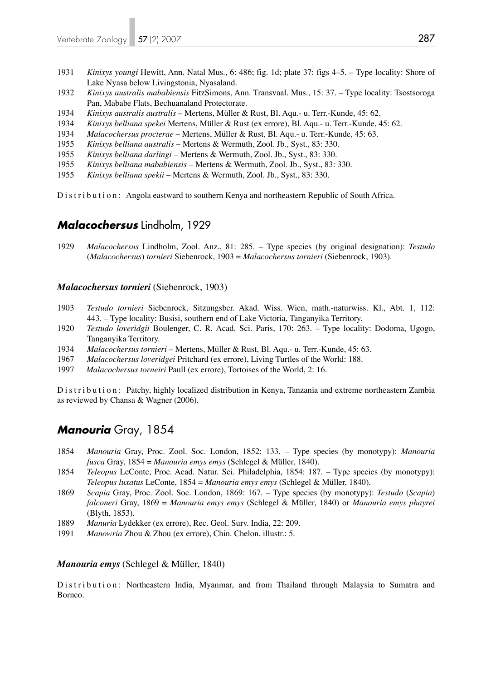- 1931 *Kinixys youngi* Hewitt, Ann. Natal Mus., 6: 486; fig. 1d; plate 37: figs 4–5. Type locality: Shore of Lake Nyasa below Livingstonia, Nyasaland.
- 1932 *Kinixys australis mababiensis* FitzSimons, Ann. Transvaal. Mus., 15: 37. Type locality: Tsostsoroga Pan, Mababe Flats, Bechuanaland Protectorate.
- 1934 *Kinixys australis australis*  Mertens, Müller & Rust, Bl. Aqu.- u. Terr.-Kunde, 45: 62.
- 1934 *Kinixys belliana spekei* Mertens, Müller & Rust (ex errore), Bl. Aqu.- u. Terr.-Kunde, 45: 62.
- 1934 *Malacochersus procterae* Mertens, Müller & Rust, Bl. Aqu.- u. Terr.-Kunde, 45: 63.
- 1955 *Kinixys belliana australis*  Mertens & Wermuth, Zool. Jb., Syst., 83: 330.
- 1955 *Kinixys belliana darlingi* Mertens & Wermuth, Zool. Jb., Syst., 83: 330.
- 1955 *Kinixys belliana mababiensis* Mertens & Wermuth, Zool. Jb., Syst., 83: 330.
- 1955 *Kinixys belliana spekii* Mertens & Wermuth, Zool. Jb., Syst., 83: 330.

Distribution: Angola eastward to southern Kenya and northeastern Republic of South Africa.

### *Malacochersus* Lindholm, 1929

1929 *Malacochersus* Lindholm, Zool. Anz., 81: 285. – Type species (by original designation): *Testudo*  (*Malacochersus*) *tornieri* Siebenrock, 1903 = *Malacochersus tornieri* (Siebenrock, 1903).

### *Malacochersus tornieri* (Siebenrock, 1903)

- 1903 *Testudo tornieri* Siebenrock, Sitzungsber. Akad. Wiss. Wien, math.-naturwiss. Kl., Abt. 1, 112: 443. – Type locality: Busisi, southern end of Lake Victoria, Tanganyika Territory.
- 1920 *Testudo loveridgii* Boulenger, C. R. Acad. Sci. Paris, 170: 263. Type locality: Dodoma, Ugogo, Tanganyika Territory.
- 1934 *Malacochersus tornieri* Mertens, Müller & Rust, Bl. Aqu.- u. Terr.-Kunde, 45: 63.
- 1967 *Malacochersus loveridgei* Pritchard (ex errore), Living Turtles of the World: 188.
- 1997 *Malacochersus torneiri* Paull (ex errore), Tortoises of the World, 2: 16.

Distribution: Patchy, highly localized distribution in Kenya, Tanzania and extreme northeastern Zambia as reviewed by Chansa & Wagner (2006).

# *Manouria* Gray, 1854

- 1854 *Manouria* Gray, Proc. Zool. Soc. London, 1852: 133. Type species (by monotypy): *Manouria fusca* Gray, 1854 = *Manouria emys emys* (Schlegel & Müller, 1840).
- 1854 *Teleopus* LeConte, Proc. Acad. Natur. Sci. Philadelphia, 1854: 187. Type species (by monotypy): *Teleopus luxatus* LeConte, 1854 = *Manouria emys emys* (Schlegel & Müller, 1840).
- 1869 *Scapia* Gray, Proc. Zool. Soc. London, 1869: 167. Type species (by monotypy): *Testudo* (*Scapia*)  *falconeri* Gray, 1869 = *Manouria emys emys* (Schlegel & Müller, 1840) or *Manouria emys phayrei*  (Blyth, 1853).
- 1889 *Manuria* Lydekker (ex errore), Rec. Geol. Surv. India, 22: 209.
- 1991 *Manowria* Zhou & Zhou (ex errore), Chin. Chelon. illustr.: 5.

### *Manouria emys* (Schlegel & Müller, 1840)

Distribution: Northeastern India, Myanmar, and from Thailand through Malaysia to Sumatra and Borneo.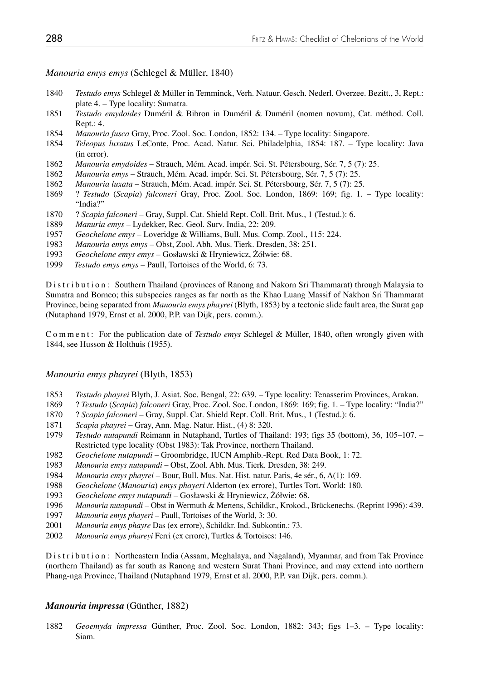### *Manouria emys emys* (Schlegel & Müller, 1840)

- 1840 *Testudo emys* Schlegel & Müller in Temminck, Verh. Natuur. Gesch. Nederl. Overzee. Bezitt., 3, Rept.: plate 4. – Type locality: Sumatra.
- 1851 *Testudo emydoides* Duméril & Bibron in Duméril & Duméril (nomen novum), Cat. méthod. Coll. Rept.: 4.
- 1854 *Manouria fusca* Gray, Proc. Zool. Soc. London, 1852: 134. Type locality: Singapore.
- 1854 *Teleopus luxatus* LeConte, Proc. Acad. Natur. Sci. Philadelphia, 1854: 187. Type locality: Java (in error).
- 1862 *Manouria emydoides* Strauch, Mém. Acad. impér. Sci. St. Pétersbourg, Sér. 7, 5 (7): 25.
- 1862 *Manouria emys* Strauch, Mém. Acad. impér. Sci. St. Pétersbourg, Sér. 7, 5 (7): 25.
- 1862 *Manouria luxata* Strauch, Mém. Acad. impér. Sci. St. Pétersbourg, Sér. 7, 5 (7): 25.
- 1869 ? *Testudo* (*Scapia*) *falconeri* Gray, Proc. Zool. Soc. London, 1869: 169; fig. 1. Type locality: "India?"
- 1870 ? *Scapia falconeri* Gray, Suppl. Cat. Shield Rept. Coll. Brit. Mus., 1 (Testud.): 6.
- 1889 *Manuria emys* Lydekker, Rec. Geol. Surv. India, 22: 209.
- 1957 *Geochelone emys* Loveridge & Williams, Bull. Mus. Comp. Zool., 115: 224.
- 1983 *Manouria emys emys* Obst, Zool. Abh. Mus. Tierk. Dresden, 38: 251.
- 1993 *Geochelone emys emys* Gosławski & Hryniewicz, Żółwie: 68.
- 1999 *Testudo emys emys* Paull, Tortoises of the World, 6: 73.

Distribution: Southern Thailand (provinces of Ranong and Nakorn Sri Thammarat) through Malaysia to Sumatra and Borneo; this subspecies ranges as far north as the Khao Luang Massif of Nakhon Sri Thammarat Province, being separated from *Manouria emys phayrei* (Blyth, 1853) by a tectonic slide fault area, the Surat gap (Nutaphand 1979, Ernst et al. 2000, P.P. van Dijk, pers. comm.).

C o m m e n t : For the publication date of *Testudo emys* Schlegel & Müller, 1840, often wrongly given with 1844, see Husson & Holthuis (1955).

### *Manouria emys phayrei* (Blyth, 1853)

- 1853 *Testudo phayrei* Blyth, J. Asiat. Soc. Bengal, 22: 639. Type locality: Tenasserim Provinces, Arakan.
- 1869 ? *Testudo* (*Scapia*) *falconeri* Gray, Proc. Zool. Soc. London, 1869: 169; fig. 1. Type locality: "India?"
- 1870 ? *Scapia falconeri* Gray, Suppl. Cat. Shield Rept. Coll. Brit. Mus., 1 (Testud.): 6.
- 1871 *Scapia phayrei* Gray, Ann. Mag. Natur. Hist., (4) 8: 320.
- 1979 *Testudo nutapundi* Reimann in Nutaphand, Turtles of Thailand: 193; figs 35 (bottom), 36, 105–107. Restricted type locality (Obst 1983): Tak Province, northern Thailand.<br>1982 Geochelone nutapundi – Groombridge. IUCN Amphib.-Rept. Red Dat
- 1982 *Geochelone nutapundi* Groombridge, IUCN Amphib.-Rept. Red Data Book, 1: 72.
- 1983 *Manouria emys nutapundi* Obst, Zool. Abh. Mus. Tierk. Dresden, 38: 249.
- 1984 *Manouria emys phayrei* Bour, Bull. Mus. Nat. Hist. natur. Paris, 4e sér., 6, A(1): 169.
- 1988 *Geochelone* (*Manouria*) *emys phayeri* Alderton (ex errore), Turtles Tort. World: 180.
- 1993 *Geochelone emys nutapundi* Gosławski & Hryniewicz, Żółwie: 68.
- 1996 *Manouria nutapundi* Obst in Wermuth & Mertens, Schildkr., Krokod., Brückenechs. (Reprint 1996): 439.
- 1997 *Manouria emys phayeri* Paull, Tortoises of the World, 3: 30.
- 2001 *Manouria emys phayre* Das (ex errore), Schildkr. Ind. Subkontin.: 73.
- 2002 *Manouria emys phareyi* Ferri (ex errore), Turtles & Tortoises: 146.

Distribution: Northeastern India (Assam, Meghalaya, and Nagaland), Myanmar, and from Tak Province (northern Thailand) as far south as Ranong and western Surat Thani Province, and may extend into northern Phang-nga Province, Thailand (Nutaphand 1979, Ernst et al. 2000, P.P. van Dijk, pers. comm.).

### *Manouria impressa* (Günther, 1882)

1882 *Geoemyda impressa* Günther, Proc. Zool. Soc. London, 1882: 343; figs 1–3. – Type locality: Siam.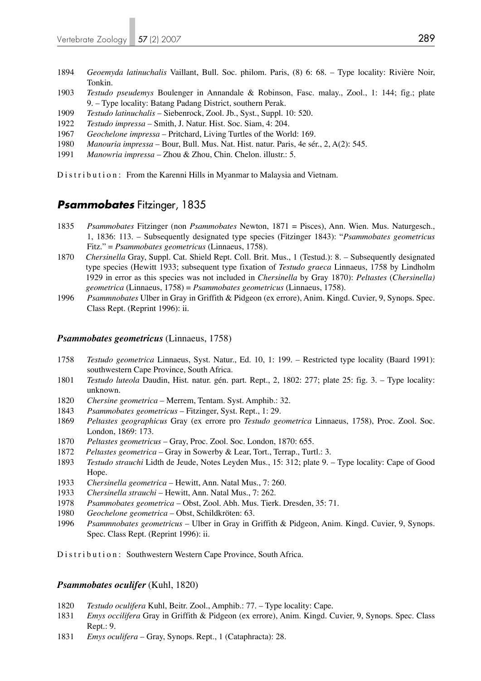- 1894 *Geoemyda latinuchalis* Vaillant, Bull. Soc. philom. Paris, (8) 6: 68. Type locality: Rivière Noir, Tonkin.
- 1903 *Testudo pseudemys* Boulenger in Annandale & Robinson, Fasc. malay., Zool., 1: 144; fig.; plate 9. – Type locality: Batang Padang District, southern Perak.
- 1909 *Testudo latinuchalis* Siebenrock, Zool. Jb., Syst., Suppl. 10: 520.
- 1922 *Testudo impressa* Smith, J. Natur. Hist. Soc. Siam, 4: 204.
- 1967 *Geochelone impressa* Pritchard, Living Turtles of the World: 169.
- 1980 *Manouria impressa* Bour, Bull. Mus. Nat. Hist. natur. Paris, 4e sér., 2, A(2): 545.
- 1991 *Manowria impressa* Zhou & Zhou, Chin. Chelon. illustr.: 5.

Distribution: From the Karenni Hills in Myanmar to Malaysia and Vietnam.

### *Psammobates* Fitzinger, 1835

- 1835 *Psammobates* Fitzinger (non *Psammobates* Newton, 1871 = Pisces), Ann. Wien. Mus. Naturgesch., 1, 1836: 113. – Subsequently designated type species (Fitzinger 1843): "*Psammobates geometricus*  Fitz." = *Psammobates geometricus* (Linnaeus, 1758).
- 1870 *Chersinella* Gray, Suppl. Cat. Shield Rept. Coll. Brit. Mus., 1 (Testud.): 8. Subsequently designated type species (Hewitt 1933; subsequent type fixation of *Testudo graeca* Linnaeus, 1758 by Lindholm 1929 in error as this species was not included in *Chersinella* by Gray 1870): *Peltastes* (*Chersinella) geometrica* (Linnaeus, 1758) = *Psammobates geometricus* (Linnaeus, 1758).
- 1996 *Psammnobates* Ulber in Gray in Griffith & Pidgeon (ex errore), Anim. Kingd. Cuvier, 9, Synops. Spec. Class Rept. (Reprint 1996): ii.

#### *Psammobates geometricus* (Linnaeus, 1758)

- 1758 *Testudo geometrica* Linnaeus, Syst. Natur., Ed. 10, 1: 199. Restricted type locality (Baard 1991): southwestern Cape Province, South Africa.
- 1801 *Testudo luteola* Daudin, Hist. natur. gén. part. Rept., 2, 1802: 277; plate 25: fig. 3. Type locality: unknown.
- 1820 *Chersine geometrica* Merrem, Tentam. Syst. Amphib.: 32.
- 1843 *Psammobates geometricus* Fitzinger, Syst. Rept., 1: 29.
- 1869 *Peltastes geographicus* Gray (ex errore pro *Testudo geometrica* Linnaeus, 1758), Proc. Zool. Soc. London, 1869: 173.
- 1870 *Peltastes geometricus* Gray, Proc. Zool. Soc. London, 1870: 655.
- 1872 *Peltastes geometrica* Gray in Sowerby & Lear, Tort., Terrap., Turtl.: 3.
- 1893 *Testudo strauchi* Lidth de Jeude, Notes Leyden Mus., 15: 312; plate 9. Type locality: Cape of Good Hope.<br>1933 Chers
- 1933 *Chersinella geometrica* Hewitt, Ann. Natal Mus., 7: 260.
- 1933 *Chersinella strauchi* Hewitt, Ann. Natal Mus., 7: 262.
- 1978 *Psammobates geometrica* Obst, Zool. Abh. Mus. Tierk. Dresden, 35: 71.
- 1980 *Geochelone geometrica*  Obst, Schildkröten: 63.
- 1996 *Psammnobates geometricus* Ulber in Gray in Griffith & Pidgeon, Anim. Kingd. Cuvier, 9, Synops. Spec. Class Rept. (Reprint 1996): ii.

Distribution: Southwestern Western Cape Province, South Africa.

### *Psammobates oculifer* (Kuhl, 1820)

- 1820 *Testudo oculifera* Kuhl, Beitr. Zool., Amphib.: 77. Type locality: Cape.
- 1831 *Emys occilifera* Gray in Griffith & Pidgeon (ex errore), Anim. Kingd. Cuvier, 9, Synops. Spec. Class Rept.: 9.
- 1831 *Emys oculifera* Gray, Synops. Rept., 1 (Cataphracta): 28.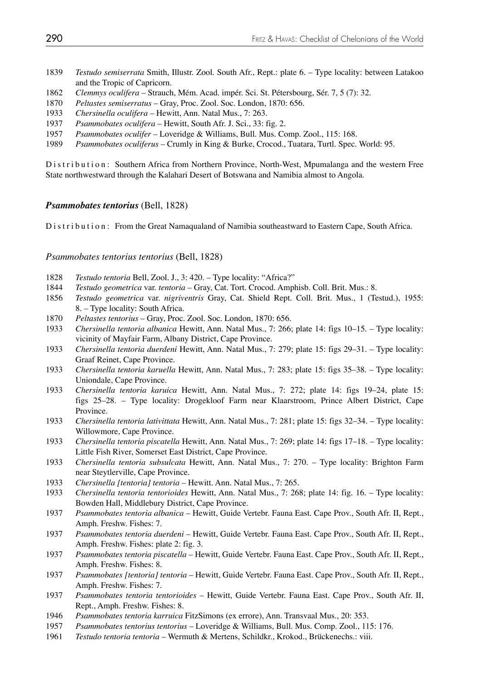- 1839 *Testudo semiserrata* Smith, Illustr. Zool. South Afr., Rept.: plate 6. Type locality: between Latakoo and the Tropic of Capricorn.
- 1862 *Clemmys oculifera* Strauch, Mém. Acad. impér. Sci. St. Pétersbourg, Sér. 7, 5 (7): 32.
- 1870 *Peltastes semiserratus* Gray, Proc. Zool. Soc. London, 1870: 656.
- 1933 *Chersinella oculifera* Hewitt, Ann. Natal Mus., 7: 263.
- 1937 *Psammobates oculifera* Hewitt, South Afr. J. Sci., 33: fig. 2.
- 1957 *Psammobates oculifer* Loveridge & Williams, Bull. Mus. Comp. Zool., 115: 168.
- 1989 *Psammobates oculiferus* Crumly in King & Burke, Crocod., Tuatara, Turtl. Spec. World: 95.

Distribution: Southern Africa from Northern Province, North-West, Mpumalanga and the western Free State northwestward through the Kalahari Desert of Botswana and Namibia almost to Angola.

### *Psammobates tentorius* (Bell, 1828)

Distribution: From the Great Namaqualand of Namibia southeastward to Eastern Cape, South Africa.

### *Psammobates tentorius tentorius* (Bell, 1828)

- 1828 *Testudo tentoria* Bell, Zool. J., 3: 420. Type locality: "Africa?"
- 1844 *Testudo geometrica* var. *tentoria*  Gray, Cat. Tort. Crocod. Amphisb. Coll. Brit. Mus.: 8.
- 1856 *Testudo geometrica* var. *nigriventris* Gray, Cat. Shield Rept. Coll. Brit. Mus., 1 (Testud.), 1955: 8. – Type locality: South Africa.
- 1870 *Peltastes tentorius* Gray, Proc. Zool. Soc. London, 1870: 656.
- 1933 *Chersinella tentoria albanica* Hewitt, Ann. Natal Mus., 7: 266; plate 14: figs 10–15. Type locality: vicinity of Mayfair Farm, Albany District, Cape Province.
- 1933 *Chersinella tentoria duerdeni* Hewitt, Ann. Natal Mus., 7: 279; plate 15: figs 29–31. Type locality: Graaf Reinet, Cape Province.
- 1933 *Chersinella tentoria karuella* Hewitt, Ann. Natal Mus., 7: 283; plate 15: figs 35–38. Type locality: Uniondale, Cape Province.
- 1933 *Chersinella tentoria karuica* Hewitt, Ann. Natal Mus., 7: 272; plate 14: figs 19–24, plate 15: figs 25–28. – Type locality: Drogekloof Farm near Klaarstroom, Prince Albert District, Cape Province.
- 1933 *Chersinella tentoria lativittata* Hewitt, Ann. Natal Mus., 7: 281; plate 15: figs 32–34. Type locality: Willowmore, Cape Province.
- 1933 *Chersinella tentoria piscatella* Hewitt, Ann. Natal Mus., 7: 269; plate 14: figs 17–18. Type locality: Little Fish River, Somerset East District, Cape Province.
- 1933 *Chersinella tentoria subsulcata* Hewitt, Ann. Natal Mus., 7: 270. Type locality: Brighton Farm near Steytlerville, Cape Province.<br>1933 *Chersinella Itentorial tentoria* – H
- 1933 *Chersinella [tentoria] tentoria*  Hewitt. Ann. Natal Mus., 7: 265.
- 1933 *Chersinella tentoria tentorioides* Hewitt, Ann. Natal Mus., 7: 268; plate 14: fig. 16. Type locality: Bowden Hall, Middlebury District, Cape Province.
- 1937 *Psammobates tentoria albanica*  Hewitt, Guide Vertebr. Fauna East. Cape Prov., South Afr. II, Rept., Amph. Freshw. Fishes: 7.
- 1937 *Psammobates tentoria duerdeni*  Hewitt, Guide Vertebr. Fauna East. Cape Prov., South Afr. II, Rept., Amph. Freshw. Fishes: plate 2: fig. 3.
- 1937 *Psammobates tentoria piscatella*  Hewitt, Guide Vertebr. Fauna East. Cape Prov., South Afr. II, Rept., Amph. Freshw. Fishes: 8.
- 1937 *Psammobates [tentoria] tentoria*  Hewitt, Guide Vertebr. Fauna East. Cape Prov., South Afr. II, Rept., Amph. Freshw. Fishes: 7.
- 1937 *Psammobates tentoria tentorioides*  Hewitt, Guide Vertebr. Fauna East. Cape Prov., South Afr. II, Rept., Amph. Freshw. Fishes: 8.
- 1946 *Psammobates tentoria karruica* FitzSimons (ex errore), Ann. Transvaal Mus., 20: 353.
- 1957 *Psammobates tentorius tentorius*  Loveridge & Williams, Bull. Mus. Comp. Zool., 115: 176.
- 1961 *Testudo tentoria tentoria*  Wermuth & Mertens, Schildkr., Krokod., Brückenechs.: viii.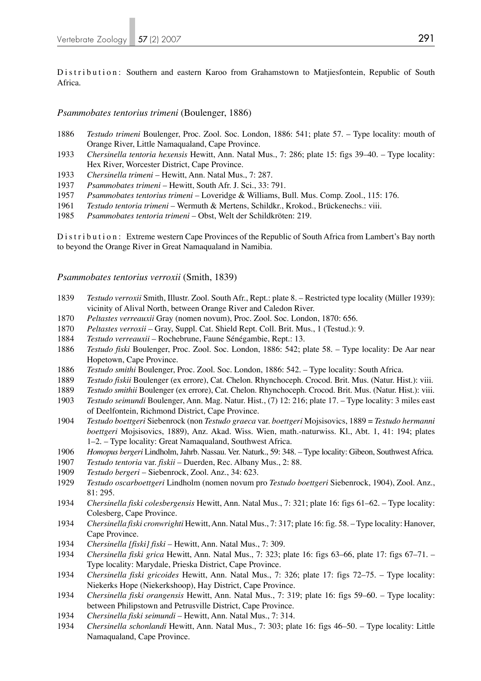Distribution: Southern and eastern Karoo from Grahamstown to Matjiesfontein, Republic of South Africa.

### *Psammobates tentorius trimeni* (Boulenger, 1886)

- 1886 *Testudo trimeni* Boulenger, Proc. Zool. Soc. London, 1886: 541; plate 57. Type locality: mouth of Orange River, Little Namaqualand, Cape Province.
- 1933 *Chersinella tentoria hexensis* Hewitt, Ann. Natal Mus., 7: 286; plate 15: figs 39–40. Type locality: Hex River, Worcester District, Cape Province.
- 1933 *Chersinella trimeni* Hewitt, Ann. Natal Mus., 7: 287.
- 1937 *Psammobates trimeni* Hewitt, South Afr. J. Sci., 33: 791.
- 1957 *Psammobates tentorius trimeni*  Loveridge & Williams, Bull. Mus. Comp. Zool., 115: 176.
- 1961 *Testudo tentoria trimeni*  Wermuth & Mertens, Schildkr., Krokod., Brückenechs.: viii.
- 1985 *Psammobates tentoria trimeni* Obst, Welt der Schildkröten: 219.

Distribution: Extreme western Cape Provinces of the Republic of South Africa from Lambert's Bay north to beyond the Orange River in Great Namaqualand in Namibia.

#### *Psammobates tentorius verroxii* (Smith, 1839)

- 1839 *Testudo verroxii* Smith, Illustr. Zool. South Afr., Rept.: plate 8. Restricted type locality (Müller 1939): vicinity of Alival North, between Orange River and Caledon River.
- 1870 *Peltastes verreauxii* Gray (nomen novum), Proc. Zool. Soc. London, 1870: 656.
- 1870 *Peltastes verroxii* Gray, Suppl. Cat. Shield Rept. Coll. Brit. Mus., 1 (Testud.): 9.
- 1884 *Testudo verreauxii*  Rochebrune, Faune Sénégambie, Rept.: 13.
- 1886 *Testudo fiski* Boulenger, Proc. Zool. Soc. London, 1886: 542; plate 58. Type locality: De Aar near Hopetown, Cape Province.
- 1886 *Testudo smithi* Boulenger, Proc. Zool. Soc. London, 1886: 542. Type locality: South Africa.
- 1889 *Testudo fiskii* Boulenger (ex errore), Cat. Chelon. Rhynchoceph. Crocod. Brit. Mus. (Natur. Hist.): viii.
- 1889 *Testudo smithii* Boulenger (ex errore), Cat. Chelon. Rhynchoceph. Crocod. Brit. Mus. (Natur. Hist.): viii.
- 1903 *Testudo seimundi* Boulenger, Ann. Mag. Natur. Hist., (7) 12: 216; plate 17. Type locality: 3 miles east of Deelfontein, Richmond District, Cape Province.
- 1904 *Testudo boettgeri* Siebenrock (non *Testudo graeca* var. *boettgeri* Mojsisovics, 1889 = *Testudo hermanni boettgeri* Mojsisovics, 1889), Anz. Akad. Wiss. Wien, math.-naturwiss. Kl., Abt. 1, 41: 194; plates 1–2. – Type locality: Great Namaqualand, Southwest Africa.
- 1906 *Homopus bergeri* Lindholm, Jahrb. Nassau. Ver. Naturk., 59: 348. Type locality: Gibeon, Southwest Africa.
- 1907 *Testudo tentoria* var. *fiskii* Duerden, Rec. Albany Mus., 2: 88.
- 1909 *Testudo bergeri* Siebenrock, Zool. Anz., 34: 623.
- 1929 *Testudo oscarboettgeri* Lindholm (nomen novum pro *Testudo boettgeri* Siebenrock, 1904), Zool. Anz., 81: 295.
- 1934 *Chersinella fiski colesbergensis* Hewitt, Ann. Natal Mus., 7: 321; plate 16: figs 61–62. Type locality: Colesberg, Cape Province.
- 1934 *Chersinella fiski cronwrighti* Hewitt, Ann. Natal Mus., 7: 317; plate 16: fig. 58. Type locality: Hanover, Cape Province.
- 1934 *Chersinella [fiski] fiski*  Hewitt, Ann. Natal Mus., 7: 309.
- 1934 *Chersinella fiski grica* Hewitt, Ann. Natal Mus., 7: 323; plate 16: figs 63–66, plate 17: figs 67–71. Type locality: Marydale, Prieska District, Cape Province.
- 1934 *Chersinella fiski gricoides* Hewitt, Ann. Natal Mus., 7: 326; plate 17: figs 72–75. Type locality: Niekerks Hope (Niekerkshoop), Hay District, Cape Province.
- 1934 *Chersinella fiski orangensis* Hewitt, Ann. Natal Mus., 7: 319; plate 16: figs 59–60. Type locality: between Philipstown and Petrusville District, Cape Province.
- 1934 *Chersinella fiski seimundi* Hewitt, Ann. Natal Mus., 7: 314.
- 1934 *Chersinella schonlandi* Hewitt, Ann. Natal Mus., 7: 303; plate 16: figs 46–50. Type locality: Little Namaqualand, Cape Province.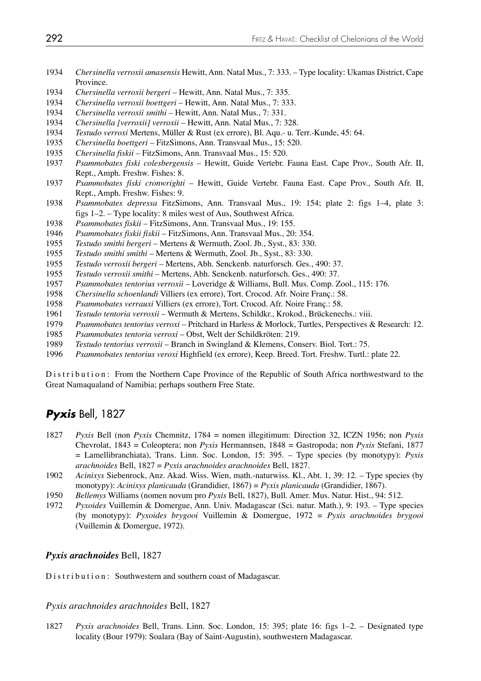- *Chersinella verroxii amasensis* Hewitt, Ann. Natal Mus., 7: 333. Type locality: Ukamas District, Cape Province.
- *Chersinella verroxii bergeri*  Hewitt, Ann. Natal Mus., 7: 335.
- *Chersinella verroxii boettgeri*  Hewitt, Ann. Natal Mus., 7: 333.
- *Chersinella verroxii smithi*  Hewitt, Ann. Natal Mus., 7: 331.
- *Chersinella [verroxii] verroxii*  Hewitt, Ann. Natal Mus., 7: 328.
- *Testudo verroxi* Mertens, Müller & Rust (ex errore), Bl. Aqu.- u. Terr.-Kunde, 45: 64.
- *Chersinella boettgeri* FitzSimons, Ann. Transvaal Mus., 15: 520.
- *Chersinella fiskii* FitzSimons, Ann. Transvaal Mus., 15: 520.
- *Psammobates fiski colesbergensis* Hewitt, Guide Vertebr. Fauna East. Cape Prov., South Afr. II, Rept., Amph. Freshw. Fishes: 8.
- *Psammobates fiski cronwrighti* Hewitt, Guide Vertebr. Fauna East. Cape Prov., South Afr. II, Rept., Amph. Freshw. Fishes: 9.
- *Psammobates depressa* FitzSimons, Ann. Transvaal Mus., 19: 154; plate 2: figs 1–4, plate 3: figs 1–2. – Type locality: 8 miles west of Aus, Southwest Africa.
- *Psammobates fiskii* FitzSimons, Ann. Transvaal Mus., 19: 155.
- *Psammobates fiskii fiskii* FitzSimons, Ann. Transvaal Mus., 20: 354.
- *Testudo smithi bergeri*  Mertens & Wermuth, Zool. Jb., Syst., 83: 330.
- *Testudo smithi smithi*  Mertens & Wermuth, Zool. Jb., Syst., 83: 330.
- *Testudo verroxii bergeri* Mertens, Abh. Senckenb. naturforsch. Ges., 490: 37.
- *Testudo verroxii smithi* Mertens, Abh. Senckenb. naturforsch. Ges., 490: 37.
- *Psammobates tentorius verroxii*  Loveridge & Williams, Bull. Mus. Comp. Zool., 115: 176.
- *Chersinella schoenlandi* Villiers (ex errore), Tort. Crocod. Afr. Noire Franç.: 58.
- *Psammobates verrauxi* Villiers (ex errore), Tort. Crocod. Afr. Noire Franç.: 58.
- *Testudo tentoria verroxii*  Wermuth & Mertens, Schildkr., Krokod., Brückenechs.: viii.
- *Psammobates tentorius verroxi* Pritchard in Harless & Morlock, Turtles, Perspectives & Research: 12.
- *Psammobates tentoria verroxi*  Obst, Welt der Schildkröten: 219.
- *Testudo tentorius verroxii*  Branch in Swingland & Klemens, Conserv. Biol. Tort.: 75.
- *Psammobates tentorius veroxi* Highfield (ex errore), Keep. Breed. Tort. Freshw. Turtl.: plate 22.

Distribution: From the Northern Cape Province of the Republic of South Africa northwestward to the Great Namaqualand of Namibia; perhaps southern Free State.

# *Pyxis* Bell, 1827

- *Pyxis* Bell (non *Pyxis* Chemnitz, 1784 = nomen illegitimum: Direction 32, ICZN 1956; non *Pyxis* Chevrolat, 1843 = Coleoptera; non *Pyxis* Hermannsen, 1848 = Gastropoda; non *Pyxis* Stefani, 1877 = Lamellibranchiata), Trans. Linn. Soc. London, 15: 395. – Type species (by monotypy): *Pyxis arachnoides* Bell, 1827 = *Pyxis arachnoides arachnoides* Bell, 1827.
- *Acinixys* Siebenrock, Anz. Akad. Wiss. Wien, math.-naturwiss. Kl., Abt. 1, 39: 12. Type species (by monotypy): *Acinixys planicauda* (Grandidier, 1867) = *Pyxis planicauda* (Grandidier, 1867).
- *Bellemys* Williams (nomen novum pro *Pyxis* Bell, 1827), Bull. Amer. Mus. Natur. Hist., 94: 512.
- *Pyxoides* Vuillemin & Domergue, Ann. Univ. Madagascar (Sci. natur. Math.), 9: 193. Type species (by monotypy): *Pyxoides brygooi* Vuillemin & Domergue, 1972 = *Pyxis arachnoides brygooi*  (Vuillemin & Domergue, 1972).

## *Pyxis arachnoides* Bell, 1827

Distribution: Southwestern and southern coast of Madagascar.

## *Pyxis arachnoides arachnoides* Bell, 1827

*Pyxis arachnoides* Bell, Trans. Linn. Soc. London, 15: 395; plate 16: figs 1–2. – Designated type locality (Bour 1979): Soalara (Bay of Saint-Augustin), southwestern Madagascar.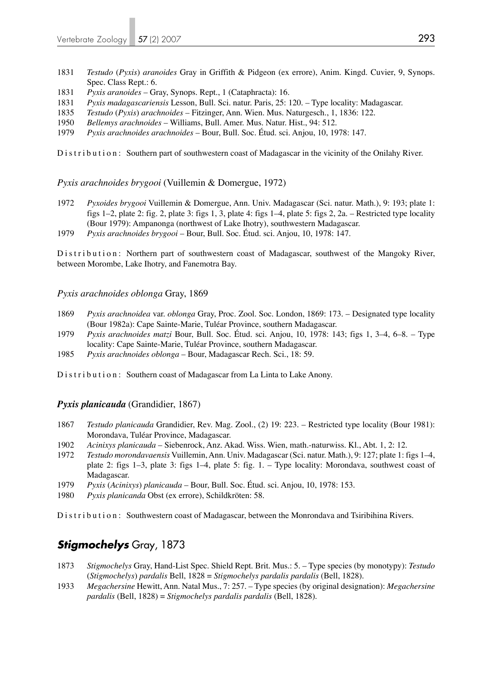- 1831 *Testudo* (*Pyxis*) *aranoides* Gray in Griffith & Pidgeon (ex errore), Anim. Kingd. Cuvier, 9, Synops. Spec. Class Rept.: 6.
- 1831 *Pyxis aranoides* Gray, Synops. Rept., 1 (Cataphracta): 16.
- 1831 *Pyxis madagascariensis* Lesson, Bull. Sci. natur. Paris, 25: 120. Type locality: Madagascar.
- 1835 *Testudo* (*Pyxis*) *arachnoides* Fitzinger, Ann. Wien. Mus. Naturgesch., 1, 1836: 122.
- 1950 *Bellemys arachnoides* Williams, Bull. Amer. Mus. Natur. Hist., 94: 512.
- 1979 *Pyxis arachnoides arachnoides* Bour, Bull. Soc. Étud. sci. Anjou, 10, 1978: 147.

Distribution: Southern part of southwestern coast of Madagascar in the vicinity of the Onilahy River.

*Pyxis arachnoides brygooi* (Vuillemin & Domergue, 1972)

- 1972 *Pyxoides brygooi* Vuillemin & Domergue, Ann. Univ. Madagascar (Sci. natur. Math.), 9: 193; plate 1: figs 1–2, plate 2: fig. 2, plate 3: figs 1, 3, plate 4: figs 1–4, plate 5: figs 2, 2a. – Restricted type locality (Bour 1979): Ampanonga (northwest of Lake Ihotry), southwestern Madagascar.
- 1979 *Pyxis arachnoides brygooi* Bour, Bull. Soc. Étud. sci. Anjou, 10, 1978: 147.

Distribution: Northern part of southwestern coast of Madagascar, southwest of the Mangoky River, between Morombe, Lake Ihotry, and Fanemotra Bay.

## *Pyxis arachnoides oblonga* Gray, 1869

- 1869 *Pyxis arachnoidea* var. *oblonga* Gray, Proc. Zool. Soc. London, 1869: 173. Designated type locality (Bour 1982a): Cape Sainte-Marie, Tuléar Province, southern Madagascar.
- 1979 *Pyxis arachnoides matzi* Bour, Bull. Soc. Étud. sci. Anjou, 10, 1978: 143; figs 1, 3–4, 6–8. Type locality: Cape Sainte-Marie, Tuléar Province, southern Madagascar.
- 1985 *Pyxis arachnoides oblonga* Bour, Madagascar Rech. Sci., 18: 59.
- Distribution: Southern coast of Madagascar from La Linta to Lake Anony.

## *Pyxis planicauda* (Grandidier, 1867)

- 1867 *Testudo planicauda* Grandidier, Rev. Mag. Zool., (2) 19: 223. Restricted type locality (Bour 1981): Morondava, Tuléar Province, Madagascar.
- 1902 *Acinixys planicauda* Siebenrock, Anz. Akad. Wiss. Wien, math.-naturwiss. Kl., Abt. 1, 2: 12.
- 1972 *Testudo morondavaensis* Vuillemin, Ann. Univ. Madagascar (Sci. natur. Math.), 9: 127; plate 1: figs 1–4, plate 2: figs 1–3, plate 3: figs 1–4, plate 5: fig. 1. – Type locality: Morondava, southwest coast of Madagascar.
- 1979 *Pyxis* (*Acinixys*) *planicauda* Bour, Bull. Soc. Étud. sci. Anjou, 10, 1978: 153.
- 1980 *Pyxis planicanda* Obst (ex errore), Schildkröten: 58.

Distribution: Southwestern coast of Madagascar, between the Monrondava and Tsiribihina Rivers.

# *Stigmochelys* Gray, 1873

- 1873 *Stigmochelys* Gray, Hand-List Spec. Shield Rept. Brit. Mus.: 5. Type species (by monotypy): *Testudo*  (*Stigmochelys*) *pardalis* Bell, 1828 = *Stigmochelys pardalis pardalis* (Bell, 1828).
- 1933 *Megachersine* Hewitt, Ann. Natal Mus., 7: 257. Type species (by original designation): *Megachersine pardalis* (Bell, 1828) = *Stigmochelys pardalis pardalis* (Bell, 1828).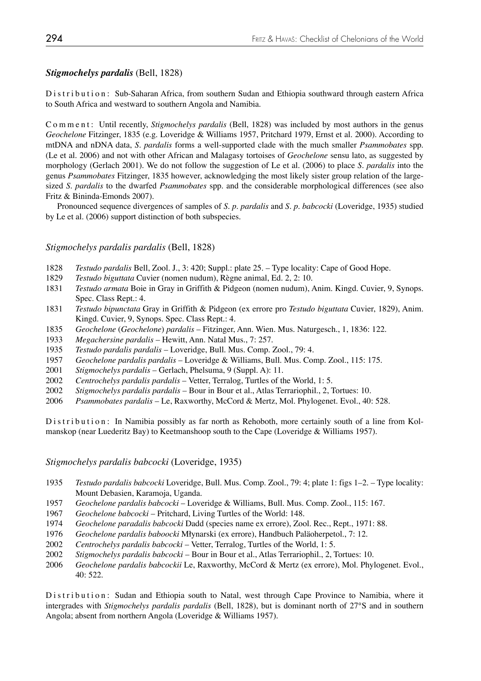## *Stigmochelys pardalis* (Bell, 1828)

Distribution: Sub-Saharan Africa, from southern Sudan and Ethiopia southward through eastern Africa to South Africa and westward to southern Angola and Namibia.

C o m m e n t : Until recently, *Stigmochelys pardalis* (Bell, 1828) was included by most authors in the genus *Geochelone* Fitzinger, 1835 (e.g. Loveridge & Williams 1957, Pritchard 1979, Ernst et al. 2000). According to mtDNA and nDNA data, *S. pardalis* forms a well-supported clade with the much smaller *Psammobates* spp. (Le et al. 2006) and not with other African and Malagasy tortoises of *Geochelone* sensu lato, as suggested by morphology (Gerlach 2001). We do not follow the suggestion of Le et al. (2006) to place *S. pardalis* into the genus *Psammobates* Fitzinger, 1835 however, acknowledging the most likely sister group relation of the largesized *S. pardalis* to the dwarfed *Psammobates* spp. and the considerable morphological differences (see also Fritz & Bininda-Emonds 2007).

 Pronounced sequence divergences of samples of *S. p. pardalis* and *S. p. babcocki* (Loveridge, 1935) studied by Le et al. (2006) support distinction of both subspecies.

## *Stigmochelys pardalis pardalis* (Bell, 1828)

- 1828 *Testudo pardalis* Bell, Zool. J., 3: 420; Suppl.: plate 25. Type locality: Cape of Good Hope.
- 1829 *Testudo biguttata* Cuvier (nomen nudum), Règne animal, Ed. 2, 2: 10.
- 1831 *Testudo armata* Boie in Gray in Griffith & Pidgeon (nomen nudum), Anim. Kingd. Cuvier, 9, Synops. Spec. Class Rept.: 4.
- 1831 *Testudo bipunctata* Gray in Griffith & Pidgeon (ex errore pro *Testudo biguttata* Cuvier, 1829), Anim. Kingd. Cuvier, 9, Synops. Spec. Class Rept.: 4.
- 1835 *Geochelone* (*Geochelone*) *pardalis* Fitzinger, Ann. Wien. Mus. Naturgesch., 1, 1836: 122.
- 1933 *Megachersine pardalis* Hewitt, Ann. Natal Mus., 7: 257.
- 1935 *Testudo pardalis pardalis*  Loveridge, Bull. Mus. Comp. Zool., 79: 4.
- 1957 *Geochelone pardalis pardalis*  Loveridge & Williams, Bull. Mus. Comp. Zool., 115: 175.
- 2001 *Stigmochelys pardalis* Gerlach, Phelsuma, 9 (Suppl. A): 11.
- 2002 *Centrochelys pardalis pardalis* Vetter, Terralog, Turtles of the World, 1: 5.
- 2002 *Stigmochelys pardalis pardalis* Bour in Bour et al., Atlas Terrariophil., 2, Tortues: 10.
- 2006 *Psammobates pardalis*  Le, Raxworthy, McCord & Mertz, Mol. Phylogenet. Evol., 40: 528.

D is tribution: In Namibia possibly as far north as Rehoboth, more certainly south of a line from Kolmanskop (near Luederitz Bay) to Keetmanshoop south to the Cape (Loveridge & Williams 1957).

## *Stigmochelys pardalis babcocki* (Loveridge, 1935)

- 1935 *Testudo pardalis babcocki* Loveridge, Bull. Mus. Comp. Zool., 79: 4; plate 1: figs 1–2. Type locality: Mount Debasien, Karamoja, Uganda.
- 1957 *Geochelone pardalis babcocki*  Loveridge & Williams, Bull. Mus. Comp. Zool., 115: 167.
- 1967 *Geochelone babcocki*  Pritchard, Living Turtles of the World: 148.
- 1974 *Geochelone paradalis babcocki* Dadd (species name ex errore), Zool. Rec., Rept., 1971: 88.
- 1976 *Geochelone pardalis baboocki* Młynarski (ex errore), Handbuch Paläoherpetol., 7: 12.
- 2002 *Centrochelys pardalis babcocki* Vetter, Terralog, Turtles of the World, 1: 5.
- 2002 *Stigmochelys pardalis babcocki* Bour in Bour et al., Atlas Terrariophil., 2, Tortues: 10.
- 2006 *Geochelone pardalis babcockii* Le, Raxworthy, McCord & Mertz (ex errore), Mol. Phylogenet. Evol., 40: 522.

Distribution: Sudan and Ethiopia south to Natal, west through Cape Province to Namibia, where it intergrades with *Stigmochelys pardalis pardalis* (Bell, 1828), but is dominant north of 27°S and in southern Angola; absent from northern Angola (Loveridge & Williams 1957).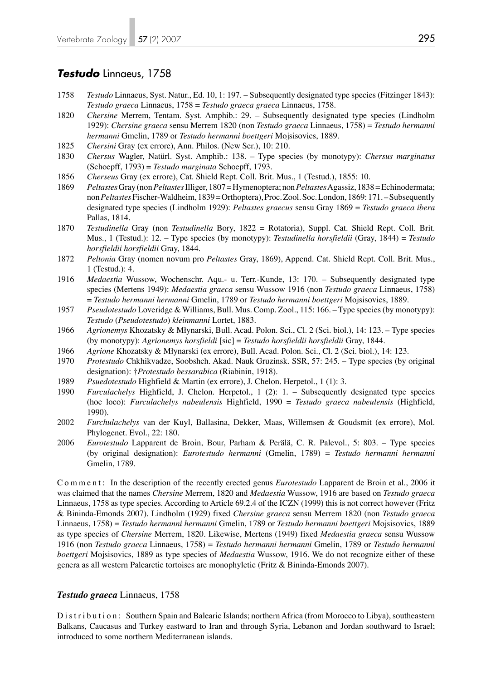## *Testudo* Linnaeus, 1758

- 1758 *Testudo* Linnaeus, Syst. Natur., Ed. 10, 1: 197. Subsequently designated type species (Fitzinger 1843): *Testudo graeca* Linnaeus, 1758 = *Testudo graeca graeca* Linnaeus, 1758.
- 1820 *Chersine* Merrem, Tentam. Syst. Amphib.: 29. Subsequently designated type species (Lindholm 1929): *Chersine graeca* sensu Merrem 1820 (non *Testudo graeca* Linnaeus, 1758) = *Testudo hermanni hermanni* Gmelin, 1789 or *Testudo hermanni boettgeri* Mojsisovics, 1889.
- 1825 *Chersini* Gray (ex errore), Ann. Philos. (New Ser.), 10: 210.
- 1830 *Chersus* Wagler, Natürl. Syst. Amphib.: 138. Type species (by monotypy): *Chersus marginatus*  (Schoepff, 1793) = *Testudo marginata* Schoepff, 1793.
- 1856 *Cherseus* Gray (ex errore), Cat. Shield Rept. Coll. Brit. Mus., 1 (Testud.), 1855: 10.
- 1869 *Peltastes* Gray (non *Peltastes* Illiger, 1807 = Hymenoptera; non *Peltastes* Agassiz, 1838 = Echinodermata; non *Peltastes* Fischer-Waldheim, 1839 = Orthoptera), Proc. Zool. Soc. London, 1869: 171. – Subsequently designated type species (Lindholm 1929): *Peltastes graecus* sensu Gray 1869 = *Testudo graeca ibera* Pallas, 1814.
- 1870 *Testudinella* Gray (non *Testudinella* Bory, 1822 = Rotatoria), Suppl. Cat. Shield Rept. Coll. Brit. Mus., 1 (Testud.): 12. – Type species (by monotypy): *Testudinella horsfieldii* (Gray, 1844) = *Testudo horsfieldii horsfieldii* Gray, 1844.
- 1872 *Peltonia* Gray (nomen novum pro *Peltastes* Gray, 1869), Append. Cat. Shield Rept. Coll. Brit. Mus., 1 (Testud.): 4.
- 1916 *Medaestia* Wussow, Wochenschr. Aqu.- u. Terr.-Kunde, 13: 170. Subsequently designated type species (Mertens 1949): *Medaestia graeca* sensu Wussow 1916 (non *Testudo graeca* Linnaeus, 1758) = *Testudo hermanni hermanni* Gmelin, 1789 or *Testudo hermanni boettgeri* Mojsisovics, 1889.
- 1957 *Pseudotestudo* Loveridge & Williams, Bull. Mus. Comp. Zool., 115: 166. Type species (by monotypy): *Testudo* (*Pseudotestudo*) *kleinmanni* Lortet, 1883.
- 1966 *Agrionemys* Khozatsky & Młynarski, Bull. Acad. Polon. Sci., Cl. 2 (Sci. biol.), 14: 123. Type species (by monotypy): *Agrionemys horsfieldi* [sic] = *Testudo horsfieldii horsfieldii* Gray, 1844.
- 1966 *Agrione* Khozatsky & Młynarski (ex errore), Bull. Acad. Polon. Sci., Cl. 2 (Sci. biol.), 14: 123.
- 1970 *Protestudo* Chkhikvadze, Soobshch. Akad. Nauk Gruzinsk. SSR, 57: 245. Type species (by original designation): †*Protestudo bessarabica* (Riabinin, 1918).
- 1989 *Psuedotestudo* Highfield & Martin (ex errore), J. Chelon. Herpetol., 1 (1): 3.
- 1990 *Furculachelys* Highfield, J. Chelon. Herpetol., 1 (2): 1. Subsequently designated type species (hoc loco): *Furculachelys nabeulensis* Highfield, 1990 = *Testudo graeca nabeulensis* (Highfield, 1990).
- 2002 *Furchulachelys* van der Kuyl, Ballasina, Dekker, Maas, Willemsen & Goudsmit (ex errore), Mol. Phylogenet. Evol., 22: 180.
- 2006 *Eurotestudo* Lapparent de Broin, Bour, Parham & Perälä, C. R. Palevol., 5: 803. Type species (by original designation): *Eurotestudo hermanni* (Gmelin, 1789) = *Testudo hermanni hermanni* Gmelin, 1789.

C o m m e n t : In the description of the recently erected genus *Eurotestudo* Lapparent de Broin et al., 2006 it was claimed that the names *Chersine* Merrem, 1820 and *Medaestia* Wussow, 1916 are based on *Testudo graeca* Linnaeus, 1758 as type species. According to Article 69.2.4 of the ICZN (1999) this is not correct however (Fritz & Bininda-Emonds 2007). Lindholm (1929) fixed *Chersine graeca* sensu Merrem 1820 (non *Testudo graeca* Linnaeus, 1758) = *Testudo hermanni hermanni* Gmelin, 1789 or *Testudo hermanni boettgeri* Mojsisovics, 1889 as type species of *Chersine* Merrem, 1820. Likewise, Mertens (1949) fixed *Medaestia graeca* sensu Wussow 1916 (non *Testudo graeca* Linnaeus, 1758) = *Testudo hermanni hermanni* Gmelin, 1789 or *Testudo hermanni boettgeri* Mojsisovics, 1889 as type species of *Medaestia* Wussow, 1916. We do not recognize either of these genera as all western Palearctic tortoises are monophyletic (Fritz & Bininda-Emonds 2007).

#### *Testudo graeca* Linnaeus, 1758

Distribution: Southern Spain and Balearic Islands; northern Africa (from Morocco to Libya), southeastern Balkans, Caucasus and Turkey eastward to Iran and through Syria, Lebanon and Jordan southward to Israel; introduced to some northern Mediterranean islands.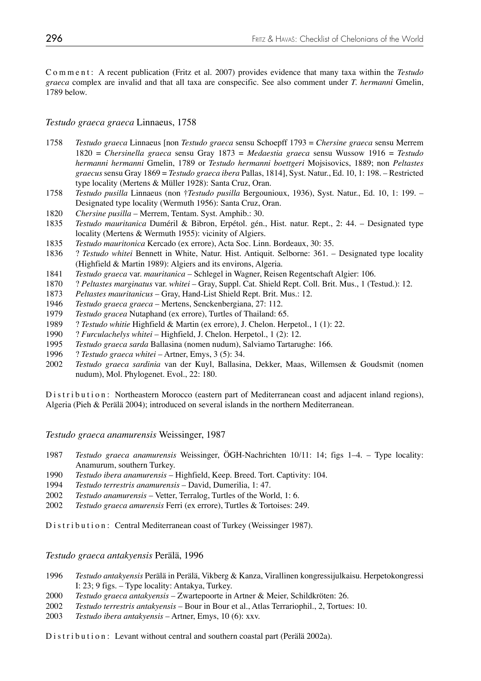C o m m e n t : A recent publication (Fritz et al. 2007) provides evidence that many taxa within the *Testudo graeca* complex are invalid and that all taxa are conspecific. See also comment under *T. hermanni* Gmelin, 1789 below.

## *Testudo graeca graeca* Linnaeus, 1758

- 1758 *Testudo graeca* Linnaeus [non *Testudo graeca* sensu Schoepff 1793 = *Chersine graeca* sensu Merrem 1820 = *Chersinella graeca* sensu Gray 1873 = *Medaestia graeca* sensu Wussow 1916 = *Testudo hermanni hermanni* Gmelin, 1789 or *Testudo hermanni boettgeri* Mojsisovics, 1889; non *Peltastes graecus* sensu Gray 1869 = *Testudo graeca ibera* Pallas, 1814], Syst. Natur., Ed. 10, 1: 198. – Restricted type locality (Mertens & Müller 1928): Santa Cruz, Oran.
- 1758 *Testudo pusilla* Linnaeus (non †*Testudo pusilla* Bergounioux, 1936), Syst. Natur., Ed. 10, 1: 199. Designated type locality (Wermuth 1956): Santa Cruz, Oran.
- 1820 *Chersine pusilla* Merrem, Tentam. Syst. Amphib.: 30.
- 1835 *Testudo mauritanica* Duméril & Bibron, Erpétol. gén., Hist. natur. Rept., 2: 44. Designated type locality (Mertens & Wermuth 1955): vicinity of Algiers.<br>1835 Testudo mauritonica Kercado (ex errore). Acta Soc. Lini
- 1835 *Testudo mauritonica* Kercado (ex errore), Acta Soc. Linn. Bordeaux, 30: 35.
- 1836 ? *Testudo whitei* Bennett in White, Natur. Hist. Antiquit. Selborne: 361. Designated type locality (Highfield & Martin 1989): Algiers and its environs, Algeria.
- 1841 *Testudo graeca* var. *mauritanica* Schlegel in Wagner, Reisen Regentschaft Algier: 106.
- 1870 ? *Peltastes marginatus* var. *whitei*  Gray, Suppl. Cat. Shield Rept. Coll. Brit. Mus., 1 (Testud.): 12.
- 1873 *Peltastes mauritanicus* Gray, Hand-List Shield Rept. Brit. Mus.: 12.
- 1946 *Testudo graeca graeca*  Mertens, Senckenbergiana, 27: 112.
- 1979 *Testudo gracea* Nutaphand (ex errore), Turtles of Thailand: 65.
- 1989 ? *Testudo whitie* Highfield & Martin (ex errore), J. Chelon. Herpetol., 1 (1): 22.
- 1990 ? *Furculachelys whitei* Highfield, J. Chelon. Herpetol., 1 (2): 12.
- 1995 *Testudo graeca sarda* Ballasina (nomen nudum), Salviamo Tartarughe: 166.
- 1996 ? *Testudo graeca whitei* Artner, Emys, 3 (5): 34.
- 2002 *Testudo graeca sardinia* van der Kuyl, Ballasina, Dekker, Maas, Willemsen & Goudsmit (nomen nudum), Mol. Phylogenet. Evol., 22: 180.

Distribution: Northeastern Morocco (eastern part of Mediterranean coast and adjacent inland regions), Algeria (Pieh & Perälä 2004); introduced on several islands in the northern Mediterranean.

*Testudo graeca anamurensis* Weissinger, 1987

- 1987 *Testudo graeca anamurensis* Weissinger, ÖGH-Nachrichten 10/11: 14; figs 1–4. Type locality: Anamurum, southern Turkey.<br>1990 *Testudo ibera anamurensis*
- 1990 *Testudo ibera anamurensis* Highfield, Keep. Breed. Tort. Captivity: 104.
- 1994 *Testudo terrestris anamurensis* David, Dumerilia, 1: 47.
- 2002 *Testudo anamurensis* Vetter, Terralog, Turtles of the World, 1: 6.
- 2002 *Testudo graeca amurensis* Ferri (ex errore), Turtles & Tortoises: 249.

Distribution: Central Mediterranean coast of Turkey (Weissinger 1987).

## *Testudo graeca antakyensis* Perälä, 1996

- 1996 *Testudo antakyensis* Perälä in Perälä, Vikberg & Kanza, Virallinen kongressijulkaisu. Herpetokongressi I: 23; 9 figs. – Type locality: Antakya, Turkey.
- 2000 *Testudo graeca antakyensis* Zwartepoorte in Artner & Meier, Schildkröten: 26.
- 2002 *Testudo terrestris antakyensis* Bour in Bour et al., Atlas Terrariophil., 2, Tortues: 10.
- 2003 *Testudo ibera antakyensis* Artner, Emys, 10 (6): xxv.

Distribution: Levant without central and southern coastal part (Perälä 2002a).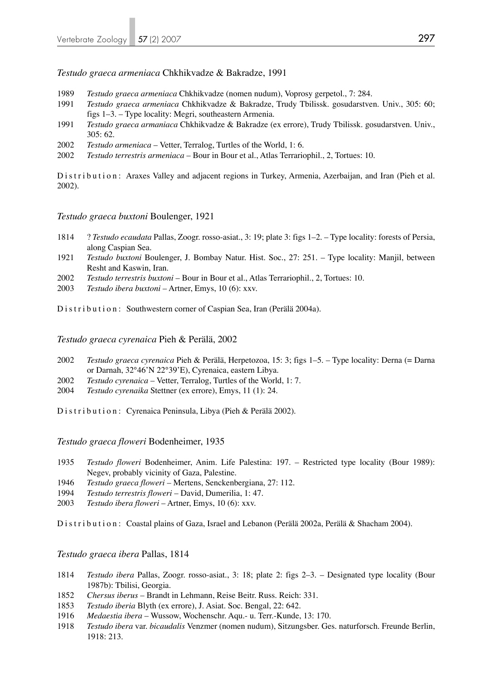*Testudo graeca armeniaca* Chkhikvadze & Bakradze, 1991

- 1989 *Testudo graeca armeniaca* Chkhikvadze (nomen nudum), Voprosy gerpetol., 7: 284.
- 1991 *Testudo graeca armeniaca* Chkhikvadze & Bakradze, Trudy Tbilissk. gosudarstven. Univ., 305: 60; figs 1–3. – Type locality: Megri, southeastern Armenia.
- 1991 *Testudo graeca armaniaca* Chkhikvadze & Bakradze (ex errore), Trudy Tbilissk. gosudarstven. Univ., 305: 62.
- 2002 *Testudo armeniaca* Vetter, Terralog, Turtles of the World, 1: 6.
- 2002 *Testudo terrestris armeniaca* Bour in Bour et al., Atlas Terrariophil., 2, Tortues: 10.

Distribution: Araxes Valley and adjacent regions in Turkey, Armenia, Azerbaijan, and Iran (Pieh et al. 2002).

*Testudo graeca buxtoni* Boulenger, 1921

- 1814 ? *Testudo ecaudata* Pallas, Zoogr. rosso-asiat., 3: 19; plate 3: figs 1–2. Type locality: forests of Persia, along Caspian Sea.
- 1921 *Testudo buxtoni* Boulenger, J. Bombay Natur. Hist. Soc., 27: 251. Type locality: Manjil, between Resht and Kaswin, Iran.
- 2002 *Testudo terrestris buxtoni*  Bour in Bour et al., Atlas Terrariophil., 2, Tortues: 10.
- 2003 *Testudo ibera buxtoni*  Artner, Emys, 10 (6): xxv.

Distribution: Southwestern corner of Caspian Sea, Iran (Perälä 2004a).

*Testudo graeca cyrenaica* Pieh & Perälä, 2002

- 2002 *Testudo graeca cyrenaica* Pieh & Perälä, Herpetozoa, 15: 3; figs 1–5. Type locality: Derna (= Darna or Darnah, 32°46'N 22°39'E), Cyrenaica, eastern Libya.
- 2002 *Testudo cyrenaica* Vetter, Terralog, Turtles of the World, 1: 7.
- 2004 *Testudo cyrenaika* Stettner (ex errore), Emys, 11 (1): 24.

Distribution: Cyrenaica Peninsula, Libya (Pieh & Perälä 2002).

*Testudo graeca floweri* Bodenheimer, 1935

- 1935 *Testudo floweri* Bodenheimer, Anim. Life Palestina: 197. Restricted type locality (Bour 1989): Negev, probably vicinity of Gaza, Palestine.
- 1946 *Testudo graeca floweri*  Mertens, Senckenbergiana, 27: 112.
- 1994 *Testudo terrestris floweri* David, Dumerilia, 1: 47.
- 2003 *Testudo ibera floweri* Artner, Emys, 10 (6): xxv.

Distribution: Coastal plains of Gaza, Israel and Lebanon (Perälä 2002a, Perälä & Shacham 2004).

*Testudo graeca ibera* Pallas, 1814

- 1814 *Testudo ibera* Pallas, Zoogr. rosso-asiat., 3: 18; plate 2: figs 2–3. Designated type locality (Bour 1987b): Tbilisi, Georgia.
- 1852 *Chersus iberus* Brandt in Lehmann, Reise Beitr. Russ. Reich: 331.
- 1853 *Testudo iberia* Blyth (ex errore), J. Asiat. Soc. Bengal, 22: 642.
- 1916 *Medaestia ibera* Wussow, Wochenschr. Aqu.- u. Terr.-Kunde, 13: 170.
- 1918 *Testudo ibera* var. *bicaudalis* Venzmer (nomen nudum), Sitzungsber. Ges. naturforsch. Freunde Berlin, 1918: 213.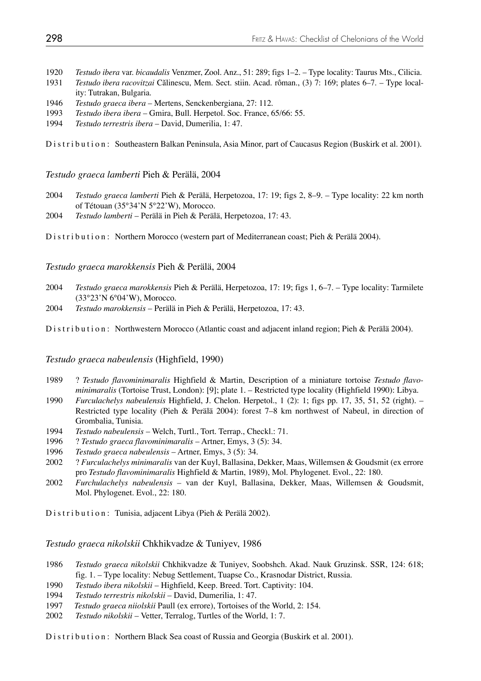- 1920 *Testudo ibera* var. *bicaudalis* Venzmer, Zool. Anz., 51: 289; figs 1–2. Type locality: Taurus Mts., Cilicia.
- 1931 *Testudo ibera racovitzai* Călinescu, Mem. Sect. stiin. Acad. rôman., (3) 7: 169; plates 6–7. Type local ity: Tutrakan, Bulgaria.
- 1946 *Testudo graeca ibera*  Mertens, Senckenbergiana, 27: 112.
- 1993 *Testudo ibera ibera* Gmira, Bull. Herpetol. Soc. France, 65/66: 55.
- 1994 *Testudo terrestris ibera* David, Dumerilia, 1: 47.

Distribution: Southeastern Balkan Peninsula, Asia Minor, part of Caucasus Region (Buskirk et al. 2001).

*Testudo graeca lamberti* Pieh & Perälä, 2004

- 2004 *Testudo graeca lamberti* Pieh & Perälä, Herpetozoa, 17: 19; figs 2, 8–9. Type locality: 22 km north of Tétouan (35°34'N 5°22'W), Morocco.
- 2004 *Testudo lamberti* Perälä in Pieh & Perälä, Herpetozoa, 17: 43.

Distribution: Northern Morocco (western part of Mediterranean coast; Pieh & Perälä 2004).

*Testudo graeca marokkensis* Pieh & Perälä, 2004

- 2004 *Testudo graeca marokkensis* Pieh & Perälä, Herpetozoa, 17: 19; figs 1, 6–7. Type locality: Tarmilete (33°23'N 6°04'W), Morocco.
- 2004 *Testudo marokkensis* Perälä in Pieh & Perälä, Herpetozoa, 17: 43.

Distribution: Northwestern Morocco (Atlantic coast and adjacent inland region; Pieh & Perälä 2004).

*Testudo graeca nabeulensis* (Highfield, 1990)

- 1989 ? *Testudo flavominimaralis* Highfield & Martin, Description of a miniature tortoise *Testudo flavo minimaralis* (Tortoise Trust, London): [9]; plate 1. – Restricted type locality (Highfield 1990): Libya.
- 1990 *Furculachelys nabeulensis* Highfield, J. Chelon. Herpetol., 1 (2): 1; figs pp. 17, 35, 51, 52 (right). Restricted type locality (Pieh & Perälä 2004): forest 7–8 km northwest of Nabeul, in direction of Grombalia, Tunisia.
- 1994 *Testudo nabeulensis* Welch, Turtl., Tort. Terrap., Checkl.: 71.
- 1996 ? *Testudo graeca flavominimaralis* Artner, Emys, 3 (5): 34.
- 1996 *Testudo graeca nabeulensis* Artner, Emys, 3 (5): 34.
- 2002 ? *Furculachelys minimaralis* van der Kuyl, Ballasina, Dekker, Maas, Willemsen & Goudsmit (ex errore pro *Testudo flavominimaralis* Highfield & Martin, 1989), Mol. Phylogenet. Evol., 22: 180.
- 2002 *Furchulachelys nabeulensis* van der Kuyl, Ballasina, Dekker, Maas, Willemsen & Goudsmit, Mol. Phylogenet. Evol., 22: 180.

Distribution: Tunisia, adjacent Libya (Pieh & Perälä 2002).

*Testudo graeca nikolskii* Chkhikvadze & Tuniyev, 1986

- 1986 *Testudo graeca nikolskii* Chkhikvadze & Tuniyev, Soobshch. Akad. Nauk Gruzinsk. SSR, 124: 618; fig. 1. – Type locality: Nebug Settlement, Tuapse Co., Krasnodar District, Russia.
- 1990 *Testudo ibera nikolskii* Highfield, Keep. Breed. Tort. Captivity: 104.
- 1994 *Testudo terrestris nikolskii* David, Dumerilia, 1: 47.
- 1997 *Testudo graeca niiolskii* Paull (ex errore), Tortoises of the World, 2: 154.
- 2002 *Testudo nikolskii* Vetter, Terralog, Turtles of the World, 1: 7.

Distribution: Northern Black Sea coast of Russia and Georgia (Buskirk et al. 2001).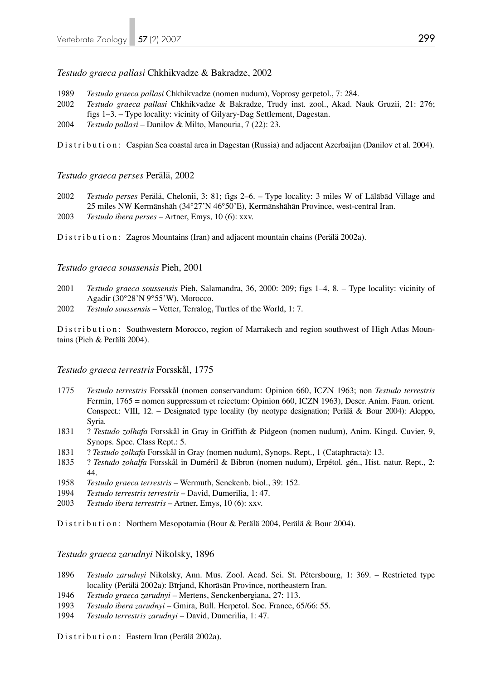*Testudo graeca pallasi* Chkhikvadze & Bakradze, 2002

- 1989 *Testudo graeca pallasi* Chkhikvadze (nomen nudum), Voprosy gerpetol., 7: 284.
- 2002 *Testudo graeca pallasi* Chkhikvadze & Bakradze, Trudy inst. zool., Akad. Nauk Gruzii, 21: 276; figs 1–3. – Type locality: vicinity of Gilyary-Dag Settlement, Dagestan.
- 2004 *Testudo pallasi* Danilov & Milto, Manouria, 7 (22): 23.

Distribution: Caspian Sea coastal area in Dagestan (Russia) and adjacent Azerbaijan (Danilov et al. 2004).

*Testudo graeca perses* Perälä, 2002

- 2002 *Testudo perses* Perälä, Chelonii, 3: 81; figs 2–6. Type locality: 3 miles W of Lālābād Village and 25 miles NW Kermānshāh (34°27'N 46°50'E), Kermānshāhān Province, west-central Iran.
- 2003 *Testudo ibera perses* Artner, Emys, 10 (6): xxv.

Distribution: Zagros Mountains (Iran) and adjacent mountain chains (Perälä 2002a).

#### *Testudo graeca soussensis* Pieh, 2001

- 2001 *Testudo graeca soussensis* Pieh, Salamandra, 36, 2000: 209; figs 1–4, 8. Type locality: vicinity of Agadir (30°28'N 9°55'W), Morocco.
- 2002 *Testudo soussensis*  Vetter, Terralog, Turtles of the World, 1: 7.

Distribution: Southwestern Morocco, region of Marrakech and region southwest of High Atlas Mountains (Pieh & Perälä 2004).

#### *Testudo graeca terrestris* Forsskål, 1775

- 1775 *Testudo terrestris* Forsskål (nomen conservandum: Opinion 660, ICZN 1963; non *Testudo terrestris*  Fermin, 1765 = nomen suppressum et reiectum: Opinion 660, ICZN 1963), Descr. Anim. Faun. orient. Conspect.: VIII, 12. – Designated type locality (by neotype designation; Perälä & Bour 2004): Aleppo, Syria.
- 1831 ? *Testudo zolhafa* Forsskål in Gray in Griffith & Pidgeon (nomen nudum), Anim. Kingd. Cuvier, 9, Synops. Spec. Class Rept.: 5.
- 1831 ? *Testudo zolkafa* Forsskål in Gray (nomen nudum), Synops. Rept., 1 (Cataphracta): 13.
- 1835 ? *Testudo zohalfa* Forsskål in Duméril & Bibron (nomen nudum), Erpétol. gén., Hist. natur. Rept., 2: 44.
- 1958 *Testudo graeca terrestris*  Wermuth, Senckenb. biol., 39: 152.
- 1994 *Testudo terrestris terrestris* David, Dumerilia, 1: 47.
- 2003 *Testudo ibera terrestris* Artner, Emys, 10 (6): xxv.

Distribution: Northern Mesopotamia (Bour & Perälä 2004, Perälä & Bour 2004).

*Testudo graeca zarudnyi* Nikolsky, 1896

- 1896 *Testudo zarudnyi* Nikolsky, Ann. Mus. Zool. Acad. Sci. St. Pétersbourg, 1: 369. Restricted type locality (Perälä 2002a): Bīrjand, Khorāsān Province, northeastern Iran.
- 1946 *Testudo graeca zarudnyi*  Mertens, Senckenbergiana, 27: 113.
- 1993 *Testudo ibera zarudnyi* Gmira, Bull. Herpetol. Soc. France, 65/66: 55.
- 1994 *Testudo terrestris zarudnyi* David, Dumerilia, 1: 47.

Distribution: Eastern Iran (Perälä 2002a).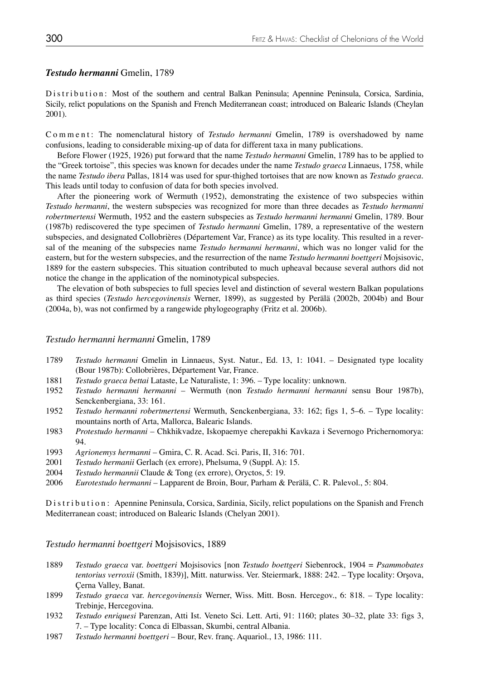#### *Testudo hermanni* Gmelin, 1789

Distribution: Most of the southern and central Balkan Peninsula; Apennine Peninsula, Corsica, Sardinia, Sicily, relict populations on the Spanish and French Mediterranean coast; introduced on Balearic Islands (Cheylan 2001).

Comment: The nomenclatural history of *Testudo hermanni* Gmelin, 1789 is overshadowed by name confusions, leading to considerable mixing-up of data for different taxa in many publications.

 Before Flower (1925, 1926) put forward that the name *Testudo hermanni* Gmelin, 1789 has to be applied to the "Greek tortoise", this species was known for decades under the name *Testudo graeca* Linnaeus, 1758, while the name *Testudo ibera* Pallas, 1814 was used for spur-thighed tortoises that are now known as *Testudo graeca*. This leads until today to confusion of data for both species involved.

 After the pioneering work of Wermuth (1952), demonstrating the existence of two subspecies within *Testudo hermanni*, the western subspecies was recognized for more than three decades as *Testudo hermanni robertmertensi* Wermuth, 1952 and the eastern subspecies as *Testudo hermanni hermanni* Gmelin, 1789. Bour (1987b) rediscovered the type specimen of *Testudo hermanni* Gmelin, 1789, a representative of the western subspecies, and designated Collobrières (Département Var, France) as its type locality. This resulted in a rever sal of the meaning of the subspecies name *Testudo hermanni hermanni*, which was no longer valid for the eastern, but for the western subspecies, and the resurrection of the name *Testudo hermanni boettgeri* Mojsisovic, 1889 for the eastern subspecies. This situation contributed to much upheaval because several authors did not notice the change in the application of the nominotypical subspecies.

 The elevation of both subspecies to full species level and distinction of several western Balkan populations as third species (*Testudo hercegovinensis* Werner, 1899), as suggested by Perälä (2002b, 2004b) and Bour (2004a, b), was not confirmed by a rangewide phylogeography (Fritz et al. 2006b).

#### *Testudo hermanni hermanni* Gmelin, 1789

- 1789 *Testudo hermanni* Gmelin in Linnaeus, Syst. Natur., Ed. 13, 1: 1041. Designated type locality (Bour 1987b): Collobrières, Département Var, France.
- 1881 *Testudo graeca bettai* Lataste, Le Naturaliste, 1: 396. Type locality: unknown.
- 1952 *Testudo hermanni hermanni*  Wermuth (non *Testudo hermanni hermanni* sensu Bour 1987b), Senckenbergiana, 33: 161.
- 1952 *Testudo hermanni robertmertensi* Wermuth, Senckenbergiana, 33: 162; figs 1, 5–6. Type locality: mountains north of Arta, Mallorca, Balearic Islands.
- 1983 *Protestudo hermanni* Chkhikvadze, Iskopaemye cherepakhi Kavkaza i Severnogo Prichernomorya: 94.
- 1993 *Agrionemys hermanni* Gmira, C. R. Acad. Sci. Paris, II, 316: 701.
- 2001 *Testudo hermanii* Gerlach (ex errore), Phelsuma, 9 (Suppl. A): 15.
- 2004 *Testudo hermannii* Claude & Tong (ex errore), Oryctos, 5: 19.
- 2006 *Eurotestudo hermanni* Lapparent de Broin, Bour, Parham & Perälä, C. R. Palevol., 5: 804.

Distribution: Apennine Peninsula, Corsica, Sardinia, Sicily, relict populations on the Spanish and French Mediterranean coast; introduced on Balearic Islands (Chelyan 2001).

*Testudo hermanni boettgeri* Mojsisovics, 1889

- 1889 *Testudo graeca* var. *boettgeri* Mojsisovics [non *Testudo boettgeri* Siebenrock, 1904 = *Psammobates tentorius verroxii* (Smith, 1839)], Mitt. naturwiss. Ver. Steiermark, 1888: 242. – Type locality: Orşova, Çerna Valley, Banat.
- 1899 *Testudo graeca* var. *hercegovinensis* Werner, Wiss. Mitt. Bosn. Hercegov., 6: 818. Type locality: Trebinje, Hercegovina.
- 1932 *Testudo enriquesi* Parenzan, Atti Ist. Veneto Sci. Lett. Arti, 91: 1160; plates 30–32, plate 33: figs 3, 7. – Type locality: Conca di Elbassan, Skumbi, central Albania.
- 1987 *Testudo hermanni boettgeri*  Bour, Rev. franç. Aquariol., 13, 1986: 111.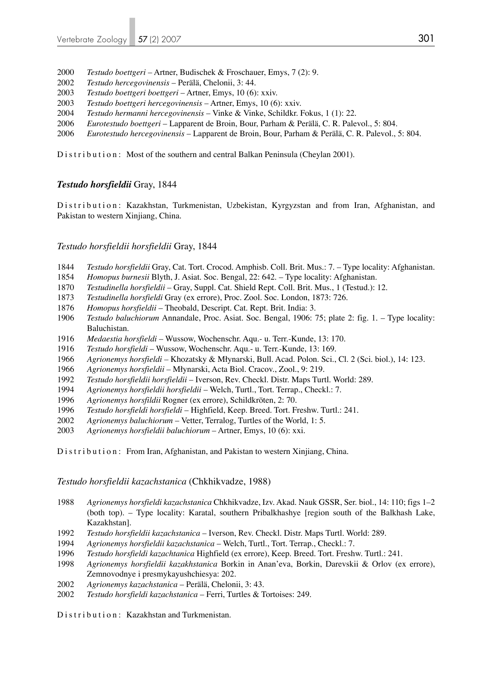- *Testudo boettgeri*  Artner, Budischek & Froschauer, Emys, 7 (2): 9.
- *Testudo hercegovinensis* Perälä, Chelonii, 3: 44.
- *Testudo boettgeri boettgeri* Artner, Emys, 10 (6): xxiv.
- *Testudo boettgeri hercegovinensis* Artner, Emys, 10 (6): xxiv.
- *Testudo hermanni hercegovinensis* Vinke & Vinke, Schildkr. Fokus, 1 (1): 22.
- *Eurotestudo boettgeri* Lapparent de Broin, Bour, Parham & Perälä, C. R. Palevol., 5: 804.
- *Eurotestudo hercegovinensis* Lapparent de Broin, Bour, Parham & Perälä, C. R. Palevol., 5: 804.

Distribution: Most of the southern and central Balkan Peninsula (Cheylan 2001).

## *Testudo horsfieldii* Gray, 1844

Distribution: Kazakhstan, Turkmenistan, Uzbekistan, Kyrgyzstan and from Iran, Afghanistan, and Pakistan to western Xinjiang, China.

## *Testudo horsfieldii horsfieldii* Gray, 1844

- *Testudo horsfieldii* Gray, Cat. Tort. Crocod. Amphisb. Coll. Brit. Mus.: 7. Type locality: Afghanistan.
- *Homopus burnesii* Blyth, J. Asiat. Soc. Bengal, 22: 642. Type locality: Afghanistan.
- *Testudinella horsfieldii*  Gray, Suppl. Cat. Shield Rept. Coll. Brit. Mus., 1 (Testud.): 12.
- *Testudinella horsfieldi* Gray (ex errore), Proc. Zool. Soc. London, 1873: 726.
- *Homopus horsfieldii* Theobald, Descript. Cat. Rept. Brit. India: 3.
- *Testudo baluchiorum* Annandale, Proc. Asiat. Soc. Bengal, 1906: 75; plate 2: fig. 1. Type locality: Baluchistan.
- *Medaestia horsfieldi* Wussow, Wochenschr. Aqu.- u. Terr.-Kunde, 13: 170.
- *Testudo horsfieldi* Wussow, Wochenschr. Aqu.- u. Terr.-Kunde, 13: 169.
- *Agrionemys horsfieldi –* Khozatsky & Młynarski, Bull. Acad. Polon. Sci., Cl. 2 (Sci. biol.), 14: 123.
- *Agrionemys horsfieldii* Młynarski, Acta Biol. Cracov., Zool., 9: 219.
- *Testudo horsfieldii horsfieldii* Iverson, Rev. Checkl. Distr. Maps Turtl. World: 289.
- *Agrionemys horsfieldii horsfieldii* Welch, Turtl., Tort. Terrap., Checkl.: 7.
- *Agrionemys horsfildii* Rogner (ex errore), Schildkröten, 2: 70.
- *Testudo horsfieldi horsfieldi* Highfield, Keep. Breed. Tort. Freshw. Turtl.: 241.
- *Agrionemys baluchiorum*  Vetter, Terralog, Turtles of the World, 1: 5.
- *Agrionemys horsfieldii baluchiorum*  Artner, Emys, 10 (6): xxi.

Distribution: From Iran, Afghanistan, and Pakistan to western Xinjiang, China.

## *Testudo horsfieldii kazachstanica* (Chkhikvadze, 1988)

- *Agrionemys horsfieldi kazachstanica* Chkhikvadze, Izv. Akad. Nauk GSSR, Ser. biol., 14: 110; figs 1–2 (both top). – Type locality: Karatal, southern Pribalkhashye [region south of the Balkhash Lake, Kazakhstan].
- *Testudo horsfieldii kazachstanica* Iverson, Rev. Checkl. Distr. Maps Turtl. World: 289.
- *Agrionemys horsfieldii kazachstanica* Welch, Turtl., Tort. Terrap., Checkl.: 7.
- *Testudo horsfieldi kazachtanica* Highfield (ex errore), Keep. Breed. Tort. Freshw. Turtl.: 241.
- *Agrionemys horsfieldii kazakhstanica* Borkin in Anan'eva, Borkin, Darevskii & Orlov (ex errore), Zemnovodnye i presmykayushchiesya: 202.
- *Agrionemys kazachstanica* Perälä, Chelonii, 3: 43.
- *Testudo horsfieldi kazachstanica* Ferri, Turtles & Tortoises: 249.

Distribution: Kazakhstan and Turkmenistan.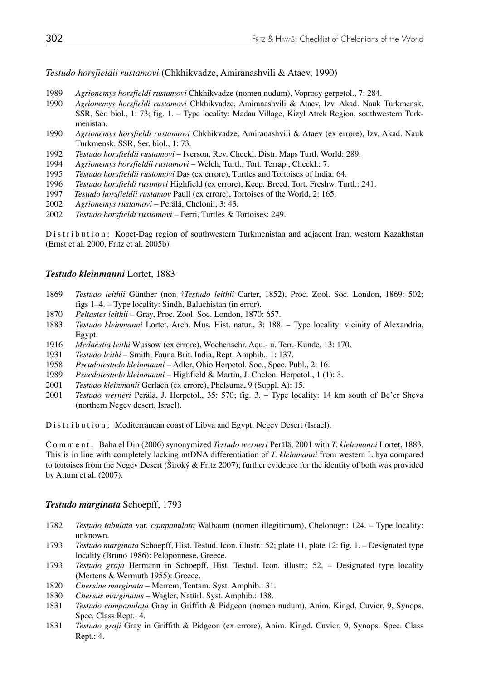*Testudo horsfieldii rustamovi* (Chkhikvadze, Amiranashvili & Ataev, 1990)

- 1989 *Agrionemys horsfieldi rustamovi* Chkhikvadze (nomen nudum), Voprosy gerpetol., 7: 284.
- 1990 *Agrionemys horsfieldi rustamovi* Chkhikvadze, Amiranashvili & Ataev, Izv. Akad. Nauk Turkmensk. SSR, Ser. biol., 1: 73; fig. 1. – Type locality: Madau Village, Kizyl Atrek Region, southwestern Turk menistan.
- 1990 *Agrionemys horsfieldi rustamowi* Chkhikvadze, Amiranashvili & Ataev (ex errore), Izv. Akad. Nauk Turkmensk. SSR, Ser. biol., 1: 73.
- 1992 *Testudo horsfieldii rustamovi* Iverson, Rev. Checkl. Distr. Maps Turtl. World: 289.
- 1994 *Agrionemys horsfieldii rustamovi* Welch, Turtl., Tort. Terrap., Checkl.: 7.
- 1995 *Testudo horsfieldii rustomovi* Das (ex errore), Turtles and Tortoises of India: 64.
- 1996 *Testudo horsfieldi rustmovi* Highfield (ex errore), Keep. Breed. Tort. Freshw. Turtl.: 241.
- 1997 *Testudo horsfieldii rustamov* Paull (ex errore), Tortoises of the World, 2: 165.
- 2002 *Agrionemys rustamovi* Perälä, Chelonii, 3: 43.
- 2002 *Testudo horsfieldi rustamovi* Ferri, Turtles & Tortoises: 249.

Distribution: Kopet-Dag region of southwestern Turkmenistan and adjacent Iran, western Kazakhstan (Ernst et al. 2000, Fritz et al. 2005b).

#### *Testudo kleinmanni* Lortet, 1883

- 1869 *Testudo leithii* Günther (non †*Testudo leithii* Carter, 1852), Proc. Zool. Soc. London, 1869: 502; figs 1–4. – Type locality: Sindh, Baluchistan (in error).<br>1870 *Peltastes leithii* – Grav. Proc. Zool. Soc. London. 1870:
- 1870 *Peltastes leithii* Gray, Proc. Zool. Soc. London, 1870: 657.
- 1883 *Testudo kleinmanni* Lortet, Arch. Mus. Hist. natur., 3: 188. Type locality: vicinity of Alexandria, Egypt.
- 1916 *Medaestia leithi* Wussow (ex errore), Wochenschr. Aqu.- u. Terr.-Kunde, 13: 170.
- 1931 *Testudo leithi* Smith, Fauna Brit. India, Rept. Amphib., 1: 137.
- 1958 *Pseudotestudo kleinmanni* Adler, Ohio Herpetol. Soc., Spec. Publ., 2: 16.
- 1989 *Psuedotestudo kleinmanni* Highfield & Martin, J. Chelon. Herpetol., 1 (1): 3.
- 2001 *Testudo kleinmanii* Gerlach (ex errore), Phelsuma, 9 (Suppl. A): 15.
- 2001 *Testudo werneri* Perälä, J. Herpetol., 35: 570; fig. 3. Type locality: 14 km south of Be'er Sheva (northern Negev desert, Israel).

Distribution: Mediterranean coast of Libya and Egypt; Negev Desert (Israel).

Comment: Baha el Din (2006) synonymized *Testudo werneri* Perälä, 2001 with *T. kleinmanni* Lortet, 1883. This is in line with completely lacking mtDNA differentiation of *T. kleinmanni* from western Libya compared to tortoises from the Negev Desert (Široký & Fritz 2007); further evidence for the identity of both was provided by Attum et al. (2007).

#### *Testudo marginata* Schoepff, 1793

- 1782 *Testudo tabulata* var. *campanulata* Walbaum (nomen illegitimum), Chelonogr.: 124. Type locality: unknown.
- 1793 *Testudo marginata* Schoepff, Hist. Testud. Icon. illustr.: 52; plate 11, plate 12: fig. 1. Designated type locality (Bruno 1986): Peloponnese, Greece.
- 1793 *Testudo graja* Hermann in Schoepff, Hist. Testud. Icon. illustr.: 52. Designated type locality (Mertens & Wermuth 1955): Greece.
- 1820 *Chersine marginata* Merrem, Tentam. Syst. Amphib.: 31.
- 1830 *Chersus marginatus* Wagler, Natürl. Syst. Amphib.: 138.
- 1831 *Testudo campanulata* Gray in Griffith & Pidgeon (nomen nudum), Anim. Kingd. Cuvier, 9, Synops. Spec. Class Rept.: 4.
- 1831 *Testudo graji* Gray in Griffith & Pidgeon (ex errore), Anim. Kingd. Cuvier, 9, Synops. Spec. Class Rept.: 4.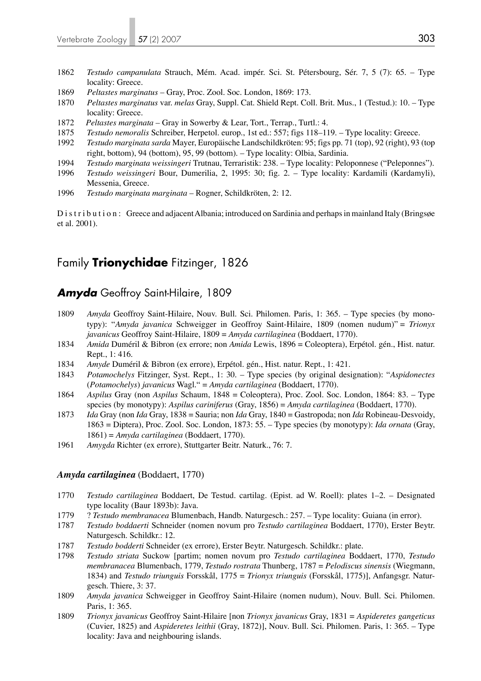- 1862 *Testudo campanulata* Strauch, Mém. Acad. impér. Sci. St. Pétersbourg, Sér. 7, 5 (7): 65. Type locality: Greece.
- 1869 *Peltastes marginatus* Gray, Proc. Zool. Soc. London, 1869: 173.
- 1870 *Peltastes marginatus* var. *melas* Gray, Suppl. Cat. Shield Rept. Coll. Brit. Mus., 1 (Testud.): 10. Type locality: Greece.
- 1872 *Peltastes marginata* Gray in Sowerby & Lear, Tort., Terrap., Turtl.: 4.
- 1875 *Testudo nemoralis* Schreiber, Herpetol. europ., 1st ed.: 557; figs 118–119. Type locality: Greece.
- 1992 *Testudo marginata sarda* Mayer, Europäische Landschildkröten: 95; figs pp. 71 (top), 92 (right), 93 (top right, bottom), 94 (bottom), 95, 99 (bottom). – Type locality: Olbia, Sardinia.
- 1994 *Testudo marginata weissingeri* Trutnau, Terraristik: 238. Type locality: Peloponnese ("Peleponnes").
- 1996 *Testudo weissingeri* Bour, Dumerilia, 2, 1995: 30; fig. 2. Type locality: Kardamili (Kardamyli), Messenia, Greece.
- 1996 *Testudo marginata marginata*  Rogner, Schildkröten, 2: 12.

Distribution: Greece and adjacent Albania; introduced on Sardinia and perhaps in mainland Italy (Bringsge et al. 2001).

# Family **Trionychidae** Fitzinger, 1826

## *Amyda* Geoffroy Saint-Hilaire, 1809

- 1809 *Amyda* Geoffroy Saint-Hilaire, Nouv. Bull. Sci. Philomen. Paris, 1: 365. Type species (by mono typy): "*Amyda javanica* Schweigger in Geoffroy Saint-Hilaire, 1809 (nomen nudum)" = *Trionyx javanicus* Geoffroy Saint-Hilaire, 1809 = *Amyda cartilaginea* (Boddaert, 1770).
- 1834 *Amida* Duméril & Bibron (ex errore; non *Amida* Lewis, 1896 = Coleoptera), Erpétol. gén., Hist. natur. Rept., 1: 416.
- 1834 *Amyde* Duméril & Bibron (ex errore), Erpétol. gén., Hist. natur. Rept., 1: 421.
- 1843 *Potamochelys* Fitzinger, Syst. Rept., 1: 30. Type species (by original designation): "*Aspidonectes*  (*Potamochelys*) *javanicus* Wagl." = *Amyda cartilaginea* (Boddaert, 1770).
- 1864 *Aspilus* Gray (non *Aspilus* Schaum, 1848 = Coleoptera), Proc. Zool. Soc. London, 1864: 83. Type species (by monotypy): *Aspilus cariniferus* (Gray, 1856) = *Amyda cartilaginea* (Boddaert, 1770).
- 1873 *Ida* Gray (non *Ida* Gray, 1838 = Sauria; non *Ida* Gray, 1840 = Gastropoda; non *Ida* Robineau-Desvoidy, 1863 = Diptera), Proc. Zool. Soc. London, 1873: 55. – Type species (by monotypy): *Ida ornata* (Gray, 1861) = *Amyda cartilaginea* (Boddaert, 1770).
- 1961 *Amygda* Richter (ex errore), Stuttgarter Beitr. Naturk., 76: 7.

#### *Amyda cartilaginea* (Boddaert, 1770)

- 1770 *Testudo cartilaginea* Boddaert, De Testud. cartilag. (Epist. ad W. Roell): plates 1–2. Designated type locality (Baur 1893b): Java.
- 1779 ? *Testudo membranacea* Blumenbach, Handb. Naturgesch.: 257. Type locality: Guiana (in error).
- 1787 *Testudo boddaerti* Schneider (nomen novum pro *Testudo cartilaginea* Boddaert, 1770), Erster Beytr. Naturgesch. Schildkr.: 12.
- 1787 *Testudo bodderti* Schneider (ex errore), Erster Beytr. Naturgesch. Schildkr.: plate.
- 1798 *Testudo striata* Suckow [partim; nomen novum pro *Testudo cartilaginea* Boddaert, 1770, *Testudo membranacea* Blumenbach, 1779, *Testudo rostrata* Thunberg, 1787 = *Pelodiscus sinensis* (Wiegmann, 1834) and *Testudo triunguis* Forsskål, 1775 = *Trionyx triunguis* (Forsskål, 1775)], Anfangsgr. Natur gesch. Thiere, 3: 37.
- 1809 *Amyda javanica* Schweigger in Geoffroy Saint-Hilaire (nomen nudum), Nouv. Bull. Sci. Philomen. Paris, 1: 365.
- 1809 *Trionyx javanicus* Geoffroy Saint-Hilaire [non *Trionyx javanicus* Gray, 1831 = *Aspideretes gangeticus* (Cuvier, 1825) and *Aspideretes leithii* (Gray, 1872)], Nouv. Bull. Sci. Philomen. Paris, 1: 365. – Type locality: Java and neighbouring islands.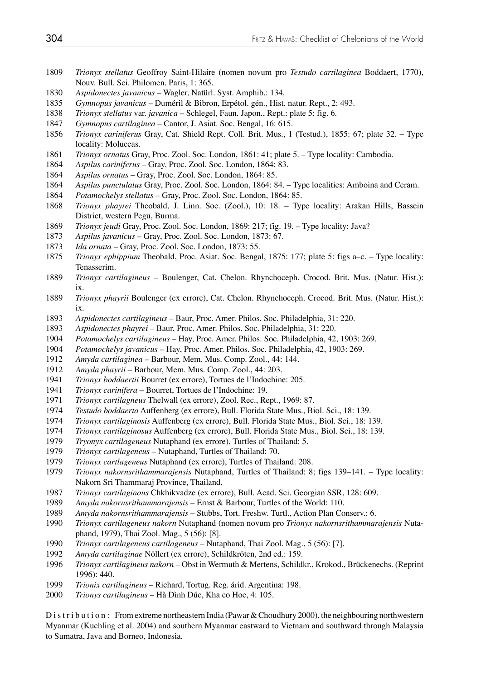- *Trionyx stellatus* Geoffroy Saint-Hilaire (nomen novum pro *Testudo cartilaginea* Boddaert, 1770), Nouv. Bull. Sci. Philomen. Paris, 1: 365.
- *Aspidonectes javanicus* Wagler, Natürl. Syst. Amphib.: 134.
- *Gymnopus javanicus* Duméril & Bibron, Erpétol. gén., Hist. natur. Rept., 2: 493.
- *Trionyx stellatus* var. *javanica*  Schlegel, Faun. Japon., Rept.: plate 5: fig. 6.
- *Gymnopus cartilaginea* Cantor, J. Asiat. Soc. Bengal, 16: 615.
- *Trionyx cariniferus* Gray, Cat. Shield Rept. Coll. Brit. Mus., 1 (Testud.), 1855: 67; plate 32. Type locality: Moluccas.
- *Trionyx ornatus* Gray, Proc. Zool. Soc. London, 1861: 41; plate 5. Type locality: Cambodia.
- *Aspilus cariniferus* Gray, Proc. Zool. Soc. London, 1864: 83.
- *Aspilus ornatus* Gray, Proc. Zool. Soc. London, 1864: 85.
- *Aspilus punctulatus* Gray, Proc. Zool. Soc. London, 1864: 84. Type localities: Amboina and Ceram.
- *Potamochelys stellatus* Gray, Proc. Zool. Soc. London, 1864: 85.
- *Trionyx phayrei* Theobald, J. Linn. Soc. (Zool.), 10: 18. Type locality: Arakan Hills, Bassein District, western Pegu, Burma.<br>1869 Trionyx ieudi Gray. Proc. Zool.
- *Trionyx jeudi* Gray, Proc. Zool. Soc. London, 1869: 217; fig. 19. Type locality: Java?
- *Aspilus javanicus* Gray, Proc. Zool. Soc. London, 1873: 67.
- *Ida ornata* Gray, Proc. Zool. Soc. London, 1873: 55.
- *Trionyx ephippium* Theobald, Proc. Asiat. Soc. Bengal, 1875: 177; plate 5: figs a–c. Type locality: Tenasserim.
- *Trionyx cartilagineus* Boulenger, Cat. Chelon. Rhynchoceph. Crocod. Brit. Mus. (Natur. Hist.): ix.
- *Trionyx phayrii* Boulenger (ex errore), Cat. Chelon. Rhynchoceph. Crocod. Brit. Mus. (Natur. Hist.): ix.
- *Aspidonectes cartilagineus* Baur, Proc. Amer. Philos. Soc. Philadelphia, 31: 220.
- *Aspidonectes phayrei* Baur, Proc. Amer. Philos. Soc. Philadelphia, 31: 220.
- *Potamochelys cartilagineus* Hay, Proc. Amer. Philos. Soc. Philadelphia, 42, 1903: 269.
- *Potamochelys javanicus* Hay, Proc. Amer. Philos. Soc. Philadelphia, 42, 1903: 269.
- *Amyda cartilaginea* Barbour, Mem. Mus. Comp. Zool., 44: 144.
- *Amyda phayrii* Barbour, Mem. Mus. Comp. Zool., 44: 203.
- *Trionyx boddaertii* Bourret (ex errore), Tortues de l'Indochine: 205.
- *Trionyx carinifera* Bourret, Tortues de l'Indochine: 19.
- *Trionyx cartilagneus* Thelwall (ex errore), Zool. Rec., Rept., 1969: 87.
- *Testudo boddaerta* Auffenberg (ex errore), Bull. Florida State Mus., Biol. Sci., 18: 139.
- *Trionyx cartilaginosis* Auffenberg (ex errore), Bull. Florida State Mus., Biol. Sci., 18: 139.
- *Trionyx cartilaginosus* Auffenberg (ex errore), Bull. Florida State Mus., Biol. Sci., 18: 139.
- *Tryonyx cartilageneus* Nutaphand (ex errore), Turtles of Thailand: 5.
- *Trionyx cartilageneus* Nutaphand, Turtles of Thailand: 70.
- *Trionyx cartlageneus* Nutaphand (ex errore), Turtles of Thailand: 208.
- *Trionyx nakornsrithammarajensis* Nutaphand, Turtles of Thailand: 8; figs 139–141. Type locality: Nakorn Sri Thammaraj Province, Thailand.
- *Trionyx cartilaginous* Chkhikvadze (ex errore), Bull. Acad. Sci. Georgian SSR, 128: 609.
- *Amyda nakornsrithammarajensis* Ernst & Barbour, Turtles of the World: 110.
- *Amyda nakornsrithammarajensis* Stubbs, Tort. Freshw. Turtl., Action Plan Conserv.: 6.
- *Trionyx cartilageneus nakorn* Nutaphand (nomen novum pro *Trionyx nakornsrithammarajensis* Nuta phand, 1979), Thai Zool. Mag., 5 (56): [8].
- *Trionyx cartilageneus cartilageneus* Nutaphand, Thai Zool. Mag., 5 (56): [7].
- *Amyda cartilaginae* Nöllert (ex errore), Schildkröten, 2nd ed.: 159.
- *Trionyx cartilagineus nakorn* Obst in Wermuth & Mertens, Schildkr., Krokod., Brückenechs. (Reprint 1996): 440.
- *Trionix cartilagineus* Richard, Tortug. Reg. árid. Argentina: 198.
- *Trionys cartilagineus* Hà Dình Dúc, Kha co Hoc, 4: 105.

Distribution: From extreme northeastern India (Pawar & Choudhury 2000), the neighbouring northwestern Myanmar (Kuchling et al. 2004) and southern Myanmar eastward to Vietnam and southward through Malaysia to Sumatra, Java and Borneo, Indonesia.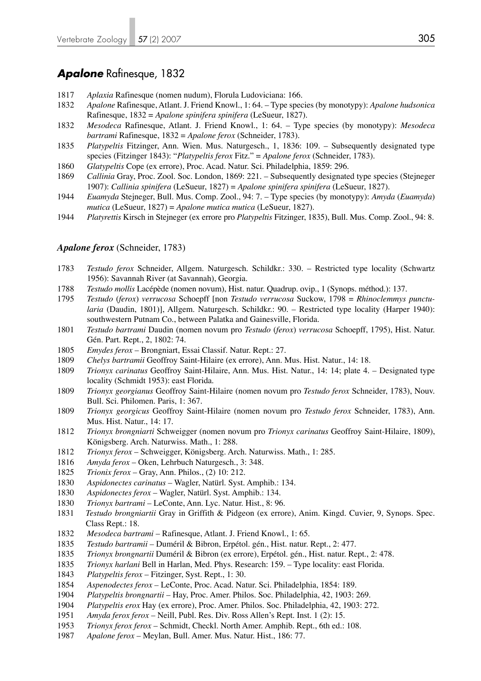## *Apalone* Rafinesque, 1832

- *Aplaxia* Rafinesque (nomen nudum), Florula Ludoviciana: 166.
- *Apalone* Rafinesque, Atlant. J. Friend Knowl., 1: 64. Type species (by monotypy): *Apalone hudsonica* Rafinesque, 1832 = *Apalone spinifera spinifera* (LeSueur, 1827).
- *Mesodeca* Rafinesque, Atlant. J. Friend Knowl., 1: 64. Type species (by monotypy): *Mesodeca bartrami* Rafinesque, 1832 = *Apalone ferox* (Schneider, 1783).
- *Platypeltis* Fitzinger, Ann. Wien. Mus. Naturgesch., 1, 1836: 109. Subsequently designated type species (Fitzinger 1843): "*Platypeltis ferox* Fitz." = *Apalone ferox* (Schneider, 1783).
- *Glatypeltis* Cope (ex errore), Proc. Acad. Natur. Sci. Philadelphia, 1859: 296.
- *Callinia* Gray, Proc. Zool. Soc. London, 1869: 221. Subsequently designated type species (Stejneger 1907): *Callinia spinifera* (LeSueur, 1827) = *Apalone spinifera spinifera* (LeSueur, 1827).
- *Euamyda* Stejneger, Bull. Mus. Comp. Zool., 94: 7. Type species (by monotypy): *Amyda* (*Euamyda*)  *mutica* (LeSueur, 1827) = *Apalone mutica mutica* (LeSueur, 1827).
- *Platyrettis* Kirsch in Stejneger (ex errore pro *Platypeltis* Fitzinger, 1835), Bull. Mus. Comp. Zool., 94: 8.

#### *Apalone ferox* (Schneider, 1783)

- *Testudo ferox* Schneider, Allgem. Naturgesch. Schildkr.: 330. Restricted type locality (Schwartz 1956): Savannah River (at Savannah), Georgia.
- *Testudo mollis* Lacépède (nomen novum), Hist. natur. Quadrup. ovip., 1 (Synops. méthod.): 137.
- *Testudo* (*ferox*) *verrucosa* Schoepff [non *Testudo verrucosa* Suckow, 1798 = *Rhinoclemmys punctu laria* (Daudin, 1801)], Allgem. Naturgesch. Schildkr.: 90. – Restricted type locality (Harper 1940): southwestern Putnam Co., between Palatka and Gainesville, Florida.
- *Testudo bartrami* Daudin (nomen novum pro *Testudo* (*ferox*) *verrucosa* Schoepff, 1795), Hist. Natur. Gén. Part. Rept., 2, 1802: 74.
- *Emydes ferox* Brongniart, Essai Classif. Natur. Rept.: 27.
- *Chelys bartramii* Geoffroy Saint-Hilaire (ex errore), Ann. Mus. Hist. Natur., 14: 18.
- *Trionyx carinatus* Geoffroy Saint-Hilaire, Ann. Mus. Hist. Natur., 14: 14; plate 4. Designated type locality (Schmidt 1953): east Florida.
- *Trionyx georgianus* Geoffroy Saint-Hilaire (nomen novum pro *Testudo ferox* Schneider, 1783), Nouv. Bull. Sci. Philomen. Paris, 1: 367.
- *Trionyx georgicus* Geoffroy Saint-Hilaire (nomen novum pro *Testudo ferox* Schneider, 1783), Ann. Mus. Hist. Natur., 14: 17.
- *Trionyx brongniarti* Schweigger (nomen novum pro *Trionyx carinatus* Geoffroy Saint-Hilaire, 1809), Königsberg. Arch. Naturwiss. Math., 1: 288.
- *Trionyx ferox* Schweigger, Königsberg. Arch. Naturwiss. Math., 1: 285.
- *Amyda ferox* Oken, Lehrbuch Naturgesch., 3: 348.
- *Trionix ferox* Gray, Ann. Philos., (2) 10: 212.
- *Aspidonectes carinatus*  Wagler, Natürl. Syst. Amphib.: 134.
- *Aspidonectes ferox*  Wagler, Natürl. Syst. Amphib.: 134.
- *Trionyx bartrami*  LeConte, Ann. Lyc. Natur. Hist., 8: 96.
- *Testudo brongniartii* Gray in Griffith & Pidgeon (ex errore), Anim. Kingd. Cuvier, 9, Synops. Spec. Class Rept.: 18.
- *Mesodeca bartrami*  Rafinesque, Atlant. J. Friend Knowl., 1: 65.
- *Testudo bartramii* Duméril & Bibron, Erpétol. gén., Hist. natur. Rept., 2: 477.
- *Trionyx brongnartii* Duméril & Bibron (ex errore), Erpétol. gén., Hist. natur. Rept., 2: 478.
- *Trionyx harlani* Bell in Harlan, Med. Phys. Research: 159. Type locality: east Florida.
- *Platypeltis ferox*  Fitzinger, Syst. Rept., 1: 30.
- *Aspenodectes ferox* LeConte, Proc. Acad. Natur. Sci. Philadelphia, 1854: 189.
- *Platypeltis brongnartii* Hay, Proc. Amer. Philos. Soc. Philadelphia, 42, 1903: 269.
- *Platypeltis erox* Hay (ex errore), Proc. Amer. Philos. Soc. Philadelphia, 42, 1903: 272.
- *Amyda ferox ferox* Neill, Publ. Res. Div. Ross Allen's Rept. Inst. 1 (2): 15.
- *Trionyx ferox ferox* Schmidt, Checkl. North Amer. Amphib. Rept., 6th ed.: 108.
- *Apalone ferox* Meylan, Bull. Amer. Mus. Natur. Hist., 186: 77.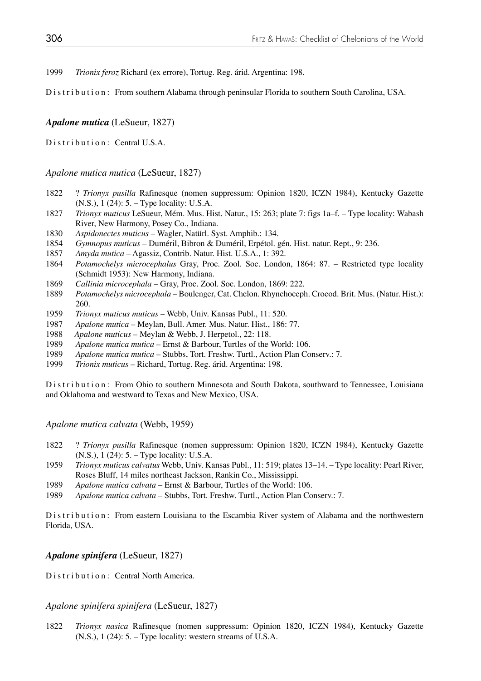1999 *Trionix feroz* Richard (ex errore), Tortug. Reg. árid. Argentina: 198.

Distribution: From southern Alabama through peninsular Florida to southern South Carolina, USA.

## *Apalone mutica* (LeSueur, 1827)

Distribution: Central U.S.A.

### *Apalone mutica mutica* (LeSueur, 1827)

- 1822 ? *Trionyx pusilla* Rafinesque (nomen suppressum: Opinion 1820, ICZN 1984), Kentucky Gazette (N.S.), 1 (24): 5. – Type locality: U.S.A.
- 1827 *Trionyx muticus* LeSueur, Mém. Mus. Hist. Natur., 15: 263; plate 7: figs 1a–f. Type locality: Wabash River, New Harmony, Posey Co., Indiana.
- 1830 *Aspidonectes muticus* Wagler, Natürl. Syst. Amphib.: 134.
- 1854 *Gymnopus muticus* Duméril, Bibron & Duméril, Erpétol. gén. Hist. natur. Rept., 9: 236.
- 1857 *Amyda mutica* Agassiz, Contrib. Natur. Hist. U.S.A., 1: 392.
- 1864 *Potamochelys microcephalus* Gray, Proc. Zool. Soc. London, 1864: 87. Restricted type locality (Schmidt 1953): New Harmony, Indiana.
- 1869 *Callinia microcephala*  Gray, Proc. Zool. Soc. London, 1869: 222.
- 1889 *Potamochelys microcephala* Boulenger, Cat. Chelon. Rhynchoceph. Crocod. Brit. Mus. (Natur. Hist.): 260.
- 1959 *Trionyx muticus muticus* Webb, Univ. Kansas Publ., 11: 520.
- 1987 *Apalone mutica*  Meylan, Bull. Amer. Mus. Natur. Hist., 186: 77.
- 1988 *Apalone muticus* Meylan & Webb, J. Herpetol., 22: 118.
- 1989 *Apalone mutica mutica* Ernst & Barbour, Turtles of the World: 106.
- 1989 *Apalone mutica mutica* Stubbs, Tort. Freshw. Turtl., Action Plan Conserv.: 7.
- 1999 *Trionix muticus*  Richard, Tortug. Reg. árid. Argentina: 198.

Distribution: From Ohio to southern Minnesota and South Dakota, southward to Tennessee, Louisiana and Oklahoma and westward to Texas and New Mexico, USA.

*Apalone mutica calvata* (Webb, 1959)

- 1822 ? *Trionyx pusilla* Rafinesque (nomen suppressum: Opinion 1820, ICZN 1984), Kentucky Gazette (N.S.), 1 (24): 5. – Type locality: U.S.A.
- 1959 *Trionyx muticus calvatus* Webb, Univ. Kansas Publ., 11: 519; plates 13–14. Type locality: Pearl River, Roses Bluff, 14 miles northeast Jackson, Rankin Co., Mississippi.
- 1989 *Apalone mutica calvata* Ernst & Barbour, Turtles of the World: 106.
- 1989 *Apalone mutica calvata* Stubbs, Tort. Freshw. Turtl., Action Plan Conserv.: 7.

Distribution: From eastern Louisiana to the Escambia River system of Alabama and the northwestern Florida, USA.

#### *Apalone spinifera* (LeSueur, 1827)

Distribution: Central North America.

## *Apalone spinifera spinifera* (LeSueur, 1827)

1822 *Trionyx nasica* Rafinesque (nomen suppressum: Opinion 1820, ICZN 1984), Kentucky Gazette (N.S.), 1 (24): 5. – Type locality: western streams of U.S.A.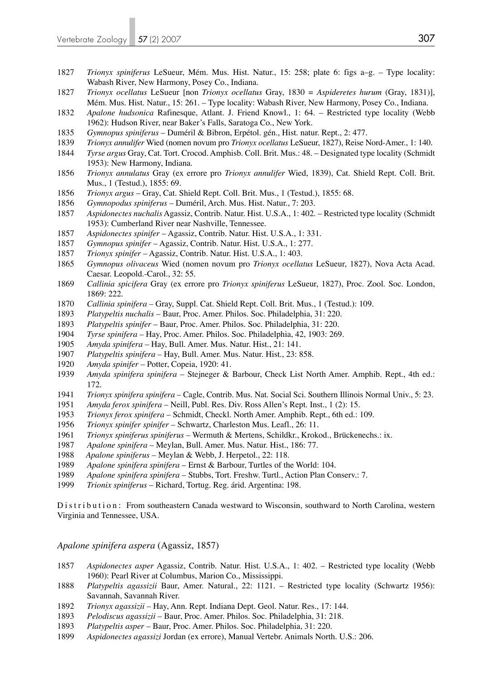- *Trionyx spiniferus* LeSueur, Mém. Mus. Hist. Natur., 15: 258; plate 6: figs a–g. Type locality: Wabash River, New Harmony, Posey Co., Indiana.
- *Trionyx ocellatus* LeSueur [non *Trionyx ocellatus* Gray, 1830 = *Aspideretes hurum* (Gray, 1831)], Mém. Mus. Hist. Natur., 15: 261. – Type locality: Wabash River, New Harmony, Posey Co., Indiana.
- *Apalone hudsonica* Rafinesque, Atlant. J. Friend Knowl., 1: 64. Restricted type locality (Webb 1962): Hudson River, near Baker's Falls, Saratoga Co., New York.
- *Gymnopus spiniferus* Duméril & Bibron, Erpétol. gén., Hist. natur. Rept., 2: 477.
- *Trionyx annulifer* Wied (nomen novum pro *Trionyx ocellatus* LeSueur, 1827), Reise Nord-Amer., 1: 140.
- *Tyrse argus* Gray, Cat. Tort. Crocod. Amphisb. Coll. Brit. Mus.: 48. Designated type locality (Schmidt 1953): New Harmony, Indiana.
- *Trionyx annulatus* Gray (ex errore pro *Trionyx annulifer* Wied, 1839), Cat. Shield Rept. Coll. Brit. Mus., 1 (Testud.), 1855: 69.
- *Trionyx argus* Gray, Cat. Shield Rept. Coll. Brit. Mus., 1 (Testud.), 1855: 68.
- *Gymnopodus spiniferus* Duméril, Arch. Mus. Hist. Natur., 7: 203.
- *Aspidonectes nuchalis* Agassiz, Contrib. Natur. Hist. U.S.A., 1: 402. Restricted type locality (Schmidt 1953): Cumberland River near Nashville, Tennessee.
- *Aspidonectes spinifer* Agassiz, Contrib. Natur. Hist. U.S.A., 1: 331.
- *Gymnopus spinifer* Agassiz, Contrib. Natur. Hist. U.S.A., 1: 277.
- *Trionyx spinifer*  Agassiz, Contrib. Natur. Hist. U.S.A., 1: 403.
- *Gymnopus olivaceus* Wied (nomen novum pro *Trionyx ocellatus* LeSueur, 1827), Nova Acta Acad. Caesar. Leopold.-Carol., 32: 55.
- *Callinia spicifera* Gray (ex errore pro *Trionyx spiniferus* LeSueur, 1827), Proc. Zool. Soc. London, 1869: 222.
- *Callinia spinifera* Gray, Suppl. Cat. Shield Rept. Coll. Brit. Mus., 1 (Testud.): 109.
- *Platypeltis nuchalis* Baur, Proc. Amer. Philos. Soc. Philadelphia, 31: 220.
- *Platypeltis spinifer* Baur, Proc. Amer. Philos. Soc. Philadelphia, 31: 220.
- *Tyrse spinifera* Hay, Proc. Amer. Philos. Soc. Philadelphia, 42, 1903: 269.
- *Amyda spinifera*  Hay, Bull. Amer. Mus. Natur. Hist., 21: 141.
- *Platypeltis spinifera* Hay, Bull. Amer. Mus. Natur. Hist., 23: 858.
- *Amyda spinifer*  Potter, Copeia, 1920: 41.
- *Amyda spinifera spinifera*  Stejneger & Barbour, Check List North Amer. Amphib. Rept., 4th ed.: 172.
- *Trionyx spinifera spinifera*  Cagle, Contrib. Mus. Nat. Social Sci. Southern Illinois Normal Univ., 5: 23.
- *Amyda ferox spinifera*  Neill, Publ. Res. Div. Ross Allen's Rept. Inst., 1 (2): 15.
- *Trionyx ferox spinifera*  Schmidt, Checkl. North Amer. Amphib. Rept., 6th ed.: 109.
- *Trionyx spinifer spinifer* Schwartz, Charleston Mus. Leafl., 26: 11.
- *Trionyx spiniferus spiniferus*  Wermuth & Mertens, Schildkr., Krokod., Brückenechs.: ix.
- *Apalone spinifera*  Meylan, Bull. Amer. Mus. Natur. Hist., 186: 77.
- *Apalone spiniferus* Meylan & Webb, J. Herpetol., 22: 118.
- *Apalone spinifera spinifera*  Ernst & Barbour, Turtles of the World: 104.
- *Apalone spinifera spinifera* Stubbs, Tort. Freshw. Turtl., Action Plan Conserv.: 7.
- *Trionix spiniferus*  Richard, Tortug. Reg. árid. Argentina: 198.

Distribution: From southeastern Canada westward to Wisconsin, southward to North Carolina, western Virginia and Tennessee, USA.

*Apalone spinifera aspera* (Agassiz, 1857)

- *Aspidonectes asper* Agassiz, Contrib. Natur. Hist. U.S.A., 1: 402. Restricted type locality (Webb 1960): Pearl River at Columbus, Marion Co., Mississippi.
- *Platypeltis agassizii* Baur, Amer. Natural., 22: 1121. Restricted type locality (Schwartz 1956): Savannah, Savannah River.
- *Trionyx agassizii* Hay, Ann. Rept. Indiana Dept. Geol. Natur. Res., 17: 144.
- *Pelodiscus agassizii* Baur, Proc. Amer. Philos. Soc. Philadelphia, 31: 218.
- *Platypeltis asper* Baur, Proc. Amer. Philos. Soc. Philadelphia, 31: 220.
- *Aspidonectes agassizi* Jordan (ex errore), Manual Vertebr. Animals North. U.S.: 206.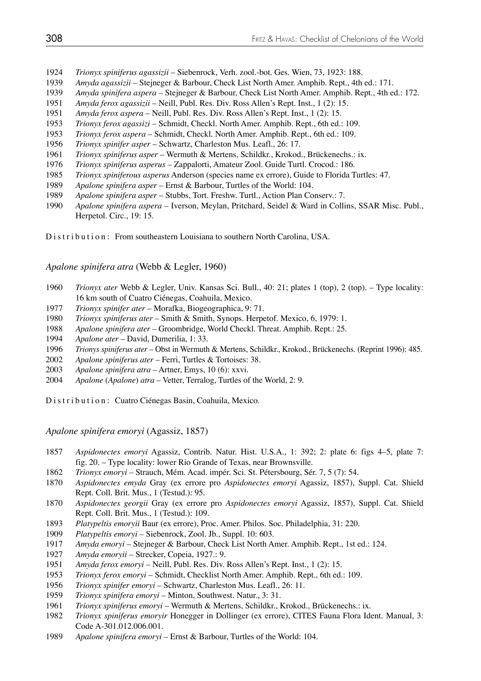- *Trionyx spiniferus agassizii* Siebenrock, Verh. zool.-bot. Ges. Wien, 73, 1923: 188.
- *Amyda agassizii* Stejneger & Barbour, Check List North Amer. Amphib. Rept., 4th ed.: 171.
- *Amyda spinifera aspera*  Stejneger & Barbour, Check List North Amer. Amphib. Rept., 4th ed.: 172.
- *Amyda ferox agassizii* Neill, Publ. Res. Div. Ross Allen's Rept. Inst., 1 (2): 15.
- *Amyda ferox aspera*  Neill, Publ. Res. Div. Ross Allen's Rept. Inst., 1 (2): 15.
- *Trionyx ferox agassizi* Schmidt, Checkl. North Amer. Amphib. Rept., 6th ed.: 109.
- *Trionyx ferox aspera*  Schmidt, Checkl. North Amer. Amphib. Rept., 6th ed.: 109.
- *Trionyx spinifer asper* Schwartz, Charleston Mus. Leafl., 26: 17.
- *Trionyx spiniferus asper* Wermuth & Mertens, Schildkr., Krokod., Brückenechs.: ix.
- *Trionyx spiniferus asperus*  Zappalorti, Amateur Zool. Guide Turtl. Crocod.: 186.
- *Trionyx spiniferous asperus* Anderson (species name ex errore), Guide to Florida Turtles: 47.
- *Apalone spinifera asper* Ernst & Barbour, Turtles of the World: 104.
- *Apalone spinifera asper* Stubbs, Tort. Freshw. Turtl., Action Plan Conserv.: 7.
- *Apalone spinifera aspera* Iverson, Meylan, Pritchard, Seidel & Ward in Collins, SSAR Misc. Publ., Herpetol. Circ., 19: 15.

Distribution: From southeastern Louisiana to southern North Carolina, USA.

### *Apalone spinifera atra* (Webb & Legler, 1960)

- *Trionyx ater* Webb & Legler, Univ. Kansas Sci. Bull., 40: 21; plates 1 (top), 2 (top). Type locality: 16 km south of Cuatro Ciénegas, Coahuila, Mexico.
- *Trionyx spinifer ater* Morafka, Biogeographica, 9: 71.
- *Trionyx spiniferus ater* Smith & Smith, Synops. Herpetof. Mexico, 6, 1979: 1.
- *Apalone spinifera ater* Groombridge, World Checkl. Threat. Amphib. Rept.: 25.
- *Apalone ater* David, Dumerilia, 1: 33.
- *Trionys spiniferus ater* Obst in Wermuth & Mertens, Schildkr., Krokod., Brückenechs. (Reprint 1996): 485.
- *Apalone spiniferus ater* Ferri, Turtles & Tortoises: 38.
- *Apalone spinifera atra* Artner, Emys, 10 (6): xxvi.
- *Apalone* (*Apalone*) *atra* Vetter, Terralog, Turtles of the World, 2: 9.

Distribution: Cuatro Ciénegas Basin, Coahuila, Mexico.

*Apalone spinifera emoryi* (Agassiz, 1857)

- *Aspidonectes emoryi* Agassiz, Contrib. Natur. Hist. U.S.A., 1: 392; 2: plate 6: figs 4–5, plate 7: fig. 20. – Type locality: lower Rio Grande of Texas, near Brownsville.
- *Trionyx emoryi*  Strauch, Mém. Acad. impér. Sci. St. Pétersbourg, Sér. 7, 5 (7): 54.
- *Aspidonectes emyda* Gray (ex errore pro *Aspidonectes emoryi* Agassiz, 1857), Suppl. Cat. Shield Rept. Coll. Brit. Mus., 1 (Testud.): 95.
- *Aspidonectes georgii* Gray (ex errore pro *Aspidonectes emoryi* Agassiz, 1857), Suppl. Cat. Shield Rept. Coll. Brit. Mus., 1 (Testud.): 109.
- *Platypeltis emoryii* Baur (ex errore), Proc. Amer. Philos. Soc. Philadelphia, 31: 220.
- *Platypeltis emoryi* Siebenrock, Zool. Jb., Suppl. 10: 603.
- *Amyda emoryi*  Stejneger & Barbour, Check List North Amer. Amphib. Rept., 1st ed.: 124.
- *Amyda emoryii*  Strecker, Copeia, 1927.: 9.
- *Amyda ferox emoryi*  Neill, Publ. Res. Div. Ross Allen's Rept. Inst., 1 (2): 15.
- *Trionyx ferox emoryi*  Schmidt, Checklist North Amer. Amphib. Rept., 6th ed.: 109.
- *Trionyx spinifer emoryi*  Schwartz, Charleston Mus. Leafl., 26: 11.
- *Trionyx spinifera emoryi*  Minton, Southwest. Natur., 3: 31.
- *Trionyx spiniferus emoryi*  Wermuth & Mertens, Schildkr., Krokod., Brückenechs.: ix.
- *Trionyx spiniferus emoryir* Honegger in Dollinger (ex errore), CITES Fauna Flora Ident. Manual, 3: Code A-301.012.006.001.
- *Apalone spinifera emoryi*  Ernst & Barbour, Turtles of the World: 104.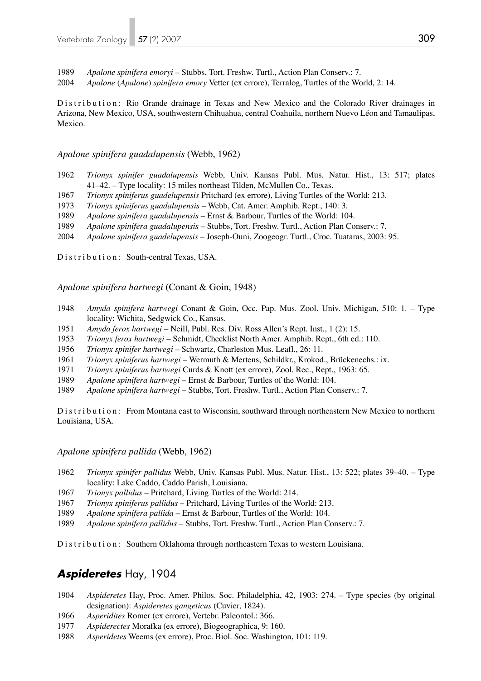*Apalone spinifera emoryi* – Stubbs, Tort. Freshw. Turtl., Action Plan Conserv.: 7.

*Apalone* (*Apalone*) *spinifera emory* Vetter (ex errore), Terralog, Turtles of the World, 2: 14.

Distribution: Rio Grande drainage in Texas and New Mexico and the Colorado River drainages in Arizona, New Mexico, USA, southwestern Chihuahua, central Coahuila, northern Nuevo Léon and Tamaulipas, Mexico.

#### *Apalone spinifera guadalupensis* (Webb, 1962)

- *Trionyx spinifer guadalupensis* Webb, Univ. Kansas Publ. Mus. Natur. Hist., 13: 517; plates 41–42. – Type locality: 15 miles northeast Tilden, McMullen Co., Texas.
- *Trionyx spiniferus guadelupensis* Pritchard (ex errore), Living Turtles of the World: 213.
- *Trionyx spiniferus guadalupensis* Webb, Cat. Amer. Amphib. Rept., 140: 3.
- *Apalone spinifera guadalupensis* Ernst & Barbour, Turtles of the World: 104.
- *Apalone spinifera guadalupensis* Stubbs, Tort. Freshw. Turtl., Action Plan Conserv.: 7.
- *Apalone spinifera guadelupensis* Joseph-Ouni, Zoogeogr. Turtl., Croc. Tuataras, 2003: 95.

Distribution: South-central Texas, USA.

*Apalone spinifera hartwegi* (Conant & Goin, 1948)

- *Amyda spinifera hartwegi* Conant & Goin, Occ. Pap. Mus. Zool. Univ. Michigan, 510: 1. Type locality: Wichita, Sedgwick Co., Kansas.
- *Amyda ferox hartwegi* Neill, Publ. Res. Div. Ross Allen's Rept. Inst., 1 (2): 15.
- *Trionyx ferox hartwegi* Schmidt, Checklist North Amer. Amphib. Rept., 6th ed.: 110.
- *Trionyx spinifer hartwegi* Schwartz, Charleston Mus. Leafl., 26: 11.
- *Trionyx spiniferus hartwegi* Wermuth & Mertens, Schildkr., Krokod., Brückenechs.: ix.
- *Trionyx spiniferus bartwegi* Curds & Knott (ex errore), Zool. Rec., Rept., 1963: 65.
- *Apalone spinifera hartwegi* Ernst & Barbour, Turtles of the World: 104.
- *Apalone spinifera hartwegi* Stubbs, Tort. Freshw. Turtl., Action Plan Conserv.: 7.

Distribution: From Montana east to Wisconsin, southward through northeastern New Mexico to northern Louisiana, USA.

#### *Apalone spinifera pallida* (Webb, 1962)

- *Trionyx spinifer pallidus* Webb, Univ. Kansas Publ. Mus. Natur. Hist., 13: 522; plates 39–40. Type locality: Lake Caddo, Caddo Parish, Louisiana.
- *Trionyx pallidus* Pritchard, Living Turtles of the World: 214.
- *Trionyx spiniferus pallidus* Pritchard, Living Turtles of the World: 213.
- *Apalone spinifera pallida* Ernst & Barbour, Turtles of the World: 104.
- *Apalone spinifera pallidus* Stubbs, Tort. Freshw. Turtl., Action Plan Conserv.: 7.

Distribution: Southern Oklahoma through northeastern Texas to western Louisiana.

# *Aspideretes* Hay, 1904

- *Aspideretes* Hay, Proc. Amer. Philos. Soc. Philadelphia, 42, 1903: 274. Type species (by original designation): *Aspideretes gangeticus* (Cuvier, 1824).
- *Asperidites* Romer (ex errore), Vertebr. Paleontol.: 366.
- *Aspiderectes* Morafka (ex errore), Biogeographica, 9: 160.
- *Asperidetes* Weems (ex errore), Proc. Biol. Soc. Washington, 101: 119.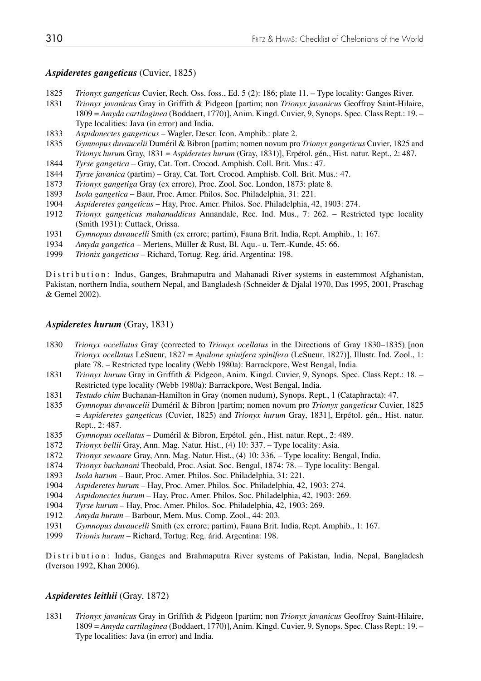### *Aspideretes gangeticus* (Cuvier, 1825)

- 1825 *Trionyx gangeticus* Cuvier, Rech. Oss. foss., Ed. 5 (2): 186; plate 11. Type locality: Ganges River.
- 1831 *Trionyx javanicus* Gray in Griffith & Pidgeon [partim; non *Trionyx javanicus* Geoffroy Saint-Hilaire, 1809 = *Amyda cartilaginea* (Boddaert, 1770)], Anim. Kingd. Cuvier, 9, Synops. Spec. Class Rept.: 19. – Type localities: Java (in error) and India.
- 1833 *Aspidonectes gangeticus* Wagler, Descr. Icon. Amphib.: plate 2.
- 1835 *Gymnopus duvaucelii* Duméril & Bibron [partim; nomen novum pro *Trionyx gangeticus* Cuvier, 1825 and *Trionyx hurum* Gray, 1831 = *Aspideretes hurum* (Gray, 1831)], Erpétol. gén., Hist. natur. Rept., 2: 487.
- 1844 *Tyrse gangetica* Gray, Cat. Tort. Crocod. Amphisb. Coll. Brit. Mus.: 47.
- 1844 *Tyrse javanica* (partim) Gray, Cat. Tort. Crocod. Amphisb. Coll. Brit. Mus.: 47.
- 1873 *Trionyx gangetiga* Gray (ex errore), Proc. Zool. Soc. London, 1873: plate 8.
- 1893 *Isola gangetica* Baur, Proc. Amer. Philos. Soc. Philadelphia, 31: 221.
- 1904 *Aspideretes gangeticus* Hay, Proc. Amer. Philos. Soc. Philadelphia, 42, 1903: 274.
- 1912 *Trionyx gangeticus mahanaddicus* Annandale, Rec. Ind. Mus., 7: 262. Restricted type locality (Smith 1931): Cuttack, Orissa.
- 1931 *Gymnopus duvaucelli* Smith (ex errore; partim), Fauna Brit. India, Rept. Amphib., 1: 167.<br>1934 *Amvda gangetica* Mertens, Müller & Rust. Bl. Agu.- u. Terr.-Kunde. 45: 66.
- 1934 *Amyda gangetica* Mertens, Müller & Rust, Bl. Aqu.- u. Terr.-Kunde, 45: 66.
- 1999 *Trionix gangeticus*  Richard, Tortug. Reg. árid. Argentina: 198.

Distribution: Indus, Ganges, Brahmaputra and Mahanadi River systems in easternmost Afghanistan, Pakistan, northern India, southern Nepal, and Bangladesh (Schneider & Djalal 1970, Das 1995, 2001, Praschag & Gemel 2002).

#### *Aspideretes hurum* (Gray, 1831)

- 1830 *Trionyx occellatus* Gray (corrected to *Trionyx ocellatus* in the Directions of Gray 1830–1835) [non *Trionyx ocellatus* LeSueur, 1827 = *Apalone spinifera spinifera* (LeSueur, 1827)], Illustr. Ind. Zool., 1: plate 78. – Restricted type locality (Webb 1980a): Barrackpore, West Bengal, India.
- 1831 *Trionyx hurum* Gray in Griffith & Pidgeon, Anim. Kingd. Cuvier, 9, Synops. Spec. Class Rept.: 18. Restricted type locality (Webb 1980a): Barrackpore, West Bengal, India.
- 1831 *Testudo chim* Buchanan-Hamilton in Gray (nomen nudum), Synops. Rept., 1 (Cataphracta): 47.
- 1835 *Gymnopus duvaucelii* Duméril & Bibron [partim; nomen novum pro *Trionyx gangeticus* Cuvier, 1825 = *Aspideretes gangeticus* (Cuvier, 1825) and *Trionyx hurum* Gray, 1831], Erpétol. gén., Hist. natur. Rept., 2: 487.
- 1835 *Gymnopus ocellatus* Duméril & Bibron, Erpétol. gén., Hist. natur. Rept., 2: 489.
- 1872 *Trionyx bellii* Gray, Ann. Mag. Natur. Hist., (4) 10: 337. Type locality: Asia.
- 1872 *Trionyx sewaare* Gray, Ann. Mag. Natur. Hist., (4) 10: 336. Type locality: Bengal, India.
- 1874 *Trionyx buchanani* Theobald, Proc. Asiat. Soc. Bengal, 1874: 78. Type locality: Bengal.
- 1893 *Isola hurum* Baur, Proc. Amer. Philos. Soc. Philadelphia, 31: 221.
- 1904 *Aspideretes hurum* Hay, Proc. Amer. Philos. Soc. Philadelphia, 42, 1903: 274.
- 1904 *Aspidonectes hurum* Hay, Proc. Amer. Philos. Soc. Philadelphia, 42, 1903: 269.
- 1904 *Tyrse hurum* Hay, Proc. Amer. Philos. Soc. Philadelphia, 42, 1903: 269.
- 1912 *Amyda hurum* Barbour, Mem. Mus. Comp. Zool., 44: 203.
- 1931 *Gymnopus duvaucelli* Smith (ex errore; partim), Fauna Brit. India, Rept. Amphib., 1: 167.
- 1999 *Trionix hurum* Richard, Tortug. Reg. árid. Argentina: 198.

Distribution: Indus, Ganges and Brahmaputra River systems of Pakistan, India, Nepal, Bangladesh (Iverson 1992, Khan 2006).

#### *Aspideretes leithii* (Gray, 1872)

1831 *Trionyx javanicus* Gray in Griffith & Pidgeon [partim; non *Trionyx javanicus* Geoffroy Saint-Hilaire, 1809 = *Amyda cartilaginea* (Boddaert, 1770)], Anim. Kingd. Cuvier, 9, Synops. Spec. Class Rept.: 19. – Type localities: Java (in error) and India.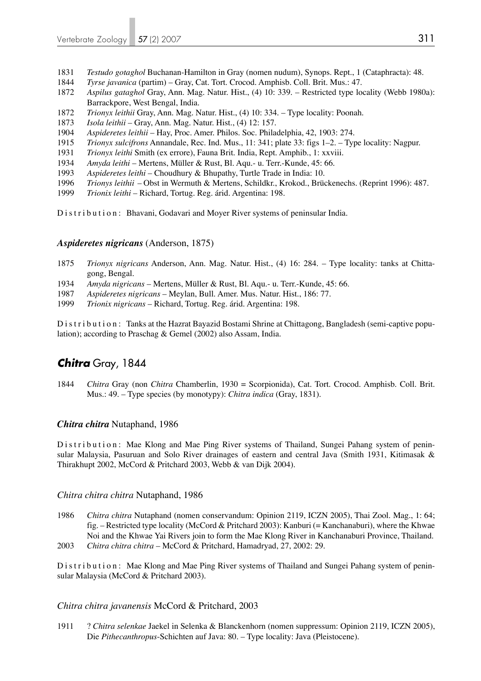- 1831 *Testudo gotaghol* Buchanan-Hamilton in Gray (nomen nudum), Synops. Rept., 1 (Cataphracta): 48.
- 1844 *Tyrse javanica* (partim) Gray, Cat. Tort. Crocod. Amphisb. Coll. Brit. Mus.: 47.
- 1872 *Aspilus gataghol* Gray, Ann. Mag. Natur. Hist., (4) 10: 339. Restricted type locality (Webb 1980a): Barrackpore, West Bengal, India.
- 1872 *Trionyx leithii* Gray, Ann. Mag. Natur. Hist., (4) 10: 334. Type locality: Poonah.
- 1873 *Isola leithii* Gray, Ann. Mag. Natur. Hist., (4) 12: 157.
- 1904 *Aspideretes leithii* Hay, Proc. Amer. Philos. Soc. Philadelphia, 42, 1903: 274.
- 1915 *Trionyx sulcifrons* Annandale, Rec. Ind. Mus., 11: 341; plate 33: figs 1–2. Type locality: Nagpur.
- 1931 *Trionyx leithi* Smith (ex errore), Fauna Brit. India, Rept. Amphib., 1: xxviii.
- 1934 *Amyda leithi* Mertens, Müller & Rust, Bl. Aqu.- u. Terr.-Kunde, 45: 66.
- 1993 *Aspideretes leithi* Choudhury & Bhupathy, Turtle Trade in India: 10.
- 1996 *Trionys leithii* Obst in Wermuth & Mertens, Schildkr., Krokod., Brückenechs. (Reprint 1996): 487.
- 1999 *Trionix leithi* Richard, Tortug. Reg. árid. Argentina: 198.

Distribution: Bhavani, Godavari and Moyer River systems of peninsular India.

## *Aspideretes nigricans* (Anderson, 1875)

- 1875 *Trionyx nigricans* Anderson, Ann. Mag. Natur. Hist., (4) 16: 284. Type locality: tanks at Chitta gong, Bengal.
- 1934 *Amyda nigricans* Mertens, Müller & Rust, Bl. Aqu.- u. Terr.-Kunde, 45: 66.
- 1987 *Aspideretes nigricans* Meylan, Bull. Amer. Mus. Natur. Hist., 186: 77.
- 1999 *Trionix nigricans* Richard, Tortug. Reg. árid. Argentina: 198.

Distribution: Tanks at the Hazrat Bayazid Bostami Shrine at Chittagong, Bangladesh (semi-captive population); according to Praschag & Gemel (2002) also Assam, India.

# *Chitra* Gray, 1844

1844 *Chitra* Gray (non *Chitra* Chamberlin, 1930 = Scorpionida), Cat. Tort. Crocod. Amphisb. Coll. Brit. Mus.: 49. – Type species (by monotypy): *Chitra indica* (Gray, 1831).

## *Chitra chitra* Nutaphand, 1986

Distribution: Mae Klong and Mae Ping River systems of Thailand, Sungei Pahang system of peninsular Malaysia, Pasuruan and Solo River drainages of eastern and central Java (Smith 1931, Kitimasak & Thirakhupt 2002, McCord & Pritchard 2003, Webb & van Dijk 2004).

## *Chitra chitra chitra* Nutaphand, 1986

1986 *Chitra chitra* Nutaphand (nomen conservandum: Opinion 2119, ICZN 2005), Thai Zool. Mag., 1: 64; fig. – Restricted type locality (McCord & Pritchard 2003): Kanburi (= Kanchanaburi), where the Khwae Noi and the Khwae Yai Rivers join to form the Mae Klong River in Kanchanaburi Province, Thailand. 2003 *Chitra chitra chitra* – McCord & Pritchard, Hamadryad, 27, 2002: 29.

Distribution: Mae Klong and Mae Ping River systems of Thailand and Sungei Pahang system of peninsular Malaysia (McCord & Pritchard 2003).

## *Chitra chitra javanensis* McCord & Pritchard, 2003

1911 ? *Chitra selenkae* Jaekel in Selenka & Blanckenhorn (nomen suppressum: Opinion 2119, ICZN 2005), Die *Pithecanthropus*-Schichten auf Java: 80. – Type locality: Java (Pleistocene).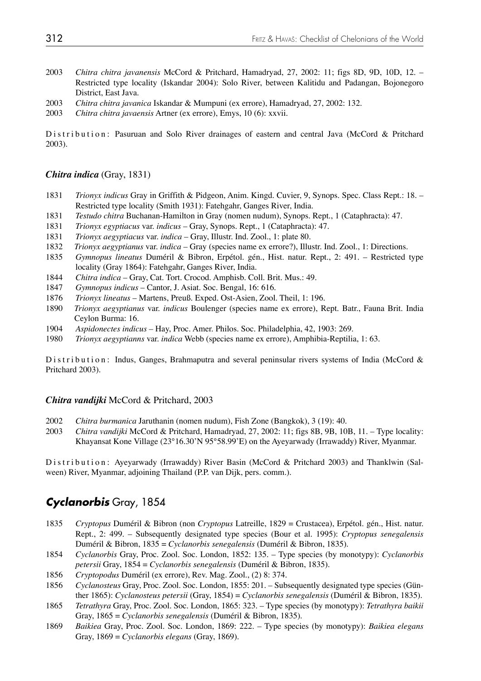- 2003 *Chitra chitra javanensis* McCord & Pritchard, Hamadryad, 27, 2002: 11; figs 8D, 9D, 10D, 12. Restricted type locality (Iskandar 2004): Solo River, between Kalitidu and Padangan, Bojonegoro District, East Java.
- 2003 *Chitra chitra javanica* Iskandar & Mumpuni (ex errore), Hamadryad, 27, 2002: 132.
- 2003 *Chitra chitra javaensis* Artner (ex errore), Emys, 10 (6): xxvii.

Distribution: Pasuruan and Solo River drainages of eastern and central Java (McCord & Pritchard 2003).

### *Chitra indica* (Gray, 1831)

- 1831 *Trionyx indicus* Gray in Griffith & Pidgeon, Anim. Kingd. Cuvier, 9, Synops. Spec. Class Rept.: 18. Restricted type locality (Smith 1931): Fatehgahr, Ganges River, India.
- 1831 *Testudo chitra* Buchanan-Hamilton in Gray (nomen nudum), Synops. Rept., 1 (Cataphracta): 47.
- 1831 *Trionyx egyptiacus* var. *indicus* Gray, Synops. Rept., 1 (Cataphracta): 47.
- 1831 *Trionyx aegyptiacus* var. *indica* Gray, Illustr. Ind. Zool., 1: plate 80.
- 1832 *Trionyx aegyptianus* var. *indica* Gray (species name ex errore?), Illustr. Ind. Zool., 1: Directions.
- 1835 *Gymnopus lineatus* Duméril & Bibron, Erpétol. gén., Hist. natur. Rept., 2: 491. Restricted type locality (Gray 1864): Fatehgahr, Ganges River, India.
- 1844 *Chitra indica* Gray, Cat. Tort. Crocod. Amphisb. Coll. Brit. Mus.: 49.
- 1847 *Gymnopus indicus* Cantor, J. Asiat. Soc. Bengal, 16: 616.
- 1876 *Trionyx lineatus* Martens, Preuß. Exped. Ost-Asien, Zool. Theil, 1: 196.
- 1890 *Trionyx aegyptianus* var. *indicus* Boulenger (species name ex errore), Rept. Batr., Fauna Brit. India Ceylon Burma: 16.
- 1904 *Aspidonectes indicus* Hay, Proc. Amer. Philos. Soc. Philadelphia, 42, 1903: 269.
- 1980 *Trionyx aegyptianns* var. *indica* Webb (species name ex errore), Amphibia-Reptilia, 1: 63.

Distribution: Indus, Ganges, Brahmaputra and several peninsular rivers systems of India (McCord & Pritchard 2003).

### *Chitra vandijki* McCord & Pritchard, 2003

- 2002 *Chitra burmanica* Jaruthanin (nomen nudum), Fish Zone (Bangkok), 3 (19): 40.
- 2003 *Chitra vandijki* McCord & Pritchard, Hamadryad, 27, 2002: 11; figs 8B, 9B, 10B, 11. Type locality: Khayansat Kone Village (23°16.30'N 95°58.99'E) on the Ayeyarwady (Irrawaddy) River, Myanmar.

Distribution: Ayeyarwady (Irrawaddy) River Basin (McCord & Pritchard 2003) and Thanklwin (Salween) River, Myanmar, adjoining Thailand (P.P. van Dijk, pers. comm.).

## *Cyclanorbis* Gray, 1854

- 1835 *Cryptopus* Duméril & Bibron (non *Cryptopus* Latreille, 1829 = Crustacea), Erpétol. gén., Hist. natur. Rept., 2: 499. – Subsequently designated type species (Bour et al. 1995): *Cryptopus senegalensis* Duméril & Bibron, 1835 = *Cyclanorbis senegalensis* (Duméril & Bibron, 1835).
- 1854 *Cyclanorbis* Gray, Proc. Zool. Soc. London, 1852: 135. Type species (by monotypy): *Cyclanorbis petersii* Gray, 1854 = *Cyclanorbis senegalensis* (Duméril & Bibron, 1835).
- 1856 *Cryptopodus* Duméril (ex errore), Rev. Mag. Zool., (2) 8: 374.
- 1856 *Cyclanosteus* Gray, Proc. Zool. Soc. London, 1855: 201. Subsequently designated type species (Gün ther 1865): *Cyclanosteus petersii* (Gray, 1854) = *Cyclanorbis senegalensis* (Duméril & Bibron, 1835).
- 1865 *Tetrathyra* Gray, Proc. Zool. Soc. London, 1865: 323. Type species (by monotypy): *Tetrathyra baikii* Gray, 1865 = *Cyclanorbis senegalensis* (Duméril & Bibron, 1835).
- 1869 *Baikiea* Gray, Proc. Zool. Soc. London, 1869: 222. Type species (by monotypy): *Baikiea elegans* Gray, 1869 = *Cyclanorbis elegans* (Gray, 1869).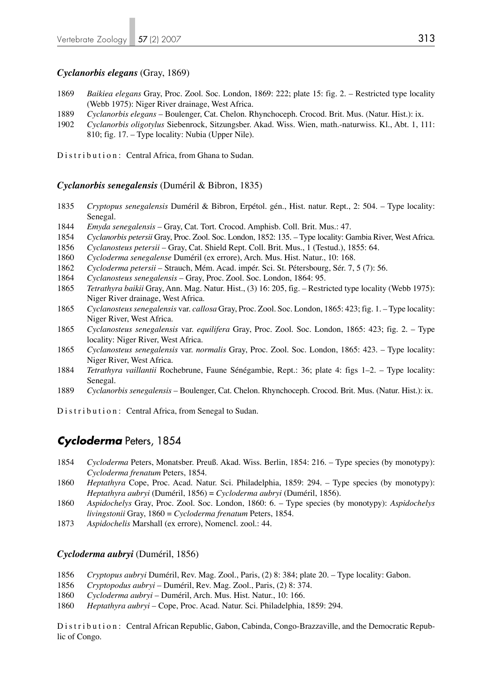### *Cyclanorbis elegans* (Gray, 1869)

- 1869 *Baikiea elegans* Gray, Proc. Zool. Soc. London, 1869: 222; plate 15: fig. 2. Restricted type locality (Webb 1975): Niger River drainage, West Africa.
- 1889 *Cyclanorbis elegans* Boulenger, Cat. Chelon. Rhynchoceph. Crocod. Brit. Mus. (Natur. Hist.): ix.
- 1902 *Cyclanorbis oligotylus* Siebenrock, Sitzungsber. Akad. Wiss. Wien, math.-naturwiss. Kl., Abt. 1, 111: 810; fig. 17. – Type locality: Nubia (Upper Nile).

Distribution: Central Africa, from Ghana to Sudan.

#### *Cyclanorbis senegalensis* (Duméril & Bibron, 1835)

- 1835 *Cryptopus senegalensis* Duméril & Bibron, Erpétol. gén., Hist. natur. Rept., 2: 504. Type locality: Senegal.
- 1844 *Emyda senegalensis* Gray, Cat. Tort. Crocod. Amphisb. Coll. Brit. Mus.: 47.
- 1854 *Cyclanorbis petersii* Gray, Proc. Zool. Soc. London, 1852: 135. Type locality: Gambia River, West Africa.
- 1856 *Cyclanosteus petersii* Gray, Cat. Shield Rept. Coll. Brit. Mus., 1 (Testud.), 1855: 64.
- 1860 *Cycloderma senegalense* Duméril (ex errore), Arch. Mus. Hist. Natur., 10: 168.
- 1862 *Cycloderma petersii* Strauch, Mém. Acad. impér. Sci. St. Pétersbourg, Sér. 7, 5 (7): 56.
- 1864 *Cyclanosteus senegalensis* Gray, Proc. Zool. Soc. London, 1864: 95.
- 1865 *Tetrathyra baikii* Gray, Ann. Mag. Natur. Hist., (3) 16: 205, fig. Restricted type locality (Webb 1975): Niger River drainage, West Africa.
- 1865 *Cyclanosteussenegalensis* var. *callosa* Gray, Proc. Zool. Soc. London, 1865: 423; fig. 1. Type locality: Niger River, West Africa.
- 1865 *Cyclanosteus senegalensis* var. *equilifera* Gray, Proc. Zool. Soc. London, 1865: 423; fig. 2. Type locality: Niger River, West Africa.
- 1865 *Cyclanosteus senegalensis* var. *normalis* Gray, Proc. Zool. Soc. London, 1865: 423. Type locality: Niger River, West Africa.
- 1884 *Tetrathyra vaillantii* Rochebrune, Faune Sénégambie, Rept.: 36; plate 4: figs 1–2. Type locality: Senegal.
- 1889 *Cyclanorbis senegalensis* Boulenger, Cat. Chelon. Rhynchoceph. Crocod. Brit. Mus. (Natur. Hist.): ix.
- Distribution: Central Africa, from Senegal to Sudan.

## *Cycloderma* Peters, 1854

- 1854 *Cycloderma* Peters, Monatsber. Preuß. Akad. Wiss. Berlin, 1854: 216. Type species (by monotypy): *Cycloderma frenatum* Peters, 1854.
- 1860 *Heptathyra* Cope, Proc. Acad. Natur. Sci. Philadelphia, 1859: 294. Type species (by monotypy): *Heptathyra aubryi* (Duméril, 1856) = *Cycloderma aubryi* (Duméril, 1856).
- 1860 *Aspidochelys* Gray, Proc. Zool. Soc. London, 1860: 6. Type species (by monotypy): *Aspidochelys livingstonii* Gray, 1860 = *Cycloderma frenatum* Peters, 1854.
- 1873 *Aspidochelis* Marshall (ex errore), Nomencl. zool.: 44.

### *Cycloderma aubryi* (Duméril, 1856)

- 1856 *Cryptopus aubryi* Duméril, Rev. Mag. Zool., Paris, (2) 8: 384; plate 20. Type locality: Gabon.
- 1856 *Cryptopodus aubryi*  Duméril, Rev. Mag. Zool., Paris, (2) 8: 374.
- 1860 *Cycloderma aubryi* Duméril, Arch. Mus. Hist. Natur., 10: 166.
- 1860 *Heptathyra aubryi* Cope, Proc. Acad. Natur. Sci. Philadelphia, 1859: 294.

Distribution: Central African Republic, Gabon, Cabinda, Congo-Brazzaville, and the Democratic Republic of Congo.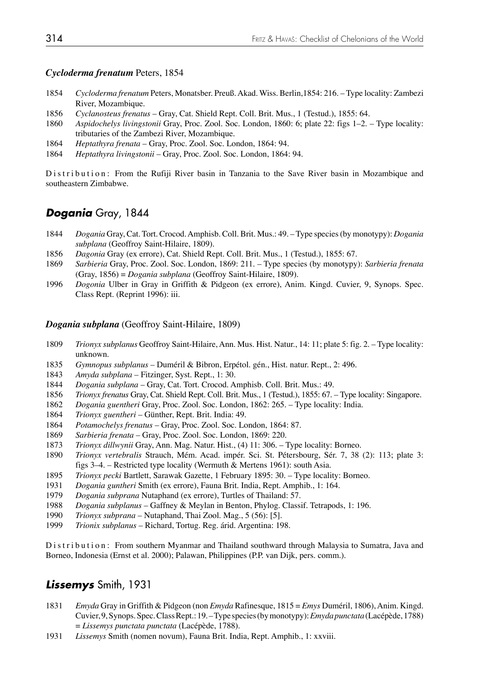## *Cycloderma frenatum* Peters, 1854

- *Cycloderma frenatum* Peters, Monatsber. Preuß. Akad. Wiss. Berlin,1854: 216. Type locality: Zambezi River, Mozambique.
- *Cyclanosteus frenatus*  Gray, Cat. Shield Rept. Coll. Brit. Mus., 1 (Testud.), 1855: 64.
- *Aspidochelys livingstonii* Gray, Proc. Zool. Soc. London, 1860: 6; plate 22: figs 1–2. Type locality: tributaries of the Zambezi River, Mozambique.
- *Heptathyra frenata* Gray, Proc. Zool. Soc. London, 1864: 94.
- *Heptathyra livingstonii* Gray, Proc. Zool. Soc. London, 1864: 94.

Distribution: From the Rufiji River basin in Tanzania to the Save River basin in Mozambique and southeastern Zimbabwe.

# *Dogania* Gray, 1844

- *Dogania* Gray, Cat. Tort. Crocod. Amphisb. Coll. Brit. Mus.: 49. Type species (by monotypy): *Dogania subplana* (Geoffroy Saint-Hilaire, 1809).
- *Dagonia* Gray (ex errore), Cat. Shield Rept. Coll. Brit. Mus., 1 (Testud.), 1855: 67.
- *Sarbieria* Gray, Proc. Zool. Soc. London, 1869: 211. Type species (by monotypy): *Sarbieria frenata*  (Gray, 1856) = *Dogania subplana* (Geoffroy Saint-Hilaire, 1809).
- *Dogonia* Ulber in Gray in Griffith & Pidgeon (ex errore), Anim. Kingd. Cuvier, 9, Synops. Spec. Class Rept. (Reprint 1996): iii.

## *Dogania subplana* (Geoffroy Saint-Hilaire, 1809)

- *Trionyx subplanus* Geoffroy Saint-Hilaire, Ann. Mus. Hist. Natur., 14: 11; plate 5: fig. 2. Type locality: unknown.
- *Gymnopus subplanus* Duméril & Bibron, Erpétol. gén., Hist. natur. Rept., 2: 496.
- *Amyda subplana* Fitzinger, Syst. Rept., 1: 30.
- *Dogania subplana* Gray, Cat. Tort. Crocod. Amphisb. Coll. Brit. Mus.: 49.
- *Trionyx frenatus* Gray, Cat. Shield Rept. Coll. Brit. Mus., 1 (Testud.), 1855: 67. Type locality: Singapore.
- *Dogania guentheri* Gray, Proc. Zool. Soc. London, 1862: 265. Type locality: India.
- *Trionyx guentheri* Günther, Rept. Brit. India: 49.
- *Potamochelys frenatus* Gray, Proc. Zool. Soc. London, 1864: 87.
- *Sarbieria frenata* Gray, Proc. Zool. Soc. London, 1869: 220.
- *Trionyx dillwynii* Gray, Ann. Mag. Natur. Hist., (4) 11: 306. Type locality: Borneo.
- *Trionyx vertebralis* Strauch, Mém. Acad. impér. Sci. St. Pétersbourg, Sér. 7, 38 (2): 113; plate 3: figs 3–4. – Restricted type locality (Wermuth & Mertens 1961): south Asia.
- *Trionyx pecki* Bartlett, Sarawak Gazette, 1 February 1895: 30. Type locality: Borneo.
- *Dogania guntheri* Smith (ex errore), Fauna Brit. India, Rept. Amphib., 1: 164.
- *Dogania subprana* Nutaphand (ex errore), Turtles of Thailand: 57.
- *Dogania subplanus* Gaffney & Meylan in Benton, Phylog. Classif. Tetrapods, 1: 196.
- *Trionyx subprana* Nutaphand, Thai Zool. Mag., 5 (56): [5].
- *Trionix subplanus* Richard, Tortug. Reg. árid. Argentina: 198.

Distribution: From southern Myanmar and Thailand southward through Malaysia to Sumatra, Java and Borneo, Indonesia (Ernst et al. 2000); Palawan, Philippines (P.P. van Dijk, pers. comm.).

## *Lissemys* Smith, 1931

- *Emyda* Gray in Griffith & Pidgeon (non *Emyda* Rafinesque, 1815 = *Emys* Duméril, 1806), Anim. Kingd. Cuvier, 9, Synops. Spec. Class Rept.: 19. – Type species (by monotypy): *Emyda punctata* (Lacépède, 1788) = *Lissemys punctata punctata* (Lacépède, 1788).
- *Lissemys* Smith (nomen novum), Fauna Brit. India, Rept. Amphib., 1: xxviii.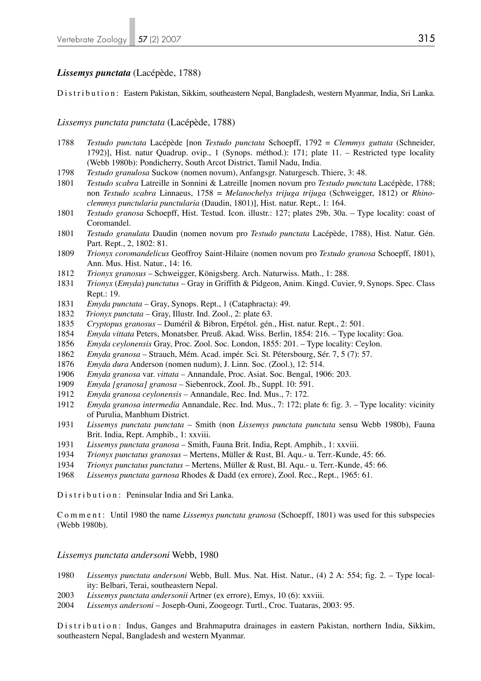### *Lissemys punctata* (Lacépède, 1788)

Distribution: Eastern Pakistan, Sikkim, southeastern Nepal, Bangladesh, western Myanmar, India, Sri Lanka.

#### *Lissemys punctata punctata* (Lacépède, 1788)

- 1788 *Testudo punctata* Lacépède [non *Testudo punctata* Schoepff, 1792 = *Clemmys guttata* (Schneider, 1792)], Hist. natur Quadrup. ovip., 1 (Synops. méthod.): 171; plate 11. – Restricted type locality (Webb 1980b): Pondicherry, South Arcot District, Tamil Nadu, India.
- 1798 *Testudo granulosa* Suckow (nomen novum), Anfangsgr. Naturgesch. Thiere, 3: 48.
- 1801 *Testudo scabra* Latreille in Sonnini & Latreille [nomen novum pro *Testudo punctata* Lacépède, 1788; non *Testudo scabra* Linnaeus, 1758 = *Melanochelys trijuga trijuga* (Schweigger, 1812) or *Rhino clemmys punctularia punctularia* (Daudin, 1801)], Hist. natur. Rept., 1: 164.
- 1801 *Testudo granosa* Schoepff, Hist. Testud. Icon. illustr.: 127; plates 29b, 30a. Type locality: coast of Coromandel.
- 1801 *Testudo granulata* Daudin (nomen novum pro *Testudo punctata* Lacépède, 1788), Hist. Natur. Gén. Part. Rept., 2, 1802: 81.
- 1809 *Trionyx coromandelicus* Geoffroy Saint-Hilaire (nomen novum pro *Testudo granosa* Schoepff, 1801), Ann. Mus. Hist. Natur., 14: 16.
- 1812 *Trionyx granosus* Schweigger, Königsberg. Arch. Naturwiss. Math., 1: 288.
- 1831 *Trionyx* (*Emyda*) *punctatus*  Gray in Griffith & Pidgeon, Anim. Kingd. Cuvier, 9, Synops. Spec. Class Rept.: 19.
- 1831 *Emyda punctata*  Gray, Synops. Rept., 1 (Cataphracta): 49.
- 1832 *Trionyx punctata* Gray, Illustr. Ind. Zool., 2: plate 63.
- 1835 *Cryptopus granosus* Duméril & Bibron, Erpétol. gén., Hist. natur. Rept., 2: 501.
- 1854 *Emyda vittata* Peters, Monatsber. Preuß. Akad. Wiss. Berlin, 1854: 216. Type locality: Goa.
- 1856 *Emyda ceylonensis* Gray, Proc. Zool. Soc. London, 1855: 201. Type locality: Ceylon.
- 1862 *Emyda granosa* Strauch, Mém. Acad. impér. Sci. St. Pétersbourg, Sér. 7, 5 (7): 57.
- 1876 *Emyda dura* Anderson (nomen nudum), J. Linn. Soc. (Zool.), 12: 514.
- 1906 *Emyda granosa* var. *vittata* Annandale, Proc. Asiat. Soc. Bengal, 1906: 203.
- 1909 *Emyda [granosa] granosa* Siebenrock, Zool. Jb., Suppl. 10: 591.
- 1912 *Emyda granosa ceylonensis* Annandale, Rec. Ind. Mus., 7: 172.
- 1912 *Emyda granosa intermedia* Annandale, Rec. Ind. Mus., 7: 172; plate 6: fig. 3. Type locality: vicinity of Purulia, Manbhum District.
- 1931 *Lissemys punctata punctata*  Smith (non *Lissemys punctata punctata* sensu Webb 1980b), Fauna Brit. India, Rept. Amphib., 1: xxviii.
- 1931 *Lissemys punctata granosa*  Smith, Fauna Brit. India, Rept. Amphib., 1: xxviii.
- 1934 *Trionyx punctatus granosus*  Mertens, Müller & Rust, Bl. Aqu.- u. Terr.-Kunde, 45: 66.
- 1934 *Trionyx punctatus punctatus*  Mertens, Müller & Rust, Bl. Aqu.- u. Terr.-Kunde, 45: 66.
- 1968 *Lissemys punctata garnosa* Rhodes & Dadd (ex errore), Zool. Rec., Rept., 1965: 61.

Distribution: Peninsular India and Sri Lanka.

Comment: Until 1980 the name *Lissemys punctata granosa* (Schoepff, 1801) was used for this subspecies (Webb 1980b).

#### *Lissemys punctata andersoni* Webb, 1980

- 1980 *Lissemys punctata andersoni* Webb, Bull. Mus. Nat. Hist. Natur., (4) 2 A: 554; fig. 2. Type local ity: Belbari, Terai, southeastern Nepal.
- 2003 *Lissemys punctata andersonii* Artner (ex errore), Emys, 10 (6): xxviii.
- 2004 *Lissemys andersoni* Joseph-Ouni, Zoogeogr. Turtl., Croc. Tuataras, 2003: 95.

Distribution: Indus, Ganges and Brahmaputra drainages in eastern Pakistan, northern India, Sikkim, southeastern Nepal, Bangladesh and western Myanmar.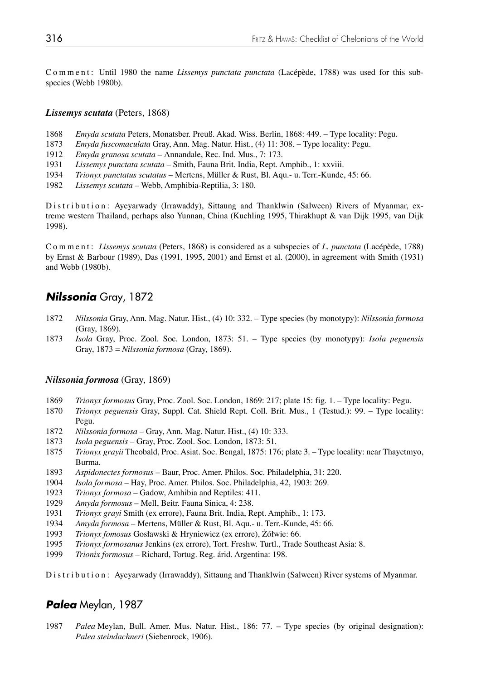C o m m e n t : Until 1980 the name *Lissemys punctata punctata* (Lacépède, 1788) was used for this subspecies (Webb 1980b).

#### *Lissemys scutata* (Peters, 1868)

- 1868 *Emyda scutata* Peters, Monatsber. Preuß. Akad. Wiss. Berlin, 1868: 449. Type locality: Pegu.
- 1873 *Emyda fuscomaculata* Gray, Ann. Mag. Natur. Hist., (4) 11: 308. Type locality: Pegu.
- 1912 *Emyda granosa scutata* Annandale, Rec. Ind. Mus., 7: 173.
- 1931 *Lissemys punctata scutata*  Smith, Fauna Brit. India, Rept. Amphib., 1: xxviii.
- 1934 *Trionyx punctatus scutatus*  Mertens, Müller & Rust, Bl. Aqu.- u. Terr.-Kunde, 45: 66.
- 1982 *Lissemys scutata*  Webb, Amphibia-Reptilia, 3: 180.

Distribution: Ayeyarwady (Irrawaddy), Sittaung and Thanklwin (Salween) Rivers of Myanmar, extreme western Thailand, perhaps also Yunnan, China (Kuchling 1995, Thirakhupt & van Dijk 1995, van Dijk 1998).

Comment: *Lissemys scutata* (Peters, 1868) is considered as a subspecies of *L. punctata* (Lacépède, 1788) by Ernst & Barbour (1989), Das (1991, 1995, 2001) and Ernst et al. (2000), in agreement with Smith (1931) and Webb (1980b).

## *Nilssonia* Gray, 1872

- 1872 *Nilssonia* Gray, Ann. Mag. Natur. Hist., (4) 10: 332. Type species (by monotypy): *Nilssonia formosa* (Gray, 1869).
- 1873 *Isola* Gray, Proc. Zool. Soc. London, 1873: 51. Type species (by monotypy): *Isola peguensis* Gray, 1873 = *Nilssonia formosa* (Gray, 1869).

### *Nilssonia formosa* (Gray, 1869)

- 1869 *Trionyx formosus* Gray, Proc. Zool. Soc. London, 1869: 217; plate 15: fig. 1. Type locality: Pegu.
- 1870 *Trionyx peguensis* Gray, Suppl. Cat. Shield Rept. Coll. Brit. Mus., 1 (Testud.): 99. Type locality: Pegu.
- 1872 *Nilssonia formosa* Gray, Ann. Mag. Natur. Hist., (4) 10: 333.
- 1873 *Isola peguensis* Gray, Proc. Zool. Soc. London, 1873: 51.
- 1875 *Trionyx grayii* Theobald, Proc. Asiat. Soc. Bengal, 1875: 176; plate 3. Type locality: near Thayetmyo, Burma.
- 1893 *Aspidonectes formosus* Baur, Proc. Amer. Philos. Soc. Philadelphia, 31: 220.
- 1904 *Isola formosa* Hay, Proc. Amer. Philos. Soc. Philadelphia, 42, 1903: 269.
- 1923 *Trionyx formosa* Gadow, Amhibia and Reptiles: 411.
- 1929 *Amyda formosus* Mell, Beitr. Fauna Sinica, 4: 238.
- 1931 *Trionyx grayi* Smith (ex errore), Fauna Brit. India, Rept. Amphib., 1: 173.
- 1934 *Amyda formosa* Mertens, Müller & Rust, Bl. Aqu.- u. Terr.-Kunde, 45: 66.
- 1993 *Trionyx fomosus* Gosławski & Hryniewicz (ex errore), Żółwie: 66.
- 1995 *Trionyx formosanus* Jenkins (ex errore), Tort. Freshw. Turtl., Trade Southeast Asia: 8.
- 1999 *Trionix formosus* Richard, Tortug. Reg. árid. Argentina: 198.

Distribution: Ayeyarwady (Irrawaddy), Sittaung and Thanklwin (Salween) River systems of Myanmar.

## *Palea* Meylan, 1987

1987 *Palea* Meylan, Bull. Amer. Mus. Natur. Hist., 186: 77. – Type species (by original designation): *Palea steindachneri* (Siebenrock, 1906).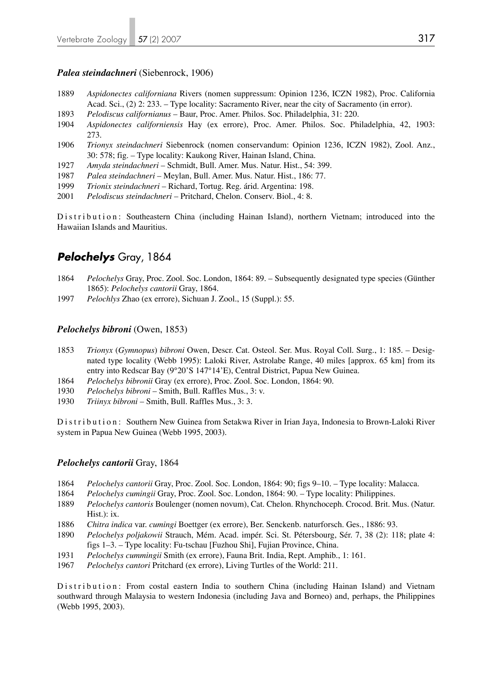## *Palea steindachneri* (Siebenrock, 1906)

- 1889 *Aspidonectes californiana* Rivers (nomen suppressum: Opinion 1236, ICZN 1982), Proc. California Acad. Sci., (2) 2: 233. – Type locality: Sacramento River, near the city of Sacramento (in error).
- 1893 *Pelodiscus californianus* Baur, Proc. Amer. Philos. Soc. Philadelphia, 31: 220.
- 1904 *Aspidonectes californiensis* Hay (ex errore), Proc. Amer. Philos. Soc. Philadelphia, 42, 1903: 273.
- 1906 *Trionyx steindachneri* Siebenrock (nomen conservandum: Opinion 1236, ICZN 1982), Zool. Anz., 30: 578; fig. – Type locality: Kaukong River, Hainan Island, China.
- 1927 *Amyda steindachneri* Schmidt, Bull. Amer. Mus. Natur. Hist., 54: 399.
- 1987 *Palea steindachneri* Meylan, Bull. Amer. Mus. Natur. Hist., 186: 77.
- 1999 *Trionix steindachneri* Richard, Tortug. Reg. árid. Argentina: 198.
- 2001 *Pelodiscus steindachneri* Pritchard, Chelon. Conserv. Biol., 4: 8.

Distribution: Southeastern China (including Hainan Island), northern Vietnam; introduced into the Hawaiian Islands and Mauritius.

# *Pelochelys* Gray, 1864

- 1864 *Pelochelys* Gray, Proc. Zool. Soc. London, 1864: 89. Subsequently designated type species (Günther 1865): *Pelochelys cantorii* Gray, 1864.
- 1997 *Pelochlys* Zhao (ex errore), Sichuan J. Zool., 15 (Suppl.): 55.

## *Pelochelys bibroni* (Owen, 1853)

- 1853 *Trionyx* (*Gymnopus*) *bibroni* Owen, Descr. Cat. Osteol. Ser. Mus. Royal Coll. Surg., 1: 185. Desig nated type locality (Webb 1995): Laloki River, Astrolabe Range, 40 miles [approx. 65 km] from its entry into Redscar Bay (9°20'S 147°14'E), Central District, Papua New Guinea.
- 1864 *Pelochelys bibronii* Gray (ex errore), Proc. Zool. Soc. London, 1864: 90.
- 1930 *Pelochelys bibroni* Smith, Bull. Raffles Mus., 3: v.
- 1930 *Triinyx bibroni* Smith, Bull. Raffles Mus., 3: 3.

Distribution: Southern New Guinea from Setakwa River in Irian Jaya, Indonesia to Brown-Laloki River system in Papua New Guinea (Webb 1995, 2003).

## *Pelochelys cantorii* Gray, 1864

- 1864 *Pelochelys cantorii* Gray, Proc. Zool. Soc. London, 1864: 90; figs 9–10. Type locality: Malacca.
- 1864 *Pelochelys cumingii* Gray, Proc. Zool. Soc. London, 1864: 90. Type locality: Philippines.
- 1889 *Pelochelys cantoris* Boulenger (nomen novum), Cat. Chelon. Rhynchoceph. Crocod. Brit. Mus. (Natur. Hist.): ix.
- 1886 *Chitra indica* var. *cumingi* Boettger (ex errore), Ber. Senckenb. naturforsch. Ges., 1886: 93.
- 1890 *Pelochelys poljakowii* Strauch, Mém. Acad. impér. Sci. St. Pétersbourg, Sér. 7, 38 (2): 118; plate 4: figs 1–3. – Type locality: Fu-tschau [Fuzhou Shi], Fujian Province, China.
- 1931 *Pelochelys cummingii* Smith (ex errore), Fauna Brit. India, Rept. Amphib., 1: 161.
- 1967 *Pelochelys cantori* Pritchard (ex errore), Living Turtles of the World: 211.

Distribution: From costal eastern India to southern China (including Hainan Island) and Vietnam southward through Malaysia to western Indonesia (including Java and Borneo) and, perhaps, the Philippines (Webb 1995, 2003).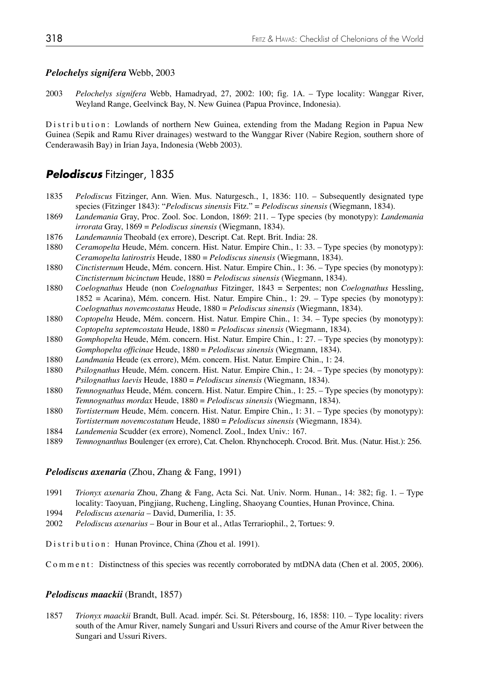#### *Pelochelys signifera* Webb, 2003

2003 *Pelochelys signifera* Webb, Hamadryad, 27, 2002: 100; fig. 1A. – Type locality: Wanggar River, Weyland Range, Geelvinck Bay, N. New Guinea (Papua Province, Indonesia).

Distribution: Lowlands of northern New Guinea, extending from the Madang Region in Papua New Guinea (Sepik and Ramu River drainages) westward to the Wanggar River (Nabire Region, southern shore of Cenderawasih Bay) in Irian Jaya, Indonesia (Webb 2003).

## *Pelodiscus* Fitzinger, 1835

- 1835 *Pelodiscus* Fitzinger, Ann. Wien. Mus. Naturgesch., 1, 1836: 110. Subsequently designated type species (Fitzinger 1843): "*Pelodiscus sinensis* Fitz." = *Pelodiscus sinensis* (Wiegmann, 1834).
- 1869 *Landemania* Gray, Proc. Zool. Soc. London, 1869: 211. Type species (by monotypy): *Landemania irrorata* Gray, 1869 = *Pelodiscus sinensis* (Wiegmann, 1834).
- 1876 *Landemannia* Theobald (ex errore), Descript. Cat. Rept. Brit. India: 28.
- 1880 *Ceramopelta* Heude, Mém. concern. Hist. Natur. Empire Chin., 1: 33. Type species (by monotypy): *Ceramopelta latirostris* Heude, 1880 = *Pelodiscus sinensis* (Wiegmann, 1834).
- 1880 *Cinctisternum* Heude, Mém. concern. Hist. Natur. Empire Chin., 1: 36. Type species (by monotypy): *Cinctisternum bicinctum* Heude, 1880 = *Pelodiscus sinensis* (Wiegmann, 1834).
- 1880 *Coelognathus* Heude (non *Coelognathus* Fitzinger, 1843 = Serpentes; non *Coelognathus* Hessling, 1852 = Acarina), Mém. concern. Hist. Natur. Empire Chin., 1: 29. – Type species (by monotypy): *Coelognathus novemcostatus* Heude, 1880 = *Pelodiscus sinensis* (Wiegmann, 1834).
- 1880 *Coptopelta* Heude, Mém. concern. Hist. Natur. Empire Chin., 1: 34. Type species (by monotypy): *Coptopelta septemcostata* Heude, 1880 = *Pelodiscus sinensis* (Wiegmann, 1834).
- 1880 *Gomphopelta* Heude, Mém. concern. Hist. Natur. Empire Chin., 1: 27. Type species (by monotypy): *Gomphopelta officinae* Heude, 1880 = *Pelodiscus sinensis* (Wiegmann, 1834).
- 1880 *Landmania* Heude (ex errore), Mém. concern. Hist. Natur. Empire Chin., 1: 24.
- 1880 *Psilognathus* Heude, Mém. concern. Hist. Natur. Empire Chin., 1: 24. Type species (by monotypy): *Psilognathus laevis* Heude, 1880 = *Pelodiscus sinensis* (Wiegmann, 1834).
- 1880 *Temnognathus* Heude, Mém. concern. Hist. Natur. Empire Chin., 1: 25. Type species (by monotypy): *Temnognathus mordax* Heude, 1880 = *Pelodiscus sinensis* (Wiegmann, 1834).
- 1880 *Tortisternum* Heude, Mém. concern. Hist. Natur. Empire Chin., 1: 31. Type species (by monotypy): *Tortisternum novemcostatum* Heude, 1880 = *Pelodiscus sinensis* (Wiegmann, 1834).
- 1884 *Landemenia* Scudder (ex errore), Nomencl. Zool., Index Univ.: 167.
- 1889 *Temnognanthus* Boulenger (ex errore), Cat. Chelon. Rhynchoceph. Crocod. Brit. Mus. (Natur. Hist.): 256.

#### *Pelodiscus axenaria* (Zhou, Zhang & Fang, 1991)

- 1991 *Trionyx axenaria* Zhou, Zhang & Fang, Acta Sci. Nat. Univ. Norm. Hunan., 14: 382; fig. 1. Type locality: Taoyuan, Pingjiang, Rucheng, Lingling, Shaoyang Counties, Hunan Province, China.
- 1994 *Pelodiscus axenaria* David, Dumerilia, 1: 35.
- 2002 *Pelodiscus axenarius* Bour in Bour et al., Atlas Terrariophil., 2, Tortues: 9.

Distribution: Hunan Province, China (Zhou et al. 1991).

Comment: Distinctness of this species was recently corroborated by mtDNA data (Chen et al. 2005, 2006).

#### *Pelodiscus maackii* (Brandt, 1857)

1857 *Trionyx maackii* Brandt, Bull. Acad. impér. Sci. St. Pétersbourg, 16, 1858: 110. – Type locality: rivers south of the Amur River, namely Sungari and Ussuri Rivers and course of the Amur River between the Sungari and Ussuri Rivers.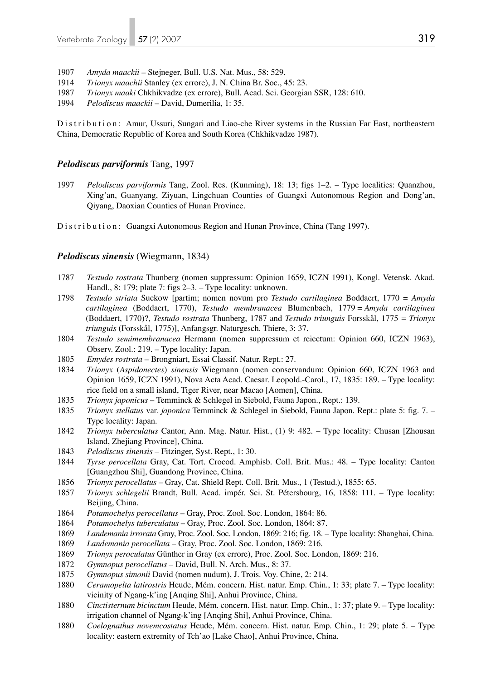- 1907 *Amyda maackii* Stejneger, Bull. U.S. Nat. Mus., 58: 529.
- 1914 *Trionyx maachii* Stanley (ex errore), J. N. China Br. Soc., 45: 23.
- 1987 *Trionyx maaki* Chkhikvadze (ex errore), Bull. Acad. Sci. Georgian SSR, 128: 610.
- 1994 *Pelodiscus maackii* David, Dumerilia, 1: 35.

Distribution: Amur, Ussuri, Sungari and Liao-che River systems in the Russian Far East, northeastern China, Democratic Republic of Korea and South Korea (Chkhikvadze 1987).

### *Pelodiscus parviformis* Tang, 1997

1997 *Pelodiscus parviformis* Tang, Zool. Res. (Kunming), 18: 13; figs 1–2. – Type localities: Quanzhou, Xing'an, Guanyang, Ziyuan, Lingchuan Counties of Guangxi Autonomous Region and Dong'an, Qiyang, Daoxian Counties of Hunan Province.

Distribution: Guangxi Autonomous Region and Hunan Province, China (Tang 1997).

#### *Pelodiscus sinensis* (Wiegmann, 1834)

- 1787 *Testudo rostrata* Thunberg (nomen suppressum: Opinion 1659, ICZN 1991), Kongl. Vetensk. Akad. Handl., 8: 179; plate 7: figs 2–3. – Type locality: unknown.
- 1798 *Testudo striata* Suckow [partim; nomen novum pro *Testudo cartilaginea* Boddaert, 1770 = *Amyda cartilaginea* (Boddaert, 1770), *Testudo membranacea* Blumenbach, 1779 = *Amyda cartilaginea* (Boddaert, 1770)?, *Testudo rostrata* Thunberg, 1787 and *Testudo triunguis* Forsskål, 1775 = *Trionyx triunguis* (Forsskål, 1775)], Anfangsgr. Naturgesch. Thiere, 3: 37.
- 1804 *Testudo semimembranacea* Hermann (nomen suppressum et reiectum: Opinion 660, ICZN 1963), Observ. Zool.: 219. – Type locality: Japan.
- 1805 *Emydes rostrata* Brongniart, Essai Classif. Natur. Rept.: 27.
- 1834 *Trionyx* (*Aspidonectes*) *sinensis* Wiegmann (nomen conservandum: Opinion 660, ICZN 1963 and Opinion 1659, ICZN 1991), Nova Acta Acad. Caesar. Leopold.-Carol., 17, 1835: 189. – Type locality: rice field on a small island, Tiger River, near Macao [Aomen], China.
- 1835 *Trionyx japonicus* Temminck & Schlegel in Siebold, Fauna Japon., Rept.: 139.
- 1835 *Trionyx stellatus* var. *japonica* Temminck & Schlegel in Siebold, Fauna Japon. Rept.: plate 5: fig. 7. Type locality: Japan.
- 1842 *Trionyx tuberculatus* Cantor, Ann. Mag. Natur. Hist., (1) 9: 482. Type locality: Chusan [Zhousan Island, Zhejiang Province], China.
- 1843 *Pelodiscus sinensis* Fitzinger, Syst. Rept., 1: 30.
- 1844 *Tyrse perocellata* Gray, Cat. Tort. Crocod. Amphisb. Coll. Brit. Mus.: 48. Type locality: Canton [Guangzhou Shi], Guandong Province, China.
- 1856 *Trionyx perocellatus* Gray, Cat. Shield Rept. Coll. Brit. Mus., 1 (Testud.), 1855: 65.
- 1857 *Trionyx schlegelii* Brandt, Bull. Acad. impér. Sci. St. Pétersbourg, 16, 1858: 111. Type locality: Beijing, China.
- 1864 *Potamochelys perocellatus* Gray, Proc. Zool. Soc. London, 1864: 86.
- 1864 *Potamochelys tuberculatus* Gray, Proc. Zool. Soc. London, 1864: 87.
- 1869 *Landemania irrorata* Gray, Proc. Zool. Soc. London, 1869: 216; fig. 18. Type locality: Shanghai, China.
- 1869 *Landemania perocellata* Gray, Proc. Zool. Soc. London, 1869: 216.
- 1869 *Trionyx peroculatus* Günther in Gray (ex errore), Proc. Zool. Soc. London, 1869: 216.
- 1872 *Gymnopus perocellatus* David, Bull. N. Arch. Mus., 8: 37.
- 1875 *Gymnopus simonii* David (nomen nudum), J. Trois. Voy. Chine, 2: 214.
- 1880 *Ceramopelta latirostris* Heude, Mém. concern. Hist. natur. Emp. Chin., 1: 33; plate 7. Type locality: vicinity of Ngang-k'ing [Anqing Shi], Anhui Province, China.
- 1880 *Cinctisternum bicinctum* Heude, Mém. concern. Hist. natur. Emp. Chin., 1: 37; plate 9. Type locality: irrigation channel of Ngang-k'ing [Anqing Shi], Anhui Province, China.
- 1880 *Coelognathus novemcostatus* Heude, Mém. concern. Hist. natur. Emp. Chin., 1: 29; plate 5. Type locality: eastern extremity of Tch'ao [Lake Chao], Anhui Province, China.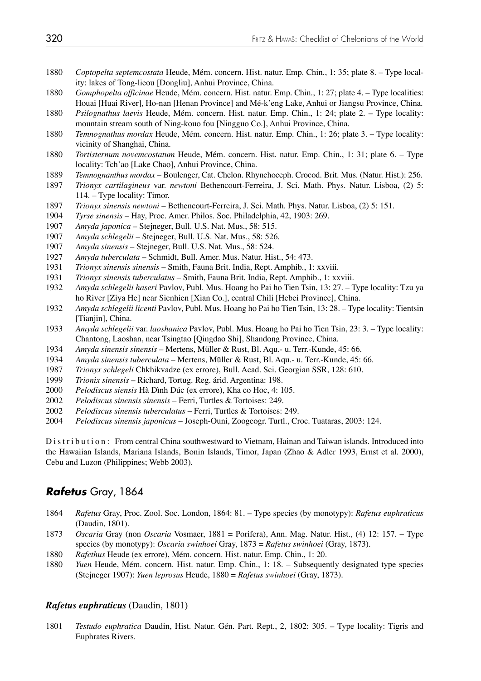- *Coptopelta septemcostata* Heude, Mém. concern. Hist. natur. Emp. Chin., 1: 35; plate 8. Type local ity: lakes of Tong-lieou [Dongliu], Anhui Province, China.
- *Gomphopelta officinae* Heude, Mém. concern. Hist. natur. Emp. Chin., 1: 27; plate 4. Type localities: Houai [Huai River], Ho-nan [Henan Province] and Mé-k'eng Lake, Anhui or Jiangsu Province, China.
- *Psilognathus laevis* Heude, Mém. concern. Hist. natur. Emp. Chin., 1: 24; plate 2. Type locality: mountain stream south of Ning-kouo fou [Ningguo Co.], Anhui Province, China.
- *Temnognathus mordax* Heude, Mém. concern. Hist. natur. Emp. Chin., 1: 26; plate 3. Type locality: vicinity of Shanghai, China.
- *Tortisternum novemcostatum* Heude, Mém. concern. Hist. natur. Emp. Chin., 1: 31; plate 6. Type locality: Tch'ao [Lake Chao], Anhui Province, China.
- *Temnognanthus mordax* Boulenger, Cat. Chelon. Rhynchoceph. Crocod. Brit. Mus. (Natur. Hist.): 256.
- *Trionyx cartilagineus* var. *newtoni* Bethencourt-Ferreira, J. Sci. Math. Phys. Natur. Lisboa, (2) 5: 114. – Type locality: Timor.
- *Trionyx sinensis newtoni* Bethencourt-Ferreira, J. Sci. Math. Phys. Natur. Lisboa, (2) 5: 151.
- *Tyrse sinensis* Hay, Proc. Amer. Philos. Soc. Philadelphia, 42, 1903: 269.
- *Amyda japonica* Stejneger, Bull. U.S. Nat. Mus., 58: 515.
- *Amyda schlegelii* Stejneger, Bull. U.S. Nat. Mus., 58: 526.
- *Amyda sinensis* Stejneger, Bull. U.S. Nat. Mus., 58: 524.
- *Amyda tuberculata*  Schmidt, Bull. Amer. Mus. Natur. Hist., 54: 473.
- *Trionyx sinensis sinensis* Smith, Fauna Brit. India, Rept. Amphib., 1: xxviii.
- *Trionyx sinensis tuberculatus*  Smith, Fauna Brit. India, Rept. Amphib., 1: xxviii.
- *Amyda schlegelii haseri* Pavlov, Publ. Mus. Hoang ho Pai ho Tien Tsin, 13: 27. Type locality: Tzu ya ho River [Ziya He] near Sienhien [Xian Co.], central Chili [Hebei Province], China.
- *Amyda schlegelii licenti* Pavlov, Publ. Mus. Hoang ho Pai ho Tien Tsin, 13: 28. Type locality: Tientsin [Tianjin], China.
- *Amyda schlegelii* var. *laoshanica* Pavlov, Publ. Mus. Hoang ho Pai ho Tien Tsin, 23: 3. Type locality: Chantong, Laoshan, near Tsingtao [Qingdao Shi], Shandong Province, China.
- *Amyda sinensis sinensis* Mertens, Müller & Rust, Bl. Aqu.- u. Terr.-Kunde, 45: 66.
- *Amyda sinensis tuberculata* Mertens, Müller & Rust, Bl. Aqu.- u. Terr.-Kunde, 45: 66.
- *Trionyx schlegeli* Chkhikvadze (ex errore), Bull. Acad. Sci. Georgian SSR, 128: 610.
- *Trionix sinensis* Richard, Tortug. Reg. árid. Argentina: 198.
- *Pelodiscus siensis* Hà Dình Dúc (ex errore), Kha co Hoc, 4: 105.
- *Pelodiscus sinensis sinensis*  Ferri, Turtles & Tortoises: 249.
- *Pelodiscus sinensis tuberculatus*  Ferri, Turtles & Tortoises: 249.
- *Pelodiscus sinensis japonicus* Joseph-Ouni, Zoogeogr. Turtl., Croc. Tuataras, 2003: 124.

Distribution: From central China southwestward to Vietnam, Hainan and Taiwan islands. Introduced into the Hawaiian Islands, Mariana Islands, Bonin Islands, Timor, Japan (Zhao & Adler 1993, Ernst et al. 2000), Cebu and Luzon (Philippines; Webb 2003).

## *Rafetus* Gray, 1864

- *Rafetus* Gray, Proc. Zool. Soc. London, 1864: 81. Type species (by monotypy): *Rafetus euphraticus*  (Daudin, 1801).
- *Oscaria* Gray (non *Oscaria* Vosmaer, 1881 = Porifera), Ann. Mag. Natur. Hist., (4) 12: 157. Type species (by monotypy): *Oscaria swinhoei* Gray, 1873 = *Rafetus swinhoei* (Gray, 1873).
- *Rafethus* Heude (ex errore), Mém. concern. Hist. natur. Emp. Chin., 1: 20.
- *Yuen* Heude, Mém. concern. Hist. natur. Emp. Chin., 1: 18. Subsequently designated type species (Stejneger 1907): *Yuen leprosus* Heude, 1880 = *Rafetus swinhoei* (Gray, 1873).

### *Rafetus euphraticus* (Daudin, 1801)

*Testudo euphratica* Daudin, Hist. Natur. Gén. Part. Rept., 2, 1802: 305. – Type locality: Tigris and Euphrates Rivers.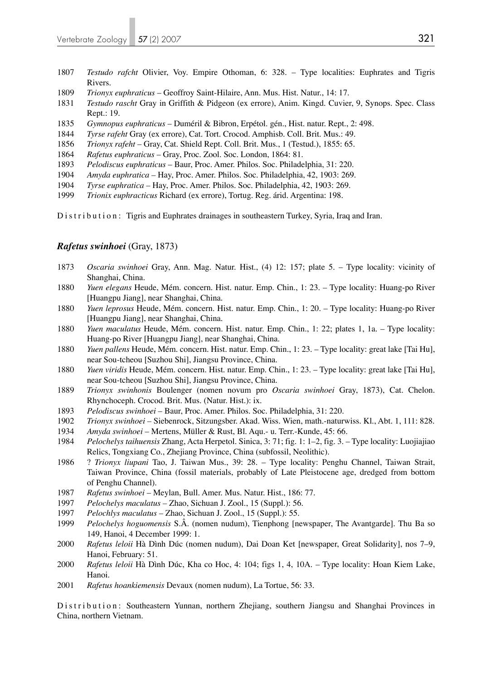- 1807 *Testudo rafcht* Olivier, Voy. Empire Othoman, 6: 328. Type localities: Euphrates and Tigris Rivers.
- 1809 *Trionyx euphraticus* Geoffroy Saint-Hilaire, Ann. Mus. Hist. Natur., 14: 17.
- 1831 *Testudo rascht* Gray in Griffith & Pidgeon (ex errore), Anim. Kingd. Cuvier, 9, Synops. Spec. Class Rept.: 19.
- 1835 *Gymnopus euphraticus* Duméril & Bibron, Erpétol. gén., Hist. natur. Rept., 2: 498.
- 1844 *Tyrse rafeht* Gray (ex errore), Cat. Tort. Crocod. Amphisb. Coll. Brit. Mus.: 49.
- 1856 *Trionyx rafeht* Gray, Cat. Shield Rept. Coll. Brit. Mus., 1 (Testud.), 1855: 65.
- 1864 *Rafetus euphraticus* Gray, Proc. Zool. Soc. London, 1864: 81.
- 1893 *Pelodiscus euphraticus* Baur, Proc. Amer. Philos. Soc. Philadelphia, 31: 220.
- 1904 *Amyda euphratica* Hay, Proc. Amer. Philos. Soc. Philadelphia, 42, 1903: 269.
- 1904 *Tyrse euphratica* Hay, Proc. Amer. Philos. Soc. Philadelphia, 42, 1903: 269.
- 1999 *Trionix euphracticus* Richard (ex errore), Tortug. Reg. árid. Argentina: 198.

Distribution: Tigris and Euphrates drainages in southeastern Turkey, Syria, Iraq and Iran.

### *Rafetus swinhoei* (Gray, 1873)

- 1873 *Oscaria swinhoei* Gray, Ann. Mag. Natur. Hist., (4) 12: 157; plate 5. Type locality: vicinity of Shanghai, China.
- 1880 *Yuen elegans* Heude, Mém. concern. Hist. natur. Emp. Chin., 1: 23. Type locality: Huang-po River [Huangpu Jiang], near Shanghai, China.
- 1880 *Yuen leprosus* Heude, Mém. concern. Hist. natur. Emp. Chin., 1: 20. Type locality: Huang-po River [Huangpu Jiang], near Shanghai, China.
- 1880 *Yuen maculatus* Heude, Mém. concern. Hist. natur. Emp. Chin., 1: 22; plates 1, 1a. Type locality: Huang-po River [Huangpu Jiang], near Shanghai, China.
- 1880 *Yuen pallens* Heude, Mém. concern. Hist. natur. Emp. Chin., 1: 23. Type locality: great lake [Tai Hu], near Sou-tcheou [Suzhou Shi], Jiangsu Province, China.
- 1880 *Yuen viridis* Heude, Mém. concern. Hist. natur. Emp. Chin., 1: 23. Type locality: great lake [Tai Hu], near Sou-tcheou [Suzhou Shi], Jiangsu Province, China.
- 1889 *Trionyx swinhonis* Boulenger (nomen novum pro *Oscaria swinhoei* Gray, 1873), Cat. Chelon. Rhynchoceph. Crocod. Brit. Mus. (Natur. Hist.): ix.
- 1893 *Pelodiscus swinhoei*  Baur, Proc. Amer. Philos. Soc. Philadelphia, 31: 220.
- 1902 *Trionyx swinhoei* Siebenrock, Sitzungsber. Akad. Wiss. Wien, math.-naturwiss. Kl., Abt. 1, 111: 828.
- 1934 *Amyda swinhoei* Mertens, Müller & Rust, Bl. Aqu.- u. Terr.-Kunde, 45: 66.
- 1984 *Pelochelys taihuensis* Zhang, Acta Herpetol. Sinica, 3: 71; fig. 1: 1–2, fig. 3. Type locality: Luojiajiao Relics, Tongxiang Co., Zhejiang Province, China (subfossil, Neolithic).
- 1986 ? *Trionyx liupani* Tao, J. Taiwan Mus., 39: 28. Type locality: Penghu Channel, Taiwan Strait, Taiwan Province, China (fossil materials, probably of Late Pleistocene age, dredged from bottom of Penghu Channel).
- 1987 *Rafetus swinhoei*  Meylan, Bull. Amer. Mus. Natur. Hist., 186: 77.
- 1997 *Pelochelys maculatus* Zhao, Sichuan J. Zool., 15 (Suppl.): 56.
- 1997 *Pelochlys maculatus* Zhao, Sichuan J. Zool., 15 (Suppl.): 55.
- 1999 *Pelochelys hoguomensis* S.Â. (nomen nudum), Tienphong [newspaper, The Avantgarde]. Thu Ba so 149, Hanoi, 4 December 1999: 1.
- 2000 *Rafetus leloii* Hà Dình Dúc (nomen nudum), Dai Doan Ket [newspaper, Great Solidarity], nos 7–9, Hanoi, February: 51.
- 2000 *Rafetus leloii* Hà Dình Dúc, Kha co Hoc, 4: 104; figs 1, 4, 10A. Type locality: Hoan Kiem Lake, Hanoi.
- 2001 *Rafetus hoankiemensis* Devaux (nomen nudum), La Tortue, 56: 33.

Distribution: Southeastern Yunnan, northern Zhejiang, southern Jiangsu and Shanghai Provinces in China, northern Vietnam.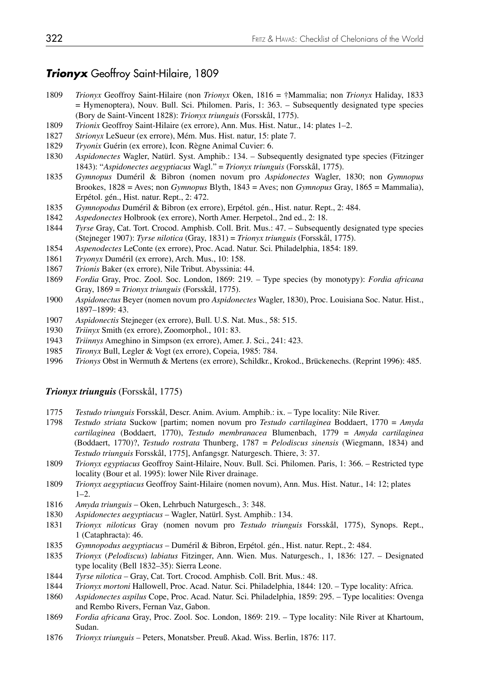## *Trionyx* Geoffroy Saint-Hilaire, 1809

- *Trionyx* Geoffroy Saint-Hilaire (non *Trionyx* Oken, 1816 = †Mammalia; non *Trionyx* Haliday, 1833 = Hymenoptera), Nouv. Bull. Sci. Philomen. Paris, 1: 363. – Subsequently designated type species (Bory de Saint-Vincent 1828): *Trionyx triunguis* (Forsskål, 1775).
- *Trionix* Geoffroy Saint-Hilaire (ex errore), Ann. Mus. Hist. Natur., 14: plates 1–2.
- *Strionyx* LeSueur (ex errore), Mém. Mus. Hist. natur, 15: plate 7.
- *Tryonix* Guérin (ex errore), Icon. Règne Animal Cuvier: 6.
- *Aspidonectes* Wagler, Natürl. Syst. Amphib.: 134. Subsequently designated type species (Fitzinger 1843): "*Aspidonectes aegyptiacus* Wagl." = *Trionyx triunguis* (Forsskål, 1775).
- *Gymnopus* Duméril & Bibron (nomen novum pro *Aspidonectes* Wagler, 1830; non *Gymnopus* Brookes, 1828 = Aves; non *Gymnopus* Blyth, 1843 = Aves; non *Gymnopus* Gray, 1865 = Mammalia), Erpétol. gén., Hist. natur. Rept., 2: 472.
- *Gymnopodus* Duméril & Bibron (ex errore), Erpétol. gén., Hist. natur. Rept., 2: 484.
- *Aspedonectes* Holbrook (ex errore), North Amer. Herpetol., 2nd ed., 2: 18.
- *Tyrse* Gray, Cat. Tort. Crocod. Amphisb. Coll. Brit. Mus.: 47. Subsequently designated type species (Stejneger 1907): *Tyrse nilotica* (Gray, 1831) = *Trionyx triunguis* (Forsskål, 1775).
- *Aspenodectes* LeConte (ex errore), Proc. Acad. Natur. Sci. Philadelphia, 1854: 189.
- *Tryonyx* Duméril (ex errore), Arch. Mus., 10: 158.
- *Trionis* Baker (ex errore), Nile Tribut. Abyssinia: 44.
- *Fordia* Gray, Proc. Zool. Soc. London, 1869: 219. Type species (by monotypy): *Fordia africana*  Gray, 1869 = *Trionyx triunguis* (Forsskål, 1775).
- *Aspidonectus* Beyer (nomen novum pro *Aspidonectes* Wagler, 1830), Proc. Louisiana Soc. Natur. Hist., 1897–1899: 43.
- *Aspidonectis* Stejneger (ex errore), Bull. U.S. Nat. Mus., 58: 515.
- *Triinyx* Smith (ex errore), Zoomorphol., 101: 83.
- *Triinnys* Ameghino in Simpson (ex errore), Amer. J. Sci., 241: 423.
- *Tironyx* Bull, Legler & Vogt (ex errore), Copeia, 1985: 784.
- *Trionys* Obst in Wermuth & Mertens (ex errore), Schildkr., Krokod., Brückenechs. (Reprint 1996): 485.

#### *Trionyx triunguis* (Forsskål, 1775)

- *Testudo triunguis* Forsskål, Descr. Anim. Avium. Amphib.: ix. Type locality: Nile River.
- *Testudo striata* Suckow [partim; nomen novum pro *Testudo cartilaginea* Boddaert, 1770 = *Amyda cartilaginea* (Boddaert, 1770), *Testudo membranacea* Blumenbach, 1779 = *Amyda cartilaginea* (Boddaert, 1770)?, *Testudo rostrata* Thunberg, 1787 = *Pelodiscus sinensis* (Wiegmann, 1834) and *Testudo triunguis* Forsskål, 1775], Anfangsgr. Naturgesch. Thiere, 3: 37.
- *Trionyx egyptiacus* Geoffroy Saint-Hilaire, Nouv. Bull. Sci. Philomen. Paris, 1: 366. Restricted type locality (Bour et al. 1995): lower Nile River drainage.
- *Trionyx aegyptiacus* Geoffroy Saint-Hilaire (nomen novum), Ann. Mus. Hist. Natur., 14: 12; plates  $1-2.$
- *Amyda triunguis*  Oken, Lehrbuch Naturgesch., 3: 348.
- *Aspidonectes aegyptiacus* Wagler, Natürl. Syst. Amphib.: 134.
- *Trionyx niloticus* Gray (nomen novum pro *Testudo triunguis* Forsskål, 1775), Synops. Rept., 1 (Cataphracta): 46.
- *Gymnopodus aegyptiacus* Duméril & Bibron, Erpétol. gén., Hist. natur. Rept., 2: 484.
- *Trionyx* (*Pelodiscus*) *labiatus* Fitzinger, Ann. Wien. Mus. Naturgesch., 1, 1836: 127. Designated type locality (Bell 1832–35): Sierra Leone.
- *Tyrse nilotica* Gray, Cat. Tort. Crocod. Amphisb. Coll. Brit. Mus.: 48.
- *Trionyx mortoni* Hallowell, Proc. Acad. Natur. Sci. Philadelphia, 1844: 120. Type locality: Africa.
- *Aspidonectes aspilus* Cope, Proc. Acad. Natur. Sci. Philadelphia, 1859: 295. Type localities: Ovenga and Rembo Rivers, Fernan Vaz, Gabon.
- *Fordia africana* Gray, Proc. Zool. Soc. London, 1869: 219. Type locality: Nile River at Khartoum, Sudan.
- *Trionyx triunguis* Peters, Monatsber. Preuß. Akad. Wiss. Berlin, 1876: 117.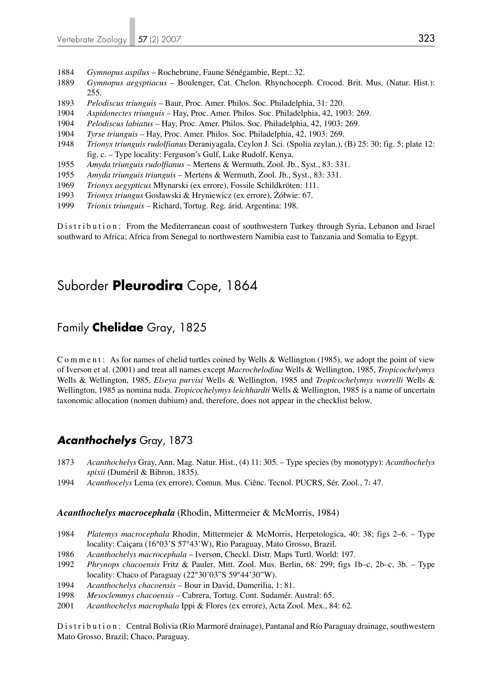- 1884 *Gymnopus aspilus*  Rochebrune, Faune Sénégambie, Rept.: 32.
- 1889 *Gymnopus aegyptiacus* Boulenger, Cat. Chelon. Rhynchoceph. Crocod. Brit. Mus. (Natur. Hist.): 255.
- 1893 *Pelodiscus triunguis*  Baur, Proc. Amer. Philos. Soc. Philadelphia, 31: 220.
- 1904 *Aspidonectes triunguis* Hay, Proc. Amer. Philos. Soc. Philadelphia, 42, 1903: 269.
- 1904 *Pelodiscus labiatus* Hay, Proc. Amer. Philos. Soc. Philadelphia, 42, 1903: 269.
- 1904 *Tyrse triunguis* Hay, Proc. Amer. Philos. Soc. Philadelphia, 42, 1903: 269.
- 1948 *Trionyx triunguis rudolfianus* Deraniyagala, Ceylon J. Sci. (Spolia zeylan.), (B) 25: 30; fig. 5; plate 12: fig. c. – Type locality: Ferguson's Gulf, Lake Rudolf, Kenya.
- 1955 *Amyda triunguis rudolfianus*  Mertens & Wermuth, Zool. Jb., Syst., 83: 331.
- 1955 *Amyda triunguis triunguis*  Mertens & Wermuth, Zool. Jb., Syst., 83: 331.
- 1969 *Trionyx aegypticus* Młynarski (ex errore), Fossile Schildkröten: 111.
- 1993 *Trionyx triungus* Gosławski & Hryniewicz (ex errore), Żółwie: 67.
- 1999 *Trionix triunguis*  Richard, Tortug. Reg. árid. Argentina: 198.

Distribution: From the Mediterranean coast of southwestern Turkey through Syria, Lebanon and Israel southward to Africa; Africa from Senegal to northwestern Namibia east to Tanzania and Somalia to Egypt.

# Suborder **Pleurodira** Cope, 1864

## Family **Chelidae** Gray, 1825

C o m m e n t : As for names of chelid turtles coined by Wells & Wellington (1985), we adopt the point of view of Iverson et al. (2001) and treat all names except *Macrochelodina* Wells & Wellington, 1985, *Tropicochelymys* Wells & Wellington, 1985, *Elseya purvisi* Wells & Wellington, 1985 and *Tropicochelymys worrelli* Wells & Wellington, 1985 as nomina nuda. *Tropicochelymys leichhardti* Wells & Wellington, 1985 is a name of uncertain taxonomic allocation (nomen dubium) and, therefore, does not appear in the checklist below.

## *Acanthochelys* Gray, 1873

- 1873 *Acanthochelys* Gray, Ann. Mag. Natur. Hist., (4) 11: 305. Type species (by monotypy): *Acanthochelys spixii* (Duméril & Bibron, 1835).<br>1994 *Acanthocelys* Lema (ex errore).
- 1994 *Acanthocelys* Lema (ex errore), Comun. Mus. Ciênc. Tecnol. PUCRS, Sér. Zool., 7: 47.

#### *Acanthochelys macrocephala* (Rhodin, Mittermeier & McMorris, 1984)

- 1984 *Platemys macrocephala* Rhodin, Mittermeier & McMorris, Herpetologica, 40: 38; figs 2–6. Type locality: Caiçara (16°03'S 57°43'W), Rio Paraguay, Mato Grosso, Brazil.
- 1986 *Acanthochelys macrocephala* Iverson, Checkl. Distr. Maps Turtl. World: 197.
- 1992 *Phrynops chacoensis* Fritz & Pauler, Mitt. Zool. Mus. Berlin, 68: 299; figs 1b–c, 2b–c, 3b. Type locality: Chaco of Paraguay (22°30'03"S 59°44'30"W).
- 1994 *Acanthochelys chacoensis*  Bour in David, Dumerilia, 1: 81.
- 1998 *Mesoclemmys chacoensis*  Cabrera, Tortug. Cont. Sudamér. Austral: 65.
- 2001 *Acanthochelys macrophala* Ippi & Flores (ex errore), Acta Zool. Mex., 84: 62.

Distribution: Central Bolivia (Río Marmoré drainage), Pantanal and Río Paraguay drainage, southwestern Mato Grosso, Brazil; Chaco, Paraguay.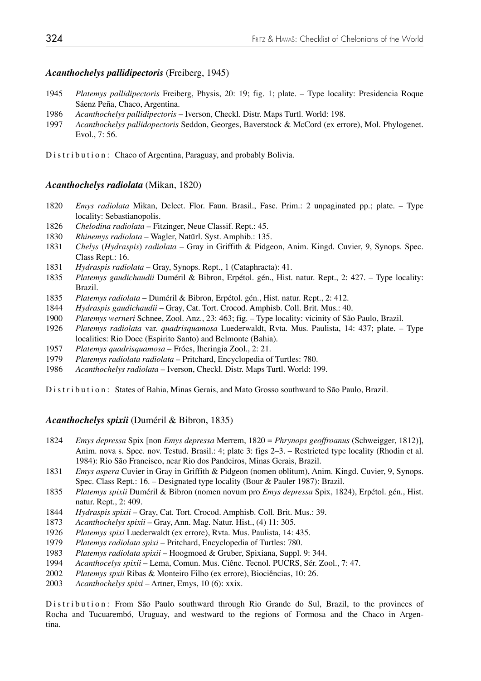### *Acanthochelys pallidipectoris* (Freiberg, 1945)

- *Platemys pallidipectoris* Freiberg, Physis, 20: 19; fig. 1; plate. Type locality: Presidencia Roque Sáenz Peña, Chaco, Argentina.
- *Acanthochelys pallidipectoris* Iverson, Checkl. Distr. Maps Turtl. World: 198.
- *Acanthochelys pallidopectoris* Seddon, Georges, Baverstock & McCord (ex errore), Mol. Phylogenet. Evol., 7: 56.

Distribution: Chaco of Argentina, Paraguay, and probably Bolivia.

#### *Acanthochelys radiolata* (Mikan, 1820)

- *Emys radiolata* Mikan, Delect. Flor. Faun. Brasil., Fasc. Prim.: 2 unpaginated pp.; plate. Type locality: Sebastianopolis.
- *Chelodina radiolata* Fitzinger, Neue Classif. Rept.: 45.
- *Rhinemys radiolata* Wagler, Natürl. Syst. Amphib.: 135.
- *Chelys* (*Hydraspis*) *radiolata* Gray in Griffith & Pidgeon, Anim. Kingd. Cuvier, 9, Synops. Spec. Class Rept.: 16.
- *Hydraspis radiolata* Gray, Synops. Rept., 1 (Cataphracta): 41.
- *Platemys gaudichaudii* Duméril & Bibron, Erpétol. gén., Hist. natur. Rept., 2: 427. Type locality: Brazil.
- *Platemys radiolata* Duméril & Bibron, Erpétol. gén., Hist. natur. Rept., 2: 412.
- *Hydraspis gaudichaudii*  Gray, Cat. Tort. Crocod. Amphisb. Coll. Brit. Mus.: 40.
- *Platemys werneri* Schnee, Zool. Anz., 23: 463; fig. Type locality: vicinity of São Paulo, Brazil.
- *Platemys radiolata* var. *quadrisquamosa* Luederwaldt, Rvta. Mus. Paulista, 14: 437; plate. Type localities: Rio Doce (Espirito Santo) and Belmonte (Bahia).
- *Platemys quadrisquamosa* Fróes, Iheringia Zool., 2: 21.
- *Platemys radiolata radiolata* Pritchard, Encyclopedia of Turtles: 780.
- *Acanthochelys radiolata* Iverson, Checkl. Distr. Maps Turtl. World: 199.

Distribution: States of Bahia, Minas Gerais, and Mato Grosso southward to São Paulo, Brazil.

### *Acanthochelys spixii* (Duméril & Bibron, 1835)

- *Emys depressa* Spix [non *Emys depressa* Merrem, 1820 = *Phrynops geoffroanus* (Schweigger, 1812)], Anim. nova s. Spec. nov. Testud. Brasil.: 4; plate 3: figs 2–3. – Restricted type locality (Rhodin et al. 1984): Rio São Francisco, near Rio dos Pandeiros, Minas Gerais, Brazil.
- *Emys aspera* Cuvier in Gray in Griffith & Pidgeon (nomen oblitum), Anim. Kingd. Cuvier, 9, Synops. Spec. Class Rept.: 16. – Designated type locality (Bour & Pauler 1987): Brazil.
- *Platemys spixii* Duméril & Bibron (nomen novum pro *Emys depressa* Spix, 1824), Erpétol. gén., Hist. natur. Rept., 2: 409.
- *Hydraspis spixii* Gray, Cat. Tort. Crocod. Amphisb. Coll. Brit. Mus.: 39.
- *Acanthochelys spixii* Gray, Ann. Mag. Natur. Hist., (4) 11: 305.
- *Platemys spixi* Luederwaldt (ex errore), Rvta. Mus. Paulista, 14: 435.
- *Platemys radiolata spixi* Pritchard, Encyclopedia of Turtles: 780.
- *Platemys radiolata spixii* Hoogmoed & Gruber, Spixiana, Suppl. 9: 344.
- *Acanthocelys spixii* Lema, Comun. Mus. Ciênc. Tecnol. PUCRS, Sér. Zool., 7: 47.
- *Platemys spxii* Ribas & Monteiro Filho (ex errore), Biociências, 10: 26.
- *Acanthochelys spixi* Artner, Emys, 10 (6): xxix.

Distribution: From São Paulo southward through Rio Grande do Sul, Brazil, to the provinces of Rocha and Tucuarembó, Uruguay, and westward to the regions of Formosa and the Chaco in Argentina.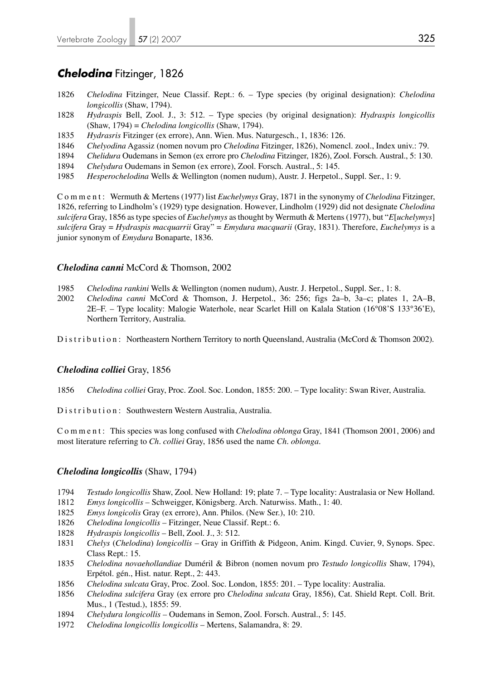# *Chelodina* Fitzinger, 1826

- 1826 *Chelodina* Fitzinger, Neue Classif. Rept.: 6. Type species (by original designation): *Chelodina longicollis* (Shaw, 1794).
- 1828 *Hydraspis* Bell, Zool. J., 3: 512. Type species (by original designation): *Hydraspis longicollis* (Shaw, 1794) = *Chelodina longicollis* (Shaw, 1794).
- 1835 *Hydrasris* Fitzinger (ex errore), Ann. Wien. Mus. Naturgesch., 1, 1836: 126.
- 1846 *Chelyodina* Agassiz (nomen novum pro *Chelodina* Fitzinger, 1826), Nomencl. zool., Index univ.: 79.
- 1894 *Chelidura* Oudemans in Semon (ex errore pro *Chelodina* Fitzinger, 1826), Zool. Forsch. Austral., 5: 130.
- 1894 *Chelydura* Oudemans in Semon (ex errore), Zool. Forsch. Austral., 5: 145.
- 1985 *Hesperochelodina* Wells & Wellington (nomen nudum), Austr. J. Herpetol., Suppl. Ser., 1: 9.

Comment: Wermuth & Mertens (1977) list *Euchelymys* Gray, 1871 in the synonymy of *Chelodina* Fitzinger, 1826, referring to Lindholm's (1929) type designation. However, Lindholm (1929) did not designate *Chelodina sulcifera* Gray, 1856 as type species of *Euchelymys* as thought by Wermuth & Mertens (1977), but "*E*[*uchelymys*] *sulcifera* Gray = *Hydraspis macquarrii* Gray" = *Emydura macquarii* (Gray, 1831). Therefore, *Euchelymys* is a junior synonym of *Emydura* Bonaparte, 1836.

## *Chelodina canni* McCord & Thomson, 2002

- 1985 *Chelodina rankini* Wells & Wellington (nomen nudum), Austr. J. Herpetol., Suppl. Ser., 1: 8.
- 2002 *Chelodina canni* McCord & Thomson, J. Herpetol., 36: 256; figs 2a–b, 3a–c; plates 1, 2A–B, 2E–F. – Type locality: Malogie Waterhole, near Scarlet Hill on Kalala Station (16°08'S 133°36'E), Northern Territory, Australia.

Distribution: Northeastern Northern Territory to north Queensland, Australia (McCord & Thomson 2002).

## *Chelodina colliei* Gray, 1856

- 1856 *Chelodina colliei* Gray, Proc. Zool. Soc. London, 1855: 200. Type locality: Swan River, Australia.
- Distribution: Southwestern Western Australia, Australia.

Comment: This species was long confused with *Chelodina oblonga* Gray, 1841 (Thomson 2001, 2006) and most literature referring to *Ch. colliei* Gray, 1856 used the name *Ch. oblonga*.

## *Chelodina longicollis* (Shaw, 1794)

- 1794 *Testudo longicollis* Shaw, Zool. New Holland: 19; plate 7. Type locality: Australasia or New Holland.
- 1812 *Emys longicollis* Schweigger, Königsberg. Arch. Naturwiss. Math., 1: 40.
- 1825 *Emys longicolis* Gray (ex errore), Ann. Philos. (New Ser.), 10: 210.
- 1826 *Chelodina longicollis* Fitzinger, Neue Classif. Rept.: 6.
- 1828 *Hydraspis longicollis* Bell, Zool. J., 3: 512.
- 1831 *Chelys* (*Chelodina*) *longicollis*  Gray in Griffith & Pidgeon, Anim. Kingd. Cuvier, 9, Synops. Spec. Class Rept.: 15.
- 1835 *Chelodina novaehollandiae* Duméril & Bibron (nomen novum pro *Testudo longicollis* Shaw, 1794), Erpétol. gén., Hist. natur. Rept., 2: 443.
- 1856 *Chelodina sulcata* Gray, Proc. Zool. Soc. London, 1855: 201. Type locality: Australia.
- 1856 *Chelodina sulcifera* Gray (ex errore pro *Chelodina sulcata* Gray, 1856), Cat. Shield Rept. Coll. Brit. Mus., 1 (Testud.), 1855: 59.
- 1894 *Chelydura longicollis* Oudemans in Semon, Zool. Forsch. Austral., 5: 145.
- 1972 *Chelodina longicollis longicollis*  Mertens, Salamandra, 8: 29.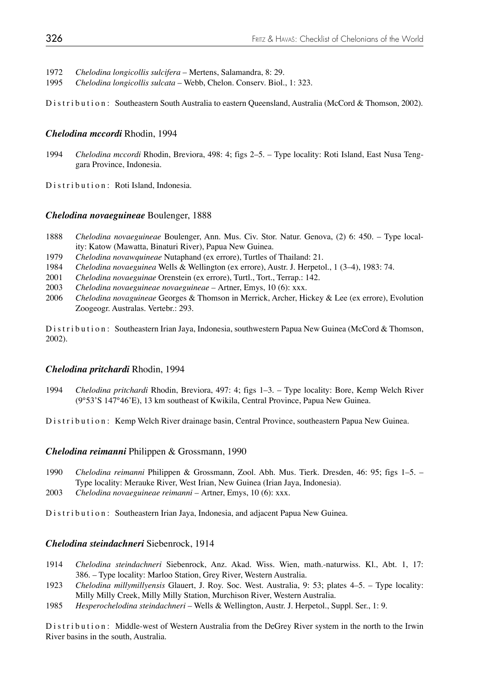1972 *Chelodina longicollis sulcifera* – Mertens, Salamandra, 8: 29.

1995 *Chelodina longicollis sulcata* – Webb, Chelon. Conserv. Biol., 1: 323.

Distribution: Southeastern South Australia to eastern Queensland, Australia (McCord & Thomson, 2002).

### *Chelodina mccordi* Rhodin, 1994

1994 *Chelodina mccordi* Rhodin, Breviora, 498: 4; figs 2–5. – Type locality: Roti Island, East Nusa Teng gara Province, Indonesia.

Distribution: Roti Island, Indonesia.

#### *Chelodina novaeguineae* Boulenger, 1888

- 1888 *Chelodina novaeguineae* Boulenger, Ann. Mus. Civ. Stor. Natur. Genova, (2) 6: 450. Type local ity: Katow (Mawatta, Binaturi River), Papua New Guinea.
- 1979 *Chelodina novawquineae* Nutaphand (ex errore), Turtles of Thailand: 21.
- 1984 *Chelodina novaeguinea* Wells & Wellington (ex errore), Austr. J. Herpetol., 1 (3–4), 1983: 74.
- 2001 *Chelodina novaeguinae* Orenstein (ex errore), Turtl., Tort., Terrap.: 142.
- 2003 *Chelodina novaeguineae novaeguineae* Artner, Emys, 10 (6): xxx.
- 2006 *Chelodina novaguineae* Georges & Thomson in Merrick, Archer, Hickey & Lee (ex errore), Evolution Zoogeogr. Australas. Vertebr.: 293.

Distribution: Southeastern Irian Jaya, Indonesia, southwestern Papua New Guinea (McCord & Thomson, 2002).

#### *Chelodina pritchardi* Rhodin, 1994

1994 *Chelodina pritchardi* Rhodin, Breviora, 497: 4; figs 1–3. – Type locality: Bore, Kemp Welch River (9°53'S 147°46'E), 13 km southeast of Kwikila, Central Province, Papua New Guinea.

Distribution: Kemp Welch River drainage basin, Central Province, southeastern Papua New Guinea.

#### *Chelodina reimanni* Philippen & Grossmann, 1990

- 1990 *Chelodina reimanni* Philippen & Grossmann, Zool. Abh. Mus. Tierk. Dresden, 46: 95; figs 1–5. Type locality: Merauke River, West Irian, New Guinea (Irian Jaya, Indonesia).
- 2003 *Chelodina novaeguineae reimanni* Artner, Emys, 10 (6): xxx.

Distribution: Southeastern Irian Jaya, Indonesia, and adjacent Papua New Guinea.

### *Chelodina steindachneri* Siebenrock, 1914

- 1914 *Chelodina steindachneri* Siebenrock, Anz. Akad. Wiss. Wien, math.-naturwiss. Kl., Abt. 1, 17: 386. – Type locality: Marloo Station, Grey River, Western Australia.
- 1923 *Chelodina millymillyensis* Glauert, J. Roy. Soc. West. Australia, 9: 53; plates 4–5. Type locality: Milly Milly Creek, Milly Milly Station, Murchison River, Western Australia.
- 1985 *Hesperochelodina steindachneri* Wells & Wellington, Austr. J. Herpetol., Suppl. Ser., 1: 9.

Distribution: Middle-west of Western Australia from the DeGrey River system in the north to the Irwin River basins in the south, Australia.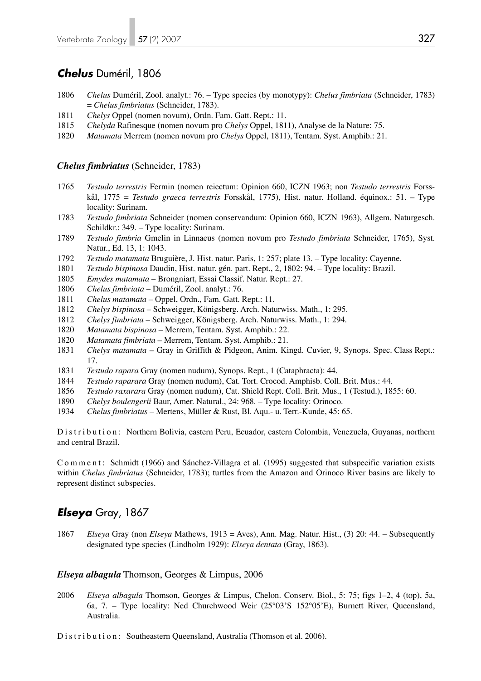## *Chelus* Duméril, 1806

- 1806 *Chelus* Duméril, Zool. analyt.: 76. Type species (by monotypy): *Chelus fimbriata* (Schneider, 1783) = *Chelus fimbriatus* (Schneider, 1783).
- 1811 *Chelys* Oppel (nomen novum), Ordn. Fam. Gatt. Rept.: 11.
- 1815 *Chelyda* Rafinesque (nomen novum pro *Chelys* Oppel, 1811), Analyse de la Nature: 75.
- 1820 *Matamata* Merrem (nomen novum pro *Chelys* Oppel, 1811), Tentam. Syst. Amphib.: 21.

### *Chelus fimbriatus* (Schneider, 1783)

- 1765 *Testudo terrestris* Fermin (nomen reiectum: Opinion 660, ICZN 1963; non *Testudo terrestris* Forss kål, 1775 = *Testudo graeca terrestris* Forsskål, 1775), Hist. natur. Holland. équinox.: 51. – Type locality: Surinam.
- 1783 *Testudo fimbriata* Schneider (nomen conservandum: Opinion 660, ICZN 1963), Allgem. Naturgesch. Schildkr.: 349. – Type locality: Surinam.
- 1789 *Testudo fimbria* Gmelin in Linnaeus (nomen novum pro *Testudo fimbriata* Schneider, 1765), Syst. Natur., Ed. 13, 1: 1043.
- 1792 *Testudo matamata* Bruguière, J. Hist. natur. Paris, 1: 257; plate 13. Type locality: Cayenne.
- 1801 *Testudo bispinosa* Daudin, Hist. natur. gén. part. Rept., 2, 1802: 94. Type locality: Brazil.
- 1805 *Emydes matamata* Brongniart, Essai Classif. Natur. Rept.: 27.
- 1806 *Chelus fimbriata* Duméril, Zool. analyt.: 76.
- 1811 *Chelus matamata* Oppel, Ordn., Fam. Gatt. Rept.: 11.
- 1812 *Chelys bispinosa* Schweigger, Königsberg. Arch. Naturwiss. Math., 1: 295.
- 1812 *Chelys fimbriata* Schweigger, Königsberg. Arch. Naturwiss. Math., 1: 294.
- 1820 *Matamata bispinosa* Merrem, Tentam. Syst. Amphib.: 22.
- 1820 *Matamata fimbriata* Merrem, Tentam. Syst. Amphib.: 21.
- 1831 *Chelys matamata* Gray in Griffith & Pidgeon, Anim. Kingd. Cuvier, 9, Synops. Spec. Class Rept.: 17.
- 1831 *Testudo rapara* Gray (nomen nudum), Synops. Rept., 1 (Cataphracta): 44.
- 1844 *Testudo raparara* Gray (nomen nudum), Cat. Tort. Crocod. Amphisb. Coll. Brit. Mus.: 44.
- 1856 *Testudo raxarara* Gray (nomen nudum), Cat. Shield Rept. Coll. Brit. Mus., 1 (Testud.), 1855: 60.
- 1890 *Chelys boulengerii* Baur, Amer. Natural., 24: 968. Type locality: Orinoco.
- 1934 *Chelus fimbriatus* Mertens, Müller & Rust, Bl. Aqu.- u. Terr.-Kunde, 45: 65.

Distribution: Northern Bolivia, eastern Peru, Ecuador, eastern Colombia, Venezuela, Guyanas, northern and central Brazil.

Comment: Schmidt (1966) and Sánchez-Villagra et al. (1995) suggested that subspecific variation exists within *Chelus fimbriatus* (Schneider, 1783); turtles from the Amazon and Orinoco River basins are likely to represent distinct subspecies.

## *Elseya* Gray, 1867

1867 *Elseya* Gray (non *Elseya* Mathews, 1913 = Aves), Ann. Mag. Natur. Hist., (3) 20: 44. – Subsequently designated type species (Lindholm 1929): *Elseya dentata* (Gray, 1863).

#### *Elseya albagula* Thomson, Georges & Limpus, 2006

2006 *Elseya albagula* Thomson, Georges & Limpus, Chelon. Conserv. Biol., 5: 75; figs 1–2, 4 (top), 5a, 6a, 7. – Type locality: Ned Churchwood Weir (25°03'S 152°05'E), Burnett River, Queensland, Australia.

Distribution: Southeastern Queensland, Australia (Thomson et al. 2006).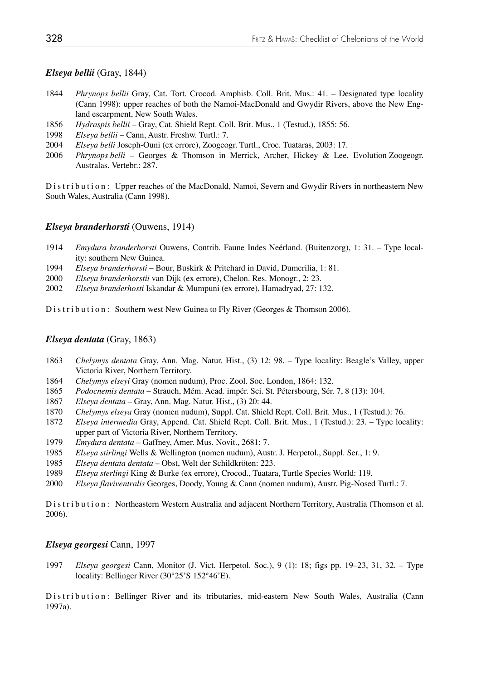## *Elseya bellii* (Gray, 1844)

- 1844 *Phrynops bellii* Gray, Cat. Tort. Crocod. Amphisb. Coll. Brit. Mus.: 41. Designated type locality (Cann 1998): upper reaches of both the Namoi-MacDonald and Gwydir Rivers, above the New Eng land escarpment, New South Wales.
- 1856 *Hydraspis bellii* Gray, Cat. Shield Rept. Coll. Brit. Mus., 1 (Testud.), 1855: 56.
- 1998 *Elseya bellii*  Cann, Austr. Freshw. Turtl.: 7.
- 2004 *Elseya belli* Joseph-Ouni (ex errore), Zoogeogr. Turtl., Croc. Tuataras, 2003: 17.
- 2006 *Phrynops belli* Georges & Thomson in Merrick, Archer, Hickey & Lee, Evolution Zoogeogr. Australas. Vertebr.: 287.

Distribution: Upper reaches of the MacDonald, Namoi, Severn and Gwydir Rivers in northeastern New South Wales, Australia (Cann 1998).

#### *Elseya branderhorsti* (Ouwens, 1914)

- 1914 *Emydura branderhorsti* Ouwens, Contrib. Faune Indes Neérland. (Buitenzorg), 1: 31. Type local ity: southern New Guinea.
- 1994 *Elseya branderhorsti*  Bour, Buskirk & Pritchard in David, Dumerilia, 1: 81.
- 2000 *Elseya branderhorstii* van Dijk (ex errore), Chelon. Res. Monogr., 2: 23.
- 2002 *Elseya branderhosti* Iskandar & Mumpuni (ex errore), Hamadryad, 27: 132.

Distribution: Southern west New Guinea to Fly River (Georges & Thomson 2006).

### *Elseya dentata* (Gray, 1863)

- 1863 *Chelymys dentata* Gray, Ann. Mag. Natur. Hist., (3) 12: 98. Type locality: Beagle's Valley, upper Victoria River, Northern Territory.
- 1864 *Chelymys elseyi* Gray (nomen nudum), Proc. Zool. Soc. London, 1864: 132.
- 1865 *Podocnemis dentata* Strauch, Mém. Acad. impér. Sci. St. Pétersbourg, Sér. 7, 8 (13): 104.
- 1867 *Elseya dentata* Gray, Ann. Mag. Natur. Hist., (3) 20: 44.
- 1870 *Chelymys elseya* Gray (nomen nudum), Suppl. Cat. Shield Rept. Coll. Brit. Mus., 1 (Testud.): 76.
- 1872 *Elseya intermedia* Gray, Append. Cat. Shield Rept. Coll. Brit. Mus., 1 (Testud.): 23. Type locality: upper part of Victoria River, Northern Territory.
- 1979 *Emydura dentata*  Gaffney, Amer. Mus. Novit., 2681: 7.
- 1985 *Elseya stirlingi* Wells & Wellington (nomen nudum), Austr. J. Herpetol., Suppl. Ser., 1: 9.
- 1985 *Elseya dentata dentata*  Obst, Welt der Schildkröten: 223.
- 1989 *Elseya sterlingi* King & Burke (ex errore), Crocod., Tuatara, Turtle Species World: 119.
- 2000 *Elseya flaviventralis* Georges, Doody, Young & Cann (nomen nudum), Austr. Pig-Nosed Turtl.: 7.

Distribution: Northeastern Western Australia and adjacent Northern Territory, Australia (Thomson et al. 2006).

## *Elseya georgesi* Cann, 1997

1997 *Elseya georgesi* Cann, Monitor (J. Vict. Herpetol. Soc.), 9 (1): 18; figs pp. 19–23, 31, 32. – Type locality: Bellinger River (30°25'S 152°46'E).

Distribution: Bellinger River and its tributaries, mid-eastern New South Wales, Australia (Cann 1997a).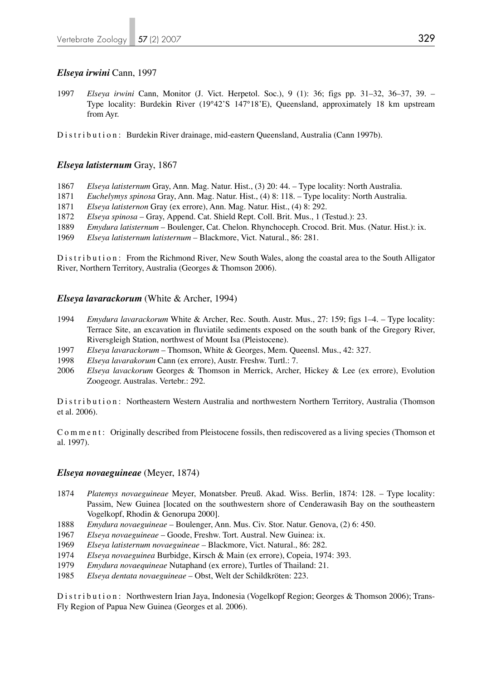## *Elseya irwini* Cann, 1997

1997 *Elseya irwini* Cann, Monitor (J. Vict. Herpetol. Soc.), 9 (1): 36; figs pp. 31–32, 36–37, 39. – Type locality: Burdekin River (19°42'S 147°18'E), Queensland, approximately 18 km upstream from Ayr.

Distribution: Burdekin River drainage, mid-eastern Queensland, Australia (Cann 1997b).

## *Elseya latisternum* Gray, 1867

- 1867 *Elseya latisternum* Gray, Ann. Mag. Natur. Hist., (3) 20: 44. Type locality: North Australia.
- 1871 *Euchelymys spinosa* Gray, Ann. Mag. Natur. Hist., (4) 8: 118. Type locality: North Australia.
- 1871 *Elseya latisternon* Gray (ex errore), Ann. Mag. Natur. Hist., (4) 8: 292.
- 1872 *Elseya spinosa*  Gray, Append. Cat. Shield Rept. Coll. Brit. Mus., 1 (Testud.): 23.
- 1889 *Emydura latisternum*  Boulenger, Cat. Chelon. Rhynchoceph. Crocod. Brit. Mus. (Natur. Hist.): ix.
- 1969 *Elseya latisternum latisternum* Blackmore, Vict. Natural., 86: 281.

Distribution: From the Richmond River, New South Wales, along the coastal area to the South Alligator River, Northern Territory, Australia (Georges & Thomson 2006).

## *Elseya lavarackorum* (White & Archer, 1994)

- 1994 *Emydura lavarackorum* White & Archer, Rec. South. Austr. Mus., 27: 159; figs 1–4. Type locality: Terrace Site, an excavation in fluviatile sediments exposed on the south bank of the Gregory River, Riversgleigh Station, northwest of Mount Isa (Pleistocene).
- 1997 *Elseya lavarackorum* Thomson, White & Georges, Mem. Queensl. Mus., 42: 327.
- 1998 *Elseya lavarakorum* Cann (ex errore), Austr. Freshw. Turtl.: 7.
- 2006 *Elseya lavackorum* Georges & Thomson in Merrick, Archer, Hickey & Lee (ex errore), Evolution Zoogeogr. Australas. Vertebr.: 292.

Distribution: Northeastern Western Australia and northwestern Northern Territory, Australia (Thomson et al. 2006).

Comment: Originally described from Pleistocene fossils, then rediscovered as a living species (Thomson et al. 1997).

## *Elseya novaeguineae* (Meyer, 1874)

- 1874 *Platemys novaeguineae* Meyer, Monatsber. Preuß. Akad. Wiss. Berlin, 1874: 128. Type locality: Passim, New Guinea [located on the southwestern shore of Cenderawasih Bay on the southeastern Vogelkopf, Rhodin & Genorupa 2000].
- 1888 *Emydura novaeguineae*  Boulenger, Ann. Mus. Civ. Stor. Natur. Genova, (2) 6: 450.
- 1967 *Elseya novaeguineae*  Goode, Freshw. Tort. Austral. New Guinea: ix.
- 1969 *Elseya latisternum novaeguineae –* Blackmore, Vict. Natural., 86: 282.
- 1974 *Elseya novaeguinea* Burbidge, Kirsch & Main (ex errore), Copeia, 1974: 393.
- 1979 *Emydura novaequineae* Nutaphand (ex errore), Turtles of Thailand: 21.
- 1985 *Elseya dentata novaeguineae*  Obst, Welt der Schildkröten: 223.

Distribution: Northwestern Irian Jaya, Indonesia (Vogelkopf Region; Georges & Thomson 2006); Trans-Fly Region of Papua New Guinea (Georges et al. 2006).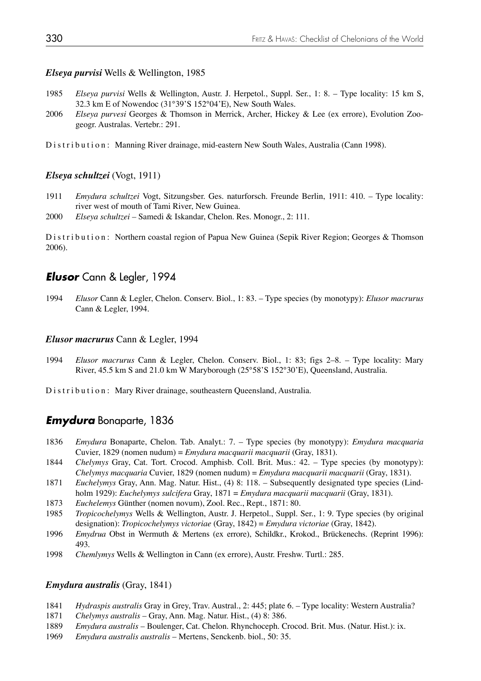## *Elseya purvisi* Wells & Wellington, 1985

- 1985 *Elseya purvisi* Wells & Wellington, Austr. J. Herpetol., Suppl. Ser., 1: 8. Type locality: 15 km S, 32.3 km E of Nowendoc (31°39'S 152°04'E), New South Wales.
- 2006 *Elseya purvesi* Georges & Thomson in Merrick, Archer, Hickey & Lee (ex errore), Evolution Zoo geogr. Australas. Vertebr.: 291.

Distribution: Manning River drainage, mid-eastern New South Wales, Australia (Cann 1998).

## *Elseya schultzei* (Vogt, 1911)

- 1911 *Emydura schultzei* Vogt, Sitzungsber. Ges. naturforsch. Freunde Berlin, 1911: 410. Type locality: river west of mouth of Tami River, New Guinea.
- 2000 *Elseya schultzei* Samedi & Iskandar, Chelon. Res. Monogr., 2: 111.

Distribution: Northern coastal region of Papua New Guinea (Sepik River Region; Georges & Thomson 2006).

## *Elusor* Cann & Legler, 1994

1994 *Elusor* Cann & Legler, Chelon. Conserv. Biol., 1: 83. – Type species (by monotypy): *Elusor macrurus* Cann & Legler, 1994.

#### *Elusor macrurus* Cann & Legler, 1994

- 1994 *Elusor macrurus* Cann & Legler, Chelon. Conserv. Biol., 1: 83; figs 2–8. Type locality: Mary River, 45.5 km S and 21.0 km W Maryborough (25°58'S 152°30'E), Queensland, Australia.
- Distribution: Mary River drainage, southeastern Queensland, Australia.

## *Emydura* Bonaparte, 1836

- 1836 *Emydura* Bonaparte, Chelon. Tab. Analyt.: 7. Type species (by monotypy): *Emydura macquaria*  Cuvier, 1829 (nomen nudum) = *Emydura macquarii macquarii* (Gray, 1831).
- 1844 *Chelymys* Gray, Cat. Tort. Crocod. Amphisb. Coll. Brit. Mus.: 42. Type species (by monotypy): *Chelymys macquaria* Cuvier, 1829 (nomen nudum) = *Emydura macquarii macquarii* (Gray, 1831).
- 1871 *Euchelymys* Gray, Ann. Mag. Natur. Hist., (4) 8: 118. Subsequently designated type species (Lind holm 1929): *Euchelymys sulcifera* Gray, 1871 = *Emydura macquarii macquarii* (Gray, 1831).
- 1873 *Euchelemys* Günther (nomen novum), Zool. Rec., Rept., 1871: 80.
- 1985 *Tropicochelymys* Wells & Wellington, Austr. J. Herpetol., Suppl. Ser., 1: 9. Type species (by original designation): *Tropicochelymys victoriae* (Gray, 1842) = *Emydura victoriae* (Gray, 1842).
- 1996 *Emydrua* Obst in Wermuth & Mertens (ex errore), Schildkr., Krokod., Brückenechs. (Reprint 1996): 493.
- 1998 *Chemlymys* Wells & Wellington in Cann (ex errore), Austr. Freshw. Turtl.: 285.

#### *Emydura australis* (Gray, 1841)

- 1841 *Hydraspis australis* Gray in Grey, Trav. Austral., 2: 445; plate 6. Type locality: Western Australia?
- 1871 *Chelymys australis* Gray, Ann. Mag. Natur. Hist., (4) 8: 386.
- 1889 *Emydura australis* Boulenger, Cat. Chelon. Rhynchoceph. Crocod. Brit. Mus. (Natur. Hist.): ix.
- 1969 *Emydura australis australis* Mertens, Senckenb. biol., 50: 35.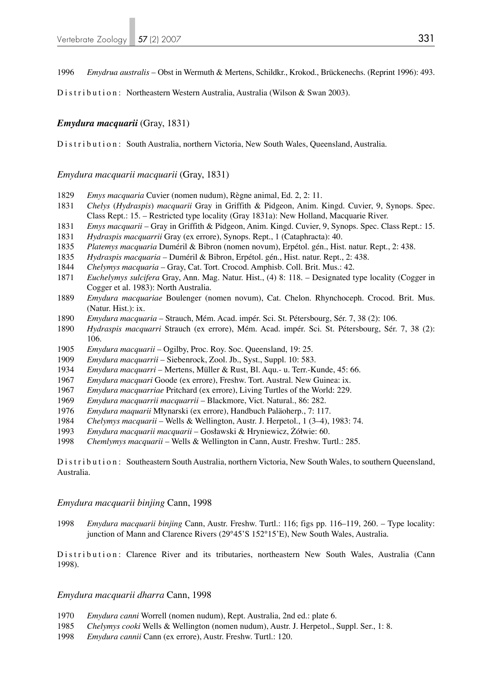*Emydrua australis* – Obst in Wermuth & Mertens, Schildkr., Krokod., Brückenechs. (Reprint 1996): 493.

Distribution: Northeastern Western Australia, Australia (Wilson & Swan 2003).

## *Emydura macquarii* (Gray, 1831)

Distribution: South Australia, northern Victoria, New South Wales, Queensland, Australia.

*Emydura macquarii macquarii* (Gray, 1831)

- *Emys macquaria* Cuvier (nomen nudum), Règne animal, Ed. 2, 2: 11.
- *Chelys* (*Hydraspis*) *macquarii* Gray in Griffith & Pidgeon, Anim. Kingd. Cuvier, 9, Synops. Spec. Class Rept.: 15. – Restricted type locality (Gray 1831a): New Holland, Macquarie River.
- *Emys macquarii* Gray in Griffith & Pidgeon, Anim. Kingd. Cuvier, 9, Synops. Spec. Class Rept.: 15.
- *Hydraspis macquarrii* Gray (ex errore), Synops. Rept., 1 (Cataphracta): 40.
- *Platemys macquaria* Duméril & Bibron (nomen novum), Erpétol. gén., Hist. natur. Rept., 2: 438.
- *Hydraspis macquaria* Duméril & Bibron, Erpétol. gén., Hist. natur. Rept., 2: 438.
- *Chelymys macquaria* Gray, Cat. Tort. Crocod. Amphisb. Coll. Brit. Mus.: 42.
- *Euchelymys sulcifera* Gray, Ann. Mag. Natur. Hist., (4) 8: 118. Designated type locality (Cogger in Cogger et al. 1983): North Australia.
- *Emydura macquariae* Boulenger (nomen novum), Cat. Chelon. Rhynchoceph. Crocod. Brit. Mus. (Natur. Hist.): ix.
- *Emydura macquaria* Strauch, Mém. Acad. impér. Sci. St. Pétersbourg, Sér. 7, 38 (2): 106.
- *Hydraspis macquarri* Strauch (ex errore), Mém. Acad. impér. Sci. St. Pétersbourg, Sér. 7, 38 (2): 106.
- *Emydura macquarii* Ogilby, Proc. Roy. Soc. Queensland, 19: 25.
- *Emydura macquarrii*  Siebenrock, Zool. Jb., Syst., Suppl. 10: 583.
- *Emydura macquarri* Mertens, Müller & Rust, Bl. Aqu.- u. Terr.-Kunde, 45: 66.
- *Emydura macquari* Goode (ex errore), Freshw. Tort. Austral. New Guinea: ix.
- *Emydura macquarriae* Pritchard (ex errore), Living Turtles of the World: 229.
- *Emydura macquarrii macquarrii* Blackmore, Vict. Natural., 86: 282.
- *Emydura maquarii* Młynarski (ex errore), Handbuch Paläoherp., 7: 117.
- *Chelymys macquarii* Wells & Wellington, Austr. J. Herpetol., 1 (3–4), 1983: 74.
- *Emydura macquarii macquarii*  Gosławski & Hryniewicz, Żółwie: 60.
- *Chemlymys macquarii*  Wells & Wellington in Cann, Austr. Freshw. Turtl.: 285.

Distribution: Southeastern South Australia, northern Victoria, New South Wales, to southern Queensland, Australia.

#### *Emydura macquarii binjing* Cann, 1998

*Emydura macquarii binjing* Cann, Austr. Freshw. Turtl.: 116; figs pp. 116–119, 260. – Type locality: junction of Mann and Clarence Rivers (29°45'S 152°15'E), New South Wales, Australia.

Distribution: Clarence River and its tributaries, northeastern New South Wales, Australia (Cann 1998).

#### *Emydura macquarii dharra* Cann, 1998

- *Emydura canni* Worrell (nomen nudum), Rept. Australia, 2nd ed.: plate 6.
- *Chelymys cooki* Wells & Wellington (nomen nudum), Austr. J. Herpetol., Suppl. Ser., 1: 8.
- *Emydura cannii* Cann (ex errore), Austr. Freshw. Turtl.: 120.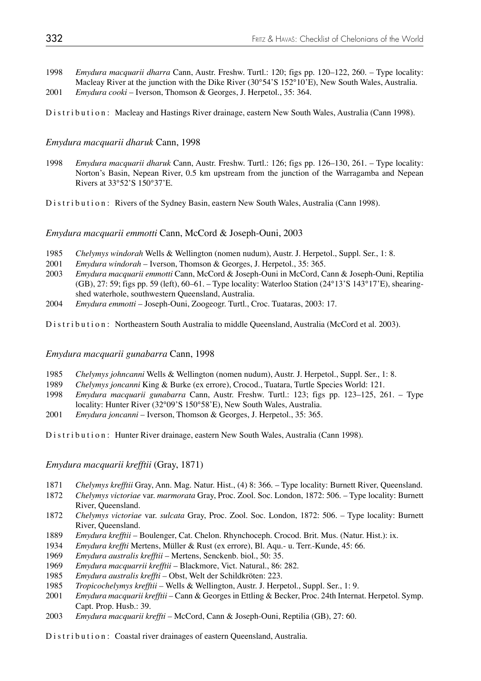1998 *Emydura macquarii dharra* Cann, Austr. Freshw. Turtl.: 120; figs pp. 120–122, 260. – Type locality: Macleay River at the junction with the Dike River (30°54'S 152°10'E), New South Wales, Australia. 2001 *Emydura cooki* – Iverson, Thomson & Georges, J. Herpetol., 35: 364.

Distribution: Macleay and Hastings River drainage, eastern New South Wales, Australia (Cann 1998).

### *Emydura macquarii dharuk* Cann, 1998

1998 *Emydura macquarii dharuk* Cann, Austr. Freshw. Turtl.: 126; figs pp. 126–130, 261. – Type locality: Norton's Basin, Nepean River, 0.5 km upstream from the junction of the Warragamba and Nepean Rivers at 33°52'S 150°37'E.

Distribution: Rivers of the Sydney Basin, eastern New South Wales, Australia (Cann 1998).

#### *Emydura macquarii emmotti* Cann, McCord & Joseph-Ouni, 2003

- 1985 *Chelymys windorah* Wells & Wellington (nomen nudum), Austr. J. Herpetol., Suppl. Ser., 1: 8.
- 2001 *Emydura windorah* Iverson, Thomson & Georges, J. Herpetol., 35: 365.
- 2003 *Emydura macquarii emmotti* Cann, McCord & Joseph-Ouni in McCord, Cann & Joseph-Ouni, Reptilia  $(GB)$ , 27: 59; figs pp. 59 (left), 60–61. – Type locality: Waterloo Station (24°13'S 143°17'E), shearingshed waterhole, southwestern Queensland, Australia.
- 2004 *Emydura emmotti*  Joseph-Ouni, Zoogeogr. Turtl., Croc. Tuataras, 2003: 17.

Distribution: Northeastern South Australia to middle Queensland, Australia (McCord et al. 2003).

## *Emydura macquarii gunabarra* Cann, 1998

- 1985 *Chelymys johncanni* Wells & Wellington (nomen nudum), Austr. J. Herpetol., Suppl. Ser., 1: 8.
- 1989 *Chelymys joncanni* King & Burke (ex errore), Crocod., Tuatara, Turtle Species World: 121.
- 1998 *Emydura macquarii gunabarra* Cann, Austr. Freshw. Turtl.: 123; figs pp. 123–125, 261. Type locality: Hunter River (32°09'S 150°58'E), New South Wales, Australia.
- 2001 *Emydura joncanni* Iverson, Thomson & Georges, J. Herpetol., 35: 365.

Distribution: Hunter River drainage, eastern New South Wales, Australia (Cann 1998).

*Emydura macquarii krefftii* (Gray, 1871)

- 1871 *Chelymys krefftii* Gray, Ann. Mag. Natur. Hist., (4) 8: 366. Type locality: Burnett River, Queensland.
- 1872 *Chelymys victoriae* var. *marmorata* Gray, Proc. Zool. Soc. London, 1872: 506. Type locality: Burnett River, Queensland.
- 1872 *Chelymys victoriae* var. *sulcata* Gray, Proc. Zool. Soc. London, 1872: 506. Type locality: Burnett River, Queensland.
- 1889 *Emydura krefftii*  Boulenger, Cat. Chelon. Rhynchoceph. Crocod. Brit. Mus. (Natur. Hist.): ix.
- 1934 *Emydura kreffti* Mertens, Müller & Rust (ex errore), Bl. Aqu.- u. Terr.-Kunde, 45: 66.
- 1969 *Emydura australis krefftii*  Mertens, Senckenb. biol., 50: 35.
- 1969 *Emydura macquarrii krefftii*  Blackmore, Vict. Natural., 86: 282.
- 1985 *Emydura australis kreffti* Obst, Welt der Schildkröten: 223.
- 1985 *Tropicochelymys krefftii* Wells & Wellington, Austr. J. Herpetol., Suppl. Ser., 1: 9.
- 2001 *Emydura macquarii krefftii*  Cann & Georges in Ettling & Becker, Proc. 24th Internat. Herpetol. Symp. Capt. Prop. Husb.: 39.
- 2003 *Emydura macquarii kreffti* McCord, Cann & Joseph-Ouni, Reptilia (GB), 27: 60.

Distribution: Coastal river drainages of eastern Queensland, Australia.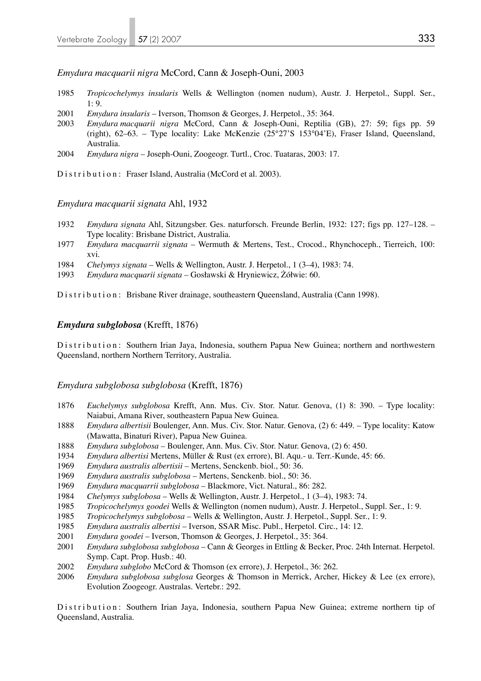### *Emydura macquarii nigra* McCord, Cann & Joseph-Ouni, 2003

- 1985 *Tropicochelymys insularis* Wells & Wellington (nomen nudum), Austr. J. Herpetol., Suppl. Ser.,  $1: 9.$
- 2001 *Emydura insularis*  Iverson, Thomson & Georges, J. Herpetol., 35: 364.
- 2003 *Emydura macquarii nigra* McCord, Cann & Joseph-Ouni, Reptilia (GB), 27: 59; figs pp. 59 (right), 62–63. – Type locality: Lake McKenzie (25°27'S 153°04'E), Fraser Island, Queensland, Australia.
- 2004 *Emydura nigra*  Joseph-Ouni, Zoogeogr. Turtl., Croc. Tuataras, 2003: 17.

Distribution: Fraser Island, Australia (McCord et al. 2003).

#### *Emydura macquarii signata* Ahl, 1932

- 1932 *Emydura signata* Ahl, Sitzungsber. Ges. naturforsch. Freunde Berlin, 1932: 127; figs pp. 127–128. Type locality: Brisbane District, Australia.
- 1977 *Emydura macquarrii signata*  Wermuth & Mertens, Test., Crocod., Rhynchoceph., Tierreich, 100: xvi.
- 1984 *Chelymys signata*  Wells & Wellington, Austr. J. Herpetol., 1 (3–4), 1983: 74.
- 1993 *Emydura macquarii signata*  Gosławski & Hryniewicz, Żółwie: 60.

Distribution: Brisbane River drainage, southeastern Queensland, Australia (Cann 1998).

#### *Emydura subglobosa* (Krefft, 1876)

Distribution: Southern Irian Jaya, Indonesia, southern Papua New Guinea; northern and northwestern Queensland, northern Northern Territory, Australia.

#### *Emydura subglobosa subglobosa* (Krefft, 1876)

- 1876 *Euchelymys subglobosa* Krefft, Ann. Mus. Civ. Stor. Natur. Genova, (1) 8: 390. Type locality: Naiabui, Amana River, southeastern Papua New Guinea.
- 1888 *Emydura albertisii* Boulenger, Ann. Mus. Civ. Stor. Natur. Genova, (2) 6: 449. Type locality: Katow (Mawatta, Binaturi River), Papua New Guinea.
- 1888 *Emydura subglobosa* Boulenger, Ann. Mus. Civ. Stor. Natur. Genova, (2) 6: 450.
- 1934 *Emydura albertisi* Mertens, Müller & Rust (ex errore), Bl. Aqu.- u. Terr.-Kunde, 45: 66.
- 1969 *Emydura australis albertisii*  Mertens, Senckenb. biol., 50: 36.
- 1969 *Emydura australis subglobosa*  Mertens, Senckenb. biol., 50: 36.
- 1969 *Emydura macquarrii subglobosa* Blackmore, Vict. Natural., 86: 282.
- 1984 *Chelymys subglobosa*  Wells & Wellington, Austr. J. Herpetol., 1 (3–4), 1983: 74.
- 1985 *Tropicochelymys goodei* Wells & Wellington (nomen nudum), Austr. J. Herpetol., Suppl. Ser., 1: 9.
- 1985 *Tropicochelymys subglobosa –* Wells & Wellington, Austr. J. Herpetol., Suppl. Ser., 1: 9.
- 1985 *Emydura australis albertisi*  Iverson, SSAR Misc. Publ., Herpetol. Circ., 14: 12.
- 2001 *Emydura goodei*  Iverson, Thomson & Georges, J. Herpetol., 35: 364.
- 2001 *Emydura subglobosa subglobosa*  Cann & Georges in Ettling & Becker, Proc. 24th Internat. Herpetol. Symp. Capt. Prop. Husb.: 40.
- 2002 *Emydura subglobo* McCord & Thomson (ex errore), J. Herpetol., 36: 262.
- 2006 *Emydura subglobosa subglosa* Georges & Thomson in Merrick, Archer, Hickey & Lee (ex errore), Evolution Zoogeogr. Australas. Vertebr.: 292.

Distribution: Southern Irian Jaya, Indonesia, southern Papua New Guinea; extreme northern tip of Queensland, Australia.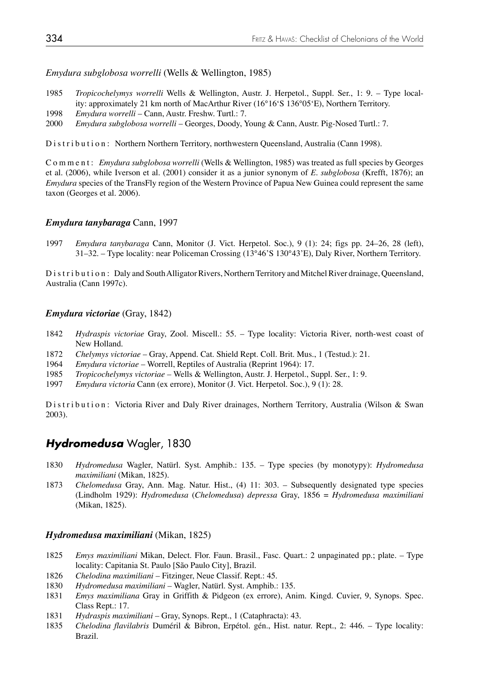*Emydura subglobosa worrelli* (Wells & Wellington, 1985)

- 1985 *Tropicochelymys worrelli* Wells & Wellington, Austr. J. Herpetol., Suppl. Ser., 1: 9. Type local ity: approximately 21 km north of MacArthur River (16°16'S 136°05'E), Northern Territory.
- 1998 *Emydura worrelli* Cann, Austr. Freshw. Turtl.: 7.
- 2000 *Emydura subglobosa worrelli* Georges, Doody, Young & Cann, Austr. Pig-Nosed Turtl.: 7.

Distribution: Northern Northern Territory, northwestern Queensland, Australia (Cann 1998).

Comment: *Emydura subglobosa worrelli* (Wells & Wellington, 1985) was treated as full species by Georges et al. (2006), while Iverson et al. (2001) consider it as a junior synonym of *E. subglobosa* (Krefft, 1876); an *Emydura* species of the TransFly region of the Western Province of Papua New Guinea could represent the same taxon (Georges et al. 2006).

## *Emydura tanybaraga* Cann, 1997

1997 *Emydura tanybaraga* Cann, Monitor (J. Vict. Herpetol. Soc.), 9 (1): 24; figs pp. 24–26, 28 (left), 31–32. – Type locality: near Policeman Crossing (13°46'S 130°43'E), Daly River, Northern Territory.

Distribution: Daly and South Alligator Rivers, Northern Territory and Mitchel River drainage, Queensland, Australia (Cann 1997c).

## *Emydura victoriae* (Gray, 1842)

- 1842 *Hydraspis victoriae* Gray, Zool. Miscell.: 55. Type locality: Victoria River, north-west coast of New Holland.
- 1872 *Chelymys victoriae* Gray, Append. Cat. Shield Rept. Coll. Brit. Mus., 1 (Testud.): 21.
- 1964 *Emydura victoriae* Worrell, Reptiles of Australia (Reprint 1964): 17.
- 1985 *Tropicochelymys victoriae* Wells & Wellington, Austr. J. Herpetol., Suppl. Ser., 1: 9.
- 1997 *Emydura victoria* Cann (ex errore), Monitor (J. Vict. Herpetol. Soc.), 9 (1): 28.

Distribution: Victoria River and Daly River drainages, Northern Territory, Australia (Wilson & Swan 2003).

# *Hydromedusa* Wagler, 1830

- 1830 *Hydromedusa* Wagler, Natürl. Syst. Amphib.: 135. Type species (by monotypy): *Hydromedusa maximiliani* (Mikan, 1825).
- 1873 *Chelomedusa* Gray, Ann. Mag. Natur. Hist., (4) 11: 303. Subsequently designated type species (Lindholm 1929): *Hydromedusa* (*Chelomedusa*) *depressa* Gray, 1856 = *Hydromedusa maximiliani*  (Mikan, 1825).

## *Hydromedusa maximiliani* (Mikan, 1825)

- 1825 *Emys maximiliani* Mikan, Delect. Flor. Faun. Brasil., Fasc. Quart.: 2 unpaginated pp.; plate. Type locality: Capitania St. Paulo [São Paulo City], Brazil.
- 1826 *Chelodina maximiliani* Fitzinger, Neue Classif. Rept.: 45.
- 1830 *Hydromedusa maximiliani* Wagler, Natürl. Syst. Amphib.: 135.
- 1831 *Emys maximiliana* Gray in Griffith & Pidgeon (ex errore), Anim. Kingd. Cuvier, 9, Synops. Spec. Class Rept.: 17.
- 1831 *Hydraspis maximiliani* Gray, Synops. Rept., 1 (Cataphracta): 43.
- 1835 *Chelodina flavilabris* Duméril & Bibron, Erpétol. gén., Hist. natur. Rept., 2: 446. Type locality: Brazil.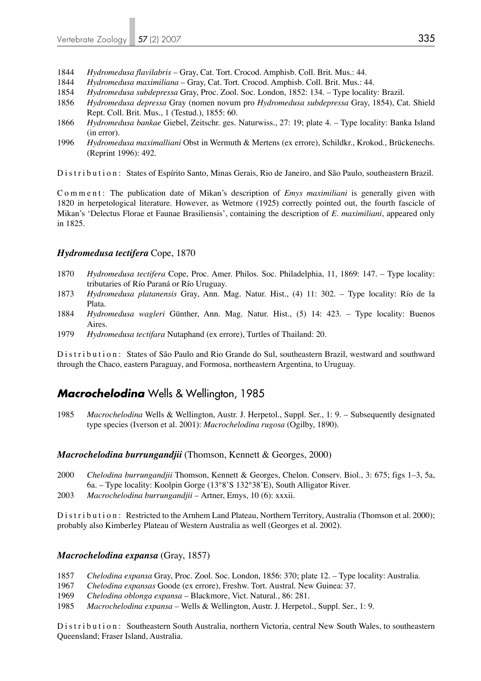- 1844 *Hydromedusa flavilabris* Gray, Cat. Tort. Crocod. Amphisb. Coll. Brit. Mus.: 44.
- 1844 *Hydromedusa maximiliana* Gray, Cat. Tort. Crocod. Amphisb. Coll. Brit. Mus.: 44.
- 1854 *Hydromedusa subdepressa* Gray, Proc. Zool. Soc. London, 1852: 134. Type locality: Brazil.
- 1856 *Hydromedusa depressa* Gray (nomen novum pro *Hydromedusa subdepressa* Gray, 1854), Cat. Shield Rept. Coll. Brit. Mus., 1 (Testud.), 1855: 60.
- 1866 *Hydromedusa bankae* Giebel, Zeitschr. ges. Naturwiss., 27: 19; plate 4. Type locality: Banka Island (in error).
- 1996 *Hydromedusa maximalliani* Obst in Wermuth & Mertens (ex errore), Schildkr., Krokod., Brückenechs. (Reprint 1996): 492.

Distribution: States of Espírito Santo, Minas Gerais, Rio de Janeiro, and São Paulo, southeastern Brazil.

Comment: The publication date of Mikan's description of *Emys maximiliani* is generally given with 1820 in herpetological literature. However, as Wetmore (1925) correctly pointed out, the fourth fascicle of Mikan's 'Delectus Florae et Faunae Brasiliensis', containing the description of *E. maximiliani*, appeared only in 1825.

#### *Hydromedusa tectifera* Cope, 1870

- 1870 *Hydromedusa tectifera* Cope, Proc. Amer. Philos. Soc. Philadelphia, 11, 1869: 147. Type locality: tributaries of Río Paraná or Río Uruguay.
- 1873 *Hydromedusa platanensis* Gray, Ann. Mag. Natur. Hist., (4) 11: 302. Type locality: Río de la Plata.
- 1884 *Hydromedusa wagleri* Günther, Ann. Mag. Natur. Hist., (5) 14: 423. Type locality: Buenos Aires.
- 1979 *Hydromedusa tectifara* Nutaphand (ex errore), Turtles of Thailand: 20.

Distribution: States of São Paulo and Rio Grande do Sul, southeastern Brazil, westward and southward through the Chaco, eastern Paraguay, and Formosa, northeastern Argentina, to Uruguay.

# *Macrochelodina* Wells & Wellington, 1985

1985 *Macrochelodina* Wells & Wellington, Austr. J. Herpetol., Suppl. Ser., 1: 9. – Subsequently designated type species (Iverson et al. 2001): *Macrochelodina rugosa* (Ogilby, 1890).

## *Macrochelodina burrungandjii* (Thomson, Kennett & Georges, 2000)

- 2000 *Chelodina burrungandjii* Thomson, Kennett & Georges, Chelon. Conserv. Biol., 3: 675; figs 1–3, 5a, 6a. – Type locality: Koolpin Gorge (13°8'S 132°38'E), South Alligator River.
- 2003 *Macrochelodina burrungandjii –* Artner, Emys, 10 (6): xxxii.

Distribution: Restricted to the Arnhem Land Plateau, Northern Territory, Australia (Thomson et al. 2000); probably also Kimberley Plateau of Western Australia as well (Georges et al. 2002).

#### *Macrochelodina expansa* (Gray, 1857)

- 1857 *Chelodina expansa* Gray, Proc. Zool. Soc. London, 1856: 370; plate 12. Type locality: Australia.
- 1967 *Chelodina expansas* Goode (ex errore), Freshw. Tort. Austral. New Guinea: 37.
- 1969 *Chelodina oblonga expansa* Blackmore, Vict. Natural., 86: 281.
- 1985 *Macrochelodina expansa* Wells & Wellington, Austr. J. Herpetol., Suppl. Ser., 1: 9.

Distribution: Southeastern South Australia, northern Victoria, central New South Wales, to southeastern Queensland; Fraser Island, Australia.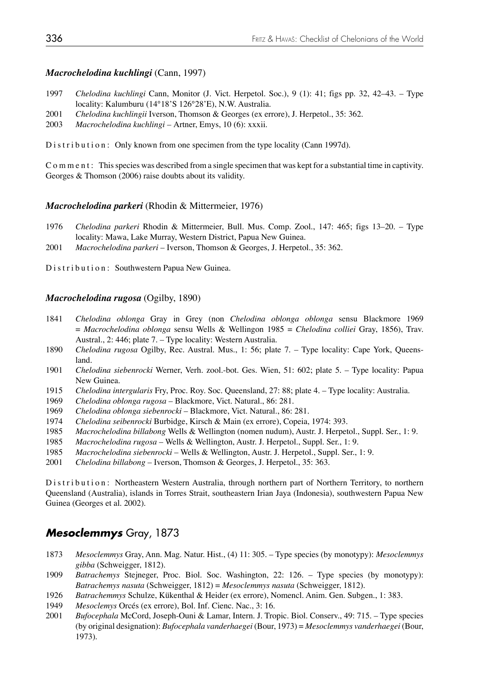## *Macrochelodina kuchlingi* (Cann, 1997)

- 1997 *Chelodina kuchlingi* Cann, Monitor (J. Vict. Herpetol. Soc.), 9 (1): 41; figs pp. 32, 42–43. Type locality: Kalumburu (14°18'S 126°28'E), N.W. Australia.
- 2001 *Chelodina kuchlingii* Iverson, Thomson & Georges (ex errore), J. Herpetol., 35: 362.
- 2003 *Macrochelodina kuchlingi* Artner, Emys, 10 (6): xxxii.

Distribution: Only known from one specimen from the type locality (Cann 1997d).

Comment: This species was described from a single specimen that was kept for a substantial time in captivity. Georges & Thomson (2006) raise doubts about its validity.

#### *Macrochelodina parkeri* (Rhodin & Mittermeier, 1976)

- 1976 *Chelodina parkeri* Rhodin & Mittermeier, Bull. Mus. Comp. Zool., 147: 465; figs 13–20. Type locality: Mawa, Lake Murray, Western District, Papua New Guinea.
- 2001 *Macrochelodina parkeri* Iverson, Thomson & Georges, J. Herpetol., 35: 362.

Distribution: Southwestern Papua New Guinea.

## *Macrochelodina rugosa* (Ogilby, 1890)

- 1841 *Chelodina oblonga* Gray in Grey (non *Chelodina oblonga oblonga* sensu Blackmore 1969 = *Macrochelodina oblonga* sensu Wells & Wellingon 1985 = *Chelodina colliei* Gray, 1856), Trav. Austral., 2: 446; plate 7. – Type locality: Western Australia.
- 1890 *Chelodina rugosa* Ogilby, Rec. Austral. Mus., 1: 56; plate 7. Type locality: Cape York, Queens land.
- 1901 *Chelodina siebenrocki* Werner, Verh. zool.-bot. Ges. Wien, 51: 602; plate 5. Type locality: Papua New Guinea.
- 1915 *Chelodina intergularis* Fry, Proc. Roy. Soc. Queensland, 27: 88; plate 4. Type locality: Australia.
- 1969 *Chelodina oblonga rugosa* Blackmore, Vict. Natural., 86: 281.
- 1969 *Chelodina oblonga siebenrocki* Blackmore, Vict. Natural., 86: 281.
- 1974 *Chelodina seibenrocki* Burbidge, Kirsch & Main (ex errore), Copeia, 1974: 393.
- 1985 *Macrochelodina billabong* Wells & Wellington (nomen nudum), Austr. J. Herpetol., Suppl. Ser., 1: 9.
- 1985 *Macrochelodina rugosa* Wells & Wellington, Austr. J. Herpetol., Suppl. Ser., 1: 9.
- 1985 *Macrochelodina siebenrocki* Wells & Wellington, Austr. J. Herpetol., Suppl. Ser., 1: 9.
- 2001 *Chelodina billabong*  Iverson, Thomson & Georges, J. Herpetol., 35: 363.

Distribution: Northeastern Western Australia, through northern part of Northern Territory, to northern Queensland (Australia), islands in Torres Strait, southeastern Irian Jaya (Indonesia), southwestern Papua New Guinea (Georges et al. 2002).

## *Mesoclemmys* Gray, 1873

- 1873 *Mesoclemmys* Gray, Ann. Mag. Natur. Hist., (4) 11: 305. Type species (by monotypy): *Mesoclemmys gibba* (Schweigger, 1812).
- 1909 *Batrachemys* Stejneger, Proc. Biol. Soc. Washington, 22: 126. Type species (by monotypy): *Batrachemys nasuta* (Schweigger, 1812) = *Mesoclemmys nasuta* (Schweigger, 1812).
- 1926 *Batrachemmys* Schulze, Kükenthal & Heider (ex errore), Nomencl. Anim. Gen. Subgen., 1: 383.
- 1949 *Mesoclemys* Orcés (ex errore), Bol. Inf. Cienc. Nac., 3: 16.
- 2001 *Bufocephala* McCord, Joseph-Ouni & Lamar, Intern. J. Tropic. Biol. Conserv., 49: 715. Type species (by original designation): *Bufocephala vanderhaegei* (Bour, 1973) = *Mesoclemmys vanderhaegei* (Bour, 1973).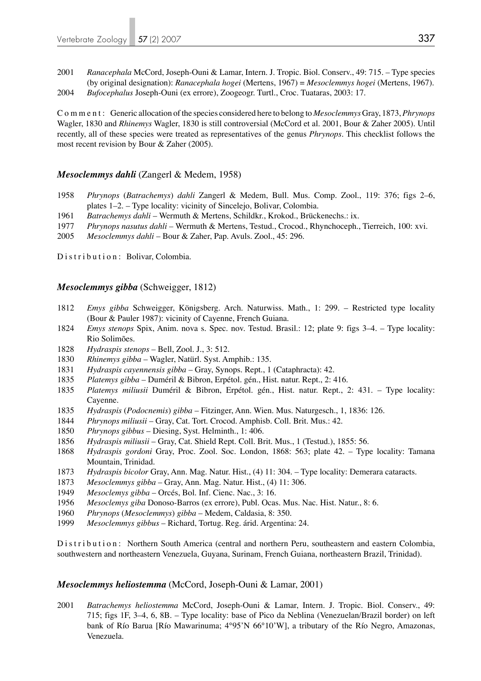2001 *Ranacephala* McCord, Joseph-Ouni & Lamar, Intern. J. Tropic. Biol. Conserv., 49: 715. – Type species (by original designation): *Ranacephala hogei* (Mertens, 1967) = *Mesoclemmys hogei* (Mertens, 1967). 2004 *Bufocephalus* Joseph-Ouni (ex errore), Zoogeogr. Turtl., Croc. Tuataras, 2003: 17.

Comment: Generic allocation of the species considered here to belong to *Mesoclemmys* Gray, 1873, *Phrynops* Wagler, 1830 and *Rhinemys* Wagler, 1830 is still controversial (McCord et al. 2001, Bour & Zaher 2005). Until recently, all of these species were treated as representatives of the genus *Phrynops*. This checklist follows the most recent revision by Bour & Zaher (2005).

## *Mesoclemmys dahli* (Zangerl & Medem, 1958)

- 1958 *Phrynops* (*Batrachemys*) *dahli* Zangerl & Medem, Bull. Mus. Comp. Zool., 119: 376; figs 2–6, plates 1–2. – Type locality: vicinity of Sincelejo, Bolivar, Colombia.
- 1961 *Batrachemys dahli* Wermuth & Mertens, Schildkr., Krokod., Brückenechs.: ix.<br>1977 *Phrynops nasutus dahli* Wermuth & Mertens. Testud., Crocod., Rhynchoceph..
- 1977 *Phrynops nasutus dahli* Wermuth & Mertens, Testud., Crocod., Rhynchoceph., Tierreich, 100: xvi.
- 2005 *Mesoclemmys dahli* Bour & Zaher, Pap. Avuls. Zool., 45: 296.

Distribution: Bolivar, Colombia.

#### *Mesoclemmys gibba* (Schweigger, 1812)

- 1812 *Emys gibba* Schweigger, Königsberg. Arch. Naturwiss. Math., 1: 299. Restricted type locality (Bour & Pauler 1987): vicinity of Cayenne, French Guiana.
- 1824 *Emys stenops* Spix, Anim. nova s. Spec. nov. Testud. Brasil.: 12; plate 9: figs 3–4. Type locality: Rio Solimões.
- 1828 *Hydraspis stenops*  Bell, Zool. J., 3: 512.
- 1830 *Rhinemys gibba* Wagler, Natürl. Syst. Amphib.: 135.
- 1831 *Hydraspis cayennensis gibba* Gray, Synops. Rept., 1 (Cataphracta): 42.
- 1835 *Platemys gibba* Duméril & Bibron, Erpétol. gén., Hist. natur. Rept., 2: 416.
- 1835 *Platemys miliusii* Duméril & Bibron, Erpétol. gén., Hist. natur. Rept., 2: 431. Type locality: Cayenne.
- 1835 *Hydraspis* (*Podocnemis*) *gibba* Fitzinger, Ann. Wien. Mus. Naturgesch., 1, 1836: 126.
- 1844 *Phrynops miliusii* Gray, Cat. Tort. Crocod. Amphisb. Coll. Brit. Mus.: 42.
- 1850 *Phrynops gibbus* Diesing, Syst. Helminth., 1: 406.
- 1856 *Hydraspis miliusii* Gray, Cat. Shield Rept. Coll. Brit. Mus., 1 (Testud.), 1855: 56.
- 1868 *Hydraspis gordoni* Gray, Proc. Zool. Soc. London, 1868: 563; plate 42. Type locality: Tamana Mountain, Trinidad.
- 1873 *Hydraspis bicolor* Gray, Ann. Mag. Natur. Hist., (4) 11: 304. Type locality: Demerara cataracts.
- 1873 *Mesoclemmys gibba*  Gray, Ann. Mag. Natur. Hist., (4) 11: 306.
- 1949 *Mesoclemys gibba* Orcés, Bol. Inf. Cienc. Nac., 3: 16.
- 1956 *Mesoclemys giba* Donoso-Barros (ex errore), Publ. Ocas. Mus. Nac. Hist. Natur., 8: 6.
- 1960 *Phrynops* (*Mesoclemmys*) *gibba* Medem, Caldasia, 8: 350.
- 1999 *Mesoclemmys gibbus* Richard, Tortug. Reg. árid. Argentina: 24.

Distribution: Northern South America (central and northern Peru, southeastern and eastern Colombia, southwestern and northeastern Venezuela, Guyana, Surinam, French Guiana, northeastern Brazil, Trinidad).

#### *Mesoclemmys heliostemma* (McCord, Joseph-Ouni & Lamar, 2001)

2001 *Batrachemys heliostemma* McCord, Joseph-Ouni & Lamar, Intern. J. Tropic. Biol. Conserv., 49: 715; figs 1F, 3–4, 6, 8B. – Type locality: base of Pico da Neblina (Venezuelan/Brazil border) on left bank of Río Barua [Río Mawarinuma; 4°95'N 66°10'W], a tributary of the Río Negro, Amazonas, Venezuela.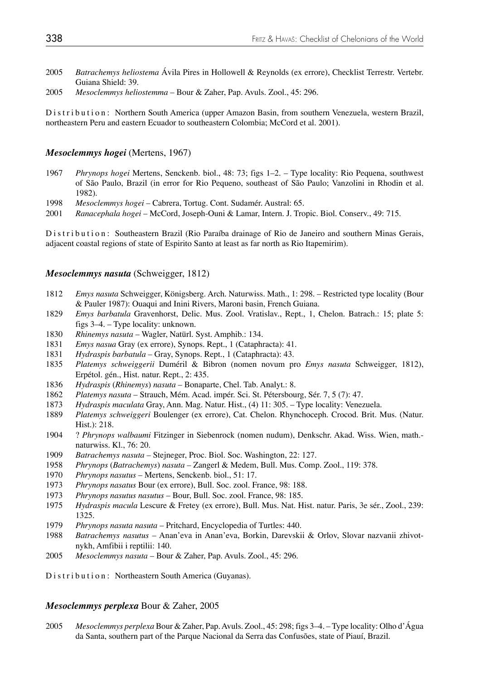- 2005 *Batrachemys heliostema* Ávila Pires in Hollowell & Reynolds (ex errore), Checklist Terrestr. Vertebr. Guiana Shield: 39.
- 2005 *Mesoclemmys heliostemma* Bour & Zaher, Pap. Avuls. Zool., 45: 296.

Distribution: Northern South America (upper Amazon Basin, from southern Venezuela, western Brazil, northeastern Peru and eastern Ecuador to southeastern Colombia; McCord et al. 2001).

#### *Mesoclemmys hogei* (Mertens, 1967)

- 1967 *Phrynops hogei* Mertens, Senckenb. biol., 48: 73; figs 1–2. Type locality: Rio Pequena, southwest of São Paulo, Brazil (in error for Rio Pequeno, southeast of São Paulo; Vanzolini in Rhodin et al. 1982).
- 1998 *Mesoclemmys hogei* Cabrera, Tortug. Cont. Sudamér. Austral: 65.
- 2001 *Ranacephala hogei* McCord, Joseph-Ouni & Lamar, Intern. J. Tropic. Biol. Conserv., 49: 715.

Distribution: Southeastern Brazil (Rio Paraíba drainage of Rio de Janeiro and southern Minas Gerais, adjacent coastal regions of state of Espirito Santo at least as far north as Rio Itapemirim).

#### *Mesoclemmys nasuta* (Schweigger, 1812)

- 1812 *Emys nasuta* Schweigger, Königsberg. Arch. Naturwiss. Math., 1: 298. Restricted type locality (Bour & Pauler 1987): Ouaqui and Inini Rivers, Maroni basin, French Guiana.
- 1829 *Emys barbatula* Gravenhorst, Delic. Mus. Zool. Vratislav., Rept., 1, Chelon. Batrach.: 15; plate 5: figs 3–4. – Type locality: unknown.
- 1830 *Rhinemys nasuta*  Wagler, Natürl. Syst. Amphib.: 134.
- 1831 *Emys nasua* Gray (ex errore), Synops. Rept., 1 (Cataphracta): 41.
- 1831 *Hydraspis barbatula* Gray, Synops. Rept., 1 (Cataphracta): 43.
- 1835 *Platemys schweiggerii* Duméril & Bibron (nomen novum pro *Emys nasuta* Schweigger, 1812), Erpétol. gén., Hist. natur. Rept., 2: 435.
- 1836 *Hydraspis* (*Rhinemys*) *nasuta* Bonaparte, Chel. Tab. Analyt.: 8.
- 1862 *Platemys nasuta* Strauch, Mém. Acad. impér. Sci. St. Pétersbourg, Sér. 7, 5 (7): 47.
- 1873 *Hydraspis maculata* Gray, Ann. Mag. Natur. Hist., (4) 11: 305. Type locality: Venezuela.
- 1889 *Platemys schweiggeri* Boulenger (ex errore), Cat. Chelon. Rhynchoceph. Crocod. Brit. Mus. (Natur. Hist.): 218.
- 1904 ? *Phrynops walbaumi* Fitzinger in Siebenrock (nomen nudum), Denkschr. Akad. Wiss. Wien, math. naturwiss. Kl., 76: 20.
- 1909 *Batrachemys nasuta* Stejneger, Proc. Biol. Soc. Washington, 22: 127.
- 1958 *Phrynops* (*Batrachemys*) *nasuta –* Zangerl & Medem, Bull. Mus. Comp. Zool., 119: 378.
- 1970 *Phrynops nasutus*  Mertens, Senckenb. biol., 51: 17.
- 1973 *Phrynops nasatus* Bour (ex errore), Bull. Soc. zool. France, 98: 188.
- 1973 *Phrynops nasutus nasutus*  Bour, Bull. Soc. zool. France, 98: 185.
- 1975 *Hydraspis macula* Lescure & Fretey (ex errore), Bull. Mus. Nat. Hist. natur. Paris, 3e sér., Zool., 239: 1325.
- 1979 *Phrynops nasuta nasuta*  Pritchard, Encyclopedia of Turtles: 440.
- 1988 *Batrachemys nasutus*  Anan'eva in Anan'eva, Borkin, Darevskii & Orlov, Slovar nazvanii zhivot nykh, Amfibii i reptilii: 140.
- 2005 *Mesoclemmys nasuta* Bour & Zaher, Pap. Avuls. Zool., 45: 296.

Distribution: Northeastern South America (Guyanas).

## *Mesoclemmys perplexa* Bour & Zaher, 2005

2005 *Mesoclemmys perplexa* Bour & Zaher, Pap. Avuls. Zool., 45: 298; figs 3–4. – Type locality: Olho d'Água da Santa, southern part of the Parque Nacional da Serra das Confusões, state of Piauí, Brazil.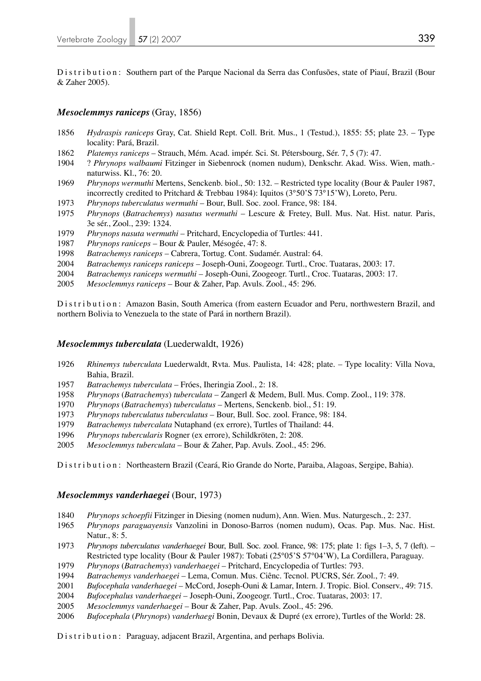Distribution: Southern part of the Parque Nacional da Serra das Confusões, state of Piauí, Brazil (Bour & Zaher 2005).

## *Mesoclemmys raniceps* (Gray, 1856)

- *Hydraspis raniceps* Gray, Cat. Shield Rept. Coll. Brit. Mus., 1 (Testud.), 1855: 55; plate 23. Type locality: Pará, Brazil.
- *Platemys raniceps* Strauch, Mém. Acad. impér. Sci. St. Pétersbourg, Sér. 7, 5 (7): 47.
- 1904 ? *Phrynops walbaumi* Fitzinger in Siebenrock (nomen nudum), Denkschr. Akad. Wiss. Wien, math. naturwiss. Kl., 76: 20.
- *Phrynops wermuthi* Mertens, Senckenb. biol., 50: 132. Restricted type locality (Bour & Pauler 1987, incorrectly credited to Pritchard & Trebbau 1984): Iquitos (3°50'S 73°15'W), Loreto, Peru.
- *Phrynops tuberculatus wermuthi*  Bour, Bull. Soc. zool. France, 98: 184.
- *Phrynops* (*Batrachemys*) *nasutus wermuthi*  Lescure & Fretey, Bull. Mus. Nat. Hist. natur. Paris, 3e sér., Zool., 239: 1324.
- *Phrynops nasuta wermuthi*  Pritchard, Encyclopedia of Turtles: 441.
- *Phrynops raniceps* Bour & Pauler, Mésogée, 47: 8.
- *Batrachemys raniceps* Cabrera, Tortug. Cont. Sudamér. Austral: 64.
- *Batrachemys raniceps raniceps* Joseph-Ouni, Zoogeogr. Turtl., Croc. Tuataras, 2003: 17.
- *Batrachemys raniceps wermuthi*  Joseph-Ouni, Zoogeogr. Turtl., Croc. Tuataras, 2003: 17.
- *Mesoclemmys raniceps* Bour & Zaher, Pap. Avuls. Zool., 45: 296.

Distribution: Amazon Basin, South America (from eastern Ecuador and Peru, northwestern Brazil, and northern Bolivia to Venezuela to the state of Pará in northern Brazil).

## *Mesoclemmys tuberculata* (Luederwaldt, 1926)

- *Rhinemys tuberculata* Luederwaldt, Rvta. Mus. Paulista, 14: 428; plate. Type locality: Villa Nova, Bahia, Brazil.
- *Batrachemys tuberculata* Fróes, Iheringia Zool., 2: 18.
- *Phrynops* (*Batrachemys*) *tuberculata* Zangerl & Medem, Bull. Mus. Comp. Zool., 119: 378.
- *Phrynops* (*Batrachemys*) *tuberculatus*  Mertens, Senckenb. biol., 51: 19.
- *Phrynops tuberculatus tuberculatus*  Bour, Bull. Soc. zool. France, 98: 184.
- *Batrachemys tubercalata* Nutaphand (ex errore), Turtles of Thailand: 44.
- *Phrynops tubercularis* Rogner (ex errore), Schildkröten, 2: 208.
- *Mesoclemmys tuberculata* Bour & Zaher, Pap. Avuls. Zool., 45: 296.

Distribution: Northeastern Brazil (Ceará, Rio Grande do Norte, Paraiba, Alagoas, Sergipe, Bahia).

## *Mesoclemmys vanderhaegei* (Bour, 1973)

- *Phrynops schoepfii* Fitzinger in Diesing (nomen nudum), Ann. Wien. Mus. Naturgesch., 2: 237.
- *Phrynops paraguayensis* Vanzolini in Donoso-Barros (nomen nudum), Ocas. Pap. Mus. Nac. Hist. Natur., 8: 5.
- *Phrynops tuberculatus vanderhaegei* Bour, Bull. Soc. zool. France, 98: 175; plate 1: figs 1–3, 5, 7 (left). Restricted type locality (Bour & Pauler 1987): Tobati (25°05'S 57°04'W), La Cordillera, Paraguay.
- *Phrynops* (*Batrachemys*) *vanderhaegei* Pritchard, Encyclopedia of Turtles: 793.
- *Batrachemys vanderhaegei* Lema, Comun. Mus. Ciênc. Tecnol. PUCRS, Sér. Zool., 7: 49.
- *Bufocephala vanderhaegei* McCord, Joseph-Ouni & Lamar, Intern. J. Tropic. Biol. Conserv., 49: 715.
- *Bufocephalus vanderhaegei* Joseph-Ouni, Zoogeogr. Turtl., Croc. Tuataras, 2003: 17.
- *Mesoclemmys vanderhaegei* Bour & Zaher, Pap. Avuls. Zool., 45: 296.
- *Bufocephala* (*Phrynops*) *vanderhaegi* Bonin, Devaux & Dupré (ex errore), Turtles of the World: 28.

Distribution: Paraguay, adjacent Brazil, Argentina, and perhaps Bolivia.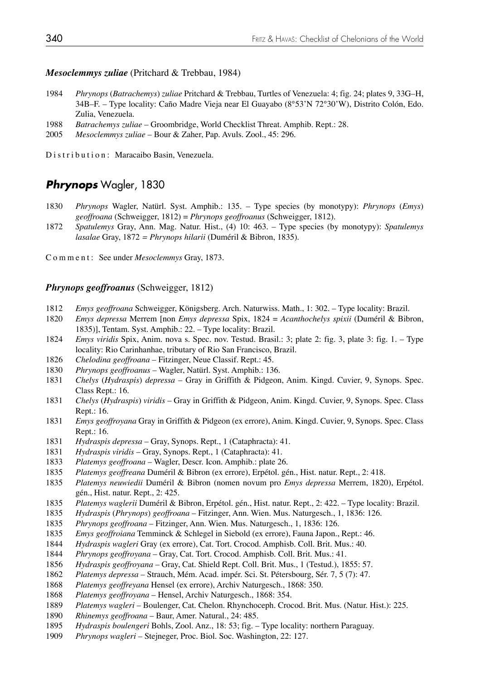## *Mesoclemmys zuliae* (Pritchard & Trebbau, 1984)

- *Phrynops* (*Batrachemys*) *zuliae* Pritchard & Trebbau, Turtles of Venezuela: 4; fig. 24; plates 9, 33G–H, 34B–F. – Type locality: Caño Madre Vieja near El Guayabo (8°53'N 72°30'W), Distrito Colón, Edo. Zulia, Venezuela.
- *Batrachemys zuliae* Groombridge, World Checklist Threat. Amphib. Rept.: 28.
- *Mesoclemmys zuliae* Bour & Zaher, Pap. Avuls. Zool., 45: 296.

Distribution: Maracaibo Basin, Venezuela.

## *Phrynops* Wagler, 1830

- *Phrynops* Wagler, Natürl. Syst. Amphib.: 135. Type species (by monotypy): *Phrynops* (*Emys*)  *geoffroana* (Schweigger, 1812) = *Phrynops geoffroanus* (Schweigger, 1812).
- *Spatulemys* Gray, Ann. Mag. Natur. Hist., (4) 10: 463. Type species (by monotypy): *Spatulemys lasalae* Gray, 1872 *= Phrynops hilarii* (Duméril & Bibron, 1835).

Comment: See under *Mesoclemmys* Gray, 1873.

## *Phrynops geoffroanus* (Schweigger, 1812)

- *Emys geoffroana* Schweigger, Königsberg. Arch. Naturwiss. Math., 1: 302. Type locality: Brazil.
- *Emys depressa* Merrem [non *Emys depressa* Spix, 1824 = *Acanthochelys spixii* (Duméril & Bibron, 1835)], Tentam. Syst. Amphib.: 22. – Type locality: Brazil.
- *Emys viridis* Spix, Anim. nova s. Spec. nov. Testud. Brasil.: 3; plate 2: fig. 3, plate 3: fig. 1. Type locality: Rio Carinhanhae, tributary of Rio San Francisco, Brazil.
- *Chelodina geoffroana* Fitzinger, Neue Classif. Rept.: 45.
- *Phrynops geoffroanus* Wagler, Natürl. Syst. Amphib.: 136.
- *Chelys* (*Hydraspis*) *depressa* Gray in Griffith & Pidgeon, Anim. Kingd. Cuvier, 9, Synops. Spec. Class Rept.: 16.
- *Chelys* (*Hydraspis*) *viridis* Gray in Griffith & Pidgeon, Anim. Kingd. Cuvier, 9, Synops. Spec. Class Rept.: 16.
- *Emys geoffroyana* Gray in Griffith & Pidgeon (ex errore), Anim. Kingd. Cuvier, 9, Synops. Spec. Class Rept.: 16.
- *Hydraspis depressa* Gray, Synops. Rept., 1 (Cataphracta): 41.
- *Hydraspis viridis* Gray, Synops. Rept., 1 (Cataphracta): 41.
- *Platemys geoffroana* Wagler, Descr. Icon. Amphib.: plate 26.
- *Platemys geoffreana* Duméril & Bibron (ex errore), Erpétol. gén., Hist. natur. Rept., 2: 418.
- *Platemys neuwiedii* Duméril & Bibron (nomen novum pro *Emys depressa* Merrem, 1820), Erpétol. gén., Hist. natur. Rept., 2: 425.
- *Platemys waglerii* Duméril & Bibron, Erpétol. gén., Hist. natur. Rept., 2: 422. Type locality: Brazil.
- *Hydraspis* (*Phrynops*) *geoffroana* Fitzinger, Ann. Wien. Mus. Naturgesch., 1, 1836: 126.
- *Phrynops geoffroana* Fitzinger, Ann. Wien. Mus. Naturgesch., 1, 1836: 126.
- *Emys geoffroiana* Temminck & Schlegel in Siebold (ex errore), Fauna Japon., Rept.: 46.
- *Hydraspis wagleri* Gray (ex errore), Cat. Tort. Crocod. Amphisb. Coll. Brit. Mus.: 40.
- *Phrynops geoffroyana* Gray, Cat. Tort. Crocod. Amphisb. Coll. Brit. Mus.: 41.
- *Hydraspis geoffroyana*  Gray, Cat. Shield Rept. Coll. Brit. Mus., 1 (Testud.), 1855: 57.
- *Platemys depressa* Strauch, Mém. Acad. impér. Sci. St. Pétersbourg, Sér. 7, 5 (7): 47.
- *Platemys geoffreyana* Hensel (ex errore), Archiv Naturgesch., 1868: 350.
- *Platemys geoffroyana* Hensel, Archiv Naturgesch., 1868: 354.
- *Platemys wagleri*  Boulenger, Cat. Chelon. Rhynchoceph. Crocod. Brit. Mus. (Natur. Hist.): 225.
- *Rhinemys geoffroana* Baur, Amer. Natural., 24: 485.
- *Hydraspis boulengeri* Bohls, Zool. Anz., 18: 53; fig. Type locality: northern Paraguay.
- *Phrynops wagleri* Stejneger, Proc. Biol. Soc. Washington, 22: 127.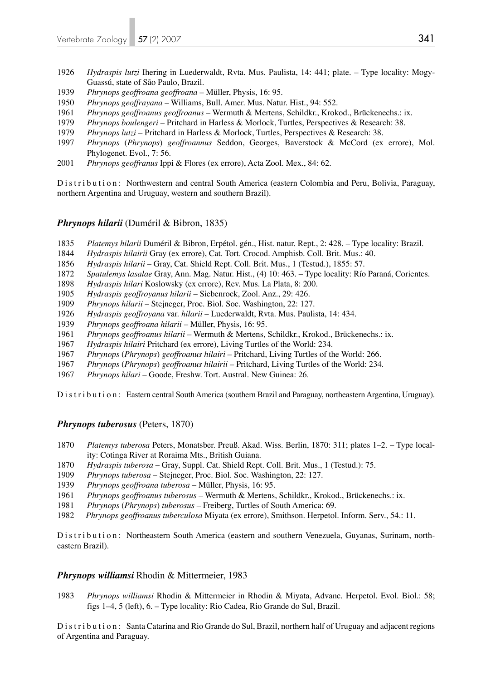- *Hydraspis lutzi* Ihering in Luederwaldt, Rvta. Mus. Paulista, 14: 441; plate. Type locality: Mogy- Guassú, state of São Paulo, Brazil.
- *Phrynops geoffroana geoffroana*  Müller, Physis, 16: 95.
- *Phrynops geoffrayana* Williams, Bull. Amer. Mus. Natur. Hist., 94: 552.
- *Phrynops geoffroanus geoffroanus* Wermuth & Mertens, Schildkr., Krokod., Brückenechs.: ix.
- *Phrynops boulengeri*  Pritchard in Harless & Morlock, Turtles, Perspectives & Research: 38.
- *Phrynops lutzi* Pritchard in Harless & Morlock, Turtles, Perspectives & Research: 38.
- *Phrynops* (*Phrynops*) *geoffroannus* Seddon, Georges, Baverstock & McCord (ex errore), Mol. Phylogenet. Evol., 7: 56.
- *Phrynops geoffranus* Ippi & Flores (ex errore), Acta Zool. Mex., 84: 62.

Distribution: Northwestern and central South America (eastern Colombia and Peru, Bolivia, Paraguay, northern Argentina and Uruguay, western and southern Brazil).

## *Phrynops hilarii* (Duméril & Bibron, 1835)

- *Platemys hilarii* Duméril & Bibron, Erpétol. gén., Hist. natur. Rept., 2: 428. Type locality: Brazil.
- *Hydraspis hilairii* Gray (ex errore), Cat. Tort. Crocod. Amphisb. Coll. Brit. Mus.: 40.
- *Hydraspis hilarii* Gray, Cat. Shield Rept. Coll. Brit. Mus., 1 (Testud.), 1855: 57.
- *Spatulemys lasalae* Gray, Ann. Mag. Natur. Hist., (4) 10: 463. Type locality: Río Paraná, Corientes.
- *Hydraspis hilari* Koslowsky (ex errore), Rev. Mus. La Plata, 8: 200.
- *Hydraspis geoffroyanus hilarii* Siebenrock, Zool. Anz., 29: 426.
- *Phrynops hilarii* Stejneger, Proc. Biol. Soc. Washington, 22: 127.
- *Hydraspis geoffroyana* var. *hilarii* Luederwaldt, Rvta. Mus. Paulista, 14: 434.
- *Phrynops geoffroana hilarii*  Müller, Physis, 16: 95.
- *Phrynops geoffroanus hilarii*  Wermuth & Mertens, Schildkr., Krokod., Brückenechs.: ix.
- *Hydraspis hilairi* Pritchard (ex errore), Living Turtles of the World: 234.
- *Phrynops* (*Phrynops*) *geoffroanus hilairi* Pritchard, Living Turtles of the World: 266.
- *Phrynops* (*Phrynops*) *geoffroanus hilairii* Pritchard, Living Turtles of the World: 234.
- *Phrynops hilari*  Goode, Freshw. Tort. Austral. New Guinea: 26.

Distribution: Eastern central South America (southern Brazil and Paraguay, northeastern Argentina, Uruguay).

## *Phrynops tuberosus* (Peters, 1870)

- *Platemys tuberosa* Peters, Monatsber. Preuß. Akad. Wiss. Berlin, 1870: 311; plates 1–2. Type local ity: Cotinga River at Roraima Mts., British Guiana.
- *Hydraspis tuberosa* Gray, Suppl. Cat. Shield Rept. Coll. Brit. Mus., 1 (Testud.): 75.
- *Phrynops tuberosa* Stejneger, Proc. Biol. Soc. Washington, 22: 127.
- *Phrynops geoffroana tuberosa*  Müller, Physis, 16: 95.
- *Phrynops geoffroanus tuberosus* Wermuth & Mertens, Schildkr., Krokod., Brückenechs.: ix.
- *Phrynops* (*Phrynops*) *tuberosus* Freiberg, Turtles of South America: 69.
- *Phrynops geoffroanus tuberculosa* Miyata (ex errore), Smithson. Herpetol. Inform. Serv., 54.: 11.

Distribution: Northeastern South America (eastern and southern Venezuela, Guyanas, Surinam, northeastern Brazil).

## *Phrynops williamsi* Rhodin & Mittermeier, 1983

*Phrynops williamsi* Rhodin & Mittermeier in Rhodin & Miyata, Advanc. Herpetol. Evol. Biol.: 58; figs 1–4, 5 (left), 6. – Type locality: Rio Cadea, Rio Grande do Sul, Brazil.

Distribution: Santa Catarina and Rio Grande do Sul, Brazil, northern half of Uruguay and adjacent regions of Argentina and Paraguay.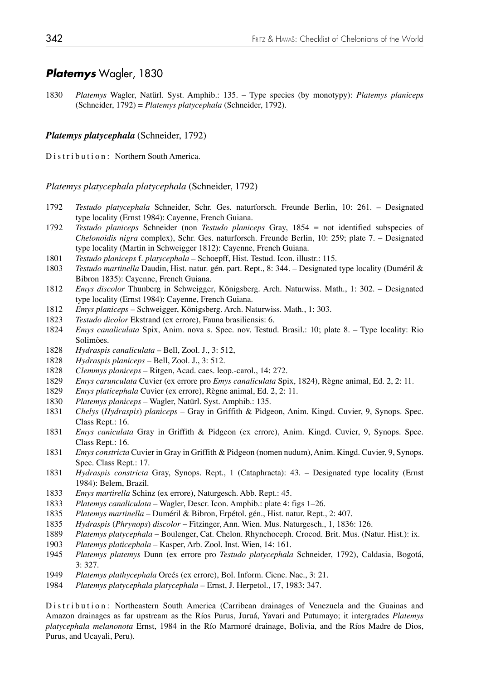# *Platemys* Wagler, 1830

1830 *Platemys* Wagler, Natürl. Syst. Amphib.: 135. – Type species (by monotypy): *Platemys planiceps*  (Schneider, 1792) = *Platemys platycephala* (Schneider, 1792).

### *Platemys platycephala* (Schneider, 1792)

Distribution: Northern South America.

*Platemys platycephala platycephala* (Schneider, 1792)

- 1792 *Testudo platycephala* Schneider, Schr. Ges. naturforsch. Freunde Berlin, 10: 261. Designated type locality (Ernst 1984): Cayenne, French Guiana.
- 1792 *Testudo planiceps* Schneider (non *Testudo planiceps* Gray, 1854 = not identified subspecies of *Chelonoidis nigra* complex), Schr. Ges. naturforsch. Freunde Berlin, 10: 259; plate 7. – Designated type locality (Martin in Schweigger 1812): Cayenne, French Guiana.
- 1801 *Testudo planiceps* f. *platycephala* Schoepff, Hist. Testud. Icon. illustr.: 115.
- 1803 *Testudo martinella* Daudin, Hist. natur. gén. part. Rept., 8: 344. Designated type locality (Duméril & Bibron 1835): Cayenne, French Guiana.
- 1812 *Emys discolor* Thunberg in Schweigger, Königsberg. Arch. Naturwiss. Math., 1: 302. Designated type locality (Ernst 1984): Cayenne, French Guiana.
- 1812 *Emys planiceps* Schweigger, Königsberg. Arch. Naturwiss. Math., 1: 303.
- 1823 *Testudo dicolor* Ekstrand (ex errore), Fauna brasiliensis: 6.
- 1824 *Emys canaliculata* Spix, Anim. nova s. Spec. nov. Testud. Brasil.: 10; plate 8. Type locality: Rio Solimões.
- 1828 *Hydraspis canaliculata* Bell, Zool. J., 3: 512,
- 1828 *Hydraspis planiceps* Bell, Zool. J., 3: 512.
- 1828 *Clemmys planiceps* Ritgen, Acad. caes. leop.-carol., 14: 272.
- 1829 *Emys carunculata* Cuvier (ex errore pro *Emys canaliculata* Spix, 1824), Règne animal, Ed. 2, 2: 11.
- 1829 *Emys platicephala* Cuvier (ex errore), Règne animal, Ed. 2, 2: 11.
- 1830 *Platemys planiceps* Wagler, Natürl. Syst. Amphib.: 135.
- 1831 *Chelys* (*Hydraspis*) *planiceps* Gray in Griffith & Pidgeon, Anim. Kingd. Cuvier, 9, Synops. Spec. Class Rept.: 16.
- 1831 *Emys caniculata* Gray in Griffith & Pidgeon (ex errore), Anim. Kingd. Cuvier, 9, Synops. Spec. Class Rept.: 16.
- 1831 *Emys constricta* Cuvier in Gray in Griffith & Pidgeon (nomen nudum), Anim. Kingd. Cuvier, 9, Synops. Spec. Class Rept.: 17.
- 1831 *Hydraspis constricta* Gray, Synops. Rept., 1 (Cataphracta): 43. Designated type locality (Ernst 1984): Belem, Brazil.
- 1833 *Emys martirella* Schinz (ex errore), Naturgesch. Abb. Rept.: 45.
- 1833 *Platemys canaliculata* Wagler, Descr. Icon. Amphib.: plate 4: figs 1–26.
- 1835 *Platemys martinella* Duméril & Bibron, Erpétol. gén., Hist. natur. Rept., 2: 407.
- 1835 *Hydraspis* (*Phrynops*) *discolor* Fitzinger, Ann. Wien. Mus. Naturgesch., 1, 1836: 126.
- 1889 *Platemys platycephala*  Boulenger, Cat. Chelon. Rhynchoceph. Crocod. Brit. Mus. (Natur. Hist.): ix.
- 1903 *Platemys platicephala* Kasper, Arb. Zool. Inst. Wien, 14: 161.
- 1945 *Platemys platemys* Dunn (ex errore pro *Testudo platycephala* Schneider, 1792), Caldasia, Bogotá, 3: 327.
- 1949 *Platemys plathycephala* Orcés (ex errore), Bol. Inform. Cienc. Nac., 3: 21.
- 1984 *Platemys platycephala platycephala* Ernst, J. Herpetol., 17, 1983: 347.

Distribution: Northeastern South America (Carribean drainages of Venezuela and the Guainas and Amazon drainages as far upstream as the Ríos Purus, Juruá, Yavari and Putumayo; it intergrades *Platemys platycephala melanonota* Ernst, 1984 in the Río Marmoré drainage, Bolivia, and the Ríos Madre de Dios, Purus, and Ucayali, Peru).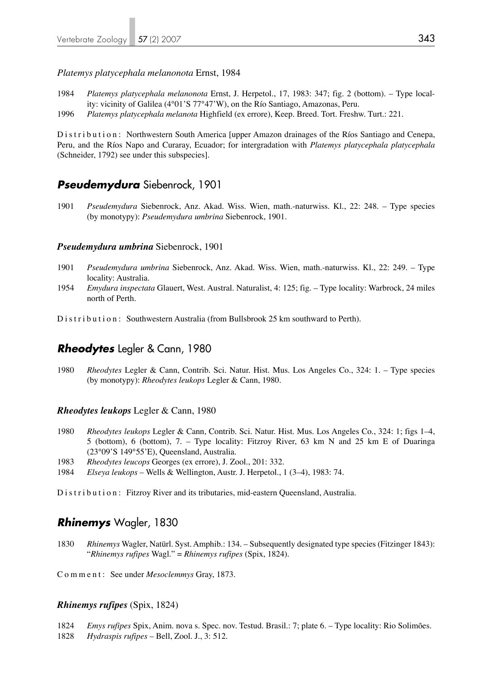#### *Platemys platycephala melanonota* Ernst, 1984

- 1984 *Platemys platycephala melanonota* Ernst, J. Herpetol., 17, 1983: 347; fig. 2 (bottom). Type local ity: vicinity of Galilea (4°01'S 77°47'W), on the Río Santiago, Amazonas, Peru.
- 1996 *Platemys platycephala melanota* Highfield (ex errore), Keep. Breed. Tort. Freshw. Turt.: 221.

Distribution: Northwestern South America [upper Amazon drainages of the Ríos Santiago and Cenepa, Peru, and the Ríos Napo and Curaray, Ecuador; for intergradation with *Platemys platycephala platycephala* (Schneider, 1792) see under this subspecies].

## *Pseudemydura* Siebenrock, 1901

1901 *Pseudemydura* Siebenrock, Anz. Akad. Wiss. Wien, math.-naturwiss. Kl., 22: 248. – Type species (by monotypy): *Pseudemydura umbrina* Siebenrock, 1901.

#### *Pseudemydura umbrina* Siebenrock, 1901

- 1901 *Pseudemydura umbrina* Siebenrock, Anz. Akad. Wiss. Wien, math.-naturwiss. Kl., 22: 249. Type locality: Australia.
- 1954 *Emydura inspectata* Glauert, West. Austral. Naturalist, 4: 125; fig. Type locality: Warbrock, 24 miles north of Perth.

Distribution: Southwestern Australia (from Bullsbrook 25 km southward to Perth).

## *Rheodytes* Legler & Cann, 1980

1980 *Rheodytes* Legler & Cann, Contrib. Sci. Natur. Hist. Mus. Los Angeles Co., 324: 1. – Type species (by monotypy): *Rheodytes leukops* Legler & Cann, 1980.

#### *Rheodytes leukops* Legler & Cann, 1980

- 1980 *Rheodytes leukops* Legler & Cann, Contrib. Sci. Natur. Hist. Mus. Los Angeles Co., 324: 1; figs 1–4, 5 (bottom), 6 (bottom), 7. – Type locality: Fitzroy River, 63 km N and 25 km E of Duaringa (23°09'S 149°55'E), Queensland, Australia.
- 1983 *Rheodytes leucops* Georges (ex errore), J. Zool., 201: 332.
- 1984 *Elseya leukops* Wells & Wellington, Austr. J. Herpetol., 1 (3–4), 1983: 74.

Distribution: Fitzroy River and its tributaries, mid-eastern Queensland, Australia.

# *Rhinemys* Wagler, 1830

1830 *Rhinemys* Wagler, Natürl. Syst. Amphib.: 134. – Subsequently designated type species (Fitzinger 1843): "*Rhinemys rufipes* Wagl." = *Rhinemys rufipes* (Spix, 1824).

Comment: See under *Mesoclemmys* Gray, 1873.

## *Rhinemys rufipes* (Spix, 1824)

1824 *Emys rufipes* Spix, Anim. nova s. Spec. nov. Testud. Brasil.: 7; plate 6. – Type locality: Rio Solimões. 1828 *Hydraspis rufipes* – Bell, Zool. J., 3: 512.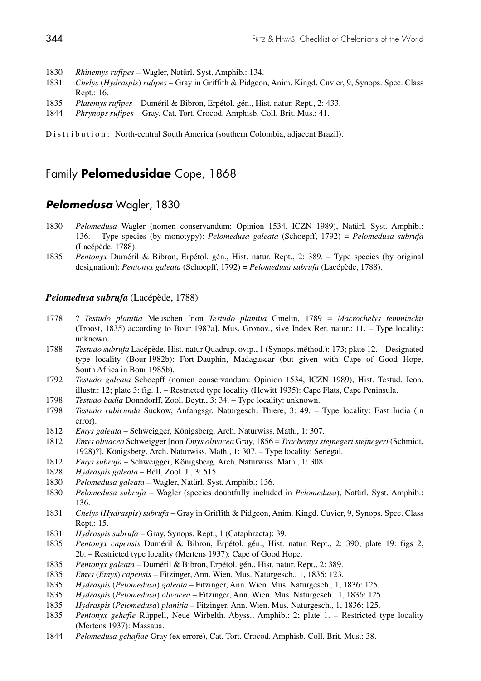- 1830 *Rhinemys rufipes* Wagler, Natürl. Syst. Amphib.: 134.
- 1831 *Chelys* (*Hydraspis*) *rufipes* Gray in Griffith & Pidgeon, Anim. Kingd. Cuvier, 9, Synops. Spec. Class Rept.: 16.
- 1835 *Platemys rufipes* Duméril & Bibron, Erpétol. gén., Hist. natur. Rept., 2: 433.
- 1844 *Phrynops rufipes* Gray, Cat. Tort. Crocod. Amphisb. Coll. Brit. Mus.: 41.

Distribution: North-central South America (southern Colombia, adjacent Brazil).

# Family **Pelomedusidae** Cope, 1868

## *Pelomedusa* Wagler, 1830

- 1830 *Pelomedusa* Wagler (nomen conservandum: Opinion 1534, ICZN 1989), Natürl. Syst. Amphib.: 136. – Type species (by monotypy): *Pelomedusa galeata* (Schoepff, 1792) = *Pelomedusa subrufa* (Lacépède, 1788).
- 1835 *Pentonyx* Duméril & Bibron, Erpétol. gén., Hist. natur. Rept., 2: 389. Type species (by original designation): *Pentonyx galeata* (Schoepff, 1792) = *Pelomedusa subrufa* (Lacépède, 1788).

## *Pelomedusa subrufa* (Lacépède, 1788)

- 1778 ? *Testudo planitia* Meuschen [non *Testudo planitia* Gmelin, 1789 = *Macrochelys temminckii* (Troost, 1835) according to Bour 1987a], Mus. Gronov., sive Index Rer. natur.: 11. – Type locality: unknown.
- 1788 *Testudo subrufa* Lacépède, Hist. natur Quadrup. ovip., 1 (Synops. méthod.): 173; plate 12. Designated type locality (Bour 1982b): Fort-Dauphin, Madagascar (but given with Cape of Good Hope, South Africa in Bour 1985b).
- 1792 *Testudo galeata* Schoepff (nomen conservandum: Opinion 1534, ICZN 1989), Hist. Testud. Icon. illustr.: 12; plate 3: fig. 1. – Restricted type locality (Hewitt 1935): Cape Flats, Cape Peninsula.
- 1798 *Testudo badia* Donndorff, Zool. Beytr., 3: 34. Type locality: unknown.
- 1798 *Testudo rubicunda* Suckow, Anfangsgr. Naturgesch. Thiere, 3: 49. Type locality: East India (in error).
- 1812 *Emys galeata* Schweigger, Königsberg. Arch. Naturwiss. Math., 1: 307.
- 1812 *Emys olivacea* Schweigger [non *Emys olivacea* Gray, 1856 = *Trachemys stejnegeri stejnegeri* (Schmidt, 1928)?], Königsberg. Arch. Naturwiss. Math., 1: 307. – Type locality: Senegal.
- 1812 *Emys subrufa* Schweigger, Königsberg. Arch. Naturwiss. Math., 1: 308.
- 1828 *Hydraspis galeata*  Bell, Zool. J., 3: 515.
- 1830 *Pelomedusa galeata* Wagler, Natürl. Syst. Amphib.: 136.
- 1830 *Pelomedusa subrufa* Wagler (species doubtfully included in *Pelomedusa*), Natürl. Syst. Amphib.: 136.
- 1831 *Chelys* (*Hydraspis*) *subrufa* Gray in Griffith & Pidgeon, Anim. Kingd. Cuvier, 9, Synops. Spec. Class Rept.: 15.
- 1831 *Hydraspis subrufa* Gray, Synops. Rept., 1 (Cataphracta): 39.
- 1835 *Pentonyx capensis* Duméril & Bibron, Erpétol. gén., Hist. natur. Rept., 2: 390; plate 19: figs 2, 2b. – Restricted type locality (Mertens 1937): Cape of Good Hope.
- 1835 *Pentonyx galeata* Duméril & Bibron, Erpétol. gén., Hist. natur. Rept., 2: 389.
- 1835 *Emys* (*Emys*) *capensis* Fitzinger, Ann. Wien. Mus. Naturgesch., 1, 1836: 123.
- 1835 *Hydraspis* (*Pelomedusa*) *galeata* Fitzinger, Ann. Wien. Mus. Naturgesch., 1, 1836: 125.
- 1835 *Hydraspis* (*Pelomedusa*) *olivacea* Fitzinger, Ann. Wien. Mus. Naturgesch., 1, 1836: 125.
- 1835 *Hydraspis* (*Pelomedusa*) *planitia* Fitzinger, Ann. Wien. Mus. Naturgesch., 1, 1836: 125.
- 1835 *Pentonyx gehafie* Rüppell, Neue Wirbelth. Abyss., Amphib.: 2; plate 1. Restricted type locality (Mertens 1937): Massaua.
- 1844 *Pelomedusa gehafiae* Gray (ex errore), Cat. Tort. Crocod. Amphisb. Coll. Brit. Mus.: 38.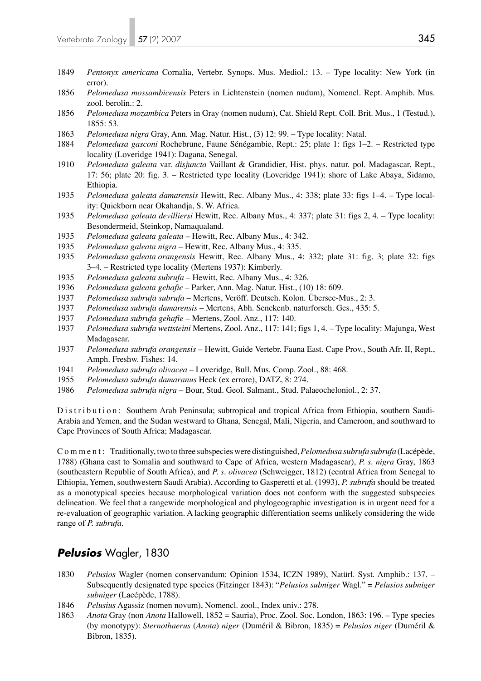- 1849 *Pentonyx americana* Cornalia, Vertebr. Synops. Mus. Mediol.: 13. Type locality: New York (in error).
- 1856 *Pelomedusa mossambicensis* Peters in Lichtenstein (nomen nudum), Nomencl. Rept. Amphib. Mus. zool. berolin.: 2.
- 1856 *Pelomedusa mozambica* Peters in Gray (nomen nudum), Cat. Shield Rept. Coll. Brit. Mus., 1 (Testud.), 1855: 53.
- 1863 *Pelomedusa nigra* Gray, Ann. Mag. Natur. Hist., (3) 12: 99. Type locality: Natal.
- 1884 *Pelomedusa gasconi* Rochebrune, Faune Sénégambie, Rept.: 25; plate 1: figs 1–2. Restricted type locality (Loveridge 1941): Dagana, Senegal.
- 1910 *Pelomedusa galeata* var. *disjuncta* Vaillant & Grandidier, Hist. phys. natur. pol. Madagascar, Rept., 17: 56; plate 20: fig. 3. – Restricted type locality (Loveridge 1941): shore of Lake Abaya, Sidamo, Ethiopia.
- 1935 *Pelomedusa galeata damarensis* Hewitt, Rec. Albany Mus., 4: 338; plate 33: figs 1–4. Type local ity: Quickborn near Okahandja, S. W. Africa.
- 1935 *Pelomedusa galeata devilliersi* Hewitt, Rec. Albany Mus., 4: 337; plate 31: figs 2, 4. Type locality: Besondermeid, Steinkop, Namaqualand.
- 1935 *Pelomedusa galeata galeata* Hewitt, Rec. Albany Mus., 4: 342.
- 1935 *Pelomedusa galeata nigra* Hewitt, Rec. Albany Mus., 4: 335.
- 1935 *Pelomedusa galeata orangensis* Hewitt, Rec. Albany Mus., 4: 332; plate 31: fig. 3; plate 32: figs 3–4. – Restricted type locality (Mertens 1937): Kimberly.
- 1935 *Pelomedusa galeata subrufa* Hewitt, Rec. Albany Mus., 4: 326.
- 1936 *Pelomedusa galeata gehafie*  Parker, Ann. Mag. Natur. Hist., (10) 18: 609.
- 1937 *Pelomedusa subrufa subrufa*  Mertens, Veröff. Deutsch. Kolon. Übersee-Mus., 2: 3.
- 1937 *Pelomedusa subrufa damarensis* Mertens, Abh. Senckenb. naturforsch. Ges., 435: 5.
- 1937 *Pelomedusa subrufa gehafie* Mertens, Zool. Anz., 117: 140.
- 1937 *Pelomedusa subrufa wettsteini* Mertens, Zool. Anz., 117: 141; figs 1, 4. Type locality: Majunga, West Madagascar.
- 1937 *Pelomedusa subrufa orangensis*  Hewitt, Guide Vertebr. Fauna East. Cape Prov., South Afr. II, Rept., Amph. Freshw. Fishes: 14.
- 1941 *Pelomedusa subrufa olivacea* Loveridge, Bull. Mus. Comp. Zool., 88: 468.
- 1955 *Pelomedusa subrufa damaranus* Heck (ex errore), DATZ, 8: 274.
- 1986 *Pelomedusa subrufa nigra* Bour, Stud. Geol. Salmant., Stud. Palaeocheloniol., 2: 37.

Distribution: Southern Arab Peninsula; subtropical and tropical Africa from Ethiopia, southern Saudi-Arabia and Yemen, and the Sudan westward to Ghana, Senegal, Mali, Nigeria, and Cameroon, and southward to Cape Provinces of South Africa; Madagascar.

Comment: Traditionally, two to three subspecies were distinguished, *Pelomedusa subrufa subrufa* (Lacépède, 1788) (Ghana east to Somalia and southward to Cape of Africa, western Madagascar), *P. s. nigra* Gray, 1863 (southeastern Republic of South Africa), and *P. s. olivacea* (Schweigger, 1812) (central Africa from Senegal to Ethiopia, Yemen, southwestern Saudi Arabia). According to Gasperetti et al. (1993), *P. subrufa* should be treated as a monotypical species because morphological variation does not conform with the suggested subspecies delineation. We feel that a rangewide morphological and phylogeographic investigation is in urgent need for a re-evaluation of geographic variation. A lacking geographic differentiation seems unlikely considering the wide range of *P. subrufa*.

# *Pelusios* Wagler, 1830

- 1830 *Pelusios* Wagler (nomen conservandum: Opinion 1534, ICZN 1989), Natürl. Syst. Amphib.: 137. Subsequently designated type species (Fitzinger 1843): "*Pelusios subniger* Wagl." = *Pelusios subniger subniger* (Lacépède, 1788).
- 1846 *Pelusius* Agassiz (nomen novum), Nomencl. zool., Index univ.: 278.
- 1863 *Anota* Gray (non *Anota* Hallowell, 1852 = Sauria), Proc. Zool. Soc. London, 1863: 196. Type species (by monotypy): *Sternothaerus* (*Anota*) *niger* (Duméril & Bibron, 1835) = *Pelusios niger* (Duméril & Bibron, 1835).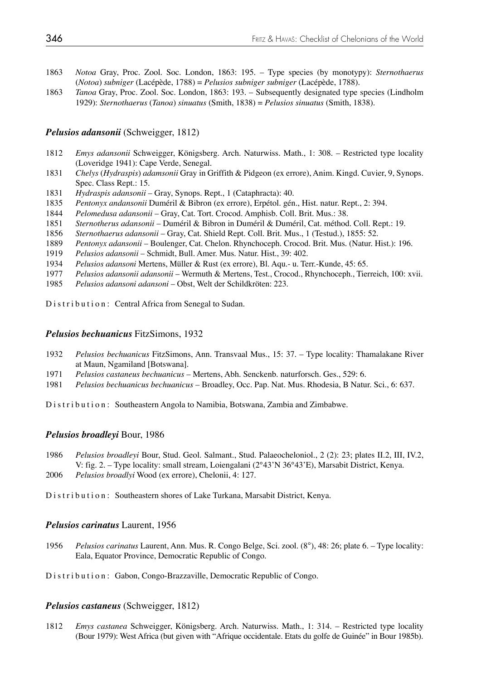- 1863 *Notoa* Gray, Proc. Zool. Soc. London, 1863: 195. Type species (by monotypy): *Sternothaerus*  (*Notoa*) *subniger* (Lacépède, 1788) = *Pelusios subniger subniger* (Lacépède, 1788).
- 1863 *Tanoa* Gray, Proc. Zool. Soc. London, 1863: 193. Subsequently designated type species (Lindholm 1929): *Sternothaerus* (*Tanoa*) *sinuatus* (Smith, 1838) = *Pelusios sinuatus* (Smith, 1838).

## *Pelusios adansonii* (Schweigger, 1812)

- 1812 *Emys adansonii* Schweigger, Königsberg. Arch. Naturwiss. Math., 1: 308. Restricted type locality (Loveridge 1941): Cape Verde, Senegal.
- 1831 *Chelys* (*Hydraspis*) *adamsonii* Gray in Griffith & Pidgeon (ex errore), Anim. Kingd. Cuvier, 9, Synops. Spec. Class Rept.: 15.
- 1831 *Hydraspis adansonii*  Gray, Synops. Rept., 1 (Cataphracta): 40.
- 1835 *Pentonyx andansonii* Duméril & Bibron (ex errore), Erpétol. gén., Hist. natur. Rept., 2: 394.
- 1844 *Pelomedusa adansonii* Gray, Cat. Tort. Crocod. Amphisb. Coll. Brit. Mus.: 38.
- 1851 *Sternotherus adansonii* Duméril & Bibron in Duméril & Duméril, Cat. méthod. Coll. Rept.: 19.
- 1856 *Sternothaerus adansonii* Gray, Cat. Shield Rept. Coll. Brit. Mus., 1 (Testud.), 1855: 52.
- 1889 *Pentonyx adansonii* Boulenger, Cat. Chelon. Rhynchoceph. Crocod. Brit. Mus. (Natur. Hist.): 196.
- 1919 *Pelusios adansonii* Schmidt, Bull. Amer. Mus. Natur. Hist., 39: 402.
- 1934 *Pelusios adansoni* Mertens, Müller & Rust (ex errore), Bl. Aqu.- u. Terr.-Kunde, 45: 65.
- 1977 *Pelusios adansonii adansonii* Wermuth & Mertens, Test., Crocod., Rhynchoceph., Tierreich, 100: xvii.
- 1985 *Pelusios adansoni adansoni* Obst, Welt der Schildkröten: 223.

Distribution: Central Africa from Senegal to Sudan.

### *Pelusios bechuanicus* FitzSimons, 1932

- 1932 *Pelusios bechuanicus* FitzSimons, Ann. Transvaal Mus., 15: 37. Type locality: Thamalakane River at Maun, Ngamiland [Botswana].
- 1971 *Pelusios castaneus bechuanicus* Mertens, Abh. Senckenb. naturforsch. Ges., 529: 6.
- 1981 *Pelusios bechuanicus bechuanicus* Broadley, Occ. Pap. Nat. Mus. Rhodesia, B Natur. Sci., 6: 637.

Distribution: Southeastern Angola to Namibia, Botswana, Zambia and Zimbabwe.

#### *Pelusios broadleyi* Bour, 1986

- 1986 *Pelusios broadleyi* Bour, Stud. Geol. Salmant., Stud. Palaeocheloniol., 2 (2): 23; plates II.2, III, IV.2, V: fig. 2. – Type locality: small stream, Loiengalani (2°43'N 36°43'E), Marsabit District, Kenya.
- 2006 *Pelusios broadlyi* Wood (ex errore), Chelonii, 4: 127.

Distribution: Southeastern shores of Lake Turkana, Marsabit District, Kenya.

#### *Pelusios carinatus* Laurent, 1956

1956 *Pelusios carinatus* Laurent, Ann. Mus. R. Congo Belge, Sci. zool. (8°), 48: 26; plate 6. – Type locality: Eala, Equator Province, Democratic Republic of Congo.

Distribution: Gabon, Congo-Brazzaville, Democratic Republic of Congo.

## *Pelusios castaneus* (Schweigger, 1812)

1812 *Emys castanea* Schweigger, Königsberg. Arch. Naturwiss. Math., 1: 314. – Restricted type locality (Bour 1979): West Africa (but given with "Afrique occidentale. Etats du golfe de Guinée" in Bour 1985b).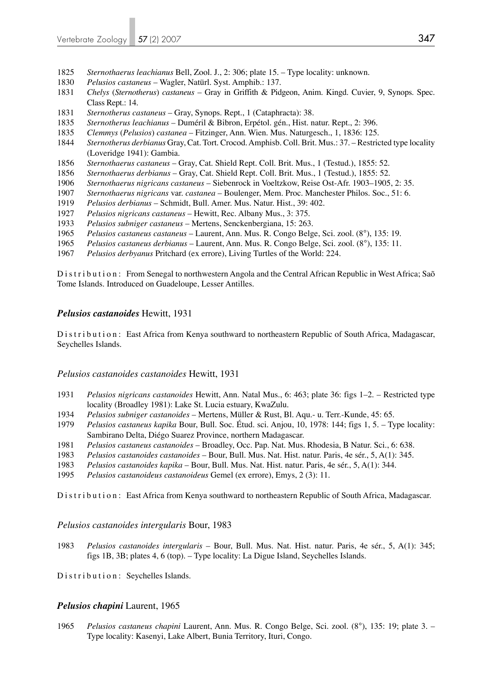- *Sternothaerus leachianus* Bell, Zool. J., 2: 306; plate 15. Type locality: unknown.
- *Pelusios castaneus*  Wagler, Natürl. Syst. Amphib.: 137.
- *Chelys* (*Sternotherus*) *castaneus* Gray in Griffith & Pidgeon, Anim. Kingd. Cuvier, 9, Synops. Spec. Class Rept.: 14.
- *Sternotherus castaneus* Gray, Synops. Rept., 1 (Cataphracta): 38.
- *Sternotherus leachianus* Duméril & Bibron, Erpétol. gén., Hist. natur. Rept., 2: 396.
- *Clemmys* (*Pelusios*) *castanea* Fitzinger, Ann. Wien. Mus. Naturgesch., 1, 1836: 125.
- *Sternotherus derbianus* Gray, Cat. Tort. Crocod. Amphisb. Coll. Brit. Mus.: 37. Restricted type locality (Loveridge 1941): Gambia.
- *Sternothaerus castaneus* Gray, Cat. Shield Rept. Coll. Brit. Mus., 1 (Testud.), 1855: 52.
- *Sternothaerus derbianus* Gray, Cat. Shield Rept. Coll. Brit. Mus., 1 (Testud.), 1855: 52.
- *Sternothaerus nigricans castaneus* Siebenrock in Voeltzkow, Reise Ost-Afr. 1903–1905, 2: 35.
- *Sternothaerus nigricans* var. *castanea* Boulenger, Mem. Proc. Manchester Philos. Soc., 51: 6.
- *Pelusios derbianus* Schmidt, Bull. Amer. Mus. Natur. Hist., 39: 402.
- *Pelusios nigricans castaneus* Hewitt, Rec. Albany Mus., 3: 375.
- *Pelusios subniger castaneus* Mertens, Senckenbergiana, 15: 263.
- *Pelusios castaneus castaneus* Laurent, Ann. Mus. R. Congo Belge, Sci. zool. (8°), 135: 19.
- *Pelusios castaneus derbianus* Laurent, Ann. Mus. R. Congo Belge, Sci. zool. (8°), 135: 11.
- *Pelusios derbyanus* Pritchard (ex errore), Living Turtles of the World: 224.

Distribution: From Senegal to northwestern Angola and the Central African Republic in West Africa; Saõ Tome Islands. Introduced on Guadeloupe, Lesser Antilles.

## *Pelusios castanoides* Hewitt, 1931

D is tribution: East Africa from Kenya southward to northeastern Republic of South Africa, Madagascar, Seychelles Islands.

## *Pelusios castanoides castanoides* Hewitt, 1931

- *Pelusios nigricans castanoides* Hewitt, Ann. Natal Mus., 6: 463; plate 36: figs 1–2. Restricted type locality (Broadley 1981): Lake St. Lucia estuary, KwaZulu.
- *Pelusios subniger castanoides* Mertens, Müller & Rust, Bl. Aqu.- u. Terr.-Kunde, 45: 65.
- *Pelusios castaneus kapika* Bour, Bull. Soc. Étud. sci. Anjou, 10, 1978: 144; figs 1, 5. Type locality: Sambirano Delta, Diégo Suarez Province, northern Madagascar.
- *Pelusios castaneus castanoides* Broadley, Occ. Pap. Nat. Mus. Rhodesia, B Natur. Sci., 6: 638.
- *Pelusios castanoides castanoides* Bour, Bull. Mus. Nat. Hist. natur. Paris, 4e sér., 5, A(1): 345.
- *Pelusios castanoides kapika* Bour, Bull. Mus. Nat. Hist. natur. Paris, 4e sér., 5, A(1): 344.
- *Pelusios castanoideus castanoideus* Gemel (ex errore), Emys, 2 (3): 11.

D is t r i b u t i o n : East Africa from Kenya southward to northeastern Republic of South Africa, Madagascar.

#### *Pelusios castanoides intergularis* Bour, 1983

*Pelusios castanoides intergularis* – Bour, Bull. Mus. Nat. Hist. natur. Paris, 4e sér., 5, A(1): 345; figs 1B, 3B; plates 4, 6 (top). – Type locality: La Digue Island, Seychelles Islands.

Distribution: Seychelles Islands.

## *Pelusios chapini* Laurent, 1965

*Pelusios castaneus chapini* Laurent, Ann. Mus. R. Congo Belge, Sci. zool. (8°), 135: 19; plate 3. – Type locality: Kasenyi, Lake Albert, Bunia Territory, Ituri, Congo.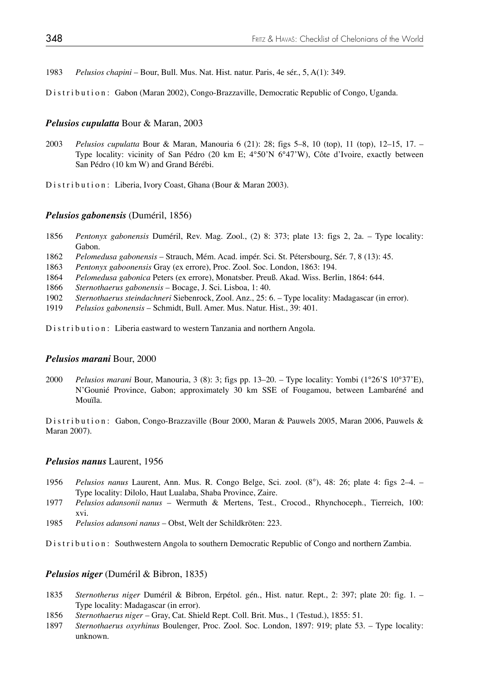1983 *Pelusios chapini* – Bour, Bull. Mus. Nat. Hist. natur. Paris, 4e sér., 5, A(1): 349.

Distribution: Gabon (Maran 2002), Congo-Brazzaville, Democratic Republic of Congo, Uganda.

### *Pelusios cupulatta* Bour & Maran, 2003

2003 *Pelusios cupulatta* Bour & Maran, Manouria 6 (21): 28; figs 5–8, 10 (top), 11 (top), 12–15, 17. – Type locality: vicinity of San Pédro (20 km E; 4°50'N 6°47'W), Côte d'Ivoire, exactly between San Pédro (10 km W) and Grand Bérébi.

Distribution: Liberia, Ivory Coast, Ghana (Bour & Maran 2003).

#### *Pelusios gabonensis* (Duméril, 1856)

- 1856 *Pentonyx gabonensis* Duméril, Rev. Mag. Zool., (2) 8: 373; plate 13: figs 2, 2a. Type locality: Gabon.
- 1862 *Pelomedusa gabonensis* Strauch, Mém. Acad. impér. Sci. St. Pétersbourg, Sér. 7, 8 (13): 45.
- 1863 *Pentonyx gaboonensis* Gray (ex errore), Proc. Zool. Soc. London, 1863: 194.
- 1864 *Pelomedusa gabonica* Peters (ex errore), Monatsber. Preuß. Akad. Wiss. Berlin, 1864: 644.
- 1866 *Sternothaerus gabonensis* Bocage, J. Sci. Lisboa, 1: 40.
- 1902 *Sternothaerus steindachneri* Siebenrock, Zool. Anz., 25: 6. Type locality: Madagascar (in error).
- 1919 *Pelusios gabonensis* Schmidt, Bull. Amer. Mus. Natur. Hist., 39: 401.

Distribution: Liberia eastward to western Tanzania and northern Angola.

#### *Pelusios marani* Bour, 2000

2000 *Pelusios marani* Bour, Manouria, 3 (8): 3; figs pp. 13–20. – Type locality: Yombi (1°26'S 10°37'E), N'Gounié Province, Gabon; approximately 30 km SSE of Fougamou, between Lambaréné and Mouïla.

Distribution: Gabon, Congo-Brazzaville (Bour 2000, Maran & Pauwels 2005, Maran 2006, Pauwels & Maran 2007).

## *Pelusios nanus* Laurent, 1956

- 1956 *Pelusios nanus* Laurent, Ann. Mus. R. Congo Belge, Sci. zool. (8°), 48: 26; plate 4: figs 2–4. Type locality: Dilolo, Haut Lualaba, Shaba Province, Zaire.
- 1977 *Pelusios adansonii nanus* Wermuth & Mertens, Test., Crocod., Rhynchoceph., Tierreich, 100: xvi.
- 1985 *Pelusios adansoni nanus* Obst, Welt der Schildkröten: 223.

Distribution: Southwestern Angola to southern Democratic Republic of Congo and northern Zambia.

## *Pelusios niger* (Duméril & Bibron, 1835)

- 1835 *Sternotherus niger* Duméril & Bibron, Erpétol. gén., Hist. natur. Rept., 2: 397; plate 20: fig. 1. Type locality: Madagascar (in error).
- 1856 *Sternothaerus niger* Gray, Cat. Shield Rept. Coll. Brit. Mus., 1 (Testud.), 1855: 51.
- 1897 *Sternothaerus oxyrhinus* Boulenger, Proc. Zool. Soc. London, 1897: 919; plate 53. Type locality: unknown.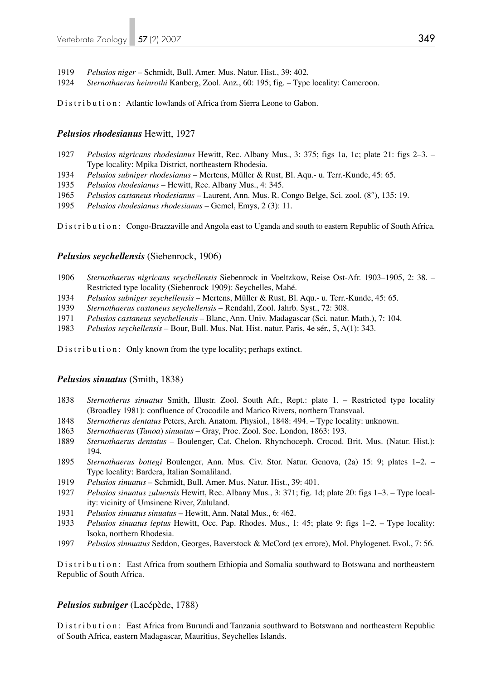- 1919 *Pelusios niger* Schmidt, Bull. Amer. Mus. Natur. Hist., 39: 402.
- 1924 *Sternothaerus heinrothi* Kanberg, Zool. Anz., 60: 195; fig. Type locality: Cameroon.

Distribution: Atlantic lowlands of Africa from Sierra Leone to Gabon.

### *Pelusios rhodesianus* Hewitt, 1927

- 1927 *Pelusios nigricans rhodesianus* Hewitt, Rec. Albany Mus., 3: 375; figs 1a, 1c; plate 21: figs 2–3. Type locality: Mpika District, northeastern Rhodesia.
- 1934 *Pelusios subniger rhodesianus* Mertens, Müller & Rust, Bl. Aqu.- u. Terr.-Kunde, 45: 65.
- 1935 *Pelusios rhodesianus* Hewitt, Rec. Albany Mus., 4: 345.
- 1965 *Pelusios castaneus rhodesianus* Laurent, Ann. Mus. R. Congo Belge, Sci. zool. (8°), 135: 19.
- 1995 *Pelusios rhodesianus rhodesianus* Gemel, Emys, 2 (3): 11.

Distribution: Congo-Brazzaville and Angola east to Uganda and south to eastern Republic of South Africa.

#### *Pelusios seychellensis* (Siebenrock, 1906)

- 1906 *Sternothaerus nigricans seychellensis* Siebenrock in Voeltzkow, Reise Ost-Afr. 1903–1905, 2: 38. Restricted type locality (Siebenrock 1909): Seychelles, Mahé.
- 1934 *Pelusios subniger seychellensis* Mertens, Müller & Rust, Bl. Aqu.- u. Terr.-Kunde, 45: 65.
- 1939 *Sternothaerus castaneus seychellensis* Rendahl, Zool. Jahrb. Syst., 72: 308.
- 1971 *Pelusios castaneus seychellensis* Blanc, Ann. Univ. Madagascar (Sci. natur. Math.), 7: 104.
- 1983 *Pelusios seychellensis* Bour, Bull. Mus. Nat. Hist. natur. Paris, 4e sér., 5, A(1): 343.

Distribution: Only known from the type locality; perhaps extinct.

#### *Pelusios sinuatus* (Smith, 1838)

- 1838 *Sternotherus sinuatus* Smith, Illustr. Zool. South Afr., Rept.: plate 1. Restricted type locality (Broadley 1981): confluence of Crocodile and Marico Rivers, northern Transvaal.
- 1848 *Sternotherus dentatus* Peters, Arch. Anatom. Physiol., 1848: 494. Type locality: unknown.
- 1863 *Sternothaerus* (*Tanoa*) *sinuatus* Gray, Proc. Zool. Soc. London, 1863: 193.
- 1889 *Sternothaerus dentatus* Boulenger, Cat. Chelon. Rhynchoceph. Crocod. Brit. Mus. (Natur. Hist.): 194.
- 1895 *Sternothaerus bottegi* Boulenger, Ann. Mus. Civ. Stor. Natur. Genova, (2a) 15: 9; plates 1–2. Type locality: Bardera, Italian Somaliland.
- 1919 *Pelusios sinuatus* Schmidt, Bull. Amer. Mus. Natur. Hist., 39: 401.
- 1927 *Pelusios sinuatus zuluensis* Hewitt, Rec. Albany Mus., 3: 371; fig. 1d; plate 20: figs 1–3. Type local ity: vicinity of Umsinene River, Zululand.
- 1931 *Pelusios sinuatus sinuatus* Hewitt, Ann. Natal Mus., 6: 462.
- 1933 *Pelusios sinuatus leptus* Hewitt, Occ. Pap. Rhodes. Mus., 1: 45; plate 9: figs 1–2. Type locality: Isoka, northern Rhodesia.
- 1997 *Pelusios sinnuatus* Seddon, Georges, Baverstock & McCord (ex errore), Mol. Phylogenet. Evol., 7: 56.

Distribution: East Africa from southern Ethiopia and Somalia southward to Botswana and northeastern Republic of South Africa.

#### *Pelusios subniger* (Lacépède, 1788)

Distribution: East Africa from Burundi and Tanzania southward to Botswana and northeastern Republic of South Africa, eastern Madagascar, Mauritius, Seychelles Islands.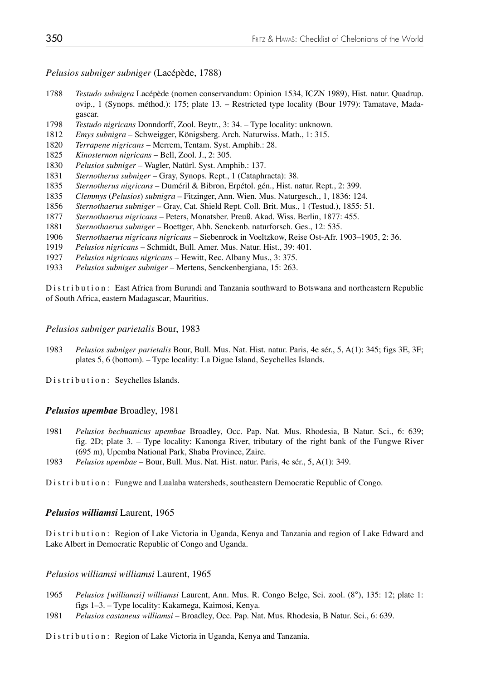*Pelusios subniger subniger* (Lacépède, 1788)

- 1788 *Testudo subnigra* Lacépède (nomen conservandum: Opinion 1534, ICZN 1989), Hist. natur. Quadrup. ovip., 1 (Synops. méthod.): 175; plate 13. – Restricted type locality (Bour 1979): Tamatave, Mada gascar.
- 1798 *Testudo nigricans* Donndorff, Zool. Beytr., 3: 34. Type locality: unknown.
- 1812 *Emys subnigra* Schweigger, Königsberg. Arch. Naturwiss. Math., 1: 315.
- 1820 *Terrapene nigricans* Merrem, Tentam. Syst. Amphib.: 28.
- 1825 *Kinosternon nigricans* Bell, Zool. J., 2: 305.
- 1830 *Pelusios subniger* Wagler, Natürl. Syst. Amphib.: 137.
- 1831 *Sternotherus subniger* Gray, Synops. Rept., 1 (Cataphracta): 38.
- 1835 *Sternotherus nigricans* Duméril & Bibron, Erpétol. gén., Hist. natur. Rept., 2: 399.
- 1835 *Clemmys* (*Pelusios*) *subnigra* Fitzinger, Ann. Wien. Mus. Naturgesch., 1, 1836: 124.
- 1856 *Sternothaerus subniger* Gray, Cat. Shield Rept. Coll. Brit. Mus., 1 (Testud.), 1855: 51.
- 1877 *Sternothaerus nigricans* Peters, Monatsber. Preuß. Akad. Wiss. Berlin, 1877: 455.
- 1881 *Sternothaerus subniger* Boettger, Abh. Senckenb. naturforsch. Ges., 12: 535.
- 1906 *Sternothaerus nigricans nigricans*  Siebenrock in Voeltzkow, Reise Ost-Afr. 1903–1905, 2: 36.
- 1919 *Pelusios nigricans* Schmidt, Bull. Amer. Mus. Natur. Hist., 39: 401.
- 1927 *Pelusios nigricans nigricans*  Hewitt, Rec. Albany Mus., 3: 375.
- 1933 *Pelusios subniger subniger*  Mertens, Senckenbergiana, 15: 263.

Distribution: East Africa from Burundi and Tanzania southward to Botswana and northeastern Republic of South Africa, eastern Madagascar, Mauritius.

#### *Pelusios subniger parietalis* Bour, 1983

1983 *Pelusios subniger parietalis* Bour, Bull. Mus. Nat. Hist. natur. Paris, 4e sér., 5, A(1): 345; figs 3E, 3F; plates 5, 6 (bottom). – Type locality: La Digue Island, Seychelles Islands.

Distribution: Seychelles Islands.

## *Pelusios upembae* Broadley, 1981

- 1981 *Pelusios bechuanicus upembae* Broadley, Occ. Pap. Nat. Mus. Rhodesia, B Natur. Sci., 6: 639; fig. 2D; plate 3. – Type locality: Kanonga River, tributary of the right bank of the Fungwe River (695 m), Upemba National Park, Shaba Province, Zaire.
- 1983 *Pelusios upembae* Bour, Bull. Mus. Nat. Hist. natur. Paris, 4e sér., 5, A(1): 349.

Distribution: Fungwe and Lualaba watersheds, southeastern Democratic Republic of Congo.

#### *Pelusios williamsi* Laurent, 1965

Distribution: Region of Lake Victoria in Uganda, Kenya and Tanzania and region of Lake Edward and Lake Albert in Democratic Republic of Congo and Uganda.

#### *Pelusios williamsi williamsi* Laurent, 1965

- 1965 *Pelusios [williamsi] williamsi* Laurent, Ann. Mus. R. Congo Belge, Sci. zool. (8°), 135: 12; plate 1: figs 1–3. – Type locality: Kakamega, Kaimosi, Kenya.
- 1981 *Pelusios castaneus williamsi* Broadley, Occ. Pap. Nat. Mus. Rhodesia, B Natur. Sci., 6: 639.

Distribution: Region of Lake Victoria in Uganda, Kenya and Tanzania.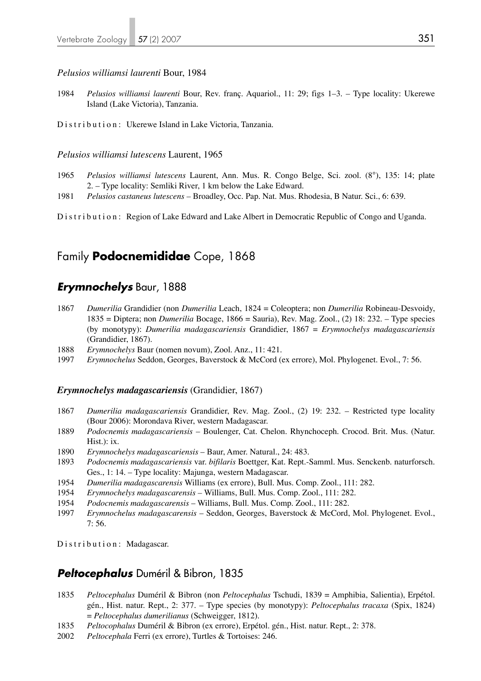#### *Pelusios williamsi laurenti* Bour, 1984

- 1984 *Pelusios williamsi laurenti* Bour, Rev. franç. Aquariol., 11: 29; figs 1–3. Type locality: Ukerewe Island (Lake Victoria), Tanzania.
- Distribution: Ukerewe Island in Lake Victoria, Tanzania.

## *Pelusios williamsi lutescens* Laurent, 1965

- 1965 *Pelusios williamsi lutescens* Laurent, Ann. Mus. R. Congo Belge, Sci. zool. (8°), 135: 14; plate 2. – Type locality: Semliki River, 1 km below the Lake Edward.
- 1981 *Pelusios castaneus lutescens* Broadley, Occ. Pap. Nat. Mus. Rhodesia, B Natur. Sci., 6: 639.

Distribution: Region of Lake Edward and Lake Albert in Democratic Republic of Congo and Uganda.

# Family **Podocnemididae** Cope, 1868

## *Erymnochelys* Baur, 1888

- 1867 *Dumerilia* Grandidier (non *Dumerilia* Leach, 1824 = Coleoptera; non *Dumerilia* Robineau-Desvoidy, 1835 = Diptera; non *Dumerilia* Bocage, 1866 = Sauria), Rev. Mag. Zool., (2) 18: 232. – Type species (by monotypy): *Dumerilia madagascariensis* Grandidier, 1867 = *Erymnochelys madagascariensis* (Grandidier, 1867).
- 1888 *Erymnochelys* Baur (nomen novum), Zool. Anz., 11: 421.
- 1997 *Erymnochelus* Seddon, Georges, Baverstock & McCord (ex errore), Mol. Phylogenet. Evol., 7: 56.

#### *Erymnochelys madagascariensis* (Grandidier, 1867)

- 1867 *Dumerilia madagascariensis* Grandidier, Rev. Mag. Zool., (2) 19: 232. Restricted type locality (Bour 2006): Morondava River, western Madagascar.
- 1889 *Podocnemis madagascariensis*  Boulenger, Cat. Chelon. Rhynchoceph. Crocod. Brit. Mus. (Natur. Hist.): ix.
- 1890 *Erymnochelys madagascariensis*  Baur, Amer. Natural., 24: 483.
- 1893 *Podocnemis madagascariensis* var. *bifilaris* Boettger, Kat. Rept.-Samml. Mus. Senckenb. naturforsch. Ges., 1: 14. – Type locality: Majunga, western Madagascar.<br>1954 *Dumerilia madagascarensis* Williams (ex errore), Bull. Mus
- 1954 *Dumerilia madagascarensis* Williams (ex errore), Bull. Mus. Comp. Zool., 111: 282.
- 1954 *Erymnochelys madagascarensis* Williams, Bull. Mus. Comp. Zool., 111: 282.
- 1954 *Podocnemis madagascarensis*  Williams, Bull. Mus. Comp. Zool., 111: 282.
- 1997 *Erymnochelus madagascarensis* Seddon, Georges, Baverstock & McCord, Mol. Phylogenet. Evol., 7: 56.

Distribution: Madagascar.

## *Peltocephalus* Duméril & Bibron, 1835

- 1835 *Peltocephalus* Duméril & Bibron (non *Peltocephalus* Tschudi, 1839 = Amphibia, Salientia), Erpétol. gén., Hist. natur. Rept., 2: 377. – Type species (by monotypy): *Peltocephalus tracaxa* (Spix, 1824) = *Peltocephalus dumerilianus* (Schweigger, 1812).
- 1835 *Peltocophalus* Duméril & Bibron (ex errore), Erpétol. gén., Hist. natur. Rept., 2: 378.
- 2002 *Peltocephala* Ferri (ex errore), Turtles & Tortoises: 246.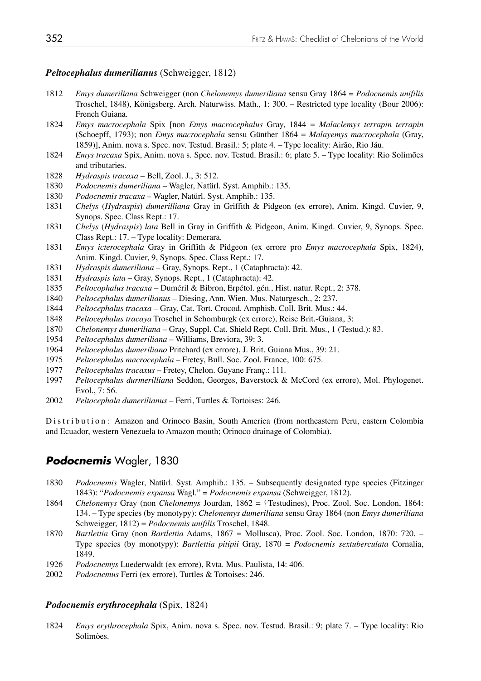### *Peltocephalus dumerilianus* (Schweigger, 1812)

- 1812 *Emys dumeriliana* Schweigger (non *Chelonemys dumeriliana* sensu Gray 1864 = *Podocnemis unifilis* Troschel, 1848), Königsberg. Arch. Naturwiss. Math., 1: 300. – Restricted type locality (Bour 2006): French Guiana.
- 1824 *Emys macrocephala* Spix [non *Emys macrocephalus* Gray, 1844 = *Malaclemys terrapin terrapin*  (Schoepff, 1793); non *Emys macrocephala* sensu Günther 1864 = *Malayemys macrocephala* (Gray, 1859)], Anim. nova s. Spec. nov. Testud. Brasil.: 5; plate 4. – Type locality: Airão, Rio Jáu.<br>1824 *Emys tracaxa* Spix. Anim. nova s. Spec. nov. Testud. Brasil.: 6: plate 5. – Type locality: Ri
- 1824 *Emys tracaxa* Spix, Anim. nova s. Spec. nov. Testud. Brasil.: 6; plate 5. Type locality: Rio Solimões and tributaries.
- 1828 *Hydraspis tracaxa* Bell, Zool. J., 3: 512.
- 1830 *Podocnemis dumeriliana* Wagler, Natürl. Syst. Amphib.: 135.
- 1830 *Podocnemis tracaxa* Wagler, Natürl. Syst. Amphib.: 135.
- 1831 *Chelys* (*Hydraspis*) *dumerilliana* Gray in Griffith & Pidgeon (ex errore), Anim. Kingd. Cuvier, 9, Synops. Spec. Class Rept.: 17.
- 1831 *Chelys* (*Hydraspis*) *lata* Bell in Gray in Griffith & Pidgeon, Anim. Kingd. Cuvier, 9, Synops. Spec. Class Rept.: 17. – Type locality: Demerara.
- 1831 *Emys icterocephala* Gray in Griffith & Pidgeon (ex errore pro *Emys macrocephala* Spix, 1824), Anim. Kingd. Cuvier, 9, Synops. Spec. Class Rept.: 17.
- 1831 *Hydraspis dumeriliana* Gray, Synops. Rept., 1 (Cataphracta): 42.
- 1831 *Hydraspis lata* Gray, Synops. Rept., 1 (Cataphracta): 42.
- 1835 *Peltocophalus tracaxa* Duméril & Bibron, Erpétol. gén., Hist. natur. Rept., 2: 378.
- 1840 *Peltocephalus dumerilianus*  Diesing, Ann. Wien. Mus. Naturgesch., 2: 237.
- 1844 *Peltocephalus tracaxa*  Gray, Cat. Tort. Crocod. Amphisb. Coll. Brit. Mus.: 44.
- 1848 *Peltocephalus tracaya* Troschel in Schomburgk (ex errore), Reise Brit.-Guiana, 3:
- 1870 *Chelonemys dumeriliana* Gray, Suppl. Cat. Shield Rept. Coll. Brit. Mus., 1 (Testud.): 83.
- 1954 *Peltocephalus dumeriliana* Williams, Breviora, 39: 3.
- 1964 *Peltocephalus dumeriliano* Pritchard (ex errore), J. Brit. Guiana Mus., 39: 21.
- 1975 *Peltocephalus macrocephala* Fretey, Bull. Soc. Zool. France, 100: 675.
- 1977 *Peltocephalus tracaxus* Fretey, Chelon. Guyane Franç.: 111.
- 1997 *Peltocephalus durmerilliana* Seddon, Georges, Baverstock & McCord (ex errore), Mol. Phylogenet. Evol., 7: 56.
- 2002 *Peltocephala dumerilianus* Ferri, Turtles & Tortoises: 246.

Distribution: Amazon and Orinoco Basin, South America (from northeastern Peru, eastern Colombia and Ecuador, western Venezuela to Amazon mouth; Orinoco drainage of Colombia).

# *Podocnemis* Wagler, 1830

- 1830 *Podocnemis* Wagler, Natürl. Syst. Amphib.: 135. Subsequently designated type species (Fitzinger 1843): "*Podocnemis expansa* Wagl." = *Podocnemis expansa* (Schweigger, 1812).
- 1864 *Chelonemys* Gray (non *Chelonemys* Jourdan, 1862 = †Testudines), Proc. Zool. Soc. London, 1864: 134. – Type species (by monotypy): *Chelonemys dumeriliana* sensu Gray 1864 (non *Emys dumeriliana* Schweigger, 1812) = *Podocnemis unifilis* Troschel, 1848.
- 1870 *Bartlettia* Gray (non *Bartlettia* Adams, 1867 = Mollusca), Proc. Zool. Soc. London, 1870: 720. Type species (by monotypy): *Bartlettia pitipii* Gray, 1870 = *Podocnemis sextuberculata* Cornalia, 1849.
- 1926 *Podocnemys* Luederwaldt (ex errore), Rvta. Mus. Paulista, 14: 406.
- 2002 *Podocnemus* Ferri (ex errore), Turtles & Tortoises: 246.

## *Podocnemis erythrocephala* (Spix, 1824)

1824 *Emys erythrocephala* Spix, Anim. nova s. Spec. nov. Testud. Brasil.: 9; plate 7. – Type locality: Rio Solimões.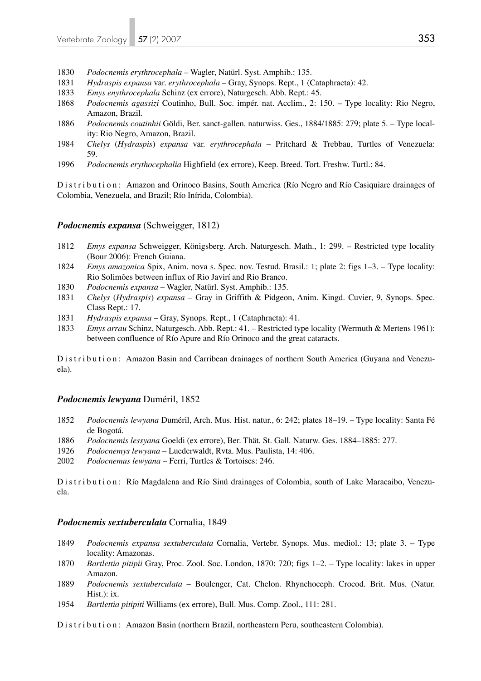- 1830 *Podocnemis erythrocephala*  Wagler, Natürl. Syst. Amphib.: 135.
- 1831 *Hydraspis expansa* var. *erythrocephala* Gray, Synops. Rept., 1 (Cataphracta): 42.
- 1833 *Emys enythrocephala* Schinz (ex errore), Naturgesch. Abb. Rept.: 45.
- 1868 *Podocnemis agassizi* Coutinho, Bull. Soc. impér. nat. Acclim., 2: 150. Type locality: Rio Negro, Amazon, Brazil.
- 1886 *Podocnemis coutinhii* Göldi, Ber. sanct-gallen. naturwiss. Ges., 1884/1885: 279; plate 5. Type local ity: Rio Negro, Amazon, Brazil.
- 1984 *Chelys* (*Hydraspis*) *expansa* var. *erythrocephala* Pritchard & Trebbau, Turtles of Venezuela: 59.
- 1996 *Podocnemis erythocephalia* Highfield (ex errore), Keep. Breed. Tort. Freshw. Turtl.: 84.

Distribution: Amazon and Orinoco Basins, South America (Río Negro and Río Casiquiare drainages of Colombia, Venezuela, and Brazil; Río Inírida, Colombia).

#### *Podocnemis expansa* (Schweigger, 1812)

- 1812 *Emys expansa* Schweigger, Königsberg. Arch. Naturgesch. Math., 1: 299. Restricted type locality (Bour 2006): French Guiana.
- 1824 *Emys amazonica* Spix, Anim. nova s. Spec. nov. Testud. Brasil.: 1; plate 2: figs 1–3. Type locality: Rio Solimões between influx of Rio Javirí and Rio Branco.
- 1830 *Podocnemis expansa*  Wagler, Natürl. Syst. Amphib.: 135.
- 1831 *Chelys* (*Hydraspis*) *expansa* Gray in Griffith & Pidgeon, Anim. Kingd. Cuvier, 9, Synops. Spec. Class Rept.: 17.
- 1831 *Hydraspis expansa* Gray, Synops. Rept., 1 (Cataphracta): 41.
- 1833 *Emys arrau* Schinz, Naturgesch. Abb. Rept.: 41. Restricted type locality (Wermuth & Mertens 1961): between confluence of Río Apure and Río Orinoco and the great cataracts.

Distribution: Amazon Basin and Carribean drainages of northern South America (Guyana and Venezuela).

#### *Podocnemis lewyana* Duméril, 1852

- 1852 *Podocnemis lewyana* Duméril, Arch. Mus. Hist. natur., 6: 242; plates 18–19. Type locality: Santa Fé de Bogotá.
- 1886 *Podocnemis lessyana* Goeldi (ex errore), Ber. Thät. St. Gall. Naturw. Ges. 1884*–*1885: 277.
- 1926 *Podocnemys lewyana* Luederwaldt, Rvta. Mus. Paulista, 14: 406.
- 2002 *Podocnemus lewyana* Ferri, Turtles & Tortoises: 246.

Distribution: Río Magdalena and Río Sinú drainages of Colombia, south of Lake Maracaibo, Venezuela.

#### *Podocnemis sextuberculata* Cornalia, 1849

- 1849 *Podocnemis expansa sextuberculata* Cornalia, Vertebr. Synops. Mus. mediol.: 13; plate 3. Type locality: Amazonas.
- 1870 *Bartlettia pitipii* Gray, Proc. Zool. Soc. London, 1870: 720; figs 1–2. Type locality: lakes in upper Amazon.
- 1889 *Podocnemis sextuberculata* Boulenger, Cat. Chelon. Rhynchoceph. Crocod. Brit. Mus. (Natur. Hist.): ix.
- 1954 *Bartlettia pitipiti* Williams (ex errore), Bull. Mus. Comp. Zool., 111: 281.

Distribution: Amazon Basin (northern Brazil, northeastern Peru, southeastern Colombia).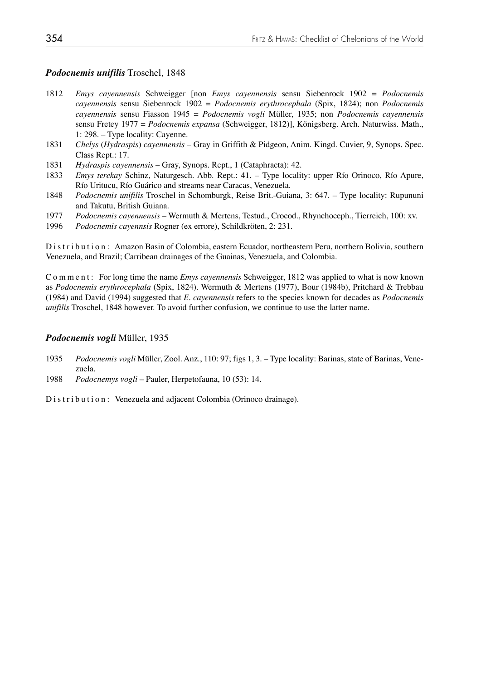## *Podocnemis unifilis* Troschel, 1848

- 1812 *Emys cayennensis* Schweigger [non *Emys cayennensis* sensu Siebenrock 1902 = *Podocnemis cayennensis* sensu Siebenrock 1902 = *Podocnemis erythrocephala* (Spix, 1824); non *Podocnemis cayennensis* sensu Fiasson 1945 = *Podocnemis vogli* Müller, 1935; non *Podocnemis cayennensis* sensu Fretey 1977 = *Podocnemis expansa* (Schweigger, 1812)], Königsberg. Arch. Naturwiss. Math., 1: 298. – Type locality: Cayenne.
- 1831 *Chelys* (*Hydraspis*) *cayennensis* Gray in Griffith & Pidgeon, Anim. Kingd. Cuvier, 9, Synops. Spec. Class Rept.: 17.
- 1831 *Hydraspis cayennensis* Gray, Synops. Rept., 1 (Cataphracta): 42.
- 1833 *Emys terekay* Schinz, Naturgesch. Abb. Rept.: 41. Type locality: upper Río Orinoco, Río Apure, Río Uritucu, Río Guárico and streams near Caracas, Venezuela.
- 1848 *Podocnemis unifilis* Troschel in Schomburgk, Reise Brit.-Guiana, 3: 647. Type locality: Rupununi and Takutu, British Guiana.
- 1977 *Podocnemis cayennensis* Wermuth & Mertens, Testud., Crocod., Rhynchoceph., Tierreich, 100: xv.
- 1996 *Podocnemis cayennsis* Rogner (ex errore), Schildkröten, 2: 231.

Distribution: Amazon Basin of Colombia, eastern Ecuador, northeastern Peru, northern Bolivia, southern Venezuela, and Brazil; Carribean drainages of the Guainas, Venezuela, and Colombia.

Comment: For long time the name *Emys cayennensis* Schweigger, 1812 was applied to what is now known as *Podocnemis erythrocephala* (Spix, 1824). Wermuth & Mertens (1977), Bour (1984b), Pritchard & Trebbau (1984) and David (1994) suggested that *E. cayennensis* refers to the species known for decades as *Podocnemis unifilis* Troschel, 1848 however. To avoid further confusion, we continue to use the latter name.

#### *Podocnemis vogli* Müller, 1935

- 1935 *Podocnemis vogli* Müller, Zool. Anz., 110: 97; figs 1, 3. Type locality: Barinas, state of Barinas, Vene zuela.
- 1988 *Podocnemys vogli*  Pauler, Herpetofauna, 10 (53): 14.

Distribution: Venezuela and adjacent Colombia (Orinoco drainage).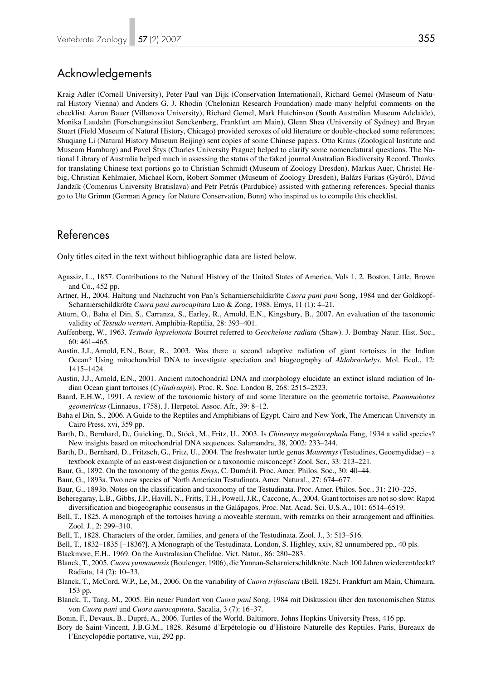# Acknowledgements

Kraig Adler (Cornell University), Peter Paul van Dijk (Conservation International), Richard Gemel (Museum of Natural History Vienna) and Anders G. J. Rhodin (Chelonian Research Foundation) made many helpful comments on the checklist. Aaron Bauer (Villanova University), Richard Gemel, Mark Hutchinson (South Australian Museum Adelaide), Monika Laudahn (Forschungsinstitut Senckenberg, Frankfurt am Main), Glenn Shea (University of Sydney) and Bryan Stuart (Field Museum of Natural History, Chicago) provided xeroxes of old literature or double-checked some references; Shuqiang Li (Natural History Museum Beijing) sent copies of some Chinese papers. Otto Kraus (Zoological Institute and Museum Hamburg) and Pavel Štys (Charles University Prague) helped to clarify some nomenclatural questions. The National Library of Australia helped much in assessing the status of the faked journal Australian Biodiversity Record. Thanks for translating Chinese text portions go to Christian Schmidt (Museum of Zoology Dresden). Markus Auer, Christel Hebig, Christian Kehlmaier, Michael Korn, Robert Sommer (Museum of Zoology Dresden), Balázs Farkas (Gyúró), Dávid Jandzík (Comenius University Bratislava) and Petr Petrás (Pardubice) assisted with gathering references. Special thanks go to Ute Grimm (German Agency for Nature Conservation, Bonn) who inspired us to compile this checklist.

# References

Only titles cited in the text without bibliographic data are listed below.

- Agassiz, L., 1857. Contributions to the Natural History of the United States of America, Vols 1, 2. Boston, Little, Brown and Co., 452 pp.
- Artner, H., 2004. Haltung und Nachzucht von Pan's Scharnierschildkröte *Cuora pani pani* Song, 1984 und der Goldkopf-Scharnierschildkröte *Cuora pani aurocapitata* Luo & Zong, 1988. Emys, 11 (1): 4–21.
- Attum, O., Baha el Din, S., Carranza, S., Earley, R., Arnold, E.N., Kingsbury, B., 2007. An evaluation of the taxonomic validity of *Testudo werneri*. Amphibia-Reptilia, 28: 393–401.
- Auffenberg, W., 1963. *Testudo hypselonota* Bourret referred to *Geochelone radiata* (Shaw). J. Bombay Natur. Hist. Soc., 60: 461–465.
- Austin, J.J., Arnold, E.N., Bour, R., 2003. Was there a second adaptive radiation of giant tortoises in the Indian Ocean? Using mitochondrial DNA to investigate speciation and biogeography of *Aldabrachelys*. Mol. Ecol., 12: 1415–1424.
- Austin, J.J., Arnold, E.N., 2001. Ancient mitochondrial DNA and morphology elucidate an extinct island radiation of In dian Ocean giant tortoises (*Cylindraspis*). Proc. R. Soc. London B, 268: 2515–2523.
- Baard, E.H.W., 1991. A review of the taxonomic history of and some literature on the geometric tortoise, *Psammobates geometricus* (Linnaeus, 1758). J. Herpetol. Assoc. Afr., 39: 8–12.
- Baha el Din, S., 2006. A Guide to the Reptiles and Amphibians of Egypt. Cairo and New York, The American University in Cairo Press, xvi, 359 pp.
- Barth, D., Bernhard, D., Guicking, D., Stöck, M., Fritz, U., 2003. Is *Chinemys megalocephala* Fang, 1934 a valid species? New insights based on mitochondrial DNA sequences. Salamandra, 38, 2002: 233–244.
- Barth, D., Bernhard, D., Fritzsch, G., Fritz, U., 2004. The freshwater turtle genus *Mauremys* (Testudines, Geoemydidae) a textbook example of an east-west disjunction or a taxonomic misconcept? Zool. Scr., 33: 213–221.
- Baur, G., 1892. On the taxonomy of the genus *Emys*, C. Duméril. Proc. Amer. Philos. Soc., 30: 40–44.
- Baur, G., 1893a. Two new species of North American Testudinata. Amer. Natural., 27: 674–677.
- Baur, G., 1893b. Notes on the classification and taxonomy of the Testudinata. Proc. Amer. Philos. Soc., 31: 210–225.
- Beheregaray, L.B., Gibbs, J.P., Havill, N., Fritts, T.H., Powell, J.R., Caccone, A., 2004. Giant tortoises are not so slow: Rapid diversification and biogeographic consensus in the Galápagos. Proc. Nat. Acad. Sci. U.S.A., 101: 6514–6519.
- Bell, T., 1825. A monograph of the tortoises having a moveable sternum, with remarks on their arrangement and affinities. Zool. J., 2: 299–310.
- Bell, T., 1828. Characters of the order, families, and genera of the Testudinata. Zool. J., 3: 513–516.
- Bell, T., 1832–1835 [–1836?]. A Monograph of the Testudinata. London, S. Highley, xxiv, 82 unnumbered pp., 40 pls.
- Blackmore, E.H., 1969. On the Australasian Chelidae. Vict. Natur., 86: 280–283.
- Blanck, T., 2005. *Cuora yunnanensis* (Boulenger, 1906), die Yunnan-Scharnierschildkröte. Nach 100 Jahren wiederentdeckt? Radiata, 14 (2): 10–33.
- Blanck, T., McCord, W.P., Le, M., 2006. On the variability of *Cuora trifasciata* (Bell, 1825). Frankfurt am Main, Chimaira, 153 pp.
- Blanck, T., Tang, M., 2005. Ein neuer Fundort von *Cuora pani* Song, 1984 mit Diskussion über den taxonomischen Status von *Cuora pani* und *Cuora aurocapitata*. Sacalia, 3 (7): 16–37.
- Bonin, F., Devaux, B., Dupré, A., 2006. Turtles of the World. Baltimore, Johns Hopkins University Press, 416 pp.
- Bory de Saint-Vincent, J.B.G.M., 1828. Résumé d'Erpétologie ou d'Histoire Naturelle des Reptiles. Paris, Bureaux de l'Encyclopédie portative, viii, 292 pp.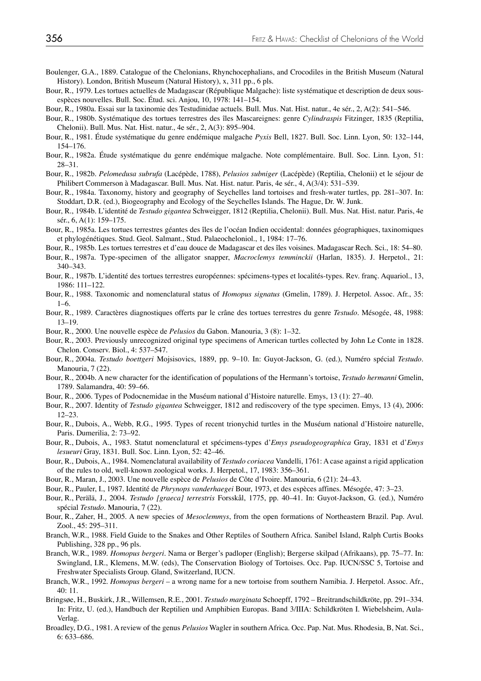- Boulenger, G.A., 1889. Catalogue of the Chelonians, Rhynchocephalians, and Crocodiles in the British Museum (Natural History). London, British Museum (Natural History), x, 311 pp., 6 pls.
- Bour, R., 1979. Les tortues actuelles de Madagascar (République Malgache): liste systématique et description de deux sousespèces nouvelles. Bull. Soc. Étud. sci. Anjou, 10, 1978: 141–154.
- Bour, R., 1980a. Essai sur la taxinomie des Testudinidae actuels. Bull. Mus. Nat. Hist. natur., 4e sér., 2, A(2): 541–546.
- Bour, R., 1980b. Systématique des tortues terrestres des îles Mascareignes: genre *Cylindraspis* Fitzinger, 1835 (Reptilia, Chelonii). Bull. Mus. Nat. Hist. natur., 4e sér., 2, A(3): 895–904.
- Bour, R., 1981. Étude systématique du genre endémique malgache *Pyxis* Bell, 1827. Bull. Soc. Linn. Lyon, 50: 132–144, 154–176.
- Bour, R., 1982a. Étude systématique du genre endémique malgache. Note complémentaire. Bull. Soc. Linn. Lyon, 51: 28–31.
- Bour, R., 1982b. *Pelomedusa subrufa* (Lacépède, 1788), *Pelusios subniger* (Lacépède) (Reptilia, Chelonii) et le séjour de Philibert Commerson à Madagascar. Bull. Mus. Nat. Hist. natur. Paris, 4e sér., 4, A(3/4): 531–539.
- Bour, R., 1984a. Taxonomy, history and geography of Seychelles land tortoises and fresh-water turtles, pp. 281–307. In: Stoddart, D.R. (ed.), Biogeography and Ecology of the Seychelles Islands. The Hague, Dr. W. Junk.
- Bour, R., 1984b. L'identité de *Testudo gigantea* Schweigger, 1812 (Reptilia, Chelonii). Bull. Mus. Nat. Hist. natur. Paris, 4e sér., 6, A(1): 159–175.
- Bour, R., 1985a. Les tortues terrestres géantes des îles de l'océan Indien occidental: données géographiques, taxinomiques et phylogénétiques. Stud. Geol. Salmant., Stud. Palaeocheloniol., 1, 1984: 17–76.
- Bour, R., 1985b. Les tortues terrestres et d'eau douce de Madagascar et des îles voisines. Madagascar Rech. Sci., 18: 54–80.
- Bour, R., 1987a. Type-specimen of the alligator snapper, *Macroclemys temminckii* (Harlan, 1835). J. Herpetol., 21: 340–343.
- Bour, R., 1987b. L'identité des tortues terrestres européennes: spécimens-types et localités-types. Rev. franç. Aquariol., 13, 1986: 111–122.
- Bour, R., 1988. Taxonomic and nomenclatural status of *Homopus signatus* (Gmelin, 1789). J. Herpetol. Assoc. Afr., 35:  $1–6.$
- Bour, R., 1989. Caractères diagnostiques offerts par le crâne des tortues terrestres du genre *Testudo*. Mésogée, 48, 1988: 13–19.
- Bour, R., 2000. Une nouvelle espèce de *Pelusios* du Gabon. Manouria, 3 (8): 1–32.
- Bour, R., 2003. Previously unrecognized original type specimens of American turtles collected by John Le Conte in 1828. Chelon. Conserv. Biol., 4: 537–547.
- Bour, R., 2004a. *Testudo boettgeri* Mojsisovics, 1889, pp. 9–10. In: Guyot-Jackson, G. (ed.), Numéro spécial *Testudo*. Manouria, 7 (22).
- Bour, R., 2004b. A new character for the identification of populations of the Hermann's tortoise, *Testudo hermanni* Gmelin, 1789. Salamandra, 40: 59–66.
- Bour, R., 2006. Types of Podocnemidae in the Muséum national d'Histoire naturelle. Emys, 13 (1): 27–40.
- Bour, R., 2007. Identity of *Testudo gigantea* Schweigger, 1812 and rediscovery of the type specimen. Emys, 13 (4), 2006: 12–23.
- Bour, R., Dubois, A., Webb, R.G., 1995. Types of recent trionychid turtles in the Muséum national d'Histoire naturelle, Paris. Dumerilia, 2: 73–92.
- Bour, R., Dubois, A., 1983. Statut nomenclatural et spécimens-types d'*Emys pseudogeographica* Gray, 1831 et d'*Emys lesueuri* Gray, 1831. Bull. Soc. Linn. Lyon, 52: 42–46.
- Bour, R., Dubois, A., 1984. Nomenclatural availability of *Testudo coriacea* Vandelli, 1761: A case against a rigid application of the rules to old, well-known zoological works. J. Herpetol., 17, 1983: 356–361.
- Bour, R., Maran, J., 2003. Une nouvelle espèce de *Pelusios* de Côte d'Ivoire. Manouria, 6 (21): 24–43.
- Bour, R., Pauler, I., 1987. Identité de *Phrynops vanderhaegei* Bour, 1973, et des espèces affines. Mésogée, 47: 3–23.
- Bour, R., Perälä, J., 2004. *Testudo [graeca] terrestris* Forsskål, 1775, pp. 40–41. In: Guyot-Jackson, G. (ed.), Numéro spécial *Testudo*. Manouria, 7 (22).
- Bour, R., Zaher, H., 2005. A new species of *Mesoclemmys*, from the open formations of Northeastern Brazil. Pap. Avul. Zool., 45: 295–311.
- Branch, W.R., 1988. Field Guide to the Snakes and Other Reptiles of Southern Africa. Sanibel Island, Ralph Curtis Books Publishing, 328 pp., 96 pls.
- Branch, W.R., 1989. *Homopus bergeri*. Nama or Berger's padloper (English); Bergerse skilpad (Afrikaans), pp. 75–77. In: Swingland, I.R., Klemens, M.W. (eds), The Conservation Biology of Tortoises. Occ. Pap. IUCN/SSC 5, Tortoise and Freshwater Specialists Group. Gland, Switzerland, IUCN.
- Branch, W.R., 1992. *Homopus bergeri* a wrong name for a new tortoise from southern Namibia. J. Herpetol. Assoc. Afr., 40: 11.
- Bringsøe, H., Buskirk, J.R., Willemsen, R.E., 2001. *Testudo marginata* Schoepff, 1792 Breitrandschildkröte, pp. 291–334. In: Fritz, U. (ed.), Handbuch der Reptilien und Amphibien Europas. Band 3/IIIA: Schildkröten I. Wiebelsheim, Aula-Verlag.
- Broadley, D.G., 1981. A review of the genus *Pelusios* Wagler in southern Africa. Occ. Pap. Nat. Mus. Rhodesia, B, Nat. Sci., 6: 633–686.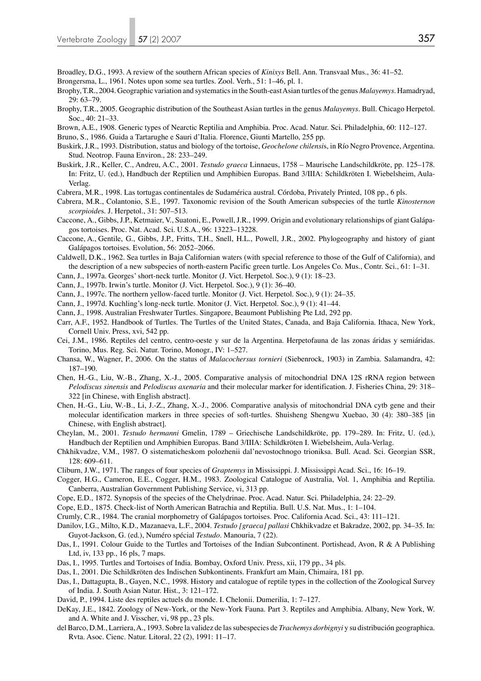Broadley, D.G., 1993. A review of the southern African species of *Kinixys* Bell. Ann. Transvaal Mus., 36: 41–52.

- Brongersma, L., 1961. Notes upon some sea turtles. Zool. Verh., 51: 1–46, pl. 1.
- Brophy, T.R., 2004. Geographic variation and systematics in the South-east Asian turtles of the genus *Malayemys*. Hamadryad, 29: 63–79.
- Brophy, T.R., 2005. Geographic distribution of the Southeast Asian turtles in the genus *Malayemys*. Bull. Chicago Herpetol. Soc., 40: 21–33.
- Brown, A.E., 1908. Generic types of Nearctic Reptilia and Amphibia. Proc. Acad. Natur. Sci. Philadelphia, 60: 112–127.

Bruno, S., 1986. Guida a Tartarughe e Sauri d'Italia. Florence, Giunti Martello, 255 pp.

- Buskirk, J.R., 1993. Distribution, status and biology of the tortoise, *Geochelone chilensi*s, in Río Negro Provence, Argentina. Stud. Neotrop. Fauna Environ., 28: 233–249.
- Buskirk, J.R., Keller, C., Andreu, A.C., 2001. *Testudo graeca* Linnaeus, 1758 Maurische Landschildkröte, pp. 125–178. In: Fritz, U. (ed.), Handbuch der Reptilien und Amphibien Europas. Band 3/IIIA: Schildkröten I. Wiebelsheim, Aula-Verlag.
- Cabrera, M.R., 1998. Las tortugas continentales de Sudamérica austral. Córdoba, Privately Printed, 108 pp., 6 pls.
- Cabrera, M.R., Colantonio, S.E., 1997. Taxonomic revision of the South American subspecies of the turtle *Kinosternon scorpioide*s. J. Herpetol., 31: 507–513.
- Caccone, A., Gibbs, J.P., Ketmaier, V., Suatoni, E., Powell, J.R., 1999. Origin and evolutionary relationships of giant Galápagos tortoises. Proc. Nat. Acad. Sci. U.S.A., 96: 13223–13228.
- Caccone, A., Gentile, G., Gibbs, J.P., Fritts, T.H., Snell, H.L., Powell, J.R., 2002. Phylogeography and history of giant Galápagos tortoises. Evolution, 56: 2052–2066.
- Caldwell, D.K., 1962. Sea turtles in Baja Californian waters (with special reference to those of the Gulf of California), and the description of a new subspecies of north-eastern Pacific green turtle. Los Angeles Co. Mus., Contr. Sci., 61: 1–31.
- Cann, J., 1997a. Georges' short-neck turtle. Monitor (J. Vict. Herpetol. Soc.), 9 (1): 18–23.
- Cann, J., 1997b. Irwin's turtle. Monitor (J. Vict. Herpetol. Soc.), 9 (1): 36–40.
- Cann, J., 1997c. The northern yellow-faced turtle. Monitor (J. Vict. Herpetol. Soc.), 9 (1): 24–35.
- Cann, J., 1997d. Kuchling's long-neck turtle. Monitor (J. Vict. Herpetol. Soc.), 9 (1): 41–44.
- Cann, J., 1998. Australian Freshwater Turtles. Singapore, Beaumont Publishing Pte Ltd, 292 pp.
- Carr, A.F., 1952. Handbook of Turtles. The Turtles of the United States, Canada, and Baja California. Ithaca, New York, Cornell Univ. Press, xvi, 542 pp.
- Cei, J.M., 1986. Reptiles del centro, centro-oeste y sur de la Argentina. Herpetofauna de las zonas áridas y semiáridas. Torino, Mus. Reg. Sci. Natur. Torino, Monogr., IV: 1–527.
- Chansa, W., Wagner, P., 2006. On the status of *Malacochersus tornieri* (Siebenrock, 1903) in Zambia. Salamandra, 42: 187–190.
- Chen, H.-G., Liu, W.-B., Zhang, X.-J., 2005. Comparative analysis of mitochondrial DNA 12S rRNA region between *Pelodiscus sinensis* and *Pelodiscus axenaria* and their molecular marker for identification. J. Fisheries China, 29: 318– 322 [in Chinese, with English abstract].
- Chen, H.-G., Liu, W.-B., Li, J.-Z., Zhang, X.-J., 2006. Comparative analysis of mitochondrial DNA cytb gene and their molecular identification markers in three species of soft-turtles. Shuisheng Shengwu Xuebao, 30 (4): 380–385 [in Chinese, with English abstract].
- Cheylan, M., 2001. *Testudo hermanni* Gmelin, 1789 Griechische Landschildkröte, pp. 179–289. In: Fritz, U. (ed.), Handbuch der Reptilien und Amphibien Europas. Band 3/IIIA: Schildkröten I. Wiebelsheim, Aula-Verlag.
- Chkhikvadze, V.M., 1987. O sistematicheskom polozhenii dal'nevostochnogo trioniksa. Bull. Acad. Sci. Georgian SSR, 128: 609–611.
- Cliburn, J.W., 1971. The ranges of four species of *Graptemys* in Mississippi. J. Mississippi Acad. Sci., 16: 16–19.
- Cogger, H.G., Cameron, E.E., Cogger, H.M., 1983. Zoological Catalogue of Australia, Vol. 1, Amphibia and Reptilia. Canberra, Australian Government Publishing Service, vi, 313 pp.
- Cope, E.D., 1872. Synopsis of the species of the Chelydrinae. Proc. Acad. Natur. Sci. Philadelphia, 24: 22–29.
- Cope, E.D., 1875. Check-list of North American Batrachia and Reptilia. Bull. U.S. Nat. Mus., 1: 1–104.
- Crumly, C.R., 1984. The cranial morphometry of Galápagos tortoises. Proc. California Acad. Sci., 43: 111–121.
- Danilov, I.G., Milto, K.D., Mazanaeva, L.F., 2004. *Testudo [graeca] pallasi* Chkhikvadze et Bakradze, 2002, pp. 34–35. In: Guyot-Jackson, G. (ed.), Numéro spécial *Testudo*. Manouria, 7 (22).
- Das, I., 1991. Colour Guide to the Turtles and Tortoises of the Indian Subcontinent. Portishead, Avon, R & A Publishing Ltd, iv, 133 pp., 16 pls, 7 maps.
- Das, I., 1995. Turtles and Tortoises of India. Bombay, Oxford Univ. Press, xii, 179 pp., 34 pls.
- Das, I., 2001. Die Schildkröten des Indischen Subkontinents. Frankfurt am Main, Chimaira, 181 pp.
- Das, I., Dattagupta, B., Gayen, N.C., 1998. History and catalogue of reptile types in the collection of the Zoological Survey of India. J. South Asian Natur. Hist., 3: 121–172.
- David, P., 1994. Liste des reptiles actuels du monde. I. Chelonii. Dumerilia, 1: 7–127.
- DeKay, J.E., 1842. Zoology of New-York, or the New-York Fauna. Part 3. Reptiles and Amphibia. Albany, New York, W. and A. White and J. Visscher, vi, 98 pp., 23 pls.
- del Barco, D.M., Larriera, A., 1993. Sobre la validez de las subespecies de *Trachemys dorbignyi* y su distribución geographica. Rvta. Asoc. Cienc. Natur. Litoral, 22 (2), 1991: 11–17.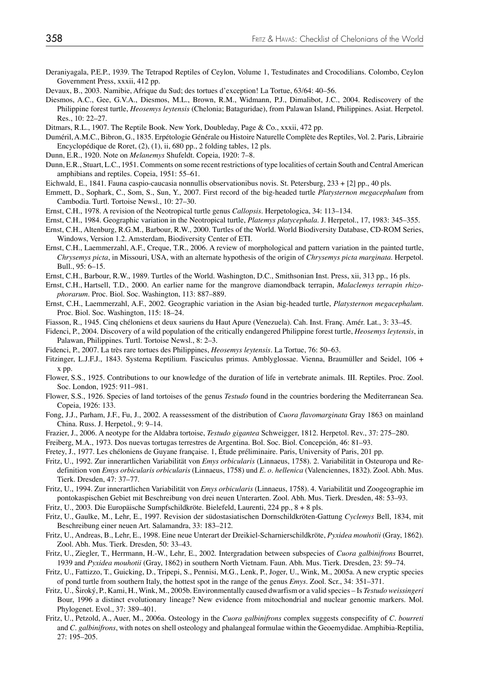- Deraniyagala, P.E.P., 1939. The Tetrapod Reptiles of Ceylon, Volume 1, Testudinates and Crocodilians. Colombo, Ceylon Government Press, xxxii, 412 pp.
- Devaux, B., 2003. Namibie, Afrique du Sud; des tortues d'exception! La Tortue, 63/64: 40–56.
- Diesmos, A.C., Gee, G.V.A., Diesmos, M.L., Brown, R.M., Widmann, P.J., Dimalibot, J.C., 2004. Rediscovery of the Philippine forest turtle, *Heosemys leytensis* (Chelonia; Bataguridae), from Palawan Island, Philippines. Asiat. Herpetol. Res., 10: 22–27.
- Ditmars, R.L., 1907. The Reptile Book. New York, Doubleday, Page & Co., xxxii, 472 pp.
- Duméril, A.M.C., Bibron, G., 1835. Erpétologie Générale ou Histoire Naturelle Complète des Reptiles, Vol. 2. Paris, Librairie Encyclopédique de Roret, (2), (1), ii, 680 pp., 2 folding tables, 12 pls.
- Dunn, E.R., 1920. Note on *Melanemys* Shufeldt. Copeia, 1920: 7–8.
- Dunn, E.R., Stuart, L.C., 1951. Comments on some recent restrictions of type localities of certain South and Central American amphibians and reptiles. Copeia, 1951: 55–61.
- Eichwald, E., 1841. Fauna caspio-caucasia nonnullis observationibus novis. St. Petersburg, 233 + [2] pp., 40 pls.
- Emmett, D., Sophark, C., Som, S., Sun, Y., 2007. First record of the big-headed turtle *Platysternon megacephalum* from Cambodia. Turtl. Tortoise Newsl., 10: 27–30.
- Ernst, C.H., 1978. A revision of the Neotropical turtle genus *Callopsis*. Herpetologica, 34: 113–134.
- Ernst, C.H., 1984. Geographic variation in the Neotropical turtle, *Platemys platycephala*. J. Herpetol., 17, 1983: 345–355.
- Ernst, C.H., Altenburg, R.G.M., Barbour, R.W., 2000. Turtles of the World. World Biodiversity Database, CD-ROM Series, Windows, Version 1.2. Amsterdam, Biodiversity Center of ETI.
- Ernst, C.H., Laemmerzahl, A.F., Creque, T.R., 2006. A review of morphological and pattern variation in the painted turtle, *Chrysemys picta*, in Missouri, USA, with an alternate hypothesis of the origin of *Chrysemys picta marginata*. Herpetol. Bull., 95: 6–15.
- Ernst, C.H., Barbour, R.W., 1989. Turtles of the World. Washington, D.C., Smithsonian Inst. Press, xii, 313 pp., 16 pls.
- Ernst, C.H., Hartsell, T.D., 2000. An earlier name for the mangrove diamondback terrapin, *Malaclemys terrapin rhizophorarum*. Proc. Biol. Soc. Washington, 113: 887–889.
- Ernst, C.H., Laemmerzahl, A.F., 2002. Geographic variation in the Asian big-headed turtle, *Platysternon megacephalum*. Proc. Biol. Soc. Washington, 115: 18–24.
- Fiasson, R., 1945. Cinq chéloniens et deux sauriens du Haut Apure (Venezuela). Cah. Inst. Franç. Amér. Lat., 3: 33–45.
- Fidenci, P., 2004. Discovery of a wild population of the critically endangered Philippine forest turtle, *Heosemys leytensis*, in Palawan, Philippines. Turtl. Tortoise Newsl., 8: 2–3.
- Fidenci, P., 2007. La très rare tortues des Philippines, *Heosemys leytensis*. La Tortue, 76: 50–63.
- Fitzinger, L.J.F.J., 1843. Systema Reptilium. Fasciculus primus. Amblyglossae. Vienna, Braumüller and Seidel, 106 + x pp.
- Flower, S.S., 1925. Contributions to our knowledge of the duration of life in vertebrate animals. III. Reptiles. Proc. Zool. Soc. London, 1925: 911–981.
- Flower, S.S., 1926. Species of land tortoises of the genus *Testudo* found in the countries bordering the Mediterranean Sea. Copeia, 1926: 133.
- Fong, J.J., Parham, J.F., Fu, J., 2002. A reassessment of the distribution of *Cuora flavomarginata* Gray 1863 on mainland China. Russ. J. Herpetol., 9: 9–14.
- Frazier, J., 2006. A neotype for the Aldabra tortoise, *Testudo gigantea* Schweigger, 1812. Herpetol. Rev., 37: 275–280.
- Freiberg, M.A., 1973. Dos nuevas tortugas terrestres de Argentina. Bol. Soc. Biol. Concepción, 46: 81–93.
- Fretey, J., 1977. Les chéloniens de Guyane française. 1, Étude préliminaire. Paris, University of Paris, 201 pp.
- Fritz, U., 1992. Zur innerartlichen Variabilität von *Emys orbicularis* (Linnaeus, 1758). 2. Variabilität in Osteuropa und Redefinition von *Emys orbicularis orbicularis* (Linnaeus, 1758) und *E. o. hellenica* (Valenciennes, 1832). Zool. Abh. Mus. Tierk. Dresden, 47: 37–77.
- Fritz, U., 1994. Zur innerartlichen Variabilität von *Emys orbicularis* (Linnaeus, 1758). 4. Variabilität und Zoogeographie im pontokaspischen Gebiet mit Beschreibung von drei neuen Unterarten. Zool. Abh. Mus. Tierk. Dresden, 48: 53–93.
- Fritz, U., 2003. Die Europäische Sumpfschildkröte. Bielefeld, Laurenti, 224 pp., 8 + 8 pls.
- Fritz, U., Gaulke, M., Lehr, E., 1997. Revision der südostasiatischen Dornschildkröten-Gattung *Cyclemys* Bell, 1834, mit Beschreibung einer neuen Art. Salamandra, 33: 183–212.
- Fritz, U., Andreas, B., Lehr, E., 1998. Eine neue Unterart der Dreikiel-Scharnierschildkröte, *Pyxidea mouhotii* (Gray, 1862). Zool. Abh. Mus. Tierk. Dresden, 50: 33–43.
- Fritz, U., Ziegler, T., Herrmann, H.-W., Lehr, E., 2002. Intergradation between subspecies of *Cuora galbinifrons* Bourret, 1939 and *Pyxidea mouhotii* (Gray, 1862) in southern North Vietnam. Faun. Abh. Mus. Tierk. Dresden, 23: 59–74.
- Fritz, U., Fattizzo, T., Guicking, D., Tripepi, S., Pennisi, M.G., Lenk, P., Joger, U., Wink, M., 2005a. A new cryptic species of pond turtle from southern Italy, the hottest spot in the range of the genus *Emys*. Zool. Scr., 34: 351–371.
- Fritz, U., Široký, P., Kami, H., Wink, M., 2005b. Environmentally caused dwarfism or a valid species Is *Testudo weissingeri* Bour, 1996 a distinct evolutionary lineage? New evidence from mitochondrial and nuclear genomic markers. Mol. Phylogenet. Evol., 37: 389–401.
- Fritz, U., Petzold, A., Auer, M., 2006a. Osteology in the *Cuora galbinifrons* complex suggests conspecifity of *C. bourreti* and *C. galbinifrons*, with notes on shell osteology and phalangeal formulae within the Geoemydidae. Amphibia-Reptilia, 27: 195–205.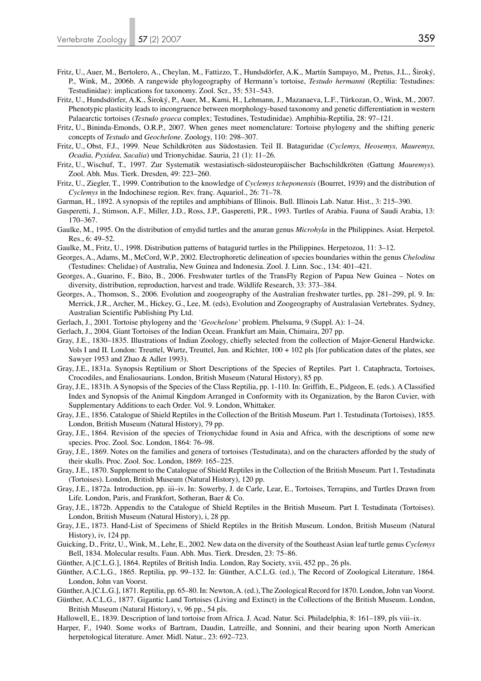- Fritz, U., Auer, M., Bertolero, A., Cheylan, M., Fattizzo, T., Hundsdörfer, A.K., Martín Sampayo, M., Pretus, J.L., Široký, P., Wink, M., 2006b. A rangewide phylogeography of Hermann's tortoise, *Testudo hermanni* (Reptilia: Testudines: Testudinidae): implications for taxonomy. Zool. Scr., 35: 531–543.
- Fritz, U., Hundsdörfer, A.K., Široký, P., Auer, M., Kami, H., Lehmann, J., Mazanaeva, L.F., Türkozan, O., Wink, M., 2007. Phenotypic plasticity leads to incongruence between morphology-based taxonomy and genetic differentiation in western Palaearctic tortoises (*Testudo graeca* complex; Testudines, Testudinidae). Amphibia-Reptilia, 28: 97–121.
- Fritz, U., Bininda-Emonds, O.R.P., 2007. When genes meet nomenclature: Tortoise phylogeny and the shifting generic concepts of *Testudo* and *Geochelone*. Zoology, 110: 298–307.
- Fritz, U., Obst, F.J., 1999. Neue Schildkröten aus Südostasien. Teil II. Bataguridae (*Cyclemys, Heosemys, Mauremys, Ocadia, Pyxidea, Sacalia*) und Trionychidae. Sauria, 21 (1): 11–26.
- Fritz, U., Wischuf, T., 1997. Zur Systematik westasiatisch-südosteuropäischer Bachschildkröten (Gattung *Mauremys*). Zool. Abh. Mus. Tierk. Dresden, 49: 223–260.
- Fritz, U., Ziegler, T., 1999. Contribution to the knowledge of *Cyclemys tcheponensis* (Bourret, 1939) and the distribution of *Cyclemys* in the Indochinese region. Rev. franç. Aquariol., 26: 71–78.
- Garman, H., 1892. A synopsis of the reptiles and amphibians of Illinois. Bull. Illinois Lab. Natur. Hist., 3: 215–390.
- Gasperetti, J., Stimson, A.F., Miller, J.D., Ross, J.P., Gasperetti, P.R., 1993. Turtles of Arabia. Fauna of Saudi Arabia, 13: 170–367.
- Gaulke, M., 1995. On the distribution of emydid turtles and the anuran genus *Microhyla* in the Philippines. Asiat. Herpetol. Res., 6: 49–52.
- Gaulke, M., Fritz, U., 1998. Distribution patterns of batagurid turtles in the Philippines. Herpetozoa, 11: 3–12.
- Georges, A., Adams, M., McCord, W.P., 2002. Electrophoretic delineation of species boundaries within the genus *Chelodina* (Testudines: Chelidae) of Australia, New Guinea and Indonesia. Zool. J. Linn. Soc., 134: 401–421.
- Georges, A., Guarino, F., Bito, B., 2006. Freshwater turtles of the TransFly Region of Papua New Guinea Notes on diversity, distribution, reproduction, harvest and trade. Wildlife Research, 33: 373–384.
- Georges, A., Thomson, S., 2006. Evolution and zoogeography of the Australian freshwater turtles, pp. 281–299, pl. 9. In: Merrick, J.R., Archer, M., Hickey, G., Lee, M. (eds), Evolution and Zoogeography of Australasian Vertebrates. Sydney, Australian Scientific Publishing Pty Ltd.
- Gerlach, J., 2001. Tortoise phylogeny and the '*Geochelone'* problem. Phelsuma, 9 (Suppl. A): 1–24.
- Gerlach, J., 2004. Giant Tortoises of the Indian Ocean. Frankfurt am Main, Chimaira, 207 pp.
- Gray, J.E., 1830–1835. Illustrations of Indian Zoology, chiefly selected from the collection of Major-General Hardwicke. Vols I and II. London: Treuttel, Wurtz, Treuttel, Jun. and Richter, 100 + 102 pls [for publication dates of the plates, see Sawyer 1953 and Zhao & Adler 1993).
- Gray, J.E., 1831a. Synopsis Reptilium or Short Descriptions of the Species of Reptiles. Part 1. Cataphracta, Tortoises, Crocodiles, and Enaliosaurians. London, British Museum (Natural History), 85 pp.
- Gray, J.E., 1831b. A Synopsis of the Species of the Class Reptilia, pp. 1-110. In: Griffith, E., Pidgeon, E. (eds.). A Classified Index and Synopsis of the Animal Kingdom Arranged in Conformity with its Organization, by the Baron Cuvier, with Supplementary Additions to each Order. Vol. 9. London, Whittaker.
- Gray, J.E., 1856. Catalogue of Shield Reptiles in the Collection of the British Museum. Part 1. Testudinata (Tortoises), 1855. London, British Museum (Natural History), 79 pp.
- Gray, J.E., 1864. Revision of the species of Trionychidae found in Asia and Africa, with the descriptions of some new species. Proc. Zool. Soc. London, 1864: 76–98.
- Gray, J.E., 1869. Notes on the families and genera of tortoises (Testudinata), and on the characters afforded by the study of their skulls. Proc. Zool. Soc. London, 1869: 165–225.
- Gray, J.E., 1870. Supplement to the Catalogue of Shield Reptiles in the Collection of the British Museum. Part 1, Testudinata (Tortoises). London, British Museum (Natural History), 120 pp.
- Gray, J.E., 1872a. Introduction, pp. iii–iv. In: Sowerby, J. de Carle, Lear, E., Tortoises, Terrapins, and Turtles Drawn from Life. London, Paris, and Frankfort, Sotheran, Baer & Co.
- Gray, J.E., 1872b. Appendix to the Catalogue of Shield Reptiles in the British Museum. Part I. Testudinata (Tortoises). London, British Museum (Natural History), i, 28 pp.
- Gray, J.E., 1873. Hand-List of Specimens of Shield Reptiles in the British Museum. London, British Museum (Natural History), iv, 124 pp.
- Guicking, D., Fritz, U., Wink, M., Lehr, E., 2002. New data on the diversity of the Southeast Asian leaf turtle genus *Cyclemys* Bell, 1834. Molecular results. Faun. Abh. Mus. Tierk. Dresden, 23: 75–86.
- Günther, A.[C.L.G.], 1864. Reptiles of British India. London, Ray Society, xvii, 452 pp., 26 pls.
- Günther, A.C.L.G., 1865. Reptilia, pp. 99–132. In: Günther, A.C.L.G. (ed.), The Record of Zoological Literature, 1864. London, John van Voorst.
- Günther, A.[C.L.G.], 1871. Reptilia, pp. 65–80. In: Newton, A. (ed.), The Zoological Record for 1870. London, John van Voorst.
- Günther, A.C.L.G., 1877. Gigantic Land Tortoises (Living and Extinct) in the Collections of the British Museum. London, British Museum (Natural History), v, 96 pp., 54 pls.
- Hallowell, E., 1839. Description of land tortoise from Africa. J. Acad. Natur. Sci. Philadelphia, 8: 161–189, pls viii–ix.
- Harper, F., 1940. Some works of Bartram, Daudin, Latreille, and Sonnini, and their bearing upon North American herpetological literature. Amer. Midl. Natur., 23: 692–723.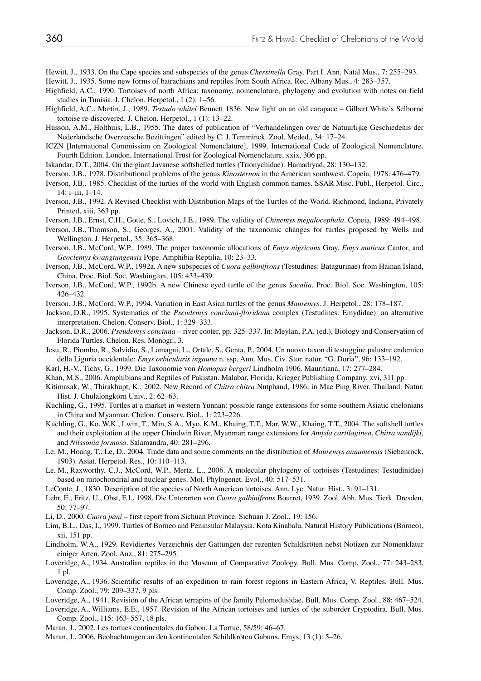Hewitt, J., 1933. On the Cape species and subspecies of the genus *Chersinella* Gray. Part I. Ann. Natal Mus., 7: 255–293.

Hewitt, J., 1935. Some new forms of batrachians and reptiles from South Africa. Rec. Albany Mus., 4: 283–357.

- Highfield, A.C., 1990. Tortoises of north Africa; taxonomy, nomenclature, phylogeny and evolution with notes on field studies in Tunisia. J. Chelon. Herpetol., 1 (2): 1–56.
- Highfield, A.C., Martin, J., 1989. *Testudo whitei* Bennett 1836. New light on an old carapace Gilbert White's Selborne tortoise re-discovered. J. Chelon. Herpetol., 1 (1): 13–22.
- Husson, A.M., Holthuis, L.B., 1955. The dates of publication of "Verhandelingen over de Natuurlijke Geschiedenis der Nederlandsche Overzeesche Bezittingen" edited by C. J. Temminck. Zool. Meded., 34: 17–24.
- ICZN [International Commission on Zoological Nomenclature], 1999. International Code of Zoological Nomenclature. Fourth Edition. London, International Trust for Zoological Nomenclature, xxix, 306 pp.
- Iskandar, D.T., 2004. On the giant Javanese softshelled turtles (Trionychidae). Hamadryad, 28: 130–132.
- Iverson, J.B., 1978. Distributional problems of the genus *Kinosternon* in the American southwest. Copeia, 1978: 476–479.
- Iverson, J.B., 1985. Checklist of the turtles of the world with English common names. SSAR Misc. Publ., Herpetol. Circ., 14: i–iii, 1–14.
- Iverson, J.B., 1992. A Revised Checklist with Distribution Maps of the Turtles of the World. Richmond, Indiana, Privately Printed, xiii, 363 pp.
- Iverson, J.B., Ernst, C.H., Gotte, S., Lovich, J.E., 1989. The validity of *Chinemys megalocephala*. Copeia, 1989: 494–498.
- Iverson, J.B., Thomson, S., Georges, A., 2001. Validity of the taxonomic changes for turtles proposed by Wells and Wellington. J. Herpetol., 35: 365–368.
- Iverson, J.B., McCord, W.P., 1989. The proper taxonomic allocations of *Emys nigricans* Gray, *Emys muticus* Cantor, and *Geoclemys kwangtungensis* Pope. Amphibia-Reptilia, 10: 23–33.
- Iverson, J.B., McCord, W.P., 1992a. A new subspecies of *Cuora galbinifrons* (Testudines: Batagurinae) from Hainan Island, China. Proc. Biol. Soc. Washington, 105: 433–439.
- Iverson, J.B., McCord, W.P., 1992b. A new Chinese eyed turtle of the genus *Sacalia*. Proc. Biol. Soc. Washington, 105: 426–432.
- Iverson, J.B., McCord, W.P., 1994. Variation in East Asian turtles of the genus *Mauremys*. J. Herpetol., 28: 178–187.
- Jackson, D.R., 1995. Systematics of the *Pseudemys concinna-floridana* complex (Testudines: Emydidae): an alternative interpretation. Chelon. Conserv. Biol., 1: 329–333.
- Jackson, D.R., 2006. *Pseudemys concinna* river cooter, pp. 325–337. In: Meylan, P.A. (ed.), Biology and Conservation of Florida Turtles. Chelon. Res. Monogr., 3.
- Jesu, R., Piombo, R., Salvidio, S., Lamagni, L., Ortale, S., Genta, P., 2004. Un nuovo taxon di testuggine palustre endemico della Liguria occidentale: *Emys orbicularis ingauna* n. ssp. Ann. Mus. Civ. Stor. natur. "G. Doria", 96: 133–192.
- Karl, H.-V., Tichy, G., 1999. Die Taxonomie von *Homopus bergeri* Lindholm 1906. Mauritiana, 17: 277–284.
- Khan, M.S., 2006. Amphibians and Reptiles of Pakistan*.* Malabar, Florida, Krieger Publishing Company, xvi, 311 pp.
- Kitimasak, W., Thirakhupt, K., 2002. New Record of *Chitra chitra* Nutphand, 1986, in Mae Ping River, Thailand. Natur. Hist. J. Chulalongkorn Univ., 2: 62–63.
- Kuchling, G., 1995. Turtles at a market in western Yunnan: possible range extensions for some southern Asiatic chelonians in China and Myanmar. Chelon. Conserv. Biol., 1: 223–226.
- Kuchling, G., Ko, W.K., Lwin, T., Min, S.A., Myo, K.M., Khaing, T.T., Mar, W.W., Khaing, T.T., 2004. The softshell turtles and their exploitation at the upper Chindwin River, Myanmar: range extensions for *Amyda cartilaginea*, *Chitra vandijki*, and *Nilssonia formosa*. Salamandra, 40: 281–296.
- Le, M., Hoang, T., Le, D., 2004. Trade data and some comments on the distribution of *Mauremys annamensis* (Siebenrock, 1903). Asiat. Herpetol. Res., 10: 110–113.
- Le, M., Raxworthy, C.J., McCord, W.P., Mertz, L., 2006. A molecular phylogeny of tortoises (Testudines: Testudinidae) based on mitochondrial and nuclear genes. Mol. Phylogenet. Evol., 40: 517–531.
- LeConte, J., 1830. Description of the species of North American tortoises. Ann. Lyc. Natur. Hist., 3: 91–131.
- Lehr, E., Fritz, U., Obst, F.J., 1998. Die Unterarten von *Cuora galbinifrons* Bourret, 1939. Zool. Abh. Mus. Tierk. Dresden, 50: 77–97.
- Li, D., 2000. *Cuora pani* first report from Sichuan Province. Sichuan J. Zool., 19: 156.
- Lim, B.L., Das, I., 1999. Turtles of Borneo and Peninsular Malaysia. Kota Kinabalu, Natural History Publications (Borneo), xii, 151 pp.
- Lindholm, W.A., 1929. Revidiertes Verzeichnis der Gattungen der rezenten Schildkröten nebst Notizen zur Nomenklatur einiger Arten. Zool. Anz., 81: 275–295.
- Loveridge, A., 1934. Australian reptiles in the Museum of Comparative Zoology. Bull. Mus. Comp. Zool., 77: 243–283, 1 pl.
- Loveridge, A., 1936. Scientific results of an expedition to rain forest regions in Eastern Africa, V. Reptiles. Bull. Mus. Comp. Zool., 79: 209–337, 9 pls.
- Loveridge, A., 1941. Revision of the African terrapins of the family Pelomedusidae. Bull. Mus. Comp. Zool., 88: 467–524.
- Loveridge, A., Williams, E.E., 1957. Revision of the African tortoises and turtles of the suborder Cryptodira. Bull. Mus. Comp. Zool., 115: 163–557, 18 pls.
- Maran, J., 2002. Les tortues continentales du Gabon. La Tortue, 58/59: 46–67.
- Maran, J., 2006. Beobachtungen an den kontinentalen Schildkröten Gabuns. Emys, 13 (1): 5–26.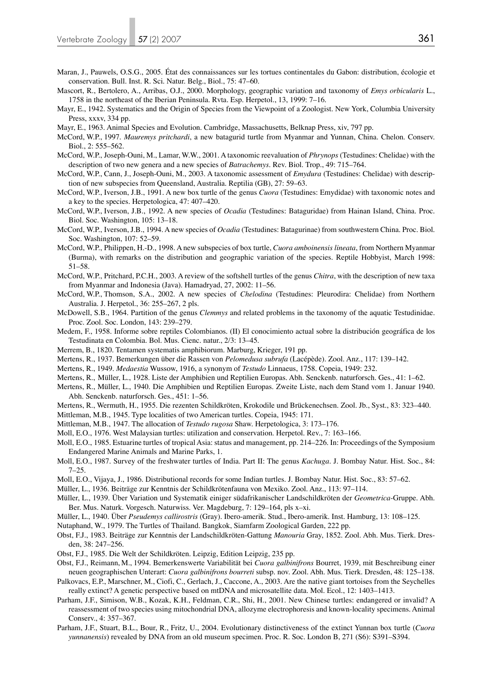- Maran, J., Pauwels, O.S.G., 2005. État des connaissances sur les tortues continentales du Gabon: distribution, écologie et conservation. Bull. Inst. R. Sci. Natur. Belg., Biol., 75: 47–60.
- Mascort, R., Bertolero, A., Arribas, O.J., 2000. Morphology, geographic variation and taxonomy of *Emys orbicularis* L., 1758 in the northeast of the Iberian Peninsula. Rvta. Esp. Herpetol., 13, 1999: 7–16.
- Mayr, E., 1942. Systematics and the Origin of Species from the Viewpoint of a Zoologist. New York, Columbia University Press, xxxv, 334 pp.
- Mayr, E., 1963. Animal Species and Evolution. Cambridge, Massachusetts, Belknap Press, xiv, 797 pp.
- McCord, W.P., 1997. *Mauremys pritchardi*, a new batagurid turtle from Myanmar and Yunnan, China. Chelon. Conserv. Biol., 2: 555–562.
- McCord, W.P., Joseph-Ouni, M., Lamar, W.W., 2001. A taxonomic reevaluation of *Phrynops* (Testudines: Chelidae) with the description of two new genera and a new species of *Batrachemys*. Rev. Biol. Trop., 49: 715–764.
- McCord, W.P., Cann, J., Joseph-Ouni, M., 2003. A taxonomic assessment of *Emydura* (Testudines: Chelidae) with description of new subspecies from Queensland, Australia. Reptilia (GB), 27: 59–63.
- McCord, W.P., Iverson, J.B., 1991. A new box turtle of the genus *Cuora* (Testudines: Emydidae) with taxonomic notes and a key to the species. Herpetologica, 47: 407–420.
- McCord, W.P., Iverson, J.B., 1992. A new species of *Ocadia* (Testudines: Bataguridae) from Hainan Island, China. Proc. Biol. Soc. Washington, 105: 13–18.
- McCord, W.P., Iverson, J.B., 1994. A new species of *Ocadia* (Testudines: Batagurinae) from southwestern China. Proc. Biol. Soc. Washington, 107: 52–59.
- McCord, W.P., Philippen, H.-D., 1998. A new subspecies of box turtle, *Cuora amboinensis lineata*, from Northern Myanmar (Burma), with remarks on the distribution and geographic variation of the species. Reptile Hobbyist, March 1998: 51–58.
- McCord, W.P., Pritchard, P.C.H., 2003. A review of the softshell turtles of the genus *Chitra*, with the description of new taxa from Myanmar and Indonesia (Java). Hamadryad, 27, 2002: 11–56.
- McCord, W.P., Thomson, S.A., 2002. A new species of *Chelodina* (Testudines: Pleurodira: Chelidae) from Northern Australia. J. Herpetol., 36: 255–267, 2 pls.
- McDowell, S.B., 1964. Partition of the genus *Clemmys* and related problems in the taxonomy of the aquatic Testudinidae. Proc. Zool. Soc. London, 143: 239–279.
- Medem, F., 1958. Informe sobre reptiles Colombianos. (II) El conocimiento actual sobre la distribución geográfica de los Testudinata en Colombia. Bol. Mus. Cienc. natur., 2/3: 13–45.
- Merrem, B., 1820. Tentamen systematis amphibiorum. Marburg, Krieger, 191 pp.
- Mertens, R., 1937. Bemerkungen über die Rassen von *Pelomedusa subrufa* (Lacépède). Zool. Anz., 117: 139–142.
- Mertens, R., 1949. *Medaestia* Wussow, 1916, a synonym of *Testudo* Linnaeus, 1758. Copeia, 1949: 232.
- Mertens, R., Müller, L., 1928. Liste der Amphibien und Reptilien Europas. Abh. Senckenb. naturforsch. Ges., 41: 1–62.
- Mertens, R., Müller, L., 1940. Die Amphibien und Reptilien Europas. Zweite Liste, nach dem Stand vom 1. Januar 1940. Abh. Senckenb. naturforsch. Ges., 451: 1–56.
- Mertens, R., Wermuth, H., 1955. Die rezenten Schildkröten, Krokodile und Brückenechsen. Zool. Jb., Syst., 83: 323–440.
- Mittleman, M.B., 1945. Type localities of two American turtles. Copeia, 1945: 171.
- Mittleman, M.B., 1947. The allocation of *Testudo rugosa* Shaw. Herpetologica, 3: 173–176.
- Moll, E.O., 1976. West Malaysian turtles: utilization and conservation. Herpetol. Rev., 7: 163–166.
- Moll, E.O., 1985. Estuarine turtles of tropical Asia: status and management, pp. 214–226. In: Proceedings of the Symposium Endangered Marine Animals and Marine Parks, 1.
- Moll, E.O., 1987. Survey of the freshwater turtles of India. Part II: The genus *Kachuga*. J. Bombay Natur. Hist. Soc., 84: 7–25.
- Moll, E.O., Vijaya, J., 1986. Distributional records for some Indian turtles. J. Bombay Natur. Hist. Soc., 83: 57–62.
- Müller, L., 1936. Beiträge zur Kenntnis der Schildkrötenfauna von Mexiko. Zool. Anz., 113: 97–114.
- Müller, L., 1939. Über Variation und Systematik einiger südafrikanischer Landschildkröten der *Geometrica*-Gruppe. Abh. Ber. Mus. Naturk. Vorgesch. Naturwiss. Ver. Magdeburg, 7: 129–164, pls x–xi.
- Müller, L., 1940. Über *Pseudemys callirostris* (Gray). Ibero-amerik. Stud., Ibero-amerik. Inst. Hamburg, 13: 108–125.
- Nutaphand, W., 1979. The Turtles of Thailand. Bangkok, Siamfarm Zoological Garden, 222 pp.
- Obst, F.J., 1983. Beiträge zur Kenntnis der Landschildkröten-Gattung *Manouria* Gray, 1852. Zool. Abh. Mus. Tierk. Dresden, 38: 247–256.
- Obst, F.J., 1985. Die Welt der Schildkröten. Leipzig, Edition Leipzig, 235 pp.
- Obst, F.J., Reimann, M., 1994. Bemerkenswerte Variabilität bei *Cuora galbinifrons* Bourret, 1939, mit Beschreibung einer neuen geographischen Unterart: *Cuora galbinifrons bourreti* subsp. nov. Zool. Abh. Mus. Tierk. Dresden, 48: 125–138.
- Palkovacs, E.P., Marschner, M., Ciofi, C., Gerlach, J., Caccone, A., 2003. Are the native giant tortoises from the Seychelles
- really extinct? A genetic perspective based on mtDNA and microsatellite data. Mol. Ecol., 12: 1403–1413. Parham, J.F., Simison, W.B., Kozak, K.H., Feldman, C.R., Shi, H., 2001. New Chinese turtles: endangered or invalid? A
- reassessment of two species using mitochondrial DNA, allozyme electrophoresis and known-locality specimens. Animal Conserv., 4: 357–367.
- Parham, J.F., Stuart, B.L., Bour, R., Fritz, U., 2004. Evolutionary distinctiveness of the extinct Yunnan box turtle (*Cuora yunnanensis*) revealed by DNA from an old museum specimen. Proc. R. Soc. London B, 271 (S6): S391–S394.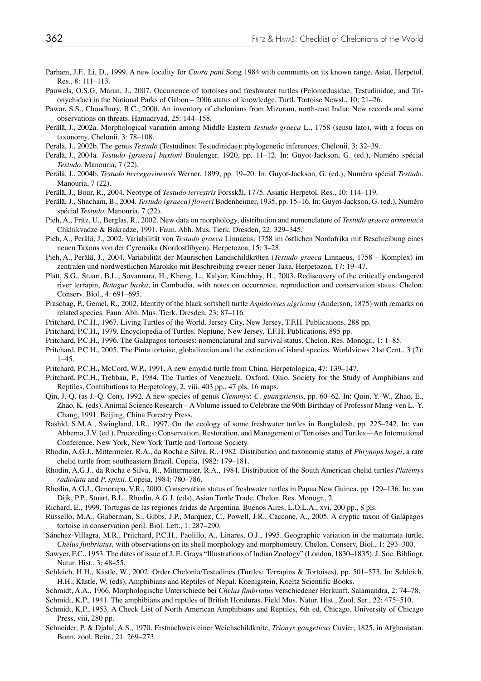- Parham, J.F., Li, D., 1999. A new locality for *Cuora pani* Song 1984 with comments on its known range. Asiat. Herpetol. Res., 8: 111–113.
- Pauwels, O.S.G, Maran, J., 2007. Occurrence of tortoises and freshwater turtles (Pelomedusidae, Testudinidae, and Trionychidae) in the National Parks of Gabon – 2006 status of knowledge. Turtl. Tortoise Newsl., 10: 21–26.
- Pawar, S.S., Choudhury, B.C., 2000. An inventory of chelonians from Mizoram, north-east India: New records and some observations on threats. Hamadryad, 25: 144–158.
- Perälä, J., 2002a. Morphological variation among Middle Eastern *Testudo graeca* L., 1758 (sensu lato), with a focus on taxonomy. Chelonii, 3: 78–108.
- Perälä, J., 2002b. The genus *Testudo* (Testudines: Testudinidae): phylogenetic inferences. Chelonii, 3: 32–39.
- Perälä, J., 2004a. *Testudo [graeca] buxtoni* Boulenger, 1920, pp. 11–12. In: Guyot-Jackson, G. (ed.), Numéro spécial *Testudo*. Manouria, 7 (22).
- Perälä, J., 2004b. *Testudo hercegovinensis* Werner, 1899, pp. 19–20. In: Guyot-Jackson, G. (ed.), Numéro spécial *Testudo*. Manouria, 7 (22).
- Perälä, J., Bour, R., 2004. Neotype of *Testudo terrestris* Forsskål, 1775. Asiatic Herpetol. Res., 10: 114–119.
- Perälä, J., Shacham, B., 2004. *Testudo [graeca] floweri* Bodenheimer, 1935, pp. 15–16. In: Guyot-Jackson, G. (ed.), Numéro spécial *Testudo*. Manouria, 7 (22).
- Pieh, A., Fritz, U., Berglas, R., 2002. New data on morphology, distribution and nomenclature of *Testudo graeca armeniaca* Chkhikvadze & Bakradze, 1991. Faun. Abh. Mus. Tierk. Dresden, 22: 329–345.
- Pieh, A., Perälä, J., 2002. Variabilität von *Testudo graeca* Linnaeus, 1758 im östlichen Nordafrika mit Beschreibung eines neuen Taxons von der Cyrenaika (Nordostlibyen). Herpetozoa, 15: 3–28.
- Pieh, A., Perälä, J., 2004. Variabilität der Maurischen Landschildkröten (*Testudo graeca* Linnaeus, 1758 Komplex) im zentralen und nordwestlichen Marokko mit Beschreibung zweier neuer Taxa. Herpetozoa, 17: 19–47.
- Platt, S.G., Stuart, B.L., Sovannara, H., Kheng, L., Kalyar, Kimchhay, H., 2003. Rediscovery of the critically endangered river terrapin, *Batagur baska*, in Cambodia, with notes on occurrence, reproduction and conservation status. Chelon. Conserv. Biol., 4: 691–695.
- Praschag, P., Gemel, R., 2002. Identity of the black softshell turtle *Aspideretes nigricans* (Anderson, 1875) with remarks on related species. Faun. Abh. Mus. Tierk. Dresden, 23: 87–116.
- Pritchard, P.C.H., 1967. Living Turtles of the World. Jersey City, New Jersey, T.F.H. Publications, 288 pp.
- Pritchard, P.C.H., 1979. Encyclopedia of Turtles. Neptune, New Jersey, T.F.H. Publications, 895 pp.
- Pritchard, P.C.H., 1996. The Galápagos tortoises: nomenclatural and survival status. Chelon. Res. Monogr., 1: 1–85.
- Pritchard, P.C.H., 2005. The Pinta tortoise, globalization and the extinction of island species. Worldviews 21st Cent., 3 (2): 1–45.
- Pritchard, P.C.H., McCord, W.P., 1991. A new emydid turtle from China. Herpetologica, 47: 139–147.
- Pritchard, P.C.H., Trebbau, P., 1984. The Turtles of Venezuela. Oxford, Ohio, Society for the Study of Amphibians and Reptiles, Contributions to Herpetology, 2, viii, 403 pp., 47 pls, 16 maps.
- Qin, J.-Q. (as J.-Q. Cen), 1992. A new species of genus *Clemmys*: *C. guangxiensis*, pp. 60–62. In: Quin, Y.-W., Zhao, E., Zhao, K. (eds), Animal Science Research – A Volume issued to Celebrate the 90th Birthday of Professor Mang-ven L.-Y. Chang, 1991. Beijing, China Forestry Press.
- Rashid, S.M.A., Swingland, I.R., 1997. On the ecology of some freshwater turtles in Bangladesh, pp. 225–242. In: van Abbema, J.V. (ed.), Proceedings: Conservation, Restoration, and Management of Tortoises and Turtles—An International Conference. New York, New York Turtle and Tortoise Society.
- Rhodin, A.G.J., Mittermeier, R.A., da Rocha e Silva, R., 1982. Distribution and taxonomic status of *Phrynops hogei*, a rare chelid turtle from southeastern Brazil. Copeia, 1982: 179–181.
- Rhodin, A.G.J., da Rocha e Silva, R., Mittermeier, R.A., 1984. Distribution of the South American chelid turtles *Platemys radiolata* and *P. spixii*. Copeia, 1984: 780–786.
- Rhodin, A.G.J., Genorupa, V.R., 2000. Conservation status of freshwater turtles in Papua New Guinea, pp. 129–136. In: van Dijk, P.P., Stuart, B.L., Rhodin, A.G.J. (eds), Asian Turtle Trade. Chelon. Res. Monogr., 2.
- Richard, E., 1999. Tortugas de las regiones áridas de Argentina. Buenos Aires, L.O.L.A., xvi, 200 pp., 8 pls.
- Russello, M.A., Glaberman, S., Gibbs, J.P., Marquez, C., Powell, J.R., Caccone, A., 2005. A cryptic taxon of Galápagos tortoise in conservation peril. Biol. Lett., 1: 287–290.
- Sánchez-Villagra, M.R., Pritchard, P.C.H., Paolillo, A., Linares, O.J., 1995. Geographic variation in the matamata turtle, *Chelus fimbriatus,* with observations on its shell morphology and morphometry. Chelon. Conserv. Biol., 1: 293–300.
- Sawyer, F.C., 1953. The dates of issue of J. E. Grays "Illustrations of Indian Zoology" (London, 1830–1835). J. Soc. Bibliogr. Natur. Hist., 3: 48–55.
- Schleich, H.H., Kästle, W., 2002. Order Chelonia/Testudines (Turtles: Terrapins & Tortoises), pp. 501–573. In: Schleich, H.H., Kästle, W. (eds), Amphibians and Reptiles of Nepal. Koenigstein, Koeltz Scientific Books.
- Schmidt, A.A., 1966. Morphologische Unterschiede bei *Chelus fimbriatus* verschiedener Herkunft. Salamandra, 2: 74–78.
- Schmidt, K.P., 1941. The amphibians and reptiles of British Honduras. Field Mus. Natur. Hist., Zool. Ser., 22: 475–510.
- Schmidt, K.P., 1953. A Check List of North American Amphibians and Reptiles, 6th ed. Chicago, University of Chicago Press, viii, 280 pp.
- Schneider, P. & Djalal, A.S., 1970. Erstnachweis einer Weichschildkröte, *Trionyx gangeticus* Cuvier, 1825, in Afghanistan. Bonn. zool. Beitr., 21: 269–273.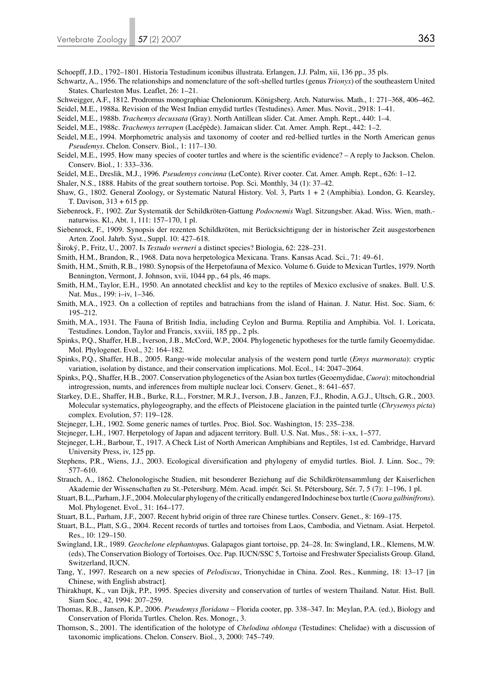- Schoepff, J.D., 1792–1801. Historia Testudinum iconibus illustrata. Erlangen, J.J. Palm, xii, 136 pp., 35 pls.
- Schwartz, A., 1956. The relationships and nomenclature of the soft-shelled turtles (genus *Trionyx*) of the southeastern United States. Charleston Mus. Leaflet, 26: 1–21.
- Schweigger, A.F., 1812. Prodromus monographiae Cheloniorum. Königsberg. Arch. Naturwiss. Math., 1: 271–368, 406–462. Seidel, M.E., 1988a. Revision of the West Indian emydid turtles (Testudines). Amer. Mus. Novit., 2918: 1–41.
- Seidel, M.E., 1988b. *Trachemys decussata* (Gray). North Antillean slider. Cat. Amer. Amph. Rept., 440: 1–4.
- Seidel, M.E., 1988c. *Trachemys terrapen* (Lacépède). Jamaican slider. Cat. Amer. Amph. Rept., 442: 1–2.
- Seidel, M.E., 1994. Morphometric analysis and taxonomy of cooter and red-bellied turtles in the North American genus *Pseudemys*. Chelon. Conserv. Biol., 1: 117–130.
- Seidel, M.E., 1995. How many species of cooter turtles and where is the scientific evidence? A reply to Jackson. Chelon. Conserv. Biol., 1: 333–336.
- Seidel, M.E., Dreslik, M.J., 1996. *Pseudemys concinna* (LeConte). River cooter*.* Cat. Amer. Amph. Rept., 626: 1–12.
- Shaler, N.S., 1888. Habits of the great southern tortoise. Pop. Sci. Monthly, 34 (1): 37–42.
- Shaw, G., 1802. General Zoology, or Systematic Natural History. Vol. 3, Parts 1 + 2 (Amphibia). London, G. Kearsley, T. Davison, 313 + 615 pp.
- Siebenrock, F., 1902. Zur Systematik der Schildkröten-Gattung *Podocnemis* Wagl. Sitzungsber. Akad. Wiss. Wien, math. naturwiss. Kl., Abt. 1, 111: 157–170, 1 pl.
- Siebenrock, F., 1909. Synopsis der rezenten Schildkröten, mit Berücksichtigung der in historischer Zeit ausgestorbenen Arten. Zool. Jahrb. Syst., Suppl. 10: 427–618.
- Široký, P., Fritz, U., 2007. Is *Testudo werneri* a distinct species? Biologia, 62: 228–231.
- Smith, H.M., Brandon, R., 1968. Data nova herpetologica Mexicana. Trans. Kansas Acad. Sci., 71: 49–61.
- Smith, H.M., Smith, R.B., 1980. Synopsis of the Herpetofauna of Mexico. Volume 6. Guide to Mexican Turtles, 1979. North Bennington, Vermont, J. Johnson, xvii, 1044 pp., 64 pls, 46 maps.
- Smith, H.M., Taylor, E.H., 1950. An annotated checklist and key to the reptiles of Mexico exclusive of snakes. Bull. U.S. Nat. Mus., 199: i–iv, 1–346.
- Smith, M.A., 1923. On a collection of reptiles and batrachians from the island of Hainan. J. Natur. Hist. Soc. Siam, 6: 195–212.
- Smith, M.A., 1931. The Fauna of British India, including Ceylon and Burma. Reptilia and Amphibia. Vol. 1. Loricata, Testudines. London, Taylor and Francis, xxviii, 185 pp., 2 pls.
- Spinks, P.Q., Shaffer, H.B., Iverson, J.B., McCord, W.P., 2004. Phylogenetic hypotheses for the turtle family Geoemydidae. Mol. Phylogenet. Evol., 32: 164–182.
- Spinks, P.Q., Shaffer, H.B., 2005. Range-wide molecular analysis of the western pond turtle (*Emys marmorata*): cryptic variation, isolation by distance, and their conservation implications. Mol. Ecol., 14: 2047–2064.
- Spinks, P.Q., Shaffer, H.B., 2007. Conservation phylogenetics of the Asian box turtles (Geoemydidae, *Cuora*): mitochondrial introgression, numts, and inferences from multiple nuclear loci. Conserv. Genet., 8: 641–657.
- Starkey, D.E., Shaffer, H.B., Burke, R.L., Forstner, M.R.J., Iverson, J.B., Janzen, F.J., Rhodin, A.G.J., Ultsch, G.R., 2003. Molecular systematics, phylogeography, and the effects of Pleistocene glaciation in the painted turtle (*Chrysemys picta*) complex. Evolution, 57: 119–128.
- Stejneger, L.H., 1902. Some generic names of turtles. Proc. Biol. Soc. Washington, 15: 235–238.
- Stejneger, L.H., 1907. Herpetology of Japan and adjacent territory. Bull. U.S. Nat. Mus., 58: i–xx, 1–577.
- Stejneger, L.H., Barbour, T., 1917. A Check List of North American Amphibians and Reptiles, 1st ed. Cambridge, Harvard University Press, iv, 125 pp.
- Stephens, P.R., Wiens, J.J., 2003. Ecological diversification and phylogeny of emydid turtles. Biol. J. Linn. Soc., 79: 577–610.
- Strauch, A., 1862. Chelonologische Studien, mit besonderer Beziehung auf die Schildkrötensammlung der Kaiserlichen Akademie der Wissenschaften zu St.-Petersburg. Mém. Acad. impér. Sci. St. Pétersbourg, Sér. 7, 5 (7): 1–196, 1 pl.
- Stuart, B.L., Parham, J.F., 2004. Molecular phylogeny of the critically endangered Indochinese box turtle (*Cuora galbinifrons*). Mol. Phylogenet. Evol., 31: 164–177.
- Stuart, B.L., Parham, J.F., 2007. Recent hybrid origin of three rare Chinese turtles. Conserv. Genet., 8: 169–175.
- Stuart, B.L., Platt, S.G., 2004. Recent records of turtles and tortoises from Laos, Cambodia, and Vietnam. Asiat. Herpetol. Res., 10: 129–150.
- Swingland, I.R., 1989. *Geochelone elephantopu*s. Galapagos giant tortoise, pp. 24–28. In: Swingland, I.R., Klemens, M.W. (eds), The Conservation Biology of Tortoises. Occ. Pap. IUCN/SSC 5, Tortoise and Freshwater Specialists Group. Gland, Switzerland, IUCN.
- Tang, Y., 1997. Research on a new species of *Pelodiscus*, Trionychidae in China. Zool. Res., Kunming, 18: 13–17 [in Chinese, with English abstract].
- Thirakhupt, K., van Dijk, P.P., 1995. Species diversity and conservation of turtles of western Thailand. Natur. Hist. Bull. Siam Soc., 42, 1994: 207–259.
- Thomas, R.B., Jansen, K.P., 2006. *Pseudemys floridana* Florida cooter, pp. 338–347. In: Meylan, P.A. (ed.), Biology and Conservation of Florida Turtles. Chelon. Res. Monogr., 3.
- Thomson, S., 2001. The identification of the holotype of *Chelodina oblonga* (Testudines: Chelidae) with a discussion of taxonomic implications. Chelon. Conserv. Biol., 3, 2000: 745–749.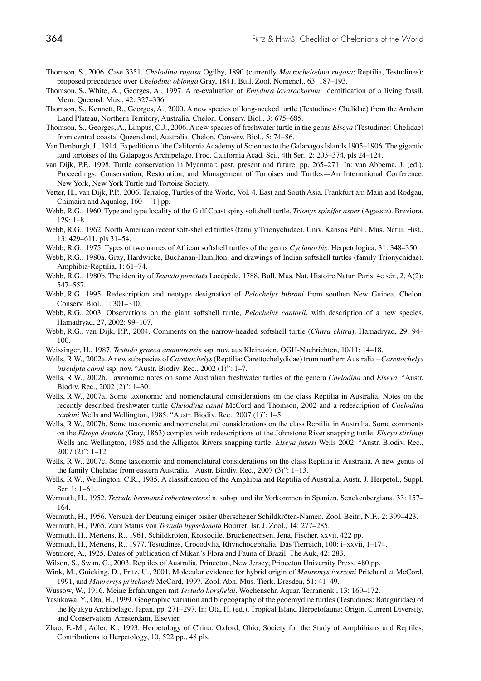- Thomson, S., 2006. Case 3351. *Chelodina rugosa* Ogilby, 1890 (currently *Macrochelodina rugosa*; Reptilia, Testudines): proposed precedence over *Chelodina oblonga* Gray, 1841. Bull. Zool. Nomencl., 63: 187–193.
- Thomson, S., White, A., Georges, A., 1997. A re-evaluation of *Emydura lavarackorum*: identification of a living fossil. Mem. Queensl. Mus., 42: 327–336.
- Thomson, S., Kennett, R., Georges, A., 2000. A new species of long-necked turtle (Testudines: Chelidae) from the Arnhem Land Plateau, Northern Territory, Australia. Chelon. Conserv. Biol., 3: 675–685.
- Thomson, S., Georges, A., Limpus, C.J., 2006. A new species of freshwater turtle in the genus *Elseya* (Testudines: Chelidae) from central coastal Queensland, Australia. Chelon. Conserv. Biol., 5: 74–86.
- Van Denburgh, J., 1914. Expedition of the California Academy of Sciences to the Galapagos Islands 1905–1906. The gigantic land tortoises of the Galapagos Archipelago. Proc. California Acad. Sci., 4th Ser., 2: 203–374, pls 24–124.
- van Dijk, P.P., 1998. Turtle conservation in Myanmar: past, present and future, pp. 265–271. In: van Abbema, J. (ed.), Proceedings: Conservation, Restoration, and Management of Tortoises and Turtles—An International Conference. New York, New York Turtle and Tortoise Society.
- Vetter, H., van Dijk, P.P., 2006. Terralog, Turtles of the World, Vol. 4. East and South Asia. Frankfurt am Main and Rodgau, Chimaira and Aqualog,  $160 + [1]$  pp.
- Webb, R.G., 1960. Type and type locality of the Gulf Coast spiny softshell turtle, *Trionyx spinifer asper* (Agassiz). Breviora, 129: 1–8.
- Webb, R.G., 1962. North American recent soft-shelled turtles (family Trionychidae). Univ. Kansas Publ., Mus. Natur. Hist., 13: 429–611, pls 31–54.
- Webb, R.G., 1975. Types of two names of African softshell turtles of the genus *Cyclanorbis*. Herpetologica, 31: 348–350.
- Webb, R.G., 1980a. Gray, Hardwicke, Buchanan-Hamilton, and drawings of Indian softshell turtles (family Trionychidae). Amphibia-Reptilia, 1: 61–74.
- Webb, R.G., 1980b. The identity of *Testudo punctata* Lacépède, 1788. Bull. Mus. Nat. Histoire Natur. Paris, 4e sér., 2, A(2): 547–557.
- Webb, R.G., 1995. Redescription and neotype designation of *Pelochelys bibroni* from southen New Guinea. Chelon. Conserv. Biol., 1: 301–310.
- Webb, R.G., 2003. Observations on the giant softshell turtle, *Pelochelys cantorii*, with description of a new species. Hamadryad, 27, 2002: 99–107.
- Webb, R.G., van Dijk, P.P., 2004. Comments on the narrow-headed softshell turtle (*Chitra chitra*). Hamadryad, 29: 94– 100.
- Weissinger, H., 1987. *Testudo graeca anamurensis* ssp. nov. aus Kleinasien. ÖGH-Nachrichten, 10/11: 14–18.
- Wells, R.W., 2002a. A new subspecies of *Carettochelys* (Reptilia: Carettochelydidae) from northern Australia *Carettochelys insculpta canni* ssp. nov. "Austr. Biodiv. Rec., 2002 (1)": 1–7.
- Wells, R.W., 2002b. Taxonomic notes on some Australian freshwater turtles of the genera *Chelodina* and *Elseya*. "Austr. Biodiv. Rec., 2002 (2)": 1–30.
- Wells, R.W., 2007a. Some taxonomic and nomenclatural considerations on the class Reptilia in Australia. Notes on the recently described freshwater turtle *Chelodina canni* McCord and Thomson, 2002 and a redescription of *Chelodina rankini* Wells and Wellington, 1985. "Austr. Biodiv. Rec., 2007 (1)": 1–5.
- Wells, R.W., 2007b. Some taxonomic and nomenclatural considerations on the class Reptilia in Australia. Some comments on the *Elseya dentata* (Gray, 1863) complex with redescriptions of the Johnstone River snapping turtle, *Elseya stirlingi* Wells and Wellington, 1985 and the Alligator Rivers snapping turtle, *Elseya jukesi* Wells 2002. "Austr. Biodiv. Rec., 2007 (2)": 1–12.
- Wells, R.W., 2007c. Some taxonomic and nomenclatural considerations on the class Reptilia in Australia. A new genus of the family Chelidae from eastern Australia. "Austr. Biodiv. Rec., 2007 (3)": 1–13.
- Wells, R.W., Wellington, C.R., 1985. A classification of the Amphibia and Reptilia of Australia. Austr. J. Herpetol., Suppl. Ser. 1: 1–61.
- Wermuth, H., 1952. *Testudo hermanni robertmertensi* n. subsp. und ihr Vorkommen in Spanien. Senckenbergiana, 33: 157– 164.
- Wermuth, H., 1956. Versuch der Deutung einiger bisher übersehener Schildkröten-Namen. Zool. Beitr., N.F., 2: 399–423.
- Wermuth, H., 1965. Zum Status von *Testudo hypselonota* Bourret. Isr. J. Zool., 14: 277–285.
- Wermuth, H., Mertens, R., 1961. Schildkröten, Krokodile, Brückenechsen. Jena, Fischer, xxvii, 422 pp.
- Wermuth, H., Mertens, R., 1977. Testudines, Crocodylia, Rhynchocephalia. Das Tierreich, 100: i–xxvii, 1–174.
- Wetmore, A., 1925. Dates of publication of Mikan's Flora and Fauna of Brazil. The Auk, 42: 283.
- Wilson, S., Swan, G., 2003. Reptiles of Australia. Princeton, New Jersey, Princeton University Press, 480 pp.
- Wink, M., Guicking, D., Fritz, U., 2001. Molecular evidence for hybrid origin of *Mauremys iversoni* Pritchard et McCord, 1991, and *Mauremys pritchardi* McCord, 1997. Zool. Abh. Mus. Tierk. Dresden, 51: 41–49.
- Wussow, W., 1916. Meine Erfahrungen mit *Testudo horsfieldi*. Wochenschr. Aquar. Terrarienk., 13: 169–172.
- Yasukawa, Y., Ota, H., 1999. Geographic variation and biogeography of the geoemydine turtles (Testudines: Bataguridae) of the Ryukyu Archipelago, Japan, pp. 271–297. In: Ota, H. (ed.), Tropical Island Herpetofauna: Origin, Current Diversity, and Conservation. Amsterdam, Elsevier.
- Zhao, E.-M., Adler, K., 1993. Herpetology of China. Oxford, Ohio, Society for the Study of Amphibians and Reptiles, Contributions to Herpetology, 10, 522 pp., 48 pls.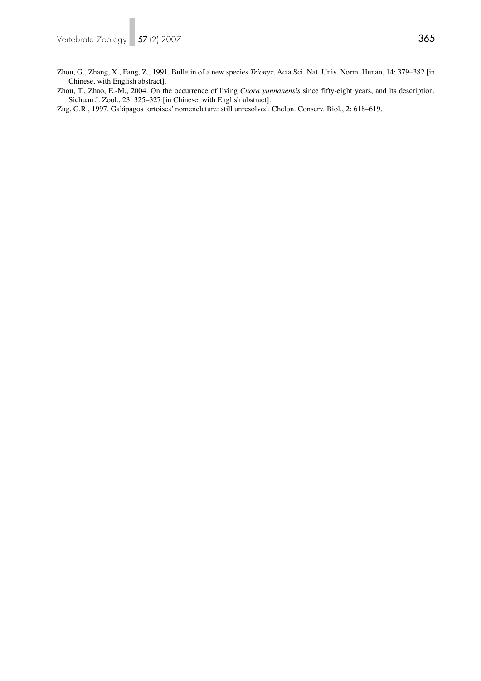Zhou, T., Zhao, E.-M., 2004. On the occurrence of living *Cuora yunnanensis* since fifty-eight years, and its description. Sichuan J. Zool., 23: 325–327 [in Chinese, with English abstract].

Zug, G.R., 1997. Galápagos tortoises' nomenclature: still unresolved. Chelon. Conserv. Biol., 2: 618–619.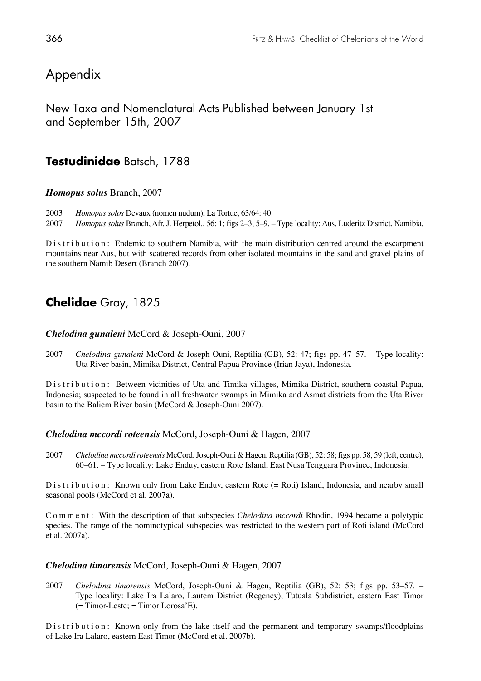# Appendix

New Taxa and Nomenclatural Acts Published between January 1st and September 15th, 2007

## **Testudinidae** Batsch, 1788

### *Homopus solus* Branch, 2007

2003 *Homopus solos* Devaux (nomen nudum), La Tortue, 63/64: 40.

2007 *Homopus solus* Branch, Afr. J. Herpetol., 56: 1; figs 2–3, 5–9. – Type locality: Aus, Luderitz District, Namibia.

Distribution: Endemic to southern Namibia, with the main distribution centred around the escarpment mountains near Aus, but with scattered records from other isolated mountains in the sand and gravel plains of the southern Namib Desert (Branch 2007).

## **Chelidae** Gray, 1825

#### *Chelodina gunaleni* McCord & Joseph-Ouni, 2007

2007 *Chelodina gunaleni* McCord & Joseph-Ouni, Reptilia (GB), 52: 47; figs pp. 47–57. – Type locality: Uta River basin, Mimika District, Central Papua Province (Irian Jaya), Indonesia.

Distribution: Between vicinities of Uta and Timika villages, Mimika District, southern coastal Papua, Indonesia; suspected to be found in all freshwater swamps in Mimika and Asmat districts from the Uta River basin to the Baliem River basin (McCord & Joseph-Ouni 2007).

#### *Chelodina mccordi roteensis* McCord, Joseph-Ouni & Hagen, 2007

2007 *Chelodina mccordi roteensis* McCord, Joseph-Ouni & Hagen, Reptilia (GB), 52: 58; figs pp. 58, 59 (left, centre), 60–61. – Type locality: Lake Enduy, eastern Rote Island, East Nusa Tenggara Province, Indonesia.

Distribution: Known only from Lake Enduy, eastern Rote (= Roti) Island, Indonesia, and nearby small seasonal pools (McCord et al. 2007a).

Comment: With the description of that subspecies *Chelodina mccordi* Rhodin, 1994 became a polytypic species. The range of the nominotypical subspecies was restricted to the western part of Roti island (McCord et al. 2007a).

#### *Chelodina timorensis* McCord, Joseph-Ouni & Hagen, 2007

2007 *Chelodina timorensis* McCord, Joseph-Ouni & Hagen, Reptilia (GB), 52: 53; figs pp. 53–57. – Type locality: Lake Ira Lalaro, Lautem District (Regency), Tutuala Subdistrict, eastern East Timor  $($  = Timor-Leste; = Timor Lorosa'E).

Distribution: Known only from the lake itself and the permanent and temporary swamps/floodplains of Lake Ira Lalaro, eastern East Timor (McCord et al. 2007b).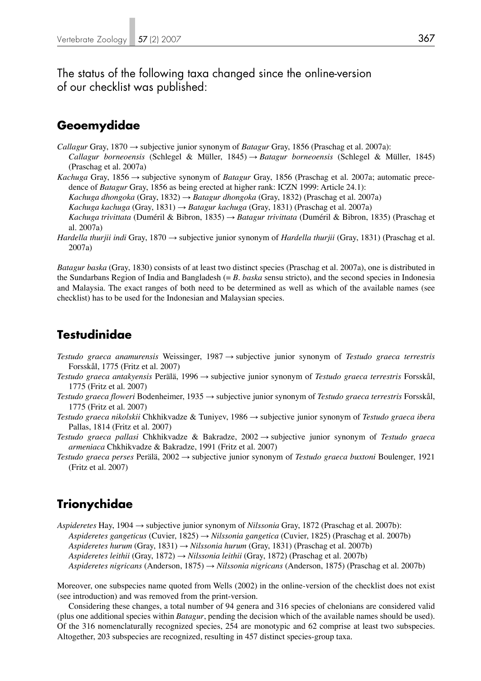The status of the following taxa changed since the online-version of our checklist was published:

### **Geoemydidae**

- *Callagur* Gray, 1870 → subjective junior synonym of *Batagur* Gray, 1856 (Praschag et al. 2007a):  *Callagur borneoensis* (Schlegel & Müller, 1845) → *Batagur borneoensis* (Schlegel & Müller, 1845)
- (Praschag et al. 2007a) *Kachuga* Gray, 1856 → subjective synonym of *Batagur* Gray, 1856 (Praschag et al. 2007a; automatic prece-

dence of *Batagur* Gray, 1856 as being erected at higher rank: ICZN 1999: Article 24.1):

- *Kachuga dhongoka* (Gray, 1832) → *Batagur dhongoka* (Gray, 1832) (Praschag et al. 2007a)
- *Kachuga kachuga* (Gray, 1831) → *Batagur kachuga* (Gray, 1831) (Praschag et al. 2007a)
- *Kachuga trivittata* (Duméril & Bibron, 1835) → *Batagur trivittata* (Duméril & Bibron, 1835) (Praschag et al. 2007a)
- *Hardella thurjii indi* Gray, 1870 → subjective junior synonym of *Hardella thurjii* (Gray, 1831) (Praschag et al. 2007a)

*Batagur baska* (Gray, 1830) consists of at least two distinct species (Praschag et al. 2007a), one is distributed in the Sundarbans Region of India and Bangladesh (= *B. baska* sensu stricto), and the second species in Indonesia and Malaysia. The exact ranges of both need to be determined as well as which of the available names (see checklist) has to be used for the Indonesian and Malaysian species.

### **Testudinidae**

- *Testudo graeca anamurensis* Weissinger, 1987 → subjective junior synonym of *Testudo graeca terrestris*  Forsskål, 1775 (Fritz et al. 2007)
- *Testudo graeca antakyensis* Perälä, 1996 → subjective junior synonym of *Testudo graeca terrestris* Forsskål, 1775 (Fritz et al. 2007)
- *Testudo graeca floweri* Bodenheimer, 1935 → subjective junior synonym of *Testudo graeca terrestris* Forsskål, 1775 (Fritz et al. 2007)
- *Testudo graeca nikolskii* Chkhikvadze & Tuniyev, 1986 → subjective junior synonym of *Testudo graeca ibera*  Pallas, 1814 (Fritz et al. 2007)
- *Testudo graeca pallasi* Chkhikvadze & Bakradze, 2002 → subjective junior synonym of *Testudo graeca armeniaca* Chkhikvadze & Bakradze, 1991 (Fritz et al. 2007)
- *Testudo graeca perses* Perälä, 2002 → subjective junior synonym of *Testudo graeca buxtoni* Boulenger, 1921 (Fritz et al. 2007)

## **Trionychidae**

*Aspideretes* Hay, 1904 → subjective junior synonym of *Nilssonia* Gray, 1872 (Praschag et al. 2007b):  *Aspideretes gangeticus* (Cuvier, 1825) → *Nilssonia gangetica* (Cuvier, 1825) (Praschag et al. 2007b)  *Aspideretes hurum* (Gray, 1831) → *Nilssonia hurum* (Gray, 1831) (Praschag et al. 2007b)  *Aspideretes leithii* (Gray, 1872) → *Nilssonia leithii* (Gray, 1872) (Praschag et al. 2007b)  *Aspideretes nigricans* (Anderson, 1875) → *Nilssonia nigricans* (Anderson, 1875) (Praschag et al. 2007b)

Moreover, one subspecies name quoted from Wells (2002) in the online-version of the checklist does not exist (see introduction) and was removed from the print-version.

 Considering these changes, a total number of 94 genera and 316 species of chelonians are considered valid (plus one additional species within *Batagur*, pending the decision which of the available names should be used). Of the 316 nomenclaturally recognized species, 254 are monotypic and 62 comprise at least two subspecies. Altogether, 203 subspecies are recognized, resulting in 457 distinct species-group taxa.